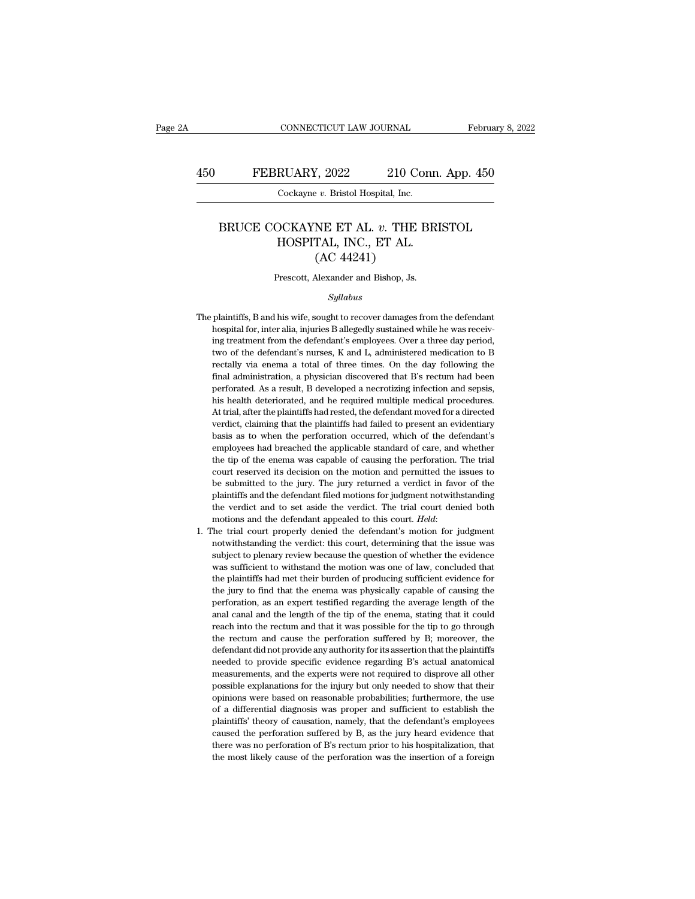#### FEBRUARY, 2022 210 Conn. App. 450<br>
Cockayne *v.* Bristol Hospital, Inc.<br>
BRUCE COCKAYNE ET AL. *v.* THE BRISTOL<br>
HOSPITAL, INC., ET AL. RUARY, 2022 210 Conn.<br>
Cockayne v. Bristol Hospital, Inc.<br>
DCKAYNE ET AL. v. THE BRI<br>
HOSPITAL, INC., ET AL. (AC 44241)  $(2022$  210 C<br>
210 C<br>
2*v*. Bristol Hospital, Inc.<br>
NE ET AL. *v*. THE<br>
TAL, INC., ET AL.<br>
(AC 44241)<br>
Nexander and Bishop, Js. BRUCE COCKAYNE ET AL. *v*. THE BRISTOL<br>HOSPITAL, INC., ET AL.<br>(AC 44241)<br>Prescott, Alexander and Bishop, Js.

#### *Syllabus*

- $\rm (AC~44241)$ <br>Prescott, Alexander and Bishop, Js.<br> $Syllabus$ <br>The plaintiffs, B and his wife, sought to recover damages from the defendant<br>hospital for, inter alia, injuries B allegedly sustained while he was receiv-Frescott, Alexander and Bishop, Js.<br>Syllabus<br>plaintiffs, B and his wife, sought to recover damages from the defendant<br>hospital for, inter alia, injuries B allegedly sustained while he was receiv-<br>ing treatment from the def Frescott, Alexander and Bishop, Js.<br>
Syllabus<br>
plaintiffs, B and his wife, sought to recover damages from the defendant<br>
hospital for, inter alia, injuries B allegedly sustained while he was receiv-<br>
ing treatment from the Syllabus<br>
plaintiffs, B and his wife, sought to recover damages from the defendant<br>
hospital for, inter alia, injuries B allegedly sustained while he was receiv-<br>
ing treatment from the defendant's employees. Over a three sylabors<br>plaintiffs, B and his wife, sought to recover damages from the defendant<br>hospital for, inter alia, injuries B allegedly sustained while he was receiv-<br>ing treatment from the defendant's employees. Over a three day plaintiffs, B and his wife, sought to recover damages from the defendant<br>hospital for, inter alia, injuries B allegedly sustained while he was receiv-<br>ing treatment from the defendant's employees. Over a three day period,<br> hospital for, inter alia, injuries B allegedly sustained while he was receiving treatment from the defendant's employees. Over a three day period, two of the defendant's nurses, K and L, administered medication to B rectal ing treatment from the defendant's employees. Over a three day period, two of the defendant's nurses, K and L, administered medication to B rectally via enema a total of three times. On the day following the final administ It wo of the defendant's nurses, K and L, administered medication to B rectally via enema a total of three times. On the day following the final administration, a physician discovered that B's rectum had been perforated. A rectally via enema a total of three times. On the day following the final administration, a physician discovered that B's rectum had been perforated. As a result, B developed a necrotizing infection and sepsis, his health Final administration, a physician discovered that B's rectum had been<br>perforated. As a result, B developed a necrotizing infection and sepsis,<br>his health deteriorated, and he required multiple medical procedures.<br>At trial, perforated. As a result, B developed a necrotizing infection and sepsis, his health deteriorated, and he required multiple medical procedures. At trial, after the plaintiffs had rested, the defendant moved for a directed v the tip of the terrorated, and he required multiple medical procedures.<br>At trial, after the plaintiffs had rested, the defendant moved for a directed<br>verdict, claiming that the plaintiffs had failed to present an evidentia At trial, after the plaintiffs had rested, the defendant moved for a directed verdict, claiming that the plaintiffs had failed to present an evidentiary basis as to when the perforation occurred, which of the defendant's e be verdict, claiming that the plaintiffs had failed to present an evidentiary basis as to when the perforation occurred, which of the defendant's employees had breached the applicable standard of care, and whether the tip basis as to when the perforation occurred, which of the defendant's employees had breached the applicable standard of care, and whether the tip of the enema was capable of causing the perforation. The trial court reserved employees had breached the applicable standard of care, and whether<br>the tip of the enema was capable of causing the perforation. The trial<br>court reserved its decision on the motion and permitted the issues to<br>be submitted the tip of the enema was capable of causing the perforation. The trial court reserved its decision on the motion and permitted the issues to be submitted to the jury. The jury returned a verdict in favor of the plaintiffs be submitted to the jury. The jury returned a verdict in favor of the plaintiffs and the defendant filed motions for judgment notwithstanding the verdict and to set aside the verdict. The trial court denied both motions an
- plaintiffs and the defendant filed motions for judgment notwithstanding<br>the verdict and to set aside the verdict. The trial court denied both<br>motions and the defendant appealed to this court. *Held*:<br>The trial court proper the verdict and to set aside the verdict. The trial court denied both motions and the defendant appealed to this court. *Held*:<br>The trial court properly denied the defendant's motion for judgment notwithstanding the verdic motions and the defendant appealed to this court. *Held*:<br>The trial court properly denied the defendant's motion for judgment<br>notwithstanding the verdict: this court, determining that the issue was<br>subject to plenary revie The trial court properly denied the defendant's motion for judgment notwithstanding the verdict: this court, determining that the issue was subject to plenary review because the question of whether the evidence was suffici notwithstanding the verdict: this court, determining that the issue was subject to plenary review because the question of whether the evidence was sufficient to withstand the motion was one of law, concluded that the plain subject to plenary review because the question of whether the evidence was sufficient to withstand the motion was one of law, concluded that the plaintiffs had met their burden of producing sufficient evidence for the jury was sufficient to withstand the motion was one of law, concluded that the plaintiffs had met their burden of producing sufficient evidence for the jury to find that the enema was physically capable of causing the perforati the plaintiffs had met their burden of producing sufficient evidence for the jury to find that the enema was physically capable of causing the perforation, as an expert testified regarding the average length of the anal ca the jury to find that the enema was physically capable of causing the the jury to find that the enema was physically capable of causing the perforation, as an expert testified regarding the average length of the anal canal needed to provide and the expert setting performation, as an expert testified regarding the average length of the anal canal canal and the length of the tip of the enema, stating that it could reach into the rectum and tha pearal canal and the length of the tip of the enema, stating that it could reach into the rectum and that it was possible for the tip to go through the rectum and cause the perforation suffered by B; moreover, the defendan reach into the rectum and that it was possible for the tip to go through<br>the rectum and cause the perforation suffered by B; moreover, the<br>defendant did not provide any authority for its assertion that the plaintiffs<br>neede be rectum and cause the perforation suffered by B; moreover, the defendant did not provide any authority for its assertion that the plaintiffs needed to provide specific evidence regarding B's actual anatomical measurement defendant did not provide any authority for its assertion that the plaintiffs<br>needed to provide specific evidence regarding B's actual anatomical<br>measurements, and the experts were not required to disprove all other<br>possib needed to provide specific evidence regarding B's actual anatomical<br>measurements, and the experts were not required to disprove all other<br>possible explanations for the injury but only needed to show that their<br>opinions wer needed to provide specific evidence regarding B's actual anatomical measurements, and the experts were not required to disprove all other possible explanations for the injury but only needed to show that their opinions wer possible explanations for the injury but only needed to show that their opinions were based on reasonable probabilities; furthermore, the use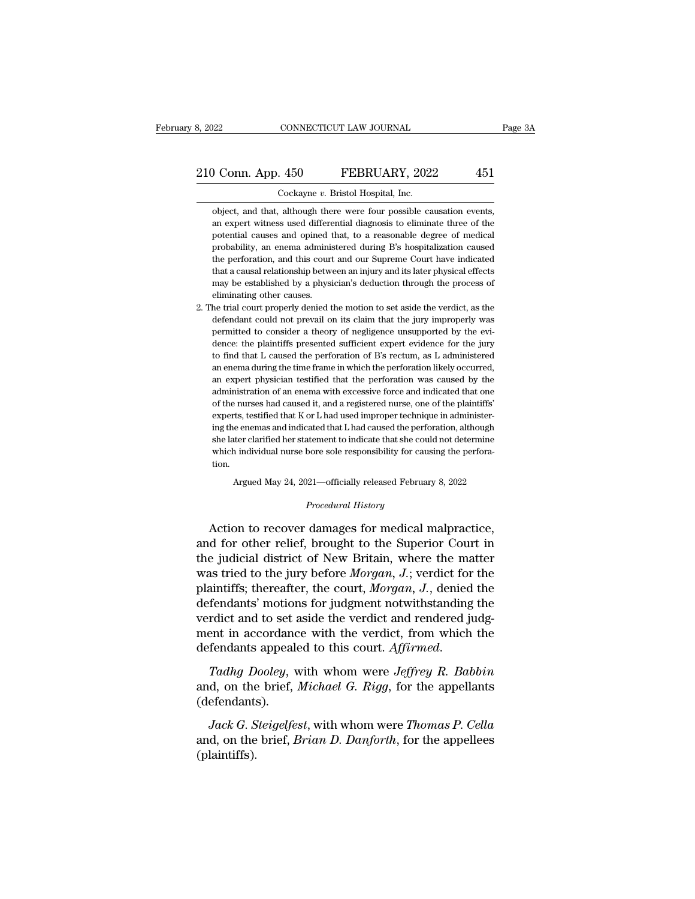8, 2022 CONNECTICUT LAW JOURNAL<br>
210 Conn. App. 450 FEBRUARY, 2022 451<br>
Cockayne *v*. Bristol Hospital, Inc.<br>
object. and that, although there were four possible causation events. Object, and that, although there were four possible causation events,<br>an expert witness used differential diagnosis to eliminate three of the an expert witness used differential diagnosis to eliminate three of the potential causes and opined that, to a reasonable degree of medical potential causes and opined that, to a reasonable degree of medical potential Coronal Cockayne v. Bristol Hospital, Inc.<br>
boject, and that, although there were four possible causation events,<br>
an expert witness used differential diagnosis to eliminate three of the<br>
potential causes and opi Cockayne v. Bristol Hospital, Inc.<br>
object, and that, although there were four possible causation events,<br>
an expert witness used differential diagnosis to eliminate three of the<br>
potential causes and opined that, to a rea Cockayne v. Bristol Hospital, Inc.<br>
object, and that, although there were four possible causation events,<br>
an expert witness used differential diagnosis to eliminate three of the<br>
potential causes and opined that, to a rea object, and that, although there were four possible causation events,<br>an expert witness used differential diagnosis to eliminate three of the<br>potential causes and opined that, to a reasonable degree of medical<br>probability, an expert witness used differential diagnosis to eliminate three of the potential causes and opined that, to a reasonable degree of medical probability, an enema administered during B's hospitalization caused the perforati potential causes and opined the perforation, and this court<br>the perforation, and this court<br>that a causal relationship betwee may be established by a physiteliminating other causes.<br>He trial court properly denied to probability, an enema administered during B's hospitalization caused<br>the perforation, and this court and our Supreme Court have indicated<br>that a causal relationship between an injury and its later physical effects<br>may be e the perforation, and this court and our Supreme Court have indicated that a causal relationship between an injury and its later physical effects may be established by a physician's deduction through the process of eliminat

that a causal relationship between an injury and its later physical effects may be established by a physician's deduction through the process of eliminating other causes.<br>
he trial court properly denied the motion to set a may be established by a physician's deduction through the process of<br>eliminating other causes.<br>he trial court properly denied the motion to set aside the verdict, as the<br>defendant could not prevail on its claim that the ju eliminating other causes.<br>
he trial court properly denied the motion to set aside the verdict, as the<br>
defendant could not prevail on its claim that the jury improperly was<br>
permitted to consider a theory of negligence uns he trial court properly denied the motion to set aside the verdict, as the defendant could not prevail on its claim that the jury improperly was permitted to consider a theory of negligence unsupported by the evidence: the defendant could not prevail on its claim that the jury improperly was<br>permitted to consider a theory of negligence unsupported by the evi-<br>dence: the plaintiffs presented sufficient expert evidence for the jury<br>to find tha permitted to consider a theory of negligence unsupported by the evidence: the plaintiffs presented sufficient expert evidence for the jury to find that L caused the perforation of B's rectum, as L administered an enema dur dence: the plaintiffs presented sufficient expert evidence for the jury to find that L caused the perforation of B's rectum, as L administered an enema during the time frame in which the perforation likely occurred, an exp to find that L caused the perforation of B's rectum, as L administered<br>an enema during the time frame in which the perforation likely occurred,<br>an expert physician testified that the perforation was caused by the<br>administr an enema during the time frame in which the perforation likely occurred,<br>an expert physician testified that the perforation was caused by the<br>administration of an enema with excessive force and indicated that one<br>of the nu an expert physician testified that the perforation was caused by the administration of an enema with excessive force and indicated that one of the nurses had caused it, and a registered nurse, one of the plaintiffs' expert administration of an enema with excessive force and indicated that one of the nurses had caused it, and a registered nurse, one of the plaintiffs' experts, testified that K or L had used improper technique in administering tion. rts, testified that K or L had used improper technique in administer-<br>e enemas and indicated that L had caused the perforation, although<br>ter clarified her statement to indicate that she could not determine<br>individual nurse % she later clarified her statement to indicate that she could not determine<br>which individual nurse bore sole responsibility for causing the perfora-<br>tion.<br>Argued May 24, 2021—officially released February 8, 2022<br>*Procedur* she later clarified her statement to indicate that she could not determine<br>which individual nurse bore sole responsibility for causing the perfora-<br>tion.<br>Argued May 24, 2021—officially released February 8, 2022<br>*Procedural* 

which individual nurse bore sole responsibility for causing the perfora-<br>tion.<br>Argued May 24, 2021—officially released February 8, 2022<br>Procedural History<br>Action to recover damages for medical malpractice,<br>and for other re Argued May 24, 2021—officially released February 8, 2022<br>
Procedural History<br>
Action to recover damages for medical malpractice,<br>
and for other relief, brought to the Superior Court in<br>
the judicial district of New Britain Argued May 24, 2021—officially released February 8, 2022<br> *Procedural History*<br>
Action to recover damages for medical malpractice,<br>
and for other relief, brought to the Superior Court in<br>
the judicial district of New Brita *Procedural History*<br>Action to recover damages for medical malpractice,<br>and for other relief, brought to the Superior Court in<br>the judicial district of New Britain, where the matter<br>was tried to the jury before *Morgan*, Action to recover damages for medical malpractice,<br>and for other relief, brought to the Superior Court in<br>the judicial district of New Britain, where the matter<br>was tried to the jury before  $Morgan$ , J.; verdict for the<br>plain Action to recover damages for medical malpractice,<br>and for other relief, brought to the Superior Court in<br>the judicial district of New Britain, where the matter<br>was tried to the jury before *Morgan*, *J*.; verdict for the and for other relief, brought to the Superior Court in<br>the judicial district of New Britain, where the matter<br>was tried to the jury before  $Morgan$ ,  $J$ .; verdict for the<br>plaintiffs; thereafter, the court,  $Morgan$ ,  $J$ ., denied the judicial district of New Britain, where the matter<br>was tried to the jury before *Morgan*, *J*.; verdict for the<br>plaintiffs; thereafter, the court, *Morgan*, *J*., denied the<br>defendants' motions for judgment notwithstan planting, and collect the brief, *Michael G. Rigg, for, sending the* verdict and to set aside the verdict and rendered judgment in accordance with the verdict, from which the defendants appealed to this court. *Affirmed.*<br>

(defendants). ent in accordance with the verdict, from which the<br> *fendants* appealed to this court. *Affirmed.*<br> *Jack G. Steigelfest*, with whom were *Jeffrey R. Babbin*<br> *Jack G. Steigelfest*, with whom were *Thomas P. Cella*<br> *d*, o defendants appealed to this court. *Affirmed.*<br>
Tadhg Dooley, with whom were Jeffrey R. Babbin<br>
and, on the brief, *Michael G. Rigg*, for the appellants<br>
(defendants).<br>
Jack G. Steigelfest, with whom were Thomas P. Cella<br>

(plaintiffs).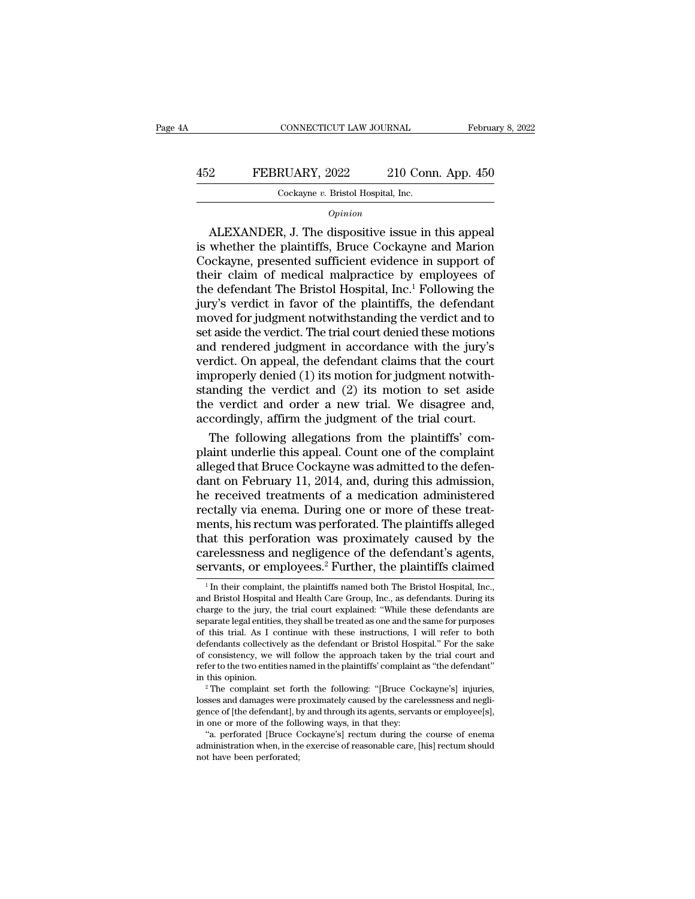#### CONNECTICUT LAW JOURNAL February 8, 2022<br>452 FEBRUARY, 2022 210 Conn. App. 450<br>Cockayne v. Bristol Hospital, Inc. CONNECTICUT LAW JOURNAL<br>
RUARY, 2022 210 Con:<br>
Cockayne *v.* Bristol Hospital, Inc.<br>
Opinion

#### *Opinion*

FEBRUARY, 2022 210 Conn. App. 450<br>
Cockayne v. Bristol Hospital, Inc.<br>
Opinion<br>
ALEXANDER, J. The dispositive issue in this appeal<br>
whether the plaintiffs, Bruce Cockayne and Marion<br>
postagne presented sufficient evidence FEBRUARY, 2022 210 Conn. App. 450<br>  $\frac{\text{Cockayne } v. \text{ Bristol Hospital, Inc.}}{\text{Option}}$ <br>
ALEXANDER, J. The dispositive issue in this appeal<br>
is whether the plaintiffs, Bruce Cockayne and Marion<br>
Cockayne, presented sufficient evidence in support 452 FEBRUARY, 2022 210 Conn. App. 450<br>  $\frac{\text{Cockayne } v. \text{ Bristol Hospital, Inc.}}{\text{Option}}$ <br>  $\frac{Opinion}{\text{Dpinion}}$ <br>
ALEXANDER, J. The dispositive issue in this appeal<br>
is whether the plaintiffs, Bruce Cockayne and Marion<br>
Cockayne, presented suffici Cockayne v. Bristol Hospital, Inc.<br>  $\begin{array}{c} Opinion \\ \hline \end{array}$ <br>
ALEXANDER, J. The dispositive issue in this appeal<br>
is whether the plaintiffs, Bruce Cockayne and Marion<br>
Cockayne, presented sufficient evidence in support of<br>
t  $\frac{Opimin} {Opimin}$ <br>  $\frac{Opimin} {Opimin}$ <br>  $\frac{Opimin} {Opimin}$ <br>
SLEXANDER, J. The dispositive issue in this appeal<br>
is whether the plaintiffs, Bruce Cockayne and Marion<br>
Cockayne, presented sufficient evidence in support of<br>
their claim *Opinion*<br>ALEXANDER, J. The dispositive issue in this appeal<br>is whether the plaintiffs, Bruce Cockayne and Marion<br>Cockayne, presented sufficient evidence in support of<br>their claim of medical malpractice by employees of<br>th ALEXANDER, J. The dispositive issue in this appeal<br>is whether the plaintiffs, Bruce Cockayne and Marion<br>Cockayne, presented sufficient evidence in support of<br>their claim of medical malpractice by employees of<br>the defendant is whether the plaintiffs, Bruce Cockayne and Marion<br>Cockayne, presented sufficient evidence in support of<br>their claim of medical malpractice by employees of<br>the defendant The Bristol Hospital, Inc.<sup>1</sup> Following the<br>jury's Cockayne, presented sufficient evidence in support of<br>their claim of medical malpractice by employees of<br>the defendant The Bristol Hospital, Inc.<sup>1</sup> Following the<br>jury's verdict in favor of the plaintiffs, the defendant<br>mo their claim of medical malpractice by employees of<br>the defendant The Bristol Hospital, Inc.<sup>1</sup> Following the<br>jury's verdict in favor of the plaintiffs, the defendant<br>moved for judgment notwithstanding the verdict and to<br>se the defendant The Bristol Hospital, Inc.<sup>1</sup> Following the<br>jury's verdict in favor of the plaintiffs, the defendant<br>moved for judgment notwithstanding the verdict and to<br>set aside the verdict. The trial court denied these m jury's verdict in favor of the plaintiffs, the defendant<br>moved for judgment notwithstanding the verdict and to<br>set aside the verdict. The trial court denied these motions<br>and rendered judgment in accordance with the jury's moved for judgment notwithstanding the verdict and to<br>set aside the verdict. The trial court denied these motions<br>and rendered judgment in accordance with the jury's<br>verdict. On appeal, the defendant claims that the court set aside the verdict. The trial court denied these motions<br>and rendered judgment in accordance with the jury's<br>verdict. On appeal, the defendant claims that the court<br>improperly denied (1) its motion for judgment notwithd rendered judgment in accordance with the jury's<br>rdict. On appeal, the defendant claims that the court<br>properly denied (1) its motion for judgment notwith-<br>anding the verdict and (2) its motion to set aside<br>e verdict and verdict. On appeal, the defendant claims that the court<br>improperly denied (1) its motion for judgment notwith-<br>standing the verdict and (2) its motion to set aside<br>the verdict and order a new trial. We disagree and,<br>accord

improperly denied  $(1)$  its motion for judgment notwithstanding the verdict and  $(2)$  its motion to set aside<br>the verdict and order a new trial. We disagree and,<br>accordingly, affirm the judgment of the trial court.<br>The fo standing the verdict and (2) its motion to set aside<br>the verdict and order a new trial. We disagree and,<br>accordingly, affirm the judgment of the trial court.<br>The following allegations from the plaintiffs' com-<br>plaint under the verdict and order a new trial. We disagree and,<br>accordingly, affirm the judgment of the trial court.<br>The following allegations from the plaintiffs' com-<br>plaint underlie this appeal. Count one of the complaint<br>alleged t accordingly, affirm the judgment of the trial court.<br>The following allegations from the plaintiffs' com-<br>plaint underlie this appeal. Count one of the complaint<br>alleged that Bruce Cockayne was admitted to the defen-<br>dant o The following allegations from the plaintiffs' complaint underlie this appeal. Count one of the complaint alleged that Bruce Cockayne was admitted to the defendant on February 11, 2014, and, during this admission, he recei plaint underlie this appeal. Count one of the complaint<br>alleged that Bruce Cockayne was admitted to the defen-<br>dant on February 11, 2014, and, during this admission,<br>he received treatments of a medication administered<br>rect alleged that Bruce Cockayne was admitted to the defendant on February 11, 2014, and, during this admission, he received treatments of a medication administered rectally via enema. During one or more of these treatments, h dant on February 11, 2014, and, during this admission,<br>he received treatments of a medication administered<br>rectally via enema. During one or more of these treat-<br>ments, his rectum was perforated. The plaintiffs alleged<br>tha ments, his rectum was perforated. The plaintiffs alleged<br>that this perforation was proximately caused by the<br>carelessness and negligence of the defendant's agents,<br>servants, or employees.<sup>2</sup> Further, the plaintiffs claime that this perforation was proximately caused by the carelessness and negligence of the defendant's agents, servants, or employees.<sup>2</sup> Further, the plaintiffs claimed <sup>1</sup> In their complaint, the plaintiffs named both The Br

carelessness and negligence of the defendant's agents,<br>servants, or employees.<sup>2</sup> Further, the plaintiffs claimed<br> $\frac{1}{\ln}$  their complaint, the plaintiffs named both The Bristol Hospital, Inc.,<br>and Bristol Hospital and care<br>issuess and negingence of the defendant s agents,<br>servants, or employees.<sup>2</sup> Further, the plaintiffs claimed<br> $\frac{1}{1}$  In their complaint, the plaintiffs named both The Bristol Hospital, Inc.,<br>and Bristol Hospital an **Servants, or employees.**  $\epsilon$  **Further, the plaintiffs claimed**<br><sup>1</sup> In their complaint, the plaintiffs named both The Bristol Hospital, Inc., and Bristol Hospital and Health Care Group, Inc., as defendants. During its ch <sup>1</sup> In their complaint, the plaintiffs named both The Bristol Hospital, Inc., and Bristol Hospital and Health Care Group, Inc., as defendants. During its charge to the jury, the trial court explained: "While these defenda In their complaint, the plaintiffs hamed both The Bristol Hospital, Inc., and Bristol Hospital and Health Care Group, Inc., as defendants. During its charge to the jury, the trial court explained: "While these defendants a and Bristol Hospital and Health Care Group, Inc., as defendants. During its<br>charge to the jury, the trial court explained: "While these defendants are<br>separate legal entities, they shall be treated as one and the same for charge to the jury, the trial court explained: "while these defendants are separate legal entities, they shall be treated as one and the same for purposes of this trial. As I continue with these instructions, I will refer % of this trial. As I continue with these instructions, I will refer to both defendants collectively as the defendant or Bristol Hospital." For the sake of consistency, we will follow the approach taken by the trial court

defendants conectively as the defendant or Bristol Hospital. For the sake<br>of consistency, we will follow the approach taken by the trial court and<br>refer to the two entities named in the plaintiffs' complaint as "the defend refer to the two entities named in the plaintiffs' complaint as "the defendant"<br>in this opinion.<br> $\cdot$  The complaint set forth the following: "[Bruce Cockayne's] injuries,<br>losses and damages were proximately caused by the fer to the two entities named in the plaintiffs complaint as "the defendant"<br>this opinion.<br><sup>2</sup> The complaint set forth the following: "[Bruce Cockayne's] injuries,<br>sses and damages were proximately caused by the carelessne <sup>2</sup> The complaint set forth the following: "[Bruce Cockayne's] injuries,<br>losses and damages were proximately caused by the carelessness and negli-<br>gence of [the defendant], by and through its agents, servants or employee[ losses and damages were proximately caused by the carelessness and negligence of [the defendant], by and through its agents, servants or employee[s], in one or more of the following ways, in that they: "a. perforated [Bru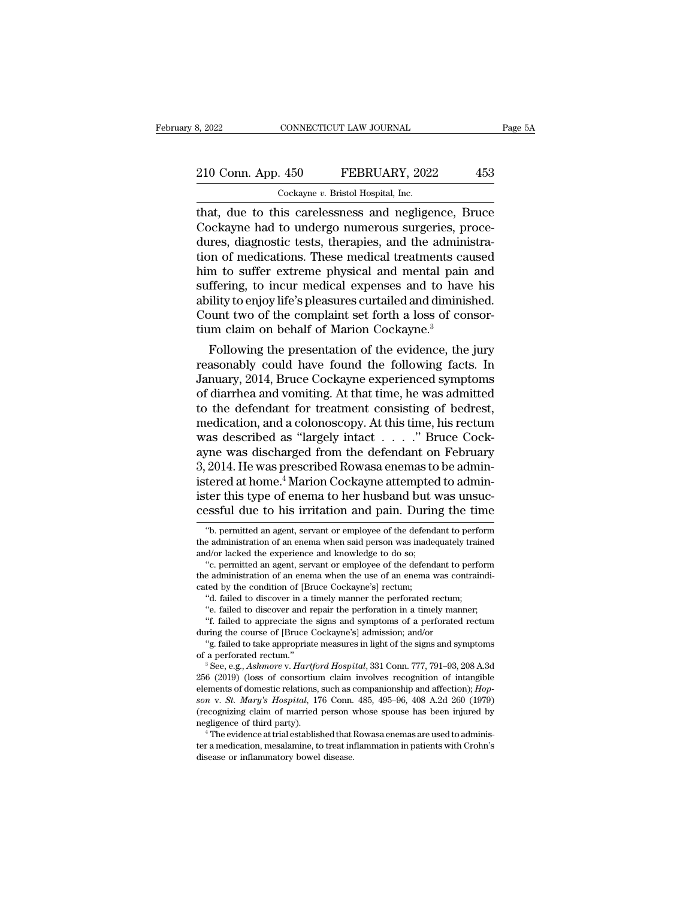#### 210 Conn. App. 450 FEBRUARY, 2022 453<br>
210 Conn. App. 450 FEBRUARY, 2022 453 8, 2022 CONNECTICUT LAW JOURNAL<br>
210 Conn. App. 450 FEBRUARY, 2022<br>
Cockayne *v*. Bristol Hospital, Inc.

EXECTE SAN SAN SURIAL Page 5A<br>
210 Conn. App. 450 FEBRUARY, 2022 453<br>
Cockayne v. Bristol Hospital, Inc.<br>
1991 That, due to this carelessness and negligence, Bruce<br>
Cockayne had to undergo numerous surgeries, procedures di 210 Conn. App. 450 FEBRUARY, 2022 453<br>
Cockayne v. Bristol Hospital, Inc.<br>
that, due to this carelessness and negligence, Bruce<br>
Cockayne had to undergo numerous surgeries, proce-<br>
dures, diagnostic tests, therapies, and t 210 Conn. App.  $450$  FEBRUARY,  $2022$   $453$ <br>  $Cockaye v. Bristol Hospital, Inc.  
\nthat, due to this carelessness and negligible. Bruce  
\nCockayne had to undergo numerous surgeries, procedures, diagnostic tests, therapies, and the administration of medications. These medical treatments caused him to suffer extreme physical and mental pain and$ 210 Conn. App. 450 FEBRUARY, 2022 453<br>
Cockayne v. Bristol Hospital, Inc.<br>
that, due to this carelessness and negligence, Bruce<br>
Cockayne had to undergo numerous surgeries, proce-<br>
dures, diagnostic tests, therapies, and t Cockayne *v*. Bristol Hospital, Inc.<br>
that, due to this carelessness and negligence, Bruce<br>
Cockayne had to undergo numerous surgeries, proce-<br>
dures, diagnostic tests, therapies, and the administra-<br>
tion of medications. Cockayne v. Bristol Hospital, Inc.<br>
that, due to this carelessness and negligence, Bruce<br>
Cockayne had to undergo numerous surgeries, proce-<br>
dures, diagnostic tests, therapies, and the administra-<br>
tion of medications. T that, due to this carelessness and negligence, Bruce<br>Cockayne had to undergo numerous surgeries, proce-<br>dures, diagnostic tests, therapies, and the administra-<br>tion of medications. These medical treatments caused<br>him to su Cockayne had to undergo numerous surgeries, proce-<br>dures, diagnostic tests, therapies, and the administra-<br>tion of medications. These medical treatments caused<br>him to suffer extreme physical and mental pain and<br>suffering, dures, diagnostic tests, therapies, and the adminition of medications. These medical treatments ca<br>him to suffer extreme physical and mental pain<br>suffering, to incur medical expenses and to have<br>ability to enjoy life's ple In or medications. These medical treatments caused<br>m to suffer extreme physical and mental pain and<br>ffering, to incur medical expenses and to have his<br>ility to enjoy life's pleasures curtailed and diminished.<br>bunt two of t nim to surier extreme physical and mental pain and<br>suffering, to incur medical expenses and to have his<br>ability to enjoy life's pleasures curtailed and diminished.<br>Count two of the complaint set forth a loss of consor-<br>tiu

suriering, to incur mealcal expenses and to have his<br>ability to enjoy life's pleasures curtailed and diminished.<br>Count two of the complaint set forth a loss of consor-<br>tium claim on behalf of Marion Cockayne.<sup>3</sup><br>Following ability to enjoy life s pleasures curtailed and diminished.<br>Count two of the complaint set forth a loss of consortium claim on behalf of Marion Cockayne.<sup>3</sup><br>Following the presentation of the evidence, the jury<br>reasonably c Count two or the complaint set forth a loss of consortium claim on behalf of Marion Cockayne.<sup>3</sup><br>Following the presentation of the evidence, the jury<br>reasonably could have found the following facts. In<br>January, 2014, Bruce mediation, and a colonoscopy. At this time, his recture was described as "largely mixed some was described as "largely intact . . . . . " Bruce Cockayne was described as "largely intact . . . . . " Bruce Cockayne was descr Following the presentation of the evidence, the jury<br>reasonably could have found the following facts. In<br>January, 2014, Bruce Cockayne experienced symptoms<br>of diarrhea and vomiting. At that time, he was admitted<br>to the de reasonably could have found the following facts. In<br>January, 2014, Bruce Cockayne experienced symptoms<br>of diarrhea and vomiting. At that time, he was admitted<br>to the defendant for treatment consisting of bedrest,<br>medicatio January, 2014, Bruce Cockayne experienced symptoms<br>of diarrhea and vomiting. At that time, he was admitted<br>to the defendant for treatment consisting of bedrest,<br>medication, and a colonoscopy. At this time, his rectum<br>was d of diarrhea and vomiting. At that time, he was admitted<br>to the defendant for treatment consisting of bedrest,<br>medication, and a colonoscopy. At this time, his rectum<br>was described as "largely intact . . . . ." Bruce Cock-<br> to the defendant for treatment consisting of bedrest,<br>medication, and a colonoscopy. At this time, his rectum<br>was described as "largely intact  $\ldots$ ". Bruce Cock-<br>ayne was discharged from the defendant on February<br>3, 2014 medication, and a colonoscopy. At this time, his rectum<br>was described as "largely intact  $\ldots$ ." Bruce Cock-<br>ayne was discharged from the defendant on February<br>3, 2014. He was prescribed Rowasa enemas to be admin-<br>istered 2014. He was prescribed Rowasa enemas to be admin-<br>tered at home.<sup>4</sup> Marion Cockayne attempted to admin-<br>ter this type of enema to her husband but was unsuc-<br>essful due to his irritation and pain. During the time<br>"b. permi istered at home.<sup>4</sup> Marion Cockayne attempted to administer this type of enema to her husband but was unsuccessful due to his irritation and pain. During the time  $\degree$ <sup>6</sup>b. permitted an agent, servant or employee of the d

e aaministration of an enema when the use of an enema was contrained<br>
ted by the condition of [Bruce Cockayne's] rectum;<br>
"e. failed to discover and repair the perforation in a timely manner;<br>
"f. failed to discover and re

cated by the condition of [Bruce Cockayne s] rectum;<br>
"d. failed to discover in a timely manner the perforated rectum;<br>
"f. failed to discover and repair the perforation in a timely manner;<br>
"f. failed to appreciate the si <sup>26</sup> (2019) (loss of consortium claim involves recognition of intensity of consorting the course of [Bruce Cockayne's] admission; and/or <br>
<sup>26</sup> (failed to take appropriate measures in light of the signs and symptoms<br>
of a r. ialled to appreciate the signs and symptoms of a perforated rectum<br>during the course of [Bruce Cockayne's] admission; and/or<br>"g. failed to take appropriate measures in light of the signs and symptoms<br>of a perforated rec g. railed to take appropriate measures in light of the signs and symptoms<br>of a perforated rectum."<br> $3$  See, e.g., *Ashmore v. Hartford Hospital*, 331 Conn. 777, 791–93, 208 A.3d<br>256 (2019) (loss of consortium claim involv <sup>3</sup> See, e.g., *Ashmore v. Hartford Hospital*, 331 Conn. 777, 791–93, 208 A.3d 256 (2019) (loss of consortium claim involves recognition of intangible elements of domestic relations, such as companionship and affection); 250 (2019) (loss of consorulin claim involves recognition of intangible<br>elements of domestic relations, such as companionship and affection); *Hopson v. St. Mary's Hospital*, 176 Conn. 485, 495–96, 408 A.2d 260 (1979)<br>(re elements of domestic relations, such as companionship and affection); *Hopson v. St. Mary's Hospital*, 176 Conn. 485, 495–96, 408 A.2d 260 (1979) (recognizing claim of married person whose spouse has been injured by negli

ister this type of enema to her husband but was unsuccessful due to his irritation and pain. During the time <br>
"b. permitted an agent, servant or employee of the defendant to perform<br>
the administration of an enema when sa Ler this type of enerna to her husband but was unsuc-<br>essful due to his irritation and pain. During the time<br>"b. permitted an agent, servant or employee of the defendant to perform<br>a diministration of an enema when said pe cessful due to his irritation and pain. During the time<br>
"b. permitted an agent, servant or employee of the defendant to perform<br>
the administration of an enema when said person was inadequately trained<br>
and/or lacked the "b. permitted an agent, servant or employee of the defencience and knowledge to do so;<br>the administration of an enema when said person was inade and/or lacked the experience and knowledge to do so;<br>"c. permitted an agent,

<sup>&</sup>quot;'d. failed to discover and repair the perforation in a timely manner;<br>"d'or lacked the experience and knowledge to do so;<br>"". permitted an agent, servant or employee of the defendant to perforated rectum;<br>"". permitted an e administration of an enema when said person was madequately trained d/or lacked the experience and knowledge to do so;<br>"c. permitted an agent, servant or employee of the defendant to perform<br>e administration of an enema a corrected the experience and knowledge to do so;<br>
"c. permitted an agent, servant or employee of the defendant to perform<br>
a diministration of an enema when the use of an enema was contraindi-<br>
ted by the condition of [B c. permuted an agent, servant or employee of the defendant to p<br>the administration of an enema when the use of an enema was con<br>cated by the condition of [Bruce Cockayne's] rectum;<br>"d. failed to discover and repair the per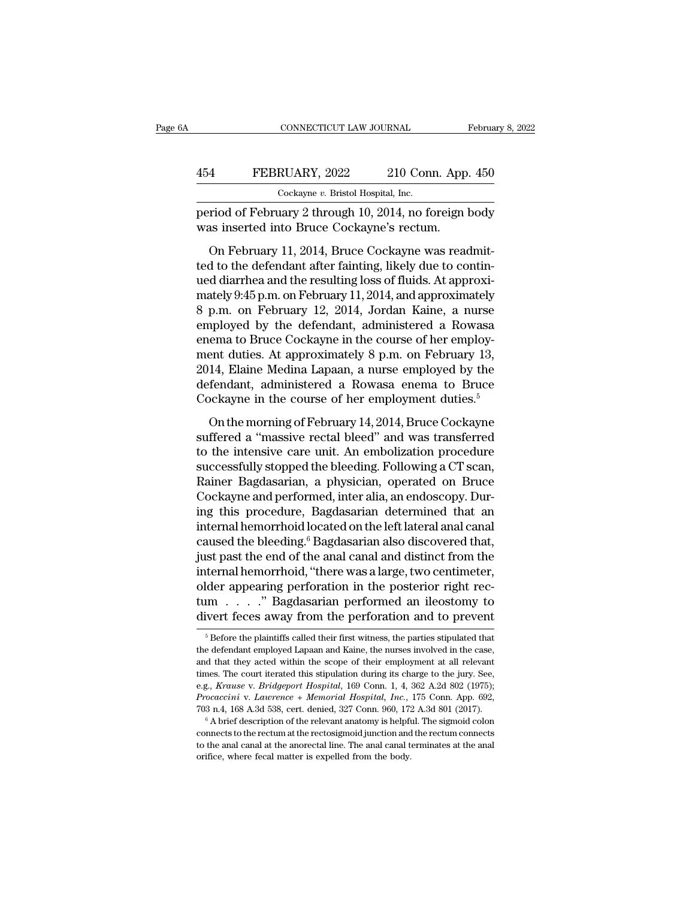## CONNECTICUT LAW JOURNAL February 8, 2022<br>454 FEBRUARY, 2022 210 Conn. App. 450<br>Cockayne v. Bristol Hospital, Inc. CONNECTICUT LAW JOURNAL Februa<br>
454 FEBRUARY, 2022 210 Conn. App. 450<br>
<sub>Cockayne v.</sub> Bristol Hospital, Inc.<br>
period of February 2 through 10, 2014, no foreign body

February 8, 2022<br>
Pebruary 8, 2022<br>
PEBRUARY, 2022 210 Conn. App. 450<br>
Cockayne v. Bristol Hospital, Inc.<br>
Period of February 2 through 10, 2014, no foreign body<br>
Newas inserted into Bruce Cockayne's rectum. 454 FEBRUARY, 2022 210 Conn. App<br>
Cockayne v. Bristol Hospital, Inc.<br>
period of February 2 through 10, 2014, no foreign l<br>
was inserted into Bruce Cockayne's rectum.<br>
On February 11, 2014, Bruce Cockayne was read

FEBRUARY, 2022 210 Conn. App. 450<br>
Cockayne v. Bristol Hospital, Inc.<br>
Friod of February 2 through 10, 2014, no foreign body<br>
as inserted into Bruce Cockayne's rectum.<br>
On February 11, 2014, Bruce Cockayne was readmit-<br>
d 454 FEBRUARY, 2022 210 Conn. App. 450<br>  $\frac{\text{Cockayne } v. \text{ Bristol Hospital, Inc.}}{\text{Period of February 2 through 10, 2014, no foreign body}}$ <br>
was inserted into Bruce Cockayne's rectum.<br>
On February 11, 2014, Bruce Cockayne was readmitted to the defendant after fainting, likel  $\frac{Coker}{C}$  cockayne v. Bristol Hospital, Inc.<br>period of February 2 through 10, 2014, no foreign body<br>was inserted into Bruce Cockayne's rectum.<br>On February 11, 2014, Bruce Cockayne was readmit-<br>ted to the defendant after period of February 2 through 10, 2014, no foreign body<br>was inserted into Bruce Cockayne's rectum.<br>On February 11, 2014, Bruce Cockayne was readmit-<br>ted to the defendant after fainting, likely due to contin-<br>ued diarrhea an beriod of February 2 anough 10, 2014, ho foreign body<br>was inserted into Bruce Cockayne's rectum.<br>On February 11, 2014, Bruce Cockayne was readmit-<br>ted to the defendant after fainting, likely due to contin-<br>ued diarrhea and on February 11, 2014, Bruce Cockayne was readmitted to the defendant after fainting, likely due to continued diarrhea and the resulting loss of fluids. At approximately 9:45 p.m. on February 11, 2014, and approximately 8 On February 11, 2014, Bruce Cockayne was readmitted to the defendant after fainting, likely due to continued diarrhea and the resulting loss of fluids. At approximately  $9:45$  p.m. on February 11, 2014, and approximately ted to the defendant after fainting, likely due to contin-<br>ued diarrhea and the resulting loss of fluids. At approximately<br>9:45 p.m. on February 11, 2014, and approximately<br>8 p.m. on February 12, 2014, Jordan Kaine, a nurs ued diarrhea and the resulting loss of fluids. At approximately 9:45 p.m. on February 11, 2014, and approximately<br>8 p.m. on February 12, 2014, Jordan Kaine, a nurse<br>employed by the defendant, administered a Rowasa<br>enema to mately 9:45 p.m. on February 11, 2014, and approximately<br>8 p.m. on February 12, 2014, Jordan Kaine, a nurse<br>employed by the defendant, administered a Rowasa<br>enema to Bruce Cockayne in the course of her employ-<br>ment duties. 8 p.m. on February 12, 2014, Jordan Kaine, a nurse<br>employed by the defendant, administered a Rowasa<br>enema to Bruce Cockayne in the course of her employ-<br>ment duties. At approximately 8 p.m. on February 13,<br>2014, Elaine Me refluence of the morning of February 14, 2014, Bruce Cockayne fiered a "morning of February 13, 14, Elaine Medina Lapaan, a nurse employed by the fendant, administered a Rowasa enema to Bruce ockayne in the course of her such a 's Diace exchanged' in the extractor increment duties. At approximately 8 p.m. on February 13, 2014, Elaine Medina Lapaan, a nurse employed by the defendant, administered a Rowasa enema to Bruce Cockayne in the cour

2014, Elaine Medina Lapaan, a nurse employed by the<br>defendant, administered a Rowasa enema to Bruce<br>Cockayne in the course of her employment duties.<sup>5</sup><br>On the morning of February 14, 2014, Bruce Cockayne<br>suffered a "massi EVIT, Elaine inculia Elpain, a numbe employed by the defendant, administered a Rowasa enema to Bruce Cockayne in the course of her employment duties.<sup>5</sup><br>On the morning of February 14, 2014, Bruce Cockayne suffered a "mass Cockayne in the course of her employment duties.<sup>5</sup><br>Cockayne in the course of her employment duties.<sup>5</sup><br>Suffered a "massive rectal bleed" and was transferred<br>to the intensive care unit. An embolization procedure<br>successful Cockayne in the course of her employment duties.<sup>5</sup><br>On the morning of February 14, 2014, Bruce Cockayne<br>suffered a "massive rectal bleed" and was transferred<br>to the intensive care unit. An embolization procedure<br>successful On the morning of February 14, 2014, Bruce Cockayne<br>suffered a "massive rectal bleed" and was transferred<br>to the intensive care unit. An embolization procedure<br>successfully stopped the bleeding. Following a CT scan,<br>Rainer suffered a "massive rectal bleed" and was transferred<br>to the intensive care unit. An embolization procedure<br>successfully stopped the bleeding. Following a CT scan,<br>Rainer Bagdasarian, a physician, operated on Bruce<br>Cockayn to the intensive care unit. An embolization procedure<br>successfully stopped the bleeding. Following a CT scan,<br>Rainer Bagdasarian, a physician, operated on Bruce<br>Cockayne and performed, inter alia, an endoscopy. Dur-<br>ing th successfully stopped the bleeding. Following a CT scan,<br>Rainer Bagdasarian, a physician, operated on Bruce<br>Cockayne and performed, inter alia, an endoscopy. Dur-<br>ing this procedure, Bagdasarian determined that an<br>internal Rainer Bagdasarian, a physician, operated on Bruce<br>Cockayne and performed, inter alia, an endoscopy. During this procedure, Bagdasarian determined that an<br>internal hemorrhoid located on the left lateral anal canal<br>caused t Cockayne and performed, inter alia, an endoscopy. During this procedure, Bagdasarian determined that an internal hemorrhoid located on the left lateral anal canal caused the bleeding.<sup>6</sup> Bagdasarian also discovered that, ing this procedure, Bagdasarian determined that an<br>internal hemorrhoid located on the left lateral anal canal<br>caused the bleeding.<sup>6</sup> Bagdasarian also discovered that,<br>just past the end of the anal canal and distinct from internal hemorrhoid located on the left lateral anal canal<br>caused the bleeding.<sup>6</sup> Bagdasarian also discovered that,<br>just past the end of the anal canal and distinct from the<br>internal hemorrhoid, "there was a large, two ce ternal nemorrhoid, "there was a large, two centimeter,<br>der appearing perforation in the posterior right rec-<br>im  $\ldots$ ." Bagdasarian performed an ileostomy to<br>ivert feces away from the perforation and to prevent<br> $\frac{5}{6}$  older appearing perforation in the posterior right rectum  $\ldots$  ." Bagdasarian performed an ileostomy to divert feces away from the perforation and to prevent  $\frac{1}{\pi}$  Before the plaintiffs called their first witness, t

tum . . . . " Bagdasarian performed an ileostomy to divert feces away from the perforation and to prevent  $\frac{1}{\sqrt{2}}$  before the plaintiffs called their first witness, the parties stipulated that the defendant employed La divert feces away from the perforation and to prevent<br>
<sup>5</sup> Before the plaintiffs called their first witness, the parties stipulated that<br>
the defendant employed Lapaan and Kaine, the nurses involved in the case,<br>
and that exercises away front the perforation and to prevent<br>
<sup>5</sup> Before the plaintiffs called their first witness, the parties stipulated that<br>
the defendant employed Lapaan and Kaine, the nurses involved in the case,<br>
and that th <sup>5</sup> Before the plaintiffs called their first witness, the parties stipulated that the defendant employed Lapaan and Kaine, the nurses involved in the case, and that they acted within the scope of their employment at all r the defendant employed Lapaan and Kaine, the nurses involved in the case, and that they acted within the scope of their employment at all relevant times. The court iterated this stipulation during its charge to the jury. S times. The court iterated this stipulation during its charge to the jury. See, e.g., *Krause v. Bridgeport Hospital*, 169 Conn. 1, 4, 362 A.2d 802 (1975); *Procaccini v. Laurence* + *Memorial Hospital*, *Inc.*, 175 Conn. e.g., Krause v. Bridgeport Hospital, 169 Conn. 1, 4, 362 A.2d 802 (1975); Procaccini v. Lawrence + Memorial Hospital, Inc., 175 Conn. App. 692,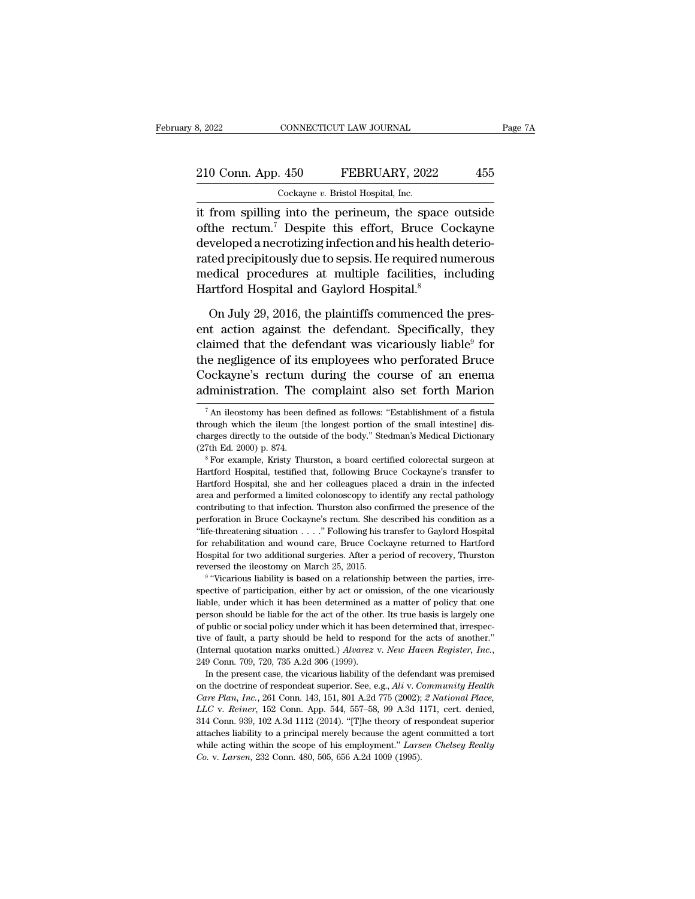## 210 Conn. App. 450 FEBRUARY, 2022 455<br>
210 Conn. App. 450 FEBRUARY, 2022 455 8, 2022 CONNECTICUT LAW JOURNAL<br>
210 Conn. App. 450 FEBRUARY, 2022 455<br>
Cockayne *v*. Bristol Hospital, Inc.<br>
it from spilling into the perineum, the space outside

EXECTIVE SURVEY TRAW JOURNAL Page 7A<br>
210 Conn. App. 450 FEBRUARY, 2022 455<br>
Cockayne v. Bristol Hospital, Inc.<br>
it from spilling into the perineum, the space outside<br>
of the rectum.<sup>7</sup> Despite this effort, Bruce Cockayne<br> 210 Conn. App. 450 FEBRUARY, 2022 455<br>
Cockayne v. Bristol Hospital, Inc.<br>
it from spilling into the perineum, the space outside<br>
of the rectum.<sup>7</sup> Despite this effort, Bruce Cockayne<br>
developed a necrotizing infection and  $\frac{210 \text{ Conn. App. 450}}{\text{Cockayne } v. \text{ Bristol Hospital, Inc.}}$ <br>
it from spilling into the perineum, the space outside<br>
of the rectum.<sup>7</sup> Despite this effort, Bruce Cockayne<br>
developed a necrotizing infection and his health deterio-<br>
rated preci 210 Conn. App. 450 FEBRUARY, 2022 455<br>  $\frac{\text{Cockayne } v. \text{ Bristol Hospital, Inc.}}{\text{Cockayne with the perineum, the space outside of the rectum.<sup>7</sup> Despite this effort, Bruce Cockayne developed a necrotizing infection and his health deteriorated precipitously due to sepsis. He required numerous medical procedures at multiple facilities, including$ Cockayne  $v$ . Bristol Hospital, Inc.<br>
it from spilling into the perineum, the space outside<br>
of the rectum.<sup>7</sup> Despite this effort, Bruce Cockayne<br>
developed a necrotizing infection and his health deterio-<br>
rated precipit COCKAGUE OF DISCONDIBUTE:<br>
it from spilling into the perineum, the space<br>
of the rectum.<sup>7</sup> Despite this effort, Bruce Co<br>
developed a necrotizing infection and his health<br>
rated precipitously due to sepsis. He required nu the rectum.<sup>7</sup> Despite this effort, Bruce Cockayne<br>weloped a necrotizing infection and his health deterio-<br>ted precipitously due to sepsis. He required numerous<br>edical procedures at multiple facilities, including<br>artford developed a necrotizing infection and his health deteriorated precipitously due to sepsis. He required numerous<br>medical procedures at multiple facilities, including<br>Hartford Hospital and Gaylord Hospital.<sup>8</sup><br>On July 29, 20

rated precipitously due to sepsis. He required numerous<br>medical procedures at multiple facilities, including<br>Hartford Hospital and Gaylord Hospital.<sup>8</sup><br>On July 29, 2016, the plaintiffs commenced the pres-<br>ent action agains medical procedures at multiple facilities, including<br>Hartford Hospital and Gaylord Hospital.<sup>8</sup><br>On July 29, 2016, the plaintiffs commenced the pres-<br>ent action against the defendant. Specifically, they<br>claimed that the def Hartford Hospital and Gaylord Hospital.<sup>8</sup><br>On July 29, 2016, the plaintiffs commenced the pres-<br>ent action against the defendant. Specifically, they<br>claimed that the defendant was vicariously liable<sup>9</sup> for<br>the negligence o On July 29, 2016, the plaintiffs commenced the present action against the defendant. Specifically, they claimed that the defendant was vicariously liable<sup>9</sup> for the negligence of its employees who perforated Bruce Cockayn claimed that the defendant was vicariously liable<sup>9</sup> for<br>the negligence of its employees who perforated Bruce<br>Cockayne's rectum during the course of an enema<br>administration. The complaint also set forth Marion<br> $\frac{7 \text{ An ileotomy$ the negligence of its employees who perforated Bruce<br>Cockayne's rectum during the course of an enema<br>administration. The complaint also set forth Marion<br> $\frac{7}{4}$  An ileostomy has been defined as follows: "Establishment o

Cockayne's rectum during the course of an enema<br>administration. The complaint also set forth Marion<br> $\frac{7 \text{ An}$ ileostomy has been defined as follows: "Establishment of a fistula  
through which the ileum [the longest portion of the small interstine] dis-  
charges directly to the outside of the body." Stedman's Medical Dictionary  
(27th Ed. 2000) p. 874.administration. The complaint also set forth Marion  $\frac{7}{4}$  An ileostomy has been defined as follows: "Establishment of a fistula through which the ileum [the longest portion of the small intestine] discharges directly  $^7$ An ileostomy has been defined as follows: "Establishment of a fistula through which the ileum [the longest portion of the small intestine] discharges directly to the outside of the body." Stedman's Medical Dictionary

Hartford Hospital, the leads are the burgest portion of the small intestine] discharges directly to the outside of the body." Stedman's Medical Dictionary (27th Ed. 2000) p. 874.<br>
<sup>8</sup> For example, Kristy Thurston, a board charges directly to the outside of the body." Stedman's Medical Dictionary (27th Ed. 2000) p. 874.<br>
<sup>8</sup> For example, Kristy Thurston, a board certified colorectal surgeon at Hartford Hospital, testified that, following Bru can also contributing to that infection. Thurston also confirmed that infection at Hartford Hospital, testified that, following Bruce Cockayne's transfer to Hartford Hospital, she and her colleagues placed a drain in the i <sup>1</sup> For example, Kristy Thurston, a board certified colorectal surgeon at Hartford Hospital, testified that, following Bruce Cockayne's transfer to Hartford Hospital, she and her colleagues placed a drain in the infected a Hartford Hospital, testified that, following Bruce Cockayne's transfer to Hartford Hospital, she and her colleagues placed a drain in the infected area and performed a limited colonoscopy to identify any rectal pathology c Hartford Hospital, she and her colleagues placed a drain in the infected area and performed a limited colonoscopy to identify any rectal pathology contributing to that infection. Thurston also confirmed the presence of the area and performed a limited colonoscopy to identify any rectal pathology<br>contributing to that infection. Thurston also confirmed the presence of the<br>perforation in Bruce Cockayne's rectum. She described his condition as contributing to that infection. Thurston also correportion in Bruce Cockayne's rectum. She defiled the efficiency of the interaction  $\ldots$ . The interaction and wound care, Bruce Cock Hospital for two additional surgeries. for<br>ation in Bruce Cockayne's rectum. She described his condition as a<br>e-threatening situation  $\ldots$ ." Following his transfer to Gaylord Hospital<br>rehabilitation and wound care, Bruce Cockayne returned to Hartford<br>ppital f "life-threatening situation  $\ldots$ ." Following his transfer to Gaylord Hospital for rehabilitation and wound care, Bruce Cockayne returned to Hartford Hospital for two additional surgeries. After a period of recovery, Thur

for rehabilitation and wound care, Bruce Cockayne returned to Hartford Hospital for two additional surgeries. After a period of recovery, Thurston reversed the ileostomy on March 25, 2015.<br><sup>9</sup> "Vicarious liability is based Hospital for two additional surgeries. After a period of recovery, Thurston reversed the ileostomy on March 25, 2015.<br><sup>9</sup> "Vicarious liability is based on a relationship between the parties, irrespective of participation, Hospital for two additional surgeries. After a period of recovery, Thurston reversed the ileostomy on March 25, 2015.<br><sup>9</sup> "Vicarious liability is based on a relationship between the parties, irrespective of participation, <sup>9</sup> "Vicarious liability is based on a relationship between the parties, irre-<br>spective of participation, either by act or omission, of the one vicariously<br>liable, under which it has been determined as a matter of policy Free of participation, either by act or omission, of the one vicariously liable, under which it has been determined as a matter of policy that one person should be liable for the act of the other. Its true basis is largely In the present case, the vicarious liability of the defendant was premised the present case, the vicarious liability of the acts of another."<br>Iteration marks omitted.) *Alvarez v. New Haven Register, Inc.*,  $9$  Conn. 709, of public or social policy under which it has been determined that, irrespective of fault, a party should be held to respond for the acts of another." (Internal quotation marks omitted.) *Alvarez* v. *New Haven Register, I* 

*Care Plan, Inc.*, 261 Conn. 143, 151, 801 A.2d 775 (2002); *2 National Place, LLC v. Reiner*, 152 Conn. 443, 151, 801 A.2d 775 (2002); *2 National Place, LLC v. Reiner*, 152 Conn. App. 544, 557–58, 99 A.3d 1171, cert. den (Internal quotation marks omitted.) *Alvarez* v. *New Haven Register*, *Inc.*, 249 Conn. 709, 720, 735 A.2d 306 (1999).<br>In the present case, the vicarious liability of the defendant was premised on the doctrine of responde 249 Conn. 709, 720, 735 A.2d 306 (1999).<br>
In the present case, the vicarious liability of the defendant was premised<br>
on the doctrine of respondeat superior. See, e.g., Ali v. Community Health<br>
Care Plan, Inc., 261 Conn. In the present case, the vicarious liability of the defendant was premised<br>on the doctrine of respondeat superior. See, e.g., Ali v. Community Health<br>Care Plan, Inc., 261 Conn. 143, 151, 801 A.2d 775 (2002); 2 National Pl on the doctrine of respondeat superior. See, e.g., Ali v. Community Health Care Plan, Inc., 261 Conn. 143, 151, 801 A.2d 775 (2002); 2 National Place, LLC v. Reiner, 152 Conn. App. 544, 557–58, 99 A.3d 1171, cert. denied, *Care Plan, Inc.*, 261 Conn. 143, 151, 801 A.2d 775 (2002); 2 *National Place, LLC* v. *Reiner*, 152 Conn. App. 544, 557–58, 99 A.3d 1171, cert. denied, 314 Conn. 939, 102 A.3d 1112 (2014). "[T]he theory of respondeat supe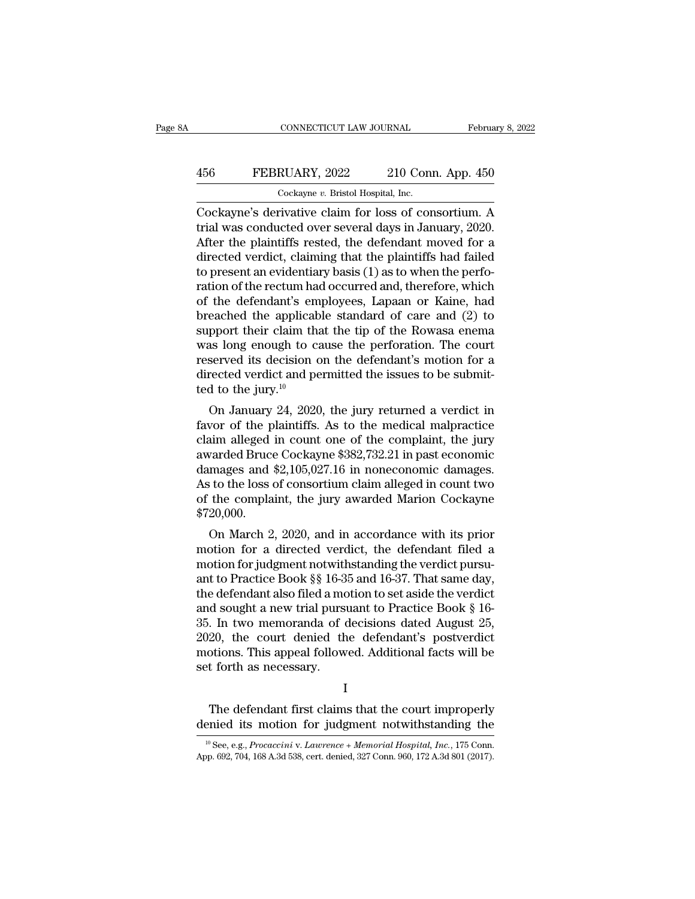## CONNECTICUT LAW JOURNAL February 8, 2022<br>456 FEBRUARY, 2022 210 Conn. App. 450<br>Cockayne v. Bristol Hospital, Inc. CONNECTICUT LAW JOURNAL Februa<br>
456 FEBRUARY, 2022 210 Conn. App. 450<br>
Cockayne *v.* Bristol Hospital, Inc.<br>
Cockayne's derivative claim for loss of consortium. A

CONNECTICUT LAW JOURNAL February 8, 2022<br>
FEBRUARY, 2022 210 Conn. App. 450<br>
Cockayne's derivative claim for loss of consortium. A<br>
trial was conducted over several days in January, 2020.<br>
After the plaintiffs rested, the 456 FEBRUARY, 2022 210 Conn. App. 450<br>
Cockayne's derivative claim for loss of consortium. A<br>
trial was conducted over several days in January, 2020.<br>
After the plaintiffs rested, the defendant moved for a<br>
directed vergli 456 FEBRUARY, 2022 210 Conn. App. 450<br>  $\frac{\text{Cockayne } v. \text{ Bristol Hospital, Inc.}}{\text{Cockayne's derivative claim for loss of consortium. A}}$ <br>
Tockayne's derivative claim for loss of consortium. A<br>
trial was conducted over several days in January, 2020.<br>
After the plaintiffs rested, 456 FEBRUARY, 2022 210 Conn. App. 450<br>  $Cockayne v.$  Bristol Hospital, Inc.<br>  $Cockayne's$  derivative claim for loss of consortium. A<br>
trial was conducted over several days in January, 2020.<br>
After the plaintiffs rested, the defenda Cockayne's derivative,  $\frac{1}{2}$  and  $\frac{1}{2}$  and  $\frac{1}{2}$  are containing the cockayne's derivative claim for loss of consortium. A trial was conducted over several days in January, 2020.<br>After the plaintiffs rested, th Cockayne's derivative claim for loss of consortium. A<br>trial was conducted over several days in January, 2020.<br>After the plaintiffs rested, the defendant moved for a<br>directed verdict, claiming that the plaintiffs had faile Cockayne's derivative claim for loss of consortium. A<br>trial was conducted over several days in January, 2020.<br>After the plaintiffs rested, the defendant moved for a<br>directed verdict, claiming that the plaintiffs had failed trial was conducted over several days in January, 2020.<br>After the plaintiffs rested, the defendant moved for a<br>directed verdict, claiming that the plaintiffs had failed<br>to present an evidentiary basis (1) as to when the pe After the plaintiffs rested, the defendant moved for a<br>directed verdict, claiming that the plaintiffs had failed<br>to present an evidentiary basis (1) as to when the perfo-<br>ration of the rectum had occurred and, therefore, w directed verdict, claiming that the plaintiffs had failed<br>to present an evidentiary basis (1) as to when the perfo-<br>ration of the rectum had occurred and, therefore, which<br>of the defendant's employees, Lapaan or Kaine, had to present an evidentiary basis (1) as to when the perforation of the rectum had occurred and, therefore, which of the defendant's employees, Lapaan or Kaine, had breached the applicable standard of care and (2) to suppor ration of the rectum had occurred and, therefore, which<br>of the defendant's employees, Lapaan or Kaine, had<br>breached the applicable standard of care and (2) to<br>support their claim that the tip of the Rowasa enema<br>was long % of the defendant's embreached the applicate support their claim that was long enough to care<br>reserved its decision of the served its decision of the jury.<sup>10</sup><br>ted to the jury.<sup>10</sup> On January 24, 2020 eached the applicable standard of care and  $(z)$  to<br>pport their claim that the tip of the Rowasa enema<br>as long enough to cause the perforation. The court<br>served its decision on the defendant's motion for a<br>rected verdict a support their claim that the tip of the Rowasa energy<br>was long enough to cause the perforation. The court<br>reserved its decision on the defendant's motion for a<br>directed verdict and permitted the issues to be submit-<br>ted t

was long enough to cause the performation. The court<br>reserved its decision on the defendant's motion for a<br>directed verdict and permitted the issues to be submit-<br>ted to the jury.<sup>10</sup><br>On January 24, 2020, the jury returne reserved its decision on the defendant s motion for a<br>directed verdict and permitted the issues to be submit-<br>ted to the jury.<sup>10</sup><br>On January 24, 2020, the jury returned a verdict in<br>favor of the plaintiffs. As to the med decrease vertical and permitted the issues to be submitted to the jury.<sup>10</sup><br>On January 24, 2020, the jury returned a verdict in favor of the plaintiffs. As to the medical malpractice<br>claim alleged in count one of the compl Lea to the Jury.<br>
On January 24, 2020, the jury returned a verdict in<br>
favor of the plaintiffs. As to the medical malpractice<br>
claim alleged in count one of the complaint, the jury<br>
awarded Bruce Cockayne \$382,732.21 in pa On January 24, 2020, the jury returned a verdict in<br>favor of the plaintiffs. As to the medical malpractice<br>claim alleged in count one of the complaint, the jury<br>awarded Bruce Cockayne \$382,732.21 in past economic<br>damages a \$720,000. Final and Search 2, 2020, and in accordance with its prior<br>to March 2, 2020, and in accordance with its prior<br>complaint, the jury awarded Marion Cockayne<br>20,000.<br>On March 2, 2020, and in accordance with its prior<br>otion for awarded Bruce Cockayne  $\frac{362}{16}$ ,  $\frac{1}{22}$ . In past economic damages.<br>As to the loss of consortium claim alleged in count two<br>of the complaint, the jury awarded Marion Cockayne<br> $\frac{200}{00}$ .<br>On March 2, 2020, and in

damages and  $\frac{1}{2}, 105, 027.10$  in noneconomic damages.<br>As to the loss of consortium claim alleged in count two<br>of the complaint, the jury awarded Marion Cockayne<br> $$720,000$ .<br>On March 2, 2020, and in accordance with its As to the loss of consortiunt claim aneged in count two<br>of the complaint, the jury awarded Marion Cockayne<br>\$720,000.<br>On March 2, 2020, and in accordance with its prior<br>motion for a directed verdict, the defendant filed a<br> of the complaint, the jury awarded marion Cockayne<br>\$720,000.<br>On March 2, 2020, and in accordance with its prior<br>motion for a directed verdict, the defendant filed a<br>motion for judgment notwithstanding the verdict pursu-<br>a 9720,000.<br>
On March 2, 2020, and in accordance with its prior<br>
motion for a directed verdict, the defendant filed a<br>
motion for judgment notwithstanding the verdict pursuant<br>
and to Practice Book §§ 16-35 and 16-37. That On March 2, 2020, and in accordance with its prior<br>motion for a directed verdict, the defendant filed a<br>motion for judgment notwithstanding the verdict pursu-<br>ant to Practice Book §§ 16-35 and 16-37. That same day,<br>the de motion for a directed verdict, the defendant filed a<br>motion for judgment notwithstanding the verdict pursu-<br>ant to Practice Book §§ 16-35 and 16-37. That same day,<br>the defendant also filed a motion to set aside the verdict motion for judgment notwithstanding the verdict pursu-<br>ant to Practice Book §§ 16-35 and 16-37. That same day,<br>the defendant also filed a motion to set aside the verdict<br>and sought a new trial pursuant to Practice Book § 1 ant to Practice Book §§ 16-3<br>the defendant also filed a mc<br>and sought a new trial purs<br>35. In two memoranda of c<br>2020, the court denied th<br>motions. This appeal follow<br>set forth as necessary. Note that the defendant first claims that the defendant facts will be to forth as necessary.<br>The defendant first claims that the court improperly<br>the defendant first claims that the court improperly<br>nied its motion for jud 2020, the court denied the defendant's postverdict<br>motions. This appeal followed. Additional facts will be<br>set forth as necessary.<br> $I$ <br>The defendant first claims that the court improperly<br>denied its motion for judgment no

I

I<br>
10 The defendant first claims that the court improperly<br>
pried its motion for judgment notwithstanding the<br>
<sup>10</sup> See, e.g., *Procaccini* v. *Lawrence + Memorial Hospital, Inc.*, 175 Conn.<br>
pp. 692, 704, 168 A.3d 538, ce The defendant first claims that the court improperly<br>denied its motion for judgment notwithstanding the<br> $\frac{10}{{}^{10}}$ See, e.g., *Procaccini* v. *Lawrence* + *Memorial Hospital*, *Inc.*, 175 Conn.<br>App. 692, 704, 168 A.3d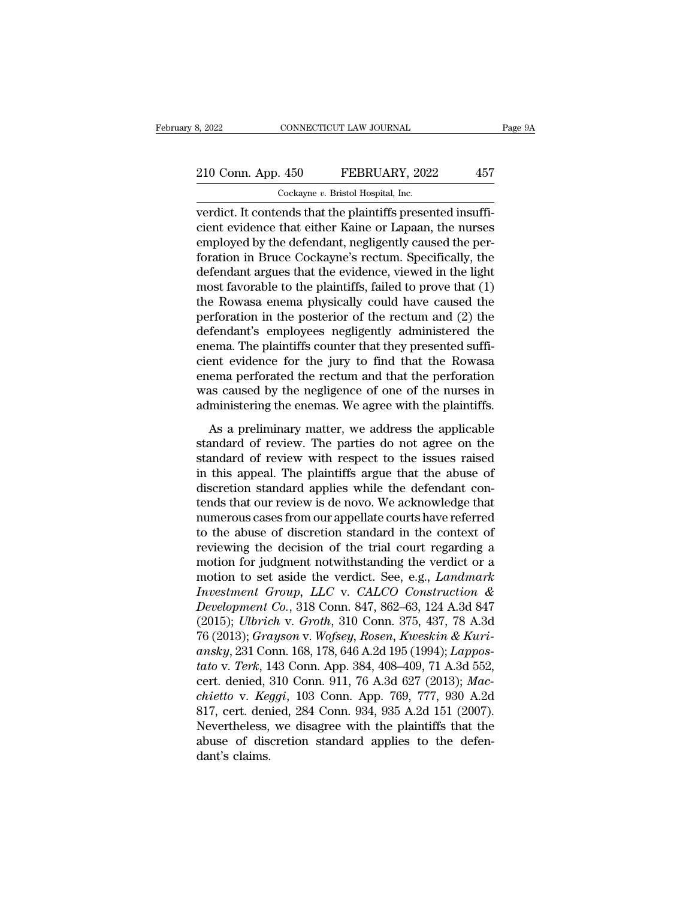# 210 Conn. App. 450 FEBRUARY, 2022 457<br>
210 Conn. App. 450 FEBRUARY, 2022 457

8, 2022 CONNECTICUT LAW JOURNAL<br>
210 Conn. App. 450 FEBRUARY, 2022 457<br>
Cockayne *v*. Bristol Hospital, Inc.<br>
verdict. It contends that the plaintiffs presented insuffiverdict. It connections that the plaintiffs presented insufficient evidence that either Kaine or Lapaan, the nurses of all the defendent positional contends the plaintiffs presented insufficient evidence that either Kaine 210 Conn. App. 450 FEBRUARY, 2022 457<br>Cockayne v. Bristol Hospital, Inc.<br>Verdict. It contends that the plaintiffs presented insufficient evidence that either Kaine or Lapaan, the nurses<br>employed by the defendant, negligent 210 Conn. App. 450 FEBRUARY, 2022 457<br>Cockayne v. Bristol Hospital, Inc.<br>verdict. It contends that the plaintiffs presented insuffi-<br>cient evidence that either Kaine or Lapaan, the nurses<br>employed by the defendant, neglige 210 Conn. App. 450 FEBRUARY, 2022 457<br>  $\overline{\text{Cockayne } v. \text{ Bristol Hospital, Inc.}}$ <br>
verdict. It contends that the plaintiffs presented insuffi-<br>
cient evidence that either Kaine or Lapaan, the nurses<br>
employed by the defendant, negligently Cockayne v. Bristol Hospital, Inc.<br>
verdict. It contends that the plaintiffs presented insufficient evidence that either Kaine or Lapaan, the nurses<br>
employed by the defendant, negligently caused the per-<br>
foration in Bru Cockayne *v*. Bristol Hospital, Inc.<br>
verdict. It contends that the plaintiffs presented insufficient evidence that either Kaine or Lapaan, the nurses<br>
employed by the defendant, negligently caused the per-<br>
foration in B verdict. It contends that the plaintiffs presented insufficient evidence that either Kaine or Lapaan, the nurses<br>employed by the defendant, negligently caused the perforation in Bruce Cockayne's rectum. Specifically, the<br>d cient evidence that either Kaine or Lapaan, the nurses<br>employed by the defendant, negligently caused the per-<br>foration in Bruce Cockayne's rectum. Specifically, the<br>defendant argues that the evidence, viewed in the light<br>m employed by the defendant, negligently caused the perforation in Bruce Cockayne's rectum. Specifically, the defendant argues that the evidence, viewed in the light most favorable to the plaintiffs, failed to prove that (1) foration in Bruce Cockayne's rectum. Specifically, the<br>defendant argues that the evidence, viewed in the light<br>most favorable to the plaintiffs, failed to prove that (1)<br>the Rowasa enema physically could have caused the<br>pe defendant argues that the evidence, viewed in the light<br>most favorable to the plaintiffs, failed to prove that (1)<br>the Rowasa enema physically could have caused the<br>perforation in the posterior of the rectum and (2) the<br>de most favorable to the plaintiffs, failed to prove that  $(1)$ <br>the Rowasa enema physically could have caused the<br>perforation in the posterior of the rectum and  $(2)$  the<br>defendant's employees negligently administered the<br>en the Rowasa enema physically could have caused the<br>perforation in the posterior of the rectum and (2) the<br>defendant's employees negligently administered the<br>enema. The plaintiffs counter that they presented suffi-<br>cient evi perforation in the posterior of the rectum and (2) the defendant's employees negligently administered the enema. The plaintiffs counter that they presented sufficient evidence for the jury to find that the Rowasa enema per Francian Security and Security contributed and<br>tema. The plaintiffs counter that they presented suffi-<br>ent evidence for the jury to find that the Rowasa<br>ema perforated the rectum and that the perforation<br>as caused by the n standard the plantins counter and they presented sum<br>cient evidence for the jury to find that the Rowasa<br>enema perforated the rectum and that the perforation<br>was caused by the negligence of one of the nurses in<br>administeri

standard of the standard the rectum and that the perforation<br>was caused by the negligence of one of the nurses in<br>administering the enemas. We agree with the plaintiffs.<br>As a preliminary matter, we address the applicable<br>s External performated and recolum and and and the performation<br>was caused by the negligence of one of the nurses in<br>administering the enemas. We agree with the plaintiffs.<br>As a preliminary matter, we address the applicable<br> Mas classed by the negligence of one of the halables in<br>administering the enemas. We agree with the plaintiffs.<br>As a preliminary matter, we address the applicable<br>standard of review with respect to the issues raised<br>in thi As a preliminary matter, we address the applicable<br>standard of review. The parties do not agree on the<br>standard of review with respect to the issues raised<br>in this appeal. The plaintiffs argue that the abuse of<br>discretion As a preliminary matter, we address the applicable<br>standard of review. The parties do not agree on the<br>standard of review with respect to the issues raised<br>in this appeal. The plaintiffs argue that the abuse of<br>discretion standard of review. The parties do not agree on the<br>standard of review with respect to the issues raised<br>in this appeal. The plaintiffs argue that the abuse of<br>discretion standard applies while the defendant con-<br>tends tha standard of review with respect to the issues raised<br>in this appeal. The plaintiffs argue that the abuse of<br>discretion standard applies while the defendant con-<br>tends that our review is de novo. We acknowledge that<br>numerou in this appeal. The plaintiffs argue that the abuse of<br>discretion standard applies while the defendant con-<br>tends that our review is de novo. We acknowledge that<br>numerous cases from our appellate courts have referred<br>to t discretion standard applies while the defendant contends that our review is de novo. We acknowledge that<br>numerous cases from our appellate courts have referred<br>to the abuse of discretion standard in the context of<br>reviewin *Internals that our review is de novo. We acknowledge that*<br> *Inumerous cases from our appellate courts have referred*<br> *Io the abuse of discretion standard in the context of*<br> *Investment of judgment notwithstanding the v* numerous cases from our appellate courts have referred<br>to the abuse of discretion standard in the context of<br>reviewing the decision of the trial court regarding a<br>motion for judgment notwithstanding the verdict or a<br>motion to the abuse of discretion standard in the context of<br>reviewing the decision of the trial court regarding a<br>motion for judgment notwithstanding the verdict or a<br>motion to set aside the verdict. See, e.g., *Landmark*<br>*Inves* reviewing the decision of the trial court regarding a<br>motion for judgment notwithstanding the verdict or a<br>motion to set aside the verdict. See, e.g., *Landmark*<br>Investment Group, LLC v. CALCO Construction &<br>Development Co motion for judgment notwithstanding the verdict or a<br>motion to set aside the verdict. See, e.g., *Landmark*<br>*Investment Group*, *LLC* v. *CALCO Construction &*<br>*Development Co.*, 318 Conn. 847, 862–63, 124 A.3d 847<br>(2015); motion to set aside the verdict. See, e.g., *Landmark*<br> *Investment Group, LLC v. CALCO Construction &*<br> *Development Co.*, 318 Conn. 847, 862–63, 124 A.3d 847<br>
(2015); *Ulbrich v. Groth*, 310 Conn. 375, 437, 78 A.3d<br>
76 ( Investment Group, LLC v. CALCO Construction &<br>Development Co., 318 Conn. 847, 862–63, 124 A.3d 847<br>(2015); *Ulbrich* v. Groth, 310 Conn. 375, 437, 78 A.3d<br>76 (2013); Grayson v. Wofsey, Rosen, Kweskin & Kuri-<br>ansky, 231 Con *Development Co.*, 318 Conn. 847, 862–63, 124 A.3d 847<br>(2015); *Ulbrich v. Groth*, 310 Conn. 375, 437, 78 A.3d<br>76 (2013); *Grayson v. Wofsey, Rosen, Kweskin & Kuri-<br>ansky, 231 Conn. 168, 178, 646 A.2d 195 (1994); <i>Lappos-*(2015); *Ulbrich v. Groth*, 310 Conn. 375, 437, 78 A.3d 76 (2013); *Grayson v. Wofsey, Rosen, Kweskin & Kuriansky*, 231 Conn. 168, 178, 646 A.2d 195 (1994); *Lappostato v. Terk*, 143 Conn. App. 384, 408–409, 71 A.3d 552, 76 (2013); *Grayson v. Wofsey, Rosen, Kweskin & Kuriansky,* 231 Conn. 168, 178, 646 A.2d 195 (1994); *Lappostato v. Terk*, 143 Conn. App. 384, 408–409, 71 A.3d 552, cert. denied, 310 Conn. 911, 76 A.3d 627 (2013); *Machie* ansky, 231 Conn. 168, 178, 646 A.2d 195 (1994); *Lappostato v. Terk*, 143 Conn. App. 384, 408–409, 71 A.3d 552, cert. denied, 310 Conn. 911, 76 A.3d 627 (2013); *Machietto v. Keggi*, 103 Conn. App. 769, 777, 930 A.2d 817, tato v. *Terk*, 1<br>cert. denied, 3<br>*chietto* v. *Keg*<br>817, cert. den<br>Nevertheless,<br>abuse of dischant's claims.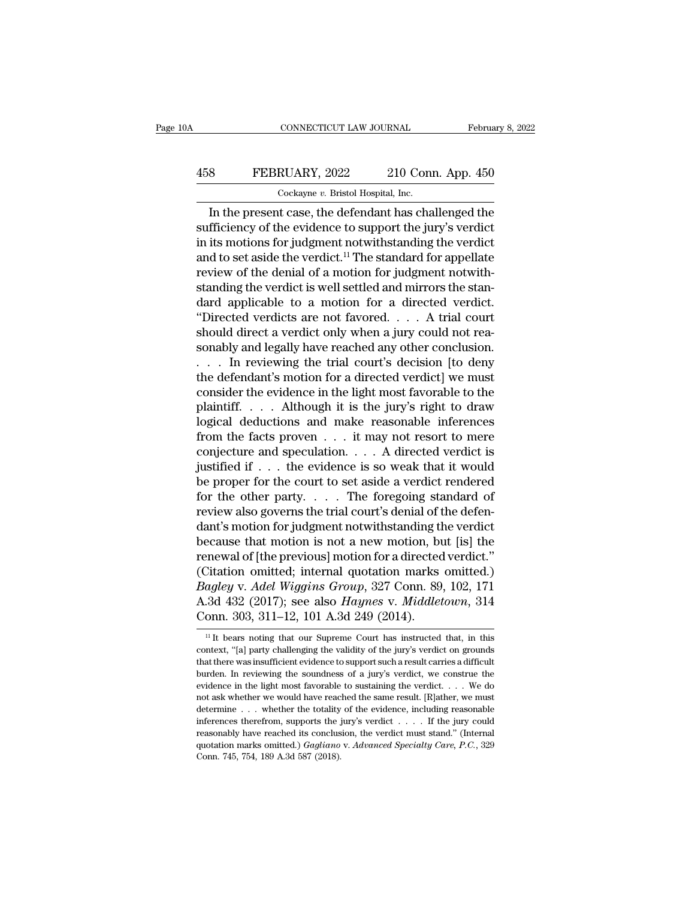## CONNECTICUT LAW JOURNAL February 8, 2022<br>458 FEBRUARY, 2022 210 Conn. App. 450<br>Cockayne v. Bristol Hospital, Inc. CONNECTICUT LAW JOURNAL Februa<br>
8 FEBRUARY, 2022 210 Conn. App. 450<br>
Cockayne *v*. Bristol Hospital, Inc.<br>
In the present case, the defendant has challenged the

CONNECTICUT LAW JOURNAL February 8, 2022<br>
S<br>
B<br>
TEBRUARY, 2022 210 Conn. App. 450<br>
Cockayne v. Bristol Hospital, Inc.<br>
In the present case, the defendant has challenged the<br>
fficiency of the evidence to support the jury's FEBRUARY, 2022 210 Conn. App. 450<br>  $\frac{\text{Cockaye } v. \text{ Bristol Hospital, Inc.}}{\text{In the present case, the defendant has challenged the  
\nsufficiency of the evidence to support the jury's verdict  
\nin its motions for judgment not withstanding the verdict  
\nand to set aside the verdict  $\frac{11}{2}$  The standard for amplitude$ FEBRUARY, 2022 210 Conn. App. 450<br>  $\frac{\text{Cockayne } v. \text{ Bristol Hospital, Inc.}}{\text{In the present case, the defendant has challenged the  
\nsufficiency of the evidence to support the jury's verdict in its motions for judgment notwithstanding the verdict and to set aside the verdict.<sup>11</sup> The standard for appellate  
\nreviouy of the donial of a motion for judgment not with$ 458 FEBRUARY, 2022 210 Conn. App. 450<br>  $\frac{\text{Cockayne } v. \text{ Bristol Hospital, Inc.}}{\text{In the present case, the defendant has challenged the  
\nsufficiency of the evidence to support the jury's verdict  
\nin its motions for judgment not withstanding the verdict  
\nand to set aside the verdict.<sup>11</sup> The standard for appellate  
\nreview of the denial of a motion for judgment notwith-$ Cockayne  $v$ . Bristol Hospital, Inc.<br>In the present case, the defendant has challenged the<br>sufficiency of the evidence to support the jury's verdict<br>in its motions for judgment notwithstanding the verdict<br>and to set aside  $\frac{1}{100}$  occasing v. Bristol Hospital, inc.<br>In the present case, the defendant has challenged the<br>sufficiency of the evidence to support the jury's verdict<br>in its motions for judgment notwithstanding the verdict<br>and to In the present case, the defendant has challenged the<br>sufficiency of the evidence to support the jury's verdict<br>in its motions for judgment notwithstanding the verdict<br>and to set aside the verdict.<sup>11</sup> The standard for ap sufficiency of the evidence to support the jury's verdict<br>in its motions for judgment notwithstanding the verdict<br>and to set aside the verdict.<sup>11</sup> The standard for appellate<br>review of the denial of a motion for judgment n in its motions for judgment notwithstanding the verdict<br>and to set aside the verdict.<sup>11</sup> The standard for appellate<br>review of the denial of a motion for judgment notwith-<br>standing the verdict is well settled and mirrors and to set aside the verdict.<sup>11</sup> The standard for appellate<br>review of the denial of a motion for judgment notwith-<br>standing the verdict is well settled and mirrors the stan-<br>dard applicable to a motion for a directed verd review of the denial of a motion for judgment notwith-<br>standing the verdict is well settled and mirrors the stan-<br>dard applicable to a motion for a directed verdict.<br>"Directed verdicts are not favored.... A trial court<br>sho standing the verdict is well settled and mirrors the standard applicable to a motion for a directed verdict.<br>
"Directed verdicts are not favored.... A trial court should direct a verdict only when a jury could not reasona dard applicable to a motion for a directed verdict.<br>
"Directed verdicts are not favored.... A trial court<br>
should direct a verdict only when a jury could not rea-<br>
sonably and legally have reached any other conclusion.<br>
. "Directed verdicts are not favored.... A trial court<br>should direct a verdict only when a jury could not rea-<br>sonably and legally have reached any other conclusion.<br>... In reviewing the trial court's decision [to deny<br>the should direct a verdict only when a jury could not reasonably and legally have reached any other conclusion.<br>
. . . . In reviewing the trial court's decision [to deny the defendant's motion for a directed verdict] we must sonably and legally have reached any other conclusion.<br>
. . . . In reviewing the trial court's decision [to deny<br>
the defendant's motion for a directed verdict] we must<br>
consider the evidence in the light most favorable t ... In reviewing the trial court's decision [to deny<br>the defendant's motion for a directed verdict] we must<br>consider the evidence in the light most favorable to the<br>plaintiff.... Although it is the jury's right to draw<br>lo the defendant's motion for a directed verdict] we must<br>consider the evidence in the light most favorable to the<br>plaintiff.... Although it is the jury's right to draw<br>logical deductions and make reasonable inferences<br>from consider the evidence in the light most favorable to the plaintiff. . . . . Although it is the jury's right to draw logical deductions and make reasonable inferences from the facts proven . . . it may not resort to mere c plaintiff. . . . . Although it is the jury's right to draw<br>logical deductions and make reasonable inferences<br>from the facts proven . . . it may not resort to mere<br>conjecture and speculation. . . . A directed verdict is<br>ju logical deductions and make reasonable inferences<br>from the facts proven . . . it may not resort to mere<br>conjecture and speculation. . . . A directed verdict is<br>justified if . . . the evidence is so weak that it would<br>be pr from the facts proven  $\dots$  it may not resort to mere<br>
conjecture and speculation.  $\dots$  A directed verdict is<br>
justified if  $\dots$  the evidence is so weak that it would<br>
be proper for the court to set aside a verdict rendere conjecture and speculation.  $\dots$  A directed verdict is<br>justified if  $\dots$  the evidence is so weak that it would<br>be proper for the court to set aside a verdict rendered<br>for the other party.  $\dots$  The foregoing standard of<br>re justified if  $\ldots$  the evidence is so weak that it would<br>be proper for the court to set aside a verdict rendered<br>for the other party.  $\ldots$ . The foregoing standard of<br>review also governs the trial court's denial of the de be proper for the court to set aside a verdict rendered<br>for the other party. . . . . The foregoing standard of<br>review also governs the trial court's denial of the defen-<br>dant's motion for judgment notwithstanding the verd for the other party.  $\ldots$  . The foregoing standard of<br>review also governs the trial court's denial of the defen-<br>dant's motion for judgment notwithstanding the verdict<br>because that motion is not a new motion, but [is] th review also governs the trial court's denial of the defen-<br>dant's motion for judgment notwithstanding the verdict<br>because that motion is not a new motion, but [is] the<br>renewal of [the previous] motion for a directed verdic dant's motion for judgment notwithstanding the<br>cause that motion is not a new motion, bu<br>renewal of [the previous] motion for a directed<br>(Citation omitted; internal quotation marks<br>*Bagley* v. *Adel Wiggins Group*, 327 Con (Citation omitted; internal quotation marks omitted.)<br> *Bagley* v. *Adel Wiggins Group*, 327 Conn. 89, 102, 171<br>
A.3d 432 (2017); see also *Haynes* v. *Middletown*, 314<br>
Conn. 303, 311–12, 101 A.3d 249 (2014).<br>
<sup>11</sup> It be *Bagley v. Adel Wiggins Group*, 327 Conn. 89, 102, 171<br>A.3d 432 (2017); see also *Haynes v. Middletown*, 314<br>Conn. 303, 311–12, 101 A.3d 249 (2014).<br><sup>11</sup> It bears noting that our Supreme Court has instructed that, in this

A.3d 432 (2017); see also *Haynes* v. *Middletown*, 314 Conn. 303, 311–12, 101 A.3d 249 (2014).<br>
<sup>11</sup>It bears noting that our Supreme Court has instructed that, in this context, "[a] party challenging the validity of the **Conn.** 303, 311–12, 101 A.3d 249 (2014).<br>
<sup>11</sup> It bears noting that our Supreme Court has instructed that, in this context, "[a] party challenging the validity of the jury's verdict on grounds that there was insufficient Fig. 300, 311–12, 101 A.30  $249$  (2014).<br>
<sup>11</sup> It bears noting that our Supreme Court has instructed that, in this context, "[a] party challenging the validity of the jury's verdict on grounds that there was insufficient <sup>11</sup> It bears noting that our Supreme Court has instructed that, in this context, "[a] party challenging the validity of the jury's verdict on grounds that there was insufficient evidence to support such a result carries context, "[a] party challenging the validity of the jury's verdict on grounds that there was insufficient evidence to support such a result carries a difficult burden. In reviewing the soundness of a jury's verdict, we co but that there was insufficient evidence to support such a result carries a difficult burden. In reviewing the soundness of a jury's verdict, we construe the evidence in the light most favorable to sustaining the verdict. burden. In reviewing the soundness of a jury's verdict, we construe the evidence in the light most favorable to sustaining the verdict. . . . We do not ask whether we would have reached the same result. [R]ather, we must betwich marks omitted.) *Gagliano* v. *Abvanced* and Special Care, we consider the light most favorable to sustaining the verdict.  $\ldots$  We do not ask whether we would have reached the same result. [R]ather, we must det not ask whether we would have reached the same result. [R]ather, we must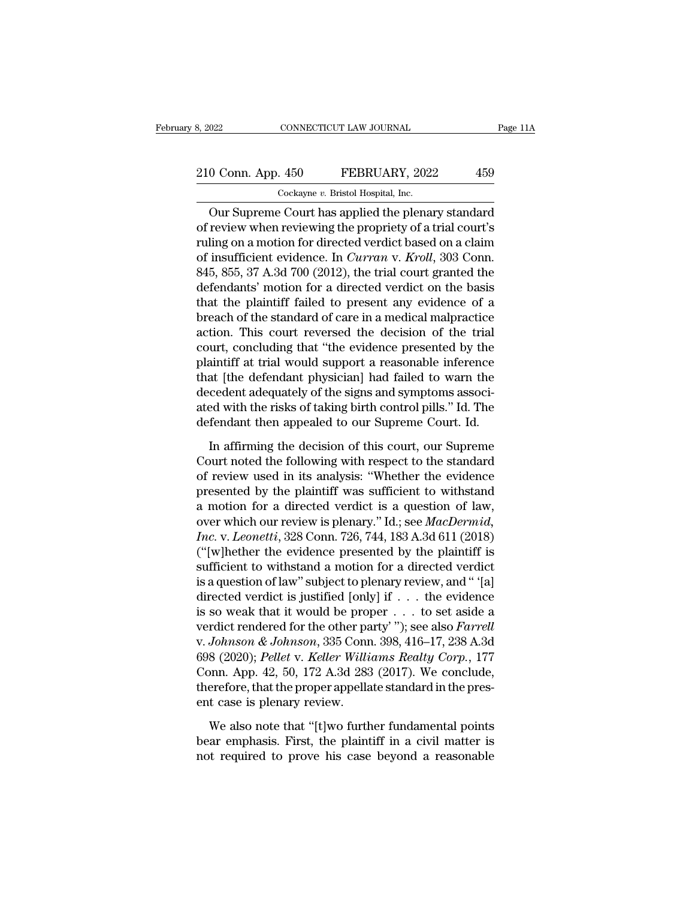# 210 Conn. App. 450 FEBRUARY, 2022 459<br>
210 Conn. App. 450 FEBRUARY, 2022 459

8, 2022 CONNECTICUT LAW JOURNAL<br>
210 Conn. App. 450 FEBRUARY, 2022 459<br>
Cockayne *v*. Bristol Hospital, Inc.<br>
Our Supreme Court has applied the plenary standard OUR CONNECTICUT LAW JOURNAL Page 11A<br>
O Conn. App. 450 FEBRUARY, 2022 459<br>
Cockayne v. Bristol Hospital, Inc.<br>
Our Supreme Court has applied the plenary standard<br>
review when reviewing the propriety of a trial court's<br>
lin 210 Conn. App. 450 FEBRUARY, 2022 459<br>
Cockayne v. Bristol Hospital, Inc.<br>
Our Supreme Court has applied the plenary standard<br>
of review when reviewing the propriety of a trial court's<br>
ruling on a motion for directed verd 210 Conn. App. 450 FEBRUARY, 2022 459<br>
Cockayne v. Bristol Hospital, Inc.<br>
Our Supreme Court has applied the plenary standard<br>
of review when reviewing the propriety of a trial court's<br>
ruling on a motion for directed ver 210 Conn. App. 450 FEBRUARY, 2022 459<br>
Cockayne v. Bristol Hospital, Inc.<br>
Our Supreme Court has applied the plenary standard<br>
of review when reviewing the propriety of a trial court's<br>
ruling on a motion for directed verd Cockayne v. Bristol Hospital, Inc.<br>
Our Supreme Court has applied the plenary standard<br>
of review when reviewing the propriety of a trial court's<br>
ruling on a motion for directed verdict based on a claim<br>
of insufficient e Cockayne *v*. Bristol Hospital, inc.<br>
Our Supreme Court has applied the plenary standard<br>
of review when reviewing the propriety of a trial court's<br>
ruling on a motion for directed verdict based on a claim<br>
of insufficien Our Supreme Court has applied the plenary standard<br>of review when reviewing the propriety of a trial court's<br>ruling on a motion for directed verdict based on a claim<br>of insufficient evidence. In *Curran* v. *Kroll*, 303 C of review when reviewing the propriety of a trial court's<br>ruling on a motion for directed verdict based on a claim<br>of insufficient evidence. In *Curran v. Kroll*, 303 Conn.<br>845, 855, 37 A.3d 700 (2012), the trial court gra ruling on a motion for directed verdict based on a claim<br>of insufficient evidence. In *Curran* v. *Kroll*, 303 Conn.<br>845, 855, 37 A.3d 700 (2012), the trial court granted the<br>defendants' motion for a directed verdict on th of insufficient evidence. In *Curran v. Kroll*, 303 Conn.<br>845, 855, 37 A.3d 700 (2012), the trial court granted the<br>defendants' motion for a directed verdict on the basis<br>that the plaintiff failed to present any evidence o 845, 855, 37 A.3d 700 (2012), the trial court granted the<br>defendants' motion for a directed verdict on the basis<br>that the plaintiff failed to present any evidence of a<br>breach of the standard of care in a medical malpractic defendants' motion for a directed verdict on the basis<br>that the plaintiff failed to present any evidence of a<br>breach of the standard of care in a medical malpractice<br>action. This court reversed the decision of the trial<br>co that the plaintiff failed to present any evidence of a<br>breach of the standard of care in a medical malpractice<br>action. This court reversed the decision of the trial<br>court, concluding that "the evidence presented by the<br>pla breach of the standard of care in a medical malpractice<br>action. This court reversed the decision of the trial<br>court, concluding that "the evidence presented by the<br>plaintiff at trial would support a reasonable inference<br>th action. This court reversed the decision of the trial<br>court, concluding that "the evidence presented by the<br>plaintiff at trial would support a reasonable inference<br>that [the defendant physician] had failed to warn the<br>dece aintiff at trial would support a reasonable inference<br>at [the defendant physician] had failed to warn the<br>cedent adequately of the signs and symptoms associ-<br>ed with the risks of taking birth control pills." Id. The<br>fendan That [the defendant physician] had failed to warn the<br>decedent adequately of the signs and symptoms associ-<br>ated with the risks of taking birth control pills." Id. The<br>defendant then appealed to our Supreme Court. Id.<br>In a

decedent adequately of the signs and symptoms associated with the risks of taking birth control pills." Id. The defendant then appealed to our Supreme Court. Id.<br>In affirming the decision of this court, our Supreme Court n ated with the risks of taking birth control pills." Id. The<br>defendant then appealed to our Supreme Court. Id.<br>In affirming the decision of this court, our Supreme<br>Court noted the following with respect to the standard<br>of defendant then appealed to our Supreme Court. Id.<br>
In affirming the decision of this court, our Supreme<br>
Court noted the following with respect to the standard<br>
of review used in its analysis: "Whether the evidence<br>
prese In affirming the decision of this court, our Supreme<br>Court noted the following with respect to the standard<br>of review used in its analysis: "Whether the evidence<br>presented by the plaintiff was sufficient to withstand<br>a mot In affirming the decision of this court, our Supreme<br>Court noted the following with respect to the standard<br>of review used in its analysis: "Whether the evidence<br>presented by the plaintiff was sufficient to withstand<br>a mot Court noted the following with respect to the standard<br>of review used in its analysis: "Whether the evidence<br>presented by the plaintiff was sufficient to withstand<br>a motion for a directed verdict is a question of law,<br>ove of review used in its analysis: "Whether the evidence<br>presented by the plaintiff was sufficient to withstand<br>a motion for a directed verdict is a question of law,<br>over which our review is plenary." Id.; see *MacDermid,<br>In* presented by the plaintiff was sufficient to withstand<br>a motion for a directed verdict is a question of law,<br>over which our review is plenary." Id.; see *MacDermid,*<br>Inc. v. Leonetti, 328 Conn. 726, 744, 183 A.3d 611 (201 a motion for a directed verdict is a question of law,<br>over which our review is plenary." Id.; see *MacDermid,*<br>Inc. v. Leonetti, 328 Conn. 726, 744, 183 A.3d 611 (2018)<br>("[w]hether the evidence presented by the plaintiff over which our review is plenary." Id.; see *MacDermid*,<br> *Inc.* v. *Leonetti*, 328 Conn. 726, 744, 183 A.3d 611 (2018)<br>
("[w]hether the evidence presented by the plaintiff is<br>
sufficient to withstand a motion for a direc Inc. v. Leonetti, 328 Conn. 726, 744, 183 A.3d 611 (2018)<br>("[w]hether the evidence presented by the plaintiff is<br>sufficient to withstand a motion for a directed verdict<br>is a question of law" subject to plenary review, and ("[w]hether the evidence presented by the plaintiff is<br>sufficient to withstand a motion for a directed verdict<br>is a question of law" subject to plenary review, and " [a]<br>directed verdict is justified [only] if  $\dots$  the ev sufficient to withstand a motion for a directed verdict<br>is a question of law" subject to plenary review, and " '[a]<br>directed verdict is justified [only] if . . . the evidence<br>is so weak that it would be proper . . . to set is a question of law" subject to plenary review, and " '[a]<br>directed verdict is justified [only] if . . . the evidence<br>is so weak that it would be proper . . . to set aside a<br>verdict rendered for the other party' "); see directed verdict is justified [only] if  $\dots$  the evidence<br>is so weak that it would be proper  $\dots$  to set aside a<br>verdict rendered for the other party' ''); see also *Farrell*<br>v. *Johnson & Johnson*, 335 Conn. 398, 416–17, is so weak that it would be prop<br>verdict rendered for the other pa<br>v. Johnson & Johnson, 335 Conn<br>698 (2020); Pellet v. Keller Willi<br>Conn. App. 42, 50, 172 A.3d 283<br>therefore, that the proper appella<br>ent case is plenary re Johnson & Johnson, 335 Conn. 398, 416–17, 238 A.3d<br>8 (2020); Pellet v. Keller Williams Realty Corp., 177<br>pnn. App. 42, 50, 172 A.3d 283 (2017). We conclude,<br>erefore, that the proper appellate standard in the pres-<br>t case i 698 (2020); Pellet v. Keller Williams Realty Corp., 177<br>Conn. App. 42, 50, 172 A.3d 283 (2017). We conclude,<br>therefore, that the proper appellate standard in the pres-<br>ent case is plenary review.<br>We also note that "[t]wo Frame Conn. App. 42, 50, 172 A.3d 283 (2017). We conclude, therefore, that the proper appellate standard in the present case is plenary review.<br>We also note that "[t]wo further fundamental points bear emphasis. First, the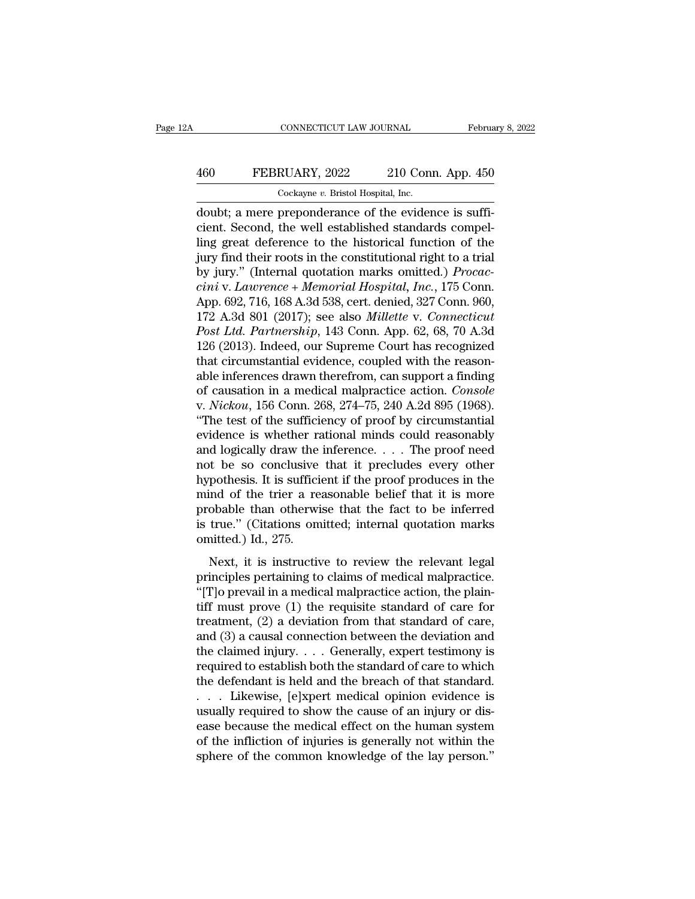## CONNECTICUT LAW JOURNAL February 8, 2022<br>
460 FEBRUARY, 2022 210 Conn. App. 450<br>
Cockayne v. Bristol Hospital, Inc. CONNECTICUT LAW JOURNAL Februa<br>
460 FEBRUARY, 2022 210 Conn. App. 450<br>
Cockayne *v.* Bristol Hospital, Inc.<br>
doubt; a mere preponderance of the evidence is suffi-

CONNECTICUT LAW JOURNAL Februa<br>
460 FEBRUARY, 2022 210 Conn. App. 450<br>
Cockayne v. Bristol Hospital, Inc.<br>
doubt; a mere preponderance of the evidence is suffi-<br>
cient. Second, the well established standards compel-<br>
ling 460 FEBRUARY, 2022 210 Conn. App. 450<br>
cockayne v. Bristol Hospital, Inc.<br>
doubt; a mere preponderance of the evidence is suffi-<br>
cient. Second, the well established standards compel-<br>
ling great deference to the historica FEBRUARY, 2022 210 Conn. App. 450<br>  $\frac{\text{Cockayne } v. \text{ Bristol Hospital, Inc.}}{\text{doublet; a mere preponderance of the evidence is sufficient. Second, the well established standards compelling great deference to the historical function of the jury find their roots in the constitutional right to a trial by, it is, or that it is not a good.$ FEBRUARY, 2022 210 Conn. App. 450<br>  $\frac{\text{Cockayne } v. \text{ Bristol Hospital, Inc.}}{\text{doublet; a mere preponderance of the evidence is sufficient. Second, the well established standards compelling great deference to the historical function of the jury find their roots in the constitutional right to a trial by jury." (Internal quotation marks omitted.) *Procacc-  
cini y. Lawrence, Memeorial Hospital, Inc.* 175 Com.$ Cockayne *v*. Bristol Hospital, Inc.<br>
doubt; a mere preponderance of the evidence is suffi-<br>
cient. Second, the well established standards compel-<br>
ling great deference to the historical function of the<br>
jury find their ro Cockayne *v*. *Bristol Hospital, Inc.*<br>
doubt; a mere preponderance of the evidence is sufficient. Second, the well established standards compel-<br>
ling great deference to the historical function of the<br>
jury find their roo doubt; a mere preponderance of the evidence is sufficient. Second, the well established standards compelling great deference to the historical function of the jury find their roots in the constitutional right to a trial by cient. Second, the well established standards compelling great deference to the historical function of the jury find their roots in the constitutional right to a trial by jury." (Internal quotation marks omitted.) *Procacc* ling great deference to the historical function of the<br>jury find their roots in the constitutional right to a trial<br>by jury." (Internal quotation marks omitted.) *Procac-*<br>cini v. Lawrence + Memorial Hospital, Inc., 175 Co jury find their roots in the constitutional right to a trial<br>by jury." (Internal quotation marks omitted.) *Procac-<br>cini* v. *Lawrence* + *Memorial Hospital, Inc.*, 175 Conn.<br>App. 692, 716, 168 A.3d 538, cert. denied, 327 by jury." (Internal quotation marks omitted.) *Procaccini* v. Lawrence + Memorial Hospital, Inc., 175 Conn.<br>App. 692, 716, 168 A.3d 538, cert. denied, 327 Conn. 960, 172 A.3d 801 (2017); see also *Millette* v. *Connecticut* cini v. Lawrence + Memorial Hospital, Inc., 175 Conn.<br>App. 692, 716, 168 A.3d 538, cert. denied, 327 Conn. 960,<br>172 A.3d 801 (2017); see also *Millette v. Connecticut*<br>Post Ltd. Partnership, 143 Conn. App. 62, 68, 70 A.3d App. 692, 716, 168 A.3d 538, cert. denied, 327 Conn. 960,<br>172 A.3d 801 (2017); see also *Millette* v. *Connecticut*<br>Post Ltd. Partnership, 143 Conn. App. 62, 68, 70 A.3d<br>126 (2013). Indeed, our Supreme Court has recognized 172 A.3d 801 (2017); see also *Millette* v. *Connecticut*<br>Post Ltd. Partnership, 143 Conn. App. 62, 68, 70 A.3d<br>126 (2013). Indeed, our Supreme Court has recognized<br>that circumstantial evidence, coupled with the reason-<br>ab Post Ltd. Partnership, 143 Conn. App. 62, 68, 70 A.3d<br>126 (2013). Indeed, our Supreme Court has recognized<br>that circumstantial evidence, coupled with the reason-<br>able inferences drawn therefrom, can support a finding<br>of ca 126 (2013). Indeed, our Supreme Court has recognized<br>that circumstantial evidence, coupled with the reason-<br>able inferences drawn therefrom, can support a finding<br>of causation in a medical malpractice action. *Console*<br>v. that circumstantial evidence, coupled with the reason-<br>able inferences drawn therefrom, can support a finding<br>of causation in a medical malpractice action. *Console*<br>v. *Nickou*, 156 Conn. 268, 274–75, 240 A.2d 895 (1968) able inferences drawn therefrom, can support a finding<br>of causation in a medical malpractice action. *Console*<br>v. *Nickou*, 156 Conn. 268, 274–75, 240 A.2d 895 (1968).<br>"The test of the sufficiency of proof by circumstantia of causation in a medical malpractice action. *Console*<br>v. *Nickou*, 156 Conn. 268, 274–75, 240 A.2d 895 (1968).<br>"The test of the sufficiency of proof by circumstantial<br>evidence is whether rational minds could reasonably<br>a v. *Nickou*, 156 Conn. 268, 274–75, 240 A.2d 895 (1968).<br>
"The test of the sufficiency of proof by circumstantial<br>
evidence is whether rational minds could reasonably<br>
and logically draw the inference.... The proof need<br> "The test of the sufficiency of proof by circumstantial<br>evidence is whether rational minds could reasonably<br>and logically draw the inference.... The proof need<br>not be so conclusive that it precludes every other<br>hypothesis evidence is whether rational minds could reasonably<br>and logically draw the inference.... The proof need<br>not be so conclusive that it precludes every other<br>hypothesis. It is sufficient if the proof produces in the<br>mind of and logically draw the<br>not be so conclusive<br>hypothesis. It is suffici<br>mind of the trier a re<br>probable than otherwi<br>is true." (Citations om<br>omitted.) Id., 275.<br>Next, it is instructiv next is sufficient if the proof produces in the<br>pothesis. It is sufficient if the proof produces in the<br>ind of the trier a reasonable belief that it is more<br>obable than otherwise that the fact to be inferred<br>true." (Citati mind of the trier a reasonable belief that it is more<br>probable than otherwise that the fact to be inferred<br>is true." (Citations omitted; internal quotation marks<br>omitted.) Id., 275.<br>Next, it is instructive to review the r

Final of the their a reasonable beneficial male is instructed<br>probable than otherwise that the fact to be inferred<br>is true." (Citations omitted; internal quotation marks<br>omitted.) Id., 275.<br>Next, it is instructive to revi is true." (Citations omitted; internal quotation marks<br>omitted.) Id., 275.<br>Next, it is instructive to review the relevant legal<br>principles pertaining to claims of medical malpractice.<br>"[T]o prevail in a medical malpractic omitted.) Id., 275.<br>
Next, it is instructive to review the relevant legal<br>
principles pertaining to claims of medical malpractice.<br>
"[T]o prevail in a medical malpractice action, the plain-<br>
tiff must prove (1) the requis Next, it is instructive to review the relevant legal<br>principles pertaining to claims of medical malpractice.<br>"[T]o prevail in a medical malpractice action, the plain-<br>tiff must prove (1) the requisite standard of care for Next, it is instructive to review the relevant legal<br>principles pertaining to claims of medical malpractice.<br>"[T]o prevail in a medical malpractice action, the plain-<br>tiff must prove (1) the requisite standard of care for principles pertaining to claims of medical malpractice.<br>
"[T]o prevail in a medical malpractice action, the plain-<br>
tiff must prove (1) the requisite standard of care for<br>
treatment, (2) a deviation from that standard of c "[T]o prevail in a medical malpractice action, the plain-<br>tiff must prove (1) the requisite standard of care for<br>treatment, (2) a deviation from that standard of care,<br>and (3) a causal connection between the deviation and tiff must prove (1) the requisite standard of care for<br>treatment, (2) a deviation from that standard of care,<br>and (3) a causal connection between the deviation and<br>the claimed injury.... Generally, expert testimony is<br>req treatment, (2) a deviation from that standard of care,<br>and (3) a causal connection between the deviation and<br>the claimed injury. . . . Generally, expert testimony is<br>required to establish both the standard of care to whic and (3) a causal connection between the deviation and<br>the claimed injury. . . . Generally, expert testimony is<br>required to establish both the standard of care to which<br>the defendant is held and the breach of that standard the claimed injury.  $\ldots$  Generally, expert testimony is<br>required to establish both the standard of care to which<br>the defendant is held and the breach of that standard.<br> $\ldots$  Likewise, [e]xpert medical opinion evidence is required to establish both the standard of care to which<br>the defendant is held and the breach of that standard.<br>... Likewise, [e]xpert medical opinion evidence is<br>usually required to show the cause of an injury or dis-<br>eas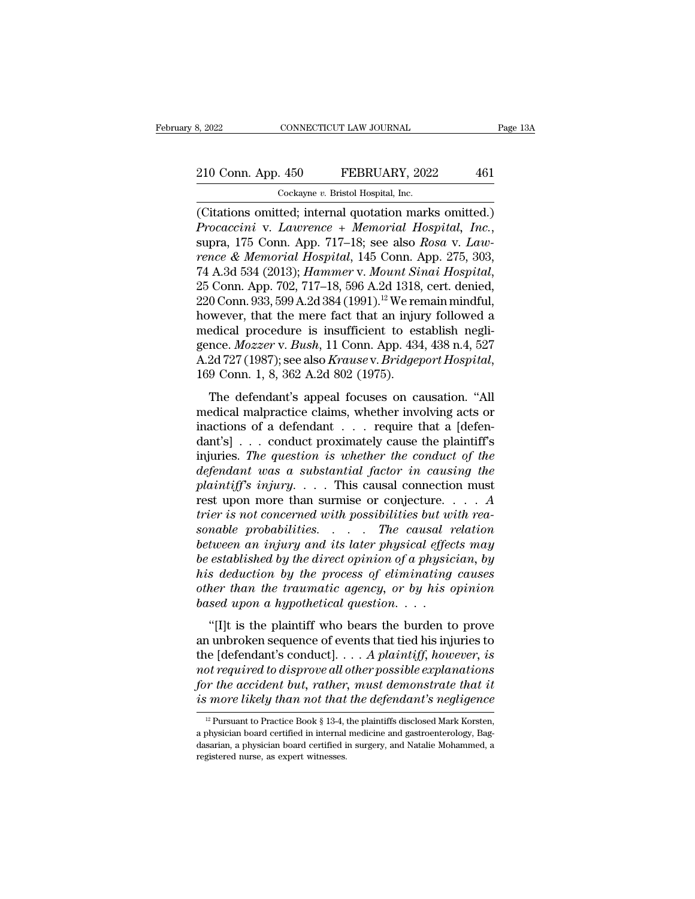8, 2022 CONNECTICUT LAW JOURNAL<br>
210 Conn. App. 450 FEBRUARY, 2022 461<br>
Cockayne *v*. Bristol Hospital, Inc.<br>
(Citations omitted; internal quotation marks omitted.) (CH) S. 2022<br>
(CONSECTICUT LAW JOURNAL Page 13A<br>
(CONSECTICUT LAW JOURNAL Page 13A<br>
(CONSECTION OF PEBRUARY, 2022 461<br>
(Citations omitted; internal quotation marks omitted.)<br>
(Citations omitted; internal quotation marks om *Procaccini* v. *Lawrence + Memorial Hospital, Inc.*<br> *Procaccini* v. *Lawrence + Memorial Hospital, Inc.*, supra, 175 Conn. App. 717–18; see also *Rosa* v. *Law-*<br> *Procaccini* v. *Lawrence + Memorial Hospital, Inc.*, sup 210 Conn. App. 450 FEBRUARY, 2022 461<br>
Cockayne v. Bristol Hospital, Inc.<br>
(Citations omitted; internal quotation marks omitted.)<br> *Procaccini* v. *Lawrence* + *Memorial Hospital*, *Inc.*,<br>
supra, 175 Conn. App. 717–18; se <sup>213</sup> Colar 14<sub>PP</sub>. 150 (12013); *Cockayne v. Bristol Hospital, Inc.*<br>
(Citations omitted; internal quotation marks omitted.)<br> *Procaccini* v. *Lawrence* + *Memorial Hospital, Inc.*,<br>
supra, 175 Conn. App. 717–18; see also (Citations omitted; internal quotation marks omitted.)<br> *Procaccini* v. *Lawrence* + *Memorial Hospital*, *Inc.*,<br>
supra, 175 Conn. App. 717–18; see also *Rosa* v. *Lawrence* & *Memorial Hospital*, 145 Conn. App. 275, 303 Procaccini v. Lawrence + Memorial Hospital, Inc.,<br>supra, 175 Conn. App. 717–18; see also Rosa v. Law-<br>rence & Memorial Hospital, 145 Conn. App. 275, 303,<br>74 A.3d 534 (2013); Hammer v. Mount Sinai Hospital,<br>25 Conn. App. 7 supra, 175 Conn. App. 717–18; see also *Rosa v. Lawrence & Memorial Hospital*, 145 Conn. App. 275, 303, 74 A.3d 534 (2013); *Hammer v. Mount Sinai Hospital*, 25 Conn. App. 702, 717–18, 596 A.2d 1318, cert. denied, 220 Con rence & Memorial Hospital, 145 Conn. App. 275, 303,<br>74 A.3d 534 (2013); *Hammer v. Mount Sinai Hospital*,<br>25 Conn. App. 702, 717–18, 596 A.2d 1318, cert. denied,<br>220 Conn. 933, 599 A.2d 384 (1991).<sup>12</sup> We remain mindful,<br>h 74 A.3d 534 (2013); *Hammer v. Mount Sinai Hospital*,<br>25 Conn. App. 702, 717–18, 596 A.2d 1318, cert. denied,<br>220 Conn. 933, 599 A.2d 384 (1991).<sup>12</sup> We remain mindful,<br>however, that the mere fact that an injury followed a b Colli. 555, 555 A.2d 564 (1551). We remain hindical,<br>wever, that the mere fact that an injury followed a<br>edical procedure is insufficient to establish negli-<br>nce.  $Mozzer$  v.  $Bush$ , 11 Conn. App. 434, 438 n.4, 527<br>2d 727 (1 medical procedure is insufficient to establish negligence. *Mozzer* v. *Bush*, 11 Conn. App. 434, 438 n.4, 527<br>A.2d 727 (1987); see also *Krause* v. *Bridgeport Hospital*, 169 Conn. 1, 8, 362 A.2d 802 (1975).<br>The defendan

fractions of a defendant ... require that a [defendant's] ... conduct proximately cause v. Bridgeport Hospital, 169 Conn. 1, 8, 362 A.2d 802 (1975).<br>The defendant's appeal focuses on causation. "All medical malpractice cl A.2d 727 (1987); see also *Krause v. Bridgeport Hospital*,<br>A.2d 727 (1987); see also *Krause v. Bridgeport Hospital*,<br>169 Conn. 1, 8, 362 A.2d 802 (1975).<br>The defendant's appeal focuses on causation. "All<br>medical malpract Example 1986), see also Kruise v. *Drugeport Hospital*,<br>169 Conn. 1, 8, 362 A.2d 802 (1975).<br>The defendant's appeal focuses on causation. "All<br>medical malpractice claims, whether involving acts or<br>inactions of a defendant *defendant's appeal focuses on causation. "All medical malpractice claims, whether involving acts or inactions of a defendant ... require that a [defendant's] ... conduct proximately cause the plaintiff's injuries. The que* The defendant's appeal focuses on causation. "All<br>medical malpractice claims, whether involving acts or<br>inactions of a defendant . . . require that a [defen-<br>dant's] . . . conduct proximately cause the plaintiff's<br>injuries restical malpractice claims, whether involving acts or<br>inactions of a defendant . . . require that a [defen-<br>dant's] . . . conduct proximately cause the plaintiff's<br>injuries. The question is whether the conduct of the<br>def inactions of a defendant . . . require that a [defendant's] . . . conduct proximately cause the plaintiff's injuries. *The question is whether the conduct of the defendant was a substantial factor in causing the plaintiff'* dant's] . . . conduct proximately cause the plaintiff's<br>injuries. The question is whether the conduct of the<br>defendant was a substantial factor in causing the<br>plaintiff's injury. . . . This causal connection must<br>rest upon *between an injuries. The question is whether the conduct of the defendant was a substantial factor in causing the plaintiff's injury.* . . . This causal connection must rest upon more than surmise or conjecture. . . . A *be defendant was a substantial factor in causing the*<br>plaintiff's injury.... This causal connection must<br>rest upon more than surmise or conjecture.... A<br>trier is not concerned with possibilities but with rea-<br>sonable prob *plaintiff's injury.* . . . This causal connection must<br>rest upon more than surmise or conjecture. . . . A<br>trier is not concerned with possibilities but with rea-<br>sonable probabilities. . . . The causal relation<br>between an rest upon more than surmise or conjecture.  $\ldots$  *A*<br>*trier is not concerned with possibilities but with rea-*<br>*sonable probabilities.*  $\ldots$  *The causal relation*<br>*between an injury and its later physical effects may*<br>*b based in trier is not concerned with possibilities but w*<br> *between an injury and its later physical effect*<br> *be established by the direct opinion of a physical*<br> *bis deduction by the process of eliminating*<br> *other tha* tween an injury and its later physical effects may<br>
established by the direct opinion of a physician, by<br>
s deduction by the process of eliminating causes<br>
her than the traumatic agency, or by his opinion<br>
sed upon a hypo be established by the direct opinion of a physician, by<br>his deduction by the process of eliminating causes<br>other than the traumatic agency, or by his opinion<br>based upon a hypothetical question....<br>"[I]t is the plaintiff w

be established by the arrect optimal by a physician, by<br>his deduction by the process of eliminating causes<br>other than the traumatic agency, or by his opinion<br>based upon a hypothetical question....<br>"[I]t is the plaintiff wh *nts* deduction by the process by ethninating causes<br>
other than the traumatic agency, or by his opinion<br>
based upon a hypothetical question....<br>
"[I]t is the plaintiff who bears the burden to prove<br>
an unbroken sequence o *for the accident and the transmitted dyenty, or oy hts optition*<br>based upon a hypothetical question. . . .<br>"[I]t is the plaintiff who bears the burden to prove<br>an unbroken sequence of events that tied his injuries to<br>the *i* if it is the plaintiff who bears the burden to prove<br>an unbroken sequence of events that tied his injuries to<br>the [defendant's conduct].... *A plaintiff, however, is*<br>not required to disprove all other possible explan 12 Interactional determinant to dispresse all other possible explanations<br>of required to dispreve all other possible explanations<br>or the accident but, rather, must demonstrate that it<br>is more likely than not that the defe not required to disprove all other possible explanations<br>for the accident but, rather, must demonstrate that it<br>is more likely than not that the defendant's negligence<br> $\frac{12}{12}$  Pursuant to Practice Book § 13-4, the pla

for the accident but, rather, must demonstrate that it<br>is more likely than not that the defendant's negligence<br> $\frac{12}{12}$ Pursuant to Practice Book § 13-4, the plaintiffs disclosed Mark Korsten,<br>a physician board certifie *is more likely than not that*<br> $\frac{12 \text{ Pursuant to Practice Book § } 13-4, \text{ a physician board certified in internal  
dasarian, a physician board certified if registered nurse, as expert witnesses.}$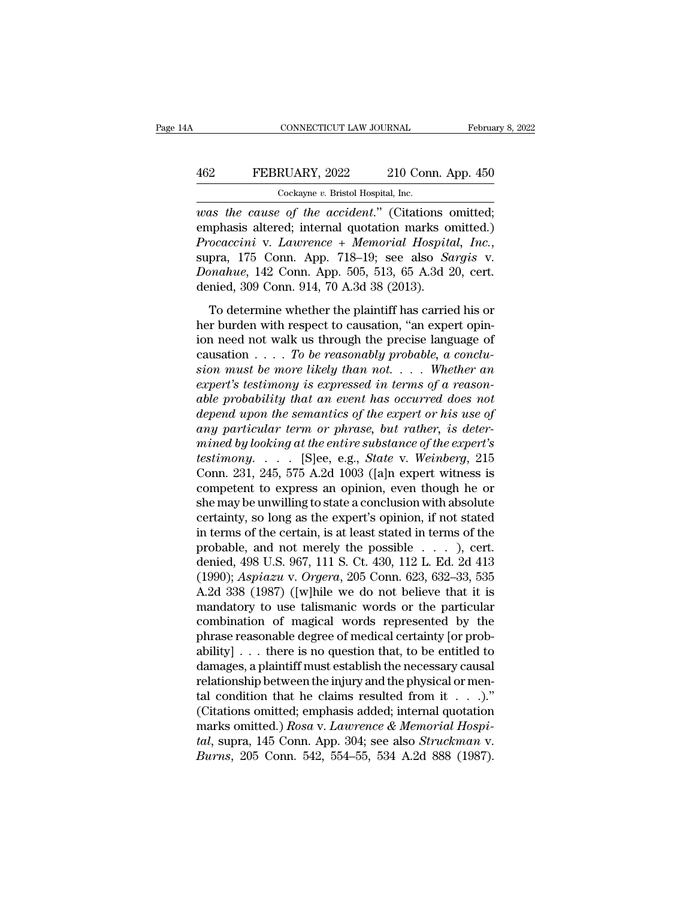## CONNECTICUT LAW JOURNAL February 8, 2022<br>462 FEBRUARY, 2022 210 Conn. App. 450<br>Cockayne v. Bristol Hospital, Inc. CONNECTICUT LAW JOURNAL Februa<br>
FEBRUARY, 2022 210 Conn. App. 450<br>
Cockayne *v.* Bristol Hospital, Inc.<br>
was the cause of the accident." (Citations omitted;

*CONNECTICUT LAW JOURNAL* February 8, 21<br> *WAS* FEBRUARY, 2022 210 Conn. App. 450<br> *Cockayne v. Bristol Hospital, Inc.*<br> *WAS the cause of the accident.*" (Citations omitted;<br>
emphasis altered; internal quotation marks omi EEBRUARY, 2022 210 Conn. App. 450<br>
Cockayne v. Bristol Hospital, Inc.<br>
was the cause of the accident." (Citations omitted;<br>
emphasis altered; internal quotation marks omitted.)<br>
Procaccini v. Lawrence + Memorial Hospital, *Procaccini* v. *Procaccini* v. *Lawrence + Memorial, Inc.*<br> *Procaccini* v. *Lawrence* + *Memorial Hospital, Inc.*, supra, 175 Conn. App. 718–19; see also *Sargis* v. *Donahue*, 142 Conn. App. 505, 513, 65 A.3d 20, cert. Cockayne *v*. Bristol Hospital, Inc.<br> *Donahue*, *Donahue*, *Donahue*, 175 Conn. App. 718–19; see also *Sargis* v.<br> *Donahue*, 142 Conn. App. 505, 513, 65 A.3d 20, cert.<br>
denied, 309 Conn. 914, 70 A.3d 38 (2013). Cockayne v. Bristol Hospital, Inc.<br>
was the cause of the accident." (Citations comphasis altered; internal quotation marks of<br>
Procaccini v. Lawrence + Memorial Hospita<br>
supra, 175 Conn. App. 718–19; see also Sa<br>
Donahue, in the same variable of the statistical phasis altered; internal quotation marks omitted.)<br>
occaccini v. Lawrence + Memorial Hospital, Inc.,<br>
pra, 175 Conn. App. 718–19; see also *Sargis* v.<br>
mahue, 142 Conn. App. 505, 51 *Procaccini* v. *Lawrence* + *Memorial Hospital, Inc.*, supra, 175 Conn. App. 718–19; see also *Sargis* v. *Donahue*, 142 Conn. App. 505, 513, 65 A.3d 20, cert. denied, 309 Conn. 914, 70 A.3d 38 (2013). To determine wheth

Frocatom V. Easternoot F Hemorical Hospital, The.,<br>supra, 175 Conn. App. 718–19; see also *Sargis* v.<br>Donahue, 142 Conn. 914, 70 A.3d 38 (2013).<br>To determine whether the plaintiff has carried his or<br>her burden with respec causation . . . . *To be reasonably probable, a conclusonation*, 12 collin. 1pp. 600, 910, 69 1.6d 20, ect.<br>denied, 309 Conn. 914, 70 A.3d 38 (2013).<br>To determine whether the plaintiff has carried his or<br>her burden with respect to causation, "an expert opin-<br>ion need not wal To determine whether the plaintiff has carried his or<br>
her burden with respect to causation, "an expert opin-<br>
ion need not walk us through the precise language of<br>
causation . . . . To be reasonably probable, a conclu-<br>
s To determine whether the plaintiff has carried his or<br>her burden with respect to causation, "an expert opin-<br>ion need not walk us through the precise language of<br>causation . . . . *To be reasonably probable, a conclu-*<br>sio *depend to the respect to causation, "an expert opinion need not walk us through the precise language of* causation . . . . *To be reasonably probable, a conclusion must be more likely than not.* . . . Whether an expert's *and* ion need not walk us through the precise language of causation . . . . To be reasonably probable, a conclusion must be more likely than not. . . . Whether an expert's testimony is expressed in terms of a reasonable p  $\alpha$  causation  $\ldots$  *To be reasonably probable, a conclusion must be more likely than not.*  $\ldots$  *Whether an* expert's testimony is expressed in terms of a reasonable probability that an event has occurred does not depe *thermostandum must be more likely than not.* . . . . Whether an expert's testimony is expressed in terms of a reasonable probability that an event has occurred does not depend upon the semantics of the expert or his use expert's testimony is expressed in terms of a reason-<br>able probability that an event has occurred does not<br>depend upon the semantics of the expert or his use of<br>any particular term or phrase, but rather, is deter-<br>mined by able probability that an event has occurred does not<br>depend upon the semantics of the expert or his use of<br>any particular term or phrase, but rather, is deter-<br>mined by looking at the entire substance of the expert's<br>test depend upon the semantics of the expert or his use of<br>any particular term or phrase, but rather, is deter-<br>mined by looking at the entire substance of the expert's<br>testimony.... [S]ee, e.g., *State* v. Weinberg, 215<br>Conn. any particular term or phrase, but rather, is deter-<br>mined by looking at the entire substance of the expert's<br>testimony..... [S]ee, e.g., *State* v. Weinberg, 215<br>Conn. 231, 245, 575 A.2d 1003 ([a]n expert witness is<br>comp mined by looking at the entire substance of the expert's<br>testimony..... [S]ee, e.g., *State* v. Weinberg, 215<br>Conn. 231, 245, 575 A.2d 1003 ([a]n expert witness is<br>competent to express an opinion, even though he or<br>she ma testimony. . . . . [S]ee, e.g., *State* v. *Weinberg*, 215<br>Conn. 231, 245, 575 A.2d 1003 ([a]n expert witness is<br>competent to express an opinion, even though he or<br>she may be unwilling to state a conclusion with absolute<br> Conn. 231, 245, 575 A.2d 1003 ([a]n expert witness is<br>competent to express an opinion, even though he or<br>she may be unwilling to state a conclusion with absolute<br>certainty, so long as the expert's opinion, if not stated<br>i competent to express an opinion, even though he or<br>she may be unwilling to state a conclusion with absolute<br>certainty, so long as the expert's opinion, if not stated<br>in terms of the certain, is at least stated in terms of she may be unwilling to state a conclusion with absolute<br>certainty, so long as the expert's opinion, if not stated<br>in terms of the certain, is at least stated in terms of the<br>probable, and not merely the possible  $\dots$ , ce certainty, so long as the expert's opinion, if not stated<br>in terms of the certain, is at least stated in terms of the<br>probable, and not merely the possible  $\dots$ , cert.<br>denied, 498 U.S. 967, 111 S. Ct. 430, 112 L. Ed. 2d 4 in terms of the certain, is at least stated in terms of the<br>probable, and not merely the possible  $\ldots$ ), cert.<br>denied, 498 U.S. 967, 111 S. Ct. 430, 112 L. Ed. 2d 413<br>(1990); Aspiazu v. Orgera, 205 Conn. 623, 632–33, 535 probable, and not merely the possible  $\ldots$ ), cert.<br>denied, 498 U.S. 967, 111 S. Ct. 430, 112 L. Ed. 2d 413<br>(1990); *Aspiazu* v. *Orgera*, 205 Conn. 623, 632–33, 535<br>A.2d 338 (1987) ([w]hile we do not believe that it is<br>m denied, 498 U.S. 967, 111 S. Ct. 430, 112 L. Ed. 2d 413<br>(1990); Aspiazu v. Orgera, 205 Conn. 623, 632–33, 535<br>A.2d 338 (1987) ([w]hile we do not believe that it is<br>mandatory to use talismanic words or the particular<br>combi (1990); *Aspiazu* v. *Orgera*, 205 Conn. 623, 632–33, 535<br>A.2d 338 (1987) ([w]hile we do not believe that it is<br>mandatory to use talismanic words or the particular<br>combination of magical words represented by the<br>phrase re A.2d 338 (1987) ([w]hile we do not believe that it is<br>mandatory to use talismanic words or the particular<br>combination of magical words represented by the<br>phrase reasonable degree of medical certainty [or prob-<br>ability] . mandatory to use talismanic words or the particular<br>combination of magical words represented by the<br>phrase reasonable degree of medical certainty [or prob-<br>ability] . . . there is no question that, to be entitled to<br>damag combination of magical words represented by the<br>phrase reasonable degree of medical certainty [or prob-<br>ability] . . . there is no question that, to be entitled to<br>damages, a plaintiff must establish the necessary causal<br> phrase reasonable degree of medical certainty [or probability] . . . there is no question that, to be entitled to damages, a plaintiff must establish the necessary causal relationship between the injury and the physical or ability] . . . there is no question that, to be entitled to damages, a plaintiff must establish the necessary causal relationship between the injury and the physical or mental condition that he claims resulted from it . . damages, a plaintiff must establish the necessary causal<br>relationship between the injury and the physical or men-<br>tal condition that he claims resulted from it . . .)."<br>(Citations omitted; emphasis added; internal quotatio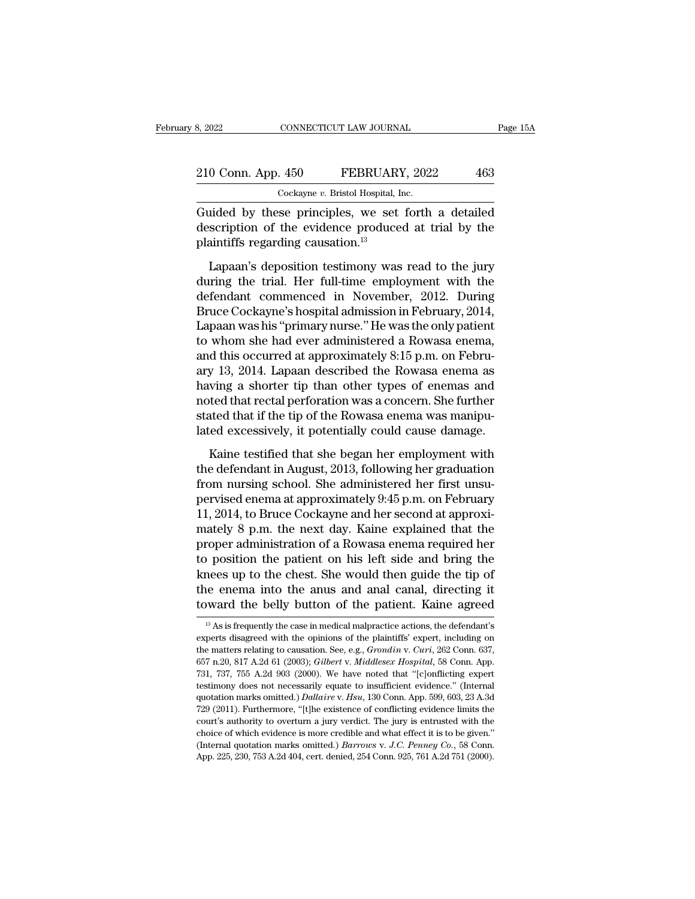| 8, 2022            | CONNECTICUT LAW JOURNAL                            | Page 15A |  |
|--------------------|----------------------------------------------------|----------|--|
| 210 Conn. App. 450 | FEBRUARY, 2022                                     | 463      |  |
|                    | Cockayne v. Bristol Hospital, Inc.                 |          |  |
|                    | Guided by these principles we set forth a detailed |          |  |

Example 210 Conn. App. 450 FEBRUARY, 2022 463<br>Cockayne v. Bristol Hospital, Inc.<br>Guided by these principles, we set forth a detailed<br>description of the evidence produced at trial by the 210 Conn. App. 450 FEBRUARY, 2022 463<br>Cockayne v. Bristol Hospital, Inc.<br>Guided by these principles, we set forth a detailed<br>description of the evidence produced at trial by the<br>plaintiffs regarding causation.<sup>13</sup> 210 Conn. App. 450 FEBRUAR<br>  $\frac{\text{Cockagne } v. \text{ Bristol Hospital, I}}{\text{Guided by these principles, we set}}$ <br>
description of the evidence produce<br>
plaintiffs regarding causation.<sup>13</sup><br>
Lapaan's deposition testimony was  $\frac{1}{\text{Cockayne } v. \text{ Bristol Hospital, Inc.}}$ <br>
Cockayne v. Bristol Hospital, Inc.<br>
and ided by these principles, we set forth a detailed<br>
scription of the evidence produced at trial by the<br>
aintiffs regarding causation.<sup>13</sup><br>
Lapaan's deposi

Cockayne v. Bristol Hospital, Inc.<br>
Guided by these principles, we set forth a detailed<br>
description of the evidence produced at trial by the<br>
plaintiffs regarding causation.<sup>13</sup><br>
Lapaan's deposition testimony was read to Guided by these principles, we set forth a detailed<br>description of the evidence produced at trial by the<br>plaintiffs regarding causation.<sup>13</sup><br>Lapaan's deposition testimony was read to the jury<br>during the trial. Her full-tim description of the evidence produced at trial by the<br>plaintiffs regarding causation.<sup>13</sup><br>Lapaan's deposition testimony was read to the jury<br>during the trial. Her full-time employment with the<br>defendant commenced in Novembe plaintiffs regarding causation.<sup>13</sup><br>Lapaan's deposition testimony was read to the jury<br>during the trial. Her full-time employment with the<br>defendant commenced in November, 2012. During<br>Bruce Cockayne's hospital admission i Lapaan's deposition testimony was read to the jury<br>during the trial. Her full-time employment with the<br>defendant commenced in November, 2012. During<br>Bruce Cockayne's hospital admission in February, 2014,<br>Lapaan was his "p Lapaan's deposition testimony was read to the jury<br>during the trial. Her full-time employment with the<br>defendant commenced in November, 2012. During<br>Bruce Cockayne's hospital admission in February, 2014,<br>Lapaan was his "pr during the trial. Her full-time employment with the<br>defendant commenced in November, 2012. During<br>Bruce Cockayne's hospital admission in February, 2014,<br>Lapaan was his "primary nurse." He was the only patient<br>to whom she h defendant commenced in November, 2012. During<br>Bruce Cockayne's hospital admission in February, 2014,<br>Lapaan was his "primary nurse." He was the only patient<br>to whom she had ever administered a Rowasa enema,<br>and this occurr Bruce Cockayne's hospital admission in February, 2014,<br>Lapaan was his "primary nurse." He was the only patient<br>to whom she had ever administered a Rowasa enema,<br>and this occurred at approximately 8:15 p.m. on Febru-<br>ary 13 Lapaan was his "primary nurse." He was the only patient<br>to whom she had ever administered a Rowasa enema,<br>and this occurred at approximately 8:15 p.m. on Febru-<br>ary 13, 2014. Lapaan described the Rowasa enema as<br>having a s to whom she had ever administered a Rowasa enema,<br>and this occurred at approximately 8:15 p.m. on Febru-<br>ary 13, 2014. Lapaan described the Rowasa enema as<br>having a shorter tip than other types of enemas and<br>noted that rec We 13, 2014. Lapaan described the Rowasa enema as<br>wing a shorter tip than other types of enemas and<br>ted that rectal perforation was a concern. She further<br>atted that if the tip of the Rowasa enema was manipu-<br>ed excessivel the defendant in August, 2013, following her first unsure that rectal perforation was a concern. She further<br>stated that if the tip of the Rowasa enema was manipulated excessively, it potentially could cause damage.<br>Kaine

from the defendant in the administered her first university of the Rowasa enema was manipulated excessively, it potentially could cause damage.<br>Kaine testified that she began her employment with the defendant in August, 20 stated that if the tip of the Rowasa enema was manipulated excessively, it potentially could cause damage.<br>Kaine testified that she began her employment with<br>the defendant in August, 2013, following her graduation<br>from nur lated excessively, it potentially could cause damage.<br>
Kaine testified that she began her employment with<br>
the defendant in August, 2013, following her graduation<br>
from nursing school. She administered her first unsu-<br>
per Kaine testified that she began her employment with<br>the defendant in August, 2013, following her graduation<br>from nursing school. She administered her first unsu-<br>pervised enema at approximately 9:45 p.m. on February<br>11, 20 Kaine testified that she began her employment with<br>the defendant in August, 2013, following her graduation<br>from nursing school. She administered her first unsu-<br>pervised enema at approximately  $9:45$  p.m. on February<br>11, the defendant in August, 2013, following her graduation<br>from nursing school. She administered her first unsu-<br>pervised enema at approximately 9:45 p.m. on February<br>11, 2014, to Bruce Cockayne and her second at approxi-<br>mat from nursing school. She administered her first unsu-<br>pervised enema at approximately 9:45 p.m. on February<br>11, 2014, to Bruce Cockayne and her second at approxi-<br>mately 8 p.m. the next day. Kaine explained that the<br>proper pervised enema at approximately 9:45 p.m. on February<br>11, 2014, to Bruce Cockayne and her second at approxi-<br>mately 8 p.m. the next day. Kaine explained that the<br>proper administration of a Rowasa enema required her<br>to posi 11, 2014, to Bruce Cockayne and her second at approximately 8 p.m. the next day. Kaine explained that the proper administration of a Rowasa enema required her to position the patient on his left side and bring the knees u to position the patient on his left side and bring the knees up to the chest. She would then guide the tip of the enema into the anus and anal canal, directing it toward the belly button of the patient. Kaine agreed  $\frac{1$ knees up to the chest. She would then guide the tip of<br>the enema into the anus and anal canal, directing it<br>toward the belly button of the patient. Kaine agreed<br> $\frac{1}{3}$  As is frequently the case in medical malpractice a

the enema into the anus and anal canal, directing it<br>toward the belly button of the patient. Kaine agreed<br><sup>13</sup> As is frequently the case in medical malpractice actions, the defendant's<br>experts disagreed with the opinions o for the belly button of the patient. Kaine agreed<br>
<sup>13</sup> As is frequently the case in medical malpractice actions, the defendant's<br>
experts disagreed with the opinions of the plaintiffs' expert, including on<br>
the matters re <sup>33</sup> As is frequently the case in medical malpractice actions, the defendant's experts disagreed with the opinions of the plaintiffs' expert, including on the matters relating to causation. See, e.g., *Grondin v. Curi*, 26 <sup>13</sup> As is frequently the case in medical malpractice actions, the defendant's experts disagreed with the opinions of the plaintiffs' expert, including on the matters relating to causation. See, e.g., *Grondin v. Curi*, 2 experts disagreed with the opinions of the plaintiffs' expert, including on<br>the matters relating to causation. See, e.g., *Grondin v. Curi*, 262 Conn. 637,<br>657 n.20, 817 A.2d 61 (2003); *Gilbert v. Middlesex Hospital*, 58 the matters relating to causation. See, e.g., *Grondin v. Curi*, 262 Conn. 637, 657 n.20, 817 A.2d 61 (2003); *Gilbert v. Middlesex Hospital*, 58 Conn. App. 731, 737, 755 A.2d 903 (2000). We have noted that "[c]onflicting 657 n.20, 817 A.2d 61 (2003); *Gilbert v. Middlesex Hospital*, 58 Conn. App. 657 n.20, 817 A.2d 61 (2003); *Gilbert v. Middlesex Hospital*, 58 Conn. App. 731, 737, 755 A.2d 903 (2000). We have noted that "[c]onflicting ex 657 n.20, 817 A.2d 61 (2003); *Gilbert v. Middlesex Hospital*, 58 Conn. App. 731, 737, 755 A.2d 903 (2000). We have noted that "[c]onflicting expert testimony does not necessarily equate to insufficient evidence." (Intern testimony does not necessarily equate to insufficient evidence." (Internal quotation marks omitted.) Dallaire v. Hsu, 130 Conn. App. 599, 603, 23 A.3d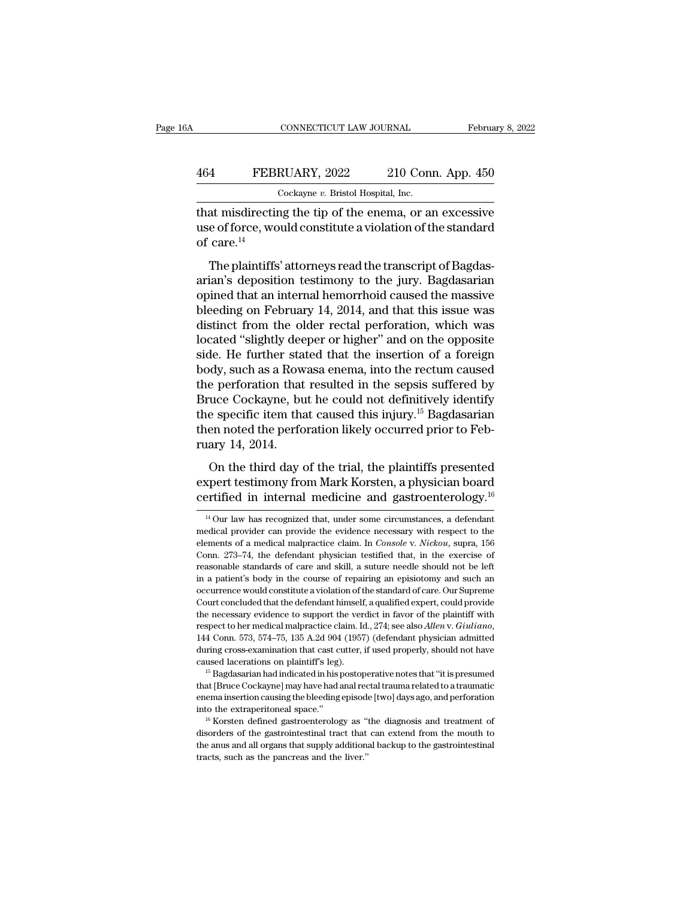## CONNECTICUT LAW JOURNAL February 8, 2022<br>464 FEBRUARY, 2022 210 Conn. App. 450<br>Cockayne v. Bristol Hospital, Inc. CONNECTICUT LAW JOURNAL Februa<br>
FEBRUARY, 2022 210 Conn. App. 450<br>
Cockayne *v.* Bristol Hospital, Inc.<br>
That misdirecting the tip of the enema, or an excessive

CONNECTICUT LAW JOURNAL February 8, 2022<br>
February 8, 2022<br>
That misdirecting the tip of the enema, or an excessive<br>
use of force, would constitute a violation of the standard<br>
of care  $^{14}$ FEBRUARY, 2022 210 Conn. App. 450<br>  $Cokayne v. Bristol Hospital, Inc.  
\nthat misdirectiong the tip of the enema, or an excessive  
\nuse of force, would constitute a violation of the standard  
\nof care.<sup>14</sup>$ 464 FEBI<br>
that misdirectin<br>
use of force, wo<br>
of care.<sup>14</sup><br>
The plaintiffs  $\frac{4}{100}$  FEBRUARY, 2022 210 Conn. App. 450<br>  $\frac{6}{100}$  Cockayne v. Bristol Hospital, Inc.<br>
at misdirecting the tip of the enema, or an excessive<br>
e of force, would constitute a violation of the standard<br>
care.<sup>14</sup><br>
Th

 $\frac{1}{2}$ <br>  $\frac{1}{2}$ <br>  $\frac{1}{2}$ <br>  $\frac{1}{2}$ <br>  $\frac{1}{2}$ <br>  $\frac{1}{2}$ <br>  $\frac{1}{2}$ <br>  $\frac{1}{2}$ <br>  $\frac{1}{2}$ <br>  $\frac{1}{2}$ <br>  $\frac{1}{2}$ <br>  $\frac{1}{2}$ <br>  $\frac{1}{2}$ <br>  $\frac{1}{2}$ <br>  $\frac{1}{2}$ <br>  $\frac{1}{2}$ <br>  $\frac{1}{2}$ <br>  $\frac{1}{2}$ <br>  $\frac{1}{2}$ <br>  $\frac{1}{2}$ <br> That misdirecting the tip of the enema, or an excessive<br>use of force, would constitute a violation of the standard<br>of care.<sup>14</sup><br>The plaintiffs' attorneys read the transcript of Bagdas-<br>arian's deposition testimony to the j blue of force, would constitute a violation of the standard<br>of care.<sup>14</sup><br>The plaintiffs' attorneys read the transcript of Bagdas-<br>arian's deposition testimony to the jury. Bagdasarian<br>opined that an internal hemorrhoid ca distinct from the official performance of care.<sup>14</sup><br>The plaintiffs' attorneys read the transcript of Bagdas-<br>arian's deposition testimony to the jury. Bagdasarian<br>opined that an internal hemorrhoid caused the massive<br>blee The plaintiffs' attorneys read the transcript of Bagdasarian's deposition testimony to the jury. Bagdasarian<br>opined that an internal hemorrhoid caused the massive<br>bleeding on February 14, 2014, and that this issue was<br>dist The plaintiffs' attorneys read the transcript of Bagdasarian's deposition testimony to the jury. Bagdasarian<br>opined that an internal hemorrhoid caused the massive<br>bleeding on February 14, 2014, and that this issue was<br>dist arian's deposition testimony to the jury. Bagdasarian<br>opined that an internal hemorrhoid caused the massive<br>bleeding on February 14, 2014, and that this issue was<br>distinct from the older rectal perforation, which was<br>locat opined that an internal hemorrhoid caused the massive<br>bleeding on February 14, 2014, and that this issue was<br>distinct from the older rectal perforation, which was<br>located "slightly deeper or higher" and on the opposite<br>sid bleeding on February 14, 2014, and that this issue was<br>distinct from the older rectal perforation, which was<br>located "slightly deeper or higher" and on the opposite<br>side. He further stated that the insertion of a foreign<br>b distinct from the older rectal perforation, which was<br>located "slightly deeper or higher" and on the opposite<br>side. He further stated that the insertion of a foreign<br>body, such as a Rowasa enema, into the rectum caused<br>the located "slightly deeper or higher" and on the opposite<br>side. He further stated that the insertion of a foreign<br>body, such as a Rowasa enema, into the rectum caused<br>the perforation that resulted in the sepsis suffered by<br>B side. He further sta<br>body, such as a Row<br>the perforation that<br>Bruce Cockayne, bu<br>the specific item tha<br>then noted the perfo<br>ruary 14, 2014.<br>On the third day o Experiment a trial day the trial, the sepsis suffered by<br>the perforation that resulted in the sepsis suffered by<br>two cockayne, but he could not definitively identify<br>e specific item that caused this injury.<sup>15</sup> Bagdasaria Experiment test is the could not definitively identify<br>Bruce Cockayne, but he could not definitively identify<br>the specific item that caused this injury.<sup>15</sup> Bagdasarian<br>then noted the perforation likely occurred prior to the specific item that caused this injury.<sup>15</sup> Bagdasarian<br>then noted the perforation likely occurred prior to Feb-<br>ruary 14, 2014.<br>On the third day of the trial, the plaintiffs presented<br>expert testimony from Mark Korste

On the third day of the trial, the plaintiffs presented<br>expert testimony from Mark Korsten, a physician board<br>certified in internal medicine and gastroenterology.<sup>16</sup><br> $\frac{14 \text{ Our law has recognized that, under some circumstances, a defendant  
medical provider can provide the evidence necessary with respect to the  
elements of a medical malaractice claim. In *Console v.*$ On the third day of the trial, the plaintiffs presented<br>expert testimony from Mark Korsten, a physician board<br>certified in internal medicine and gastroenterology.<sup>16</sup><br> $\frac{14 \text{ Our law has recognized that, under some circumstances, a defendant  
 medical provider can provide the evidence necessary with respect to the  
elements of a medical mapractice claim. In *Console v.*$ 

144 Conn. 573, 574–75, 135 A.2d 904 (1957) (defendant physician admitted during cross-examination that cast cutter, if used properly, should not have caused lacerations on plaintiff's leg).<br>
<sup>15</sup> Bagdasarian had indicated during cross-examination that cast cutter, if used properly, should not have caused lacerations on plaintiff's leg).<br>
<sup>15</sup> Bagdasarian had indicated in his postoperative notes that "it is presumed that [Bruce Cockayne] may <sup>15</sup> Bagdasarian had indicated in his postoperative notes that "it is presumed that [Bruce Cockayne] may have had anal rectal trauma related to a traumatic enema insertion causing the bleeding episode [two] days ago, and p <sup>15</sup> Bagdasarian had indicated in his postoperative notes that "it is presumed that [Bruce Cockayne] may have had anal rectal trauma related to a traumatic enema insertion causing the bleeding episode [two] days ago, and enema insertion causing the bleeding episode [two] days ago, and perforation

expert testimony from Mark Korsten, a physician board<br>certified in internal medicine and gastroenterology.<sup>16</sup><br><sup>14</sup>Our law has recognized that, under some circumstances, a defendant<br>medical provider can provide the evidenc **Consequence** in internal medicine and gastroenterology.<sup>16</sup><br><sup>14</sup> Our law has recognized that, under some circumstances, a defendant medical provider can provide the evidence necessary with respect to the elements of a me <sup>14</sup> Our law has recognized that, under some circumstances, a defendant medical provider can provide the evidence necessary with respect to the elements of a medical malpractice claim. In *Console v. Nickou*, supra, 156 C <sup>14</sup> Our law has recognized that, under some circumstances, a defendant medical provider can provide the evidence necessary with respect to the elements of a medical malpractice claim. In *Console* v. *Nickou*, supra, 156 medical provider can provide the evidence necessary with respect to the elements of a medical malpractice claim. In *Console* v. *Nickou*, supra, 156 Conn. 273–74, the defendant physician testified that, in the exercise of elements of a medical malpractice claim. In *Console* v. *Nickou*, supra, 156 Conn. 273–74, the defendant physician testified that, in the exercise of reasonable standards of care and skill, a suture needle should not be l Conn. 273–74, the defendant physician testified that, in the exercise of reasonable standards of care and skill, a suture needle should not be left in a patient's body in the course of repairing an episiotomy and such an reasonable standards of care and skill, a suture needle should not be left<br>in a patient's body in the course of repairing an episiotomy and such an<br>occurrence would constitute a violation of the standard of care. Our Supre during consistent and constitute a violation of the standard of care. Our Supreme<br>Court concluded that the defendant himself, a qualified expert, could provide<br>the necessary evidence to support the verdict in favor of the Court concluded that the defendant himself, a qualified expert, could provide<br>the necessary evidence to support the verdict in favor of the plaintiff with<br>respect to her medical malpractice claim. Id., 274; see also *Alle* respect to her medical malpractice claim. Id., 274; see also *Allen v. Giuliano*, 144 Conn. 573, 574–75, 135 A.2d 904 (1957) (defendant physician admitted during cross-examination that cast cutter, if used properly, should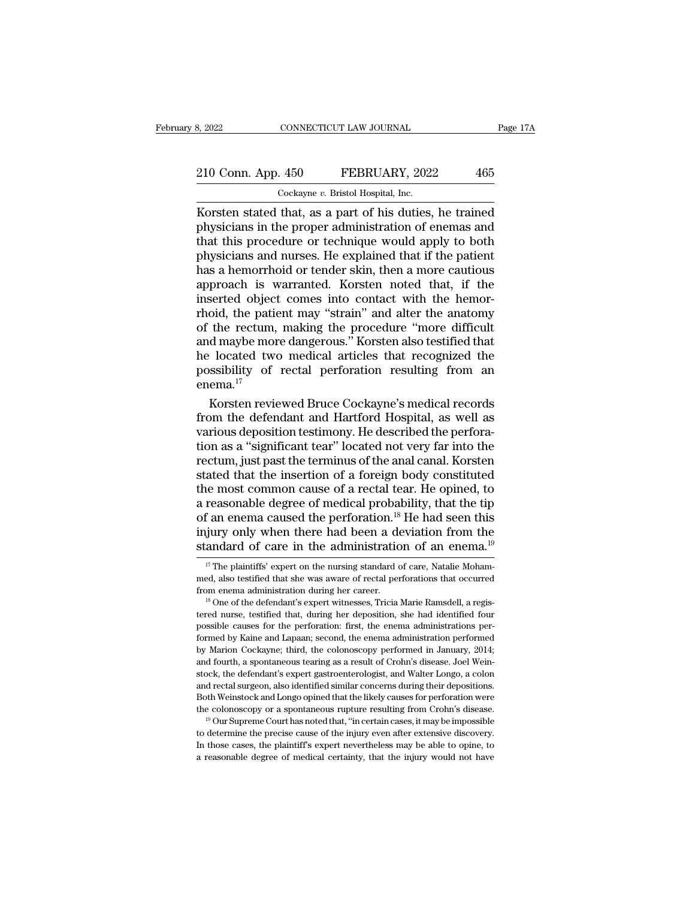# 210 Conn. App. 450 FEBRUARY, 2022 465<br>
210 Conn. App. 450 FEBRUARY, 2022 465

8, 2022 CONNECTICUT LAW JOURNAL<br>
210 Conn. App. 450 FEBRUARY, 2022 465<br>
Cockayne *v*. Bristol Hospital, Inc.<br>
Korsten stated that, as a part of his duties, he trained Example 210 Conn. App. 450 FEBRUARY, 2022 465<br>
Cockayne v. Bristol Hospital, Inc.<br>
Korsten stated that, as a part of his duties, he trained<br>
physicians in the proper administration of enemas and<br>
that this procedure or tec 210 Conn. App. 450 FEBRUARY, 2022 465<br>
Cockayne v. Bristol Hospital, Inc.<br>
Korsten stated that, as a part of his duties, he trained<br>
physicians in the proper administration of enemas and<br>
that this procedure or technique w 210 Conn. App. 450 FEBRUARY, 2022 465<br>  $\frac{\text{Cockayne } v. \text{ Bristol Hospital, Inc.}}{\text{Korsten stated that, as a part of his duties, he trained}$ <br>
physicians in the proper administration of enemas and that this procedure or technique would apply to both physicians and nurses. He expla 210 Conn. App. 450 FEBRUARY, 2022 465<br>  $\frac{\text{Cockayne } v. \text{ Bristol Hospital, Inc.}}{\text{Korsten stated that, as a part of his duties, he trained}$ <br>
physicians in the proper administration of enemas and<br>
that this procedure or technique would apply to both<br>
physicians and nurses. He exp  $\frac{1}{1000}$  Cockayne v. Bristol Hospital, Inc.<br>
Korsten stated that, as a part of his duties, he trained<br>
physicians in the proper administration of enemas and<br>
that this procedure or technique would apply to both<br>
physi Cockayne  $v$ . Bristol Hospital, Inc.<br>Korsten stated that, as a part of his duties, he trained<br>physicians in the proper administration of enemas and<br>that this procedure or technique would apply to both<br>physicians and nurse Korsten stated that, as a part of his duties, he trained<br>physicians in the proper administration of enemas and<br>that this procedure or technique would apply to both<br>physicians and nurses. He explained that if the patient<br>ha physicians in the proper administration of enemas and<br>that this procedure or technique would apply to both<br>physicians and nurses. He explained that if the patient<br>has a hemorrhoid or tender skin, then a more cautious<br>appro that this procedure or technique would apply to both<br>physicians and nurses. He explained that if the patient<br>has a hemorrhoid or tender skin, then a more cautious<br>approach is warranted. Korsten noted that, if the<br>inserted physicians and nurses. He explained that if the patient<br>has a hemorrhoid or tender skin, then a more cautious<br>approach is warranted. Korsten noted that, if the<br>inserted object comes into contact with the hemor-<br>rhoid, the has a hemorrhoid or tender skin, then a more cautious<br>approach is warranted. Korsten noted that, if the<br>inserted object comes into contact with the hemor-<br>rhoid, the patient may "strain" and alter the anatomy<br>of the rectu approach is warranted. Korsten noted that, if the<br>inserted object comes into contact with the hemor-<br>rhoid, the patient may "strain" and alter the anatomy<br>of the rectum, making the procedure "more difficult<br>and maybe more enema.<sup>17</sup> oid, the patient may "strain" and alter the anatomy<br>the rectum, making the procedure "more difficult<br>d maybe more dangerous." Korsten also testified that<br>located two medical articles that recognized the<br>ssibility of recta of the rectum, making the procedure "more difficult<br>and maybe more dangerous." Korsten also testified that<br>he located two medical articles that recognized the<br>possibility of rectal perforation resulting from an<br>enema.<sup>17</sup><br>

and maybe more dangerous." Korsten also testified that<br>he located two medical articles that recognized the<br>possibility of rectal perforation resulting from an<br>enema.<sup>17</sup><br>Korsten reviewed Bruce Cockayne's medical records<br>fr he located two medical articles that recognized the<br>possibility of rectal perforation resulting from an<br>enema.<sup>17</sup><br>Korsten reviewed Bruce Cockayne's medical records<br>from the defendant and Hartford Hospital, as well as<br>vari possibility of rectal perforation resulting from an<br>enema.<sup>17</sup><br>Korsten reviewed Bruce Cockayne's medical records<br>from the defendant and Hartford Hospital, as well as<br>various deposition testimony. He described the perfora-<br> enema.<sup>17</sup><br>Korsten reviewed Bruce Cockayne's medical records<br>from the defendant and Hartford Hospital, as well as<br>various deposition testimony. He described the perfora-<br>tion as a "significant tear" located not very far in Korsten reviewed Bruce Cockayne's medical records<br>from the defendant and Hartford Hospital, as well as<br>various deposition testimony. He described the perfora-<br>tion as a "significant tear" located not very far into the<br>rect from the defendant and Hartford Hospital, as well as<br>various deposition testimony. He described the perfora-<br>tion as a "significant tear" located not very far into the<br>rectum, just past the terminus of the anal canal. Kors various deposition testimony. He described the perforation as a "significant tear" located not very far into the rectum, just past the terminus of the anal canal. Korsten stated that the insertion of a foreign body constit tion as a "significant tear" located not very far into the rectum, just past the terminus of the anal canal. Korsten stated that the insertion of a foreign body constituted the most common cause of a rectal tear. He opine rectum, just past the terminus of the anal canal. Korsten<br>stated that the insertion of a foreign body constituted<br>the most common cause of a rectal tear. He opined, to<br>a reasonable degree of medical probability, that the reasonable degree of medical probability, that the tip<br>f an enema caused the perforation.<sup>18</sup> He had seen this<br>jury only when there had been a deviation from the<br>andard of care in the administration of an enema.<sup>19</sup><br><sup>17</sup> T of an enema caused the perforation.<sup>18</sup> He had seen this<br>injury only when there had been a deviation from the<br>standard of care in the administration of an enema.<sup>19</sup><br><sup>17</sup> The plaintiffs' expert on the nursing standard of

and rectal surgeon, also identified similar concerns during their depositions.<br>Both Weinstock and Longo opined that the likely causes for perforation were<br>the colonoscopy or a spontaneous rupture resulting from Crohn's dis

injury only when there had been a deviation from the standard of care in the administration of an enema.<sup>19</sup>  $\frac{17}{17}$  The plaintiffs' expert on the nursing standard of care, Natalie Mohammed, also testified that she wa

**EXERUGATO OF CATE IN THE ADMINISTATION OF AN ENERTHA.**<sup>--</sup><br><sup>17</sup> The plaintiffs' expert on the nursing standard of care, Natalie Mohammed, also testified that she was aware of rectal perforations that occurred from enema <sup>17</sup> The plaintiffs' expert on the nursing standard of care, Natalie Mohammed, also testified that she was aware of rectal perforations that occurred from enema administration during her career.<br><sup>18</sup> One of the defendant' formed, also testified that she was aware of rectal perforations that occurred<br>from enema administration during her career.<br><sup>18</sup> One of the defendant's expert witnesses, Tricia Marie Ramsdell, a regis-<br>tered nurse, testifi From enema administration during her career.<br>
<sup>18</sup> One of the defendant's expert witnesses, Tricia Marie Ramsdell, a regis-<br>
tered nurse, testified that, during her deposition, she had identified four<br>
possible causes for <sup>18</sup> One of the defendant's expert witnesses, Tricia Marie Ramsdell, a regis-<br><sup>18</sup> One of the defendant's expert witnesses, Tricia Marie Ramsdell, a regis-<br>tered nurse, testified that, during her deposition, she had identi tered nurse, testified that, during her deposition, she had identified four possible causes for the perforation: first, the enema administrations performed by Kaine and Lapaan; second, the enema administration performed by possible causes for the perforation: first, the enema administrations performed by Kaine and Lapaan; second, the enema administration performed by Marion Cockayne; third, the colonoscopy performed in January, 2014; and fou formed by Kaine and Lapaan; second, the enema administration performed by Marion Cockayne; third, the colonoscopy performed in January, 2014; and fourth, a spontaneous tearing as a result of Crohn's disease. Joel Weinstock by Marion Cockayne; third, the colonoscopy performed in January, 2014; and fourth, a spontaneous tearing as a result of Crohn's disease. Joel Weinstock, the defendant's expert gastroenterologist, and Walter Longo, a colon stock, the defendant's expert gastroenterologist, and Walter Longo, a colon<br>and rectal surgeon, also identified similar concerns during their depositions.<br>Both Weinstock and Longo opined that the likely causes for perfora Both Weinstock and Longo opined that the likely causes for perforation were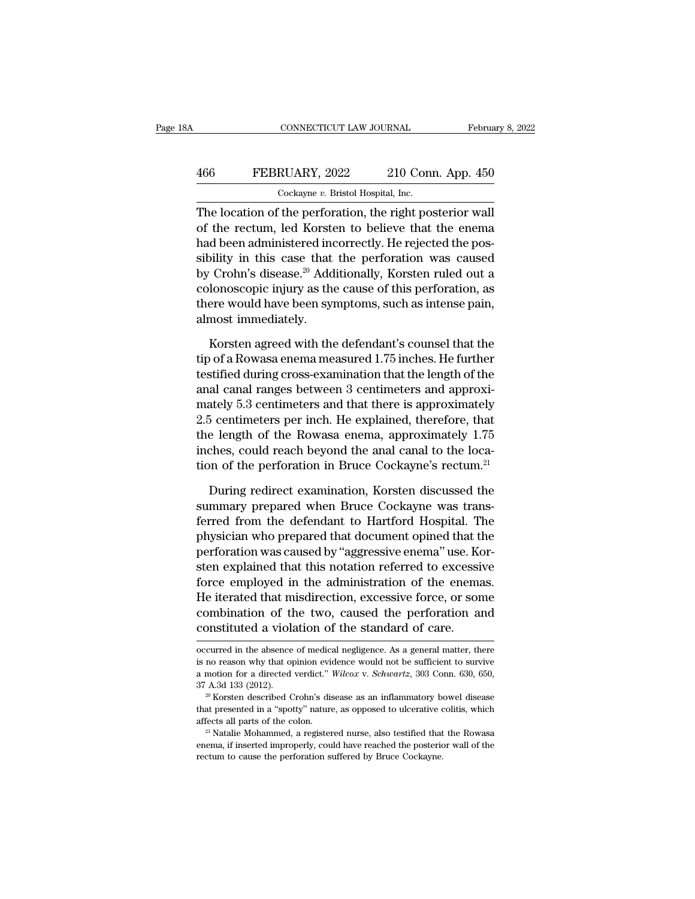## CONNECTICUT LAW JOURNAL February 8, 2022<br>466 FEBRUARY, 2022 210 Conn. App. 450<br>Cockayne v. Bristol Hospital, Inc. CONNECTICUT LAW JOURNAL Februa<br>
FEBRUARY, 2022 210 Conn. App. 450<br>
Cockayne *v.* Bristol Hospital, Inc.<br>
The location of the perforation, the right posterior wall

CONNECTICUT LAW JOURNAL February 8, 20<br>
The IDCARY, 2022 210 Conn. App. 450<br>
Cockayne v. Bristol Hospital, Inc.<br>
The location of the perforation, the right posterior wall<br>
of the rectum, led Korsten to believe that the ene 466 FEBRUARY, 2022 210 Conn. App. 450<br>
Cockayne v. Bristol Hospital, Inc.<br>
The location of the perforation, the right posterior wall<br>
of the rectum, led Korsten to believe that the enema<br>
had been administered incorrectly. 466 FEBRUARY, 2022 210 Conn. App. 450<br>  $\frac{\text{Cockaque } v. \text{ Bristol Hospital, Inc.}}{\text{The location of the performance, he right posterior wall of the rectum, led Korsten to believe that the enema had been administered incorrectly. He rejected the possibility in this case that the performance was caused by Crobn's disease? Additionally. Korsten ruled out a$ FEBRUARY, 2022 210 Conn. App. 450<br>  $\frac{\text{Cockayne } v. \text{ Bristol Hospital, Inc.}}{\text{The location of the performance, the right posterior wall}}$ <br>
of the rectum, led Korsten to believe that the enema<br>
had been administered incorrectly. He rejected the pos-<br>
sibility in this case that the perfo Cockayne v. Bristol Hospital, Inc.<br>
The location of the perforation, the right posterior wall<br>
of the rectum, led Korsten to believe that the enema<br>
had been administered incorrectly. He rejected the pos-<br>
sibility in thi Cockayhe *v*. Bistor hospital, inc.<br>The location of the perforation, the right posterior wall<br>of the rectum, led Korsten to believe that the enema<br>had been administered incorrectly. He rejected the pos-<br>sibility in this c The location of the perforation, the right posterior wall<br>of the rectum, led Korsten to believe that the enema<br>had been administered incorrectly. He rejected the pos-<br>sibility in this case that the perforation was caused<br>b of the rectum, led Korsta<br>had been administered ine<br>sibility in this case that<br>by Crohn's disease.<sup>20</sup> Add<br>colonoscopic injury as the<br>there would have been syi<br>almost immediately.<br>Korsten agreed with the by in this case that the perforation was caused<br>
Crohn's disease.<sup>20</sup> Additionally, Korsten ruled out a<br>
lonoscopic injury as the cause of this perforation, as<br>
ere would have been symptoms, such as intense pain,<br>
most imm by Crohn's disease.<sup>20</sup> Additionally, Korsten ruled out a<br>colonoscopic injury as the cause of this perforation, as<br>there would have been symptoms, such as intense pain,<br>almost immediately.<br>Korsten agreed with the defendant

colonoscopic injury as the cause of this perforation, as<br>there would have been symptoms, such as intense pain,<br>almost immediately.<br>Korsten agreed with the defendant's counsel that the<br>tip of a Rowasa enema measured 1.75 in there would have been symptoms, such as intense pain,<br>almost immediately.<br>Korsten agreed with the defendant's counsel that the<br>tip of a Rowasa enema measured 1.75 inches. He further<br>testified during cross-examination that almost immediately.<br>
Korsten agreed with the defendant's counsel that the<br>
tip of a Rowasa enema measured 1.75 inches. He further<br>
testified during cross-examination that the length of the<br>
anal canal ranges between 3 cent Korsten agreed with the defendant's counsel that the<br>tip of a Rowasa enema measured 1.75 inches. He further<br>testified during cross-examination that the length of the<br>anal canal ranges between 3 centimeters and approxi-<br>mat Korsten agreed with the defendant's counsel that the<br>tip of a Rowasa enema measured 1.75 inches. He further<br>testified during cross-examination that the length of the<br>anal canal ranges between 3 centimeters and approximate tip of a Rowasa enema measured 1.75 inches. He further<br>testified during cross-examination that the length of the<br>anal canal ranges between 3 centimeters and approxi-<br>mately 5.3 centimeters and that there is approximately<br> testified during cross-examination that the length of the<br>anal canal ranges between 3 centimeters and approxi-<br>mately 5.3 centimeters and that there is approximately<br>2.5 centimeters per inch. He explained, therefore, that<br> ately 5.3 centimeters and that there is approximately<br>5 centimeters per inch. He explained, therefore, that<br>e length of the Rowasa enema, approximately 1.75<br>ches, could reach beyond the anal canal to the loca-<br>m of the per 2.5 centimeters per inch. He explained, therefore, that<br>the length of the Rowasa enema, approximately 1.75<br>inches, could reach beyond the anal canal to the loca-<br>tion of the perforation in Bruce Cockayne's rectum.<sup>21</sup><br>Duri

the length of the Rowasa enema, approximately 1.75<br>inches, could reach beyond the anal canal to the loca-<br>tion of the perforation in Bruce Cockayne's rectum.<sup>21</sup><br>During redirect examination, Korsten discussed the<br>summary p inches, could reach beyond the anal canal to the location of the perforation in Bruce Cockayne's rectum.<sup>21</sup><br>During redirect examination, Korsten discussed the<br>summary prepared when Bruce Cockayne was trans-<br>ferred from th tion of the perforation in Bruce Cockayne's rectum.<sup>21</sup><br>During redirect examination, Korsten discussed the<br>summary prepared when Bruce Cockayne was trans-<br>ferred from the defendant to Hartford Hospital. The<br>physician who p During redirect examination, Korsten discussed the<br>summary prepared when Bruce Cockayne was trans-<br>ferred from the defendant to Hartford Hospital. The<br>physician who prepared that document opined that the<br>perforation was ca During redirect examination, Korsten discussed the<br>summary prepared when Bruce Cockayne was trans-<br>ferred from the defendant to Hartford Hospital. The<br>physician who prepared that document opined that the<br>perforation was ca summary prepared when Bruce Cockayne was transferred from the defendant to Hartford Hospital. The<br>physician who prepared that document opined that the<br>perforation was caused by "aggressive enema" use. Kor-<br>sten explained t ferred from the defendant to Hartford Hospital. The<br>physician who prepared that document opined that the<br>perforation was caused by "aggressive enema" use. Kor-<br>sten explained that this notation referred to excessive<br>force physician who prepared that document opined that the perforation was caused by "aggressive enema" use. Kosten explained that this notation referred to excessiforce employed in the administration of the enema. He iterated t force employed in the administration of the enemas.<br>He iterated that misdirection, excessive force, or some combination of the two, caused the perforation and constituted a violation of the standard of care.<br>  $\overline{\text{occurred}}$  He iterated that misdirection, excessive force, or some combination of the two, caused the perforation and constituted a violation of the standard of care.<br>
occurred in the absence of medical negligence. As a general matte

combination of the two, caused the perforation and<br>
constituted a violation of the standard of care.<br>
occurred in the absence of medical negligence. As a general matter, there<br>
is no reason why that opinion evidence would constituted a violation of the standard of care.<br>
occurred in the absence of medical negligence. As a general matter, there<br>
is no reason why that opinion evidence would not be sufficient to survive<br>
a motion for a direct occurred in the absence of medical negligence. As a general matter, there is no reason why that opinion evidence would not be sufficient to survive a motion for a directed verdict." Wilcox v. Schwartz, 303 Conn. 630, 650, as no reason why that opinion evidence would not be sufficient to survive a motion for a directed verdict." Wilcox v. Schwartz, 303 Conn. 630, 650, 37 A.3d 133 (2012).<br><sup>20</sup> Korsten described Crohn's disease as an inflamma

and 133 (2012).<br>
<sup>20</sup> Korsten described Crohn's disease as an inflammatory bowel disease that presented in a "spotty" nature, as opposed to ulcerative colitis, which affects all parts of the colon.<br>
<sup>21</sup> Natalie Mohammed, 37 A.3d 133 (2012).<br><sup>20</sup> Korsten described Crohn's disease as an inflammatory bowel disease that presented in a "spotty" nature, as opposed to ulcerative colitis, which affects all parts of the colon.<br><sup>21</sup> Natalie Mohamme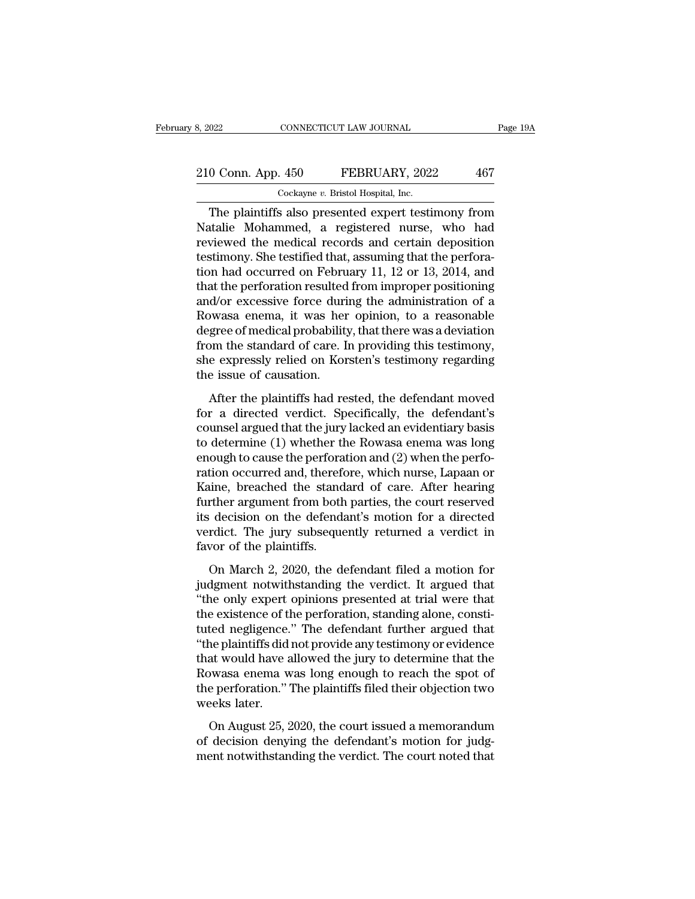## 210 Conn. App. 450 FEBRUARY, 2022 467<br>
210 Conn. App. 450 FEBRUARY, 2022 467 8, 2022 CONNECTICUT LAW JOURNAL<br>
210 Conn. App. 450 FEBRUARY, 2022 467<br>
Cockayne *v*. Bristol Hospital, Inc.<br>
The plaintiffs also presented expert testimony from

CONNECTICUT LAW JOURNAL Page 19A<br>
0 Conn. App. 450 FEBRUARY, 2022 467<br>
Cockayne v. Bristol Hospital, Inc.<br>
The plaintiffs also presented expert testimony from<br>
talie Mohammed, a registered nurse, who had<br>
viewed the modial 210 Conn. App. 450 FEBRUARY, 2022 467<br>Cockayne v. Bristol Hospital, Inc.<br>The plaintiffs also presented expert testimony from<br>Natalie Mohammed, a registered nurse, who had<br>reviewed the medical records and certain deposition 210 Conn. App. 450 FEBRUARY, 2022 467<br>
Cockayne v. Bristol Hospital, Inc.<br>
The plaintiffs also presented expert testimony from<br>
Natalie Mohammed, a registered nurse, who had<br>
reviewed the medical records and certain depos 210 Conn. App. 450 FEBRUARY, 2022 467<br>  $\frac{Cockayne v. Bristol Hospital, Inc.}{Cockayne v. Bristol Hospital, Inc.}$ <br>
The plaintiffs also presented expert testimony from<br>
Natalie Mohammed, a registered nurse, who had<br>
reviewed the medical records and certain deposition The plaintiffs also presented expert testimony from<br>
Natalie Mohammed, a registered nurse, who had<br>
reviewed the medical records and certain deposition<br>
testimony. She testified that, assuming that the perfora-<br>
tion had Cockayne *v*. Bristol Hospital, Inc.<br>
The plaintiffs also presented expert testimony from<br>
Natalie Mohammed, a registered nurse, who had<br>
reviewed the medical records and certain deposition<br>
testimony. She testified that, The plaintiffs also presented expert testimony from<br>Natalie Mohammed, a registered nurse, who had<br>reviewed the medical records and certain deposition<br>testimony. She testified that, assuming that the perfora-<br>tion had occur Natalie Mohammed, a registered nurse, who had<br>reviewed the medical records and certain deposition<br>testimony. She testified that, assuming that the perfora-<br>tion had occurred on February 11, 12 or 13, 2014, and<br>that the per reviewed the medical records and certain deposition<br>testimony. She testified that, assuming that the perfora-<br>tion had occurred on February 11, 12 or 13, 2014, and<br>that the perforation resulted from improper positioning<br>an testimony. She testified that, assuming that the perforation had occurred on February 11, 12 or 13, 2014, and that the perforation resulted from improper positioning and/or excessive force during the administration of a Ro tion had occurred on February 11, 12 or 13, 2014, and<br>that the perforation resulted from improper positioning<br>and/or excessive force during the administration of a<br>Rowasa enema, it was her opinion, to a reasonable<br>degree o that the perforation resulted<br>and/or excessive force duri<br>Rowasa enema, it was her<br>degree of medical probabilit;<br>from the standard of care. I<br>she expressly relied on Kor<br>the issue of causation.<br>After the plaintiffs had re After the plaintiffs had rested, the defendant moved<br>a reserve of medical probability, that there was a deviation<br>om the standard of care. In providing this testimony,<br>e expressly relied on Korsten's testimony regarding<br>e Forms degree of medical probability, that there was a deviation<br>from the standard of care. In providing this testimony,<br>she expressly relied on Korsten's testimony regarding<br>the issue of causation.<br>After the plaintiffs had

from the standard of care. In providing this testimony,<br>she expressly relied on Korsten's testimony regarding<br>the issue of causation.<br>After the plaintiffs had rested, the defendant moved<br>for a directed verdict. Specifical to determine the standard of cate: in providing and sessimilarly,<br>she expressly relied on Korsten's testimony regarding<br>the issue of causation.<br>After the plaintiffs had rested, the defendant moved<br>for a directed verdict. S end on noise the sestimony regarding<br>the issue of causation.<br>After the plaintiffs had rested, the defendant moved<br>for a directed verdict. Specifically, the defendant's<br>counsel argued that the jury lacked an evidentiary bas After the plaintiffs had rested, the defendant moved<br>for a directed verdict. Specifically, the defendant's<br>counsel argued that the jury lacked an evidentiary basis<br>to determine (1) whether the Rowasa enema was long<br>enough After the plaintiffs had rested, the defendant moved<br>for a directed verdict. Specifically, the defendant's<br>counsel argued that the jury lacked an evidentiary basis<br>to determine (1) whether the Rowasa enema was long<br>enough for a directed verdict. Specifically, the defendant's<br>counsel argued that the jury lacked an evidentiary basis<br>to determine (1) whether the Rowasa enema was long<br>enough to cause the perforation and (2) when the perfo-<br>rati counsel argued that the jury lacked an evidentiary basis<br>to determine (1) whether the Rowasa enema was long<br>enough to cause the perforation and (2) when the perfo-<br>ration occurred and, therefore, which nurse, Lapaan or<br>Kai to determine (1) whether the Rowasa enema was long<br>enough to cause the perforation and (2) when the perfo-<br>ration occurred and, therefore, which nurse, Lapaan or<br>Kaine, breached the standard of care. After hearing<br>further enough to cause the perfora<br>ration occurred and, therefor<br>Kaine, breached the stand<br>further argument from both<br>its decision on the defenda<br>verdict. The jury subseque<br>favor of the plaintiffs.<br>On March 2, 2020, the d sion occurred and, ancrease, which have, happened of<br>time, breached the standard of care. After hearing<br>reference decision on the defendant's motion for a directed<br>rdict. The jury subsequently returned a verdict in<br>vor of Further argument from both parties, the court reserved<br>its decision on the defendant's motion for a directed<br>verdict. The jury subsequently returned a verdict in<br>favor of the plaintiffs.<br>On March 2, 2020, the defendant fil

The distribution of the defendant's motion for a directed<br>
verdict. The jury subsequently returned a verdict in<br>
favor of the plaintiffs.<br>
On March 2, 2020, the defendant filed a motion for<br>
judgment notwithstanding the ve the existence of the deterministic model for a directed<br>verdict. The jury subsequently returned a verdict in<br>favor of the plaintiffs.<br>On March 2, 2020, the defendant filed a motion for<br>judgment notwithstanding the verdict. the plantiffs.<br>
On March 2, 2020, the defendant filed a motion for<br>
judgment notwithstanding the verdict. It argued that<br>
"the only expert opinions presented at trial were that<br>
the existence of the perforation, standing a On March 2, 2020, the defendant filed a motion for<br>judgment notwithstanding the verdict. It argued that<br>"the only expert opinions presented at trial were that<br>the existence of the perforation, standing alone, consti-<br>tuted On March 2, 2020, the defendant filed a motion for<br>judgment notwithstanding the verdict. It argued that<br>"the only expert opinions presented at trial were that<br>the existence of the perforation, standing alone, consti-<br>tuted judgment notwithstanding the verdict. It argued that<br>"the only expert opinions presented at trial were that<br>the existence of the perforation, standing alone, consti-<br>tuted negligence." The defendant further argued that<br>"th "the only expert opinions presented at trial were that<br>the existence of the perforation, standing alone, consti-<br>tuted negligence." The defendant further argued that<br>"the plaintiffs did not provide any testimony or evidenc the existence of the tuted negligence.<br>"the plaintiffs did<br>that would have a<br>Rowasa enema w<br>the perforation."<br>weeks later.<br>On August 25, 2 ne plaintiffs did not provide any testimony or evidence<br>at would have allowed the jury to determine that the<br>bwasa enema was long enough to reach the spot of<br>e perforation." The plaintiffs filed their objection two<br>eeks la In the planning did not provide any testancy of evidence<br>that would have allowed the jury to determine that the<br>Rowasa enema was long enough to reach the spot of<br>the perforation." The plaintiffs filed their objection two<br>w ment would have allowed the jury to determine that the Rowasa enema was long enough to reach the spot of the perforation." The plaintiffs filed their objection two weeks later.<br>On August 25, 2020, the court issued a memora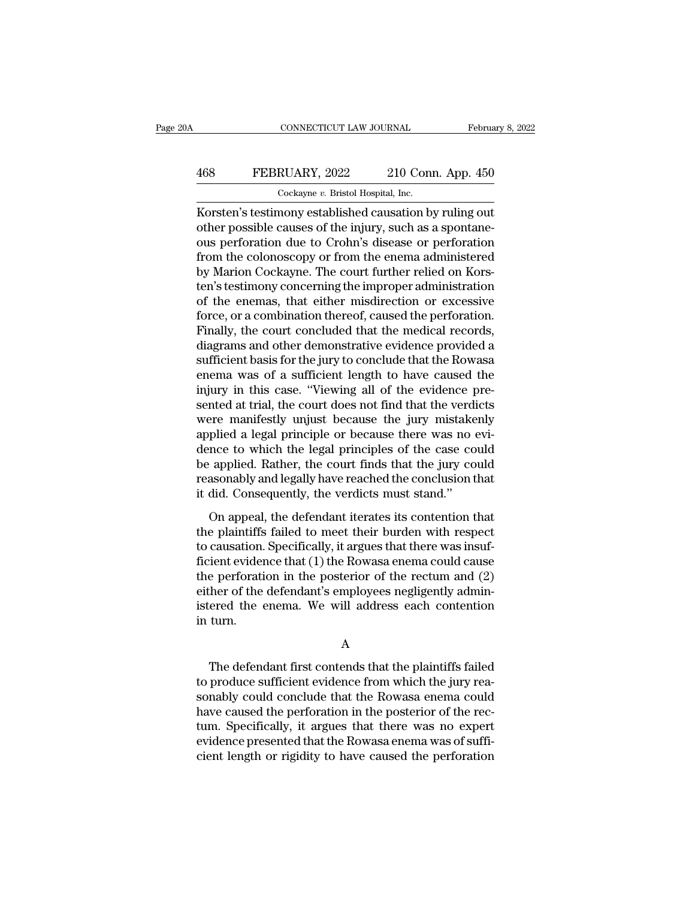## CONNECTICUT LAW JOURNAL February 8, 2022<br>468 FEBRUARY, 2022 210 Conn. App. 450<br>Cockayne v. Bristol Hospital, Inc. CONNECTICUT LAW JOURNAL Februa<br>
FEBRUARY, 2022 210 Conn. App. 450<br>
Cockayne *v.* Bristol Hospital, Inc.<br>
Korsten's testimony established causation by ruling out

CONNECTICUT LAW JOURNAL February 8, 202<br>
FEBRUARY, 2022 210 Conn. App. 450<br>
Cockayne v. Bristol Hospital, Inc.<br>
Korsten's testimony established causation by ruling out<br>
other possible causes of the injury, such as a sponta FEBRUARY, 2022 210 Conn. App. 450<br>
Cockayne v. Bristol Hospital, Inc.<br>
Korsten's testimony established causation by ruling out<br>
other possible causes of the injury, such as a spontane-<br>
ous perforation due to Crohn's disea 468 FEBRUARY, 2022 210 Conn. App. 450<br>  $\frac{\text{Cockayne } v. \text{ Bristol Hospital, Inc.}}{\text{Korsten's testimony established causation by ruling out}}$ <br>
Korsten's testimony established causation by ruling out<br>
other possible causes of the injury, such as a spontane-<br>
ous perforation due to Croh FEBRUARY, 2022 210 Conn. App. 450<br>  $\frac{\text{Cockayne } v. \text{ Bristol Hospital, Inc.}}{\text{Korsten's testimony established causation by ruling out}}$ <br>
other possible causes of the injury, such as a spontane-<br>
ous perforation due to Crohn's disease or perforation<br>
from the colonoscopy or from the  $\frac{1}{2}$  Cockayne v. Bristol Hospital, Inc.<br>
Korsten's testimony established causation by ruling out<br>
other possible causes of the injury, such as a spontane-<br>
ous perforation due to Crohn's disease or perforation<br>
from Cockayne  $v$ . Bristol Hospital, Inc.<br>Korsten's testimony established causation by ruling out<br>other possible causes of the injury, such as a spontane-<br>ous perforation due to Crohn's disease or perforation<br>from the colonosc Korsten's testimony established causation by ruling out<br>other possible causes of the injury, such as a spontane-<br>ous perforation due to Crohn's disease or perforation<br>from the colonoscopy or from the enema administered<br>by other possible causes of the injury, such as a spontane-<br>ous perforation due to Crohn's disease or perforation<br>from the colonoscopy or from the enema administered<br>by Marion Cockayne. The court further relied on Kors-<br>ten's ous perforation due to Crohn's disease or perforation<br>from the colonoscopy or from the enema administered<br>by Marion Cockayne. The court further relied on Kors-<br>ten's testimony concerning the improper administration<br>of the from the colonoscopy or from the enema administered<br>by Marion Cockayne. The court further relied on Kors-<br>ten's testimony concerning the improper administration<br>of the enemas, that either misdirection or excessive<br>force, o by Marion Cockayne. The court further relied on Korsten's testimony concerning the improper administration<br>of the enemas, that either misdirection or excessive<br>force, or a combination thereof, caused the perforation.<br>Final ten's testimony concerning the improper administration<br>of the enemas, that either misdirection or excessive<br>force, or a combination thereof, caused the perforation.<br>Finally, the court concluded that the medical records,<br>di of the enemas, that either misdirection or excessive<br>force, or a combination thereof, caused the perforation.<br>Finally, the court concluded that the medical records,<br>diagrams and other demonstrative evidence provided a<br>suff force, or a combination thereof, caused the perforation.<br>Finally, the court concluded that the medical records,<br>diagrams and other demonstrative evidence provided a<br>sufficient basis for the jury to conclude that the Rowasa Finally, the court concluded that the medical records,<br>diagrams and other demonstrative evidence provided a<br>sufficient basis for the jury to conclude that the Rowasa<br>enema was of a sufficient length to have caused the<br>inju diagrams and other demonstrative evidence provided a<br>sufficient basis for the jury to conclude that the Rowasa<br>enema was of a sufficient length to have caused the<br>injury in this case. "Viewing all of the evidence pre-<br>sent sufficient basis for the jury to conclude that the Rowasa<br>enema was of a sufficient length to have caused the<br>injury in this case. "Viewing all of the evidence pre-<br>sented at trial, the court does not find that the verdict enema was of a sufficient length to have caused the<br>injury in this case. "Viewing all of the evidence pre-<br>sented at trial, the court does not find that the verdicts<br>were manifestly unjust because the jury mistakenly<br>appli injury in this case. "Viewing all of the evidence presented at trial, the court does not find that the verdicts<br>were manifestly unjust because the jury mistakenly<br>applied a legal principle or because there was no evi-<br>denc sented at trial, the court does not find that the verdiff were manifestly unjust because the jury mistake applied a legal principle or because there was no dence to which the legal principles of the case co be applied. Rat For maintest, anywer seculate and yary inistimately<br>plied a legal principle or because there was no evi-<br>nce to which the legal principles of the case could<br>asonably and legally have reached the conclusion that<br>did. Conseq dence to which the legal principles of the case could<br>dence to which the legal principles of the case could<br>reasonably and legally have reached the conclusion that<br>it did. Consequently, the verdicts must stand."<br>On appeal

the applied. Rather, the court finds that the jury could<br>reasonably and legally have reached the conclusion that<br>it did. Consequently, the verdicts must stand."<br>On appeal, the defendant iterates its contention that<br>the pla free that (1) the Rowasa enema could cause that it did. Consequently, the verdicts must stand."<br>On appeal, the defendant iterates its contention that<br>the plaintiffs failed to meet their burden with respect<br>to causation. Sp the performance of the vertical and conclusion into the plaintiffs failed to meet their burden with respect<br>to causation. Specifically, it argues that there was insuf-<br>ficient evidence that (1) the Rowasa enema could cause either on appeal, the defendant iterates its contention that<br>the plaintiffs failed to meet their burden with respect<br>to causation. Specifically, it argues that there was insuf-<br>ficient evidence that (1) the Rowasa enema co On appeal, the defendant iterates its contention that<br>the plaintiffs failed to meet their burden with respect<br>to causation. Specifically, it argues that there was insuf-<br>ficient evidence that (1) the Rowasa enema could cau the plaintiffs<br>to causation.<br>ficient evider<br>the perforati<br>either of the<br>istered the ein turn. e perforation in the posterior of the rectum and (2)<br>ther of the defendant's employees negligently admin-<br>ered the enema. We will address each contention<br>turn.<br>A<br>The defendant first contends that the plaintiffs failed<br>prod

A

either of the defendant's employees negligently administered the enema. We will address each contention<br>in turn.<br>A<br>The defendant first contends that the plaintiffs failed<br>to produce sufficient evidence from which the jury istered the enema. We will address each contention<br>in turn.<br>A<br>The defendant first contends that the plaintiffs failed<br>to produce sufficient evidence from which the jury rea-<br>sonably could conclude that the Rowasa enema cou have caused the plaintiffs failed<br>to produce sufficient evidence from which the jury reasonably could conclude that the Rowasa enema could<br>have caused the perforation in the posterior of the rec-<br>tum. Specifically, it argu A<br>
The defendant first contends that the plaintiffs failed<br>
to produce sufficient evidence from which the jury rea-<br>
sonably could conclude that the Rowasa enema could<br>
have caused the perforation in the posterior of the r The defendant first contends that the plaintiffs failed<br>to produce sufficient evidence from which the jury rea-<br>sonably could conclude that the Rowasa enema could<br>have caused the perforation in the posterior of the rec-<br>tu The defendant first contends that the plaintiffs failed<br>to produce sufficient evidence from which the jury rea-<br>sonably could conclude that the Rowasa enema could<br>have caused the perforation in the posterior of the rec-<br>tu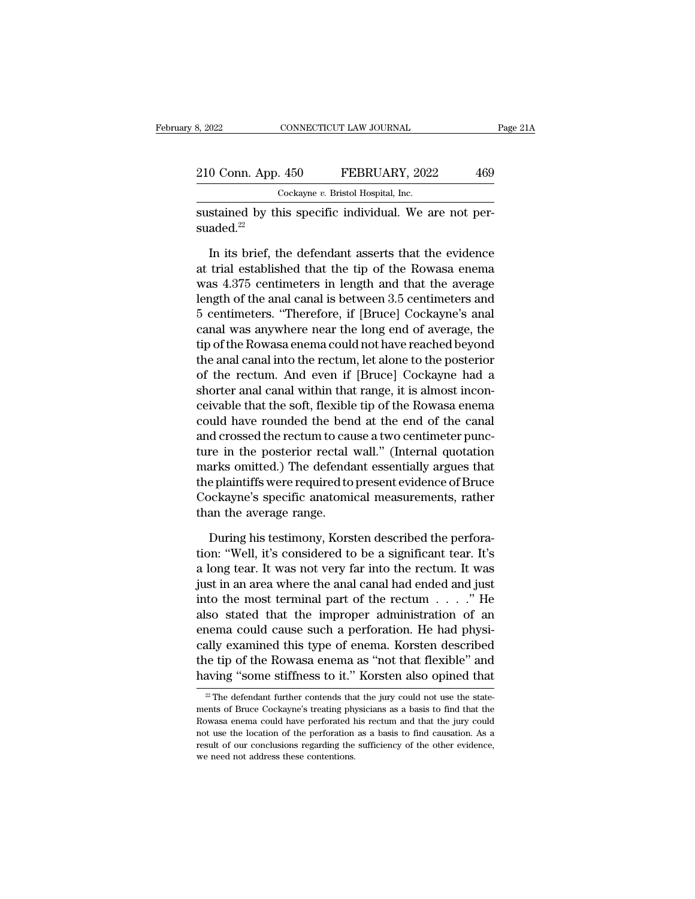| 3, 2022            | CONNECTICUT LAW JOURNAL                                | Page 21A |
|--------------------|--------------------------------------------------------|----------|
| 210 Conn. App. 450 | FEBRUARY, 2022                                         | 469      |
|                    | Cockayne v. Bristol Hospital, Inc.                     |          |
|                    | sustained by this specific individual. We are not per- |          |

sustained by this specific individual. We are not persuaded.<sup>22</sup>

 $\frac{1}{2}$  Cockayne v. Bristol Hospital, Inc.<br>
Stained by this specific individual. We are not per-<br>
aded.<sup>22</sup><br>
In its brief, the defendant asserts that the evidence<br>
trial established that the tip of the Rowasa enema<br>
are  $\frac{100 \text{ Cokayne } v. \text{ Bristol Hospital, Inc.}}{\text{Cockayne } v. \text{ Bristol Hospital, Inc.}}$ <br>
sustained by this specific individual. We are not per-<br>
suaded.<sup>22</sup><br>
In its brief, the defendant asserts that the evidence<br>
at trial established that the tip of the Rowasa e  $\frac{\text{Cocka} \text{N}}{\text{Coulomb}}$  cockayne *v*. Bristol Hospital, Inc.<br>
sustained by this specific individual. We are not per-<br>
suaded.<sup>22</sup><br>
In its brief, the defendant asserts that the evidence<br>
at trial established that the tip o sustained by this specific individual. We are not per-<br>suaded.<sup>22</sup><br>In its brief, the defendant asserts that the evidence<br>at trial established that the tip of the Rowasa enema<br>was 4.375 centimeters in length and that the a suaded.<sup>22</sup><br>In its brief, the defendant asserts that the evidence<br>at trial established that the tip of the Rowasa enema<br>was 4.375 centimeters in length and that the average<br>length of the anal canal is between 3.5 centimete In its brief, the defendant asserts that the evidence<br>at trial established that the tip of the Rowasa enema<br>was 4.375 centimeters in length and that the average<br>length of the anal canal is between 3.5 centimeters and<br>5 cen In its brief, the defendant asserts that the evidence<br>at trial established that the tip of the Rowasa enema<br>was 4.375 centimeters in length and that the average<br>length of the anal canal is between 3.5 centimeters and<br>5 cen at trial established that the tip of the Rowasa enema<br>was 4.375 centimeters in length and that the average<br>length of the anal canal is between 3.5 centimeters and<br>5 centimeters. "Therefore, if [Bruce] Cockayne's anal<br>canal was 4.375 centimeters in length and that the average<br>length of the anal canal is between 3.5 centimeters and<br>5 centimeters. "Therefore, if [Bruce] Cockayne's anal<br>canal was anywhere near the long end of average, the<br>tip of length of the anal canal is between 3.5 centimeters and<br>5 centimeters. "Therefore, if [Bruce] Cockayne's anal<br>canal was anywhere near the long end of average, the<br>tip of the Rowasa enema could not have reached beyond<br>the a 5 centimeters. "Therefore, if [Bruce] Cockayne's anal<br>canal was anywhere near the long end of average, the<br>tip of the Rowasa enema could not have reached beyond<br>the anal canal into the rectum, let alone to the posterior<br>of canal was anywhere near the long end of average, the<br>tip of the Rowasa enema could not have reached beyond<br>the anal canal into the rectum, let alone to the posterior<br>of the rectum. And even if [Bruce] Cockayne had a<br>shorte tip of the Rowasa enema could not have reached beyond<br>the anal canal into the rectum, let alone to the posterior<br>of the rectum. And even if [Bruce] Cockayne had a<br>shorter anal canal within that range, it is almost incon-<br>c the anal canal into the rectum, let alone to the posterior<br>of the rectum. And even if [Bruce] Cockayne had a<br>shorter anal canal within that range, it is almost incon-<br>ceivable that the soft, flexible tip of the Rowasa enem of the rectum. And even if [Bruce] Cockayne had a<br>shorter anal canal within that range, it is almost incon-<br>ceivable that the soft, flexible tip of the Rowasa enema<br>could have rounded the bend at the end of the canal<br>and c shorter anal canal within that range, it is almost inconceivable that the soft, flexible tip of the Rowasa enema<br>could have rounded the bend at the end of the canal<br>and crossed the rectum to cause a two centimeter punc-<br>tu ceivable that the soft, flexible tip of the Rowasa enema<br>could have rounded the bend at the end of the canal<br>and crossed the rectum to cause a two centimeter punc-<br>ture in the posterior rectal wall." (Internal quotation<br>ma could have rounded the ben<br>and crossed the rectum to cat<br>ture in the posterior rectal<br>marks omitted.) The defenda<br>the plaintiffs were required to<br>Cockayne's specific anatomi<br>than the average range.<br>During his testimony. Ko re in the posterior rectal wall." (Internal quotation<br>arks omitted.) The defendant essentially argues that<br>e plaintiffs were required to present evidence of Bruce<br>ockayne's specific anatomical measurements, rather<br>an the a marks omitted.) The defendant essentially argues that<br>the plaintiffs were required to present evidence of Bruce<br>Cockayne's specific anatomical measurements, rather<br>than the average range.<br>During his testimony, Korsten desc

the plaintiffs were required to present evidence of Bruce<br>Cockayne's specific anatomical measurements, rather<br>than the average range.<br>During his testimony, Korsten described the perfora-<br>tion: "Well, it's considered to be Cockayne's specific anatomical measurements, rather<br>than the average range.<br>During his testimony, Korsten described the perfora-<br>tion: "Well, it's considered to be a significant tear. It's<br>a long tear. It was not very far than the average range.<br>
During his testimony, Korsten described the perforation: "Well, it's considered to be a significant tear. It's<br>
a long tear. It was not very far into the rectum. It was<br>
just in an area where the During his testimony, Korsten described the perforation: "Well, it's considered to be a significant tear. It's<br>a long tear. It was not very far into the rectum. It was<br>just in an area where the anal canal had ended and ju During his testimony, Korsten described the perforation: "Well, it's considered to be a significant tear. It's a long tear. It was not very far into the rectum. It was just in an area where the anal canal had ended and ju tion: "Well, it's considered to be a significant tear. It's<br>a long tear. It was not very far into the rectum. It was<br>just in an area where the anal canal had ended and just<br>into the most terminal part of the rectum  $\ldots$ . a long tear. It was not very far into the rectum. It was<br>just in an area where the anal canal had ended and just<br>into the most terminal part of the rectum . . . . " He<br>also stated that the improper administration of an<br>ene just in an area where the anal canal had ended and just<br>into the most terminal part of the rectum  $\ldots$ ." He<br>also stated that the improper administration of an<br>enema could cause such a perforation. He had physi-<br>cally exa nema could cause such a perforation. He had physially examined this type of enema. Korsten described<br>he tip of the Rowasa enema as "not that flexible" and<br>aving "some stiffness to it." Korsten also opined that<br> $\frac{22}{10}$  cally examined this type of enema. Korsten described<br>the tip of the Rowasa enema as "not that flexible" and<br>having "some stiffness to it." Korsten also opined that<br> $\frac{2}{\sqrt{2}}$  The defendant further contends that the jury

the tip of the Rowasa enema as "not that flexible" and having "some stiffness to it." Korsten also opined that  $\frac{1}{2}$  The defendant further contends that the jury could not use the statements of Bruce Cockayne's treati having "some stiffness to it." Korsten also opined that  $\frac{1}{2}$  The defendant further contends that the jury could not use the statements of Bruce Cockayne's treating physicians as a basis to find that the Rowasa enema The defendant further contends that the jury could not use the state-<br>
<sup>22</sup> The defendant further contends that the jury could not use the state-<br>
ments of Bruce Cockayne's treating physicians as a basis to find that the<br>  $\approx$  The defendant further contends than<br>ments of Bruce Cockayne's treating phy<br>Rowasa enema could have perforated l<br>not use the location of the perforation<br>result of our conclusions regarding the<br>we need not address thes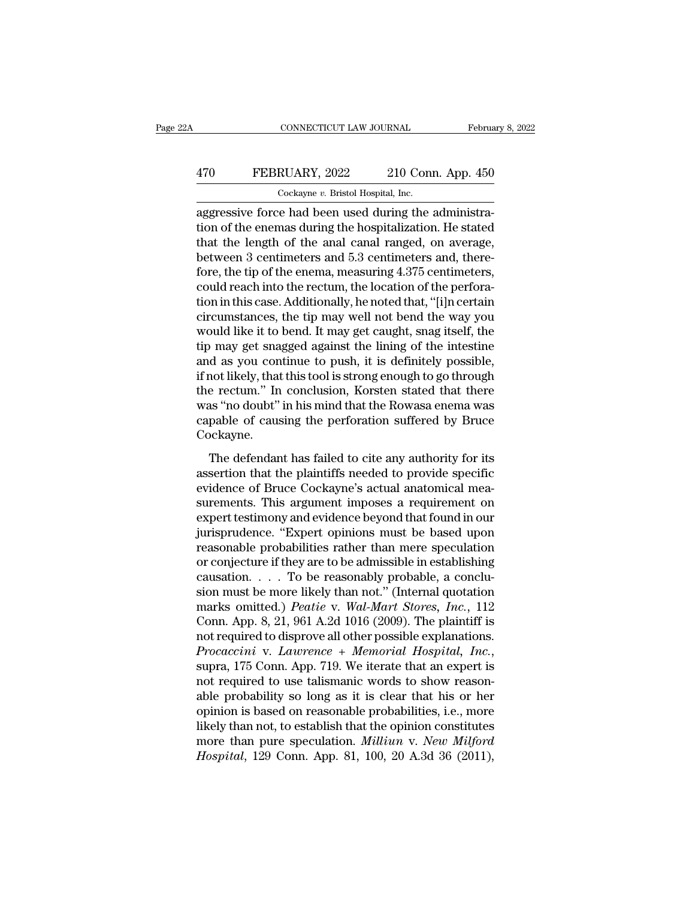## CONNECTICUT LAW JOURNAL February 8, 2022<br>
470 FEBRUARY, 2022 210 Conn. App. 450<br>
Cockayne v. Bristol Hospital, Inc. Cockayne *v.* Bristol Hospital, Inc.

CONNECTICUT LAW JOURNAL Februa<br>
470 FEBRUARY, 2022 210 Conn. App. 450<br>
Cockayne v. Bristol Hospital, Inc.<br>
aggressive force had been used during the administra-<br>
tion of the enemas during the hospitalization. He stated<br>
th The FEBRUARY, 2022 210 Conn. App. 450<br>
Cockayne v. Bristol Hospital, Inc.<br>
aggressive force had been used during the administration of the enemas during the hospitalization. He stated<br>
that the length of the anal canal ran 470 FEBRUARY, 2022 210 Conn. App. 450<br>  $\frac{\text{Cockayne } v. \text{ Bristol Hospital, Inc.}}{\text{aggressive force had been used during the administration of the enemas during the hospitalization. He stated that the length of the anal canal ranged, on average, between 3 centimeters and 5.3 centimeters and, therefore the tin of the onoma measuring 4.375 centimeters.}$  $\frac{470}{22}$  EBRUARY, 2022 210 Conn. App. 450<br>  $\frac{60}{22}$  Cockayne v. Bristol Hospital, Inc.<br>
aggressive force had been used during the administra-<br>
tion of the enemas during the hospitalization. He stated<br>
that the leng  $\frac{1}{\text{Cockayne } v. \text{ Bristol Hospital, Inc.}}$ <br>
aggressive force had been used during the administration of the enemas during the hospitalization. He stated<br>
that the length of the anal canal ranged, on average,<br>
between 3 centimeters and 5.  $\frac{1}{2}$  cockayne v. Bristol Hospital, inc.<br>aggressive force had been used during the administra-<br>tion of the enemas during the hospitalization. He stated<br>that the length of the anal canal ranged, on average,<br>between 3 c aggressive force had been used during the administration of the enemas during the hospitalization. He stated that the length of the anal canal ranged, on average, between 3 centimeters and 5.3 centimeters and, therefore, t tion of the enemas during the hospitalization. He stated<br>that the length of the anal canal ranged, on average,<br>between 3 centimeters and 5.3 centimeters and, there-<br>fore, the tip of the enema, measuring 4.375 centimeters,<br> that the length of the anal canal ranged, on average,<br>between 3 centimeters and 5.3 centimeters and, there-<br>fore, the tip of the enema, measuring 4.375 centimeters,<br>could reach into the rectum, the location of the perforabetween 3 centimeters and 5.3 centimeters and, therefore, the tip of the enema, measuring 4.375 centimeters, could reach into the rectum, the location of the perforation in this case. Additionally, he noted that, "[i]n cer fore, the tip of the enema, measuring 4.375 centimeters,<br>could reach into the rectum, the location of the perfora-<br>tion in this case. Additionally, he noted that, "[i]n certain<br>circumstances, the tip may well not bend the could reach into the rectum, the location of the perforation in this case. Additionally, he noted that, "[i]n certain circumstances, the tip may well not bend the way you would like it to bend. It may get caught, snag itse tion in this case. Additionally, he noted that, "[i]n certain<br>circumstances, the tip may well not bend the way you<br>would like it to bend. It may get caught, snag itself, the<br>tip may get snagged against the lining of the in circumstances, the tip may well not bend the way you<br>would like it to bend. It may get caught, snag itself, the<br>tip may get snagged against the lining of the intestine<br>and as you continue to push, it is definitely possible would like it to bend. It may get caught, snag itself, the<br>tip may get snagged against the lining of the intestine<br>and as you continue to push, it is definitely possible,<br>if not likely, that this tool is strong enough to g Cockayne. The defendant has failed to cite any authority for its<br>series are rectum." In conclusion, Korsten stated that there<br>as "no doubt" in his mind that the Rowasa enema was<br>pable of causing the perforation suffered by Bruce<br>ock assertion." In conclusion, Korsten stated that there<br>was "no doubt" in his mind that the Rowasa enema was<br>capable of causing the perforation suffered by Bruce<br>Cockayne.<br>The defendant has failed to cite any authority for it

event and the Rowasa enema was<br>was "no doubt" in his mind that the Rowasa enema was<br>capable of causing the perforation suffered by Bruce<br>Cockayne.<br>The defendant has failed to cite any authority for its<br>assertion that the p surements. This argument imposes a requirement on expected with the plaintiffs needed to provide specific<br>evidence of Bruce Cockayne's actual anatomical measurements. This argument imposes a requirement on<br>expert testimony Euplaste of eatlang are performed to state test of cookayne.<br>
The defendant has failed to cite any authority for its<br>
assertion that the plaintiffs needed to provide specific<br>
evidence of Bruce Cockayne's actual anatomical The defendant has failed to cite any authority for its<br>assertion that the plaintiffs needed to provide specific<br>evidence of Bruce Cockayne's actual anatomical mea-<br>surements. This argument imposes a requirement on<br>expert t The defendant has failed to cite any authority for its<br>assertion that the plaintiffs needed to provide specific<br>evidence of Bruce Cockayne's actual anatomical mea-<br>surements. This argument imposes a requirement on<br>expert t assertion that the plaintiffs needed to provide specific<br>evidence of Bruce Cockayne's actual anatomical mea-<br>surements. This argument imposes a requirement on<br>expert testimony and evidence beyond that found in our<br>jurispru evidence of Bruce Cockayne's actual anatomical measurements. This argument imposes a requirement on expert testimony and evidence beyond that found in our jurisprudence. "Expert opinions must be based upon reasonable prob surements. This argument imposes a requirement on<br>expert testimony and evidence beyond that found in our<br>jurisprudence. "Expert opinions must be based upon<br>reasonable probabilities rather than mere speculation<br>or conjectur expert testimony and evidence beyond that found in our<br>jurisprudence. "Expert opinions must be based upon<br>reasonable probabilities rather than mere speculation<br>or conjecture if they are to be admissible in establishing<br>cau jurisprudence. "Expert opinions must be based upon<br>reasonable probabilities rather than mere speculation<br>or conjecture if they are to be admissible in establishing<br>causation.... To be reasonably probable, a conclu-<br>sion m reasonable probabilities rather than mere speculation<br>or conjecture if they are to be admissible in establishing<br>causation.... To be reasonably probable, a conclu-<br>sion must be more likely than not." (Internal quotation<br>m or conjecture if they are to be admissible in establishing<br>causation. . . . To be reasonably probable, a conclu-<br>sion must be more likely than not." (Internal quotation<br>marks omitted.) *Peatie* v. *Wal-Mart Stores*, *Inc.* sion must be more likely than not." (Internal quotation<br>marks omitted.) *Peatie* v. Wal-Mart Stores, Inc., 112<br>Conn. App. 8, 21, 961 A.2d 1016 (2009). The plaintiff is<br>not required to disprove all other possible explanatio marks omitted.) *Peatie v. Wal-Mart Stores, Inc.*, 112<br>Conn. App. 8, 21, 961 A.2d 1016 (2009). The plaintiff is<br>not required to disprove all other possible explanations.<br>*Procaccini v. Lawrence + Memorial Hospital, Inc.*,<br> Conn. App. 8, 21, 961 A.2d 1016 (2009). The plaintiff is<br>not required to disprove all other possible explanations.<br>*Procaccini* v. *Lawrence* + *Memorial Hospital*, *Inc.*,<br>supra, 175 Conn. App. 719. We iterate that an ex not required to disprove all other possible explanations.<br> *Procaccini* v. *Lawrence* + *Memorial Hospital*, *Inc.*,<br>
supra, 175 Conn. App. 719. We iterate that an expert is<br>
not required to use talismanic words to show re *Procaccini* v. *Lawrence* + *Memorial Hospital, Inc.*, supra, 175 Conn. App. 719. We iterate that an expert is not required to use talismanic words to show reasonable probability so long as it is clear that his or her opi supra, 175 Conn. App. 719. We iterate that an expert is<br>not required to use talismanic words to show reason-<br>able probability so long as it is clear that his or her<br>opinion is based on reasonable probabilities, i.e., more<br>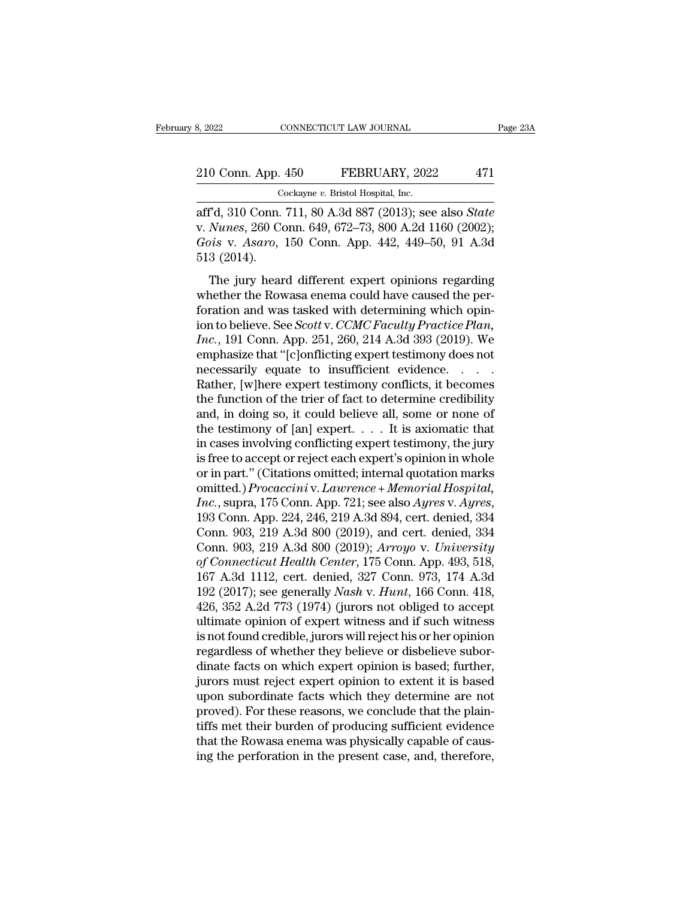## 210 Conn. App. 450 FEBRUARY, 2022 471<br>
Cockayne v. Bristol Hospital, Inc. 8, 2022 CONNECTICUT LAW JOURNAL<br>
210 Conn. App. 450 FEBRUARY, 2022 471<br>
Cockayne *v*. Bristol Hospital, Inc.<br>
aff'd, 310 Conn. 711, 80 A.3d 887 (2013); see also *State*

8, 2022 CONNECTICUT LAW JOURNAL Page 23A<br>
210 Conn. App. 450 FEBRUARY, 2022 471<br>
Cockayne v. Bristol Hospital, Inc.<br>
aff'd, 310 Conn. 711, 80 A.3d 887 (2013); see also *State*<br>
v. *Nunes*, 260 Conn. 649, 672–73, 800 A.2d 1 210 Conn. App. 450 FEBRUARY, 2022 471<br>
Cockayne v. Bristol Hospital, Inc.<br>
aff'd, 310 Conn. 711, 80 A.3d 887 (2013); see also *State*<br>
v. *Nunes*, 260 Conn. 649, 672–73, 800 A.2d 1160 (2002);<br> *Gois* v. *Asaro*, 150 Conn. <sup>210</sup> Conn. App. 450 FEBRUARY, 2022 471<br>
<sup>Gockayne</sup> v. Bristol Hospital, Inc.<br>
aff'd, 310 Conn. 711, 80 A.3d 887 (2013); see also *State*<br>
v. *Nunes*, 260 Conn. 649, 672–73, 800 A.2d 1160 (2002);<br> *Gois* v. *Asaro*, 150 Co 210 Conn. App.<br>
Conn. Conn.<br>
aff<sup>3</sup>d, 310 Conn.<br>
v. *Nunes*, 260 Co<br>
Gois v. *Asaro*,<br>
513 (2014).<br>
The jury hear Cockayne v. Bristol Hospital, Inc.<br>
Fd, 310 Conn. 711, 80 A.3d 887 (2013); see also *State*<br> *Nunes*, 260 Conn. 649, 672–73, 800 A.2d 1160 (2002);<br> *is* v. *Asaro*, 150 Conn. App. 442, 449–50, 91 A.3d<br>
3 (2014).<br>
The jury aff'd, 310 Conn. 711, 80 A.3d 887 (2013); see also *State*<br>v. *Nunes*, 260 Conn. 649, 672–73, 800 A.2d 1160 (2002);<br>*Gois* v. *Asaro*, 150 Conn. App. 442, 449–50, 91 A.3d<br>513 (2014).<br>The jury heard different expert opinio

For all at a set of the and was tasked with determining which opin-<br>for a set of the determining whether the Rowasa enema could have caused the per-<br>foration and was tasked with determining which opin-<br>ion to believe. See in the last of the believe. See *Scotting* (2014).<br> *Gois v. Asaro,* 150 Conn. App. 442, 449–50, 91 A.3d<br>
513 (2014).<br>
The jury heard different expert opinions regarding<br>
whether the Rowasa enema could have caused the per-**IDENTIFY CONNET APPLE ASSETS:** The solid conduct the jury heard different expert opinions regarding whether the Rowasa enema could have caused the perforation and was tasked with determining which opinion to believe. See The jury heard different expert opinions regarding<br>
whether the Rowasa enema could have caused the per-<br>
foration and was tasked with determining which opin-<br>
ion to believe. See *Scott* v. *CCMC Faculty Practice Plan*,<br> The jury heard different expert opinions regarding<br>whether the Rowasa enema could have caused the per-<br>foration and was tasked with determining which opin-<br>ion to believe. See *Scott* v. *CCMC Faculty Practice Plan*,<br>*Inc* whether the Rowasa enema could have caused the perforation and was tasked with determining which opin-<br>ion to believe. See *Scott* v. *CCMC Faculty Practice Plan*,<br>*Inc.*, 191 Conn. App. 251, 260, 214 A.3d 393 (2019). We<br> foration and was tasked with determining which opin-<br>ion to believe. See *Scott* v. *CCMC Faculty Practice Plan*,<br>*Inc.*, 191 Conn. App. 251, 260, 214 A.3d 393 (2019). We<br>emphasize that "[c]onflicting expert testimony doe ion to believe. See *Scott* v. *CCMC Faculty Practice Plan,*<br> *Inc.*, 191 Conn. App. 251, 260, 214 A.3d 393 (2019). We<br>
emphasize that "[c]onflicting expert testimony does not<br>
necessarily equate to insufficient evidence. *Inc.*, 191 Conn. App. 251, 260, 214 A.3d 393 (2019). We emphasize that "[c]onflicting expert testimony does not necessarily equate to insufficient evidence. . . . . Rather, [w]here expert testimony conflicts, it becomes emphasize that "[c]onflicting expert testimony does not<br>necessarily equate to insufficient evidence. . . . .<br>Rather, [w]here expert testimony conflicts, it becomes<br>the function of the trier of fact to determine credibility necessarily equate to insufficient evidence. . . . .<br>Rather, [w]here expert testimony conflicts, it becomes<br>the function of the trier of fact to determine credibility<br>and, in doing so, it could believe all, some or none of Rather, [w]here expert testimony conflicts, it becomes<br>the function of the trier of fact to determine credibility<br>and, in doing so, it could believe all, some or none of<br>the testimony of [an] expert. . . . It is axiomatic the function of the trier of fact to determine credibility<br>and, in doing so, it could believe all, some or none of<br>the testimony of [an] expert. . . . It is axiomatic that<br>in cases involving conflicting expert testimony, t and, in doing so, it could believe all, some or none of<br>the testimony of [an] expert. . . . . It is axiomatic that<br>in cases involving conflicting expert testimony, the jury<br>is free to accept or reject each expert's opinion in cases involving conflicting expert testimony, the jury<br>is free to accept or reject each expert's opinion in whole<br>or in part." (Citations omitted; internal quotation marks<br>omitted.) *Procaccini* v. Lawrence + Memorial H is free to accept or reject each expert's opinion in whole<br>or in part." (Citations omitted; internal quotation marks<br>omitted.) *Procaccini* v. *Lawrence* + *Memorial Hospital*,<br>*Inc.*, supra, 175 Conn. App. 721; see also or in part." (Citations omitted; internal quotation marks<br>
omitted.) *Procaccini* v. *Lawrence* + *Memorial Hospital*,<br> *Inc.*, supra, 175 Conn. App. 721; see also *Ayres* v. *Ayres*,<br>
193 Conn. App. 224, 246, 219 A.3d 894 omitted.) *Procaccini* v. *Lawrence* + *Memorial Hospital,*<br> *Inc.*, supra, 175 Conn. App. 721; see also *Ayres* v. *Ayres*,<br>
193 Conn. App. 224, 246, 219 A.3d 894, cert. denied, 334<br>
Conn. 903, 219 A.3d 800 (2019); *Arroy* Inc., supra, 175 Conn. App. 721; see also Ayres v. Ayres, 193 Conn. App. 224, 246, 219 A.3d 894, cert. denied, 334 Conn. 903, 219 A.3d 800 (2019), and cert. denied, 334 Conn. 903, 219 A.3d 800 (2019); Arroyo v. *University* 193 Conn. App. 224, 246, 219 A.3d 894, cert. denied, 334<br>Conn. 903, 219 A.3d 800 (2019), and cert. denied, 334<br>Conn. 903, 219 A.3d 800 (2019); *Arroyo v. University*<br>of *Connecticut Health Center*, 175 Conn. App. 493, 518 Conn. 903, 219 A.3d 800 (2019), and cert. denied, 334<br>Conn. 903, 219 A.3d 800 (2019); *Arroyo v. University*<br>of *Connecticut Health Center*, 175 Conn. App. 493, 518,<br>167 A.3d 1112, cert. denied, 327 Conn. 973, 174 A.3d<br>192 Conn. 903, 219 A.3d 800 (2019); *Arroyo* v. *University*<br>of Connecticut Health Center, 175 Conn. App. 493, 518,<br>167 A.3d 1112, cert. denied, 327 Conn. 973, 174 A.3d<br>192 (2017); see generally *Nash* v. *Hunt*, 166 Conn. 418 of Connecticut Health Center, 175 Conn. App. 493, 518, 167 A.3d 1112, cert. denied, 327 Conn. 973, 174 A.3d 192 (2017); see generally *Nash v. Hunt*, 166 Conn. 418, 426, 352 A.2d 773 (1974) (jurors not obliged to accept ul 167 A.3d 1112, cert. denied, 327 Conn. 973, 174 A.3d<br>192 (2017); see generally *Nash v. Hunt*, 166 Conn. 418,<br>426, 352 A.2d 773 (1974) (jurors not obliged to accept<br>ultimate opinion of expert witness and if such witness<br>i 192 (2017); see generally *Nash v. Hunt*, 166 Conn. 418, 426, 352 A.2d 773 (1974) (jurors not obliged to accept ultimate opinion of expert witness and if such witness is not found credible, jurors will reject his or her o 426, 352 A.2d 773 (1974) (jurors not obliged to accept<br>ultimate opinion of expert witness and if such witness<br>is not found credible, jurors will reject his or her opinion<br>regardless of whether they believe or disbelieve su ultimate opinion of expert witness and if such witness<br>is not found credible, jurors will reject his or her opinion<br>regardless of whether they believe or disbelieve subor-<br>dinate facts on which expert opinion is based; fur is not found credible, jurors will reject his or her opinion<br>regardless of whether they believe or disbelieve subor-<br>dinate facts on which expert opinion is based; further,<br>jurors must reject expert opinion to extent it is regardless of whether they believe or disbelieve subordinate facts on which expert opinion is based; further, jurors must reject expert opinion to extent it is based upon subordinate facts which they determine are not prov dinate facts on which expert opinion is based; further,<br>jurors must reject expert opinion to extent it is based<br>upon subordinate facts which they determine are not<br>proved). For these reasons, we conclude that the plain-<br>ti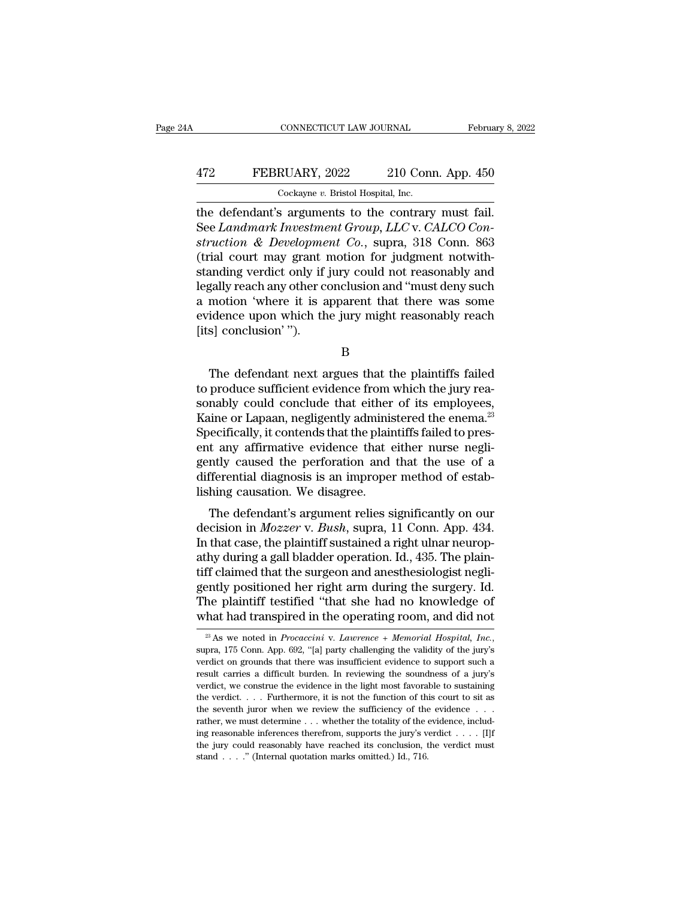## CONNECTICUT LAW JOURNAL February 8, 2022<br>472 FEBRUARY, 2022 210 Conn. App. 450<br>Cockayne v. Bristol Hospital, Inc. CONNECTICUT LAW JOURNAL Februa<br>
Text FEBRUARY, 2022 210 Conn. App. 450<br>
Cockayne *v.* Bristol Hospital, Inc.<br>
The defendant's arguments to the contrary must fail.

CONNECTICUT LAW JOURNAL February 8, 21<br>
FEBRUARY, 2022 210 Conn. App. 450<br>
Cockayne v. Bristol Hospital, Inc.<br>
the defendant's arguments to the contrary must fail.<br>
See Landmark Investment Group, LLC v. CALCO Con-FEBRUARY, 2022 210 Conn. App. 450<br>
Cockayne v. Bristol Hospital, Inc.<br>
the defendant's arguments to the contrary must fail.<br>
See *Landmark Investment Group, LLC* v. *CALCO Con-*<br>
struction & Development Co., supra, 318 Con *struction & Development Co.*, supra, 318 Conn. 863<br>*struction & Developments to the contrary must fail.*<br>*See Landmark Investment Group, LLC v. CALCO Construction & Development Co.*, supra, 318 Conn. 863<br>(trial court may FEBRUARY, 2022 210 Conn. App. 450<br>
Cockayne v. Bristol Hospital, Inc.<br>
the defendant's arguments to the contrary must fail.<br>
See *Landmark Investment Group, LLC* v. *CALCO Construction & Development Co.*, supra, 318 Conn. Cockayne v. Bristol Hospital, Inc.<br>
the defendant's arguments to the contrary must fail.<br>
See *Landmark Investment Group*, *LLC* v. *CALCO Construction & Development Co.*, supra, 318 Conn. 863<br>
(trial court may grant motio Cockayne v. Bristol Hospital, Inc.<br>
the defendant's arguments to the contrary must fail.<br>
See *Landmark Investment Group*, *LLC* v. *CALCO Construction & Development Co.*, supra, 318 Conn. 863<br>
(trial court may grant moti the defendant's arguments to the contrary must fail.<br>See *Landmark Investment Group*, *LLC* v. *CALCO Construction & Development Co.*, supra, 318 Conn. 863<br>(trial court may grant motion for judgment notwith-<br>standing verdi See *Landmark Investment Group*, *LLC* v. *CALCO Construction & Development Co.*, supra, 318 Conn. 863 (trial court may grant motion for judgment notwithstanding verdict only if jury could not reasonably and legally reach struction & Developme<br>(trial court may grant i<br>standing verdict only if<br>legally reach any other co<br>a motion 'where it is a<br>evidence upon which th<br>[its] conclusion'"). %year any other conclusion and "must deny such motion 'where it is apparent that there was some idence upon which the jury might reasonably reach specifically conclusion in the plaintiffs failed produce sufficient evidence

B

a motion 'where it is apparent that there was some<br>evidence upon which the jury might reasonably reach<br>[its] conclusion'").<br>B<br>The defendant next argues that the plaintiffs failed<br>to produce sufficient evidence from which t evidence upon which the jury might reasonably reach<br>
[its] conclusion'").<br>
B<br>
The defendant next argues that the plaintiffs failed<br>
to produce sufficient evidence from which the jury reasonably<br>
could conclude that either [its] conclusion'").<br>
B<br>
The defendant next argues that the plaintiffs failed<br>
to produce sufficient evidence from which the jury rea-<br>
sonably could conclude that either of its employees,<br>
Kaine or Lapaan, negligently adm B<br>
Specifically, the defendant next argues that the plaintiffs failed<br>
to produce sufficient evidence from which the jury rea-<br>
specifically, it contends that the plaintiffs failed to pres-<br>
ent any affirmative evidence th Enterpreter and the plaintiffs failed<br>to produce sufficient evidence from which the jury rea-<br>sonably could conclude that either of its employees,<br>Kaine or Lapaan, negligently administered the enema.<sup>23</sup><br>Specifically, it c The defendant next argues that the plaintiffs failed<br>to produce sufficient evidence from which the jury rea-<br>sonably could conclude that either of its employees,<br>Kaine or Lapaan, negligently administered the enema.<sup>23</sup><br>Spe to produce sufficient evidence from which the jury reasonably could conclude that either of its employees, Kaine or Lapaan, negligently administered the enema.<sup>23</sup> Specifically, it contends that the plaintiffs failed to pr sonably could conclude that either<br>Kaine or Lapaan, negligently adminis<br>Specifically, it contends that the plair<br>ent any affirmative evidence that  $\epsilon$ <br>gently caused the perforation and<br>differential diagnosis is an imprope ine of Lapaan, negigently administered the enenta.<br>
ecifically, it contends that the plaintiffs failed to pres-<br>
t any affirmative evidence that either nurse negli-<br>
intly caused the perforation and that the use of a<br>
ffer by economy, it contends that the plaintins laned to present any affirmative evidence that either nurse negligently caused the perforation and that the use of a differential diagnosis is an improper method of establishing c

ent any annuative evidence that either hurse negh-<br>gently caused the perforation and that the use of a<br>differential diagnosis is an improper method of estab-<br>lishing causation. We disagree.<br>The defendant's argument relies gently caused the perforation and that the use of a<br>differential diagnosis is an improper method of estab-<br>lishing causation. We disagree.<br>The defendant's argument relies significantly on our<br>decision in *Mozzer* v. *Bush* dishing causation. We disagree.<br>The defendant's argument relies significantly on our<br>decision in *Mozzer* v. *Bush*, supra, 11 Conn. App. 434.<br>In that case, the plaintiff sustained a right ulnar neurop-<br>athy during a gall The defendant's argument relies significantly on our decision in  $Mozzer$  v. Bush, supra, 11 Conn. App. 434.<br>In that case, the plaintiff sustained a right ulnar neuropathy during a gall bladder operation. Id., 435. The plain The defendant's argument relies significantly on our<br>decision in *Mozzer* v. *Bush*, supra, 11 Conn. App. 434.<br>In that case, the plaintiff sustained a right ulnar neurop-<br>athy during a gall bladder operation. Id., 435. The decision in *Mozzer* v. *Bush*, supra, 11 Conn. App. 434.<br>In that case, the plaintiff sustained a right ulnar neuropathy during a gall bladder operation. Id., 435. The plaintiff claimed that the surgeon and anesthesiologi tiff claimed that the surgeon and anesthesiologist negli-<br>gently positioned her right arm during the surgery. Id.<br>The plaintiff testified "that she had no knowledge of<br>what had transpired in the operating room, and did not

The plaintiff testified "that she had no knowledge of what had transpired in the operating room, and did not  $\frac{1}{100}$  As we noted in *Procaccini* v. *Laurence* + *Memorial Hospital*, *Inc.*, supra, 175 Conn. App. 692, what had transpired in the operating room, and did not  $\overline{a}$  as we noted in *Procaccini* v. *Lawrence* + *Memorial Hospital, Inc.*, supra, 175 Conn. App. 692, "[a] party challenging the validity of the jury's verdict o what that transpired in the operating room, and thot its  $\frac{1}{2}$  as  $\frac{1}{2}$  as we noted in *Procaccini* v. *Lawrence* + *Memorial Hospital, Inc.*, supra, 175 Conn. App. 692, "[a] party challenging the validity of the <sup>23</sup> As we noted in *Procaccini* v. *Lawrence* + *Memorial Hospital, Inc.*, supra, 175 Conn. App. 692, "[a] party challenging the validity of the jury's verdict on grounds that there was insufficient evidence to support s supra, 175 Conn. App. 692, "[a] party challenging the validity of the jury's verdict on grounds that there was insufficient evidence to support such a result carries a difficult burden. In reviewing the soundness of a jur verdict on grounds that there was insufficient evidence to support such a result carries a difficult burden. In reviewing the soundness of a jury's verdict, we construe the evidence in the light most favorable to sustaini result carries a difficult burden. In reviewing the soundness of a jury's verdict, we construe the evidence in the light most favorable to sustaining the verdict.... Furthermore, it is not the function of this court to si verdict, we construe the evidence in the light most favorable to sustaining the verdict. . . . Furthermore, it is not the function of this court to sit as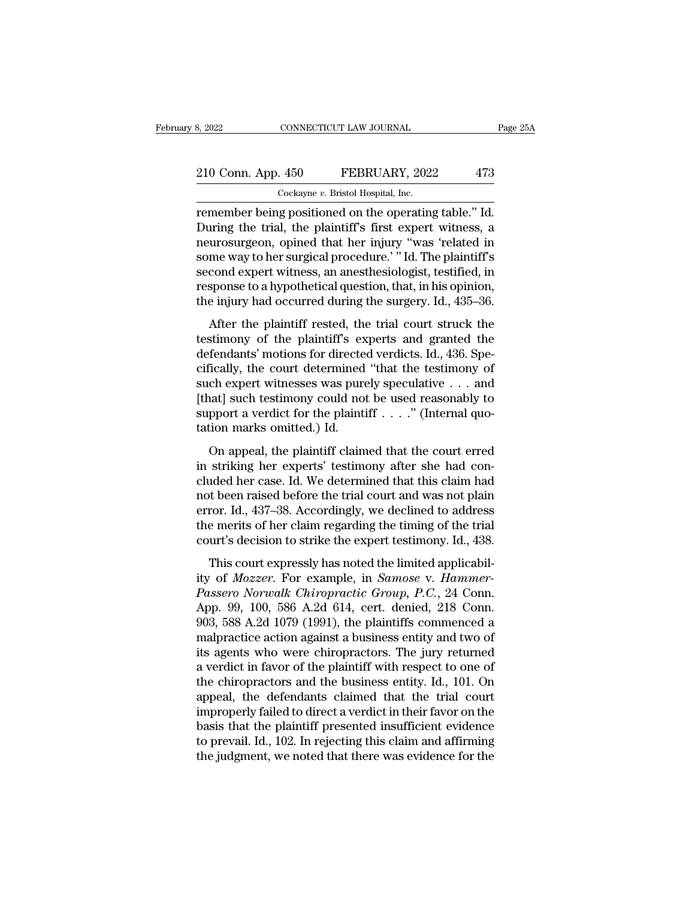## 210 Conn. App. 450 FEBRUARY, 2022 473<br>
210 Conn. App. 450 FEBRUARY, 2022 473 8, 2022 CONNECTICUT LAW JOURNAL<br>
210 Conn. App. 450 FEBRUARY, 2022 473<br>
Cockayne *v*. Bristol Hospital, Inc.<br>
remember being positioned on the operating table." Id.

remember being positioned on the operating table." Id.<br>
The ockayne v. Bristol Hospital, Inc.<br>
The ockayne v. Bristol Hospital, Inc.<br>
The operating table." Id.<br>
During the trial, the plaintiff's first expert witness, a<br>
no 210 Conn. App. 450 FEBRUARY, 2022 473<br>
Cockayne v. Bristol Hospital, Inc.<br>
Temember being positioned on the operating table." Id.<br>
During the trial, the plaintiff's first expert witness, a<br>
neurosurgeon, opined that her in 210 Conn. App. 450 FEBRUARY, 2022 473<br>  $\frac{\text{Cockayne } v. \text{ Bristol Hospital, Inc.}}{\text{remember being positioned on the operating table." Id.}}$ <br>
Temember being positioned on the operating table." Id.<br>
During the trial, the plaintiff's first expert witness, a<br>
neurosurgeon, opined that he 210 Conn. App. 450 FEBRUARY, 2022 473<br>
Cockayne v. Bristol Hospital, Inc.<br>
remember being positioned on the operating table.'' Id.<br>
During the trial, the plaintiff's first expert witness, a<br>
neurosurgeon, opined that her i Cockayne v. Bristol Hospital, Inc.<br>
remember being positioned on the operating table." Id.<br>
During the trial, the plaintiff's first expert witness, a<br>
neurosurgeon, opined that her injury "was 'related in<br>
some way to her Cockayne v. Bristol Hospital, Inc.<br>
remember being positioned on the operating table." Id.<br>
During the trial, the plaintiff's first expert witness, a<br>
neurosurgeon, opined that her injury "was 'related in<br>
some way to her remember being positioned on the operating table." Id.<br>During the trial, the plaintiff's first expert witness, a<br>neurosurgeon, opined that her injury "was 'related in<br>some way to her surgical procedure.' "Id. The plaintiff After the plaintiff is the trial court struck the strength of the plaintiff's cond expert witness, an anesthesiologist, testified, in sponse to a hypothetical question, that, in his opinion, e injury had occurred during t techosing on, opined and iter ngary was related in<br>some way to her surgical procedure.' "Id. The plaintiff's<br>second expert witness, an anesthesiologist, testified, in<br>response to a hypothetical question, that, in his opini

some way to her surgical procedure. The mainting<br>second expert witness, an anesthesiologist, testified, in<br>response to a hypothetical question, that, in his opinion,<br>the injury had occurred during the surgery. Id., 435–36. cifical determined in the used reasonably to<br>response to a hypothetical question, that, in his opinion,<br>the injury had occurred during the surgery. Id., 435–36.<br>After the plaintiff rested, the trial court struck the<br>testim such experimental differential differential planning the surgery. Id., 435–36.<br>After the plaintiff rested, the trial court struck the<br>testimony of the plaintiff's experts and granted the<br>defendants' motions for directed v After the plaintiff rested, the trial court struck the<br>testimony of the plaintiff's experts and granted the<br>defendants' motions for directed verdicts. Id., 436. Spe-<br>cifically, the court determined "that the testimony of<br> After the plaintiff rested, the trial court struck the testimony of the plaintiff's experts and granted the defendants' motions for directed verdicts. Id., 436. Specifically, the court determined "that the testimony of su testimony of the plaintiff's ex<br>defendants' motions for directe<br>cifically, the court determined<br>such expert witnesses was pure<br>[that] such testimony could no<br>support a verdict for the plaintit<br>tation marks omitted.) Id.<br>On The plants in the plaintiff data the testimony of<br>cheapert witnesses was purely speculative  $\dots$  and<br>aat] such testimony could not be used reasonably to<br>pport a verdict for the plaintiff  $\dots$ . " (Internal quo-<br>tion marks such expert witnesses was purely speculative  $\dots$  and [that] such testimony could not be used reasonably to support a verdict for the plaintiff  $\dots$ ." (Internal quotation marks omitted.) Id.<br>On appeal, the plaintiff claim

[that] such testimony could not be used reasonably to<br>support a verdict for the plaintiff . . . ." (Internal quo-<br>tation marks omitted.) Id.<br>On appeal, the plaintiff claimed that the court erred<br>in striking her experts' t parally seen researchly collect row of distribution marks omitted.) Id.<br>
On appeal, the plaintiff claimed that the court erred<br>
in striking her experts' testimony after she had con-<br>
cluded her case. Id. We determined tha tation marks omitted.) Id.<br>
On appeal, the plaintiff claimed that the court erred<br>
in striking her experts' testimony after she had con-<br>
cluded her case. Id. We determined that this claim had<br>
not been raised before the In a possible merits of her plaintiff claimed that the court erred<br>in striking her experts' testimony after she had con-<br>cluded her case. Id. We determined that this claim had<br>not been raised before the trial court and was On appeal, the plaintiff claimed that the court erred<br>in striking her experts' testimony after she had con-<br>cluded her case. Id. We determined that this claim had<br>not been raised before the trial court and was not plain<br>er ded her case. Id. We determined that this claim had<br>to been raised before the trial court and was not plain<br>ror. Id., 437–38. Accordingly, we declined to address<br>e merits of her claim regarding the timing of the trial<br>urt is and the rease. The *M* determined that this claim had<br>not been raised before the trial court and was not plain<br>error. Id., 437–38. Accordingly, we declined to address<br>the merits of her claim regarding the timing of the

*Passero Norwalk Chiropractic Group, P.C.*, 24 Conn.<br> *Passero Norwalk Chiropractic Group, P.C.*, 24 Conn.<br> *Passero Norwalk Chiropractic Group, P.C.*, 24 Conn.<br> *App.* 99, 100, 586 A.2d 614, cert. denied, 218 Conn.<br>
202 5 Error. Tal, 197 66. Heestungry, we deemed to didness<br>the merits of her claim regarding the timing of the trial<br>court's decision to strike the expert testimony. Id., 438.<br>This court expressly has noted the limited applicabi Fraction of the expert testimony. Id., 438.<br>
This court expressly has noted the limited applicabil-<br>
ity of *Mozzer*. For example, in *Samose v. Hammer-<br>
Passero Norwalk Chiropractic Group, P.C.*, 24 Conn.<br>
App. 99, 100, 5 This court expressly has noted the limited applicability of *Mozzer*. For example, in *Samose v. Hammer-<br>Passero Norwalk Chiropractic Group, P.C.*, 24 Conn.<br>App. 99, 100, 586 A.2d 614, cert. denied, 218 Conn.<br>903, 588 A.2 This court expressly has noted the limited applicabil-<br>ity of *Mozzer*. For example, in *Samose* v. *Hammer-<br>Passero Norwalk Chiropractic Group*, *P.C.*, 24 Conn.<br>App. 99, 100, 586 A.2d 614, cert. denied, 218 Conn.<br>903, 58 ity of *Mozzer*. For example, in *Samose* v. *Hammer-*<br>Passero Norwalk Chiropractic Group, P.C., 24 Conn.<br>App. 99, 100, 586 A.2d 614, cert. denied, 218 Conn.<br>903, 588 A.2d 1079 (1991), the plaintiffs commenced a<br>malpractic Passero Norwalk Chiropractic Group, P.C., 24 Conn.<br>App. 99, 100, 586 A.2d 614, cert. denied, 218 Conn.<br>903, 588 A.2d 1079 (1991), the plaintiffs commenced a<br>malpractice action against a business entity and two of<br>its agent App. 99, 100, 586 A.2d 614, cert. denied, 218 Conn.<br>903, 588 A.2d 1079 (1991), the plaintiffs commenced a<br>malpractice action against a business entity and two of<br>its agents who were chiropractors. The jury returned<br>a verdi 903, 588 A.2d 1079 (1991), the plaintiffs commenced a malpractice action against a business entity and two of its agents who were chiropractors. The jury returned a verdict in favor of the plaintiff with respect to one of malpractice action against a business entity and two of<br>its agents who were chiropractors. The jury returned<br>a verdict in favor of the plaintiff with respect to one of<br>the chiropractors and the business entity. Id., 101. O its agents who were chiropractors. The jury returned<br>a verdict in favor of the plaintiff with respect to one of<br>the chiropractors and the business entity. Id., 101. On<br>appeal, the defendants claimed that the trial court<br>im a verdict in favor of the plaintiff with respect to one of<br>the chiropractors and the business entity. Id., 101. On<br>appeal, the defendants claimed that the trial court<br>improperly failed to direct a verdict in their favor on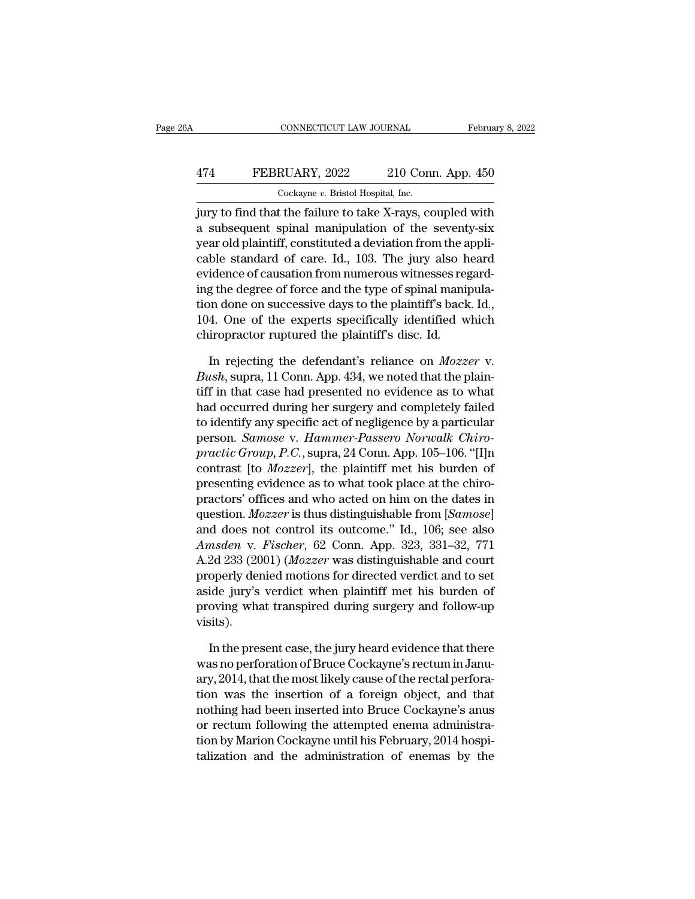## CONNECTICUT LAW JOURNAL February 8, 2022<br>474 FEBRUARY, 2022 210 Conn. App. 450<br>Cockayne v. Bristol Hospital, Inc. CONNECTICUT LAW JOURNAL Februa<br>
Text FEBRUARY, 2022 210 Conn. App. 450<br>
Cockayne *v.* Bristol Hospital, Inc.<br>
Jury to find that the failure to take X-rays, coupled with

CONNECTICUT LAW JOURNAL February 8, 2022<br>
February 8, 2022<br>
TEBRUARY, 2022 210 Conn. App. 450<br>
Cockayne v. Bristol Hospital, Inc.<br>
<br>
jury to find that the failure to take X-rays, coupled with<br>
a subsequent spinal manipulat 474 FEBRUARY, 2022 210 Conn. App. 450<br>
Cockayne v. Bristol Hospital, Inc.<br>
jury to find that the failure to take X-rays, coupled with<br>
a subsequent spinal manipulation of the seventy-six<br>
year old plaintiff, constituted a 474 FEBRUARY, 2022 210 Conn. App. 450<br>
Cockayne v. Bristol Hospital, Inc.<br>
jury to find that the failure to take X-rays, coupled with<br>
a subsequent spinal manipulation of the seventy-six<br>
year old plaintiff, constituted a FEBRUARY, 2022 210 Conn. App. 450<br>  $\frac{\text{Cockayne } v. \text{ Bristol Hospital, Inc.}}{\text{Gorkayne } v. \text{ Bristol Hospital, Inc.}}$ <br>  $\text{jury to find that the failure to take X-rays, coupled with a subsequent spinal manipulation of the severity-six year old plaintiff, constituted a deviation from the applicable standard of care. Id., 103. The jury also heard evidence of causation from numerous witnesses regard-$ Cockayne v. Bristol Hospital, Inc.<br>
jury to find that the failure to take X-rays, coupled with<br>
a subsequent spinal manipulation of the seventy-six<br>
year old plaintiff, constituted a deviation from the appli-<br>
cable stand ing to find that the failure to take X-rays, coupled with<br>a subsequent spinal manipulation of the seventy-six<br>year old plaintiff, constituted a deviation from the appli-<br>cable standard of care. Id., 103. The jury also hear jury to find that the failure to take X-rays, coupled with<br>a subsequent spinal manipulation of the seventy-six<br>year old plaintiff, constituted a deviation from the appli-<br>cable standard of care. Id., 103. The jury also hea a subsequent spinal manipulation of the seventy-six<br>year old plaintiff, constituted a deviation from the appli-<br>cable standard of care. Id., 103. The jury also heard<br>evidence of causation from numerous witnesses regard-<br>in year old plaintiff, constituted a deviation from the a<br>cable standard of care. Id., 103. The jury also h<br>evidence of causation from numerous witnesses reg<br>ing the degree of force and the type of spinal manij<br>tion done on idence of causation from numerous witnesses regard-<br>g the degree of force and the type of spinal manipula-<br>on done on successive days to the plaintiff's back. Id.,<br>4. One of the experts specifically identified which<br>iropra ing the degree of force and the type of spinal manipulation done on successive days to the plaintiff's back. Id., 104. One of the experts specifically identified which chiropractor ruptured the plaintiff's disc. Id.<br>In rej

tion done on successive days to the plaintiff's back. Id., 104. One of the experts specifically identified which chiropractor ruptured the plaintiff's disc. Id.<br>In rejecting the defendant's reliance on  $Mozzer$  v.<br>Bush, supr 104. One of the experts specifically identified which<br>chiropractor ruptured the plaintiff's disc. Id.<br>In rejecting the defendant's reliance on  $Mozzer$  v.<br>Bush, supra, 11 Conn. App. 434, we noted that the plain-<br>tiff in that chiropractor ruptured the plaintiff's disc. Id.<br>In rejecting the defendant's reliance on *Mozzer* v.<br>Bush, supra, 11 Conn. App. 434, we noted that the plain-<br>tiff in that case had presented no evidence as to what<br>had occur In rejecting the defendant's reliance on *Mozzer* v.<br> *Bush*, supra, 11 Conn. App. 434, we noted that the plain-<br>
tiff in that case had presented no evidence as to what<br>
had occurred during her surgery and completely faile In rejecting the defendant's reliance on *Mozzer* v.<br> *Bush*, supra, 11 Conn. App. 434, we noted that the plain-<br>
tiff in that case had presented no evidence as to what<br>
had occurred during her surgery and completely faile *Bush*, supra, 11 Conn. App. 434, we noted that the plain-<br>tiff in that case had presented no evidence as to what<br>had occurred during her surgery and completely failed<br>to identify any specific act of negligence by a partic tiff in that case had presented no evidence as to what<br>had occurred during her surgery and completely failed<br>to identify any specific act of negligence by a particular<br>person. Samose v. Hammer-Passero Norwalk Chiro-<br>practi had occurred during her surgery and completely failed<br>to identify any specific act of negligence by a particular<br>person. *Samose* v. *Hammer-Passero Norwalk Chiro-<br>practic Group*, *P.C.*, supra, 24 Conn. App. 105–106. "[I] to identify any specific act of negligence by a particular<br>person. *Samose* v. *Hammer-Passero Norwalk Chiro-<br>practic Group*, *P.C.*, supra, 24 Conn. App. 105–106. "[I]n<br>contrast [to *Mozzer*], the plaintiff met his burden person. *Samose v. Hammer-Passero Norwalk Chiro-*<br>practic Group, P.C., supra, 24 Conn. App. 105–106. "[I]n<br>contrast [to *Mozzer*], the plaintiff met his burden of<br>presenting evidence as to what took place at the chiro-<br>pra *practic Group, P.C.*, supra, 24 Conn. App. 105–106. "[1]n<br>contrast [to *Mozzer*], the plaintiff met his burden of<br>presenting evidence as to what took place at the chiro-<br>practors' offices and who acted on him on the dates contrast [to *Mozzer*], the plantiff met his burden of<br>presenting evidence as to what took place at the chiro-<br>practors' offices and who acted on him on the dates in<br>question. *Mozzer* is thus distinguishable from [*Samose* presenting evidence as to what took place at the chiro-<br>practors' offices and who acted on him on the dates in<br>question. *Mozzer* is thus distinguishable from [*Samose*]<br>and does not control its outcome." Id., 106; see als practors' offices and who acted on him on the dates in<br>question. *Mozzer* is thus distinguishable from [*Samose*]<br>and does not control its outcome." Id., 106; see also<br>*Amsden* v. *Fischer*, 62 Conn. App. 323, 331–32, 771<br> question. *Mozzer* is thus distinguishable from [*Samose*]<br>and does not control its outcome." Id., 106; see also<br>*Amsden* v. *Fischer*, 62 Conn. App. 323, 331–32, 771<br>A.2d 233 (2001) (*Mozzer* was distinguishable and court visits). 2d 233 (2001) (*Mozzer* was distinguishable and court<br>operly denied motions for directed verdict and to set<br>ide jury's verdict when plaintiff met his burden of<br>oving what transpired during surgery and follow-up<br>sits).<br>In properly denied motions for directed verdict and to set<br>aside jury's verdict when plaintiff met his burden of<br>proving what transpired during surgery and follow-up<br>visits).<br>In the present case, the jury heard evidence that

aside jury's verdict when plaintiff met his burden of<br>proving what transpired during surgery and follow-up<br>visits).<br>In the present case, the jury heard evidence that there<br>was no perforation of Bruce Cockayne's rectum in J proving what transpired during surgery and follow-up<br>visits).<br>In the present case, the jury heard evidence that there<br>was no perforation of Bruce Cockayne's rectum in Janu-<br>ary, 2014, that the most likely cause of the rect visits).<br>
In the present case, the jury heard evidence that there<br>
was no perforation of Bruce Cockayne's rectum in Janu-<br>
ary, 2014, that the most likely cause of the rectal perfora-<br>
tion was the insertion of a foreign o In the present case, the jury heard evidence that there was no perforation of Bruce Cockayne's rectum in January, 2014, that the most likely cause of the rectal perforation was the insertion of a foreign object, and that n In the present case, the jury heard evidence that there<br>was no perforation of Bruce Cockayne's rectum in Janu-<br>ary, 2014, that the most likely cause of the rectal perfora-<br>tion was the insertion of a foreign object, and th was no perforation of Bruce Cockayne's rectum in January, 2014, that the most likely cause of the rectal perforation was the insertion of a foreign object, and that nothing had been inserted into Bruce Cockayne's anus or r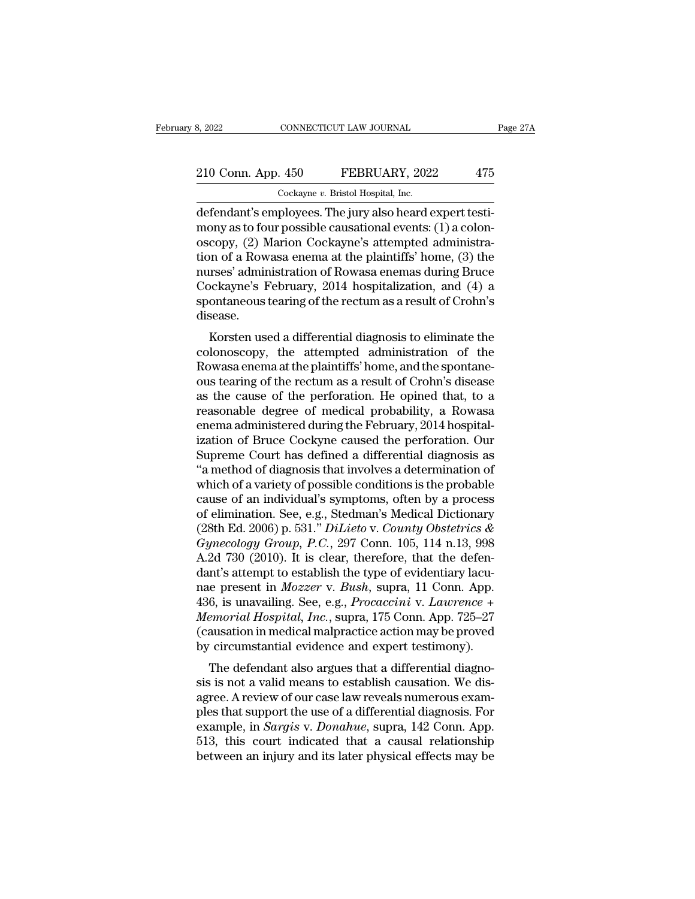# 210 Conn. App. 450 FEBRUARY, 2022 475<br>
210 Conn. App. 450 FEBRUARY, 2022 475

8, 2022 CONNECTICUT LAW JOURNAL<br>
210 Conn. App. 450 FEBRUARY, 2022 475<br>
Cockayne *v*. Bristol Hospital, Inc.<br>
defendant's employees. The jury also heard expert testi-8, 2022<br>
210 Conn. App. 450 FEBRUARY, 2022 475<br>
Cockayne v. Bristol Hospital, Inc.<br>
defendant's employees. The jury also heard expert testi-<br>
mony as to four possible causational events: (1) a colon-<br>
cocony. (2) Marion Co 210 Conn. App. 450 FEBRUARY, 2022 475<br>
Cockayne v. Bristol Hospital, Inc.<br>
defendant's employees. The jury also heard expert testi-<br>
mony as to four possible causational events: (1) a colon-<br>
oscopy, (2) Marion Cockayne's 210 Conn. App. 450 FEBRUARY, 2022 475<br>Cockayne v. Bristol Hospital, Inc.<br>defendant's employees. The jury also heard expert testi-<br>mony as to four possible causational events: (1) a colon-<br>oscopy, (2) Marion Cockayne's atte 210 Conn. App. 450 FEBRUARY, 2022 475<br>  $\frac{\text{Cockayne } v. \text{ Bristol Hospital, Inc.}}{\text{defendant's employees. The jury also heard expert testi-} \text{many as to four possible causal events: (1) a colon-} \text{oscopy, (2) Marion Cockayne's attempted administration of a Rowasa enema at the plaintiff's' home, (3) the} \text{nures' administration of Rowasa enemas during Bruce Cockayne's February, 2014 hospitalization, and (4), 3.}$ Cockayne v. Bristol Hospital, Inc.<br>
defendant's employees. The jury also heard expert testi-<br>
mony as to four possible causational events: (1) a colon-<br>
oscopy, (2) Marion Cockayne's attempted administra-<br>
tion of a Rowas Cockayne v. Bristol Hospital, Inc.<br>
defendant's employees. The jury also heard expert testi-<br>
mony as to four possible causational events: (1) a colon-<br>
oscopy, (2) Marion Cockayne's attempted administra-<br>
tion of a Rowas defendant's employees. The jury also heard expert testi-<br>mony as to four possible causational events: (1) a colon-<br>oscopy, (2) Marion Cockayne's attempted administra-<br>tion of a Rowasa enema at the plaintiffs' home, (3) the disease. Copy, ( $\angle$ ) Marion Cockayne's attempted administration<br>of a Rowasa enema at the plaintiffs' home, (3) the<br>preses' administration of Rowasa enemas during Bruce<br>ockayne's February, 2014 hospitalization, and (4) a<br>ontaneous colonoscopy, the attempted administration of the second and the plant<br>cockayne's February, 2014 hospitalization, and (4) a<br>spontaneous tearing of the rectum as a result of Crohn's<br>disease.<br>Korsten used a differential diagn

raises administration of nowasa enemas during bruce<br>Cockayne's February, 2014 hospitalization, and (4) a<br>spontaneous tearing of the rectum as a result of Crohn's<br>disease.<br>Korsten used a differential diagnosis to eliminate cockayne's February, 2014 hospitalization, and  $(4)$  a<br>spontaneous tearing of the rectum as a result of Crohn's<br>disease.<br>Korsten used a differential diagnosis to eliminate the<br>colonoscopy, the attempted administration of spontaneous tearing of the rectunt as a result of Crofit's<br>disease.<br>Korsten used a differential diagnosis to eliminate the<br>colonoscopy, the attempted administration of the<br>Rowasa enema at the plaintiffs' home, and the spon Korsten used a differential diagnosis to eliminate the<br>colonoscopy, the attempted administration of the<br>Rowasa enema at the plaintiffs' home, and the spontane-<br>ous tearing of the rectum as a result of Crohn's disease<br>as th Korsten used a differential diagnosis to eliminate the colonoscopy, the attempted administration of the Rowasa enema at the plaintiffs' home, and the spontaneous tearing of the rectum as a result of Crohn's disease as the colonoscopy, the attempted administration of the<br>Rowasa enema at the plaintiffs' home, and the spontane-<br>ous tearing of the rectum as a result of Crohn's disease<br>as the cause of the perforation. He opined that, to a<br>reason Rowasa enema at the plaintiffs' home, and the spontane-<br>ous tearing of the rectum as a result of Crohn's disease<br>as the cause of the perforation. He opined that, to a<br>reasonable degree of medical probability, a Rowasa<br>enem ous tearing of the rectum as a result of Crohn's disease<br>as the cause of the perforation. He opined that, to a<br>reasonable degree of medical probability, a Rowasa<br>enema administered during the February, 2014 hospital-<br>izati as the cause of the perforation. He opined that, to a<br>reasonable degree of medical probability, a Rowasa<br>enema administered during the February, 2014 hospital-<br>ization of Bruce Cockyne caused the perforation. Our<br>Supreme C reasonable degree of medical probability, a Rowasa<br>enema administered during the February, 2014 hospital-<br>ization of Bruce Cockyne caused the perforation. Our<br>Supreme Court has defined a differential diagnosis as<br>"a metho enema administered during the February, 2014 hospitalization of Bruce Cockyne caused the perforation. Our Supreme Court has defined a differential diagnosis as "a method of diagnosis that involves a determination of which ization of Bruce Cockyne caused the perforation. Our<br>Supreme Court has defined a differential diagnosis as<br>"a method of diagnosis that involves a determination of<br>which of a variety of possible conditions is the probable<br>c Supreme Court has defined a differential diagnosis as<br>
"a method of diagnosis that involves a determination of<br>
which of a variety of possible conditions is the probable<br>
cause of an individual's symptoms, often by a proce "a method of diagnosis that involves a determination of<br>which of a variety of possible conditions is the probable<br>cause of an individual's symptoms, often by a process<br>of elimination. See, e.g., Stedman's Medical Dictiona which of a variety of possible conditions is the probable<br>cause of an individual's symptoms, often by a process<br>of elimination. See, e.g., Stedman's Medical Dictionary<br>(28th Ed. 2006) p. 531." *DiLieto* v. *County Obstetr* cause of an individual's symptoms, often by a process<br>of elimination. See, e.g., Stedman's Medical Dictionary<br>(28th Ed. 2006) p. 531." *DiLieto* v. *County Obstetrics &*<br>Gynecology Group, P.C., 297 Conn. 105, 114 n.13, 998 of elimination. See, e.g., *Stedman's Medical Dictionary*<br>(28th Ed. 2006) p. 531." *DiLieto v. County Obstetrics &*<br>*Gynecology Group, P.C.*, 297 Conn. 105, 114 n.13, 998<br>A.2d 730 (2010). It is clear, therefore, that the d (28th Ed. 2006) p. 531." *DiLieto* v. *County Obstetrics &*<br>*Gynecology Group, P.C.*, 297 Conn. 105, 114 n.13, 998<br>A.2d 730 (2010). It is clear, therefore, that the defen-<br>dant's attempt to establish the type of evidentiar Gynecology Group, P.C., 297 Conn. 105, 114 n.13, 998<br>A.2d 730 (2010). It is clear, therefore, that the defen-<br>dant's attempt to establish the type of evidentiary lacu-<br>nae present in *Mozzer* v. *Bush*, supra, 11 Conn. App A.2d 730 (2010). It is clear, therefore, that the defendant's attempt to establish the type of evidentiary lacunae present in *Mozzer* v. *Bush*, supra, 11 Conn. App. 436, is unavailing. See, e.g., *Procaccini* v. *Lawrenc* In s attempt to establish the type of evidentialy factories<br>the present in *Mozzer* v. *Bush*, supra, 11 Conn. App.<br>6, is unavailing. See, e.g., *Procaccini* v. *Lawrence* +<br>*emorial Hospital, Inc.*, supra, 175 Conn. App. since present in *Mozzer* v. *Bash*, supra, 11 Collit. App.<br>436, is unavailing. See, e.g., *Procaccini* v. *Lawrence* +<br>*Memorial Hospital, Inc.*, supra, 175 Conn. App. 725–27<br>(causation in medical malpractice action may b

450, is unavaning. See, e.g., *I rotateme* v. *Lawrence* +<br>*Memorial Hospital, Inc.*, supra, 175 Conn. App. 725–27<br>(causation in medical malpractice action may be proved<br>by circumstantial evidence and expert testimony).<br>T memorial Hospital, Hnc., suppa, 175 Colli. App. 725–27<br>
(causation in medical malpractice action may be proved<br>
by circumstantial evidence and expert testimony).<br>
The defendant also argues that a differential diagno-<br>
sis example, in *Sargis* v. *Donahue*, superintial end and stream of the defendant also argues that a differential diagnosis is not a valid means to establish causation. We disagree. A review of our case law reveals numerous e by circuitstantial evidence and expert testinony).<br>The defendant also argues that a differential diagnosis is not a valid means to establish causation. We dis-<br>agree. A review of our case law reveals numerous exam-<br>ples th The defendant also argues that a differential diagnosis is not a valid means to establish causation. We disagree. A review of our case law reveals numerous examples that support the use of a differential diagnosis. For exa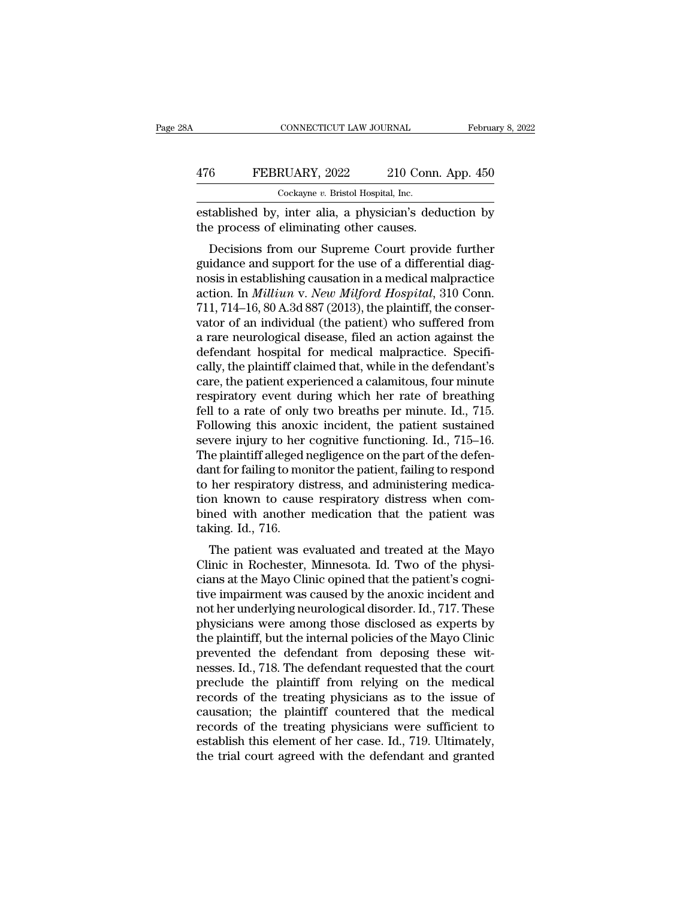#### CONNECTICUT LAW JOURNAL February 8, 2022<br>476 FEBRUARY, 2022 210 Conn. App. 450<br>Cockayne v. Bristol Hospital, Inc. CONNECTICUT LAW JOURNAL<br>
RUARY, 2022 210 Con:<br>
Cockayne *v.* Bristol Hospital, Inc.<br>
inter-alia -a physician's de

ESTERUARY, 2022 210 Conn. App. 450<br>
EEBRUARY, 2022 210 Conn. App. 450<br>
Cockayne v. Bristol Hospital, Inc.<br>
ESTAblished by, inter alia, a physician's deduction by<br>
the process of eliminating other causes. 476 FEBRUARY, 2022 210 Conn.<br>
Cockayne v. Bristol Hospital, Inc.<br>
established by, inter alia, a physician's dedu<br>
the process of eliminating other causes.<br>
Decisions from our Supreme Court provid

 $\begin{tabular}{ll} \multicolumn{1}{l}{{\bf \textcolor{red}{\bf 6}}}&{{\bf \textcolor{red}{\bf FEBRUARY, 2022}}}&210 {\text{ Conn. App. 450}}\\ \hline {\textcolor{red}{\bf 0}}&{{\bf \textcolor{red}{\bf 0}}}&{{\bf \textcolor{red}{\bf 0}}}&{{\bf \textcolor{red}{\bf 0}}}&{{\bf \textcolor{red}{\bf 0}}}&{{\bf \textcolor{red}{\bf 0}}}&{{\bf \textcolor{red}{\bf 0}}}&{{\bf \textcolor{red}{\bf 0}}}&{{\bf \textcolor{red}{\bf 0}}}&{{\bf \textcolor{red}{\bf 0}}$ 476 FEBRUARY, 2022 210 Conn. App. 450<br>  $\frac{\cosh(2\pi x)}{\cosh(2\pi x)}$  Cockayne v. Bristol Hospital, Inc.<br>
established by, inter alia, a physician's deduction by<br>
the process of eliminating other causes.<br>
Decisions from our Suprem Cockayne v. Bristol Hospital, Inc.<br>
established by, inter alia, a physician's deduction by<br>
the process of eliminating other causes.<br>
Decisions from our Supreme Court provide further<br>
guidance and support for the use of a established by, inter alia, a physician's deduction by<br>the process of eliminating other causes.<br>Decisions from our Supreme Court provide further<br>guidance and support for the use of a differential diag-<br>nosis in establishin Established by, litter and, a physicial is deduction by<br>the process of eliminating other causes.<br>Decisions from our Supreme Court provide further<br>guidance and support for the use of a differential diag-<br>nosis in establishi Le process of emimating other causes.<br>
Decisions from our Supreme Court provide further<br>
guidance and support for the use of a differential diag-<br>
nosis in establishing causation in a medical malpractice<br>
action. In *Milli* Decisions from our Supreme Court provide further<br>guidance and support for the use of a differential diag-<br>nosis in establishing causation in a medical malpractice<br>action. In *Milliun v. New Milford Hospital*, 310 Conn.<br>711 guidance and support for the use of a differential diagnosis in establishing causation in a medical malpractice<br>action. In *Milliun v. New Milford Hospital*, 310 Conn.<br>711, 714–16, 80 A.3d 887 (2013), the plaintiff, the co nosis in establishing causation in a medical malpractice<br>action. In *Milliun v. New Milford Hospital*, 310 Conn.<br>711, 714–16, 80 A.3d 887 (2013), the plaintiff, the conser-<br>vator of an individual (the patient) who suffered action. In *Milliun v. New Milford Hospital*, 310 Conn.<br>711, 714–16, 80 A.3d 887 (2013), the plaintiff, the conservator of an individual (the patient) who suffered from<br>a rare neurological disease, filed an action against 711, 714–16, 80 A.3d 887 (2013), the plaintiff, the conservator of an individual (the patient) who suffered from<br>a rare neurological disease, filed an action against the<br>defendant hospital for medical malpractice. Specifivator of an individual (the patient) who suffered from<br>a rare neurological disease, filed an action against the<br>defendant hospital for medical malpractice. Specifi-<br>cally, the plaintiff claimed that, while in the defendant a rare neurological disease, filed an action against the<br>defendant hospital for medical malpractice. Specifi-<br>cally, the plaintiff claimed that, while in the defendant's<br>care, the patient experienced a calamitous, four min defendant hospital for medical malpractice. Specifically, the plaintiff claimed that, while in the defendant's care, the patient experienced a calamitous, four minute respiratory event during which her rate of breathing fe cally, the plaintiff claimed that, while in the defendant's<br>care, the patient experienced a calamitous, four minute<br>respiratory event during which her rate of breathing<br>fell to a rate of only two breaths per minute. Id., 7 care, the patient experienced a calamitous, four minute<br>respiratory event during which her rate of breathing<br>fell to a rate of only two breaths per minute. Id., 715.<br>Following this anoxic incident, the patient sustained<br>se respiratory event during which her rate of breathing<br>fell to a rate of only two breaths per minute. Id., 715.<br>Following this anoxic incident, the patient sustained<br>severe injury to her cognitive functioning. Id., 715–16.<br>T fell to a rate of only two breaths per minute. Id., 715.<br>Following this anoxic incident, the patient sustained<br>severe injury to her cognitive functioning. Id., 715–16.<br>The plaintiff alleged negligence on the part of the de Following this anoxic incident, the patient sustained<br>severe injury to her cognitive functioning. Id., 715–16.<br>The plaintiff alleged negligence on the part of the defen-<br>dant for failing to monitor the patient, failing to severe injury to her<br>The plaintiff alleged i<br>dant for failing to mo<br>to her respiratory di<br>tion known to cause<br>bined with another<br>taking. Id., 716.<br>The patient was e The paintin aneged negligence on the part of the defen-<br>In for failing to monitor the patient, failing to respond<br>her respiratory distress, and administering medica-<br>in known to cause respiratory distress when com-<br>ned wit Exam for faintig to monitor the patient, faintig to respond<br>to her respiratory distress, and administering medica-<br>tion known to cause respiratory distress when com-<br>bined with another medication that the patient was<br>takin

tion known to cause respiratory distress when combined with another medication that the patient was taking. Id., 716.<br>The patient was evaluated and treated at the Mayo Clinic in Rochester, Minnesota. Id. Two of the physici tion known to cause respiratory tustiess when cont-<br>bined with another medication that the patient was<br>taking. Id., 716.<br>The patient was evaluated and treated at the Mayo<br>Clinic in Rochester, Minnesota. Id. Two of the phys omed with another medication that the patient was<br>taking. Id., 716.<br>The patient was evaluated and treated at the Mayo<br>Clinic in Rochester, Minnesota. Id. Two of the physi-<br>cians at the Mayo Clinic opined that the patient's raking. Tu., 710.<br>The patient was evaluated and treated at the Mayo<br>Clinic in Rochester, Minnesota. Id. Two of the physi-<br>cians at the Mayo Clinic opined that the patient's cogni-<br>tive impairment was caused by the anoxic i The patient was evaluated and treated at the Mayo<br>Clinic in Rochester, Minnesota. Id. Two of the physi-<br>cians at the Mayo Clinic opined that the patient's cogni-<br>tive impairment was caused by the anoxic incident and<br>not he Clinic in Rochester, Minnesota. Id. Two of the physicians at the Mayo Clinic opined that the patient's cognitive impairment was caused by the anoxic incident and not her underlying neurological disorder. Id., 717. These ph cians at the Mayo Clinic opined that the patient's cognitive impairment was caused by the anoxic incident and<br>not her underlying neurological disorder. Id., 717. These<br>physicians were among those disclosed as experts by<br>th tive impairment was caused by the anoxic incident and<br>not her underlying neurological disorder. Id., 717. These<br>physicians were among those disclosed as experts by<br>the plaintiff, but the internal policies of the Mayo Clini not her underlying neurological disorder. Id., 717. These<br>physicians were among those disclosed as experts by<br>the plaintiff, but the internal policies of the Mayo Clinic<br>prevented the defendant from deposing these wit-<br>nes physicians were among those disclosed as experts by<br>the plaintiff, but the internal policies of the Mayo Clinic<br>prevented the defendant from deposing these wit-<br>nesses. Id., 718. The defendant requested that the court<br>prec the plaintiff, but the internal policies of the Mayo Clinic<br>prevented the defendant from deposing these wit-<br>nesses. Id., 718. The defendant requested that the court<br>preclude the plaintiff from relying on the medical<br>recor prevented the defendant from deposing these wit-<br>nesses. Id., 718. The defendant requested that the court<br>preclude the plaintiff from relying on the medical<br>records of the treating physicians as to the issue of<br>causation; nesses. Id., 718. The defendant requested that the court<br>preclude the plaintiff from relying on the medical<br>records of the treating physicians as to the issue of<br>causation; the plaintiff countered that the medical<br>records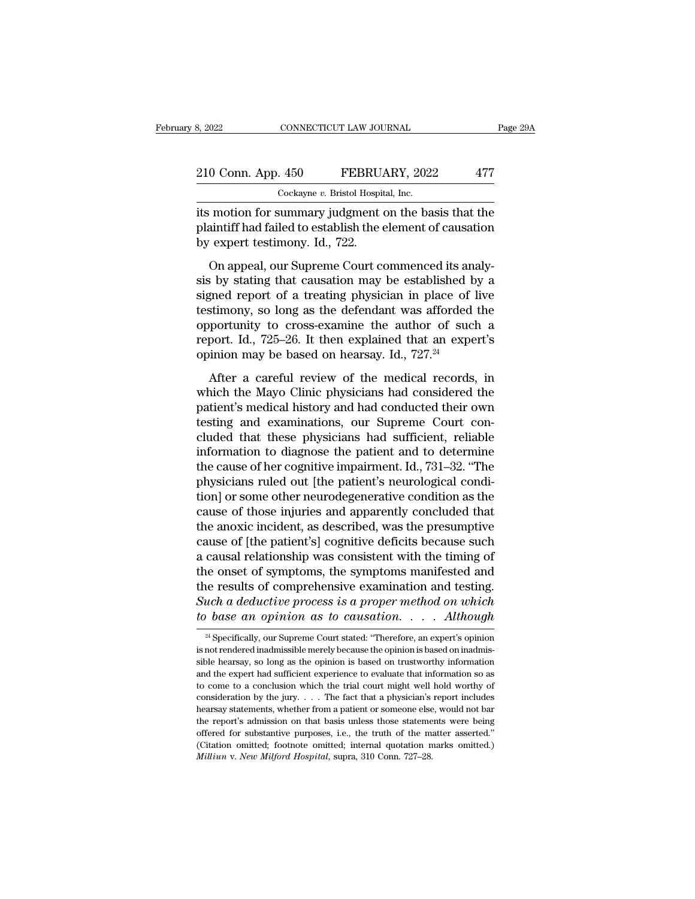| 8, 2022            | CONNECTICUT LAW JOURNAL                               | Page 29A |
|--------------------|-------------------------------------------------------|----------|
| 210 Conn. App. 450 | FEBRUARY, 2022                                        | 477      |
|                    | Cockayne v. Bristol Hospital, Inc.                    |          |
|                    | its motion for summary judgment on the basis that the |          |

3, 2022 CONNECTICUT LAW JOURNAL Page 29A<br>
210 Conn. App. 450 FEBRUARY, 2022 477<br>
Cockayne v. Bristol Hospital, Inc.<br>
its motion for summary judgment on the basis that the<br>
plaintiff had failed to establish the element of c 210 Conn. App. 450 FEBRUARY, 2022 477<br>Cockayne v. Bristol Hospital, Inc.<br>its motion for summary judgment on the basis that the plaintiff had failed to establish the element of causation<br>by expert testimony. Id., 722. 210 Conn. App. 450 FEBRUA<br>Cockayne v. Bristol Hospit<br>its motion for summary judgment of<br>plaintiff had failed to establish the e<br>by expert testimony. Id., 722.<br>On appeal, our Supreme Court co  $\frac{0 \text{ Conn. App. 450}}{\text{Cockayne } v. \text{ Bristol Hospital, Inc.}}$ <br>
The Cockayne v. Bristol Hospital, Inc.<br>
The motion for summary judgment on the basis that the einentiff had failed to establish the element of causation<br>
The expert testimony. Id., 7

Cockayne  $v$ . Bristol Hospital, Inc.<br>
its motion for summary judgment on the basis that the<br>
plaintiff had failed to establish the element of causation<br>
by expert testimony. Id., 722.<br>
On appeal, our Supreme Court commenc its motion for summary judgment on the basis that the plaintiff had failed to establish the element of causation<br>by expert testimony. Id., 722.<br>On appeal, our Supreme Court commenced its analy-<br>sis by stating that causatio the model of the definition of the state and the plaintiff had failed to establish the element of causation<br>by expert testimony. Id., 722.<br>On appeal, our Supreme Court commenced its analy-<br>sis by stating that causation ma by expert testimony. Id., 722.<br>
On appeal, our Supreme Court commenced its analysis by stating that causation may be established by a<br>
signed report of a treating physician in place of live<br>
testimony, so long as the defe or appeal, our Supreme Court commenced its analysis by stating that causation may be established by a signed report of a treating physician in place of live testimony, so long as the defendant was afforded the opportunity On appeal, our Supreme Court commenced its an sis by stating that causation may be established b signed report of a treating physician in place of testimony, so long as the defendant was afforded opportunity to cross-exam and report of a treating physician in place of live<br>stimony, so long as the defendant was afforded the<br>portunity to cross-examine the author of such a<br>port. Id., 725–26. It then explained that an expert's<br>inion may be bas testimony, so long as the defendant was afforded the<br>opportunity to cross-examine the author of such a<br>report. Id., 725–26. It then explained that an expert's<br>opinion may be based on hearsay. Id., 727.<sup>24</sup><br>After a careful

orightly to cross-examine the author of such a<br>report. Id., 725–26. It then explained that an expert's<br>opinion may be based on hearsay. Id., 727.<sup>24</sup><br>After a careful review of the medical records, in<br>which the Mayo Clinic report. Id., 725–26. It then explained that an expert's<br>opinion may be based on hearsay. Id., 727.<sup>24</sup><br>After a careful review of the medical records, in<br>which the Mayo Clinic physicians had considered the<br>patient's medical cluded that these physicians had conducted their philosophien may be based on hearsay. Id.,  $727.^{24}$ <br>After a careful review of the medical records, in which the Mayo Clinic physicians had considered the patient's medica After a careful review of the medical records, in<br>which the Mayo Clinic physicians had considered the<br>patient's medical history and had conducted their own<br>testing and examinations, our Supreme Court con-<br>cluded that these After a careful review of the medical records, in<br>which the Mayo Clinic physicians had considered the<br>patient's medical history and had conducted their own<br>testing and examinations, our Supreme Court con-<br>cluded that these which the Mayo Clinic physicians had considered the patient's medical history and had conducted their own testing and examinations, our Supreme Court concluded that these physicians had sufficient, reliable information to patient's medical history and had conducted their own<br>testing and examinations, our Supreme Court con-<br>cluded that these physicians had sufficient, reliable<br>information to diagnose the patient and to determine<br>the cause of testing and examinations, our Supreme Court concluded that these physicians had sufficient, reliable information to diagnose the patient and to determine the cause of her cognitive impairment. Id., 731–32. "The physicians cluded that these physicians had sufficient, reliable<br>information to diagnose the patient and to determine<br>the cause of her cognitive impairment. Id., 731–32. "The<br>physicians ruled out [the patient's neurological condi-<br>ti information to diagnose the patient and to determine<br>the cause of her cognitive impairment. Id., 731–32. "The<br>physicians ruled out [the patient's neurological condi-<br>tion] or some other neurodegenerative condition as the<br>c the cause of her cognitive impairment. Id., 731–32. "The<br>physicians ruled out [the patient's neurological condi-<br>tion] or some other neurodegenerative condition as the<br>cause of those injuries and apparently concluded that<br> physicians ruled out [the patient's neurological condition] or some other neurodegenerative condition as the cause of those injuries and apparently concluded that the anoxic incident, as described, was the presumptive caus tion] or some other neurodegenerative condition as the cause of those injuries and apparently concluded that the anoxic incident, as described, was the presumptive cause of [the patient's] cognitive deficits because such cause of those injuries and apparently concluded that<br>the anoxic incident, as described, was the presumptive<br>cause of [the patient's] cognitive deficits because such<br>a causal relationship was consistent with the timing of<br> the anoxic incident, as described, was the presumptive<br>cause of [the patient's] cognitive deficits because such<br>a causal relationship was consistent with the timing of<br>the onset of symptoms, the symptoms manifested and<br>the the onset of symptoms, the symptoms manifested and<br>the results of comprehensive examination and testing.<br>Such a deductive process is a proper method on which<br>to base an opinion as to causation. . . . Although<br> $\frac{1}{24}$  S the results of comprehensive examination and testing.<br>Such a deductive process is a proper method on which<br>to base an opinion as to causation. . . . . Although<br> $\frac{24}{4}$  Specifically, our Supreme Court stated: "Therefore

Such a deductive process is a proper method on which<br>to base an opinion as to causation. . . . Although<br> $\frac{1}{\sqrt{2}}$  Specifically, our Supreme Court stated: "Therefore, an expert's opinion<br>is not rendered inadmissible mer to base an opinion as to causation.  $\ldots$  Although<br>
<sup>24</sup> Specifically, our Supreme Court stated: "Therefore, an expert's opinion<br>
is not rendered inadmissible merely because the opinion is based on inadmis-<br>
sible hearsay to come to a conclusion which the trial court might well hold worthy of the trial court stated: "Therefore, an expert's opinion is in the trial court might well hold worthy information and the expert had sufficient experi <sup>24</sup> Specifically, our Supreme Court stated: "Therefore, an expert's opinion is not rendered inadmissible merely because the opinion is based on inadmissible hearsay, so long as the opinion is based on trustworthy informa is not rendered inadmissible merely because the opinion is based on inadmissible hearsay, so long as the opinion is based on trustworthy information and the expert had sufficient experience to evaluate that information so sible hearsay, so long as the opinion is based on trustworthy information<br>and the expert had sufficient experience to evaluate that information so as<br>to come to a conclusion which the trial court might well hold worthy of and the expert had sufficient experience to evaluate that information so as<br>and the expert had sufficient experience to evaluate that information so as<br>to come to a conclusion which the trial court might well hold worthy to come to a conclusion which the trial court might well hold worthy of consideration by the jury. . . . The fact that a physician's report includes hearsay statements, whether from a patient or someone else, would not ba consideration by the jury. . . . The fact that a physician's report includes hearsay statements, whether from a patient or someone else, would not bar the report's admission on that basis unless those statements were being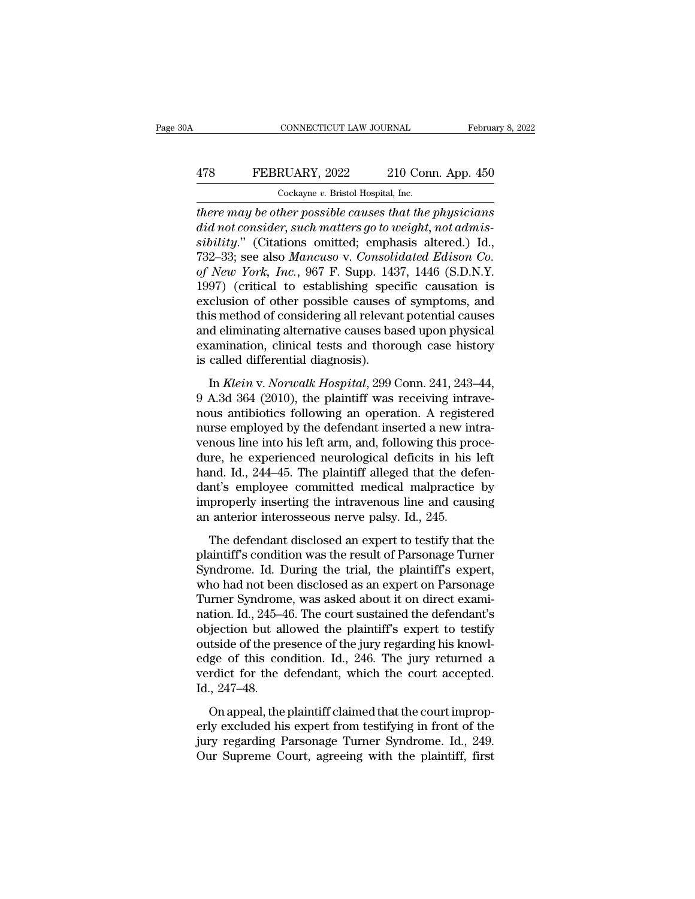#### CONNECTICUT LAW JOURNAL February 8, 2022<br>478 FEBRUARY, 2022 210 Conn. App. 450<br>Cockayne v. Bristol Hospital, Inc. CONNECTICUT LAW JOURNAL<br>RUARY, 2022 210 Con:<br>Cockayne *v.* Bristol Hospital, Inc.<br>th*er nossible causes that the*

*CONNECTICUT LAW JOURNAL* February 8, 2022<br> **478 FEBRUARY**, 2022 210 Conn. App. 450<br> *Cockayne v. Bristol Hospital, Inc.*<br> *there may be other possible causes that the physicians*<br> *did not consider, such matters go to w did FEBRUARY, 2022 210 Conn. App. 450*<br> *Cockayne v. Bristol Hospital, Inc.*<br> *did not consider, such matters go to weight, not admis-*<br> *did not consider, such matters go to weight, not admis-*<br> *didity.*" (Citations o **FEBRUARY**, 2022 210 Conn. App. 450<br>
<u>Cockayne v. Bristol Hospital, Inc.</u><br> *sibility*.'' (Citations omitted; emphasis altered.) Id.,<br>
732–33; see also Mancuso v. Consolidated Edison Co.<br>
of New York, Inc. 967 F. Supp. 1437 FEBRUARY, 2022 210 Conn. App. 450<br>
Cockayne v. Bristol Hospital, Inc.<br> *Cockayne v. Bristol Hospital, Inc.*<br> *Cockayne v. Bristol Hospital, Inc.*<br> *Cockayne v. Bristol Hospital, not admissibility.*" (Citations omitted; emp Cockayne v. Bristol Hospital, Inc.<br> *Cockayne v. Bristol Hospital, Inc.*<br> *of New York, Such matters go to weight, not admissibility.*" (Citations omitted; emphasis altered.) Id.,<br>
732–33; see also Mancuso v. Consolidated Cockayne v. Bristol Hospital, Inc.<br>
there may be other possible causes that the physicians<br>
did not consider, such matters go to weight, not admis-<br>
sibility." (Citations omitted; emphasis altered.) Id.,<br>
732–33; see also there may be other possible causes that the physicians<br>did not consider, such matters go to weight, not admis-<br>sibility." (Citations omitted; emphasis altered.) Id.,<br>732–33; see also Mancuso v. Consolidated Edison Co.<br>of N did not consider, such matters go to weight, not admissibility." (Citations omitted; emphasis altered.) Id., 732–33; see also *Mancuso v. Consolidated Edison Co.*<br>of *New York, Inc.*, 967 F. Supp. 1437, 1446 (S.D.N.Y. 1997 sibility." (Citations omitted; emphasis altered.) Id., 732–33; see also *Mancuso* v. *Consolidated Edison Co.*<br>of *New York, Inc.*, 967 F. Supp. 1437, 1446 (S.D.N.Y.<br>1997) (critical to establishing specific causation is<br>ex 732–33; see also *Mancuso v. Consolidated Edison Co.*<br>of *New York, Inc.*, 967 F. Supp. 1437, 1446 (S.D.N.Y.<br>1997) (critical to establishing specific causation is<br>exclusion of other possible causes of symptoms, and<br>this me of New York, Inc., 967 F. Supp. 143<br>1997) (critical to establishing specenclusion of other possible causes of<br>this method of considering all relevare<br>and eliminating alternative causes ba<br>examination, clinical tests and th In *Klein* of other possible causes of symptoms, and<br>is method of considering all relevant potential causes<br>d eliminating alternative causes based upon physical<br>amination, clinical tests and thorough case history<br>called di Exercision of other possible classes of symptoms, and<br>this method of considering all relevant potential causes<br>and eliminating alternative causes based upon physical<br>examination, clinical tests and thorough case history<br>is

and eliminating alternative causes based upon physical<br>examination, clinical tests and thorough case history<br>is called differential diagnosis).<br>In *Klein* v. *Norwalk Hospital*, 299 Conn. 241, 243–44,<br>9 A.3d 364 (2010), th and eminiating distributive causes sales apon physical<br>examination, clinical tests and thorough case history<br>is called differential diagnosis).<br>In *Klein* v. *Norwalk Hospital*, 299 Conn. 241, 243–44,<br>9 A.3d 364 (2010), th is called differential diagnosis).<br>
In *Klein v. Norwalk Hospital*, 299 Conn. 241, 243–44,<br>
9 A.3d 364 (2010), the plaintiff was receiving intrave-<br>
nous antibiotics following an operation. A registered<br>
nurse employed by In Klein v. Norwalk Hospital, 299 Conn. 241, 243–44,<br>9 A.3d 364 (2010), the plaintiff was receiving intrave-<br>nous antibiotics following an operation. A registered<br>nurse employed by the defendant inserted a new intra-<br>veno In *Klein v. Norwalk Hospital*, 299 Conn. 241, 243–44, 9 A.3d 364 (2010), the plaintiff was receiving intravenous antibiotics following an operation. A registered nurse employed by the defendant inserted a new intravenous 9 A.3d 364 (2010), the plaintiff was receiving intrave-<br>nous antibiotics following an operation. A registered<br>nurse employed by the defendant inserted a new intra-<br>venous line into his left arm, and, following this procenous antibiotics following an operation. A registered<br>nurse employed by the defendant inserted a new intra-<br>venous line into his left arm, and, following this proce-<br>dure, he experienced neurological deficits in his left<br>h nurse employed by the defendant inserted a new in<br>venous line into his left arm, and, following this pro<br>dure, he experienced neurological deficits in his<br>hand. Id., 244–45. The plaintiff alleged that the det<br>dant's employ The defendant disclosed an expert to testify that the<br>aintiff allows and the defen-<br>nt's employee committed medical malpractice by<br>properly inserting the intravenous line and causing<br>anterior interosseous nerve palsy. Id., and, Id., 244–45. The plaintiff alleged that the defendant's employee committed medical malpractice by<br>improperly inserting the intravenous line and causing<br>an anterior interosseous nerve palsy. Id., 245.<br>The defendant dis

Fig. 1.1 To: The plaintiff and the determinant discussion data was the determinant data was the trial data was improperly inserting the intravenous line and causing an anterior interosseous nerve palsy. Id., 245.<br>The defen improperly inserting the intravenous line and causing<br>an anterior interosseous nerve palsy. Id., 245.<br>The defendant disclosed an expert to testify that the<br>plaintiff's condition was the result of Parsonage Turner<br>Syndrome maproperry inserang are infractions life and eausing<br>an anterior interosseous nerve palsy. Id., 245.<br>The defendant disclosed an expert to testify that the<br>plaintiff's condition was the result of Parsonage Turner<br>Syndrome. an anterior interesseeds nerve pasty. East, 245–46.<br>The defendant disclosed an expert to testify that the<br>plaintiff's condition was the result of Parsonage Turner<br>Syndrome. Id. During the trial, the plaintiff's expert,<br>who The defendant disclosed an expert to testify that the<br>plaintiff's condition was the result of Parsonage Turner<br>Syndrome. Id. During the trial, the plaintiff's expert,<br>who had not been disclosed as an expert on Parsonage<br>Tu plaintiff's condition was the result of Parsonage Turner<br>Syndrome. Id. During the trial, the plaintiff's expert,<br>who had not been disclosed as an expert on Parsonage<br>Turner Syndrome, was asked about it on direct exami-<br>nat Syndrome. Id. During the trial, the plaintiff's expert,<br>who had not been disclosed as an expert on Parsonage<br>Turner Syndrome, was asked about it on direct exami-<br>nation. Id., 245–46. The court sustained the defendant's<br>obj who had not been disclosed as an expert on Parsonage<br>Turner Syndrome, was asked about it on direct exami-<br>nation. Id., 245–46. The court sustained the defendant's<br>objection but allowed the plaintiff's expert to testify<br>out Turner Syndrom<br>nation. Id., 245–4<br>objection but al<br>outside of the pr<br>edge of this con<br>verdict for the (<br>Id., 247–48.<br>On appeal, the detion, take the plaintiff claimed are detended by<br>different to testify<br>different to the presence of the jury regarding his knowl-<br>ge of this condition. Id., 246. The jury returned a<br>rdict for the defendant, which the cou expection sure and weather planting support to testally<br>outside of the presence of the jury regarding his knowl-<br>edge of this condition. Id., 246. The jury returned a<br>verdict for the defendant, which the court accepted.<br>Id

basiate of the presence of the jury regarding his them<br>edge of this condition. Id., 246. The jury returned a<br>verdict for the defendant, which the court accepted.<br>Id., 247–48.<br>On appeal, the plaintiff claimed that the court our Super Court, and the court accepted.<br>Id., 247–48.<br>On appeal, the plaintiff claimed that the court improperly excluded his expert from testifying in front of the<br>jury regarding Parsonage Turner Syndrome. Id., 249.<br>Our S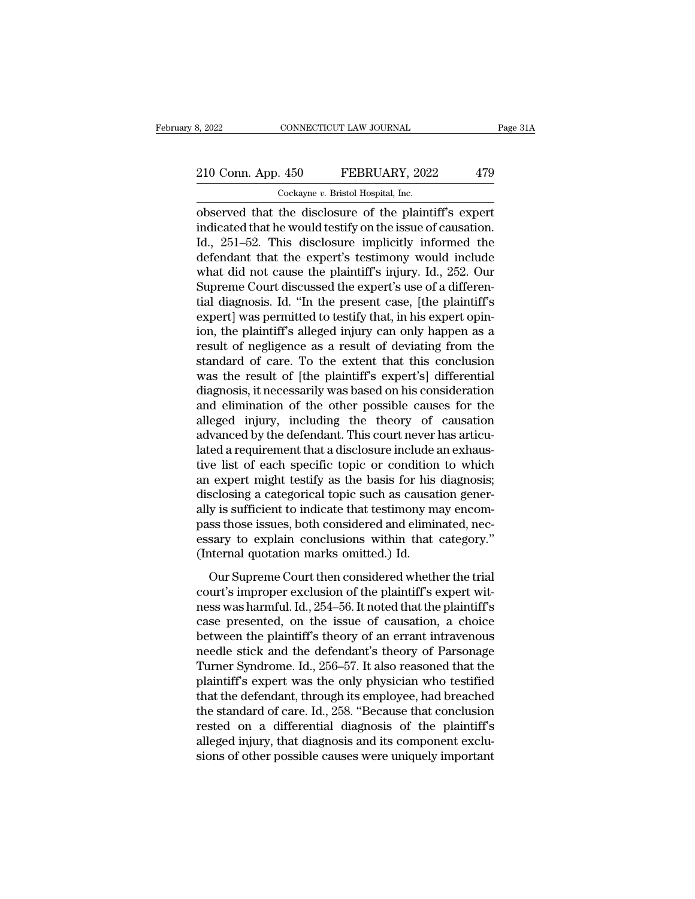# 210 Conn. App. 450 FEBRUARY, 2022 479<br>
210 Conn. App. 450 FEBRUARY, 2022 479

8, 2022 CONNECTICUT LAW JOURNAL<br>
210 Conn. App. 450 FEBRUARY, 2022 479<br>
Cockayne *v*. Bristol Hospital, Inc.<br>
Observed that the disclosure of the plaintiff's expert observed that the disclosure implicitly informed the disclosure of the plaintiff's expertindicated that the would testify on the issue of causation. 210 Conn. App. 450 FEBRUARY, 2022 479<br>  $\frac{\text{Cockayne } v. \text{ Bristol Hospital, Inc.}}{\text{observed that the disclosure of the plaintiff's expert indicated that he would testify on the issue of causation.}$ Id., 251–52. This disclosure implicitly informed the defondent that the expert<sup>'s</sup> testimony would include 210 Conn. App. 450 FEBRUARY, 2022 479<br>
Cockayne v. Bristol Hospital, Inc.<br>
observed that the disclosure of the plaintiff's expert<br>
indicated that he would testify on the issue of causation.<br>
Id., 251–52. This disclosure i 210 Conn. App. 450 FEBRUARY, 2022 479<br>  $\frac{\text{Cockayne } v. \text{ Bristol Hospital, Inc.}}{\text{observed that the disclosure of the plaintiff's expert indicated that he would testify on the issue of causation.}$ Id., 251–52. This disclosure implicitly informed the defendant that the expert's testimony would include what did not cause the pla Cockayne v. Bristol Hospital, Inc.<br>
Cockayne v. Bristol Hospital, Inc.<br>
indicated that the disclosure of the plaintiff's expert<br>
indicated that he would testify on the issue of causation.<br>
Id., 251–52. This disclosure impl Cockayne v. Bristol Hospital, inc.<br>
observed that the disclosure of the plaintiff's expert<br>
indicated that he would testify on the issue of causation.<br>
Id., 251–52. This disclosure implicitly informed the<br>
defendant that observed that the disclosure of the plaintiff's expert<br>indicated that he would testify on the issue of causation.<br>Id., 251–52. This disclosure implicitly informed the<br>defendant that the expert's testimony would include<br>wha indicated that he would testify on the issue of causation.<br>Id., 251–52. This disclosure implicitly informed the<br>defendant that the expert's testimony would include<br>what did not cause the plaintiff's injury. Id., 252. Our<br>S Id., 251–52. This disclosure implicitly informed the<br>defendant that the expert's testimony would include<br>what did not cause the plaintiff's injury. Id., 252. Our<br>Supreme Court discussed the expert's use of a differen-<br>tial defendant that the expert's testimony would include<br>what did not cause the plaintiff's injury. Id., 252. Our<br>Supreme Court discussed the expert's use of a differen-<br>tial diagnosis. Id. "In the present case, [the plaintiff' what did not cause the plaintiff's injury. Id., 252. Our<br>Supreme Court discussed the expert's use of a differen-<br>tial diagnosis. Id. "In the present case, [the plaintiff's<br>expert] was permitted to testify that, in his expe Supreme Court discussed the expert's use of a differential diagnosis. Id. "In the present case, [the plaintiff's expert] was permitted to testify that, in his expert opinion, the plaintiff's alleged injury can only happen tial diagnosis. Id. "In the present case, [the plaintiff's<br>expert] was permitted to testify that, in his expert opin-<br>ion, the plaintiff's alleged injury can only happen as a<br>result of negligence as a result of deviating f expert] was permitted to testify that, in his expert opin-<br>ion, the plaintiff's alleged injury can only happen as a<br>result of negligence as a result of deviating from the<br>standard of care. To the extent that this conclusio ion, the plaintiff's alleged injury can only happen as a<br>result of negligence as a result of deviating from the<br>standard of care. To the extent that this conclusion<br>was the result of [the plaintiff's expert's] differential result of negligence as a result of deviating from the standard of care. To the extent that this conclusion was the result of [the plaintiff's expert's] differential diagnosis, it necessarily was based on his consideration standard of care. To the extent that this conclusion<br>was the result of [the plaintiff's expert's] differential<br>diagnosis, it necessarily was based on his consideration<br>and elimination of the other possible causes for the<br>a was the result of [the plaintiff's expert's] differential<br>diagnosis, it necessarily was based on his consideration<br>and elimination of the other possible causes for the<br>alleged injury, including the theory of causation<br>adva diagnosis, it necessarily was based on his consideration<br>and elimination of the other possible causes for the<br>alleged injury, including the theory of causation<br>advanced by the defendant. This court never has articu-<br>lated and elimination of the other possible causes for the alleged injury, including the theory of causation advanced by the defendant. This court never has articulated a requirement that a disclosure include an exhaustive list alleged injury, including the theory of causation<br>advanced by the defendant. This court never has articu-<br>lated a requirement that a disclosure include an exhaus-<br>tive list of each specific topic or condition to which<br>an e advanced by the defendant. This court never has articulated a requirement that a disclosure include an exhaustive list of each specific topic or condition to which an expert might testify as the basis for his diagnosis; di lated a requirement that a disclosure include an exhaustive list of each specific topic or condition to which<br>an expert might testify as the basis for his diagnosis;<br>disclosing a categorical topic such as causation gener-<br> tive list of each specific topic or condition<br>an expert might testify as the basis for his<br>disclosing a categorical topic such as causat<br>ally is sufficient to indicate that testimony m<br>pass those issues, both considered an Suppose the considered topic such as causation genery is sufficient to indicate that testimony may encom-<br>ss those issues, both considered and eliminated, nec-<br>sary to explain conclusions within that category."<br>thermal qu methods a categorical tepte start as catastated generally is sufficient to indicate that testimony may encompass those issues, both considered and eliminated, necessary to explain conclusions within that category."<br>(Intern

any is sametent to maledde and testantisty may encompass those issues, both considered and eliminated, necessary to explain conclusions within that category."<br>(Internal quotation marks omitted.) Id.<br>Our Supreme Court then pass also issues, some childrend and eminiated, he essary to explain conclusions within that category."<br>
(Internal quotation marks omitted.) Id.<br>
Our Supreme Court then considered whether the trial<br>
court's improper exclus (Internal quotation marks omitted.) Id.<br>
Our Supreme Court then considered whether the trial<br>
court's improper exclusion of the plaintiff's expert wit-<br>
ness was harmful. Id., 254–56. It noted that the plaintiff's<br>
case p Our Supreme Court then considered whether the trial<br>court's improper exclusion of the plaintiff's expert wit-<br>ness was harmful. Id., 254–56. It noted that the plaintiff's<br>case presented, on the issue of causation, a choic Our Supreme Court then considered whether the trial<br>court's improper exclusion of the plaintiff's expert wit-<br>ness was harmful. Id., 254–56. It noted that the plaintiff's<br>case presented, on the issue of causation, a choice court's improper exclusion of the plaintiff's expert witness was harmful. Id., 254–56. It noted that the plaintiff's<br>case presented, on the issue of causation, a choice<br>between the plaintiff's theory of an errant intraveno ness was harmful. Id., 254–56. It noted that the plaintiff's<br>case presented, on the issue of causation, a choice<br>between the plaintiff's theory of an errant intravenous<br>needle stick and the defendant's theory of Parsonage<br> case presented, on the issue of causation, a choice<br>between the plaintiff's theory of an errant intravenous<br>needle stick and the defendant's theory of Parsonage<br>Turner Syndrome. Id., 256–57. It also reasoned that the<br>plain between the plaintiff's theory of an errant intravenous<br>needle stick and the defendant's theory of Parsonage<br>Turner Syndrome. Id., 256–57. It also reasoned that the<br>plaintiff's expert was the only physician who testified<br>t needle stick and the defendant's theory of Parsonage<br>Turner Syndrome. Id., 256–57. It also reasoned that the<br>plaintiff's expert was the only physician who testified<br>that the defendant, through its employee, had breached<br>th Turner Syndrome. Id., 256–57. It also reasoned that the plaintiff's expert was the only physician who testified that the defendant, through its employee, had breached the standard of care. Id., 258. "Because that conclusio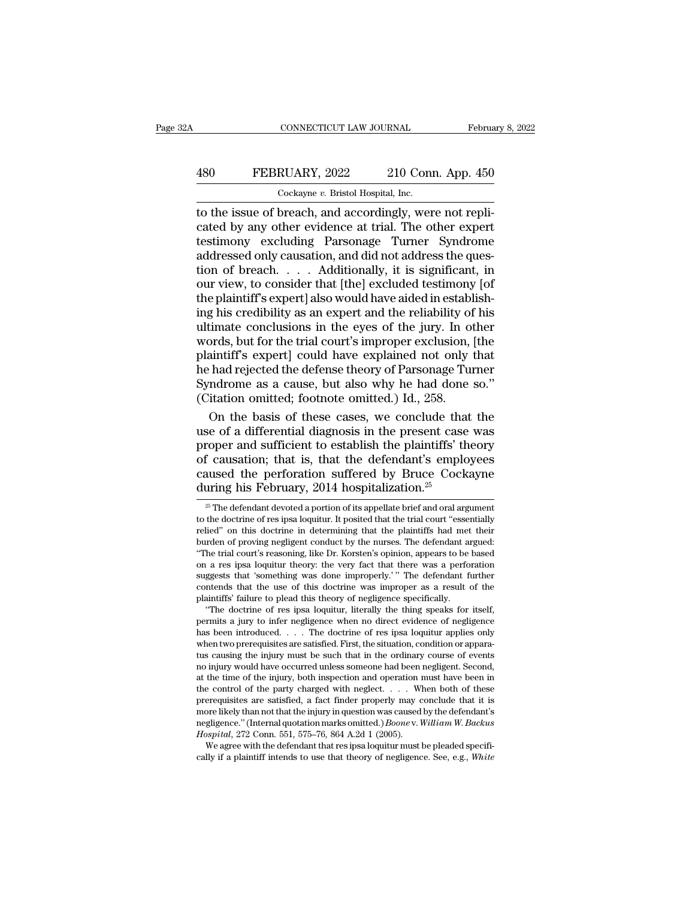# CONNECTICUT LAW JOURNAL February 8, 2022<br>
480 FEBRUARY, 2022 210 Conn. App. 450<br>
Cockayne v. Bristol Hospital, Inc.

CONNECTICUT LAW JOURNAL Februa<br>
480 FEBRUARY, 2022 210 Conn. App. 450<br>
Cockayne *v.* Bristol Hospital, Inc.<br>
to the issue of breach, and accordingly, were not repli-CONNECTICUT LAW JOURNAL Februa<br>
480 FEBRUARY, 2022 210 Conn. App. 450<br>
Cockayne v. Bristol Hospital, Inc.<br>
to the issue of breach, and accordingly, were not repli-<br>
cated by any other evidence at trial. The other expert<br>
t FEBRUARY, 2022 210 Conn. App. 450<br>
Cockayne v. Bristol Hospital, Inc.<br>
to the issue of breach, and accordingly, were not replicated by any other evidence at trial. The other expert<br>
testimony excluding Parsonage Turner Syn 480 FEBRUARY, 2022 210 Conn. App. 450<br>  $\frac{\text{Cockayne } v. \text{ Bristol Hospital, Inc.}}{\text{Cockayne } v. \text{ Bristol Hospital, Inc.}}$ <br>
to the issue of breach, and accordingly, were not replicated by any other evidence at trial. The other expert<br>
testimony excluding Parsona 480 FEBRUARY, 2022 210 Conn. App. 450<br>
Cockayne v. Bristol Hospital, Inc.<br>
to the issue of breach, and accordingly, were not repli-<br>
cated by any other evidence at trial. The other expert<br>
testimony excluding Parsonage Tur  $\frac{1}{1200 \text{ Cokayne } v. \text{ Bristol Hospital, Inc.}}$ <br>
to the issue of breach, and accordingly, were not replicated by any other evidence at trial. The other expert<br>
testimony excluding Parsonage Turner Syndrome<br>
addressed only causation, and d Cockayne v. Bristol Hospital, Inc.<br>
to the issue of breach, and accordingly, were not replicated by any other evidence at trial. The other expert<br>
testimony excluding Parsonage Turner Syndrome<br>
addressed only causation, a to the issue of breach, and accordingly, were not replicated by any other evidence at trial. The other expert<br>testimony excluding Parsonage Turner Syndrome<br>addressed only causation, and did not address the ques-<br>tion of br cated by any other evidence at trial. The other expert<br>testimony excluding Parsonage Turner Syndrome<br>addressed only causation, and did not address the ques-<br>tion of breach.... Additionally, it is significant, in<br>our view, testimony excluding Parsonage Turner Syndrome<br>addressed only causation, and did not address the ques-<br>tion of breach. . . . . Additionally, it is significant, in<br>our view, to consider that [the] excluded testimony [of<br>the addressed only causation, and did not address the question of breach. . . . . Additionally, it is significant, in our view, to consider that [the] excluded testimony [of the plaintiff's expert] also would have aided in est tion of breach. . . . Additionally, it is significant, in<br>our view, to consider that [the] excluded testimony [of<br>the plaintiff's expert] also would have aided in establish-<br>ing his credibility as an expert and the reliab our view, to consider that [the] excluded testimony [of<br>the plaintiff's expert] also would have aided in establish-<br>ing his credibility as an expert and the reliability of his<br>ultimate conclusions in the eyes of the jury. the plaintiff's expert] also would have aided in establishing his credibility as an expert and the reliability of his ultimate conclusions in the eyes of the jury. In other words, but for the trial court's improper exclusi ing his credibility as an expert and the reliability of<br>ultimate conclusions in the eyes of the jury. In ot<br>words, but for the trial court's improper exclusion,<br>plaintiff's expert] could have explained not only<br>the had rej timate conclusions in the eyes of the jury. In other<br>prds, but for the trial court's improper exclusion, [the<br>aintiff's expert] could have explained not only that<br>had rejected the defense theory of Parsonage Turner<br>ndrome words, but for the trial court's improper exclusion, [the<br>plaintiff's expert] could have explained not only that<br>he had rejected the defense theory of Parsonage Turner<br>Syndrome as a cause, but also why he had done so."<br>(Ci

plaintiff's expert] could have explained not only that<br>he had rejected the defense theory of Parsonage Turner<br>Syndrome as a cause, but also why he had done so."<br>(Citation omitted; footnote omitted.) Id., 258.<br>On the basis he had rejected the defense theory of Parsonage Turner<br>Syndrome as a cause, but also why he had done so."<br>(Citation omitted; footnote omitted.) Id., 258.<br>On the basis of these cases, we conclude that the<br>use of a differen Syndrome as a cause, but also why he had done so."<br>(Citation omitted; footnote omitted.) Id., 258.<br>On the basis of these cases, we conclude that the<br>use of a differential diagnosis in the present case was<br>proper and suffi (Citation omitted; footnote omitted.) Id., 258.<br>
On the basis of these cases, we conclude tha<br>
use of a differential diagnosis in the present case<br>
proper and sufficient to establish the plaintiffs' tl<br>
of causation; that roper and sufficient to establish the plaintiffs' theory<br>
f causation; that is, that the defendant's employees<br>
aused the perforation suffered by Bruce Cockayne<br>
uring his February, 2014 hospitalization.<sup>25</sup><br>
<sup>25</sup> The def for causation; that is, that the defendant's employees caused the perforation suffered by Bruce Cockayne during his February, 2014 hospitalization.<sup>25</sup><br> $\frac{1}{2}$  The defendant devoted a portion of its appellate brief and

on a res ipsa loquitur theory: the very lact that there was a perioration<br>suggests that 'something was done improperly.'" The defendant further<br>contends that the use of this doctrine was improper as a result of the<br>plainti suggests that something was done improperty. The detendant further<br>contends that the use of this doctrine was improper as a result of the<br>plaintiffs' failure to plead this theory of negligence specifically.<br>"The doctrine o contends that the use of this doctrine was improper as a result of the plaintiffs' failure to plead this theory of negligence specifically.<br>
"The doctrine of res ipsa loquitur, literally the thing speaks for itself,<br>
permi plantinis failure to plead this theory of negligence specifically.<br>
"The doctrine of res ipsa loquitur, literally the thing speaks for itself,<br>
permits a jury to infer negligence when no direct evidence of negligence<br>
has The doctrine of res ipsa loquitur, interally the time speaks for itself, permits a jury to infer negligence when no direct evidence of negligence has been introduced. . . . The doctrine of res ipsa loquitur applies only w pernus a jury to inter negligence when no direct evidence of negligence has been introduced. . . . The doctrine of res ipsa loquitur applies only when two prerequisites are satisfied. First, the situation, condition or ap has been introduced. . . . The doctrine of res ipsa loquitur applies only when two prerequisites are satisfied. First, the situation, condition or apparatus causing the injury must be such that in the ordinary course of e when two prerequisites are satisfied. First, the situation, condition or appara-<br>tus causing the injury must be such that in the ordinary course of events<br>no injury would have occurred unless someone had been negligent. S tus causing the mjury must be such that in the ordinary course of events<br>no injury would have occurred unless someone had been negligent. Second,<br>at the time of the injury, both inspection and operation must have been in<br>t no mjury would nave occurred unless someone nad been at the time of the injury, both inspection and operation r<br>the control of the party charged with neglect. . . . Where<br>equisites are satisfied, a fact finder properly may the unterpretation and operation must have been in<br>e control of the party charged with neglect. . . . When both of these<br>erequisites are satisfied, a fact finder properly may conclude that it is<br>predictly than not that th prerequisites are satisfied, a fact finder properly may conclude that it is more likely than not that the injury in question was caused by the defendant's negligence." (Internal quotation marks omitted.) *Boonev. William* 

caused the perforation suffered by Bruce Cockayne<br>
during his February, 2014 hospitalization.<sup>25</sup><br>
<sup>25</sup> The defendant devoted a portion of its appellate brief and oral argument<br>
to the doctrine of res ipsa loquitur. It po caused the perioration suffered by Bruce Cockayne<br>during his February, 2014 hospitalization.<sup>25</sup><br> $\frac{1}{2}$  The defendant devoted a portion of its appellate brief and oral argument<br>to the doctrine of res ipsa loquitur. It during his February, 2014 hospitalization.<sup>25</sup><br>
<sup>25</sup> The defendant devoted a portion of its appellate brief and oral argument<br>
to the doctrine of res ipsa loquitur. It posited that the trial court "essentially<br>
relied" on  $\frac{1}{2}$  The defendant devoted a portion of its appellate brief and oral argument to the doctrine of res ipsa loquitur. It posited that the trial court "essentially relied" on this doctrine in determining that the plaint The defendant devoted a portion of its appenate brief and oral argument<br>to the doctrine of res ipsa loquitur. It posited that the trial court "essentially<br>relied" on this doctrine in determining that the plaintiffs had met to the doctrine of res ipsa loquitur. It posited that the trial court "essentially relied" on this doctrine in determining that the plaintiffs had met their burden of proving negligent conduct by the nurses. The defendant rened" on this doctrine in determining that the plaintiffs had met<br>burden of proving negligent conduct by the nurses. The defendant at<br>"The trial court's reasoning, like Dr. Korsten's opinion, appears to be<br>on a res ipsa l The doctrine of proving integral conduct by the nurses. The defendant argued:<br>The trial court's reasoning, like Dr. Korsten's opinion, appears to be based<br>a res ipsa loquitur theory: the very fact that there was a perforat The trial court's reasoning, like Dr. Korsten's opinion, appears to be based<br>on a res ipsa loquitur theory: the very fact that there was a perforation<br>suggests that 'something was done improperly.'" The defendant further<br>c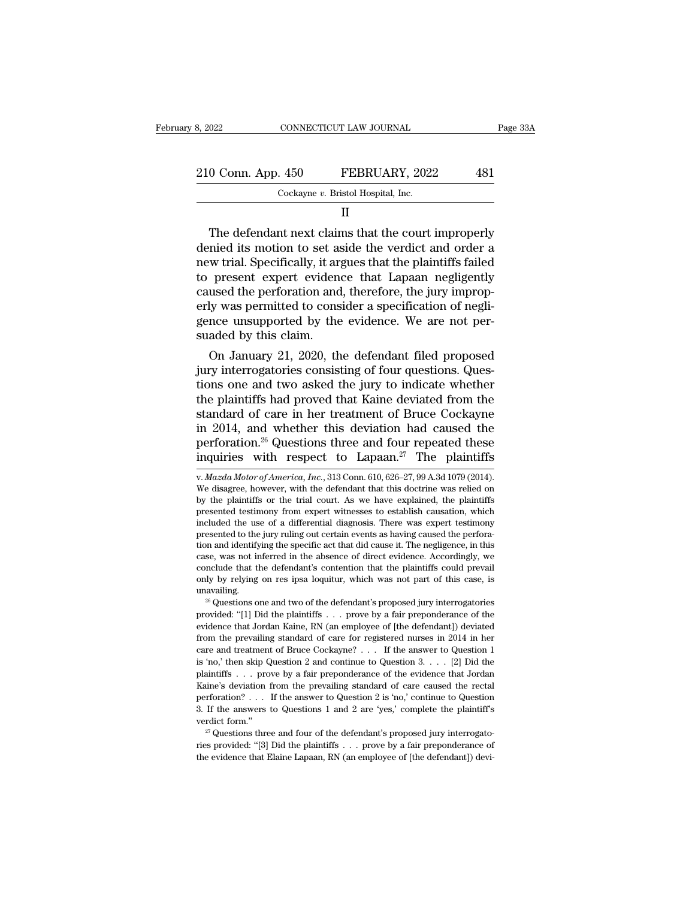| 3, 2022            | CONNECTICUT LAW JOURNAL |                                    | Page 33A |  |
|--------------------|-------------------------|------------------------------------|----------|--|
|                    |                         |                                    |          |  |
| 210 Conn. App. 450 |                         | FEBRUARY, 2022                     | 481      |  |
|                    |                         | Cockayne v. Bristol Hospital, Inc. |          |  |
|                    |                         |                                    |          |  |

II

 $\begin{array}{ccc} 0 \text{ Conn. App. 450} & & \text{FEBRUARY, 2022} & & \text{481} \ \text{Cockayne } v. \text{ Bristol Hospital, Inc.} & & \text{II} \ \end{array}$ <br>
The defendant next claims that the court improperly mied its motion to set aside the verdict and order a witrial Specifically, it argues t 210 Conn. App. 450 FEBRUARY, 2022 481<br>  $\frac{1}{\sqrt{1-\frac{1}{2}}}$ <br>  $\frac{1}{\sqrt{1-\frac{1}{2}}}$ <br>
The defendant next claims that the court improperly<br>
denied its motion to set aside the verdict and order a<br>
new trial. Specifically, it argue 210 Conn. App. 450 FEBRUARY, 2022 481<br>  $\frac{1}{\sqrt{1-\frac{1}{n}}}$  Cockayne v. Bristol Hospital, Inc.<br>
II<br>
The defendant next claims that the court improperly<br>
denied its motion to set aside the verdict and order a<br>
new trial. Spe Cockayne v. Bristol Hospital, Inc.<br>
II<br>
The defendant next claims that the court improperly<br>
denied its motion to set aside the verdict and order a<br>
new trial. Specifically, it argues that the plaintiffs failed<br>
to present II<br>
The defendant next claims that the court improperly<br>
denied its motion to set aside the verdict and order a<br>
new trial. Specifically, it argues that the plaintiffs failed<br>
to present expert evidence that Lapaan neglige II<br>The defendant next claims that the court improperly<br>denied its motion to set aside the verdict and order a<br>new trial. Specifically, it argues that the plaintiffs failed<br>to present expert evidence that Lapaan negligently The defendant next claims that the court improperly<br>denied its motion to set aside the verdict and order a<br>new trial. Specifically, it argues that the plaintiffs failed<br>to present expert evidence that Lapaan negligently<br>ca denied its motion to set as<br>new trial. Specifically, it ar,<br>to present expert eviden<br>caused the perforation and<br>erly was permitted to cons<br>gence unsupported by the<br>suaded by this claim.<br>On January 21, 2020, th We trial. Specifically, it argues that the plaintiffs railed<br>present expert evidence that Lapaan negligently<br>used the perforation and, therefore, the jury improp-<br>ly was permitted to consider a specification of negli-<br>nce to present expert evidence that Lapaan negligently<br>caused the perforation and, therefore, the jury improp-<br>erly was permitted to consider a specification of negli-<br>gence unsupported by the evidence. We are not per-<br>suaded

caused the perforation and, therefore, the jury improperly was permitted to consider a specification of negligence unsupported by the evidence. We are not persuaded by this claim.<br>On January 21, 2020, the defendant filed p erly was permitted to consider a specification of negli-<br>gence unsupported by the evidence. We are not per-<br>suaded by this claim.<br>On January 21, 2020, the defendant filed proposed<br>jury interrogatories consisting of four qu gence unsupported by the evidence. We are not per-<br>suaded by this claim.<br>On January 21, 2020, the defendant filed proposed<br>jury interrogatories consisting of four questions. Ques-<br>tions one and two asked the jury to indica suaded by this claim.<br>
On January 21, 2020, the defendant filed proposed<br>
jury interrogatories consisting of four questions. Ques-<br>
tions one and two asked the jury to indicate whether<br>
the plaintiffs had proved that Kain On January 21, 2020, the defendant filed proposed<br>jury interrogatories consisting of four questions. Ques-<br>tions one and two asked the jury to indicate whether<br>the plaintiffs had proved that Kaine deviated from the<br>standa jury interrogatories consisting of four questions. Questions one and two asked the jury to indicate whether the plaintiffs had proved that Kaine deviated from the standard of care in her treatment of Bruce Cockayne in 201 standard of care in her treatment of Bruce Cockayne<br>in 2014, and whether this deviation had caused the<br>perforation.<sup>26</sup> Questions three and four repeated these<br>inquiries with respect to Lapaan.<sup>27</sup> The plaintiffs<br>w. *Mazda* in 2014, and whether this deviation had caused the<br>perforation.<sup>26</sup> Questions three and four repeated these<br>inquiries with respect to Lapaan.<sup>27</sup> The plaintiffs<br>w. *Mazda Motor of America*, *Inc.*, 313 Conn. 610, 626–27,

case, was not interted in the absence of untect evidence. Accordingly, we conclude that the defendant's contention that the plaintiffs could prevail only by relying on res ipsa loquitur, which was not part of this case, is from the prevailing standard of care for registered nurses in 2014 in her care and treatment of Bruce Cockayne? ... If the answer to Question 1 care for registered nurses in 2014 in her care and treatment of Bruce Cockayn and  $\frac{20}{3}$  care and two of the defendant's proposed jury interrogatories provided: "[1] Did the plaintiffs . . . prove by a fair preponderance of the evidence that Jordan Kaine, RN (an employee of [the defendant]) dev <sup>26</sup> Questions one and two of the defendant's proposed jury interrogatories<br>
<sup>26</sup> Questions one and two of the defendant's proponderance of the<br>
evidence that Jordan Kaine, RN (an employee of [the defendant]) deviated<br>
fr provided: "[1] Did the plaintiffs . . . prove by a fair preponderance of the evidence that Jordan Kaine, RN (an employee of [the defendant]) deviated from the prevailing standard of care for registered nurses in 2014 in h evidence that Jordan Kaine, RN (an employee of [the defendant]) deviated from the prevailing standard of care for registered nurses in 2014 in her care and treatment of Bruce Cockayne? . . . If the answer to Question 1 is from the prevailing standard of care for registered nurses in 2014 in her care and treatment of Bruce Cockayne? . . . If the answer to Question 1 is 'no,' then skip Question 2 and continue to Question 3. . . . [2] Did the care and treatment of Bruce Cockayne? . . . If the answer to Question 1 is 'no,' then skip Question 2 and continue to Question 3. . . . [2] Did the plaintiffs . . . prove by a fair preponderance of the evidence that Jordan is 'no,' then skip Question 2 and continue to Question 3. . . . [2] Did the plaintiffs . . . prove by a fair preponderance of the evidence that Jordan Kaine's deviation from the prevailing standard of care caused the rect plaintiffs . . . prove by a fair preponderance of the evidence that Jordan Kaine's deviation from the prevailing standard of care caused the rectal perforation? . . . If the answer to Question 2 is 'no,' continue to Quest 3. If the answers to Questions 1 and 2 are 'yes,' complete the plaintiff's

perforation.<sup>26</sup> Questions three and four repeated these inquiries with respect to Lapaan.<sup>27</sup> The plaintiffs  $v$ .*Mazda Motor of America, Inc.*, 313 Conn. 610, 626–27, 99 A.3d 1079 (2014). We disagree, however, with the inquiries with respect to Lapaan.<sup>27</sup> The plaintiffs<br>
v. *Mazda Motor of America*, *Inc.*, 313 Conn. 610, 626–27, 99 A.3d 1079 (2014).<br>
We disagree, however, with the defendant that this doctrine was relied on<br>
by the pla inquiries with respect to Lapaan.<sup>27</sup> The plaintiffs<br>
v. Mazda Motor of America, Inc., 313 Conn. 610, 626–27, 99 A.3d 1079 (2014).<br>
We disagree, however, with the defendant that this doctrine was relied on<br>
by the plainti w. *Mazda Motor of America, Inc.*, 313 Conn. 610, 626–27, 99 A.3d 1079 (2014). We disagree, however, with the defendant that this doctrine was relied on by the plaintiffs or the trial court. As we have explained, the plain v. *mazaa motor of America*, *mc.*, 313 Conn. 610, 626–27, 99 A.3d 1079 (2014).<br>We disagree, however, with the defendant that this doctrine was relied on<br>by the plaintiffs or the trial court. As we have explained, the pla we disagree, nowever, with the defendant that this doctrine was refled on<br>by the plaintiffs or the trial court. As we have explained, the plaintiffs<br>presented testimony from expert witnesses to establish causation, which<br>i by the plaintiffs or the trial court. As we have explained, the plaintiffs presented testimony from expert witnesses to establish causation, which included the use of a differential diagnosis. There was expert testimony pr presented testimony from expert witnesses to establish causation, which<br>included the use of a differential diagnosis. There was expert testimony<br>presented to the jury ruling out certain events as having caused the perforaunavailing. Exercise to the Jury ruling out certain events as having caused the performand identifying the specific act that did cause it. The negligence, in this se, was not inferred in the absence of direct evidence. Accordingly, we from and dentifying the specific act that did cause it. The hegingence, in this case, was not inferred in the absence of direct evidence. Accordingly, we conclude that the defendant's contention that the plaintiffs could p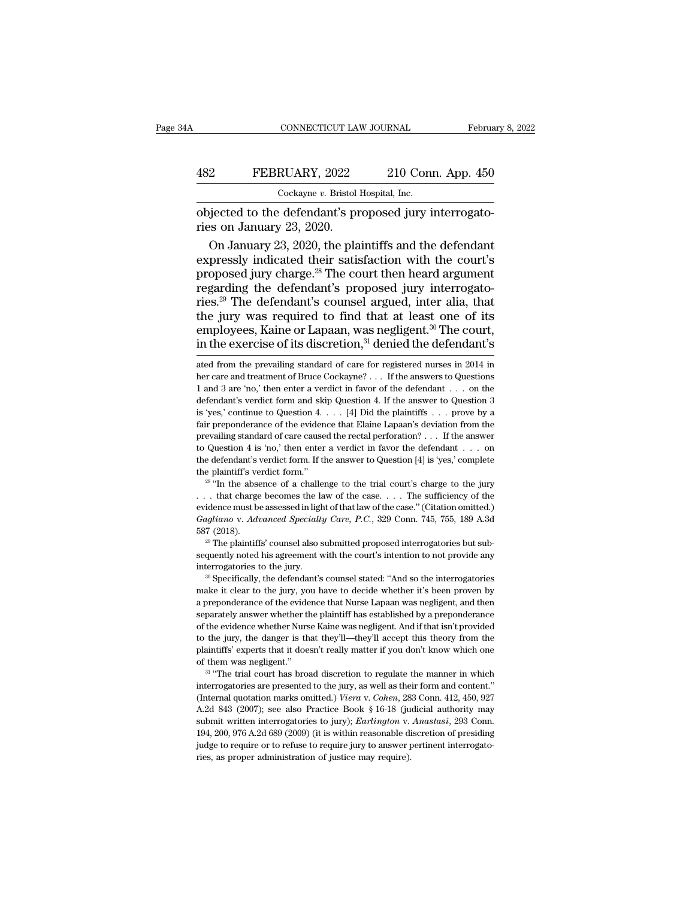#### CONNECTICUT LAW JOURNAL February 8, 2022<br>482 FEBRUARY, 2022 210 Conn. App. 450<br>Cockayne v. Bristol Hospital, Inc. CONNECTICUT LAW JOURNAL<br>RUARY, 2022 210 Con:<br>Cockayne *v.* Bristol Hospital, Inc.<br>defendant's proposed jury i

CONNECTICUT LAW JOURNAL Februa<br>
482 FEBRUARY, 2022 210 Conn. App. 450<br>
Cockayne v. Bristol Hospital, Inc.<br>
objected to the defendant's proposed jury interrogato-<br>
ries on January 23, 2020. FEBRUARY, 2022<br>Cockayne v. Bristol<br>Objected to the defendant's pr<br>ries on January 23, 2020.<br>On January 23, 2020, the pla

EBRUARY, 2022 210 Conn. App. 450<br>  $\frac{\text{Cockayne } v. \text{ Bristol Hospital, Inc.}}{\text{Djected to the defendant's proposed jury interrogato-}}$ <br>
Son January 23, 2020.<br>
On January 23, 2020, the plaintiffs and the defendant<br>
pressly indicated their satisfaction with the court's<br>
proposed jury FEBRUARY, 2022 210 Conn. App. 450<br>  $\frac{\text{Cockayne } v. \text{ Bristol Hospital, Inc.}}{\text{Objected to the defendant's proposed jury interrogato-}}$ <br>
ries on January 23, 2020.<br>
On January 23, 2020, the plaintiffs and the defendant<br>
expressly indicated their satisfaction with the court's<br>
propose Cockayne v. Bristol Hospital, Inc.<br>
objected to the defendant's proposed jury interrogato-<br>
ries on January 23, 2020.<br>
On January 23, 2020, the plaintiffs and the defendant<br>
expressly indicated their satisfaction with the Lockayie *v*. Bristol hospital, inc.<br>
objected to the defendant's proposed jury interrogato-<br>
ries on January 23, 2020.<br>
On January 23, 2020, the plaintiffs and the defendant<br>
expressly indicated their satisfaction with t objected to the defendant's proposed jury interrogatories on January 23, 2020.<br>
On January 23, 2020, the plaintiffs and the defendant<br>
expressly indicated their satisfaction with the court's<br>
proposed jury charge.<sup>28</sup> The ries on January 23, 2020.<br>
On January 23, 2020, the plaintiffs and the defendant<br>
expressly indicated their satisfaction with the court's<br>
proposed jury charge.<sup>28</sup> The court then heard argument<br>
regarding the defendant's On January 23, 2020, the plaintiffs and the defendant expressly indicated their satisfaction with the court's proposed jury charge.<sup>28</sup> The court then heard argument regarding the defendant's proposed jury interrogatories expressly indicated their satisfaction with the court's<br>proposed jury charge.<sup>28</sup> The court then heard argument<br>regarding the defendant's proposed jury interrogato-<br>ries.<sup>29</sup> The defendant's counsel argued, inter alia, th ries.<sup>29</sup> The defendant's counsel argued, inter alia, that<br>the jury was required to find that at least one of its<br>employees, Kaine or Lapaan, was negligent.<sup>30</sup> The court,<br>in the exercise of its discretion,<sup>31</sup> denied the the jury was required to find that at least one of its<br>employees, Kaine or Lapaan, was negligent.<sup>30</sup> The court,<br>in the exercise of its discretion,<sup>31</sup> denied the defendant's<br>ated from the prevailing standard of care for

to Question 4 is 'no,' then enter a verdict in favor the defendant . . . on<br>the defendant's verdict form. If the answer to Question [4] is 'yes,' complete<br>the plaintiff's verdict form."<br> $28$  "In the absence of a challenge *Gagliano* v. *Advanced Specialty Care, P.C.*, 329 Conn. 745, 755, 189 A.3d 587 (2018). the plaintiff's verdict form."<br>
<sup>28</sup> "In the absence of a challenge to the trial court's charge to the jury<br>  $\ldots$  that charge becomes the law of the case.  $\ldots$  The sufficiency of the<br>
evidence must be assessed in light section that charge becomes the law of the case.... The sufficiency of the evidence must be assessed in light of that law of the case." (Citation omitted.) *Gagliano v. Advanced Specialty Care, P.C.*, 329 Conn. 745, 755, 1 interrogatories to the jury.<br>  $\alpha$ <sup>2</sup> Specially Care, P.C., 329 Conn. 745, 755, 189 A.3d<br>
587 (2018).<br>
<sup>29</sup> The plaintiffs' counsel also submitted proposed interrogatories but subsequently noted his agreement with the cou

 $^{29}$  The plaintiffs' counsel also submitted proposed interrogatories but subsequently noted his agreement with the court's intention to not provide any interrogatories to the jury.<br><sup>30</sup> Specifically, the defendant's cou <sup>29</sup> The plaintiffs' counsel also submitted proposed interrogatories but subsequently noted his agreement with the court's intention to not provide any interrogatories to the jury.<br><sup>30</sup> Specifically, the defendant's counse sequently noted his agreement with the court's intention to not provide any<br>interrogatories to the jury.<br><sup>30</sup> Specifically, the defendant's counsel stated: "And so the interrogatories<br>make it clear to the jury, you have to of the evidence whether Nurse Kaine was negligent. And if that isn't provide any <sup>30</sup> Specifically, the defendant's counsel stated: "And so the interrogatories make it clear to the jury, you have to decide whether it's bee <sup>to th</sup>e specifically, the defendant's counsel stated: "And so the interrogatories make it clear to the jury, you have to decide whether it's been proven by a preponderance of the evidence that Nurse Lapaan was negligent, make it clear to the jury, you have to decide whether it's been proven by a preponderance of the evidence that Nurse Lapaan was negligent, and then separately answer whether the plaintiff has established by a preponderance a preponderance of the evidence that Nurse Lapaan was negligent, and then separately answer whether the plaintiff has established by a preponderance of the evidence whether Nurse Kaine was negligent. And if that isn't pro separately answer whether the plaintiff has established by a preponderance of the evidence whether Nurse Kaine was negligent. And if that isn't provided to the jury, the danger is that they'll—they'll accept this theory f

to the jury, the danger is that they'll—they'll accept this theory from the plaintiffs' experts that it doesn't really matter if you don't know which one of them was negligent."<br>
<sup>31</sup> "The trial court has broad discretion plaintiffs' experts that it doesn't really matter if you don't know which one of them was negligent."<br>
<sup>31</sup> "The trial court has broad discretion to regulate the manner in which interrogatories are presented to the jury, of them was negligent."<br>
<sup>31</sup> "The trial court has broad discretion to regulate the manner in which<br>
interrogatories are presented to the jury, as well as their form and content."<br>
(Internal quotation marks omitted.) *Vier* <sup>31</sup> "The trial court has broad discretion to regulate the manner in which interrogatories are presented to the jury, as well as their form and content." (Internal quotation marks omitted.) *Viera v. Cohen*, 283 Conn. 412 interrogatories are presented to the jury, as well as their form and content."<br>(Internal quotation marks omitted.) Viera v. Cohen, 283 Conn. 412, 450, 927<br>A.2d 843 (2007); see also Practice Book § 16-18 (judicial authorit (Internal quotation marks omitted.) Viera v. Cohen, 283 Conn. 412, 450, 927 A.2d 843 (2007); see also Practice Book § 16-18 (judicial authority may submit written interrogatories to jury); *Earlington* v. *Anastasi*, 293

employees, Kaine or Lapaan, was negligent.<sup>30</sup> The court,<br>in the exercise of its discretion,<sup>31</sup> denied the defendant's<br>ated from the prevailing standard of care for registered nurses in 2014 in<br>her care and treatment of in the exercise of its discretion,<sup>31</sup> denied the defendant's<br>ated from the prevailing standard of care for registered nurses in 2014 in<br>her care and treatment of Bruce Cockayne? . . . If the answers to Questions<br>1 and 3 In the exercise of its discretion,<sup>2</sup> defined the defendant is<br>ated from the prevailing standard of care for registered nurses in 2014 in<br>her care and treatment of Bruce Cockayne? . . . If the answers to Questions<br>1 and 3 ated from the prevailing standard of care for registered nurses in 2014 in<br>her care and treatment of Bruce Cockayne? . . . If the answers to Questions<br>1 and 3 are 'no,' then enter a verdict in favor of the defendant . . . her care and treatment of Bruce Cockayne? . . . If the answers to Questions 1 and 3 are 'no,' then enter a verdict in favor of the defendant . . . on the defendant's verdict form and skip Question 4. If the answer to Ques 1 and 3 are 'no,' then enter a verdict in favor of the defendant . . . on the defendant's verdict form and skip Question 4. If the answer to Question 3 is 'yes,' continue to Question 4. . . . [4] Did the plaintiffs . . . defendant's verdict form and skip Question 4. If the answer to Question 3 is 'yes,' continue to Question 4. . . . [4] Did the plaintiffs . . . prove by a fair preponderance of the evidence that Elaine Lapaan's deviation f is 'yes,' continue to Question 4. . . . [4] Did the plaintiffs . . . prove by a fair preponderance of the evidence that Elaine Lapaan's deviation from the prevailing standard of care caused the rectal perforation? . . . I prevailing standard of care caused the rectal perforation? . . . If the answer<br>to Question 4 is 'no,' then enter a verdict in favor the defendant . . . on<br>the defendant's verdict form. If the answer to Question [4] is 'ye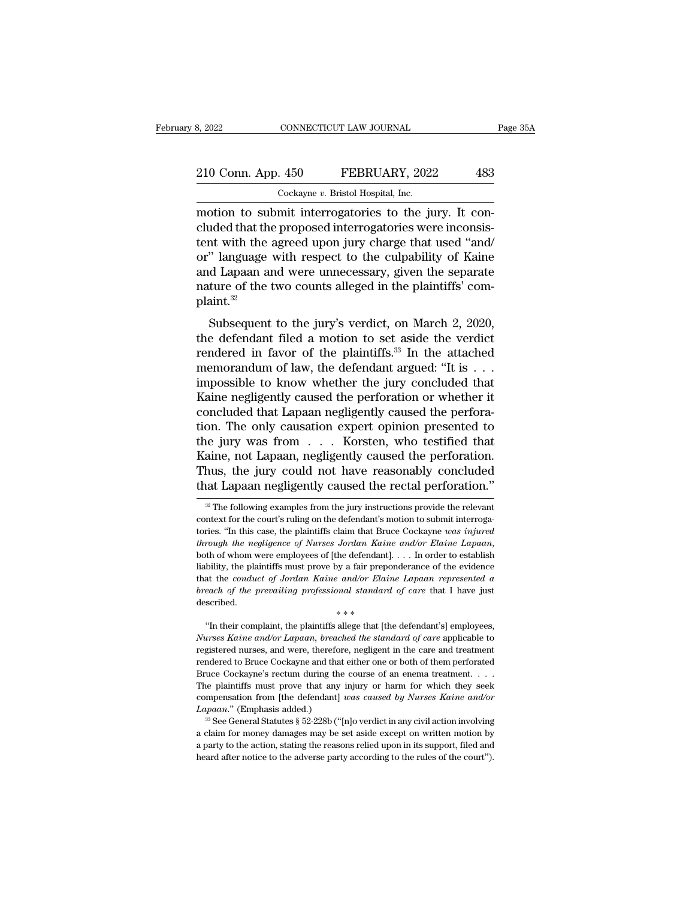## 210 Conn. App. 450 FEBRUARY, 2022 483 8, 2022 CONNECTICUT LAW JOURNAL<br>
210 Conn. App. 450 FEBRUARY, 2022 483<br>
Cockayne *v.* Bristol Hospital, Inc.<br>
motion to submit interrogatories to the jury. It con-

8, 2022<br>
CONNECTICUT LAW JOURNAL<br>
210 Conn. App. 450 FEBRUARY, 2022 483<br>
Cockayne v. Bristol Hospital, Inc.<br>
motion to submit interrogatories to the jury. It con-<br>
cluded that the proposed interrogatories were inconsistent 210 Conn. App. 450 FEBRUARY, 2022 483<br>
Cockayne v. Bristol Hospital, Inc.<br>
motion to submit interrogatories to the jury. It concluded that the proposed interrogatories were inconsistent with the agreed upon jury charge tha 210 Conn. App. 450 FEBRUARY, 2022 483<br>  $\frac{\text{Cockayne } v. \text{ Bristol Hospital, Inc.}}{\text{motion to submit interrogatories to the jury. It concluded that the proposed interrogatories were inconsistent with the agreed upon jury charge that used "and/or" language with respect to the cubpability of Kaine and Linear and wrong unnecessary, given the sonarato.}$ 210 Conn. App. 450 FEBRUARY, 2022 483<br>
Cockayne v. Bristol Hospital, Inc.<br>
motion to submit interrogatories to the jury. It concluded that the proposed interrogatories were inconsistent with the agreed upon jury charge tha Cockayne v. Bristol Hospital, Inc.<br>
motion to submit interrogatories to the jury. It concluded that the proposed interrogatories were inconsis-<br>
tent with the agreed upon jury charge that used "and/<br>
or" language with resp  $\frac{Cock\text{xyne }v. \text{ Bristol Hospital, Inc.}}{\text{motion to submit interrogatories to the jury. It concluded that the proposed interrogatories were inconsistent with the agreed upon jury charge that used "and/or" language with respect to the culpability of Kaine and Lapaan and were unnecessary, given the separate nature of the two counts alleged in the plaintiff's' complaint.<sup>32</sup>$ plaint.<sup>32</sup> Subsequent to the jury's verdict, on March 2, 2020,<br>and the intervent of the culpability of Kaine<br>d Lapaan and were unnecessary, given the separate<br>ture of the two counts alleged in the plaintiffs' com-<br>aint.<sup>32</sup><br>Subsequen or" language with respect to the culpability of Kaine<br>and Lapaan and were unnecessary, given the separate<br>nature of the two counts alleged in the plaintiffs' com-<br>plaint.<sup>32</sup><br>Subsequent to the jury's verdict, on March 2, 2

of anguage with respect to the cupationty of name<br>and Lapaan and were unnecessary, given the separate<br>nature of the two counts alleged in the plaintiffs' com-<br>plaint.<sup>32</sup><br>Subsequent to the jury's verdict, on March 2, 2020 mature of the two counts alleged in the plaintiffs' complaint.<sup>32</sup><br>Subsequent to the jury's verdict, on March 2, 2020,<br>the defendant filed a motion to set aside the verdict<br>rendered in favor of the plaintiffs.<sup>33</sup> In the Final to the two counts and<br>gcd in the plantins complaint.<sup>32</sup><br>Subsequent to the jury's verdict, on March 2, 2020,<br>the defendant filed a motion to set aside the verdict<br>rendered in favor of the plaintiffs.<sup>33</sup> In the atta Subsequent to the jury's verdict, on March 2, 2020,<br>the defendant filed a motion to set aside the verdict<br>rendered in favor of the plaintiffs.<sup>33</sup> In the attached<br>memorandum of law, the defendant argued: "It is  $\dots$ <br>impos Subsequent to the jury's verdict, on March 2, 2020, the defendant filed a motion to set aside the verdict rendered in favor of the plaintiffs.<sup>33</sup> In the attached memorandum of law, the defendant argued: "It is . . . impo the defendant filed a motion to set aside the verdict<br>rendered in favor of the plaintiffs.<sup>33</sup> In the attached<br>memorandum of law, the defendant argued: "It is . . .<br>impossible to know whether the jury concluded that<br>Kaine rendered in favor of the plaintiffs.<sup>33</sup> In the attached<br>memorandum of law, the defendant argued: "It is . . .<br>impossible to know whether the jury concluded that<br>Kaine negligently caused the perforation. The only causatio memorandum of law, the defendant argued: "It is . . . impossible to know whether the jury concluded that<br>Kaine negligently caused the perforation or whether it<br>concluded that Lapaan negligently caused the perfora-<br>tion. Th impossible to know whether the jury concluded that<br>Kaine negligently caused the perforation or whether it<br>concluded that Lapaan negligently caused the perfora-<br>tion. The only causation expert opinion presented to<br>the jury Kaine negligently caused the perforation or whether it concluded that Lapaan negligently caused the perforation. The only causation expert opinion presented to the jury was from  $\dots$  Korsten, who testified that Kaine, not ie jury was from . . . Korsten, who testified that<br>aine, not Lapaan, negligently caused the perforation.<br>hus, the jury could not have reasonably concluded<br>at Lapaan negligently caused the rectal perforation."<br><sup>32</sup> The foll Kaine, not Lapaan, negligently caused the perforation.<br>Thus, the jury could not have reasonably concluded<br>that Lapaan negligently caused the rectal perforation."<br> $\frac{1}{2}$  The following examples from the jury instructions

*Nurses Kaine and or Elaine and or Elaine Lapaan represented a*<br>*hreach of the prevailing professional standard of care* that I have just<br>described.<br>"In their complaint, the plaintiffs allege that [the defendant's] employe registered nurses and professional standard of care that I have just<br>described.<br> $**$ <br>"In their complaint, the plaintiffs allege that [the defendant's] employees,<br>Nurses Kaine and/or Lapaan, breached the standard of care app rendered to Bruce Cockayne and that either one or both of them perforated Bruce Cockayne's rectum during the course of an energy and reaction of them perforated Bruce Cockayne and that either one or both of them perforate  $****$ <br>
"In their complaint, the plaintiffs allege that [the defendant's] employees,<br>
Nurses Kaine and/or Lapaan, breached the standard of care applicable to<br>
registered nurses, and were, therefore, negligent in the care an "In their complaint, the plaintiffs allege that [the defendant's] employees, *Nurses Kaine and/or Lapaan, breached the standard of care* applicable to registered nurses, and were, therefore, negligent in the care and trea *Nurses Kaine and/or Lapaan, breached the standard of care applicable to* registered nurses, and were, therefore, negligent in the care and treatment rendered to Bruce Cockayne and that either one or both of them perforate registered nurses, and were, thereforendered to Bruce Cockayne and that Bruce Cockayne's rectum during the Plaintiffs must prove that any compensation from [the defendant] *Lapaan.*" (Emphasis added.)<sup>33</sup> See General Statu andered to Bruce Cockayne and that either one or both of them perforated uce Cockayne's rectum during the course of an enema treatment. . . .<br>
i.e plaintiffs must prove that any injury or harm for which they seek<br>
mpensat Bruce Cockayne's rectum during the course of an enema treatment. . . . The plaintiffs must prove that any injury or harm for which they seek compensation from [the defendant] *was caused by Nurses Kaine and/or Lapaan.*" (

Thus, the jury could not have reasonably concluded<br>that Lapaan negligently caused the rectal perforation."<br><sup><sup>20</sup> The following examples from the jury instructions provide the relevant<br>context for the court's ruling on the </sup> *x* The negligence of Nurses Iordan Kaine Technology of The negligence of Nurses The following examples from the jury instructions provide the relevant context for the court's ruling on the defendant's motion to submit int <sup>22</sup> The following examples from the jury instructions provide the relevant context for the court's ruling on the defendant's motion to submit interrogatories. "In this case, the plaintiffs claim that Bruce Cockayne *was* context for the court's ruling on the defendant's motion to submit interrogatories. "In this case, the plaintiffs claim that Bruce Cockayne was injured through the negligence of Nurses Jordan Kaine and/or Elaine Lapaan, bo *breach of the prevailing concerning the negligence of Nurses Jordan Kaine and/or Elaine Lapaan,* both of whom were employees of [the defendant]. . . . In order to establish liability, the plaintiffs must prove by a fair p % both of whom were employees of [the defendant]. . . . In order to establish liability, the plaintiffs must prove by a fair preponderance of the evidence that the *conduct of Jordan Kaine and/or Elaine Lapaan represented* bility, the plaintiffs must prove by a fair preponderance of the evidence<br>at the *conduct of Jordan Kaine and/or Elaine Lapaan represented a*<br>each of the prevailing professional standard of care that I have just<br>scribed.<br>\*

The plaintiffs must prove that any injury or harm for which they seek compensation from [the defendant] *was caused by Nurses Kaine and/or Lapaan.*" (Emphasis added.) <sup>36</sup> See General Statutes § 52-228b ("[n]o verdict in The plaintiffs must prove that any injury or harm for which they seek compensation from [the defendant] was caused by Nurses Kaine and/or Lapaan." (Emphasis added.)<br><sup>33</sup> See General Statutes § 52-228b ("[n]o verdict in an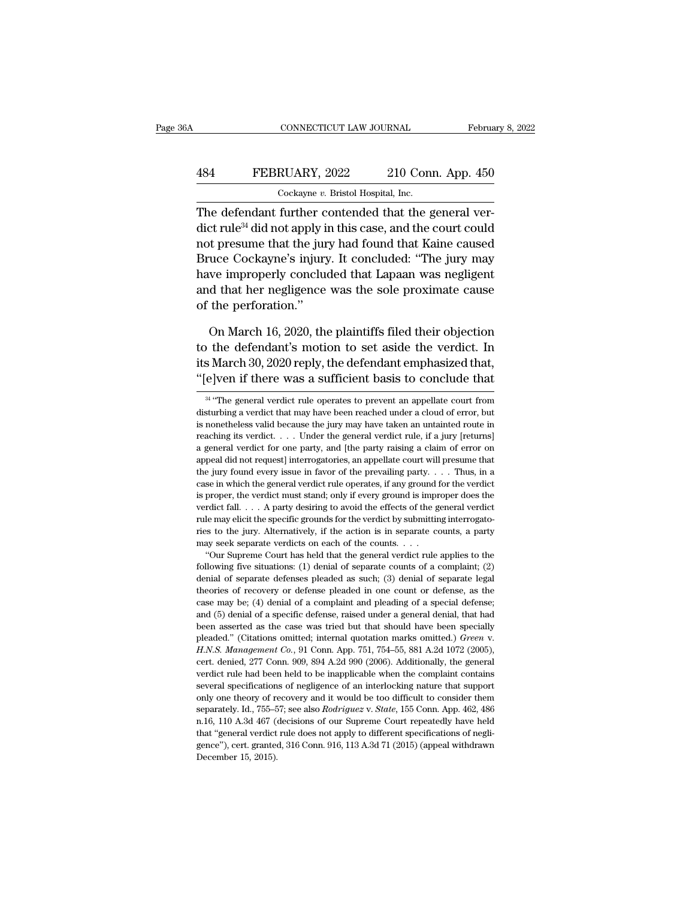#### CONNECTICUT LAW JOURNAL February 8, 2022<br>484 FEBRUARY, 2022 210 Conn. App. 450<br>Cockayne v. Bristol Hospital, Inc. CONNECTICUT LAW JOURNAL Februa<br>FEBRUARY, 2022 210 Conn. App. 450<br>Cockayne *v*. Bristol Hospital, Inc.

CONNECTICUT LAW JOURNAL February 8, 2022<br>  $210$  Conn. App. 450<br>  $Cockayne v.$  Bristol Hospital, Inc.<br>
The defendant further contended that the general ver-<br>
dict rule<sup>34</sup> did not apply in this case, and the court could<br>
not pr  $\begin{tabular}{ll} \multicolumn{1}{l}{{\bf fEBRUARY, 2022}} & \multicolumn{1}{l}{\bf 210 Conn. App. 450} \\ \hline {\multicolumn{1}{l}{\bf Cockayne }v. {\it Bristol Hospital, Inc.} \\ \end{tabular} \begin{tabular}{ll} {\bf The defendant further contended that the general ver-  
dict rule<sup>34</sup> did not apply in this case, and the court could  
not pressure that the jury had found that Kaine caused  
Bruce. *Geclusma's injury. It* is an analytical: "The jury may$ FEBRUARY, 2022 210 Conn. App. 450<br>  $\frac{\text{Cockayne } v. \text{ Bristol Hospital, Inc.}}{\text{The defendant further contended that the general ver-} \text{dict rule}^{34} \text{ did not apply in this case, and the court could not pressure that the jury had found that Kaine caused Bruce Cockayne's injury. It concluded: "The jury may have innerically coupled that I an open was no distinct.}$  $\frac{\text{484}}{\text{Cockayne } v. \text{ Bristol Hospital, Inc.}}$ <br>  $\frac{\text{Cockayne } v. \text{ Bristol Hospital, Inc.}}{\text{The defendant further contended that the general ver-} \text{dict rule}^{34} \text{ did not apply in this case, and the court could not pressure that the jury had found that Kaine caused Bruce Cockayne's injury. It concluded: "The jury may have importantly concluded that Lapaan was negligible and that ben negligible area was a significant effect of the cells perovimate.$ Cockayne  $v$ . Bristol Hospital, Inc.<br>
The defendant further contended that the general verdict rule<sup>34</sup> did not apply in this case, and the court could<br>
not presume that the jury had found that Kaine caused<br>
Bruce Cockayn The defendant further contended that the general verdict rule<sup>34</sup> did not apply in this case, and the court could not presume that the jury had found that Kaine caused Bruce Cockayne's injury. It concluded: "The jury may The detendant further c<br>dict rule<sup>34</sup> did not apply i<br>not presume that the jur<br>Bruce Cockayne's injury<br>have improperly conclue<br>and that her negligence<br>of the perforation."<br>On March 16, 2020, the the presume that the jury had found that Kaine caused<br>
in The gradient was megligent<br>
dependence was the sole proximate cause<br>
the perforation."<br>
On March 16, 2020, the plaintiffs filed their objection<br>
the defendant's mot

Bruce Cockayne's injury. It concluded: "The jury may<br>have improperly concluded that Lapaan was negligent<br>and that her negligence was the sole proximate cause<br>of the perforation."<br>On March 16, 2020, the plaintiffs filed the have improperly concluded that Lapaan was negligent<br>and that her negligence was the sole proximate cause<br>of the perforation."<br>On March 16, 2020, the plaintiffs filed their objection<br>to the defendant's motion to set aside t and that her negligence was the sole proximate cause<br>of the perforation."<br>On March 16, 2020, the plaintiffs filed their objection<br>to the defendant's motion to set aside the verdict. In<br>its March 30, 2020 reply, the defenda of the defendant's motion to set aside the verdict. In  $\mathbf{s}$  March 30, 2020 reply, the defendant emphasized that,  $\mathbf{e}$  Jeven if there was a sufficient basis to conclude that  $\mathbf{e}$   $\mathbf{e}$   $\mathbf{e}$   $\mathbf{e}$   $\mathbf{$ to the defendant's motion to set aside the verdict. In<br>its March 30, 2020 reply, the defendant emphasized that,<br>"[e]ven if there was a sufficient basis to conclude that<br> $\frac{34}{4}$ "The general verdict rule operates to prev

its March 30, 2020 reply, the defendant emphasized that,<br>"[e]ven if there was a sufficient basis to conclude that<br> $\frac{1}{2}$ <br> $\frac{1}{2}$  "The general verdict rule operates to prevent an appellate court from<br>disturbing a verd "[e]ven if there was a sufficient basis to conclude that  $\frac{34}{4}$  "The general verdict rule operates to prevent an appellate court from disturbing a verdict that may have been reached under a cloud of error, but is none The general verdict rule operates to prevent an appellate court from<br>disturbing a verdict that may have been reached under a cloud of error, but<br>is nonetheless valid because the jury may have taken an untainted route in<br>r <sup>34</sup> "The general verdict rule operates to prevent an appellate court from disturbing a verdict that may have been reached under a cloud of error, but is nonetheless valid because the jury may have taken an untainted rout disturbing a verdict that may have been reached under a cloud of error, but<br>is nonetheless valid because the jury may have taken an untainted route in<br>reaching its verdict. . . . Under the general verdict rule, if a jury is nonetheless valid because the jury may have taken an untainted route in reaching its verdict. . . . Under the general verdict rule, if a jury [returns] a general verdict for one party, and [the party raising a claim of Freaching its verdict.... Under the general verdict rule, if a jury [returns] a general verdict for one party, and [the party raising a claim of error on appeal did not request] interrogatories, an appellate court will pr vertext as the party and [the party raising a claim of error on appeal did not request] interrogatories, an appellate court will presume that the jury found every issue in favor of the prevailing party. . . . Thus, in a c a general verdict for one party, and [the party raising a claim of error on appeal did not request] interrogatories, an appellate court will presume that the jury found every issue in favor of the prevailing party. . . . ries to the jury. Alternatively, if the counts,  $\ldots$  is in a case in which the general verdict rule operates, if any ground for the verdict is proper, the verdict must stand; only if every ground is improper does the ver case in which the general verdict rule operates, if any ground for the verdict<br>is proper, the verdict must stand; only if every ground is improper does the<br>verdict fall. . . . A party desiring to avoid the effects of the proper, the verdict must stand; only if every ground is improper does the rdict fall. . . . A party desiring to avoid the effects of the general verdict le may elicit the specific grounds for the verdict by submitting int werdict fall.... A party desiring to avoid the effects of the general verdict rule may elicit the specific grounds for the verdict by submitting interrogatories to the jury. Alternatively, if the action is in separate cou

rule may elicit the specific grounds for the verdict by submitting interrogato-<br>ries to the jury. Alternatively, if the action is in separate counts, a party<br>may seek separate verdicts on each of the counts. . . .<br>"Our Sup theories of recovery or defense pleaded in one count or defense, as the case may be; (4) denial of a complaint and pleading of a special defense; "Our Supreme Court has held that the general verdict rule applies to the following five situations: (1) denial of separate counts of a complaint; (2) denial of separate defenses pleaded as such; (3) denial of separate leg following five situations: (1) denial of separate counts of a complaint; (2) denial of separate defenses pleaded as such; (3) denial of separate legal theories of recovery or defense pleaded in one count or defense, as th bleaded.'' (Citations omitted; internal quotation marks omitted; internal differences of recovery or defense pleaded in one count or defense, as the case may be; (4) denial of a complaint and pleading of a special defense; case may be; (4) denial of a complaint and pleading of a special defense; and (5) denial of a specific defense, raised under a general denial, that had been asserted as the case was tried but that should have been special and (5) denial of a specific defense, raised under a general denial, that had<br>been asserted as the case was tried but that should have been specially<br>pleaded." (Citations omitted; internal quotation marks omitted.) *Green* several specifications of negligence of an interlocking variance of an interlocking pleade." (Citations omitted; internal quotation marks omitted.) *Green v.* H.N.S. Management Co., 91 Conn. App. 751, 754–55, 881 A.2d 1072 pleaded." (Citations omitted; internal quotation marks omitted.) *Green v.*<br>H.N.S. Management Co., 91 Conn. App. 751, 754–55, 881 A.2d 1072 (2005), cert. denied, 277 Conn. 909, 894 A.2d 990 (2006). Additionally, the genera H.N.S. Management Co., 91 Conn. App. 751, 754–55, 881 A.2d 1072 (2005), cert. denied, 277 Conn. 909, 894 A.2d 990 (2006). Additionally, the general verdict rule had been held to be inapplicable when the complaint contains cert. denied, 277 Conn. 909, 894 A.2d 990 (2006). Additionally, the general verdict rule had been held to be inapplicable when the complaint contains several specifications of negligence of an interlocking nature that supp cert. denied, 277 Conn. 909, 894 A.2d 990 (2006). Additionally, the general verdict rule had been held to be inapplicable when the complaint contains several specifications of negligence of an interlocking nature that sup several specifications of negligence of an interlocking nature that support<br>only one theory of recovery and it would be too difficult to consider them<br>separately. Id., 755–57; see also *Rodriguez* v. *State*, 155 Conn. Ap only one theory of recovery and it would be too difficult to consider them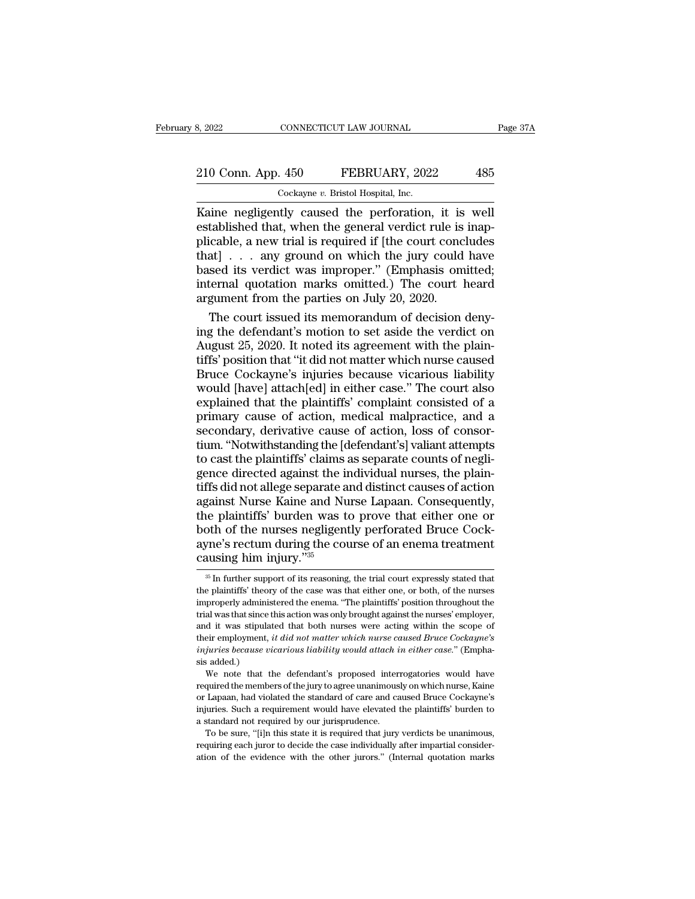## 210 Conn. App. 450 FEBRUARY, 2022 485<br>
210 Conn. App. 450 FEBRUARY, 2022 485 8, 2022 CONNECTICUT LAW JOURNAL<br>
210 Conn. App. 450 FEBRUARY, 2022 485<br>
Cockayne *v*. Bristol Hospital, Inc.<br>
Kaine negligently caused the perforation, it is well

Example 210 Conn. App. 450 FEBRUARY, 2022 485<br>
Cockayne v. Bristol Hospital, Inc.<br>
Kaine negligently caused the perforation, it is well<br>
established that, when the general verdict rule is inapplicable a new trial is requir 210 Conn. App. 450 FEBRUARY, 2022 485<br>
Cockayne v. Bristol Hospital, Inc.<br>
Kaine negligently caused the perforation, it is well<br>
established that, when the general verdict rule is inap-<br>
plicable, a new trial is required i 210 Conn. App. 450 FEBRUARY, 2022 485<br>  $\frac{\text{Cockayne } v. \text{ Bristol Hospital, Inc.}}{\text{Kaine negligently caused the perforation, it is well established that, when the general verdict rule is inapplicable, a new trial is required if [the court concludes that] . . . any ground on which the jury could have based its verdict was improper " (Embbasis omitted).$ 210 Conn. App. 450 FEBRUARY, 2022 485<br>  $\frac{\text{Cockayne } v. \text{ Bristol Hospital, Inc.}}{\text{Kaine negligently caused the perforation, it is well established that, when the general verdict rule is inapplicable, a new trial is required if [the court concludes that] . . . any ground on which the jury could have based its verdict was improper." (Emphasis omitted; internal question marks omitted.) The court heard$ Cockayne v. Bristol Hospital, Inc.<br>
Kaine negligently caused the perforation, it is well<br>
established that, when the general verdict rule is inap-<br>
plicable, a new trial is required if [the court concludes<br>
that] . . . an Cockayne v. Bristol Hospital, Inc.<br>
Kaine negligently caused the perforation, it is well<br>
established that, when the general verdict rule is inap-<br>
plicable, a new trial is required if [the court concludes<br>
that] . . . an Kaine negligently caused the perforation, it is<br>established that, when the general verdict rule is<br>plicable, a new trial is required if [the court conc<br>that]  $\ldots$  any ground on which the jury could<br>based its verdict was tablished that, when the general verdict rule is inapicable, a new trial is required if [the court concludes at]  $\ldots$  any ground on which the jury could have sed its verdict was improper." (Emphasis omitted; ternal quota plicable, a new trial is required if [the court concludes<br>that] . . . any ground on which the jury could have<br>based its verdict was improper." (Emphasis omitted;<br>internal quotation marks omitted.) The court heard<br>argument

that] . . . any ground on which the jury could have<br>based its verdict was improper." (Emphasis omitted;<br>internal quotation marks omitted.) The court heard<br>argument from the parties on July 20, 2020.<br>The court issued its me based its verdict was improper." (Emphasis omitted;<br>internal quotation marks omitted.) The court heard<br>argument from the parties on July 20, 2020.<br>The court issued its memorandum of decision deny-<br>ing the defendant's motio internal quotation marks omitted.) The court heard<br>argument from the parties on July 20, 2020.<br>The court issued its memorandum of decision deny-<br>ing the defendant's motion to set aside the verdict on<br>August 25, 2020. It no argument from the parties on July 20, 2020.<br>The court issued its memorandum of decision deny-<br>ing the defendant's motion to set aside the verdict on<br>August 25, 2020. It noted its agreement with the plain-<br>tiffs' position t The court issued its memorandum of decision denying the defendant's motion to set aside the verdict on August 25, 2020. It noted its agreement with the plaintiffs' position that "it did not matter which nurse caused Bruce ing the defendant's motion to set aside the verdict on<br>August 25, 2020. It noted its agreement with the plain-<br>tiffs' position that "it did not matter which nurse caused<br>Bruce Cockayne's injuries because vicarious liabilit August 25, 2020. It noted its agreement with the plaintiffs' position that "it did not matter which nurse caused Bruce Cockayne's injuries because vicarious liability would [have] attach[ed] in either case." The court also tiffs' position that "it did not matter which nurse caused<br>Bruce Cockayne's injuries because vicarious liability<br>would [have] attach[ed] in either case." The court also<br>explained that the plaintiffs' complaint consisted of Bruce Cockayne's injuries because vicarious liability<br>would [have] attach[ed] in either case." The court also<br>explained that the plaintiffs' complaint consisted of a<br>primary cause of action, medical malpractice, and a<br>seco would [have] attach[ed] in either case." The court also<br>explained that the plaintiffs' complaint consisted of a<br>primary cause of action, medical malpractice, and a<br>secondary, derivative cause of action, loss of consor-<br>tiu explained that the plaintiffs' complaint consisted of a<br>primary cause of action, medical malpractice, and a<br>secondary, derivative cause of action, loss of consor-<br>tium. "Notwithstanding the [defendant's] valiant attempts<br>t primary cause of action, medical malpractice, and a<br>secondary, derivative cause of action, loss of consor-<br>tium. "Notwithstanding the [defendant's] valiant attempts<br>to cast the plaintiffs' claims as separate counts of negl secondary, derivative cause of action, loss of consortium. "Notwithstanding the [defendant's] valiant attempts<br>to cast the plaintiffs' claims as separate counts of negli-<br>gence directed against the individual nurses, the p tium. "Notwithstanding the [defendant's] valiant attempts<br>to cast the plaintiffs' claims as separate counts of negli-<br>gence directed against the individual nurses, the plain-<br>tiffs did not allege separate and distinct caus to cast the plaintiffs' claims as separate counts of negligence directed against the individual nurses, the plaintiffs did not allege separate and distinct causes of action against Nurse Kaine and Nurse Lapaan. Consequentl gence directed against the in<br>tiffs did not allege separate a<br>against Nurse Kaine and Nu<br>the plaintiffs' burden was t<br>both of the nurses negligen<br>ayne's rectum during the con<br>causing him injury."<sup>35</sup> the plaintiffs' burden was to prove that either one or<br>both of the nurses negligently perforated Bruce Cock-<br>ayne's rectum during the course of an enema treatment<br>causing him injury."<sup>35</sup><br> $\frac{1}{100}$  in further support of

both of the nurses negligently perforated Bruce Cockayne's rectum during the course of an enema treatment<br>causing him injury."<sup>35</sup><br><sup>35</sup> In further support of its reasoning, the trial court expressly stated that<br>the plainti ayne's rectum during the course of an enema treatment<br>causing him injury."<sup>35</sup><br> $\frac{1}{100}$  in further support of its reasoning, the trial court expressly stated that<br>the plaintiffs' theory of the case was that either one, Example in many  $^{35}$ <br>  $^{35}$  In further support of its reasoning, the trial court expressly stated that<br>
the plaintiffs' theory of the case was that either one, or both, of the nurses<br>
improperly administered the enema. Causing furth Hijury.<br>  $\frac{1}{100}$  is reasoning, the trial court expressly stated that<br>
the plaintiffs' theory of the case was that either one, or both, of the nurses<br>
improperly administered the enema. "The plaintiffs' p  $\frac{1}{100}$  in further support of its reasoning, the trial court expressly stated that the plaintiffs' theory of the case was that either one, or both, of the nurses improperly administered the enema. "The plaintiffs' pos *in* indiffs' theory of the case was that either one, or both, of the nurses improperly administered the enema. "The plaintiffs' position throughout the trial was that since this action was only brought against the nurses' improperly administering<br>improperly administering and it was stipular<br>their employment,<br>injuries because vs<br>sis added.)<br>We note that t al was that since this action was only brought against the nurses' employer,<br>al it was stipulated that both nurses were acting within the scope of<br>eir employment, *it did not matter which nurse caused Bruce Cockayne's*<br>*ju* and it was stipulated that both nurses were acting within the scope of their employment, *it did not matter which nurse caused Bruce Cockayne's injuries because vicarious liability would attach in either case.*" (Emphasi

their employment, *it did not matter which nurse caused Bruce Cockayne's injuries because vicarious liability would attach in either case.*" (Emphasis added.)<br>We note that the defendant's proposed interrogatories would h injuries because vicarious liability would attach in either case." (Emphasis added.)<br>We note that the defendant's proposed interrogatories would have<br>required the members of the jury to agree unanimously on which nurse, Ka a standard view to allow the defendant's proposed inter-<br>sis added.)<br>We note that the defendant's proposed inter-<br>required the members of the jury to agree unanimous<br>or Lapaan, had violated the standard of care and ca<br>inju sis added.)<br>We note that the defendant's proposed interrogatories would have<br>required the members of the jury to agree unanimously on which nurse, Kaine<br>or Lapaan, had violated the standard of care and caused Bruce Cockayn required the members of the jury to agree unanimously on which nurse, Kaine<br>or Lapaan, had violated the standard of care and caused Bruce Cockayne's<br>injuries. Such a requirement would have elevated the plaintiffs' burden t or Lapaan, had violated the standard of care and caused Bruce Cockayne's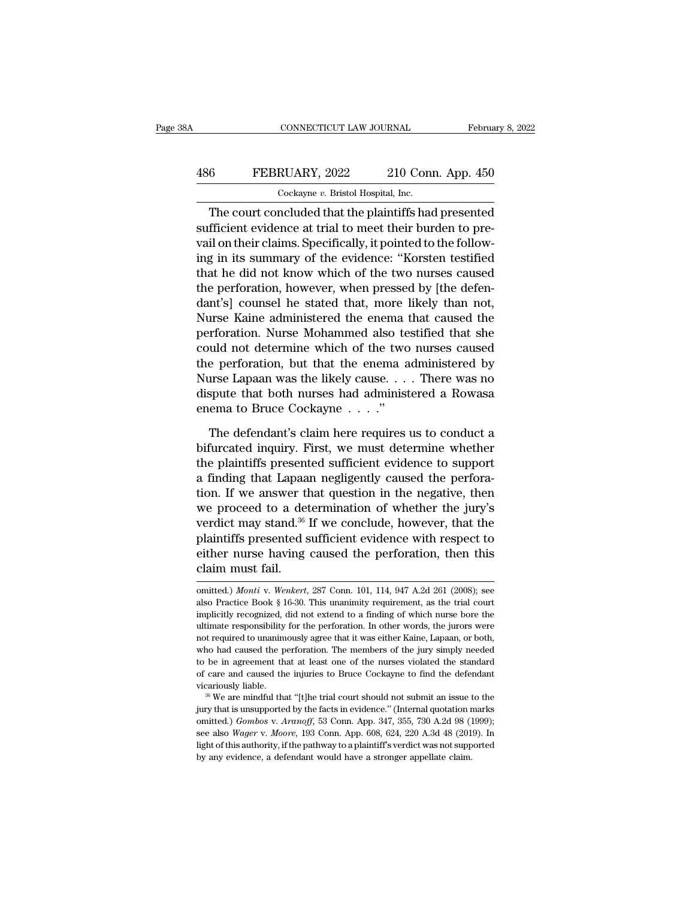## CONNECTICUT LAW JOURNAL February 8, 2022<br>486 FEBRUARY, 2022 210 Conn. App. 450<br>Cockayne v. Bristol Hospital, Inc. CONNECTICUT LAW JOURNAL Februa<br>
FEBRUARY, 2022 210 Conn. App. 450<br>
Cockayne *v*. Bristol Hospital, Inc.<br>
The court concluded that the plaintiffs had presented

CONNECTICUT LAW JOURNAL February 8, 2022<br>
FEBRUARY, 2022 210 Conn. App. 450<br>
Cockayne v. Bristol Hospital, Inc.<br>
The court concluded that the plaintiffs had presented<br>
fficient evidence at trial to meet their burden to pre FEBRUARY, 2022 210 Conn. App. 450<br>
Cockayne v. Bristol Hospital, Inc.<br>
The court concluded that the plaintiffs had presented<br>
sufficient evidence at trial to meet their burden to pre-<br>
vail on their claims. Specifically, i 486 FEBRUARY, 2022 210 Conn. App. 450<br>  $\frac{\text{Cockaque } v. \text{ Bristol Hospital, Inc.}}{\text{The court concluded that the plaintiffs had presented}\text{sufficient evidence at trial to meet their burden to prevail on their claims. Specifically, it pointed to the following in its summary of the evidence: "Korsten testified that he did not know which of the two curves caused.}$ FEBRUARY, 2022 210 Conn. App. 450<br>  $\frac{\text{Cockayne } v. \text{ Bristol Hospital, Inc.}}{\text{The court concluded that the plaintiffs had presented}\text{sufficient evidence at trial to meet their burden to prevail on their claims. Specifically, it pointed to the following in its summary of the evidence: "Korsten testified that he did not know which of the two nurses caused the performance.}$ Cockayne  $v$ . Bristol Hospital, Inc.<br>
The court concluded that the plaintiffs had presented<br>
sufficient evidence at trial to meet their burden to pre-<br>
vail on their claims. Specifically, it pointed to the follow-<br>
ing in Cockayhe *t*. Bristol Hosphat, the.<br>
The court concluded that the plaintiffs had presented<br>
sufficient evidence at trial to meet their burden to pre-<br>
vail on their claims. Specifically, it pointed to the follow-<br>
ing in i The court concluded that the plaintiffs had presented<br>sufficient evidence at trial to meet their burden to pre-<br>vail on their claims. Specifically, it pointed to the follow-<br>ing in its summary of the evidence: "Korsten tes sufficient evidence at trial to meet their burden to prevail on their claims. Specifically, it pointed to the following in its summary of the evidence: "Korsten testified that he did not know which of the two nurses caused vail on their claims. Specifically, it pointed to the following in its summary of the evidence: "Korsten testified that he did not know which of the two nurses caused the perforation, however, when pressed by [the defendan ing in its summary of the evidence: "Korsten testified<br>that he did not know which of the two nurses caused<br>the perforation, however, when pressed by [the defen-<br>dant's] counsel he stated that, more likely than not,<br>Nurse K that he did not know which of the two nurses caused<br>the perforation, however, when pressed by [the defen-<br>dant's] counsel he stated that, more likely than not,<br>Nurse Kaine administered the enema that caused the<br>perforation the perforation, however, when pressed by [the defen-<br>dant's] counsel he stated that, more likely than not,<br>Nurse Kaine administered the enema that caused the<br>perforation. Nurse Mohammed also testified that she<br>could not d dant's] counsel he stated that, more likely than not,<br>Nurse Kaine administered the enema that caused the<br>perforation. Nurse Mohammed also testified that she<br>could not determine which of the two nurses caused<br>the perforatio Nurse Kaine administered the enema therforation. Nurse Mohammed also te could not determine which of the two the perforation, but that the enema a Nurse Lapaan was the likely cause. . . . . .'' dispute that both nurses had uld not determine which of the two nurses caused<br>e perforation, but that the enema administered by<br>urse Lapaan was the likely cause. . . . There was no<br>spute that both nurses had administered a Rowasa<br>ema to Bruce Cockayne the perforation, but that the enema administered by<br>Nurse Lapaan was the likely cause. . . . There was no<br>dispute that both nurses had administered a Rowasa<br>enema to Bruce Cockayne . . . ."<br>The defendant's claim here requi

Nurse Lapaan was the likely cause. . . . There was no<br>dispute that both nurses had administered a Rowasa<br>enema to Bruce Cockayne . . . ."<br>The defendant's claim here requires us to conduct a<br>bifurcated inquiry. First, we m dispute that both nurses had administered a Rowasa<br>enema to Bruce Cockayne  $\ldots$ ."<br>The defendant's claim here requires us to conduct a<br>bifurcated inquiry. First, we must determine whether<br>the plaintiffs presented sufficie The defendant's claim here requires us to conduct a<br>bifurcated inquiry. First, we must determine whether<br>the plaintiffs presented sufficient evidence to support<br>a finding that Lapaan negligently caused the perfora-<br>tion. The defendant's claim here requires us to conduct a<br>bifurcated inquiry. First, we must determine whether<br>the plaintiffs presented sufficient evidence to support<br>a finding that Lapaan negligently caused the perfora-<br>tion. I The defendant's claim here requires us to conduct a<br>bifurcated inquiry. First, we must determine whether<br>the plaintiffs presented sufficient evidence to support<br>a finding that Lapaan negligently caused the perfora-<br>tion. I bifurcated inquiry. First, we must determine whether<br>the plaintiffs presented sufficient evidence to support<br>a finding that Lapaan negligently caused the perfora-<br>tion. If we answer that question in the negative, then<br>we p the plaintiffs presented sufficient evidence to support<br>a finding that Lapaan negligently caused the perfora-<br>tion. If we answer that question in the negative, then<br>we proceed to a determination of whether the jury's<br>verdi a finding that Lapaa<br>tion. If we answer the<br>we proceed to a det<br>verdict may stand.<sup>36</sup><br>plaintiffs presented s<br>either nurse having<br>claim must fail.<br>mitted.) Monti v. Wenkert, verdict may stand.<sup>36</sup> If we conclude, however, that the plaintiffs presented sufficient evidence with respect to either nurse having caused the perforation, then this claim must fail.<br>
omitted.) *Monti* v. *Wenkert*, 287

either nurse having caused the perforation, then this claim must fail.<br>  $\frac{1}{\text{omitted.}}$  *Monti* v. *Wenkert*, 287 Conn. 101, 114, 947 A.2d 261 (2008); see also Practice Book § 16-30. This unanimity requirement, as the tria either nurse having caused the perforation, then this<br>claim must fail.<br>omitted.) *Monti* v. Wenkert, 287 Conn. 101, 114, 947 A.2d 261 (2008); see<br>also Practice Book § 16-30. This unanimity requirement, as the trial court<br>i claim must fail.<br>
omitted.) *Monti* v. Wenkert, 287 Conn. 101, 114, 947 A.2d 261 (2008); see<br>
also Practice Book § 16-30. This unanimity requirement, as the trial court<br>
implicitly recognized, did not extend to a finding o not required to *Monti* v. *Wenkert*, 287 Conn. 101, 114, 947 A.2d 261 (2008); see also Practice Book § 16-30. This unanimity requirement, as the trial court implicitly recognized, did not extend to a finding of which nurs omitted.) *Monti* v. *Wenkert*, 287 Conn. 101, 114, 947 A.2d 261 (2008); see also Practice Book § 16-30. This unanimity requirement, as the trial court implicitly recognized, did not extend to a finding of which nurse bore also Practice Book § 16-30. This unanimity requirement, as the trial court implicitly recognized, did not extend to a finding of which nurse bore the ultimate responsibility for the perforation. In other words, the jurors implicitly recognized, did not extend to a finding of which nurse bore the ultimate responsibility for the perforation. In other words, the jurors were not required to unanimously agree that it was either Kaine, Lapaan, or with the responsibility for the perforation. In other words, the jurors were not required to unanimously agree that it was either Kaine, Lapaan, or both, who had caused the perforation. The members of the jury simply neede who had caused the perforation. The members of the jury simply needed<br>to be in agreement that at least one of the nurses violated the standard<br>of care and caused the injuries to Bruce Cockayne to find the defendant<br>vicari

to be in agreement that at least one of the nurses violated the standard of care and caused the injuries to Bruce Cockayne to find the defendant vicariously liable.<br><sup>36</sup> We are mindful that "[t]he trial court should not su of care and caused the injuries to Bruce Cockayne to find the defendant<br>vicariously liable.<br><sup>36</sup> We are mindful that "[t]he trial court should not submit an issue to the<br>jury that is unsupported by the facts in evidence." vicariously liable.<br><sup>36</sup> We are mindful that "[t]he trial court should not submit an issue to the<br>jury that is unsupported by the facts in evidence." (Internal quotation marks<br>omitted.) *Gombos v. Aranoff*, 53 Conn. App. <sup>36</sup> We are mindful that "[t]he trial court should not submit an issue to the jury that is unsupported by the facts in evidence." (Internal quotation marks omitted.) *Gombos v. Aranoff*, 53 Conn. App. 347, 355, 730 A.2d 9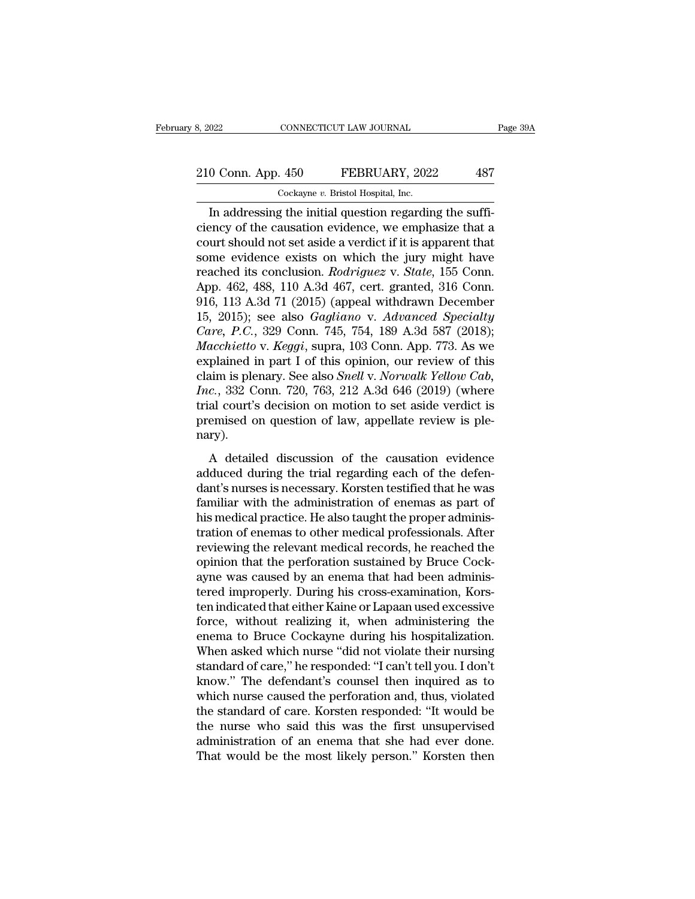# 210 Conn. App. 450 FEBRUARY, 2022 487<br>
210 Conn. App. 450 FEBRUARY, 2022 487

8, 2022 CONNECTICUT LAW JOURNAL<br>
210 Conn. App. 450 FEBRUARY, 2022 487<br>
Cockayne *v*. Bristol Hospital, Inc.<br>
In addressing the initial question regarding the suffi-CONNECTICUT LAW JOURNAL<br>
O Conn. App. 450 FEBRUARY, 2022 487<br>
Cockayne v. Bristol Hospital, Inc.<br>
In addressing the initial question regarding the suffi-<br>
ency of the causation evidence, we emphasize that a<br>
unt should not 210 Conn. App. 450 FEBRUARY, 2022 487<br>
Cockayne v. Bristol Hospital, Inc.<br>
In addressing the initial question regarding the sufficiency of the causation evidence, we emphasize that a<br>
court should not set aside a verdict i 210 Conn. App. 450 FEBRUARY, 2022 487<br>  $\frac{\text{Cockayne } v. \text{ Bristol Hospital, Inc.}}{ \text{In addressing the initial question regarding the suffi-} \text{ciency of the causation evidence, we emphasize that a} \text{court should not set aside a verdict if it is apparent that some evidence exists on which the jury might have reached its conclusion. Podviques,  $v. \text{State 155} \text{ Conn.}$$ 210 Conn. App. 450 FEBRUARY, 2022 487<br>
Cockayne v. Bristol Hospital, Inc.<br>
In addressing the initial question regarding the suffi-<br>
ciency of the causation evidence, we emphasize that a<br>
court should not set aside a verdi Cockayne *v*. Bristol Hospital, Inc.<br>
In addressing the initial question regarding the suffi-<br>
ciency of the causation evidence, we emphasize that a<br>
court should not set aside a verdict if it is apparent that<br>
some eviden Cockayne v. Bristol Hospital, Inc.<br>
In addressing the initial question regarding the suffi-<br>
ciency of the causation evidence, we emphasize that a<br>
court should not set aside a verdict if it is apparent that<br>
some evidenc In addressing the initial question regarding the suffi-<br>ciency of the causation evidence, we emphasize that a<br>court should not set aside a verdict if it is apparent that<br>some evidence exists on which the jury might have<br>r ciency of the causation evidence, we emphasize that a<br>court should not set aside a verdict if it is apparent that<br>some evidence exists on which the jury might have<br>reached its conclusion. *Rodriguez* v. *State*, 155 Conn.<br> court should not set aside a verdict if it is apparent that<br>some evidence exists on which the jury might have<br>reached its conclusion. *Rodriguez v. State*, 155 Conn.<br>App. 462, 488, 110 A.3d 467, cert. granted, 316 Conn.<br>91 some evidence exists on which the jury might have<br>reached its conclusion. *Rodriguez* v. *State*, 155 Conn.<br>App. 462, 488, 110 A.3d 467, cert. granted, 316 Conn.<br>916, 113 A.3d 71 (2015) (appeal withdrawn December<br>15, 2015) reached its conclusion. *Rodriguez* v. *State*, 155 Conn.<br>App. 462, 488, 110 A.3d 467, cert. granted, 316 Conn.<br>916, 113 A.3d 71 (2015) (appeal withdrawn December<br>15, 2015); see also *Gagliano* v. *Advanced Specialty<br>Care* App. 462, 488, 110 A.3d 467, cert. granted, 316 Conn.<br>916, 113 A.3d 71 (2015) (appeal withdrawn December<br>15, 2015); see also *Gagliano* v. *Advanced Specialty*<br>*Care, P.C.*, 329 Conn. 745, 754, 189 A.3d 587 (2018);<br>*Macchi* 916, 113 A.3d 71 (2015) (appeal withdrawn December<br>15, 2015); see also *Gagliano* v. *Advanced Specialty*<br>*Care, P.C.*, 329 Conn. 745, 754, 189 A.3d 587 (2018);<br>*Macchietto* v. *Keggi*, supra, 103 Conn. App. 773. As we<br>exp 15, 2015); see also *Gagliano* v. *Advanced Specialty Care, P.C.*, 329 Conn. 745, 754, 189 A.3d 587 (2018); *Macchietto* v. *Keggi*, supra, 103 Conn. App. 773. As we explained in part I of this opinion, our review of this Care, P.C., 329 Conn. 745, 754, 189 A.3d 587 (2018);<br>Macchietto v. Keggi, supra, 103 Conn. App. 773. As we<br>explained in part I of this opinion, our review of this<br>claim is plenary. See also *Snell v. Norwalk Yellow Cab*,<br> nary). France in part 1 of ans opinion, our referred discussion<br>im is plenary. See also *Snell v. Norwalk Yellow Cab*,<br>*c.*, 332 Conn. 720, 763, 212 A.3d 646 (2019) (where<br>al court's decision on motion to set aside verdict is<br>em Find, 3 perhalf, 3 co also shown in the trial relate of the during the trial court's decision on motion to set aside verdict is premised on question of law, appellate review is ple-<br>nary).<br>A detailed discussion of the cau

decision on motion to set aside verdict is<br>trial court's decision on motion to set aside verdict is<br>premised on question of law, appellate review is ple-<br>nary).<br>A detailed discussion of the causation evidence<br>adduced durin Framitian collects decided on find and to see added vertice to premised on question of law, appellate review is ple-<br>nary).<br>A detailed discussion of the causation evidence<br>adduced during the trial regarding each of the def he also takes an experiment of the causation evidence adduced during the trial regarding each of the defendant's nurses is necessary. Korsten testified that he was familiar with the administration of enemas as part of his A detailed discussion of the causation evidence<br>adduced during the trial regarding each of the defen-<br>dant's nurses is necessary. Korsten testified that he was<br>familiar with the administration of enemas as part of<br>his med A detailed discussion of the causation evidence<br>adduced during the trial regarding each of the defen-<br>dant's nurses is necessary. Korsten testified that he was<br>familiar with the administration of enemas as part of<br>his medi adduced during the trial regarding each of the defendant's nurses is necessary. Korsten testified that he was familiar with the administration of enemas as part of his medical practice. He also taught the proper administra dant's nurses is necessary. Korsten testified that he was<br>familiar with the administration of enemas as part of<br>his medical practice. He also taught the proper adminis-<br>tration of enemas to other medical professionals. Aft familiar with the administration of enemas as part of<br>his medical practice. He also taught the proper adminis-<br>tration of enemas to other medical professionals. After<br>reviewing the relevant medical records, he reached the<br> his medical practice. He also taught the proper administration of enemas to other medical professionals. After<br>reviewing the relevant medical records, he reached the<br>opinion that the perforation sustained by Bruce Cock-<br>ay tration of enemas to other medical professionals. After<br>reviewing the relevant medical records, he reached the<br>opinion that the perforation sustained by Bruce Cock-<br>ayne was caused by an enema that had been adminis-<br>tered reviewing the relevant medical records, he reached the<br>opinion that the perforation sustained by Bruce Cock-<br>ayne was caused by an enema that had been adminis-<br>tered improperly. During his cross-examination, Kors-<br>ten indi opinion that the perforation sustained by Bruce Cock-<br>ayne was caused by an enema that had been adminis-<br>tered improperly. During his cross-examination, Kors-<br>ten indicated that either Kaine or Lapaan used excessive<br>force, ayne was caused by an enema that had been administered improperly. During his cross-examination, Korsten indicated that either Kaine or Lapaan used excessive force, without realizing it, when administering the enema to Bru tered improperly. During his cross-examination, Korsten indicated that either Kaine or Lapaan used excessive<br>force, without realizing it, when administering the<br>enema to Bruce Cockayne during his hospitalization.<br>When aske ten indicated that either Kaine or Lapaan used excessive<br>force, without realizing it, when administering the<br>enema to Bruce Cockayne during his hospitalization.<br>When asked which nurse "did not violate their nursing<br>standar force, without realizing it, when administering the<br>enema to Bruce Cockayne during his hospitalization.<br>When asked which nurse "did not violate their nursing<br>standard of care," he responded: "I can't tell you. I don't<br>know enema to Bruce Cockayne during his hospitalization.<br>When asked which nurse "did not violate their nursing<br>standard of care," he responded: "I can't tell you. I don't<br>know." The defendant's counsel then inquired as to<br>which When asked which nurse "did not violate their nursing<br>standard of care," he responded: "I can't tell you. I don't<br>know." The defendant's counsel then inquired as to<br>which nurse caused the perforation and, thus, violated<br>th standard of care," he responded: "I can't tell you. I don't<br>know." The defendant's counsel then inquired as to<br>which nurse caused the perforation and, thus, violated<br>the standard of care. Korsten responded: "It would be<br>th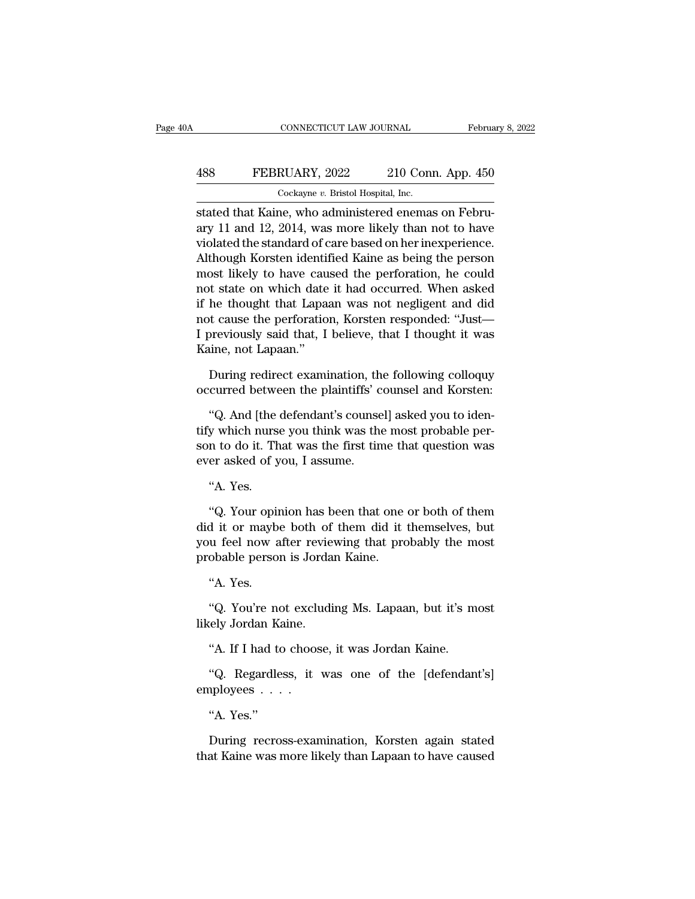## CONNECTICUT LAW JOURNAL February 8, 2022<br>488 FEBRUARY, 2022 210 Conn. App. 450<br>Cockayne v. Bristol Hospital, Inc. CONNECTICUT LAW JOURNAL Februa<br>
488 FEBRUARY, 2022 210 Conn. App. 450<br>
Cockayne *v.* Bristol Hospital, Inc.<br>
stated that Kaine, who administered enemas on Febru-

CONNECTICUT LAW JOURNAL Februa<br>
Stated that Kaine, who administered enemas on Febru-<br>
extated that Kaine, who administered enemas on Febru-<br>
existed that Kaine, who administered enemas on Febru-<br>
existed the standard of sa FEBRUARY, 2022 210 Conn. App. 450<br>
Cockayne v. Bristol Hospital, Inc.<br>
stated that Kaine, who administered enemas on February 11 and 12, 2014, was more likely than not to have<br>
violated the standard of care based on her in FEBRUARY, 2022 210 Conn. App. 450<br>  $\frac{\text{Cockayne } v. \text{ Bristol Hospital, Inc.}}{\text{Stated that Kaine, who administered enemas on February 11 and 12, 2014, was more likely than not to have violated the standard of care based on her inexpensive. Although Korsten identified Kaine as being the person most likely to have caused the performance.$ 488 FEBRUARY, 2022 210 Conn. App. 450<br>  $\frac{\text{Cockayne } v. \text{ Bristol Hospital, Inc.}}{\text{Stated that Kaine, who administered enemas on February 11 and 12, 2014, was more likely than not to have violated the standard of care based on her inexperience.}$ Although Korsten identified Kaine as being the person most likely to have caused the perforation, he could n Cockayne  $v$ . Bristol Hospital, Inc.<br>
stated that Kaine, who administered enemas on Febru-<br>
ary 11 and 12, 2014, was more likely than not to have<br>
violated the standard of care based on her inexperience.<br>
Although Korsten  $\frac{1}{2}$  stated that Kaine, who administered enemas on February 11 and 12, 2014, was more likely than not to have violated the standard of care based on her inexperience.<br>Although Korsten identified Kaine as being the pe stated that Kaine, who administered enemas on February 11 and 12, 2014, was more likely than not to have violated the standard of care based on her inexperience.<br>Although Korsten identified Kaine as being the person most l ary 11 and 12, 2014, was more likely than not to have<br>violated the standard of care based on her inexperience.<br>Although Korsten identified Kaine as being the person<br>most likely to have caused the perforation, he could<br>not violated the standard of care based on her inexperience.<br>Although Korsten identified Kaine as being the person<br>most likely to have caused the perforation, he could<br>not state on which date it had occurred. When asked<br>if he Although Korsten identif<br>most likely to have cau<br>not state on which date<br>if he thought that Lapaa<br>not cause the perforatio<br>I previously said that, I<br>Kaine, not Lapaan."<br>During redirect exami of state on which date it had occurred. When asked<br>he thought that Lapaan was not negligent and did<br>of t cause the perforation, Korsten responded: "Just—<br>previously said that, I believe, that I thought it was<br>uine, not Lap if he thought that Lapaan was not negligent and did<br>not cause the perforation, Korsten responded: "Just—I<br>previously said that, I believe, that I thought it was<br>Kaine, not Lapaan."<br>During redirect examination, the followin

The definition, it is also the performance, it is also the defendant. I believe, that I thought it was<br>tine, not Lapaan."<br>During redirect examination, the following colloquy<br>curred between the plaintiffs' counsel and Korst Ferrously sate that, 1 believe, that 1 thought it was<br>Kaine, not Lapaan."<br>During redirect examination, the following colloquy<br>occurred between the plaintiffs' counsel and Korsten:<br>"Q. And [the defendant's counsel] asked yo Solution During redirect examination, the following colloquy<br>occurred between the plaintiffs' counsel and Korsten:<br>"Q. And [the defendant's counsel] asked you to iden-<br>tify which nurse you think was the most probable per-<br> During redirect examination, th<br>occurred between the plaintiffs' c<br>"Q. And [the defendant's counse<br>tify which nurse you think was the<br>son to do it. That was the first tin<br>ever asked of you, I assume.<br>"A. Yes. "Q. And [the<br>"Q. And [the<br>n to do it. Th<br>er asked of y<br>"A. Yes.<br>"Q. Your opir Example in the determinant is counserfusived you to identify which nurse you think was the most probable per-<br>
n to do it. That was the first time that question was<br>
er asked of you, I assume.<br>
"A. Yes.<br>
"Q. Your opinion h

did it. That was the first time that question was<br>ever asked of you, I assume.<br>"A. Yes.<br>"Q. Your opinion has been that one or both of them<br>did it or maybe both of them did it themselves, but<br>you feel now after reviewing th son to do it. That was the first time that question was<br>ever asked of you, I assume.<br>"A. Yes.<br>"Q. Your opinion has been that one or both of them<br>did it or maybe both of them did it themselves, but<br>you feel now after review "A. Yes.<br>"A. Yes.<br>"Q. Your opinion has been that one<br>did it or maybe both of them did it<br>you feel now after reviewing that pro<br>probable person is Jordan Kaine.<br>"A. Yes. "Q. Your opin"<br>"Q. Your opin"<br>u feel now a<br>obable person"<br>"A. Yes.<br>"Q. You're ne Example 1 and Section that the control of them<br>d it or maybe both of them did it themselves, but<br>u feel now after reviewing that probably the most<br>obable person is Jordan Kaine.<br>"A. Yes.<br>"Q. You're not excluding Ms. Lapaan March Commaybe both of you feel now after revier<br>probable person is Jorda<br>"A. Yes.<br>"Q. You're not excludi<br>likely Jordan Kaine.<br>"A. If I had to choose,

obable person is Jordan Kaine.<br>"A. Yes.<br>"Q. You're not excluding Ms. Lapaan, but it's mely Jordan Kaine.<br>"A. If I had to choose, it was Jordan Kaine.<br>"Q. Regardless, it was one of the [defendan "A. Yes.<br>"Q. You're not excluding Ms. Lapaan, but it's most<br>ely Jordan Kaine.<br>"A. If I had to choose, it was Jordan Kaine.<br>"Q. Regardless, it was one of the [defendant's]<br>nployees . . . .

employees . . . . likely Jordan Kaine.<br>
"A. If I had to choose, it was Jordan Kaine.<br>
"Q. Regardless, it was one of the [defendant's]<br>
employees . . . .<br>
"A. Yes."<br>
During recross-examination, Korsten again stated %. Regardless, it was one of the [defendant's]<br>employees . . . .<br>"A. Yes."<br>During recross-examination, Korsten again stated<br>that Kaine was more likely than Lapaan to have caused

"A. If I had to choose, it was Jordan Kaine.<br>"Q. Regardless, it was one of the [defendant's]<br>nployees . . . .<br>"A. Yes."<br>During recross-examination, Korsten again stated<br>at Kaine was more likely than Lapaan to have caused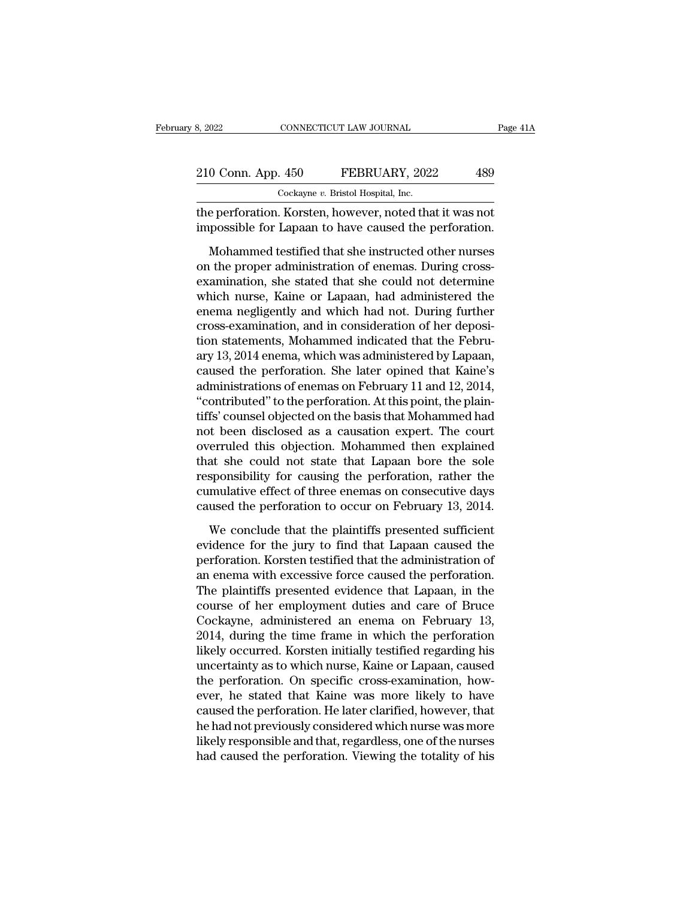| 3, 2022            |  | CONNECTICUT LAW JOURNAL                                  | Page 41A |  |
|--------------------|--|----------------------------------------------------------|----------|--|
|                    |  |                                                          |          |  |
| 210 Conn. App. 450 |  | FEBRUARY, 2022                                           | 489      |  |
|                    |  | Cockayne v. Bristol Hospital, Inc.                       |          |  |
|                    |  | the perforation. Korsten, however, noted that it was not |          |  |

the perforation. Korsten, however, noted that it was not<br>the perforation. Korsten, however, noted that it was not<br>impossible for Lapaan to have caused the perforation. 210 Conn. App. 450 FEBRUARY, 2022 489<br>
Cockayne v. Bristol Hospital, Inc.<br>
the perforation. Korsten, however, noted that it was not<br>
impossible for Lapaan to have caused the perforation.<br>
Mohammed testified that she instru

O Conn. App. 450 FEBRUARY, 2022 489<br>
Cockayne v. Bristol Hospital, Inc.<br>
e perforation. Korsten, however, noted that it was not<br>
possible for Lapaan to have caused the perforation.<br>
Mohammed testified that she instructed o 210 Conn. App. 450 FEBRUARY, 2022 489<br>  $\frac{\text{Cockaque } v. \text{ Bristol Hospital, Inc.}}{\text{Cockaque } v. \text{ Bristol Hospital, Inc.}}$ <br>
the perforation. Korsten, however, noted that it was not<br>
impossible for Lapaan to have caused the perforation.<br>
Mohammed testified that she Cockayne  $v$ . Bristol Hospital, Inc.<br>
the perforation. Korsten, however, noted that it was not<br>
impossible for Lapaan to have caused the perforation.<br>
Mohammed testified that she instructed other nurses<br>
on the proper adm the perforation. Korsten, however, noted that it was not<br>impossible for Lapaan to have caused the perforation.<br>Mohammed testified that she instructed other nurses<br>on the proper administration of enemas. During cross-<br>exami impossible for Lapaan to have caused the perforation.<br>Mohammed testified that she instructed other nurses<br>on the proper administration of enemas. During cross-<br>examination, she stated that she could not determine<br>which nur Mohammed testified that she instructed other nurses<br>on the proper administration of enemas. During cross-<br>examination, she stated that she could not determine<br>which nurse, Kaine or Lapaan, had administered the<br>enema neglig Mohammed testified that she instructed other nurses<br>on the proper administration of enemas. During cross-<br>examination, she stated that she could not determine<br>which nurse, Kaine or Lapaan, had administered the<br>enema neglig on the proper administration of enemas. During cross-<br>examination, she stated that she could not determine<br>which nurse, Kaine or Lapaan, had administered the<br>enema negligently and which had not. During further<br>cross-examin examination, she stated that she could not determine<br>which nurse, Kaine or Lapaan, had administered the<br>enema negligently and which had not. During further<br>cross-examination, and in consideration of her deposi-<br>tion statem which nurse, Kaine or Lapaan, had administered the<br>enema negligently and which had not. During further<br>cross-examination, and in consideration of her deposi-<br>tion statements, Mohammed indicated that the February<br>13, 2014 e enema negligently and which had not. During further<br>cross-examination, and in consideration of her deposi-<br>tion statements, Mohammed indicated that the Febru-<br>ary 13, 2014 enema, which was administered by Lapaan,<br>caused th cross-examination, and in consideration of her deposition statements, Mohammed indicated that the February 13, 2014 enema, which was administered by Lapaan, caused the perforation. She later opined that Kaine's administrat tion statements, Mohammed indicated that the February 13, 2014 enema, which was administered by Lapaan, caused the perforation. She later opined that Kaine's administrations of enemas on February 11 and 12, 2014, "contribu ary 13, 2014 enema, which was administered by Lapaan,<br>caused the perforation. She later opined that Kaine's<br>administrations of enemas on February 11 and 12, 2014,<br>"contributed" to the perforation. At this point, the plaincaused the perforation. She later opined that Kaine's<br>administrations of enemas on February 11 and 12, 2014,<br>"contributed" to the perforation. At this point, the plain-<br>tiffs' counsel objected on the basis that Mohammed ha administrations of enemas on February 11 and 12, 2014,<br>"contributed" to the perforation. At this point, the plain-<br>tiffs' counsel objected on the basis that Mohammed had<br>not been disclosed as a causation expert. The court<br> "contributed" to the perforation. At this point, the plaintiffs' counsel objected on the basis that Mohammed had<br>not been disclosed as a causation expert. The court<br>overruled this objection. Mohammed then explained<br>that sh tiffs' counsel objected on the basis that Mohammed had<br>not been disclosed as a causation expert. The court<br>overruled this objection. Mohammed then explained<br>that she could not state that Lapaan bore the sole<br>responsibility erruled this objection. Mohammed then explained<br>at she could not state that Lapaan bore the sole<br>sponsibility for causing the perforation, rather the<br>mulative effect of three enemas on consecutive days<br>used the perforation that she could not state that Lapaan bore the sole<br>responsibility for causing the perforation, rather the<br>cumulative effect of three enemas on consecutive days<br>caused the perforation to occur on February 13, 2014.<br>We concl

responsibility for causing the perforation, rather the cumulative effect of three enemas on consecutive days caused the perforation to occur on February 13, 2014.<br>We conclude that the plaintiffs presented sufficient eviden dependence of three enemas on consecutive days<br>caused the perforation to occur on February 13, 2014.<br>We conclude that the plaintiffs presented sufficient<br>evidence for the jury to find that Lapaan caused the<br>perforation. Ko caused the perforation to occur on February 13, 2014.<br>We conclude that the plaintiffs presented sufficient<br>evidence for the jury to find that Lapaan caused the<br>perforation. Korsten testified that the administration of<br>an e We conclude that the plaintiffs presented sufficient<br>evidence for the jury to find that Lapaan caused the<br>perforation. Korsten testified that the administration of<br>an enema with excessive force caused the perforation.<br>The We conclude that the plaintiffs presented sufficient<br>evidence for the jury to find that Lapaan caused the<br>perforation. Korsten testified that the administration of<br>an enema with excessive force caused the perforation.<br>The evidence for the jury to find that Lapaan caused the<br>perforation. Korsten testified that the administration of<br>an enema with excessive force caused the perforation.<br>The plaintiffs presented evidence that Lapaan, in the<br>cou perforation. Korsten testified that the administration of<br>an enema with excessive force caused the perforation.<br>The plaintiffs presented evidence that Lapaan, in the<br>course of her employment duties and care of Bruce<br>Cockay an enema with excessive force caused the perforation.<br>The plaintiffs presented evidence that Lapaan, in the<br>course of her employment duties and care of Bruce<br>Cockayne, administered an enema on February 13,<br>2014, during the The plaintiffs presented evidence that Lapaan, in the course of her employment duties and care of Bruce Cockayne, administered an enema on February 13, 2014, during the time frame in which the perforation likely occurred. course of her employment duties and care of Bruce<br>Cockayne, administered an enema on February 13,<br>2014, during the time frame in which the perforation<br>likely occurred. Korsten initially testified regarding his<br>uncertainty Cockayne, administered an enema on February 13,<br>2014, during the time frame in which the perforation<br>likely occurred. Korsten initially testified regarding his<br>uncertainty as to which nurse, Kaine or Lapaan, caused<br>the per 2014, during the time frame in which the perforation<br>likely occurred. Korsten initially testified regarding his<br>uncertainty as to which nurse, Kaine or Lapaan, caused<br>the perforation. On specific cross-examination, how-<br>ev likely occurred. Korsten initially testified regarding his<br>uncertainty as to which nurse, Kaine or Lapaan, caused<br>the perforation. On specific cross-examination, how-<br>ever, he stated that Kaine was more likely to have<br>caus uncertainty as to which nurse, Kaine or Lapaan, caused<br>the perforation. On specific cross-examination, how-<br>ever, he stated that Kaine was more likely to have<br>caused the perforation. He later clarified, however, that<br>he ha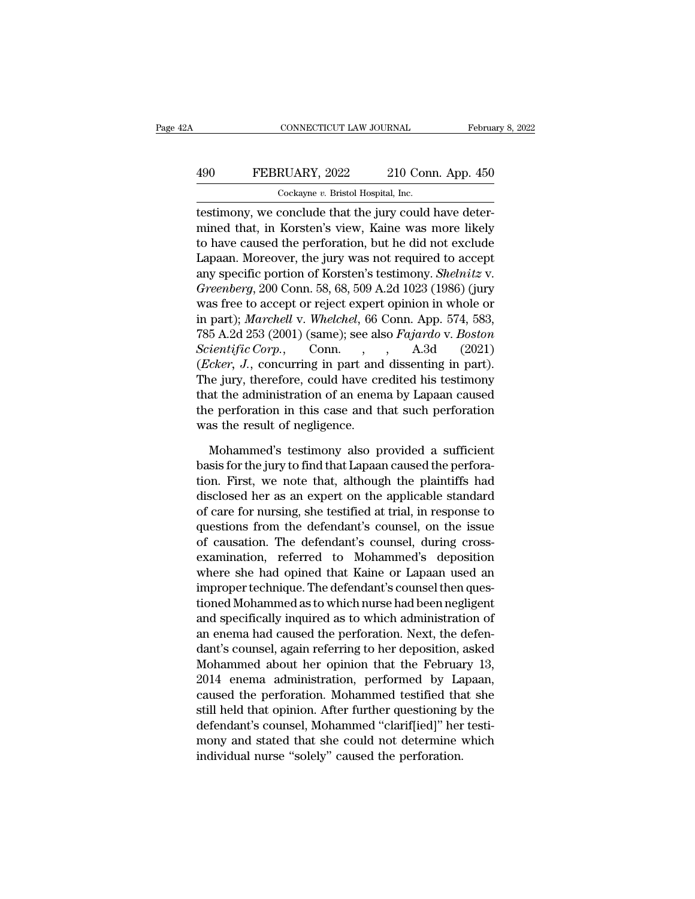## CONNECTICUT LAW JOURNAL February 8, 2022<br>
490 FEBRUARY, 2022 210 Conn. App. 450<br>
Cockayne v. Bristol Hospital, Inc. CONNECTICUT LAW JOURNAL<br>RUARY, 2022 210 Con:<br>Cockayne *v.* Bristol Hospital, Inc.<br>Conclude that the jury could

CONNECTICUT LAW JOURNAL Februa<br>
490 FEBRUARY, 2022 210 Conn. App. 450<br>
Cockayne v. Bristol Hospital, Inc.<br>
testimony, we conclude that the jury could have deter-<br>
mined that, in Korsten's view, Kaine was more likely FEBRUARY, 2022 210 Conn. App. 450<br>
Cockayne v. Bristol Hospital, Inc.<br>
testimony, we conclude that the jury could have deter-<br>
mined that, in Korsten's view, Kaine was more likely<br>
to have caused the perforation, but he di 490 FEBRUARY, 2022 210 Conn. App. 450<br>  $\frac{\text{Cockayne } v. \text{ Bristol Hospital, Inc.}}{\text{testimony, we conclude that the jury could have determined that, in Korsten's view, Kaine was more likely to have caused the performance, but he did not exclude Lapaan. Moreover, the jury was not required to accept any encoding portion of Korsten's totimony. Shelviter,$ FEBRUARY, 2022 210 Conn. App. 450<br>  $\frac{\text{Cockayne } v. \text{ Bristol Hospital, Inc.}}{\text{testimony, we conclude that the jury could have determined that, in Korsten's view, Kaine was more likely to have caused the performance, but he did not exclude Lapaan. Moreover, the jury was not required to accept any specific portion of Korsten's testimony. *Shelnitz* v. *Cusophewa* 200 Comp. 58–68–500 A 24-1022 (1086) (iuvy)$ Cockayne v. Bristol Hospital, Inc.<br>
testimony, we conclude that the jury could have deter-<br>
mined that, in Korsten's view, Kaine was more likely<br>
to have caused the perforation, but he did not exclude<br>
Lapaan. Moreover, th *Gockayne b. Bristof Hospital, Inc.*<br> *Hestimony, we conclude that the jury could have determined that, in Korsten's view, Kaine was more likely*<br> *Greenberg*, *D. Moreover, the jury was not required to accept*<br> *Greenberg* testimony, we conclude that the jury could have deter-<br>mined that, in Korsten's view, Kaine was more likely<br>to have caused the perforation, but he did not exclude<br>Lapaan. Moreover, the jury was not required to accept<br>any s mined that, in Korsten's view, Kaine was more likely<br>to have caused the perforation, but he did not exclude<br>Lapaan. Moreover, the jury was not required to accept<br>any specific portion of Korsten's testimony. *Shelnitz* v.<br> to have caused the perforation, but he did not exclude<br>Lapaan. Moreover, the jury was not required to accept<br>any specific portion of Korsten's testimony. *Shelnitz* v.<br>*Greenberg*, 200 Conn. 58, 68, 509 A.2d 1023 (1986) (j Lapaan. Moreover, the jury was not required to accept<br>any specific portion of Korsten's testimony. *Shelnitz* v.<br>*Greenberg*, 200 Conn. 58, 68, 509 A.2d 1023 (1986) (jury<br>was free to accept or reject expert opinion in whol any specific portion of Korsten's testimony. *Shelnitz* v.<br> *Greenberg*, 200 Conn. 58, 68, 509 A.2d 1023 (1986) (jury<br>
was free to accept or reject expert opinion in whole or<br>
in part); *Marchell* v. *Whelchel*, 66 Conn. A Greenberg, 200 Conn. 58, 68, 509 A.2d 1023 (1986) (jury<br>was free to accept or reject expert opinion in whole or<br>in part); *Marchell* v. *Whelchel*, 66 Conn. App. 574, 583,<br>785 A.2d 253 (2001) (same); see also *Fajardo* v. was free to accept or reject expert opinion in whole or<br>in part); *Marchell* v. *Whelchel*, 66 Conn. App. 574, 583,<br>785 A.2d 253 (2001) (same); see also *Fajardo* v. *Boston*<br>*Scientific Corp.*, Conn., , A.3d (2021)<br>(*Eck* in part); Marchell v. Whelchel, 66 Conn. App. 574, 583, 785 A.2d 253 (2001) (same); see also *Fajardo* v. *Boston Scientific Corp.*, Conn., A.3d (2021) (*Ecker, J.*, concurring in part and dissenting in part). The jury, 785 A.2d 253 (2001) (same); see als<br> *Scientific Corp.*, Conn.,<br> *(Ecker, J.*, concurring in part and<br>
The jury, therefore, could have cr<br>
that the administration of an enem<br>
the perforation in this case and tl<br>
was the r Cheapter, J., concurring in part and dissenting in part).<br>
The jury, therefore, could have credited his testimony<br>
at the administration of an enema by Lapaan caused<br>
e perforation in this case and that such perforation<br>
a The jury, therefore, could have credited his testimony<br>that the administration of an enema by Lapaan caused<br>the perforation in this case and that such perforation<br>was the result of negligence.<br>Mohammed's testimony also pro

that the administration of an enema by Lapaan caused<br>the perforation in this case and that such perforation<br>was the result of negligence.<br>Mohammed's testimony also provided a sufficient<br>basis for the jury to find that Lapa the perforation in this case and that such perforation<br>was the result of negligence.<br>Mohammed's testimony also provided a sufficient<br>basis for the jury to find that Lapaan caused the perfora-<br>tion. First, we note that, alt was the result of negligence.<br>
Mohammed's testimony also provided a sufficient<br>
basis for the jury to find that Lapaan caused the perfora-<br>
tion. First, we note that, although the plaintiffs had<br>
disclosed her as an expert Mohammed's testimony also provided a sufficient<br>basis for the jury to find that Lapaan caused the perfora-<br>tion. First, we note that, although the plaintiffs had<br>disclosed her as an expert on the applicable standard<br>of car Mohammed's testimony also provided a sufficient<br>basis for the jury to find that Lapaan caused the perfora-<br>tion. First, we note that, although the plaintiffs had<br>disclosed her as an expert on the applicable standard<br>of car basis for the jury to find that Lapaan caused the perforation. First, we note that, although the plaintiffs had disclosed her as an expert on the applicable standard of care for nursing, she testified at trial, in response tion. First, we note that, although the plaintiffs had<br>disclosed her as an expert on the applicable standard<br>of care for nursing, she testified at trial, in response to<br>questions from the defendant's counsel, on the issue<br> disclosed her as an expert on the applicable standard<br>of care for nursing, she testified at trial, in response to<br>questions from the defendant's counsel, on the issue<br>of causation. The defendant's counsel, during cross-<br>ex of care for nursing, she testified at trial, in response to<br>questions from the defendant's counsel, on the issue<br>of causation. The defendant's counsel, during cross-<br>examination, referred to Mohammed's deposition<br>where she questions from the defendant's counsel, on the issue<br>of causation. The defendant's counsel, during cross-<br>examination, referred to Mohammed's deposition<br>where she had opined that Kaine or Lapaan used an<br>improper technique. of causation. The defendant's counsel, during cross-<br>examination, referred to Mohammed's deposition<br>where she had opined that Kaine or Lapaan used an<br>improper technique. The defendant's counsel then ques-<br>tioned Mohammed a examination, referred to Mohammed's deposition<br>where she had opined that Kaine or Lapaan used an<br>improper technique. The defendant's counsel then ques-<br>tioned Mohammed as to which nurse had been negligent<br>and specifically where she had opined that Kaine or Lapaan used an<br>improper technique. The defendant's counsel then ques-<br>tioned Mohammed as to which nurse had been negligent<br>and specifically inquired as to which administration of<br>an enema improper technique. The defendant's counsel then questioned Mohammed as to which nurse had been negligent<br>and specifically inquired as to which administration of<br>an enema had caused the perforation. Next, the defen-<br>dant's tioned Mohammed as to which nurse had been negligent<br>and specifically inquired as to which administration of<br>an enema had caused the perforation. Next, the defen-<br>dant's counsel, again referring to her deposition, asked<br>Mo and specifically inquired as to which administration of<br>an enema had caused the perforation. Next, the defen-<br>dant's counsel, again referring to her deposition, asked<br>Mohammed about her opinion that the February 13,<br>2014 e an enema had caused the perforation. Next, the defendant's counsel, again referring to her deposition, asked Mohammed about her opinion that the February 13, 2014 enema administration, performed by Lapaan, caused the perfo dant's counsel, again referring to her deposition, asked<br>Mohammed about her opinion that the February 13,<br>2014 enema administration, performed by Lapaan,<br>caused the perforation. Mohammed testified that she<br>still held that Mohammed about her opinion that the February<br>2014 enema administration, performed by La<br>caused the perforation. Mohammed testified tha<br>still held that opinion. After further questioning b<br>defendant's counsel, Mohammed "cla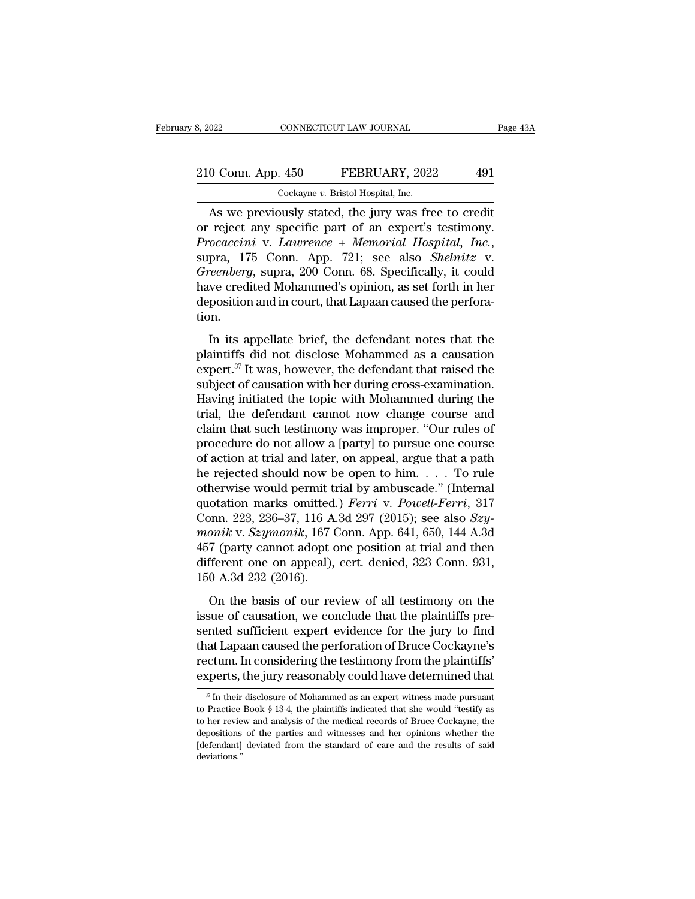## 210 Conn. App. 450 FEBRUARY, 2022 491 8, 2022 CONNECTICUT LAW JOURNAL<br>
210 Conn. App. 450 FEBRUARY, 2022 491<br>
Cockayne *v*. Bristol Hospital, Inc.<br>
As we previously stated, the jury was free to credit

CONNECTICUT LAW JOURNAL Page 43<br>
0 Conn. App. 450 FEBRUARY, 2022 491<br>
Cockayne v. Bristol Hospital, Inc.<br>
As we previously stated, the jury was free to credit<br>
reject any specific part of an expert's testimony. 210 Conn. App. 450 FEBRUARY, 2022 491<br>
Cockayne v. Bristol Hospital, Inc.<br>
As we previously stated, the jury was free to credit<br>
or reject any specific part of an expert's testimony.<br> *Procaccini* v. *Lawrence* + *Memorial Procaccini* v. *Procaccini* v. *Procaccini* v. *Lawrence* + *Memorial, Inc.*<br>*Procaccini* v. *Lawrence* + *Memorial Hospital, Inc.*, supra, 175 Conn. App. 721; see also *Shelnitz* v. *Greenberg*, supra, 200 Conn. 68. Spec Cockayne v. Bristol Hospital, Inc.<br> **As we previously stated, the jury was free to credit**<br>
or reject any specific part of an expert's testimony.<br> *Procaccini* v. *Lawrence* + *Memorial Hospital, Inc.*,<br>
supra, 175 Conn. A Cockayne v. Bristol Hospital, Inc.<br>
As we previously stated, the jury was free to credit<br>
or reject any specific part of an expert's testimony.<br> *Procaccini* v. *Lawrence* + *Memorial Hospital*, *Inc.*,<br>
supra, 175 Conn. As we previously stated, the jury was free to credit<br>or reject any specific part of an expert's testimony.<br>*Procaccini* v. *Lawrence* + *Memorial Hospital*, *Inc.*,<br>supra, 175 Conn. App. 721; see also *Shelnitz* v.<br>*Greenb* tion. pra, 175 Conn. App. 721; see also *Shelnitz* v.<br> *Teenberg*, supra, 200 Conn. 68. Specifically, it could<br>
we credited Mohammed's opinion, as set forth in her<br>
position and in court, that Lapaan caused the perfora-<br>
in.<br>
I *Greenberg*, supra, 200 Conn. 68. Specifically, it could<br>have credited Mohammed's opinion, as set forth in her<br>deposition and in court, that Lapaan caused the perfora-<br>tion.<br>In its appellate brief, the defendant notes tha

the credited Mohammed's opinion, as set forth in her deposition and in court, that Lapaan caused the perforation.<br>
In its appellate brief, the defendant notes that the plaintiffs did not disclose Mohammed as a causation e substitute of causal montantinears opinion, as see fortal in frequency deposition and in court, that Lapaan caused the perforation.<br>
In its appellate brief, the defendant notes that the plaintiffs did not disclose Mohammed In its appellate brief, the defendant notes that the<br>plaintiffs did not disclose Mohammed as a causation<br>expert.<sup>37</sup> It was, however, the defendant that raised the<br>subject of causation with her during cross-examination.<br>Ha In its appellate brief, the defendant notes that the<br>plaintiffs did not disclose Mohammed as a causation<br>expert.<sup>37</sup> It was, however, the defendant that raised the<br>subject of causation with her during cross-examination.<br>H In its appellate brief, the defendant notes that the<br>plaintiffs did not disclose Mohammed as a causation<br>expert.<sup>37</sup> It was, however, the defendant that raised the<br>subject of causation with her during cross-examination.<br>Ha plaintiffs did not disclose Mohammed as a causation<br>expert.<sup>37</sup> It was, however, the defendant that raised the<br>subject of causation with her during cross-examination.<br>Having initiated the topic with Mohammed during the<br>tri expert.<sup>37</sup> It was, however, the defendant that raised the subject of causation with her during cross-examination.<br>Having initiated the topic with Mohammed during the trial, the defendant cannot now change course and claim subject of causation with her during cross-examination.<br>Having initiated the topic with Mohammed during the<br>trial, the defendant cannot now change course and<br>claim that such testimony was improper. "Our rules of<br>procedure Having initiated the topic with Mohammed during the<br>trial, the defendant cannot now change course and<br>claim that such testimony was improper. "Our rules of<br>procedure do not allow a [party] to pursue one course<br>of action a trial, the defendant cannot now change course and<br>claim that such testimony was improper. "Our rules of<br>procedure do not allow a [party] to pursue one course<br>of action at trial and later, on appeal, argue that a path<br>he re claim that such testimony was improper. "Our rules of<br>procedure do not allow a [party] to pursue one course<br>of action at trial and later, on appeal, argue that a path<br>he rejected should now be open to him. . . . . To rule<br> procedure do not allow a [party] to pursue one course<br>of action at trial and later, on appeal, argue that a path<br>he rejected should now be open to him. . . . . To rule<br>otherwise would permit trial by ambuscade." (Internal<br> of action at trial and later, on appeal, argue that a path<br>he rejected should now be open to him. . . . To rule<br>otherwise would permit trial by ambuscade." (Internal<br>quotation marks omitted.) *Ferri* v. *Powell-Ferri*, 31 he rejected should now be open to him. . . . To rule<br>otherwise would permit trial by ambuscade." (Internal<br>quotation marks omitted.) *Ferri* v. *Powell-Ferri*, 317<br>Conn. 223, 236–37, 116 A.3d 297 (2015); see also *Szy-<br>mo* otherwise would permit to<br>quotation marks omitted<br>Conn. 223, 236–37, 116 A<br>monik v. Szymonik, 167 (<br>457 (party cannot adopt c<br>different one on appeal),<br>150 A.3d 232 (2016).<br>On the basis of our re basis of  $23, 236-37, 116$  A.3d  $297$  (2015); see also  $Szy-$ <br>onik v.  $Szymonik$ , 167 Conn. App. 641, 650, 144 A.3d<br>7 (party cannot adopt one position at trial and then<br>fferent one on appeal), cert. denied, 323 Conn. 931,<br>0 A. monik v. Szymonik, 167 Conn. App. 641, 650, 144 A.3d<br>
457 (party cannot adopt one position at trial and then<br>
different one on appeal), cert. denied, 323 Conn. 931,<br>
150 A.3d 232 (2016).<br>
On the basis of our review of all

sented to suggestion, set to stand lipper expecting the different one on appeal), cert. denied, 323 Conn. 931, 150 A.3d 232 (2016).<br>On the basis of our review of all testimony on the issue of causation, we conclude that t to the performance of the performance of the different one on appeal), cert. denied, 323 Conn. 931, 150 A.3d 232 (2016).<br>On the basis of our review of all testimony on the issue of causation, we conclude that the plaintif amerone one on appear), correlated, case conditions,<br>150 A.3d 232 (2016).<br>On the basis of our review of all testimony on the<br>issue of causation, we conclude that the plaintiffs pre-<br>sented sufficient expert evidence for th On the basis of our review of all testimony on the issue of causation, we conclude that the plaintiffs presented sufficient expert evidence for the jury to find that Lapaan caused the perforation of Bruce Cockayne's rectu sented sufficient expert evidence for the jury to find<br>that Lapaan caused the perforation of Bruce Cockayne's<br>rectum. In considering the testimony from the plaintiffs'<br>experts, the jury reasonably could have determined th that Lapaan caused the perforation of Bruce Cockayne's<br>rectum. In considering the testimony from the plaintiffs'<br>experts, the jury reasonably could have determined that<br> $\frac{\pi}{100}$  In their disclosure of Mohammed as an ex

rectum. In considering the testimony from the plaintiffs'<br>experts, the jury reasonably could have determined that<br> $\pi$ Th their disclosure of Mohammed as an expert witness made pursuant<br>to Practice Book § 13-4, the plainti experts, the jury reasonably could have determined that  $\frac{37 \text{ In their discharge of Mohammed as an expert witness made pursuit to Practice Book § 13-4, the plaintiffs indicated that she would "testify as to her review and analysis of the medical records of Bruce Cockagne, the deposits of the parties and witnesses and her opinions whether the [defendant] deviated from the standard of care and the results of said.$  $\frac{37}{7}$  In their disclosure of Mohammed as an expert witness made pursuant deviations.''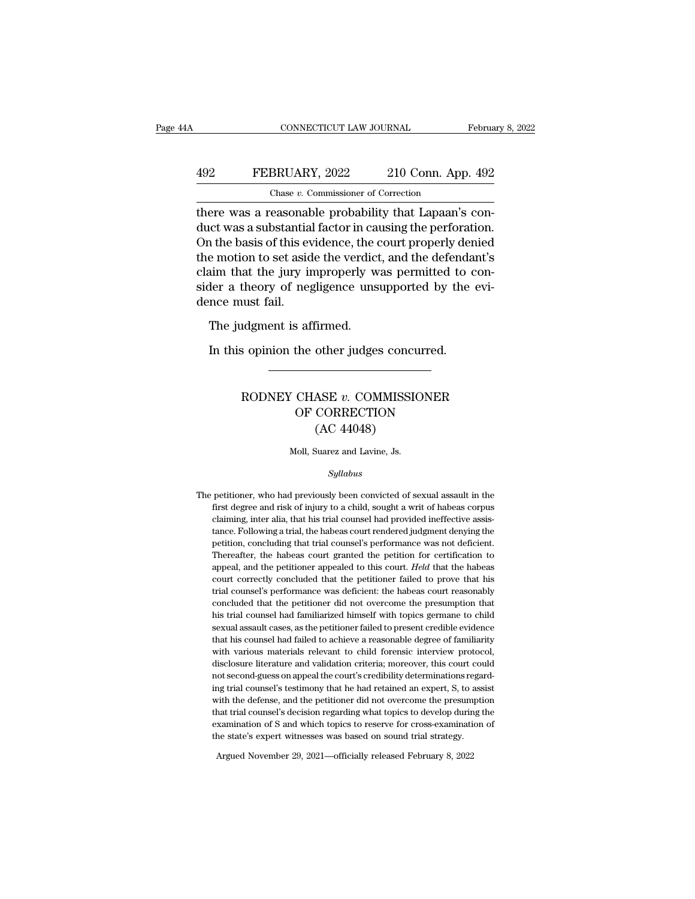## CONNECTICUT LAW JOURNAL February 8, 2022<br>492 FEBRUARY, 2022 210 Conn. App. 492<br>Chase v. Commissioner of Correction CONNECTICUT LAW JOURNAL<br>BRUARY, 2022 210 Conn. App<br>Chase *v.* Commissioner of Correction<br>easonable probability that Lapaan's

CONNECTICUT LAW JOURNAL Februa<br>
492 FEBRUARY, 2022 210 Conn. App. 492<br>
Chase v. Commissioner of Correction<br>
there was a reasonable probability that Lapaan's con-<br>
duct was a substantial factor in causing the perforation.<br> 492 FEBRUARY, 2022 210 Conn. App. 492<br>
Chase v. Commissioner of Correction<br>
there was a reasonable probability that Lapaan's conduct was a substantial factor in causing the perforation.<br>
On the basis of this evidence, the **EXECUARY, 2022** 210 Conn. App. 492<br>
Chase v. Commissioner of Correction<br>
there was a reasonable probability that Lapaan's conduct was a substantial factor in causing the perforation.<br>
On the basis of this evidence, the c FEBRUARY, 2022 210 Conn. App. 492<br>
Chase v. Commissioner of Correction<br>
there was a reasonable probability that Lapaan's con-<br>
duct was a substantial factor in causing the perforation.<br>
On the basis of this evidence, the Chase v. Commissioner of Correction<br>there was a reasonable probability that Lapaan's con-<br>duct was a substantial factor in causing the perforation.<br>On the basis of this evidence, the court properly denied<br>the motion to set Chase  $v$ . Commissioner of Correction<br>there was a reasonable probability that Lapaan's con-<br>duct was a substantial factor in causing the perforation.<br>On the basis of this evidence, the court properly denied<br>the motion to there was a reasonat<br>duct was a substantia<br>On the basis of this ev<br>the motion to set asid<br>claim that the jury in<br>sider a theory of neg<br>dence must fail.<br>The judgment is af The basis of this evidence, the demotion to set aside the verdict<br>aim that the jury improperly were a theory of negligence uns<br>nce must fail.<br>The judgment is affirmed.<br>In this opinion the other judge: EXECUTE: The purpose the vertuct, and the detendaries that the jury improperly was permitted to contain that the jury of negligence unsupported by the nce must fail.<br>The judgment is affirmed.<br>In this opinion the other judg

### rdgment is affirmed.<br>
s opinion the other judges concurred.<br>
RODNEY CHASE *v.* COMMISSIONER<br>
OF CORRECTION For a saffirmed.<br>
The other judges concurred.<br>
CHASE  $v$ . COMMISSIONER<br>
OF CORRECTION<br>
(AC 44048) other judges concu<br>
MASE v. COMMISSIC<br>
CORRECTION<br>
(AC 44048)<br>
Suarez and Lavine, Js. RODNEY CHASE  $v$ . COMMISSIONER<br>OF CORRECTION<br>(AC 44048)<br>Moll, Suarez and Lavine, Js.

### *Syllabus*

(AC 44048)<br>Moll, Suarez and Lavine, Js.<br>Syllabus<br>The petitioner, who had previously been convicted of sexual assault in the<br>first degree and risk of injury to a child, sought a writ of habeas corpus field, Suarez and Lavine, Js.<br>Syllabus<br>petitioner, who had previously been convicted of sexual assault in the<br>first degree and risk of injury to a child, sought a writ of habeas corpus<br>claiming, inter alia, that his trial The petitioner, who had previously been convicted of sexual assault in the first degree and risk of injury to a child, sought a writ of habeas corpus claiming, inter alia, that his trial counsel had provided ineffective as Syllabus<br>petitioner, who had previously been convicted of sexual assault in the<br>first degree and risk of injury to a child, sought a writ of habeas corpus<br>claiming, inter alia, that his trial counsel had provided ineffecti betitioner, who had previously been convicted of sexual assault in the first degree and risk of injury to a child, sought a writ of habeas corpus claiming, inter alia, that his trial counsel had provided ineffective assist petitioner, who had previously been convicted of sexual assault in the first degree and risk of injury to a child, sought a writ of habeas corpus claiming, inter alia, that his trial counsel had provided ineffective assist first degree and risk of injury to a child, sought a writ of habeas corpus<br>claiming, inter alia, that his trial counsel had provided ineffective assis-<br>tance. Following a trial, the habeas court rendered judgment denying t claiming, inter alia, that his trial counsel had provided ineffective assistance. Following a trial, the habeas court rendered judgment denying the petition, concluding that trial counsel's performance was not deficient. T tance. Following a trial, the habeas court rendered judgment denying the petition, concluding that trial counsel's performance was not deficient. Thereafter, the habeas court granted the petition for certification to appea petition, concluding that trial counsel's performance was not deficient.<br>Thereafter, the habeas court granted the petition for certification to<br>appeal, and the petitioner appealed to this court. Held that the habeas<br>court Thereafter, the habeas court granted the petition for certification to appeal, and the petitioner appealed to this court. *Held* that the habeas court correctly concluded that the petitioner failed to prove that his trial appeal, and the petitioner appealed to this court. Held that the habeas court correctly concluded that the petitioner failed to prove that his trial counsel's performance was deficient: the habeas court reasonably conclude court correctly concluded that the petitioner failed to prove that his trial counsel's performance was deficient: the habeas court reasonably concluded that the petitioner did not overcome the presumption that his trial co trial counsel's performance was deficient: the habeas court reasonably<br>concluded that the petitioner did not overcome the presumption that<br>his trial counsel had familiarized himself with topics germane to child<br>sexual assa concluded that the petitioner did not overcome the presumption that<br>his trial counsel had familiarized himself with topics germane to child<br>sexual assault cases, as the petitioner failed to present credible evidence<br>that h his trial counsel had familiarized himself with topics germane to child sexual assault cases, as the petitioner failed to present credible evidence that his counsel had failed to achieve a reasonable degree of familiarity sexual assault cases, as the petitioner failed to present credible evidence<br>that his counsel had failed to achieve a reasonable degree of familiarity<br>with various materials relevant to child forensic interview protocol,<br>di that his counsel had failed to achieve a reasonable degree of familiarity<br>with various materials relevant to child forensic interview protocol,<br>disclosure literature and validation criteria; moreover, this court could<br>not with various materials relevant to child forensic interview protocol, disclosure literature and validation criteria; moreover, this court could not second-guess on appeal the court's credibility determinations regarding tr disclosure literature and validation criteria; moreover, this court could<br>not second-guess on appeal the court's credibility determinations regard-<br>ing trial counsel's testimony that he had retained an expert, S, to assist not second-guess on appeal the court's credibility determinations regaing trial counsel's testimony that he had retained an expert, S, to ass with the defense, and the petitioner did not overcome the presumptit that trial ng trial counsers restimony that he had retained an expert, S, to a<br>vith the defense, and the petitioner did not overcome the presum<br>hat trial counsel's decision regarding what topics to develop durin<br>xamination of S and w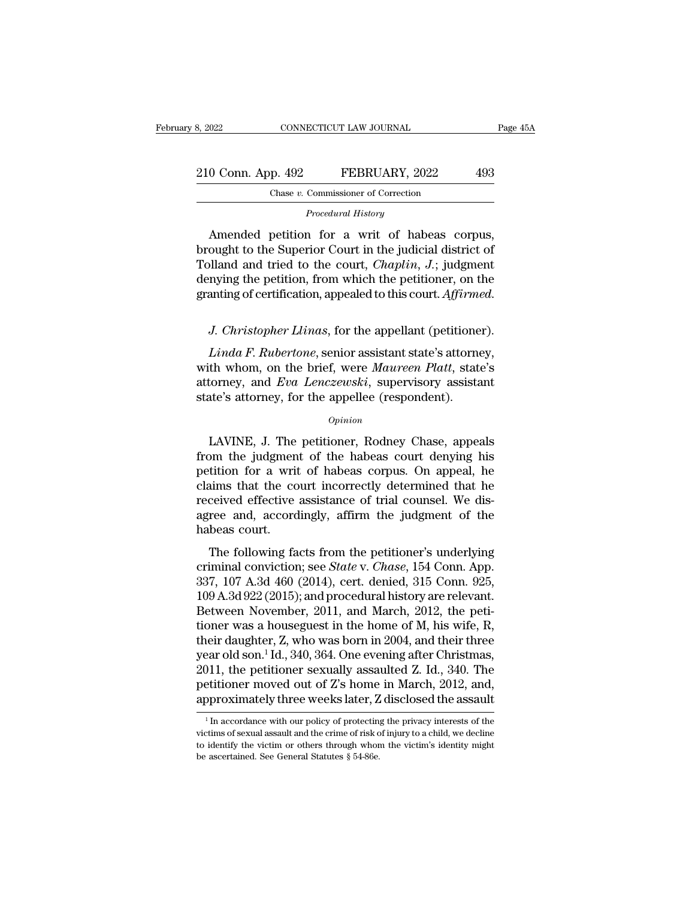| 8, 2022            | CONNECTICUT LAW JOURNAL                     | Page 45A |  |
|--------------------|---------------------------------------------|----------|--|
| 210 Conn. App. 492 | FEBRUARY, 2022                              | 493      |  |
|                    | Chase v. Commissioner of Correction         |          |  |
|                    | Procedural History                          |          |  |
|                    | Amonded petition for a writ of heboes comus |          |  |

 $\begin{array}{r} 0 \text{ Conn. App. 492} \ \text{Chase } v. \text{ Commissioner of Correction} \ \text{Proceedural History} \ \text{Amented~pettion for a writ of habeas corpus,} \text{ought to the Superior Court in the judicial district of and tried to the court.} \end{array}$ 210 Conn. App. 492 FEBRUARY, 2022 493<br>
Chase v. Commissioner of Correction<br>
Procedural History<br>
Amended petition for a writ of habeas corpus,<br>
brought to the Superior Court in the judicial district of<br>
Tolland and tried t 210 Conn. App. 492 FEBRUARY, 2022 493<br>
Chase v. Commissioner of Correction<br>
Procedural History<br>
Amended petition for a writ of habeas corpus,<br>
brought to the Superior Court in the judicial district of<br>
Tolland and tried to Chase v. Commissioner of Correction<br>
Procedural History<br>
Amended petition for a writ of habeas corpus,<br>
brought to the Superior Court in the judicial district of<br>
Tolland and tried to the court, *Chaplin*, *J*.; judgment<br> Frocedural History<br>Amended petition for a writ of habeas corpus,<br>brought to the Superior Court in the judicial district of<br>Tolland and tried to the court, *Chaplin*, *J.*; judgment<br>denying the petition, from which the peti *Linda and tried to the court, Chaplin, J.*; judgment<br> *Linda ferrification*, appealed to this court. *Affirmed.*<br> *Linda F. Rubertone*, senior assistant state's attorney,<br> *Linda F. Rubertone*, senior assistant state's at

denying the petition, from which the petitioner, on the granting of certification, appealed to this court. *Affirmed.*<br>J. Christopher Llinas, for the appellant (petitioner).<br>Linda F. Rubertone, senior assistant state's att granting of certification, appealed to this court. *Affirmed.*<br>J. Christopher Llinas, for the appellant (petitioner).<br>Linda F. Rubertone, senior assistant state's attorney,<br>with whom, on the brief, were *Maureen Platt*, st J. Christopher Llinas, for the appellant (petitione<br>Linda F. Rubertone, senior assistant state's attorne<br>with whom, on the brief, were Maureen Platt, state<br>attorney, and Eva Lenczewski, supervisory assista<br>state's attorney Linda F. Rubertone, senior assistant state's attorney,<br>th whom, on the brief, were Maureen Platt, state's<br>torney, and Eva Lenczewski, supervisory assistant<br>ate's attorney, for the appellee (respondent).<br>Opinion<br>LAVINE, J.

### *Opinion*

with whom, on the brief, were *Maureen Platt*, state's<br>attorney, and *Eva Lenczewski*, supervisory assistant<br>state's attorney, for the appellee (respondent).<br> $o_{pinion}$ <br>LAVINE, J. The petitioner, Rodney Chase, appeals<br>from th attorney, and *Eva Lenczewski*, supervisory assistant<br>state's attorney, for the appellee (respondent).<br> $\frac{opinion}{opinion}$ <br>LAVINE, J. The petitioner, Rodney Chase, appeals<br>from the judgment of the habeas court denying his<br>petition state's attorney, for the appellee (respondent).<br> *Opinion*<br>
LAVINE, J. The petitioner, Rodney Chase, appeals<br>
from the judgment of the habeas court denying his<br>
petition for a writ of habeas corpus. On appeal, he<br>
claims Opinion<br>LAVINE, J. The petitioner, Rodney Chase, appeals<br>from the judgment of the habeas court denying his<br>petition for a writ of habeas corpus. On appeal, he<br>claims that the court incorrectly determined that he<br>received e LAVINE, J. The petitioner, Rodney Chase, appeals<br>from the judgment of the habeas court denying his<br>petition for a writ of habeas corpus. On appeal, he<br>claims that the court incorrectly determined that he<br>received effective LAVINE, J. The<br>from the judgmen<br>petition for a writ<br>claims that the co<br>received effective<br>agree and, accord<br>habeas court.<br>The following fa In the judgment of the habeas court deriying his<br>tition for a writ of habeas corpus. On appeal, he<br>ceived effective assistance of trial counsel. We dis-<br>ree and, accordingly, affirm the judgment of the<br>beas court.<br>The fol petition for a will of hasteas corpus. On appeal, he<br>claims that the court incorrectly determined that he<br>received effective assistance of trial counsel. We dis-<br>agree and, accordingly, affirm the judgment of the<br>habeas co

Earn's that the Court incorrectly determined that he<br>received effective assistance of trial counsel. We dis-<br>agree and, accordingly, affirm the judgment of the<br>habeas court.<br>The following facts from the petitioner's under received enective assistance of that counsel. We dis-<br>agree and, accordingly, affirm the judgment of the<br>habeas court.<br>The following facts from the petitioner's underlying<br>criminal conviction; see *State* v. *Chase*, 154 reflect and, accordingly, annul the judgment of the<br>habeas court.<br>The following facts from the petitioner's underlying<br>criminal conviction; see *State* v. *Chase*, 154 Conn. App.<br>337, 107 A.3d 460 (2014), cert. denied, 315 The following facts from the petitioner's underlying<br>criminal conviction; see *State* v. *Chase*, 154 Conn. App.<br>337, 107 A.3d 460 (2014), cert. denied, 315 Conn. 925,<br>109 A.3d 922 (2015); and procedural history are relev The following facts from the petitioner's underlying<br>criminal conviction; see *State* v. *Chase*, 154 Conn. App.<br>337, 107 A.3d 460 (2014), cert. denied, 315 Conn. 925,<br>109 A.3d 922 (2015); and procedural history are releva criminal conviction; see *State* v. *Chase*, 154 Conn. App.<br>337, 107 A.3d 460 (2014), cert. denied, 315 Conn. 925,<br>109 A.3d 922 (2015); and procedural history are relevant.<br>Between November, 2011, and March, 2012, the pet 337, 107 A.3d 460 (2014), cert. denied, 315 Conn. 925, 109 A.3d 922 (2015); and procedural history are relevant.<br>Between November, 2011, and March, 2012, the petitioner was a houseguest in the home of M, his wife, R, their 109 A.3d 922 (2015); and procedural history are relevant.<br>Between November, 2011, and March, 2012, the petitioner was a houseguest in the home of M, his wife, R, their daughter, Z, who was born in 2004, and their three ye Between November, 2011, and March, 2012, the petitioner was a houseguest in the home of M, his wife, R, their daughter, Z, who was born in 2004, and their three year old son.<sup>1</sup> Id., 340, 364. One evening after Christmas, year old son.<sup>1</sup> Id., 340, 364. One evening after Christmas, 2011, the petitioner sexually assaulted Z. Id., 340. The petitioner moved out of Z's home in March, 2012, and, approximately three weeks later, Z disclosed the 2011, the petitioner sexually assaulted Z. Id., 340. The petitioner moved out of Z's home in March, 2012, and, approximately three weeks later, Z disclosed the assault  $\frac{1}{1}$  in accordance with our policy of protecting

petitioner moved out of Z's home in March, 2012, and,<br>approximately three weeks later, Z disclosed the assault<br><sup>1</sup>In accordance with our policy of protecting the privacy interests of the<br>victims of sexual assault and the c be ascertained. See General Statutes § 54-86e.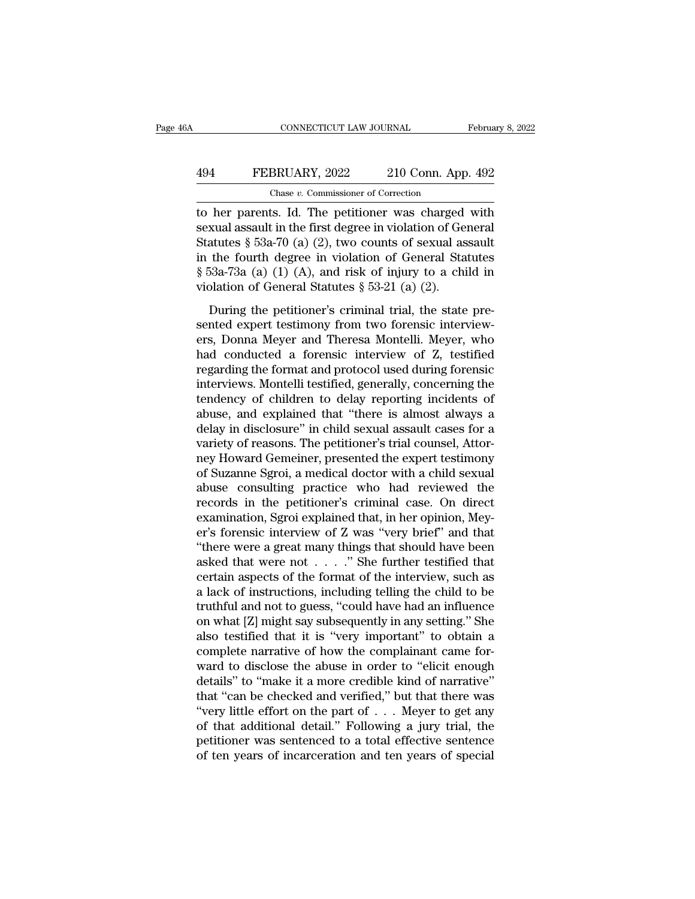## CONNECTICUT LAW JOURNAL February 8, 2022<br>494 FEBRUARY, 2022 210 Conn. App. 492<br>Chase v. Commissioner of Correction CONNECTICUT LAW JOURNAL<br>BRUARY, 2022 210 Conn. App<br>Chase *v.* Commissioner of Correction<br>Its. Id. The petitioner was charged

CONNECTICUT LAW JOURNAL February 8, 2022<br>
FEBRUARY, 2022 210 Conn. App. 492<br>
Chase v. Commissioner of Correction<br>
to her parents. Id. The petitioner was charged with<br>
sexual assault in the first degree in violation of Gene FEBRUARY, 2022 210 Conn. App. 492<br>
Chase *v.* Commissioner of Correction<br>
to her parents. Id. The petitioner was charged with<br>
sexual assault in the first degree in violation of General<br>
Statutes § 53a-70 (a) (2), two cou FEBRUARY, 2022 210 Conn. App. 492<br>
Chase v. Commissioner of Correction<br>
to her parents. Id. The petitioner was charged with<br>
sexual assault in the first degree in violation of General<br>
Statutes § 53a-70 (a) (2), two count **EXECUARY, 2022** 210 Conn. App. 492<br>
Chase v. Commissioner of Correction<br>
to her parents. Id. The petitioner was charged with<br>
sexual assault in the first degree in violation of General<br>
Statutes § 53a-70 (a) (2), two cou Chase v. Commissioner of Correction<br>
to her parents. Id. The petitioner was charged with<br>
sexual assault in the first degree in violation of General<br>
Statutes § 53a-70 (a) (2), two counts of sexual assault<br>
in the fourth Chase v. Commissioner of Correction<br>to her parents. Id. The petitioner was charged<br>sexual assault in the first degree in violation of Ge<br>Statutes § 53a-70 (a) (2), two counts of sexual as<br>in the fourth degree in violation real assault in the first degree in violation of General<br>atutes  $\S$  53a-70 (a) (2), two counts of sexual assault<br>the fourth degree in violation of General Statutes<br>53a-73a (a) (1) (A), and risk of injury to a child in<br>pla Statutes § 53a-70 (a) (2), two counts of sexual assault<br>in the fourth degree in violation of General Statutes<br>§ 53a-73a (a) (1) (A), and risk of injury to a child in<br>violation of General Statutes § 53-21 (a) (2).<br>During t

but the fourth degree in violation of General Statutes § 53a-73a (a) (1) (A), and risk of injury to a child in violation of General Statutes § 53-21 (a) (2).<br>During the petitioner's criminal trial, the state presented exp m are routant degree in violation of defiertal statuces<br>
§ 53a-73a (a) (1) (A), and risk of injury to a child in<br>
violation of General Statutes § 53-21 (a) (2).<br>
During the petitioner's criminal trial, the state pre-<br>
sen violation of General Statutes § 53-21 (a) (2).<br>
During the petitioner's criminal trial, the state pre-<br>
sented expert testimony from two forensic interview-<br>
ers, Donna Meyer and Theresa Montelli. Meyer, who<br>
had conducte During the petitioner's criminal trial, the state pre-<br>sented expert testimony from two forensic interview-<br>ers, Donna Meyer and Theresa Montelli. Meyer, who<br>had conducted a forensic interview of Z, testified<br>regarding th During the petitioner's criminal trial, the state pre-<br>sented expert testimony from two forensic interview-<br>ers, Donna Meyer and Theresa Montelli. Meyer, who<br>had conducted a forensic interview of Z, testified<br>regarding the sented expert testimony from two forensic interview-<br>ers, Donna Meyer and Theresa Montelli. Meyer, who<br>had conducted a forensic interview of Z, testified<br>regarding the format and protocol used during forensic<br>interviews. M ers, Donna Meyer and Theresa Montelli. Meyer, who<br>had conducted a forensic interview of Z, testified<br>regarding the format and protocol used during forensic<br>interviews. Montelli testified, generally, concerning the<br>tendency had conducted a forensic interview of Z, testified<br>regarding the format and protocol used during forensic<br>interviews. Montelli testified, generally, concerning the<br>tendency of children to delay reporting incidents of<br>abuse regarding the format and protocol used during forensic<br>interviews. Montelli testified, generally, concerning the<br>tendency of children to delay reporting incidents of<br>abuse, and explained that "there is almost always a<br>dela interviews. Montelli testified, generally, concerning the tendency of children to delay reporting incidents of abuse, and explained that "there is almost always a delay in disclosure" in child sexual assault cases for a va tendency of children to delay reporting incidents of<br>abuse, and explained that "there is almost always a<br>delay in disclosure" in child sexual assault cases for a<br>variety of reasons. The petitioner's trial counsel, Attor-<br>n abuse, and explained that "there is almost always a<br>delay in disclosure" in child sexual assault cases for a<br>variety of reasons. The petitioner's trial counsel, Attor-<br>ney Howard Gemeiner, presented the expert testimony<br>of delay in disclosure" in child sexual assault cases for a<br>variety of reasons. The petitioner's trial counsel, Attor-<br>ney Howard Gemeiner, presented the expert testimony<br>of Suzanne Sgroi, a medical doctor with a child sexual variety of reasons. The petitioner's trial counsel, Attorney Howard Gemeiner, presented the expert testimony<br>of Suzanne Sgroi, a medical doctor with a child sexual<br>abuse consulting practice who had reviewed the<br>records in ney Howard Gemeiner, presented the expert testimony<br>of Suzanne Sgroi, a medical doctor with a child sexual<br>abuse consulting practice who had reviewed the<br>records in the petitioner's criminal case. On direct<br>examination, Sg of Suzanne Sgroi, a medical doctor with a child sexual<br>abuse consulting practice who had reviewed the<br>records in the petitioner's criminal case. On direct<br>examination, Sgroi explained that, in her opinion, Mey-<br>er's forens abuse consulting practice who had reviewed the<br>records in the petitioner's criminal case. On direct<br>examination, Sgroi explained that, in her opinion, Mey-<br>er's forensic interview of Z was "very brief" and that<br>"there wer records in the petitioner's criminal case. On direct<br>examination, Sgroi explained that, in her opinion, Mey-<br>er's forensic interview of Z was "very brief" and that<br>"there were a great many things that should have been<br>ask examination, Sgroi explained that, in her opinion, Meyer's forensic interview of Z was "very brief" and that<br>"there were a great many things that should have been<br>asked that were not  $\dots$ " She further testified that<br>certa er's forensic interview of Z was "very brief" and that<br>"there were a great many things that should have been<br>asked that were not  $\ldots$ ". "She further testified that<br>certain aspects of the format of the interview, such as<br> "there were a great many things that should have been<br>asked that were not  $\ldots$ " She further testified that<br>certain aspects of the format of the interview, such as<br>a lack of instructions, including telling the child to be asked that were not  $\ldots$  ." She further testified that certain aspects of the format of the interview, such as a lack of instructions, including telling the child to be truthful and not to guess, "could have had an influ certain aspects of the format of the interview, such as<br>a lack of instructions, including telling the child to be<br>truthful and not to guess, "could have had an influence<br>on what [Z] might say subsequently in any setting." a lack of instructions, including telling the child to be<br>truthful and not to guess, "could have had an influence<br>on what [Z] might say subsequently in any setting." She<br>also testified that it is "very important" to obtain truthful and not to guess, "could have had an influence<br>on what [Z] might say subsequently in any setting." She<br>also testified that it is "very important" to obtain a<br>complete narrative of how the complainant came for-<br>war on what [Z] might say subsequently in any setting." She<br>also testified that it is "very important" to obtain a<br>complete narrative of how the complainant came for-<br>ward to disclose the abuse in order to "elicit enough<br>deta also testified that it is "very important" to obtain a<br>complete narrative of how the complainant came for-<br>ward to disclose the abuse in order to "elicit enough<br>details" to "make it a more credible kind of narrative"<br>that complete narrative of how the complainant came for-<br>ward to disclose the abuse in order to "elicit enough<br>details" to "make it a more credible kind of narrative"<br>that "can be checked and verified," but that there was<br>"ver ward to disclose the abuse in order to "elicit enough<br>details" to "make it a more credible kind of narrative"<br>that "can be checked and verified," but that there was<br>"very little effort on the part of  $\ldots$  Meyer to get an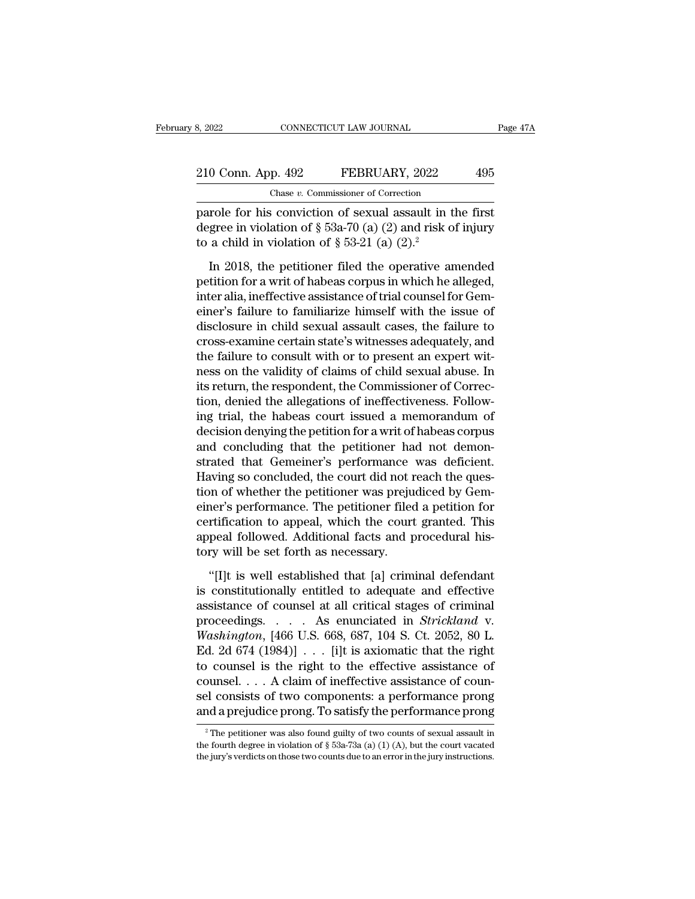| 8, 2022            | CONNECTICUT LAW JOURNAL |                                                          | Page 47A |  |
|--------------------|-------------------------|----------------------------------------------------------|----------|--|
| 210 Conn. App. 492 |                         | FEBRUARY, 2022                                           | 495      |  |
|                    |                         | Chase v. Commissioner of Correction                      |          |  |
|                    |                         | parole for his conviction of sexual assault in the first |          |  |

be a 2022 CONNECTICUT LAW JOURNAL Page 47<br>
210 Conn. App. 492 FEBRUARY, 2022 495<br>
Chase v. Commissioner of Correction<br>
parole for his conviction of sexual assault in the first<br>
degree in violation of § 53a-70 (a) (2) and 210 Conn. App. 492 FEBRUARY, 2022 495<br>Chase v. Commissioner of Correction<br>parole for his conviction of sexual assault in the first<br>degree in violation of § 53a-70 (a) (2) and risk of injury<br>to a child in violation of § 53 210 Conn. App. 492 FEBRUARY, 2022<br>Chase v. Commissioner of Correction<br>parole for his conviction of sexual assault in t<br>degree in violation of § 53a-70 (a) (2) and risk c<br>to a child in violation of § 53-21 (a) (2).<sup>2</sup><br>In 2 U Conn. App. 492 FEBRUARY, 2022 495<br>
Chase v. Commissioner of Correction<br>
Trole for his conviction of sexual assault in the first<br>
gree in violation of § 53a-70 (a) (2) and risk of injury<br>
a child in violation of § 53-21

Chase v. Commissioner of Correction<br>parole for his conviction of sexual assault in the first<br>degree in violation of § 53a-70 (a) (2) and risk of injury<br>to a child in violation of § 53-21 (a) (2).<sup>2</sup><br>In 2018, the petitione parole for his conviction of sexual assault in the first<br>degree in violation of  $\S$  53a-70 (a) (2) and risk of injury<br>to a child in violation of  $\S$  53-21 (a) (2).<sup>2</sup><br>In 2018, the petitioner filed the operative amended<br>pe degree in violation of § 53a-70 (a) (2) and risk of injury<br>to a child in violation of § 53-21 (a) (2).<sup>2</sup><br>In 2018, the petitioner filed the operative amended<br>petition for a writ of habeas corpus in which he alleged,<br>inter to a child in violation of  $\S$  53-21 (a) (2).<sup>2</sup><br>In 2018, the petitioner filed the operative amended<br>petition for a writ of habeas corpus in which he alleged,<br>inter alia, ineffective assistance of trial counsel for Gem-<br>e In 2018, the petitioner filed the operative amended<br>petition for a writ of habeas corpus in which he alleged,<br>inter alia, ineffective assistance of trial counsel for Gem-<br>einer's failure to familiarize himself with the is In 2018, the petitioner filed the operative amended<br>petition for a writ of habeas corpus in which he alleged,<br>inter alia, ineffective assistance of trial counsel for Gem-<br>einer's failure to familiarize himself with the iss petition for a writ of habeas corpus in which he alleged,<br>inter alia, ineffective assistance of trial counsel for Gem-<br>einer's failure to familiarize himself with the issue of<br>disclosure in child sexual assault cases, the inter alia, ineffective assistance of trial counsel for Gemeiner's failure to familiarize himself with the issue of disclosure in child sexual assault cases, the failure to cross-examine certain state's witnesses adequatel einer's failure to familiarize himself with the issue of<br>disclosure in child sexual assault cases, the failure to<br>cross-examine certain state's witnesses adequately, and<br>the failure to consult with or to present an expert disclosure in child sexual assault cases, the failure to<br>cross-examine certain state's witnesses adequately, and<br>the failure to consult with or to present an expert wit-<br>ness on the validity of claims of child sexual abuse cross-examine certain state's witnesses adequately, and<br>the failure to consult with or to present an expert wit-<br>ness on the validity of claims of child sexual abuse. In<br>its return, the respondent, the Commissioner of Corr the failure to consult with or to present an expert witness on the validity of claims of child sexual abuse. In<br>its return, the respondent, the Commissioner of Correction, denied the allegations of ineffectiveness. Followness on the validity of claims of child sexual abuse. In<br>its return, the respondent, the Commissioner of Correc-<br>tion, denied the allegations of ineffectiveness. Follow-<br>ing trial, the habeas court issued a memorandum of<br>d its return, the respondent, the Commissioner of Correction, denied the allegations of ineffectiveness. Following trial, the habeas court issued a memorandum of decision denying the petition for a writ of habeas corpus and tion, denied the allegations of ineffectiveness. Following trial, the habeas court issued a memorandum of decision denying the petition for a writ of habeas corpus and concluding that the petitioner had not demonstrated th ing trial, the habeas court issued a memorandum of<br>decision denying the petition for a writ of habeas corpus<br>and concluding that the petitioner had not demon-<br>strated that Gemeiner's performance was deficient.<br>Having so co decision denying the petition for a writ of habeas corpus<br>and concluding that the petitioner had not demon-<br>strated that Gemeiner's performance was deficient.<br>Having so concluded, the court did not reach the ques-<br>tion of and concluding that the petitioner had not demonstrated that Gemeiner's performance was deficient.<br>Having so concluded, the court did not reach the question of whether the petitioner was prejudiced by Gemeiner's performanc strated that Gemeiner's performance<br>Having so concluded, the court did not r<br>tion of whether the petitioner was preju<br>einer's performance. The petitioner filed<br>certification to appeal, which the court<br>appeal followed. Addi on of whether the petitioner was prejudiced by Gemer's performance. The petitioner filed a petition for rtification to appeal, which the court granted. This peal followed. Additional facts and procedural his-<br>ry will be se einer's performance. The petitioner filed a petition for<br>certification to appeal, which the court granted. This<br>appeal followed. Additional facts and procedural his-<br>tory will be set forth as necessary.<br>"[I]t is well estab

certification to appeal, which the court granted. This<br>appeal followed. Additional facts and procedural his-<br>tory will be set forth as necessary.<br>"[I]t is well established that [a] criminal defendant<br>is constitutionally e appeal followed. Additional facts and procedural his-<br>tory will be set forth as necessary.<br>"[I]t is well established that [a] criminal defendant<br>is constitutionally entitled to adequate and effective<br>assistance of counsel *Washington*, [466 U.S. 668, 687, 104 S. Ct. 2052, 80 L.<br> *Washington*, [466 U.S. 668, 687, 104 S. Ct. 2052, 80 L.<br> *Washington*, [466 U.S. 668, 687, 104 S. Ct. 2052, 80 L.<br> *Washington*, [466 U.S. 668, 687, 104 S. Ct. 205 "[I]t is well established that [a] criminal defendant<br>is constitutionally entitled to adequate and effective<br>assistance of counsel at all critical stages of criminal<br>proceedings.... As enunciated in *Strickland* v.<br>Washin "[I]t is well established that [a] criminal defendant<br>is constitutionally entitled to adequate and effective<br>assistance of counsel at all critical stages of criminal<br>proceedings.... As enunciated in *Strickland* v.<br>*Washi* is constitutionally entitled to adequate and effective<br>assistance of counsel at all critical stages of criminal<br>proceedings. . . . As enunciated in *Strickland* v.<br>Washington, [466 U.S. 668, 687, 104 S. Ct. 2052, 80 L.<br>Ed assistance of counsel at all critical stages of criminal<br>proceedings. . . . As enunciated in *Strickland* v.<br>Washington, [466 U.S. 668, 687, 104 S. Ct. 2052, 80 L.<br>Ed. 2d 674 (1984)] . . . [i]t is axiomatic that the right proceedings. . . . . As enunciated in *Strickland* v.<br>Washington, [466 U.S. 668, 687, 104 S. Ct. 2052, 80 L.<br>Ed. 2d 674 (1984)] . . . [i]t is axiomatic that the right<br>to counsel is the right to the effective assistance of 2 The petitioner was also found guilty of two components: a performance prong ind a prejudice prong. To satisfy the performance prong  $\frac{1}{2}$  The petitioner was also found guilty of two counts of sexual assault in  $\frac{1$ counsel. . . . . A claim of ineffective assistance of counsel consists of two components: a performance prong and a prejudice prong. To satisfy the performance prong  $\frac{1}{2}$  The petitioner was also found guilty of two c

sel consists of two components: a performance prong<br>and a prejudice prong. To satisfy the performance prong<br> $\frac{1}{\sqrt{2}}$  The petitioner was also found guilty of two counts of sexual assault in<br>the fourth degree in violati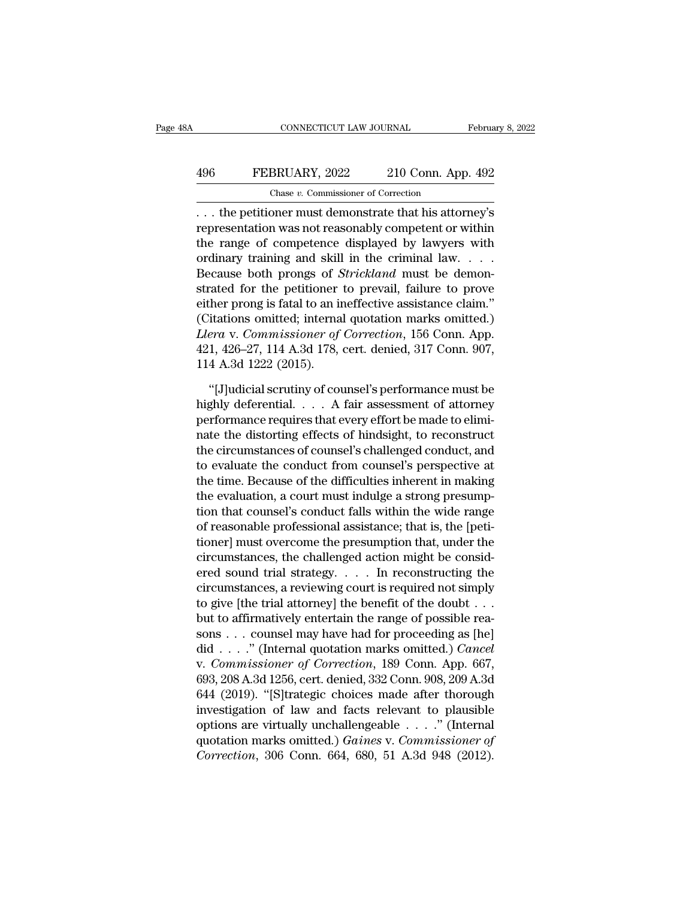## CONNECTICUT LAW JOURNAL February 8, 2022<br>496 FEBRUARY, 2022 210 Conn. App. 492<br>Chase v. Commissioner of Correction CONNECTICUT LAW JOURNAL<br>BRUARY, 2022 210 Conn. App<br>Chase *v.* Commissioner of Correction<br>Oner must demonstrate that his attor

CONNECTICUT LAW JOURNAL February 8, 2022<br>
496 FEBRUARY, 2022 210 Conn. App. 492<br>
Chase v. Commissioner of Correction<br>
... the petitioner must demonstrate that his attorney's<br>
representation was not reasonably competent or FEBRUARY, 2022 210 Conn. App. 492<br>
Chase v. Commissioner of Correction<br>
... the petitioner must demonstrate that his attorney's<br>
representation was not reasonably competent or within<br>
the range of competence displayed by 496 FEBRUARY, 2022 210 Conn. App. 492<br>
Chase v. Commissioner of Correction<br>
... the petitioner must demonstrate that his attorney's<br>
representation was not reasonably competent or within<br>
the range of competence displayed **496** FEBRUARY, 2022 210 Conn. App. 492<br>
Chase v. Commissioner of Correction<br>
... the petitioner must demonstrate that his attorney's<br>
representation was not reasonably competent or within<br>
the range of competence display Chase *v*. Commissioner of Correction<br>
... the petitioner must demonstrate that his attorney's<br>
representation was not reasonably competent or within<br>
the range of competence displayed by lawyers with<br>
ordinary training an  $\overline{\text{S}}$ ... the petitioner must demonstrate that his attorney's<br>representation was not reasonably competent or within<br>the range of competence displayed by lawyers with<br>ordinary training and skill in the criminal law.... ... the petitioner must demonstrate that his attorney's<br>representation was not reasonably competent or within<br>the range of competence displayed by lawyers with<br>ordinary training and skill in the criminal law....<br>Because b representation was not reasonably competent or within<br>the range of competence displayed by lawyers with<br>ordinary training and skill in the criminal law.  $\dots$ <br>Because both prongs of *Strickland* must be demon-<br>strated for the range of competence displayed by lawyers with<br>ordinary training and skill in the criminal law. . . .<br>Because both prongs of *Strickland* must be demon-<br>strated for the petitioner to prevail, failure to prove<br>either pro ordinary training and skill in the criminal law. . . . .<br>Because both prongs of *Strickland* must be demon-<br>strated for the petitioner to prevail, failure to prove<br>either prong is fatal to an ineffective assistance claim." Because both prongs of  $S$ <br>strated for the petitioner<br>either prong is fatal to an in<br>(Citations omitted; interna<br>*Llera* v. *Commissioner of*<br>421, 426–27, 114 A.3d 178,<br>114 A.3d 1222 (2015).<br>"[J]udicial scrutiny of cou the prong is fatal to an ineffective assistance claim."<br>
itations omitted; internal quotation marks omitted.)<br> *era* v. *Commissioner of Correction*, 156 Conn. App.<br>
1, 426–27, 114 A.3d 178, cert. denied, 317 Conn. 907,<br>
4 (Citations omitted; internal quotation marks omitted.)<br> *Llera* v. *Commissioner of Correction*, 156 Conn. App.<br>
421, 426–27, 114 A.3d 178, cert. denied, 317 Conn. 907,<br>
114 A.3d 1222 (2015).<br>
"[J]udicial scrutiny of couns

Llera v. Commissioner of Correction, 156 Conn. App.<br>421, 426–27, 114 A.3d 178, cert. denied, 317 Conn. 907,<br>114 A.3d 1222 (2015).<br>"[J]udicial scrutiny of counsel's performance must be<br>highly deferential.... A fair assessme 421, 426–27, 114 A.3d 178, cert. denied, 317 Conn. 907,<br>114 A.3d 1222 (2015).<br>"[J]udicial scrutiny of counsel's performance must be<br>highly deferential.... A fair assessment of attorney<br>performance requires that every effor 114 A.3d 1222 (2015).<br>
"[J]udicial scrutiny of counsel's performance must be<br>
highly deferential.  $\ldots$  A fair assessment of attorney<br>
performance requires that every effort be made to elimi-<br>
nate the distorting effects "[J]udicial scrutiny of counsel's performance must be<br>highly deferential.  $\ldots$  A fair assessment of attorney<br>performance requires that every effort be made to elimi-<br>nate the distorting effects of hindsight, to reconstru "[J]udicial scrutiny of counsel's performance must be<br>highly deferential.  $\dots$  A fair assessment of attorney<br>performance requires that every effort be made to elimi-<br>nate the distorting effects of hindsight, to reconstruc highly deferential. . . . . A fair assessment of attorney<br>performance requires that every effort be made to elimi-<br>nate the distorting effects of hindsight, to reconstruct<br>the circumstances of counsel's challenged conduct, performance requires that every effort be made to elimi-<br>nate the distorting effects of hindsight, to reconstruct<br>the circumstances of counsel's challenged conduct, and<br>to evaluate the conduct from counsel's perspective at nate the distorting effects of hindsight, to reconstruct<br>the circumstances of counsel's challenged conduct, and<br>to evaluate the conduct from counsel's perspective at<br>the time. Because of the difficulties inherent in making the circumstances of counsel's challenged conduct, and<br>to evaluate the conduct from counsel's perspective at<br>the time. Because of the difficulties inherent in making<br>the evaluation, a court must indulge a strong presump-<br>t to evaluate the conduct from counsel's perspective at<br>the time. Because of the difficulties inherent in making<br>the evaluation, a court must indulge a strong presump-<br>tion that counsel's conduct falls within the wide range<br> the time. Because of the difficulties inherent in making<br>the evaluation, a court must indulge a strong presump-<br>tion that counsel's conduct falls within the wide range<br>of reasonable professional assistance; that is, the [p the evaluation, a court must indulge a strong presumption that counsel's conduct falls within the wide range<br>of reasonable professional assistance; that is, the [peti-<br>tioner] must overcome the presumption that, under the tion that counsel's conduct falls within the wide range<br>of reasonable professional assistance; that is, the [peti-<br>tioner] must overcome the presumption that, under the<br>circumstances, the challenged action might be considof reasonable professional assistance; that is, the [petitioner] must overcome the presumption that, under the circumstances, the challenged action might be considered sound trial strategy.  $\dots$  In reconstructing the circ tioner] must overcome the presumption that, under the<br>circumstances, the challenged action might be consid-<br>ered sound trial strategy. . . . . In reconstructing the<br>circumstances, a reviewing court is required not simply<br> circumstances, the challenged action might be considered sound trial strategy.  $\ldots$  In reconstructing the circumstances, a reviewing court is required not simply to give [the trial attorney] the benefit of the doubt  $\ldots$ ered sound trial strategy. . . . . In reconstructing the<br>circumstances, a reviewing court is required not simply<br>to give [the trial attorney] the benefit of the doubt . . .<br>but to affirmatively entertain the range of possi circumstances, a reviewing court is required not simply<br>to give [the trial attorney] the benefit of the doubt . . .<br>but to affirmatively entertain the range of possible rea-<br>sons . . . counsel may have had for proceeding a to give [the trial attorney] the benefit of the doubt . . .<br>but to affirmatively entertain the range of possible reasons . . . counsel may have had for proceeding as [he]<br>did . . . . " (Internal quotation marks omitted.) but to affirmatively entertain the range of possible reasons . . . counsel may have had for proceeding as [he] did . . . ." (Internal quotation marks omitted.) *Cancel* v. *Commissioner of Correction*, 189 Conn. App. 667, sons . . . counsel may have had for proceeding as [he]<br>did . . . ." (Internal quotation marks omitted.) *Cancel*<br>v. *Commissioner of Correction*, 189 Conn. App. 667,<br>693, 208 A.3d 1256, cert. denied, 332 Conn. 908, 209 A. did . . . . ." (Internal quotation marks omitted.) *Cancel*<br>v. *Commissioner of Correction*, 189 Conn. App. 667,<br>693, 208 A.3d 1256, cert. denied, 332 Conn. 908, 209 A.3d<br>644 (2019). "[S]trategic choices made after thoroug *Commissioner of Correction*, 189 Conn. App. 667, 693, 208 A.3d 1256, cert. denied, 332 Conn. 908, 209 A.3d 644 (2019). "[S]trategic choices made after thorough investigation of law and facts relevant to plausible options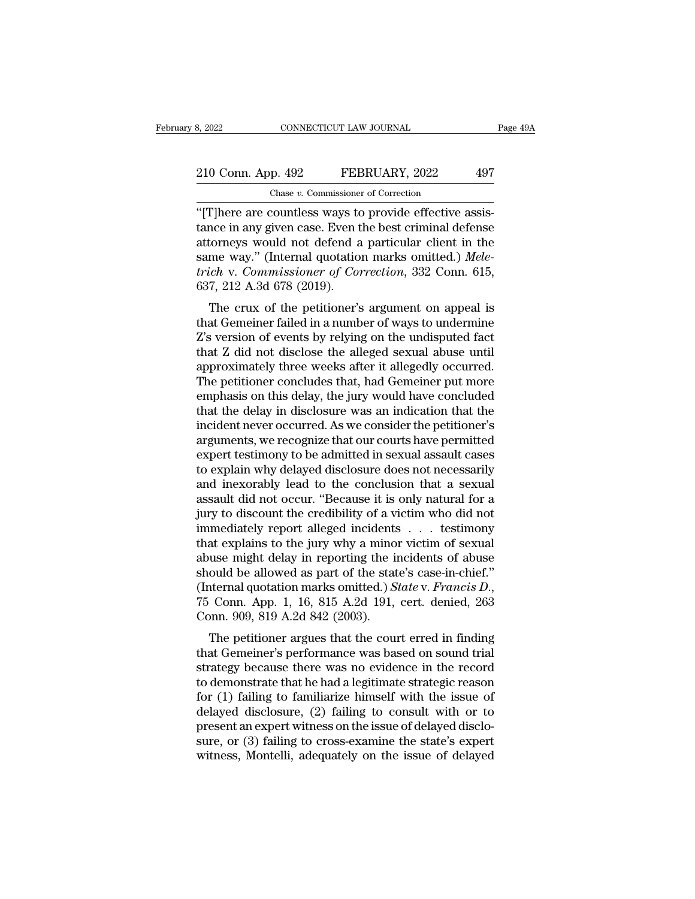## 210 Conn. App. 492 FEBRUARY, 2022 497<br>
Chase v. Commissioner of Correction CONNECTICUT LAW JOURNAL<br>
p. 492 FEBRUARY, 2022<br>
Chase *v.* Commissioner of Correction<br>
countless ways to provide effective

S, 2022 CONNECTICUT LAW JOURNAL<br>
210 Conn. App. 492 FEBRUARY, 2022 497<br>
Chase v. Commissioner of Correction<br>
"[T]here are countless ways to provide effective assis-<br>
tance in any given case. Even the best criminal defense 210 Conn. App. 492 FEBRUARY, 2022 497<br>
Chase v. Commissioner of Correction<br>
"[T]here are countless ways to provide effective assistance in any given case. Even the best criminal defense<br>
attorneys would not defend a parti 210 Conn. App. 492 FEBRUARY, 2022 497<br>
Chase v. Commissioner of Correction<br>
"[T]here are countless ways to provide effective assis-<br>
tance in any given case. Even the best criminal defense<br>
attorneys would not defend a pa Same way. Commissioner of Correction<br>
Same w. Commissioner of Correction<br>
(T]here are countless ways to provide effective assistance in any given case. Even the best criminal defense<br>
attorneys would not defend a particula *Chase v. Commissioner of Correction*<br> *THENCERT, 2022*<br> *Chase v. Commissioner of Correction*<br> *trich* and given case. Even the best criminal defense<br>
attorneys would not defend a particular client in the<br>
same way." (Int Chase v. Commissioner<br>
"[T]here are countless ways to<br>
tance in any given case. Even t<br>
attorneys would not defend a<br>
same way." (Internal quotatior<br>
trich v. Commissioner of Con<br>
637, 212 A.3d 678 (2019).<br>
The crux of th There are countiess ways to provide effective assis-<br>nce in any given case. Even the best criminal defense<br>torneys would not defend a particular client in the<br>me way." (Internal quotation marks omitted.) *Mele-*<br>ich v. Com tance in any given case. Even the best criminal defense<br>attorneys would not defend a particular client in the<br>same way." (Internal quotation marks omitted.) *Mele-<br>trich* v. *Commissioner of Correction*, 332 Conn. 615,<br>637

ationneys would not defend a particular chefit in the<br>same way." (Internal quotation marks omitted.) *Mele-*<br>trich v. Commissioner of Correction, 332 Conn. 615,<br>637, 212 A.3d 678 (2019).<br>The crux of the petitioner's argume same way. (Internal quotation marks onlined.) *Inter-*<br>trich v. Commissioner of Correction, 332 Conn. 615,<br>637, 212 A.3d 678 (2019).<br>The crux of the petitioner's argument on appeal is<br>that Gemeiner failed in a number of wa approximately diversign to the perfection, 332 Conn. 015,<br>637, 212 A.3d 678 (2019).<br>The crux of the petitioner's argument on appeal is<br>that Gemeiner failed in a number of ways to undermine<br>Z's version of events by relying The crux of the petitioner's argument on appeal is<br>that Gemeiner failed in a number of ways to undermine<br>Z's version of events by relying on the undisputed fact<br>that Z did not disclose the alleged sexual abuse until<br>approx The crux of the petitioner's argument on appeal is<br>that Gemeiner failed in a number of ways to undermine<br>Z's version of events by relying on the undisputed fact<br>that Z did not disclose the alleged sexual abuse until<br>approx that Gemeiner failed in a number of ways to undermine<br>Z's version of events by relying on the undisputed fact<br>that Z did not disclose the alleged sexual abuse until<br>approximately three weeks after it allegedly occurred.<br>Th Z's version of events by relying on the undisputed fact<br>that Z did not disclose the alleged sexual abuse until<br>approximately three weeks after it allegedly occurred.<br>The petitioner concludes that, had Gemeiner put more<br>emp that Z did not disclose the alleged sexual abuse until<br>approximately three weeks after it allegedly occurred.<br>The petitioner concludes that, had Gemeiner put more<br>emphasis on this delay, the jury would have concluded<br>that approximately three weeks after it allegedly occurred.<br>The petitioner concludes that, had Gemeiner put more emphasis on this delay, the jury would have concluded<br>that the delay in disclosure was an indication that the<br>inci The petitioner concludes that, had Gemeiner put more<br>emphasis on this delay, the jury would have concluded<br>that the delay in disclosure was an indication that the<br>incident never occurred. As we consider the petitioner's<br>ar emphasis on this delay, the jury would have concluded<br>that the delay in disclosure was an indication that the<br>incident never occurred. As we consider the petitioner's<br>arguments, we recognize that our courts have permitted<br> that the delay in disclosure was an indication that the incident never occurred. As we consider the petitioner's arguments, we recognize that our courts have permitted expert testimony to be admitted in sexual assault case incident never occurred. As we consider the petitioner's<br>arguments, we recognize that our courts have permitted<br>expert testimony to be admitted in sexual assault cases<br>to explain why delayed disclosure does not necessarily arguments, we recognize that our courts have permitted<br>expert testimony to be admitted in sexual assault cases<br>to explain why delayed disclosure does not necessarily<br>and inexorably lead to the conclusion that a sexual<br>assa expert testimony to be admitted in sexual assault cases<br>to explain why delayed disclosure does not necessarily<br>and inexorably lead to the conclusion that a sexual<br>assault did not occur. "Because it is only natural for a<br>ju to explain why delayed disclosure does not necessarily<br>and inexorably lead to the conclusion that a sexual<br>assault did not occur. "Because it is only natural for a<br>jury to discount the credibility of a victim who did not<br> and inexorably lead to the conclusion that a sexual<br>assault did not occur. "Because it is only natural for a<br>jury to discount the credibility of a victim who did not<br>immediately report alleged incidents . . . testimony<br>th assault did not occur. "Because it is only natural for a<br>jury to discount the credibility of a victim who did not<br>immediately report alleged incidents . . . testimony<br>that explains to the jury why a minor victim of sexual<br> immediately report alleged incidents<br>that explains to the jury why a minos<br>abuse might delay in reporting the in<br>should be allowed as part of the stat<br>(Internal quotation marks omitted.) S<br>75 Conn. App. 1, 16, 815 A.2d 191 at explains to the jury wity a filliof victim of sexual<br>use might delay in reporting the incidents of abuse<br>ould be allowed as part of the state's case-in-chief."<br>ternal quotation marks omitted.) State v. Francis D.,<br>Conn. abuse might delay in reporting the incidents of abuse<br>should be allowed as part of the state's case-in-chief."<br>(Internal quotation marks omitted.) State v. Francis D.,<br>75 Conn. App. 1, 16, 815 A.2d 191, cert. denied, 263<br>C

should be ahowed as part of the state's case-in-chief.<br>(Internal quotation marks omitted.) *State* v. *Francis D.*,<br>75 Conn. 909, 819 A.2d 842 (2003).<br>The petitioner argues that the court erred in finding<br>that Gemeiner's (internal quotation marks omitted.) *State v. Prancis D.*,<br>
75 Conn. App. 1, 16, 815 A.2d 191, cert. denied, 263<br>
Conn. 909, 819 A.2d 842 (2003).<br>
The petitioner argues that the court erred in finding<br>
that Gemeiner's per For Conn. App. 1, 10, 813 A.2d 191, cert. denied, 205<br>Conn. 909, 819 A.2d 842 (2003).<br>The petitioner argues that the court erred in finding<br>that Gemeiner's performance was based on sound trial<br>strategy because there was n The petitioner argues that the court erred in finding<br>that Gemeiner's performance was based on sound trial<br>strategy because there was no evidence in the record<br>to demonstrate that he had a legitimate strategic reason<br>for The petitioner argues that the court erred in finding<br>that Gemeiner's performance was based on sound trial<br>strategy because there was no evidence in the record<br>to demonstrate that he had a legitimate strategic reason<br>for ( that Gemeiner's performance was based on sound trial<br>strategy because there was no evidence in the record<br>to demonstrate that he had a legitimate strategic reason<br>for (1) failing to familiarize himself with the issue of<br>de strategy because there was no evidence in the record<br>to demonstrate that he had a legitimate strategic reason<br>for (1) failing to familiarize himself with the issue of<br>delayed disclosure, (2) failing to consult with or to<br>p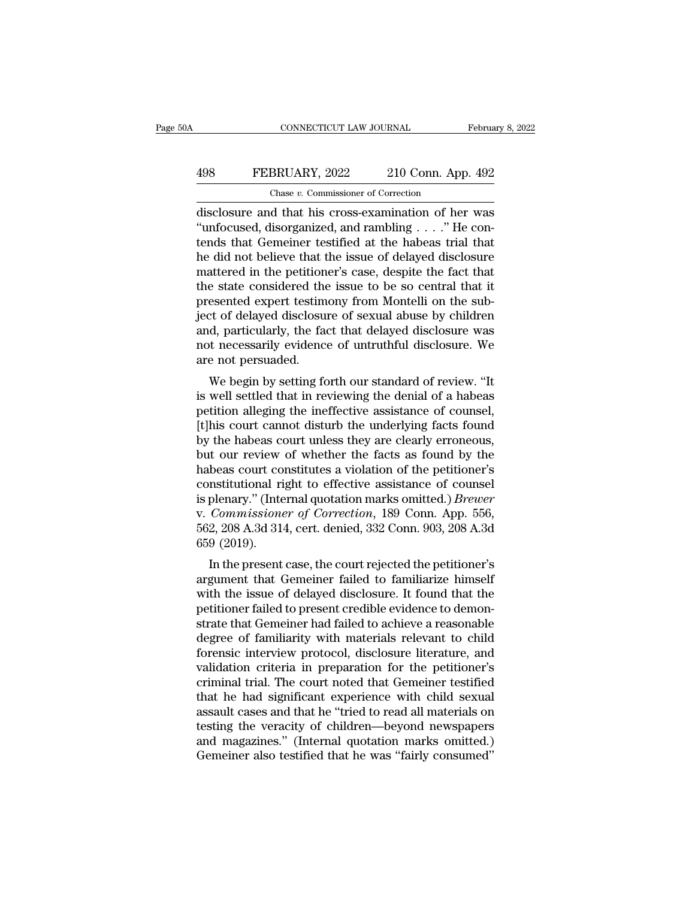## CONNECTICUT LAW JOURNAL February 8, 2022<br>498 FEBRUARY, 2022 210 Conn. App. 492<br>Chase v. Commissioner of Correction CONNECTICUT LAW JOURNAL<br>BRUARY, 2022 210 Conn. App<br>Chase *v.* Commissioner of Correction<br>d that his cross-examination of her

CONNECTICUT LAW JOURNAL February 8, 2022<br>
FEBRUARY, 2022 210 Conn. App. 492<br>
Chase v. Commissioner of Correction<br>
disclosure and that his cross-examination of her was<br>
"unfocused, disorganized, and rambling . . . ." He con FEBRUARY, 2022 210 Conn. App. 492<br>
Chase v. Commissioner of Correction<br>
disclosure and that his cross-examination of her was<br>
"unfocused, disorganized, and rambling . . . ." He con-<br>
tends that Gemeiner testified at the ha 498 FEBRUARY, 2022 210 Conn. App. 492<br>
Chase v. Commissioner of Correction<br>
disclosure and that his cross-examination of her was<br>
"unfocused, disorganized, and rambling . . . ." He con-<br>
tends that Gemeiner testified at t FEBRUARY, 2022 210 Conn. App. 492<br>
Chase v. Commissioner of Correction<br>
disclosure and that his cross-examination of her was<br>
"unfocused, disorganized, and rambling . . . ." He contends that Gemeiner testified at the habe Chase v. Commissioner of Correction<br>disclosure and that his cross-examination of her was<br>"unfocused, disorganized, and rambling . . . ." He con-<br>tends that Gemeiner testified at the habeas trial that<br>the did not believe t Chase v. Commissioner of Correction<br>disclosure and that his cross-examination of her was<br>"unfocused, disorganized, and rambling . . . ." He con-<br>tends that Gemeiner testified at the habeas trial that<br>he did not believe th disclosure and that his cross-examination of her was<br>"unfocused, disorganized, and rambling . . . ." He contends that Gemeiner testified at the habeas trial that<br>he did not believe that the issue of delayed disclosure<br>matt "unfocused, disorganized, and rambling  $\ldots$ " He contends that Gemeiner testified at the habeas trial that<br>he did not believe that the issue of delayed disclosure<br>mattered in the petitioner's case, despite the fact that<br>t tends that Gemeiner testified at the habeas trial that<br>he did not believe that the issue of delayed disclosure<br>mattered in the petitioner's case, despite the fact that<br>the state considered the issue to be so central that i he did not believe that the issue of delayed disclosure<br>mattered in the petitioner's case, despite the fact that<br>the state considered the issue to be so central that it<br>presented expert testimony from Montelli on the sub-<br> mattered in the petition<br>the state considered the<br>presented expert testim<br>ject of delayed disclosu<br>and, particularly, the fa<br>not necessarily evidenc<br>are not persuaded.<br>We begin by setting fo e state considered the issue to be so central that it<br>esented expert testimony from Montelli on the sub-<br>ct of delayed disclosure of sexual abuse by children<br>d, particularly, the fact that delayed disclosure was<br>to necessa presented expert testimoly from Montein on the sub-<br>ject of delayed disclosure of sexual abuse by children<br>and, particularly, the fact that delayed disclosure was<br>not necessarily evidence of untruthful disclosure. We<br>are n

pett of delayed disclosure of sexual abdse by children<br>and, particularly, the fact that delayed disclosure was<br>not necessarily evidence of untruthful disclosure. We<br>are not persuaded.<br>We begin by setting forth our standard and, particularly, the fact that delayed disclosure was<br>not necessarily evidence of untruthful disclosure. We<br>are not persuaded.<br>We begin by setting forth our standard of review. "It<br>is well settled that in reviewing the d by the habeas court constitutes a violation of the nottioner's<br>habeas court course it well settled that in reviewing the denial of a habeas<br>petition alleging the ineffective assistance of counsel,<br>[t]his court cannot distu We begin by setting forth our standard of review. "It<br>is well settled that in reviewing the denial of a habeas<br>petition alleging the ineffective assistance of counsel,<br>[t]his court cannot disturb the underlying facts found We begin by setting forth our standard of review. "It<br>is well settled that in reviewing the denial of a habeas<br>petition alleging the ineffective assistance of counsel,<br>[t]his court cannot disturb the underlying facts found is well settled that in reviewing the denial of a habeas<br>petition alleging the ineffective assistance of counsel,<br>[t]his court cannot disturb the underlying facts found<br>by the habeas court unless they are clearly erroneous petition alleging the ineffective assistance of counsel,<br>
[t]his court cannot disturb the underlying facts found<br>
by the habeas court unless they are clearly erroneous,<br>
but our review of whether the facts as found by the<br> [t]his court cannot disturb the underlying facts found<br>by the habeas court unless they are clearly erroneous,<br>but our review of whether the facts as found by the<br>habeas court constitutes a violation of the petitioner's<br>con by the habeas court unless they are clearly erroneous,<br>but our review of whether the facts as found by the<br>habeas court constitutes a violation of the petitioner's<br>constitutional right to effective assistance of counsel<br>is but our review<br>habeas court co<br>constitutional ri<br>is plenary.'' (Inte<br>v. *Commissione*<br>562, 208 A.3d 31<sup>,</sup><br>659 (2019).<br>In the present beas court constitutes a violation of the petitioner's<br>
Institutional right to effective assistance of counsel<br>
plenary." (Internal quotation marks omitted.) *Brewer*<br>
Commissioner of Correction, 189 Conn. App. 556,<br>
2, 20 constructional right to effective assistance of courser<br>is plenary." (Internal quotation marks omitted.) *Brewer*<br>v. *Commissioner of Correction*, 189 Conn. App. 556,<br>562, 208 A.3d 314, cert. denied, 332 Conn. 903, 208 A.3

is pienary. (internar quotation marks ontitied.*) Brewer*<br>v. *Commissioner of Correction*, 189 Conn. App. 556,<br>562, 208 A.3d 314, cert. denied, 332 Conn. 903, 208 A.3d<br>659 (2019).<br>In the present case, the court rejected th petitioner of Correction, 159 Continuation, 169<br>562, 208 A.3d 314, cert. denied, 332 Conn. 903, 208 A.3d<br>659 (2019).<br>In the present case, the court rejected the petitioner's<br>argument that Gemeiner failed to familiarize him soz, 200 A.5d 514, cert. defied, 552 Collit. 505, 200 A.5d<br>659 (2019).<br>In the present case, the court rejected the petitioner's<br>argument that Gemeiner failed to familiarize himself<br>with the issue of delayed disclosure. It degree of familiarity with material for the netitioner's<br>the person that Gemeiner failed to familiarize himself<br>with the issue of delayed disclosure. It found that the<br>petitioner failed to present credible evidence to demo In the present case, the court rejected the petitioner's<br>argument that Gemeiner failed to familiarize himself<br>with the issue of delayed disclosure. It found that the<br>petitioner failed to present credible evidence to demonargument that Gemeiner failed to familiarize himself<br>with the issue of delayed disclosure. It found that the<br>petitioner failed to present credible evidence to demon-<br>strate that Gemeiner had failed to achieve a reasonable<br> with the issue of delayed disclosure. It found that the petitioner failed to present credible evidence to demonstrate that Gemeiner had failed to achieve a reasonable degree of familiarity with materials relevant to child petitioner failed to present credible evidence to demonstrate that Gemeiner had failed to achieve a reasonable<br>degree of familiarity with materials relevant to child<br>forensic interview protocol, disclosure literature, and<br> strate that Gemeiner had failed to achieve a reasonable<br>degree of familiarity with materials relevant to child<br>forensic interview protocol, disclosure literature, and<br>validation criteria in preparation for the petitioner's degree of familiarity with materials relevant to child<br>forensic interview protocol, disclosure literature, and<br>validation criteria in preparation for the petitioner's<br>criminal trial. The court noted that Gemeiner testified forensic interview protocol, disclosure literature, and<br>validation criteria in preparation for the petitioner's<br>criminal trial. The court noted that Gemeiner testified<br>that he had significant experience with child sexual<br>a validation criteria in preparation for the petitioner's<br>criminal trial. The court noted that Gemeiner testified<br>that he had significant experience with child sexual<br>assault cases and that he "tried to read all materials on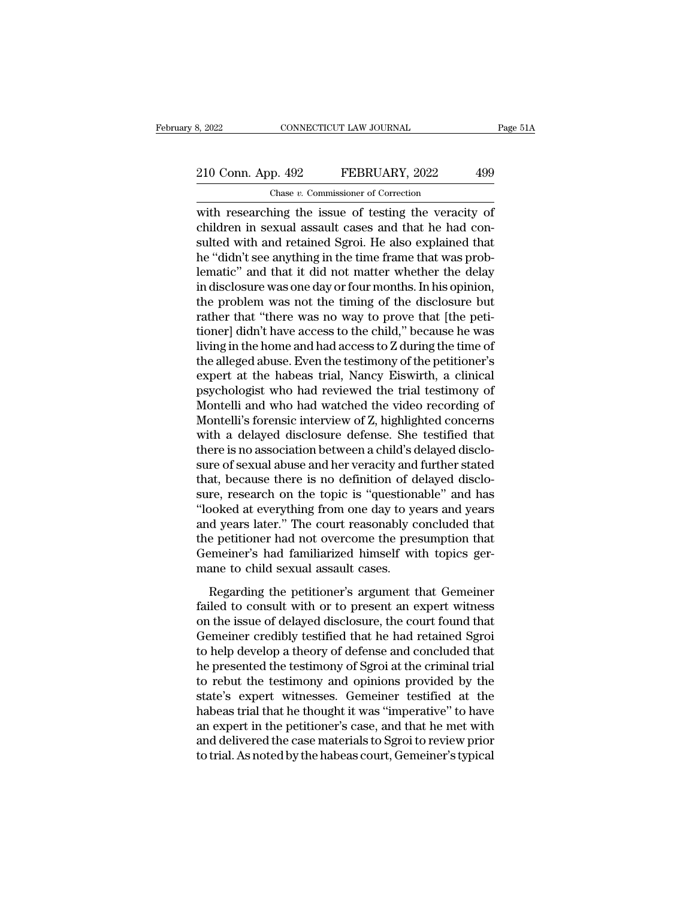## 210 Conn. App. 492 FEBRUARY, 2022 499<br>
Chase v. Commissioner of Correction CONNECTICUT LAW JOURNAL<br>
p. 492 FEBRUARY, 2022<br>
Chase *v.* Commissioner of Correction<br>
ping the issue of testing the veraci

8, 2022 CONNECTICUT LAW JOURNAL Page 51/<br>
210 Conn. App. 492 FEBRUARY, 2022 499<br>
Chase v. Commissioner of Correction<br>
with researching the issue of testing the veracity of<br>
children in sexual assault cases and that he had 210 Conn. App.  $492$  FEBRUARY, 2022 499<br>
Chase v. Commissioner of Correction<br>
with researching the issue of testing the veracity of<br>
children in sexual assault cases and that he had con-<br>
sulted with and retained Sgroi. H 210 Conn. App. 492 FEBRUARY, 2022 499<br>
Chase v. Commissioner of Correction<br>
with researching the issue of testing the veracity of<br>
children in sexual assault cases and that he had con-<br>
sulted with and retained Sgroi. He 210 Conn. App. 492 FEBRUARY, 2022 499<br>
Chase v. Commissioner of Correction<br>
with researching the issue of testing the veracity of<br>
children in sexual assault cases and that he had con-<br>
sulted with and retained Sgroi. He a Chase *v*. Commissioner of Correction<br>
with researching the issue of testing the veracity of<br>
children in sexual assault cases and that he had con-<br>
sulted with and retained Sgroi. He also explained that<br>
he "didn't see a Chase v. Commissioner of Correction<br>with researching the issue of testing the veracity of<br>children in sexual assault cases and that he had con-<br>sulted with and retained Sgroi. He also explained that<br>he "didn't see anythin with researching the issue of testing the veracity of<br>children in sexual assault cases and that he had con-<br>sulted with and retained Sgroi. He also explained that<br>he "didn't see anything in the time frame that was prob-<br>le children in sexual assault cases and that he had consulted with and retained Sgroi. He also explained that he "didn't see anything in the time frame that was problematic" and that it did not matter whether the delay in dis sulted with and retained Sgroi. He also explained that<br>he "didn't see anything in the time frame that was prob-<br>lematic" and that it did not matter whether the delay<br>in disclosure was one day or four months. In his opinion he "didn't see anything in the time frame that was problematic" and that it did not matter whether the delay<br>in disclosure was one day or four months. In his opinion,<br>the problem was not the timing of the disclosure but<br>ra lematic" and that it did not matter whether the delay<br>in disclosure was one day or four months. In his opinion,<br>the problem was not the timing of the disclosure but<br>rather that "there was no way to prove that [the peti-<br>ti in disclosure was one day or four months. In his opinion,<br>the problem was not the timing of the disclosure but<br>rather that "there was no way to prove that [the peti-<br>tioner] didn't have access to the child," because he was the problem was not the timing of the disclosure but<br>rather that "there was no way to prove that [the peti-<br>tioner] didn't have access to the child," because he was<br>living in the home and had access to Z during the time of rather that "there was no way to prove that [the petitioner] didn't have access to the child," because he was<br>living in the home and had access to Z during the time of<br>the alleged abuse. Even the testimony of the petitione tioner] didn't have access to the child," because he was<br>living in the home and had access to Z during the time of<br>the alleged abuse. Even the testimony of the petitioner's<br>expert at the habeas trial, Nancy Eiswirth, a cli living in the home and had access to Z during the time of<br>the alleged abuse. Even the testimony of the petitioner's<br>expert at the habeas trial, Nancy Eiswirth, a clinical<br>psychologist who had reviewed the trial testimony o the alleged abuse. Even the testimony of the petitioner's<br>expert at the habeas trial, Nancy Eiswirth, a clinical<br>psychologist who had reviewed the trial testimony of<br>Montelli and who had watched the video recording of<br>Mont expert at the habeas trial, Nancy Eiswirth, a clinical<br>psychologist who had reviewed the trial testimony of<br>Montelli and who had watched the video recording of<br>Montelli's forensic interview of Z, highlighted concerns<br>with psychologist who had reviewed the trial testimony of Montelli and who had watched the video recording of Montelli's forensic interview of Z, highlighted concerns with a delayed disclosure defense. She testified that there Montelli and who had watched the video recording of<br>Montelli's forensic interview of Z, highlighted concerns<br>with a delayed disclosure defense. She testified that<br>there is no association between a child's delayed disclo-<br>s Montelli's forensic interview of Z, highlighted concerns<br>with a delayed disclosure defense. She testified that<br>there is no association between a child's delayed disclo-<br>sure of sexual abuse and her veracity and further sta with a delayed disclosure defense. She testified that<br>there is no association between a child's delayed disclo-<br>sure of sexual abuse and her veracity and further stated<br>that, because there is no definition of delayed discl there is no association between a child's delayed disclosure of sexual abuse and her veracity and further stated that, because there is no definition of delayed disclosure, research on the topic is "questionable" and has " sure of sexual abuse and her veracity and further stated<br>that, because there is no definition of delayed disclo-<br>sure, research on the topic is "questionable" and has<br>"looked at everything from one day to years and years<br>a that, because there is no definition of d<br>sure, research on the topic is "question.<br>"looked at everything from one day to ye<br>and years later." The court reasonably c<br>the petitioner had not overcome the pree<br>Gemeiner's had Regarding the petitioner's argument that Gemeiner's had familiarized himself with topics gerage to child sexual assault cases.<br>Regarding the petitioner's argument that Gemeiner's had familiarized himself with topics gerage fronced as everywing from one ady to years and years<br>and years later." The court reasonably concluded that<br>the petitioner had not overcome the presumption that<br>Gemeiner's had familiarized himself with topics ger-<br>mane to c

and years fact: The court feasonally concluded diat<br>the petitioner had not overcome the presumption that<br>Gemeiner's had familiarized himself with topics ger-<br>mane to child sexual assault cases.<br>Regarding the petitioner's a The performance are present and the distribution of the demeiner's had familiarized himself with topics germane to child sexual assault cases.<br>
Regarding the petitioner's argument that Gemeiner<br>
failed to consult with or t to help develop a theory of Sground that to help develop a theory of defense and concluded that<br>the present and concluded that Gemeiner credibly testified that he had retained Sgroito help develop a theory of defense and c he pertitioner's argument that Gemeiner<br>failed to consult with or to present an expert witness<br>on the issue of delayed disclosure, the court found that<br>Gemeiner credibly testified that he had retained Sgroi<br>to help develop Regarding the petitioner's argument that Gemeiner<br>failed to consult with or to present an expert witness<br>on the issue of delayed disclosure, the court found that<br>Gemeiner credibly testified that he had retained Sgroi<br>to he failed to consult with or to present an expert witness<br>on the issue of delayed disclosure, the court found that<br>Gemeiner credibly testified that he had retained Sgroi<br>to help develop a theory of defense and concluded that<br> on the issue of delayed disclosure, the court found that<br>Gemeiner credibly testified that he had retained Sgroi<br>to help develop a theory of defense and concluded that<br>he presented the testimony of Sgroi at the criminal tri Gemeiner credibly testified that he had retained Sgroi<br>to help develop a theory of defense and concluded that<br>he presented the testimony of Sgroi at the criminal trial<br>to rebut the testimony and opinions provided by the<br>st to help develop a theory of defense and concluded that<br>he presented the testimony of Sgroi at the criminal trial<br>to rebut the testimony and opinions provided by the<br>state's expert witnesses. Gemeiner testified at the<br>habea he presented the testimony of Sgroi at the criminal trial<br>to rebut the testimony and opinions provided by the<br>state's expert witnesses. Gemeiner testified at the<br>habeas trial that he thought it was "imperative" to have<br>an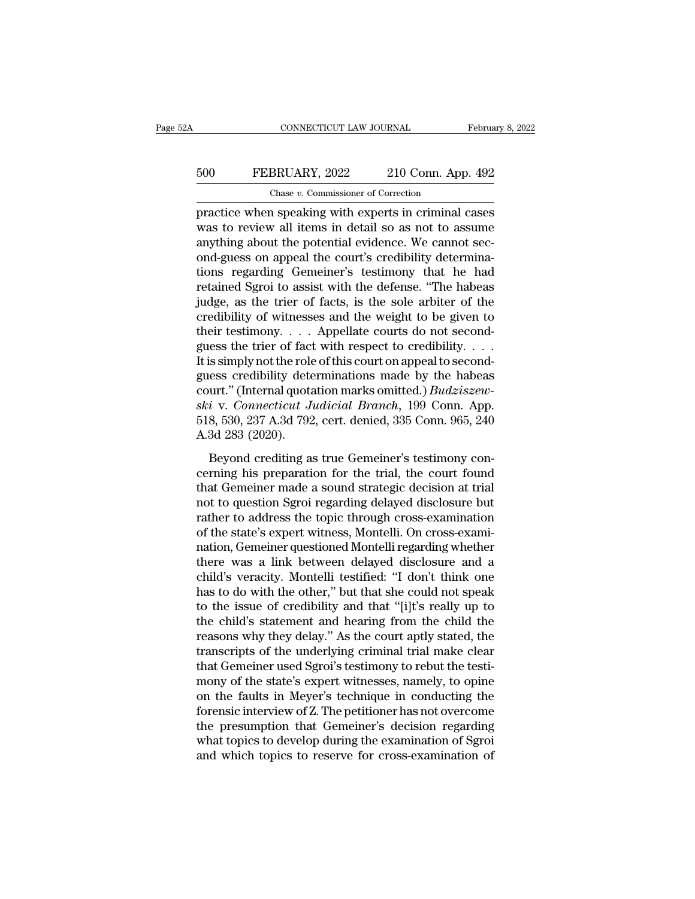## CONNECTICUT LAW JOURNAL February 8, 2022<br>500 FEBRUARY, 2022 210 Conn. App. 492<br>Chase v. Commissioner of Correction CONNECTICUT LAW JOURNAL<br>BRUARY, 2022 210 Conn. App<br>Chase *v.* Commissioner of Correction<br>n speaking with experts in criminal

FEBRUARY, 2022 210 Conn. App. 492<br>
The Chase v. Commissioner of Correction<br>
FEBRUARY, 2022 210 Conn. App. 492<br>
The Chase v. Commissioner of Correction<br>
Fractice when speaking with experts in criminal cases<br>
was to review a FEBRUARY, 2022 210 Conn. App. 492<br>
Chase v. Commissioner of Correction<br>
practice when speaking with experts in criminal cases<br>
was to review all items in detail so as not to assume<br>
anything about the potential evidence. W  $\frac{500}{200}$  FEBRUARY, 2022 210 Conn. App. 492<br>  $\frac{200}{200}$  Chase v. Commissioner of Correction<br>
practice when speaking with experts in criminal cases<br>
was to review all items in detail so as not to assume<br>
anything ab 500 FEBRUARY, 2022 210 Conn. App. 492<br>
Chase v. Commissioner of Correction<br>
practice when speaking with experts in criminal cases<br>
was to review all items in detail so as not to assume<br>
anything about the potential eviden Chase v. Commissioner of Correction<br>practice when speaking with experts in criminal cases<br>was to review all items in detail so as not to assume<br>anything about the potential evidence. We cannot sec-<br>ond-guess on appeal the Chase v. Commissioner of Correction<br>practice when speaking with experts in criminal cases<br>was to review all items in detail so as not to assume<br>anything about the potential evidence. We cannot sec-<br>ond-guess on appeal the practice when speaking with experts in criminal cases<br>was to review all items in detail so as not to assume<br>anything about the potential evidence. We cannot sec-<br>ond-guess on appeal the court's credibility determina-<br>tions was to review all items in detail so as not to assume<br>anything about the potential evidence. We cannot sec-<br>ond-guess on appeal the court's credibility determina-<br>tions regarding Gemeiner's testimony that he had<br>retained anything about the potential evidence. We cannot sec-<br>ond-guess on appeal the court's credibility determina-<br>tions regarding Gemeiner's testimony that he had<br>retained Sgroi to assist with the defense. "The habeas<br>judge, as ond-guess on appeal the court's credibility determinations regarding Gemeiner's testimony that he had retained Sgroi to assist with the defense. "The habeas judge, as the trier of facts, is the sole arbiter of the credibi tions regarding Gemeiner's testimony that he had<br>retained Sgroi to assist with the defense. "The habeas<br>judge, as the trier of facts, is the sole arbiter of the<br>credibility of witnesses and the weight to be given to<br>their retained Sgroi to assist with the defense. "The habeas<br>judge, as the trier of facts, is the sole arbiter of the<br>credibility of witnesses and the weight to be given to<br>their testimony.... Appellate courts do not second-<br>gu judge, as the trier of facts, is the sole arbiter of the credibility of witnesses and the weight to be given to their testimony. . . . Appellate courts do not second-<br>guess the trier of fact with respect to credibility. . credibility of witnesses and the weight to be given to<br>their testimony. . . . Appellate courts do not second-<br>guess the trier of fact with respect to credibility. . . . .<br>It is simply not the role of this court on appeal t their testimony. . . . Appellate courts do not second-<br>guess the trier of fact with respect to credibility. . . .<br>It is simply not the role of this court on appeal to second-<br>guess credibility determinations made by the h guess the trier of fact<br>It is simply not the role<br>guess credibility dete<br>court." (Internal quota<br>ski v. Connecticut J<br>518, 530, 237 A.3d 792<br>A.3d 283 (2020).<br>Beyond crediting a Essingly not are fore or ans course in appear to second<br>
esseredibility determinations made by the habeas<br>
urt." (Internal quotation marks omitted.) *Budziszew-*<br>
i v. Connecticut Judicial Branch, 199 Conn. App.<br>
8, 530, court." (Internal quotation marks omitted.) *Budziszew-*<br>ski v. Connecticut Judicial Branch, 199 Conn. App.<br>518, 530, 237 A.3d 792, cert. denied, 335 Conn. 965, 240<br>A.3d 283 (2020).<br>Beyond crediting as true Gemeiner's tes

ski v. Connecticut Judicial Branch, 199 Conn. App.<br>518, 530, 237 A.3d 792, cert. denied, 335 Conn. 965, 240<br>A.3d 283 (2020).<br>Beyond crediting as true Gemeiner's testimony con-<br>cerning his preparation for the trial, the co not to connective a statefall Drama, 150 Collic App.<br>518, 530, 237 A.3d 792, cert. denied, 335 Conn. 965, 240<br>A.3d 283 (2020).<br>Beyond crediting as true Gemeiner's testimony con-<br>cerning his preparation for the trial, the c Regional Correlation Correlation Correlation Correlation Correlation Correlation Correlation Correlation Correlation Correlation Correlation Correlation Correlation Correlation Correlation Correlation Correlation Correlati Reyond crediting as true Gemeiner's testimony concerning his preparation for the trial, the court found that Gemeiner made a sound strategic decision at trial not to question Sgroi regarding delayed disclosure but rather t Beyond crediting as true Gemeiner's testimony concerning his preparation for the trial, the court found that Gemeiner made a sound strategic decision at trial not to question Sgroi regarding delayed disclosure but rather t cerning his preparation for the trial, the court found<br>that Gemeiner made a sound strategic decision at trial<br>not to question Sgroi regarding delayed disclosure but<br>rather to address the topic through cross-examination<br>of that Gemeiner made a sound strategic decision at trial<br>not to question Sgroi regarding delayed disclosure but<br>rather to address the topic through cross-examination<br>of the state's expert witness, Montelli con cross-exami-<br>n not to question Sgroi regarding delayed disclosure but<br>rather to address the topic through cross-examination<br>of the state's expert witness, Montelli. On cross-exami-<br>nation, Gemeiner questioned Montelli regarding whether<br>t rather to address the topic through cross-examination<br>of the state's expert witness, Montelli. On cross-exami-<br>nation, Gemeiner questioned Montelli regarding whether<br>there was a link between delayed disclosure and a<br>child' of the state's expert witness, Montelli. On cross-exami-<br>nation, Gemeiner questioned Montelli regarding whether<br>there was a link between delayed disclosure and a<br>child's veracity. Montelli testified: "I don't think one<br>has nation, Gemeiner questioned Montelli regarding whether<br>there was a link between delayed disclosure and a<br>child's veracity. Montelli testified: "I don't think one<br>has to do with the other," but that she could not speak<br>to t there was a link between delayed disclosure and a<br>child's veracity. Montelli testified: "I don't think one<br>has to do with the other," but that she could not speak<br>to the issue of credibility and that "[i]t's really up to<br>t child's veracity. Montelli testified: "I don't think one<br>has to do with the other," but that she could not speak<br>to the issue of credibility and that "[i]t's really up to<br>the child's statement and hearing from the child th has to do with the other," but that she could not speak<br>to the issue of credibility and that "[i]t's really up to<br>the child's statement and hearing from the child the<br>reasons why they delay." As the court aptly stated, the to the issue of credibility and that "[i]t's really up to<br>the child's statement and hearing from the child the<br>reasons why they delay." As the court aptly stated, the<br>transcripts of the underlying criminal trial make clear the child's statement and hearing from the child the<br>reasons why they delay." As the court aptly stated, the<br>transcripts of the underlying criminal trial make clear<br>that Gemeiner used Sgroi's testimony to rebut the testi-<br> reasons why they delay." As the court aptly stated, the<br>transcripts of the underlying criminal trial make clear<br>that Gemeiner used Sgroi's testimony to rebut the testi-<br>mony of the state's expert witnesses, namely, to opin transcripts of the underlying criminal trial make clear<br>that Gemeiner used Sgroi's testimony to rebut the testi-<br>mony of the state's expert witnesses, namely, to opine<br>on the faults in Meyer's technique in conducting the<br>f that Gemeiner used Sgroi's testimony to rebut the testimony of the state's expert witnesses, namely, to opine<br>on the faults in Meyer's technique in conducting the<br>forensic interview of Z. The petitioner has not overcome<br>th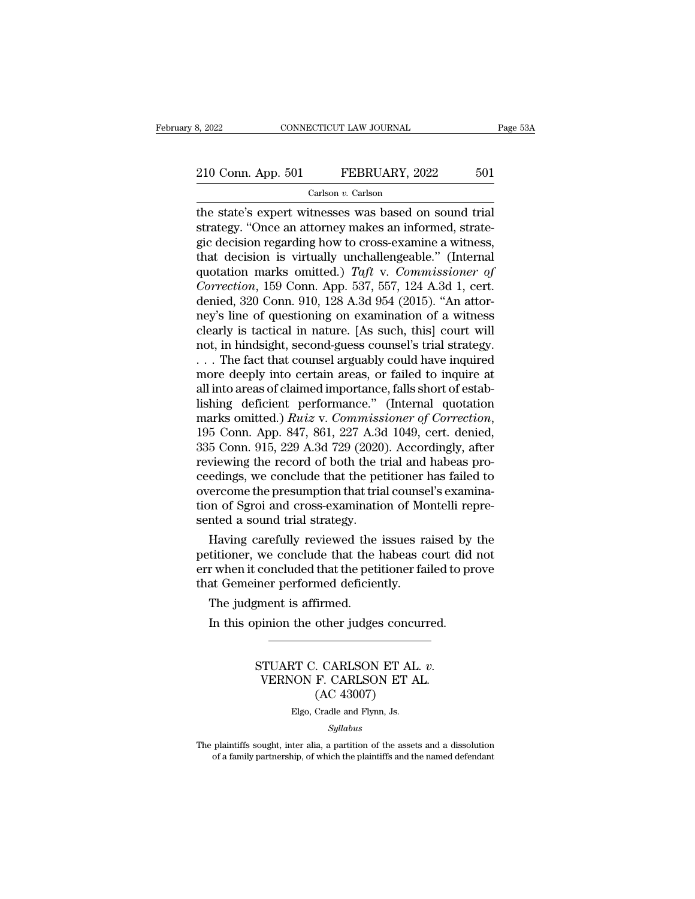# 210 Conn. App. 501 FEBRUARY, 2022 501

Carlson *v.* Carlson

8, 2022 CONNECTICUT LAW JOURNAL Page 5:<br>
210 Conn. App. 501 FEBRUARY, 2022 501<br>
Carlson v. Carlson<br>
the state's expert witnesses was based on sound trial<br>
strategy. "Once an attorney makes an informed, strate-210 Conn. App. 501 FEBRUARY, 2022 501<br>Carlson v. Carlson<br>the state's expert witnesses was based on sound trial<br>strategy. "Once an attorney makes an informed, strate-<br>gic decision regarding how to cross-examine a witness,<br>t 210 Conn. App. 501 FEBRUARY, 2022 501<br>
Carlson *v*. Carlson<br>
the state's expert witnesses was based on sound trial<br>
strategy. "Once an attorney makes an informed, strate-<br>
gic decision regarding how to cross-examine a wit 210 Conn. App. 501 FEBRUARY, 2022 501<br>
Carlson *v*. Carlson<br>
the state's expert witnesses was based on sound trial<br>
strategy. "Once an attorney makes an informed, strate-<br>
gic decision regarding how to cross-examine a wit Carlson *v.* Carlson<br>Carlson *v.* Carlson<br>the state's expert witnesses was based on sound trial<br>strategy. "Once an attorney makes an informed, strate-<br>gic decision regarding how to cross-examine a witness,<br>that decision is Carlson *v*. Carlson<br>
the state's expert witnesses was based on sound trial<br>
strategy. "Once an attorney makes an informed, strate-<br>
gic decision regarding how to cross-examine a witness,<br>
that decision is virtually unchal the state's expert witnesses was based on sound trial<br>strategy. "Once an attorney makes an informed, strate-<br>gic decision regarding how to cross-examine a witness,<br>that decision is virtually unchallengeable." (Internal<br>quo strategy. "Once an attorney makes an informed, strategic decision regarding how to cross-examine a witness, that decision is virtually unchallengeable." (Internal quotation marks omitted.) *Taft v. Commissioner of Correcti* gic decision regarding how to cross-examine a witness,<br>that decision is virtually unchallengeable." (Internal<br>quotation marks omitted.) Taft v. Commissioner of<br>Correction, 159 Conn. App. 537, 557, 124 A.3d 1, cert.<br>denied that decision is virtually unchallengeable." (Internal quotation marks omitted.) Taft v. Commissioner of Correction, 159 Conn. App. 537, 557, 124 A.3d 1, cert. denied, 320 Conn. 910, 128 A.3d 954 (2015). "An attorney's li quotation marks omitted.) Taft v. Commissioner of<br>
Correction, 159 Conn. App. 537, 557, 124 A.3d 1, cert.<br>
denied, 320 Conn. 910, 128 A.3d 954 (2015). "An attor-<br>
ney's line of questioning on examination of a witness<br>
cle Correction, 159 Conn. App. 537, 557, 124 A.3d 1, cert.<br>denied, 320 Conn. 910, 128 A.3d 954 (2015). "An attor-<br>ney's line of questioning on examination of a witness<br>clearly is tactical in nature. [As such, this] court will denied, 320 Conn. 910, 128 A.3d 954 (2015). "An attorney's line of questioning on examination of a witness clearly is tactical in nature. [As such, this] court will not, in hindsight, second-guess counsel's trial strategy ney's line of questioning on examination of a witness<br>clearly is tactical in nature. [As such, this] court will<br>not, in hindsight, second-guess counsel's trial strategy.<br>... The fact that counsel arguably could have inqui clearly is tactical in nature. [As such, this] court will<br>not, in hindsight, second-guess counsel's trial strategy.<br>... The fact that counsel arguably could have inquired<br>more deeply into certain areas, or failed to inquir ... The fact that counsel arguably could have inquired<br>more deeply into certain areas, or failed to inquire at<br>all into areas of claimed importance, falls short of estab-<br>lishing deficient performance." (Internal quotation more deeply into certain areas, or failed to inquire at all into areas of claimed importance, falls short of establishing deficient performance." (Internal quotation marks omitted.) *Ruiz v. Commissioner of Correction*, 19 all into areas of claimed importance, falls short of establishing deficient performance." (Internal quotation<br>marks omitted.) *Ruiz v. Commissioner of Correction*,<br>195 Conn. App. 847, 861, 227 A.3d 1049, cert. denied,<br>335 lishing deficient performance." (Internal quotation marks omitted.) *Ruiz v. Commissioner of Correction*, 195 Conn. App. 847, 861, 227 A.3d 1049, cert. denied, 335 Conn. 915, 229 A.3d 729 (2020). Accordingly, after reviewi marks omitted.)  $Ruiz$  v. Commissioner of Correction, 195 Conn. App. 847, 861, 227 A.3d 1049, cert. denied, 335 Conn. 915, 229 A.3d 729 (2020). Accordingly, after reviewing the record of both the trial and habeas proceeding 195 Conn. App. 847, 861, 227 A.3 $\sigma$ 335 Conn. 915, 229 A.3 $\sigma$ 729 (2020) reviewing the record of both the t ceedings, we conclude that the pet overcome the presumption that triation of Sgroi and cross-examination sented a 5 Conn. 915, 229 A.3d 729 (2020). Accordingly, after<br>viewing the record of both the trial and habeas pro-<br>edings, we conclude that the petitioner has failed to<br>ercome the presumption that trial counsel's examina-<br>on of Sgr reviewing the record of both the trial and habeas proceedings, we conclude that the petitioner has failed to overcome the presumption that trial counsel's examination of Sgroi and cross-examination of Montelli represented

ceedings, we conclude that the petitioner has failed to<br>overcome the presumption that trial counsel's examina-<br>tion of Sgroi and cross-examination of Montelli repre-<br>sented a sound trial strategy.<br>Having carefully reviewed overcome the presumption that trial counse<br>tion of Sgroi and cross-examination of Mo<br>sented a sound trial strategy.<br>Having carefully reviewed the issues ra<br>petitioner, we conclude that the habeas co<br>err when it concluded t The state of the state of the state of the state of the state of the state of the state of the petrus of the petrus of the state of the state of the state of the state of the state of the state of the state of the state of Having carefully reviewed the issues raised by<br>titioner, we conclude that the habeas court did<br>r when it concluded that the petitioner failed to pr<br>at Gemeiner performed deficiently.<br>The judgment is affirmed.<br>In this opini

Finer performed deficiently.<br>
Siment is affirmed.<br>
pinion the other judges concurred.<br>
STUART C. CARLSON ET AL. *v.*<br>
VERNON F. CARLSON ET AL.<br>
(AC 43007) Experience denotedly.<br>
inion the other judges concurred.<br>
TUART C. CARLSON ET AL. v.<br>
VERNON F. CARLSON ET AL. (AC 43007) firmed.<br>
other judges concu<br>
...<br>
CARLSON ET AL<br>
F. CARLSON ET A<br>
(AC 43007)<br>
Cradle and Flynn, Js. STUART C. CARLSON ET AL. *v*.<br>VERNON F. CARLSON ET AL.<br>(AC 43007)<br>Elgo, Cradle and Flynn, Js.

*Syllabus*

VERNON F. CARLSON ET AL.<br>
(AC 43007)<br>
Elgo, Cradle and Flynn, Js.<br>
Syllabus<br>
The plaintiffs sought, inter alia, a partition of the assets and a dissolution<br>
of a family partnership, of which the plaintiffs and the named de  $\left( \text{AC }43007\right)$  Elgo, Cradle and Flynn, Js.<br>Syllabus<br>plaintiffs sought, inter alia, a partition of the assets and a dissolution<br>of a family partnership, of which the plaintiffs and the named defendant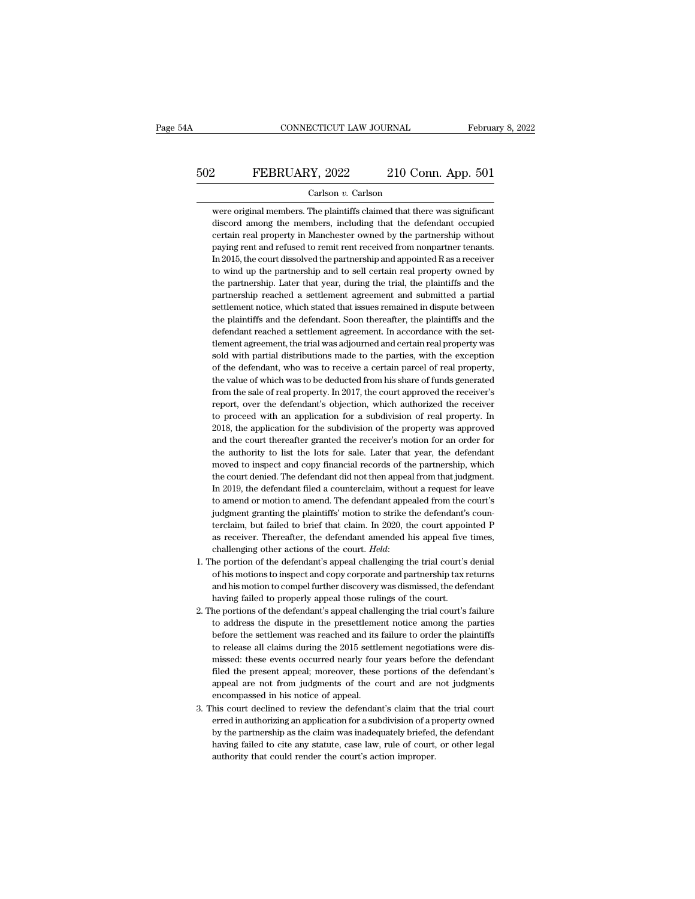# CONNECTICUT LAW JOURNAL February 8, 2022<br>502 FEBRUARY, 2022 210 Conn. App. 501<br>Carlson v. Carlson

### Carlson *v.* Carlson

EEBRUARY, 2022 210 Conn. App. 501<br>Carlson v. Carlson<br>were original members. The plaintiffs claimed that there was significant<br>discord among the members, including that the defendant occupied EXERUARY, 2022 210 Conn. App. 501<br>
Carlson v. Carlson<br>
were original members. The plaintiffs claimed that there was significant<br>
discord among the members, including that the defendant occupied<br>
certain real property in Ma PEBRUARY, 2022 210 Conn. App. 501<br>
Carlson v. Carlson<br>
were original members. The plaintiffs claimed that there was significant<br>
discord among the members, including that the defendant occupied<br>
certain real property in Ma Carlson v. Carlson<br>
were original members. The plaintiffs claimed that there was significant<br>
discord among the members, including that the defendant occupied<br>
certain real property in Manchester owned by the partnership w Carlson v. Carlson<br>were original members. The plaintiffs claimed that there was significant<br>discord among the members, including that the defendant occupied<br>certain real property in Manchester owned by the partnership with were original members. The plaintiffs claimed that there was significant discord among the members, including that the defendant occupied certain real property in Manchester owned by the partnership without paying rent and discord among the members, including that the defendant occupied<br>certain real property in Manchester owned by the partnership without<br>paying rent and refused to remit rent received from nonpartner tenants.<br>In 2015, the cou certain real property in Manchester owned by the partnership without paying rent and refused to remit rent received from nonpartner tenants. In 2015, the court dissolved the partnership and appointed R as a receiver to win paying rent and refused to remit rent received from nonpartner tenants.<br>In 2015, the court dissolved the partnership and appointed R as a receiver<br>to wind up the partnership and to sell certain real property owned by<br>the p In 2015, the court dissolved the partnership and appointed R as a receiver<br>to wind up the partnership and to sell certain real property owned by<br>the partnership. Later that year, during the trial, the plaintiffs and the<br>pa In 2015, the court dissolved the partnership and appointed R as a receiver to wind up the partnership and to sell certain real property owned by the partnership. Later that year, during the trial, the plaintiffs and the p the partnership. Later that year, during the trial, the plaintiffs and the partnership reached a settlement agreement and submitted a partial settlement notice, which stated that issues remained in dispute between the plai partnership reached a settlement agreement and submitted a partial settlement notice, which stated that issues remained in dispute between the plaintiffs and the defendant reached a settlement agreement. In accordance with settlement notice, which stated that issues remained in dispute between<br>the plaintiffs and the defendant. Soon thereafter, the plaintiffs and the<br>defendant reached a settlement agreement. In accordance with the set-<br>tlemen the plaintiffs and the defendant. Soon thereafter, the plaintiffs and the defendant reached a settlement agreement. In accordance with the set-<br>tlement agreement, the trial was adjourned and certain real property was<br>sold defendant reached a settlement agreement. In accordance with the set-<br>tlement agreement, the trial was adjourned and certain real property was<br>sold with partial distributions made to the parties, with the exception<br>of the tlement agreement, the trial was adjourned and certain real property was<br>sold with partial distributions made to the parties, with the exception<br>of the defendant, who was to receive a certain parcel of real property,<br>the v sold with partial distributions made to the parties, with the exception<br>of the defendant, who was to receive a certain parcel of real property,<br>the value of which was to be deducted from his share of funds generated<br>from t of the defendant, who was to receive a certain parcel of real property,<br>the value of which was to be deducted from his share of funds generated<br>from the sale of real property. In 2017, the court approved the receiver's<br>rep the value of which was to be deducted from his share of funds generated from the sale of real property. In 2017, the court approved the receiver's report, over the defendant's objection, which authorized the receiver to pr from the sale of real property. In 2017, the court approved the receiver's<br>report, over the defendant's objection, which authorized the receiver<br>to proceed with an application for a subdivision of real property. In<br>2018, t report, over the defendant's objection, which authorized the receiver<br>to proceed with an application for a subdivision of real property. In<br>2018, the application for the subdivision of the property was approved<br>and the cou to proceed with an application for a subdivision of real property. In 2018, the application for the subdivision of the property was approved and the court thereafter granted the receiver's motion for an order for the autho 2018, the application for the subdivision of the property was approved and the court thereafter granted the receiver's motion for an order for the authority to list the lots for sale. Later that year, the defendant moved t and the court thereafter granted the receiver's motion for an order for the authority to list the lots for sale. Later that year, the defendant moved to inspect and copy financial records of the partnership, which the cour and the court thereafter granted the receiver's motion for an order for the authority to list the lots for sale. Later that year, the defendant moved to inspect and copy financial records of the partnership, which the cou moved to inspect and copy financial records of the partnership, which<br>the court denied. The defendant did not then appeal from that judgment.<br>In 2019, the defendant filed a counterclaim, without a request for leave<br>to amen the court denied. The defendant did not then appeal from that judgment.<br>In 2019, the defendant filed a counterclaim, without a request for leave<br>to amend or motion to amend. The defendant appealed from the court's<br>judgment In 2019, the defendant filed a counterclaim, without a request for leave<br>to amend or motion to amend. The defendant appealed from the court's<br>judgment granting the plaintiffs' motion to strike the defendant's coun-<br>tercla judgment granting the plaintiffs' motion to strike the defendant's counterclaim, but failed to brief that claim. In 2020, the court appointed P as receiver. Thereafter, the defendant amended his appeal five times, challeng

- terclaim, but failed to brief that claim. In 2020, the court appointed P<br>as receiver. Thereafter, the defendant amended his appeal five times,<br>challenging other actions of the court. *Held*:<br>he portion of the defendant's a as receiver. Thereafter, the defendant amended his appeal five<br>challenging other actions of the court. *Held*:<br>he portion of the defendant's appeal challenging the trial court's<br>of his motions to inspect and copy corporate challenging other actions of the court. *Held*:<br>
1. The portion of the defendant's appeal challenging the trial court's denial<br>
of his motions to inspect and copy corporate and partnership tax returns<br>
and his motion to c the portion of the defendant's appeal challenging the trial court's denial of his motions to inspect and copy corporate and partnership tax returns and his motion to compel further discovery was dismissed, the defendant ha
- of his motions to inspect and copy corporate and partnership tax returns<br>and his motion to compel further discovery was dismissed, the defendant<br>having failed to properly appeal those rulings of the court.<br>he portions of t and his motion to compel further discovery was dismissed, the defendant<br>having failed to properly appeal those rulings of the court.<br>he portions of the defendant's appeal challenging the trial court's failure<br>to address th having failed to properly appeal those rulings of the court.<br>he portions of the defendant's appeal challenging the trial court's failure<br>to address the dispute in the presettlement notice among the parties<br>before the settl he portions of the defendant's appeal challenging the trial court's failure to address the dispute in the presettlement notice among the parties before the settlement was reached and its failure to order the plaintiffs to to address the dispute in the presettlement notice among the parties<br>before the settlement was reached and its failure to order the plaintiffs<br>to release all claims during the 2015 settlement negotiations were dis-<br>missed: to address the dispute in the presettlement notice among the parties<br>before the settlement was reached and its failure to order the plaintiffs<br>to release all claims during the 2015 settlement negotiations were dis-<br>missed: to release all claims during the 2015 settlement negotiations were dis-<br>missed: these events occurred nearly four years before the defendant's<br>filed the present appeal; moreover, these portions of the defendant's<br>appeal ar missed: these events occurred nearly four years before the defendant<br>filed the present appeal; moreover, these portions of the defendant's<br>appeal are not from judgments of the court and are not judgments<br>encompassed in his
- filed the present appeal; moreover, these portions of the defendant's<br>appeal are not from judgments of the court and are not judgments<br>encompassed in his notice of appeal.<br>his court declined to review the defendant's claim appeal are not from judgments of the court and are not judgments<br>encompassed in his notice of appeal.<br>his court declined to review the defendant's claim that the trial court<br>erred in authorizing an application for a subdiv 3. This court declined to review the defendant's claim that the trial court erred in authorizing an application for a subdivision of a property owned by the partnership as the claim was inadequately briefed, the defendant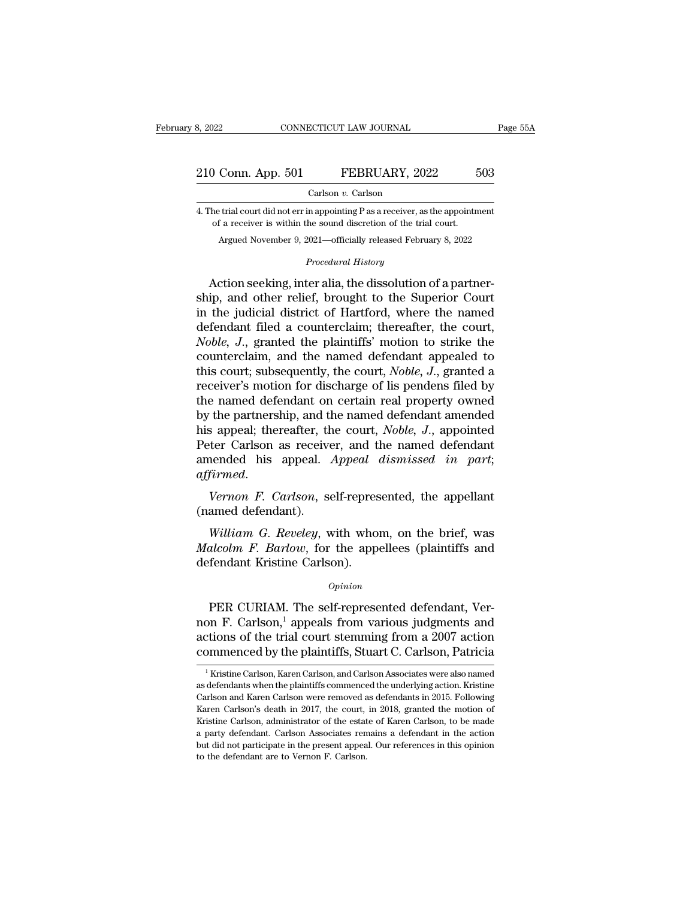# 210 Conn. App. 501 FEBRUARY, 2022 503<br>Carlson v. Carlson

Carlson *v.* Carlson

210 Conn. App. 501 FEBRUARY, 2022 503<br>Carlson v. Carlson<br>4. The trial court did not err in appointing P as a receiver, as the appointment<br>of a receiver is within the sound discretion of the trial court. **of a receiver is within the sound discretion of a receiver is within the sound discretion of the trial court.**<br>Argued November 9, 2021—officially released February 8, 2022 Conn. App. 501 FEBRUARY, 2022 503<br>Carlson v. Carlson<br>trial court did not err in appointing P as a receiver, as the appointment<br>f a receiver is within the sound discretion of the trial court.<br>Argued November 9, 2021—officia Carison *v*. Carison<br>in appointing P as a receiver, as<br>the sound discretion of the tria<br>2021—officially released Februa<br>*Procedural History* 

Carlson v. Carlson<br>
The trial court did not err in appointing P as a receiver, as the appointment<br>
of a receiver is within the sound discretion of the trial court.<br>
Argued November 9, 2021—officially released February 8, 2 4. The trial court did not err in appointing P as a receiver, as the appointment<br>of a receiver is within the sound discretion of the trial court.<br>Argued November 9, 2021—officially released February 8, 2022<br>*Procedural His* of a receiver is within the sound discretion of the trial court.<br>
Argued November 9, 2021—officially released February 8, 2022<br>
Procedural History<br>
Action seeking, inter alia, the dissolution of a partner-<br>
ship, and other Argued November 9, 2021—officially released February 8, 2022<br> *Procedural History*<br>
Action seeking, inter alia, the dissolution of a partner-<br>
ship, and other relief, brought to the Superior Court<br>
in the judicial district *Procedural History*<br>
Action seeking, inter alia, the dissolution of a partner-<br>
ship, and other relief, brought to the Superior Court<br>
in the judicial district of Hartford, where the named<br>
defendant filed a counterclaim; Froceana History<br>Action seeking, inter alia, the dissolution of a partner-<br>ship, and other relief, brought to the Superior Court<br>in the judicial district of Hartford, where the named<br>defendant filed a counterclaim; thereaf Action seeking, inter alia, the dissolution of a partner-<br>ship, and other relief, brought to the Superior Court<br>in the judicial district of Hartford, where the named<br>defendant filed a counterclaim; thereafter, the court,<br> ship, and other relief, brought to the Superior Court<br>in the judicial district of Hartford, where the named<br>defendant filed a counterclaim; thereafter, the court,<br>Noble, J., granted the plaintiffs' motion to strike the<br>cou in the judicial district of Hartford, where the named<br>defendant filed a counterclaim; thereafter, the court,<br>*Noble, J.*, granted the plaintiffs' motion to strike the<br>counterclaim, and the named defendant appealed to<br>this defendant filed a counterclaim; thereafter, the court,<br> *Noble*, *J*., granted the plaintiffs' motion to strike the<br>
counterclaim, and the named defendant appealed to<br>
this court; subsequently, the court, *Noble*, *J*., gr *Noble, J.*, granted the plaintiffs' motion to strike the counterclaim, and the named defendant appealed to this court; subsequently, the court, *Noble, J.*, granted a receiver's motion for discharge of lis pendens filed b counterclaim, and the named defendant appealed to<br>this court; subsequently, the court, *Noble, J.*, granted a<br>receiver's motion for discharge of lis pendens filed by<br>the named defendant on certain real property owned<br>by th this court; subsequently, the court, *Noble*, *J.*, granted a receiver's motion for discharge of lis pendens filed by the named defendant on certain real property owned by the partnership, and the named defendant amended h *affirmed affirmed affered affered and affirmed affirmed affirmed*.<br> *Peter Carlson as receiver, and the named defendant amended* his appeal. *Appeal dismissed in part*, *affirmed.*<br> *Vernon F. Carlson*, se by the partiership, and this appeal; thereafter, thereafter, thereafter, thereafter carls on as received amended his appeal.<br> *affirmed.*<br> *Vernon F. Carlson*, se (named defendant).<br> *William G. Reveley*, william *Were Carlson as receiver, and the named defendant*<br> *Wernon F. Carlson, self-represented, the appellant*<br> *Wernon F. Carlson, self-represented, the appellant*<br> *William G. Reveley, with whom, on the brief, was<br>
<i>alcolm F.* 

amended his appeal. Appeal dismissed in part;<br>affirmed.<br>Vernon F. Carlson, self-represented, the appellant<br>(named defendant).<br>William G. Reveley, with whom, on the brief, was<br>Malcolm F. Barlow, for the appellees (plaintiff affirmed.<br>Vernon F. Carlson, self-repres<br>(named defendant).<br>William G. Reveley, with who.<br>Malcolm F. Barlow, for the appedefendant Kristine Carlson).<br>opinion William G. Reveley, with whom, on the brief, was<br>alcolm F. Barlow, for the appellees (plaintiffs and<br>fendant Kristine Carlson).<br> $opinion$ <br>PER CURIAM. The self-represented defendant, Ver-<br>n F. Carlson,<sup>1</sup> appeals from various j

### *Opinion*

William G. Reveley, with whom, on the brief, was<br>
Malcolm F. Barlow, for the appellees (plaintiffs and<br>
defendant Kristine Carlson).<br>  $\qquad$ <br>  $\qquad$  PER CURIAM. The self-represented defendant, Ver-<br>
non F. Carlson,<sup>1</sup> appea Malcolm F. Barlow, for the appellees (plaintiffs and<br>defendant Kristine Carlson).<br> $opinion$ <br>PER CURIAM. The self-represented defendant, Vernon F. Carlson,<sup>1</sup> appeals from various judgments and<br>actions of the trial court stemmi defendant Kristine Carlson).<br>  $\qquad$   $\qquad$   $\qquad$   $\qquad$   $\qquad$   $\qquad$   $\qquad$   $\qquad$   $\qquad$   $\qquad$   $\qquad$   $\qquad$   $\qquad$   $\qquad$   $\qquad$   $\qquad$   $\qquad$   $\qquad$   $\qquad$   $\qquad$   $\qquad$   $\qquad$   $\qquad$   $\qquad$   $\qquad$   $\qquad$   $\qquad$   $\qquad$   $\qquad$   $\qquad$   $\qquad$   $\qquad$ PER CURIAM. The self-represented detendant, Ver-<br>on F. Carlson,<sup>1</sup> appeals from various judgments and<br>ctions of the trial court stemming from a 2007 action<br>pmmenced by the plaintiffs, Stuart C. Carlson, Patricia<br><sup>1</sup> Kristi non F. Carlson,<sup>1</sup> appeals from various judgments and<br>actions of the trial court stemming from a 2007 action<br>commenced by the plaintiffs, Stuart C. Carlson, Patricia<br> $\frac{1}{1}$ Kristine Carlson, Karen Carlson, and Carlson A

actions of the trial court stemming from a 2007 action<br>commenced by the plaintiffs, Stuart C. Carlson, Patricia<br><sup>1</sup> Kristine Carlson, Karen Carlson, and Carlson Associates were also named<br>as defendants when the plaintiffs commenced by the plaintiffs, Stuart C. Carlson, Patricia<br>
<sup>1</sup> Kristine Carlson, Karen Carlson, and Carlson Associates were also named<br>
as defendants when the plaintiffs commenced the underlying action. Kristine<br>
Carlson an COTTITUET CEU DY LITE PLAITLINES, SUGATE U.C. CALISON, 1 AUTUAL TRISTING THE ESTATION ASSOCIATES WERE ASSOCIATED ASSOCIATES and a defendants when the plaintiffs commenced the underlying action. Kristine Carlson and Karen C <sup>1</sup> Kristine Carlson, Karen Carlson, and Carlson Associates were also named as defendants when the plaintiffs commenced the underlying action. Kristine Carlson and Karen Carlson were removed as defendants in 2015. Followi as defendants when the plaintiffs commenced the underlying action. Kristine Carlson and Karen Carlson were removed as defendants in 2015. Following Karen Carlson's death in 2017, the court, in 2018, granted the motion of K as defendants when the plaintiffs commenced the underlying action. Kristine Carlson and Karen Carlson were removed as defendants in 2015. Following Karen Carlson's death in 2017, the court, in 2018, granted the motion of K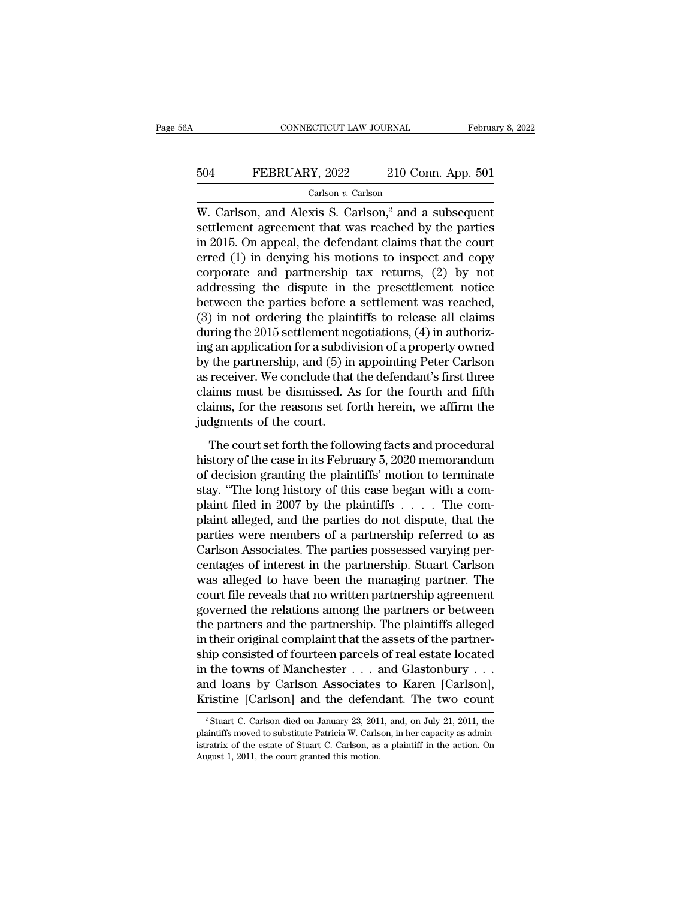# CONNECTICUT LAW JOURNAL February 8, 2022<br>504 FEBRUARY, 2022 210 Conn. App. 501<br>Carlson v. Carlson

Carlson *v.* Carlson

CONNECTICUT LAW JOURNAL February 8, 202<br>
FEBRUARY, 2022 210 Conn. App. 501<br>
Carlson,  $v$ . Carlson<br>
W. Carlson, and Alexis S. Carlson,<sup>2</sup> and a subsequent<br>
settlement agreement that was reached by the parties<br>
in 2015. On a FEBRUARY, 2022 210 Conn. App. 501<br>
Carlson v. Carlson<br>
W. Carlson, and Alexis S. Carlson,<sup>2</sup> and a subsequent<br>
settlement agreement that was reached by the parties<br>
in 2015. On appeal, the defendant claims that the court<br> FEBRUARY, 2022 210 Conn. App. 501<br>
Carlson v. Carlson<br>
W. Carlson, and Alexis S. Carlson,<sup>2</sup> and a subsequent<br>
settlement agreement that was reached by the parties<br>
in 2015. On appeal, the defendant claims that the court<br> EBRUARY, 2022 210 Conn. App. 501<br>
Carlson *v*. Carlson<br>
W. Carlson, and Alexis S. Carlson,<sup>2</sup> and a subsequent<br>
settlement agreement that was reached by the parties<br>
in 2015. On appeal, the defendant claims that the court Carlson *v*. Carlson<br>W. Carlson, and Alexis S. Carlson,<sup>2</sup> and a subsequent<br>settlement agreement that was reached by the parties<br>in 2015. On appeal, the defendant claims that the court<br>erred (1) in denying his motions to Carlson v. Carlson<br>W. Carlson, and Alexis S. Carlson,<sup>2</sup> and a subsequent<br>settlement agreement that was reached by the parties<br>in 2015. On appeal, the defendant claims that the court<br>erred (1) in denying his motions to in W. Carlson, and Alexis S. Carlson,<sup>2</sup> and a subsequent<br>settlement agreement that was reached by the parties<br>in 2015. On appeal, the defendant claims that the court<br>erred (1) in denying his motions to inspect and copy<br>corp settlement agreement that was reached by the parties<br>in 2015. On appeal, the defendant claims that the court<br>erred (1) in denying his motions to inspect and copy<br>corporate and partnership tax returns, (2) by not<br>addressing in 2015. On appeal, the defendant claims that the court<br>erred (1) in denying his motions to inspect and copy<br>corporate and partnership tax returns, (2) by not<br>addressing the dispute in the presettlement notice<br>between the erred (1) in denying his motions to inspect and copy<br>corporate and partnership tax returns, (2) by not<br>addressing the dispute in the presettlement notice<br>between the parties before a settlement was reached,<br>(3) in not orde corporate and partnership tax returns,  $(2)$  by not<br>addressing the dispute in the presettlement notice<br>between the parties before a settlement was reached,<br> $(3)$  in not ordering the plaintiffs to release all claims<br>during addressing the dispute in the presettlement notice<br>between the parties before a settlement was reached,<br>(3) in not ordering the plaintiffs to release all claims<br>during the 2015 settlement negotiations, (4) in authoriz-<br>ing between the parties before a settlement was reached,<br>(3) in not ordering the plaintiffs to release all claims<br>during the 2015 settlement negotiations, (4) in authoriz-<br>ing an application for a subdivision of a property own (3) in not ordering the plaintiffs to release all claims<br>during the 2015 settlement negotiations, (4) in authoriz-<br>ing an application for a subdivision of a property owned<br>by the partnership, and (5) in appointing Peter C during the 2015 settlement ne<br>ing an application for a subdiv<br>by the partnership, and (5) in<br>as receiver. We conclude that<br>claims must be dismissed. A<br>claims, for the reasons set fo<br>judgments of the court.<br>The court set fo The partnership, and (5) in appointing Peter Carlson<br>receiver. We conclude that the defendant's first three<br>aims must be dismissed. As for the fourth and fifth<br>aims, for the reasons set forth herein, we affirm the<br>dgments history and the conclude that the defendant's first three<br>claims must be dismissed. As for the fourth and fifth<br>claims, for the reasons set forth herein, we affirm the<br>judgments of the court.<br>The court set forth the follow

relaims must be dismissed. As for the fourth and fifth<br>claims, for the reasons set forth herein, we affirm the<br>judgments of the court.<br>The court set forth the following facts and procedural<br>history of the case in its Febru stations, for the reasons set forth herein, we affirm the<br>judgments of the court.<br>The court set forth the following facts and procedural<br>history of the case in its February 5, 2020 memorandum<br>of decision granting the plain pludgments of the court.<br>The court set forth the following facts and procedural<br>history of the case in its February 5, 2020 memorandum<br>of decision granting the plaintiffs' motion to terminate<br>stay. "The long history of th The court set forth the following facts and procedural<br>history of the case in its February 5, 2020 memorandum<br>of decision granting the plaintiffs' motion to terminate<br>stay. "The long history of this case began with a com-The court set forth the following facts and procedural<br>history of the case in its February 5, 2020 memorandum<br>of decision granting the plaintiffs' motion to terminate<br>stay. "The long history of this case began with a comhistory of the case in its February 5, 2020 memorandum<br>of decision granting the plaintiffs' motion to terminate<br>stay. "The long history of this case began with a com-<br>plaint filed in 2007 by the plaintiffs  $\dots$ . The com-<br> of decision granting the plaintiffs' motion to terminate<br>stay. "The long history of this case began with a com-<br>plaint filed in 2007 by the plaintiffs  $\dots$ . The com-<br>plaint alleged, and the parties do not dispute, that th stay. "The long history of this case began with a complaint filed in 2007 by the plaintiffs . . . . The complaint alleged, and the parties do not dispute, that the parties were members of a partnership referred to as Carl plaint filed in 2007 by the plaintiffs . . . . . The complaint alleged, and the parties do not dispute, that the parties were members of a partnership referred to as Carlson Associates. The parties possessed varying percen plaint alleged, and the parties do not dispute, that the<br>parties were members of a partnership referred to as<br>Carlson Associates. The parties possessed varying per-<br>centages of interest in the partnership. Stuart Carlson<br>w parties were members of a partnership referred to as<br>Carlson Associates. The parties possessed varying per-<br>centages of interest in the partnership. Stuart Carlson<br>was alleged to have been the managing partner. The<br>court f Carlson Associates. The parties possessed varying percentages of interest in the partnership. Stuart Carlson<br>was alleged to have been the managing partner. The<br>court file reveals that no written partnership agreement<br>gover centages of interest in the partnership. Stuart Carlson<br>was alleged to have been the managing partner. The<br>court file reveals that no written partnership agreement<br>governed the relations among the partners or between<br>the p was alleged to have been the managing partner. The<br>court file reveals that no written partnership agreement<br>governed the relations among the partners or between<br>the partners and the partnership. The plaintiffs alleged<br>in court file reveals that no written partnership agreement<br>governed the relations among the partners or between<br>the partners and the partnership. The plaintiffs alleged<br>in their original complaint that the assets of the part governed the relations among the partners or between<br>the partners and the partnership. The plaintiffs alleged<br>in their original complaint that the assets of the partner-<br>ship consisted of fourteen parcels of real estate l up consisted of fourteen parcels of real estate located<br>
at the towns of Manchester . . . and Glastonbury . . .<br>
and loans by Carlson Associates to Karen [Carlson],<br>
ristine [Carlson] and the defendant. The two count<br>
<sup>2</sup> in the towns of Manchester . . . and Glastonbury . . . and loans by Carlson Associates to Karen [Carlson], Kristine [Carlson] and the defendant. The two count <sup>2</sup> Stuart C. Carlson died on January 23, 2011, and, on July 2

and loans by Carlson Associates to Karen [Carlson],<br>Kristine [Carlson] and the defendant. The two count<br><sup>2</sup> Stuart C. Carlson died on January 23, 2011, and, on July 21, 2011, the<br>plaintiffs moved to substitute Patricia W. **Example 1, 2013** and the defend<br>
<sup>2</sup> Stuart C. Carlson died on January 23, 201<br>
plaintiffs moved to substitute Patricia W. Carls<br>
istratrix of the estate of Stuart C. Carlson, as<br>
August 1, 2011, the court granted this m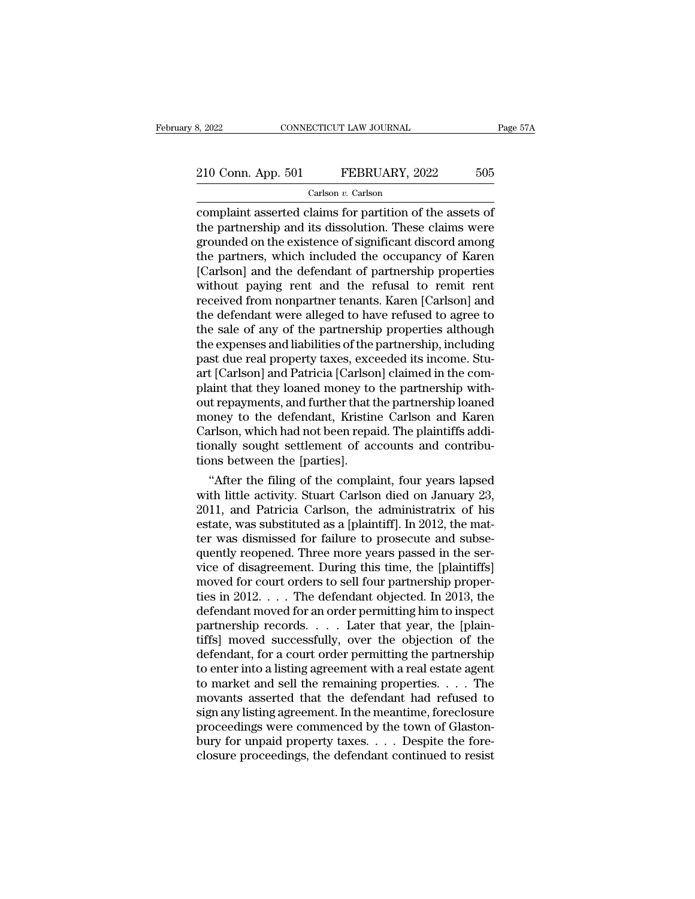# 210 Conn. App. 501 FEBRUARY, 2022 505<br>Carlson v. Carlson

Carlson *v.* Carlson

Example 210 Conn. App. 501 FEBRUARY, 2022 505<br>Carlson v. Carlson<br>Carlson v. Carlson<br>Complaint asserted claims for partition of the assets of<br>the partnership and its dissolution. These claims were<br>grounded on the oxistence 210 Conn. App. 501 FEBRUARY, 2022 505<br>Carlson v. Carlson<br>Complaint asserted claims for partition of the assets of<br>the partnership and its dissolution. These claims were<br>grounded on the existence of significant discord amon 210 Conn. App. 501 FEBRUARY, 2022 505<br>
Carlson v. Carlson<br>
complaint asserted claims for partition of the assets of<br>
the partnership and its dissolution. These claims were<br>
grounded on the existence of significant discord 210 Conn. App. 501 FEBRUARY, 2022 505<br>
Carlson v. Carlson<br>
complaint asserted claims for partition of the assets of<br>
the partnership and its dissolution. These claims were<br>
grounded on the existence of significant discord Carlson *v.* Carlson<br>
Carlson *v.* Carlson<br>
Carlson *v.* Carlson<br>
the partnership and its dissolution. These claims were<br>
grounded on the existence of significant discord among<br>
the partners, which included the occupancy o Carlson  $v$ . Carlson<br>
complaint asserted claims for partition of the assets of<br>
the partnership and its dissolution. These claims were<br>
grounded on the existence of significant discord among<br>
the partners, which included complaint asserted claims for partition of the assets of<br>the partnership and its dissolution. These claims were<br>grounded on the existence of significant discord among<br>the partners, which included the occupancy of Karen<br>[Ca the partnership and its dissolution. These claims were<br>grounded on the existence of significant discord among<br>the partners, which included the occupancy of Karen<br>[Carlson] and the defendant of partnership properties<br>withou grounded on the existence of significant discord among<br>the partners, which included the occupancy of Karen<br>[Carlson] and the defendant of partnership properties<br>without paying rent and the refusal to remit rent<br>received fr the partners, which included the occupancy of Karen<br>[Carlson] and the defendant of partnership properties<br>without paying rent and the refusal to remit rent<br>received from nonpartner tenants. Karen [Carlson] and<br>the defendan [Carlson] and the defendant of partnership properties<br>without paying rent and the refusal to remit rent<br>received from nonpartner tenants. Karen [Carlson] and<br>the defendant were alleged to have refused to agree to<br>the sale without paying rent and the refusal to remit rent<br>received from nonpartner tenants. Karen [Carlson] and<br>the defendant were alleged to have refused to agree to<br>the sale of any of the partnership properties although<br>the expe received from nonpartner tenants. Karen [Carlson] and<br>the defendant were alleged to have refused to agree to<br>the sale of any of the partnership properties although<br>the expenses and liabilities of the partnership, including the defendant were alleged to have refused to agree to<br>the sale of any of the partnership properties although<br>the expenses and liabilities of the partnership, including<br>past due real property taxes, exceeded its income. St the sale of any of the partnership properties although<br>the expenses and liabilities of the partnership, including<br>past due real property taxes, exceeded its income. Stu-<br>art [Carlson] and Patricia [Carlson] claimed in the the expenses and liabilities of the partnership, including<br>past due real property taxes, exceeded its income. Stu-<br>art [Carlson] and Patricia [Carlson] claimed in the com-<br>plaint that they loaned money to the partnership w past due real property taxes, exceeded its income. Stuart [Carlson] and Patricia [Carlson] claimed in the complaint that they loaned money to the partnership without repayments, and further that the partnership loaned mone art [Carlson] and Patricia [Carlson]<br>plaint that they loaned money to<br>out repayments, and further that t<br>money to the defendant, Kristin<br>Carlson, which had not been repa<br>tionally sought settlement of ac<br>tions between the [ aint that they loaned money to the partnership with-<br>trepayments, and further that the partnership loaned<br>oney to the defendant, Kristine Carlson and Karen<br>urlson, which had not been repaid. The plaintiffs addi-<br>mally soug out repayments, and turther that the partnership loaned<br>money to the defendant, Kristine Carlson and Karen<br>Carlson, which had not been repaid. The plaintiffs addi-<br>tionally sought settlement of accounts and contribu-<br>tions

money to the defendant, Kristine Carlson and Karen<br>Carlson, which had not been repaid. The plaintiffs addi-<br>tionally sought settlement of accounts and contribu-<br>tions between the [parties].<br>"After the filing of the complai Carlson, which had not been repaid. The plaintiffs additionally sought settlement of accounts and contributions between the [parties].<br>
"After the filing of the complaint, four years lapsed with little activity. Stuart Car tionally sought settlement of accounts and contribu-<br>tions between the [parties].<br>"After the filing of the complaint, four years lapsed<br>with little activity. Stuart Carlson died on January 23,<br>2011, and Patricia Carlson, t tions between the [parties].<br>
"After the filing of the complaint, four years lapsed<br>
with little activity. Stuart Carlson died on January 23,<br>
2011, and Patricia Carlson, the administratrix of his<br>
estate, was substituted "After the filing of the complaint, four years lapsed<br>with little activity. Stuart Carlson died on January 23,<br>2011, and Patricia Carlson, the administratrix of his<br>estate, was substituted as a [plaintiff]. In 2012, the m with little activity. Stuart Carlson died on January 23,<br>2011, and Patricia Carlson, the administratrix of his<br>estate, was substituted as a [plaintiff]. In 2012, the mat-<br>ter was dismissed for failure to prosecute and subs 2011, and Patricia Carlson, the administratrix of his<br>estate, was substituted as a [plaintiff]. In 2012, the mat-<br>ter was dismissed for failure to prosecute and subse-<br>quently reopened. Three more years passed in the ser-<br> estate, was substituted as a [plaintiff]. In 2012, the matter was dismissed for failure to prosecute and subsequently reopened. Three more years passed in the service of disagreement. During this time, the [plaintiffs] mov ter was dismissed for failure to prosecute and subsequently reopened. Three more years passed in the service of disagreement. During this time, the [plaintiffs] moved for court orders to sell four partnership properties in quently reopened. Three more years passed in the service of disagreement. During this time, the [plaintiffs]<br>moved for court orders to sell four partnership proper-<br>ties in 2012. . . . The defendant objected. In 2013, the<br> vice of disagreement. During this time, the [plaintiffs]<br>moved for court orders to sell four partnership proper-<br>ties in 2012. . . . The defendant objected. In 2013, the<br>defendant moved for an order permitting him to inspe moved for court orders to sell four partnership properties in 2012. . . . The defendant objected. In 2013, the defendant moved for an order permitting him to inspect partnership records. . . . Later that year, the [plaint ties in 2012. . . . The defendant objected. In 2013, the defendant moved for an order permitting him to inspect partnership records. . . . Later that year, the [plaintiffs] moved successfully, over the objection of the de defendant moved for an order permitting him to inspect<br>partnership records. . . . Later that year, the [plain-<br>tiffs] moved successfully, over the objection of the<br>defendant, for a court order permitting the partnership<br>to partnership records. . . . Later that year, the [plain-<br>tiffs] moved successfully, over the objection of the<br>defendant, for a court order permitting the partnership<br>to enter into a listing agreement with a real estate agen tiffs] moved successfully, over the objection of the<br>defendant, for a court order permitting the partnership<br>to enter into a listing agreement with a real estate agent<br>to market and sell the remaining properties. . . . The defendant, for a court order permitting the partnership<br>to enter into a listing agreement with a real estate agent<br>to market and sell the remaining properties. . . . The<br>movants asserted that the defendant had refused to<br>s to enter into a listing agreement with a real estate agent<br>to market and sell the remaining properties. . . . The<br>movants asserted that the defendant had refused to<br>sign any listing agreement. In the meantime, foreclosure<br>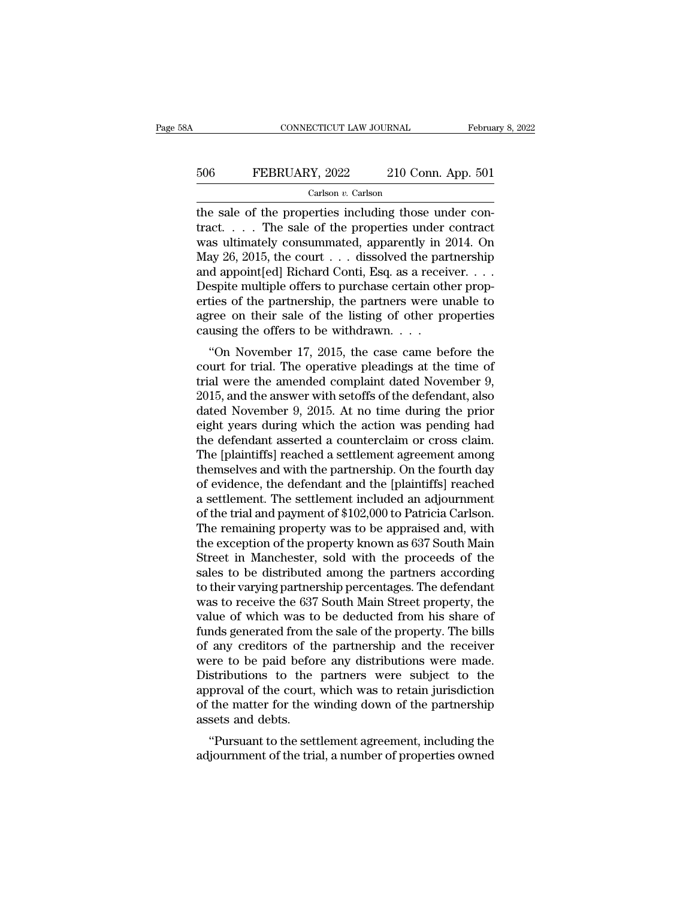# CONNECTICUT LAW JOURNAL February 8, 2022<br>506 FEBRUARY, 2022 210 Conn. App. 501<br>Carlson v. Carlson

### Carlson *v.* Carlson

CONNECTICUT LAW JOURNAL Februa<br>
Februa<br>
506 FEBRUARY, 2022 210 Conn. App. 501<br>
Carlson v. Carlson<br>
the sale of the properties including those under con-<br>
tract.... The sale of the properties under contract<br>
was ultimately 506 FEBRUARY, 2022 210 Conn. App. 501<br>
Carlson v. Carlson<br>
the sale of the properties including those under con-<br>
tract. . . . The sale of the properties under contract<br>
was ultimately consummated, apparently in 2014. On<br> FEBRUARY, 2022 210 Conn. App. 501<br>
Carlson v. Carlson<br>
the sale of the properties including those under contract<br>
tract.... The sale of the properties under contract<br>
was ultimately consummated, apparently in 2014. On<br>
Ma 506 FEBRUARY, 2022 210 Conn. App. 501<br>
Carlson v. Carlson<br>
the sale of the properties including those under con-<br>
tract.... The sale of the properties under contract<br>
was ultimately consummated, apparently in 2014. On<br>
Ma Carlson v. Carlson<br>Carlson v. Carlson<br>the sale of the properties including those under con-<br>tract.... The sale of the properties under contract<br>was ultimately consummated, apparently in 2014. On<br>May 26, 2015, the court .. Carlson v. Carlson<br>the sale of the properties including those under con-<br>tract.... The sale of the properties under contract<br>was ultimately consummated, apparently in 2014. On<br>May 26, 2015, the court ... dissolved the par the sale of the properties including those under contract<br>tract.... The sale of the properties under contract<br>was ultimately consummated, apparently in 2014. On<br>May 26, 2015, the court ... dissolved the partnership<br>and ap tract. . . . The sale of the properties under contract<br>was ultimately consummated, apparently in 2014. On<br>May 26, 2015, the court . . . dissolved the partnership<br>and appoint[ed] Richard Conti, Esq. as a receiver. . . .<br>De was ultimately consummated, apparently in 2<br>May 26, 2015, the court  $\ldots$  dissolved the par<br>and appoint[ed] Richard Conti, Esq. as a recein<br>Despite multiple offers to purchase certain oth<br>erties of the partnership, the pa  $\alpha$  appoint [ed] Richard Conti, Esq. as a receiver....<br>
spite multiple offers to purchase certain other prop-<br>
ties of the partnership, the partners were unable to<br>
ree on their sale of the listing of other properties<br>
u and appoint jeur included contain, Esq. as a receiver.  $\ldots$ <br>Despite multiple offers to purchase certain other prop-<br>erties of the partnership, the partners were unable to<br>agree on their sale of the listing of other prope

bespire intuitipe oriers to purchase certain other properties of the partnership, the partners were unable to agree on their sale of the listing of other properties causing the offers to be withdrawn.  $\ldots$  "On November 1 erties of the partnership, the partners were unable to<br>agree on their sale of the listing of other properties<br>causing the offers to be withdrawn....<br>"On November 17, 2015, the case came before the<br>court for trial. The oper agree on their sale of the insting of other properties<br>causing the offers to be withdrawn....<br>"On November 17, 2015, the case came before the<br>court for trial. The operative pleadings at the time of<br>trial were the amended c Causing the oners to be withdrawn.  $\ldots$ <br>
"On November 17, 2015, the case came before the<br>
court for trial. The operative pleadings at the time of<br>
trial were the amended complaint dated November 9,<br>
2015, and the answer "On November 17, 2015, the case came before the<br>court for trial. The operative pleadings at the time of<br>trial were the amended complaint dated November 9,<br>2015, and the answer with setoffs of the defendant, also<br>dated Nov court for trial. The operative pleadings at the time of<br>trial were the amended complaint dated November 9,<br>2015, and the answer with setoffs of the defendant, also<br>dated November 9, 2015. At no time during the prior<br>eight trial were the amended complaint dated November 9,<br>2015, and the answer with setoffs of the defendant, also<br>dated November 9, 2015. At no time during the prior<br>eight years during which the action was pending had<br>the defend 2015, and the answer with setoffs of the defendant, also<br>dated November 9, 2015. At no time during the prior<br>eight years during which the action was pending had<br>the defendant asserted a counterclaim or cross claim.<br>The [pl dated November 9, 2015. At no time during the prior<br>eight years during which the action was pending had<br>the defendant asserted a counterclaim or cross claim.<br>The [plaintiffs] reached a settlement agreement among<br>themselves eight years during which the action was pending had<br>the defendant asserted a counterclaim or cross claim.<br>The [plaintiffs] reached a settlement agreement among<br>themselves and with the partnership. On the fourth day<br>of evid the defendant asserted a counterclaim or cross claim.<br>The [plaintiffs] reached a settlement agreement among<br>themselves and with the partnership. On the fourth day<br>of evidence, the defendant and the [plaintiffs] reached<br>a s The [plaintiffs] reached a settlement agreement among<br>themselves and with the partnership. On the fourth day<br>of evidence, the defendant and the [plaintiffs] reached<br>a settlement. The settlement included an adjournment<br>of t themselves and with the partnership. On the fourth day<br>of evidence, the defendant and the [plaintiffs] reached<br>a settlement. The settlement included an adjournment<br>of the trial and payment of \$102,000 to Patricia Carlson.<br> of evidence, the defendant and the [plaintiffs] reached<br>a settlement. The settlement included an adjournment<br>of the trial and payment of \$102,000 to Patricia Carlson.<br>The remaining property was to be appraised and, with<br>th a settlement. The settlement included an adjournment<br>of the trial and payment of \$102,000 to Patricia Carlson.<br>The remaining property was to be appraised and, with<br>the exception of the property known as 637 South Main<br>Stre of the trial and payment of \$102,000 to Patricia Carlson.<br>The remaining property was to be appraised and, with<br>the exception of the property known as 637 South Main<br>Street in Manchester, sold with the proceeds of the<br>sales The remaining property was to be appraised and, with<br>the exception of the property known as 637 South Main<br>Street in Manchester, sold with the proceeds of the<br>sales to be distributed among the partners according<br>to their v the exception of the property known as 637 South Main<br>Street in Manchester, sold with the proceeds of the<br>sales to be distributed among the partners according<br>to their varying partnership percentages. The defendant<br>was to Street in Manchester, sold with the proceeds of the<br>sales to be distributed among the partners according<br>to their varying partnership percentages. The defendant<br>was to receive the 637 South Main Street property, the<br>value sales to be distributed among the partners according<br>to their varying partnership percentages. The defendant<br>was to receive the 637 South Main Street property, the<br>value of which was to be deducted from his share of<br>funds to their varying partnership percentages. The defendant<br>was to receive the 637 South Main Street property, the<br>value of which was to be deducted from his share of<br>funds generated from the sale of the property. The bills<br>of was to receive the 637 South Main Street property, the value of which was to be deducted from his share of funds generated from the sale of the property. The bills of any creditors of the partnership and the receiver were value of which was to be deducted from his share of<br>funds generated from the sale of the property. The bills<br>of any creditors of the partnership and the receiver<br>were to be paid before any distributions were made.<br>Distribu funds generated from t<br>of any creditors of th<br>were to be paid befor<br>Distributions to the<br>approval of the court,<br>of the matter for the v<br>assets and debts.<br>"Pursuant to the sett any creduors of the partnership and the receiver<br>
ere to be paid before any distributions were made.<br>
stributions to the partners were subject to the<br>
proval of the court, which was to retain jurisdiction<br>
the matter for t were to be paid before any distributions were made.<br>Distributions to the partners were subject to the<br>approval of the court, which was to retain jurisdiction<br>of the matter for the winding down of the partnership<br>assets and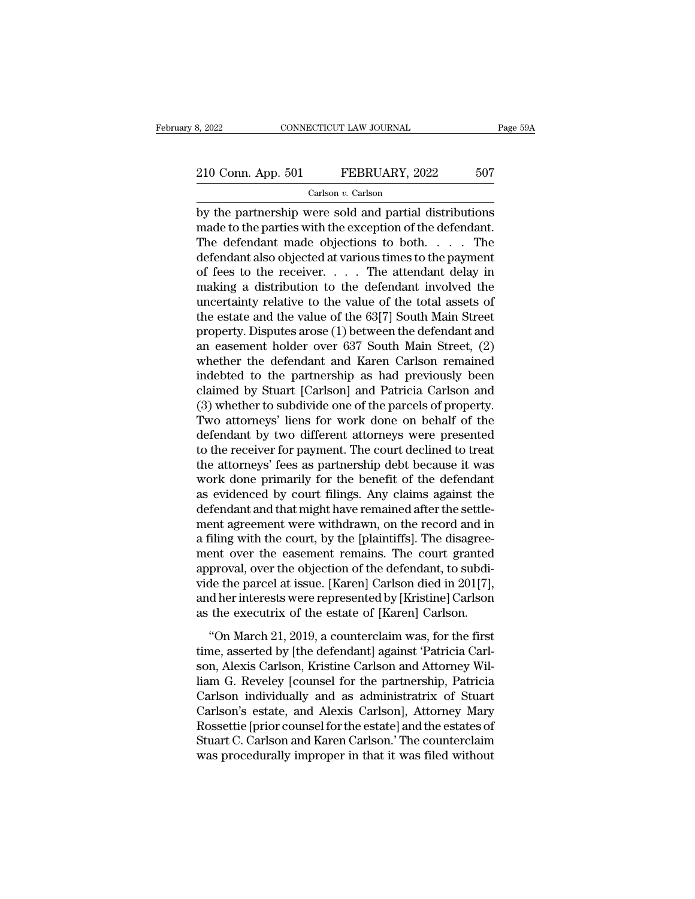Carlson *v.* Carlson

by the partnership were sold and partial distributions<br>
the partnership were sold and partial distributions<br>
the partnership were sold and partial distributions<br>
the defendant made objections to both The defendant. 210 Conn. App. 501 FEBRUARY, 2022 507<br>Carlson v. Carlson<br>by the partnership were sold and partial distributions<br>made to the parties with the exception of the defendant.<br>The defendant made objections to both.... The<br>defend 210 Conn. App. 501 FEBRUARY, 2022 507<br>Carlson v. Carlson<br>by the partnership were sold and partial distributions<br>made to the parties with the exception of the defendant.<br>The defendant made objections to both. . . . . The<br>d 210 Conn. App. 501 FEBRUARY, 2022 507<br>Carlson *v*. Carlson<br>by the partnership were sold and partial distributions<br>made to the parties with the exception of the defendant.<br>The defendant made objections to both. . . . The<br>d Carlson *v*. Carlson<br>Carlson *v.* Carlson<br>made to the partnership were sold and partial distributions<br>made to the parties with the exception of the defendant.<br>The defendant made objections to both.... The<br>defendant also o Carison *v*. Carison<br>by the partnership were sold and partial distributions<br>made to the parties with the exception of the defendant.<br>The defendant made objections to both. . . . . The<br>defendant also objected at various ti by the partnership were sold and partial distributions<br>made to the parties with the exception of the defendant.<br>The defendant made objections to both. . . . The<br>defendant also objected at various times to the payment<br>of f made to the parties with the exception of the defendant.<br>The defendant made objections to both. . . . The<br>defendant also objected at various times to the payment<br>of fees to the receiver. . . . The attendant delay in<br>makin The defendant made objections to both. . . . . The<br>defendant also objected at various times to the payment<br>of fees to the receiver. . . . . The attendant delay in<br>making a distribution to the defendant involved the<br>uncert defendant also objected at various times to the payment<br>of fees to the receiver. . . . The attendant delay in<br>making a distribution to the defendant involved the<br>uncertainty relative to the value of the total assets of<br>the % of fees to the receiver. . . . The attendant delay in<br>making a distribution to the defendant involved the<br>uncertainty relative to the value of the total assets of<br>the estate and the value of the 63[7] South Main Street<br> making a distribution to the defendant involved the<br>uncertainty relative to the value of the total assets of<br>the estate and the value of the 63[7] South Main Street<br>property. Disputes arose (1) between the defendant and<br>an uncertainty relative to the value of the total assets of<br>the estate and the value of the 63[7] South Main Street<br>property. Disputes arose (1) between the defendant and<br>an easement holder over 637 South Main Street, (2)<br>whe the estate and the value of the 63[7] South Main Street<br>property. Disputes arose (1) between the defendant and<br>an easement holder over 637 South Main Street, (2)<br>whether the defendant and Karen Carlson remained<br>indebted to property. Disputes arose (1) between the defendant and<br>an easement holder over 637 South Main Street, (2)<br>whether the defendant and Karen Carlson remained<br>indebted to the partnership as had previously been<br>claimed by Stuar an easement holder over 637 South Main Street, (2)<br>whether the defendant and Karen Carlson remained<br>indebted to the partnership as had previously been<br>claimed by Stuart [Carlson] and Patricia Carlson and<br>(3) whether to sub whether the defendant and Karen Carlson remained<br>indebted to the partnership as had previously been<br>claimed by Stuart [Carlson] and Patricia Carlson and<br>(3) whether to subdivide one of the parcels of property.<br>Two attorney indebted to the partnership as had previously been<br>claimed by Stuart [Carlson] and Patricia Carlson and<br>(3) whether to subdivide one of the parcels of property.<br>Two attorneys' liens for work done on behalf of the<br>defendant claimed by Stuart [Carlson] and Patricia Carlson and<br>(3) whether to subdivide one of the parcels of property.<br>Two attorneys' liens for work done on behalf of the<br>defendant by two different attorneys were presented<br>to the r (3) whether to subdivide one of the parcels of property.<br>Two attorneys' liens for work done on behalf of the<br>defendant by two different attorneys were presented<br>to the receiver for payment. The court declined to treat<br>the Two attorneys' liens for work done on behalf of the<br>defendant by two different attorneys were presented<br>to the receiver for payment. The court declined to treat<br>the attorneys' fees as partnership debt because it was<br>work d defendant by two different attorneys were presented<br>to the receiver for payment. The court declined to treat<br>the attorneys' fees as partnership debt because it was<br>work done primarily for the benefit of the defendant<br>as ev to the receiver for payment. The court declined to treat<br>the attorneys' fees as partnership debt because it was<br>work done primarily for the benefit of the defendant<br>as evidenced by court filings. Any claims against the<br>def the attorneys' fees as partnership debt because it was<br>work done primarily for the benefit of the defendant<br>as evidenced by court filings. Any claims against the<br>defendant and that might have remained after the settle-<br>men work done primarily for the benefit of the defendant<br>as evidenced by court filings. Any claims against the<br>defendant and that might have remained after the settle-<br>ment agreement were withdrawn, on the record and in<br>a fili as evidenced by court filings. Any claims against the<br>defendant and that might have remained after the settle-<br>ment agreement were withdrawn, on the record and in<br>a filing with the court, by the [plaintiffs]. The disagreedefendant and that might have remained after the settlement agreement were withdrawn, on the record and in<br>a filing with the court, by the [plaintiffs]. The disagreement over the easement remains. The court granted<br>approva ment agreement were withdrawn, on the record and in<br>a filing with the court, by the [plaintiffs]. The disagree-<br>ment over the easement remains. The court granted<br>approval, over the objection of the defendant, to subdi-<br>vid the estate, by the [plantality]. The disagree<br>
ent over the easement remains. The court granted<br>
proval, over the objection of the defendant, to subdi-<br>
de the parcel at issue. [Karen] Carlson died in 201[7],<br>
dher interes then over and cassiment remains. The coard granted<br>approval, over the objection of the defendant, to subdi-<br>vide the parcel at issue. [Karen] Carlson died in 201[7],<br>and her interests were represented by [Kristine] Carlson

solution, the subsection of the determinity to state wide the parcel at issue. [Karen] Carlson died in 201[7], and her interests were represented by [Kristine] Carlson as the executrix of the estate of [Karen] Carlson.<br>
"O The and her interests were represented by [Kristine] Carlson<br>as the executrix of the estate of [Karen] Carlson.<br>"On March 21, 2019, a counterclaim was, for the first<br>time, asserted by [the defendant] against 'Patricia Carl and not methods were represented by [thristine] carlson<br>as the executrix of the estate of [Karen] Carlson.<br>"On March 21, 2019, a counterclaim was, for the first<br>time, asserted by [the defendant] against 'Patricia Carl-<br>son Carlson: "On March 21, 2019, a counterclaim was, for the first<br>time, asserted by [the defendant] against 'Patricia Carlson, Alexis Carlson, Kristine Carlson and Attorney Wil-<br>liam G. Reveley [counsel for the partnership, P "On March 21, 2019, a counterclaim was, for the first<br>time, asserted by [the defendant] against 'Patricia Carl-<br>son, Alexis Carlson, Kristine Carlson and Attorney Wil-<br>liam G. Reveley [counsel for the partnership, Patricia time, asserted by [the defendant] against 'Patricia Carlson, Alexis Carlson, Kristine Carlson and Attorney William G. Reveley [counsel for the partnership, Patricia Carlson individually and as administratrix of Stuart Carl son, Alexis Carlson, Kristine Carlson and Attorney William G. Reveley [counsel for the partnership, Patricia Carlson individually and as administratrix of Stuart Carlson's estate, and Alexis Carlson], Attorney Mary Rossett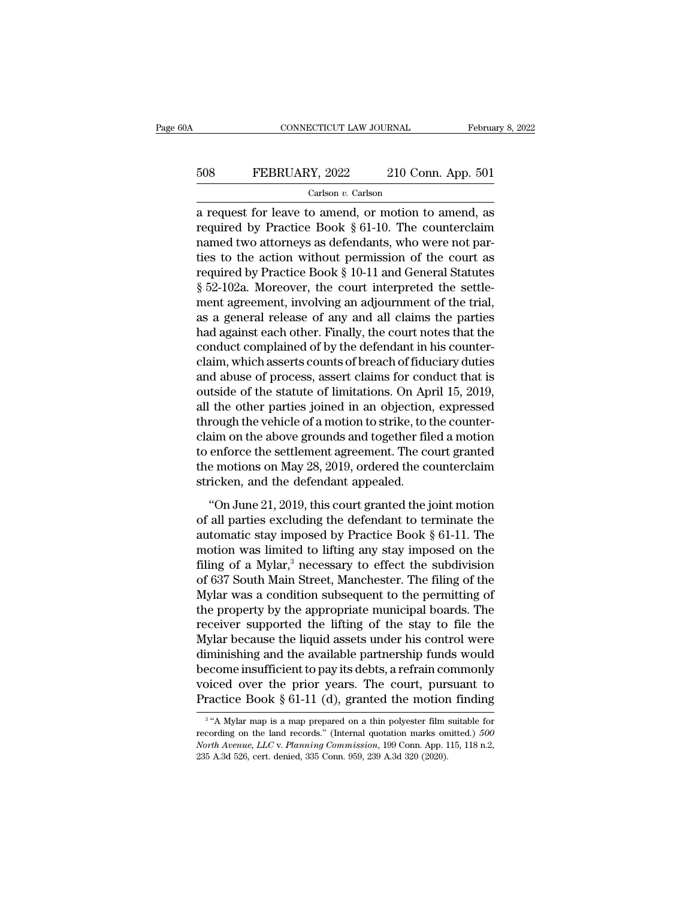# CONNECTICUT LAW JOURNAL February 8, 2022<br>508 FEBRUARY, 2022 210 Conn. App. 501<br>Carlson v. Carlson

Carlson *v.* Carlson

CONNECTICUT LAW JOURNAL February 8, 2022<br>
FEBRUARY, 2022 210 Conn. App. 501<br>
Carlson v. Carlson<br>
a request for leave to amend, or motion to amend, as<br>
required by Practice Book § 61-10. The counterclaim FEBRUARY, 2022 210 Conn. App. 501<br>
Carlson v. Carlson<br>
a request for leave to amend, or motion to amend, as<br>
required by Practice Book § 61-10. The counterclaim<br>
named two attorneys as defendants, who were not par-508 FEBRUARY, 2022 210 Conn. App. 501<br>Carlson v. Carlson<br>a request for leave to amend, or motion to amend, as<br>required by Practice Book § 61-10. The counterclaim<br>named two attorneys as defendants, who were not par-<br>ties t 508 FEBRUARY, 2022 210 Conn. App. 501<br>Carlson v. Carlson<br>a request for leave to amend, or motion to amend, as<br>required by Practice Book § 61-10. The counterclaim<br>named two attorneys as defendants, who were not par-<br>ties t Carlson *v.* Carlson<br>
a request for leave to amend, or motion to amend, as<br>
required by Practice Book § 61-10. The counterclaim<br>
named two attorneys as defendants, who were not par-<br>
ties to the action without permission **Example 12** Carison *v*. Carison<br>a request for leave to amend, or motion to amend, as<br>required by Practice Book § 61-10. The counterclaim<br>named two attorneys as defendants, who were not par-<br>ties to the action without pe a request for leave to amend, or motion to amend, as<br>required by Practice Book § 61-10. The counterclaim<br>named two attorneys as defendants, who were not par-<br>ties to the action without permission of the court as<br>required required by Practice Book § 61-10. The counterclaim<br>named two attorneys as defendants, who were not par-<br>ties to the action without permission of the court as<br>required by Practice Book § 10-11 and General Statutes<br>§ 52-102 named two attorneys as defendants, who were not parties to the action without permission of the court as<br>required by Practice Book § 10-11 and General Statutes<br>§ 52-102a. Moreover, the court interpreted the settle-<br>ment ag ties to the action without permission of the court as<br>required by Practice Book § 10-11 and General Statutes<br>§ 52-102a. Moreover, the court interpreted the settle-<br>ment agreement, involving an adjournment of the trial,<br>as required by Practice Book § 10-11 and General Statutes<br>§ 52-102a. Moreover, the court interpreted the settle-<br>ment agreement, involving an adjournment of the trial,<br>as a general release of any and all claims the parties<br>ha § 52-102a. Moreover, the court interpreted the settlement agreement, involving an adjournment of the trial, as a general release of any and all claims the parties had against each other. Finally, the court notes that the c ment agreement, involving an adjournment of the trial,<br>as a general release of any and all claims the parties<br>had against each other. Finally, the court notes that the<br>conduct complained of by the defendant in his counteras a general release of any and all claims the parties<br>had against each other. Finally, the court notes that the<br>conduct complained of by the defendant in his counter-<br>claim, which asserts counts of breach of fiduciary dut had against each other. Finally, the court notes that the conduct complained of by the defendant in his counter-<br>claim, which asserts counts of breach of fiduciary duties<br>and abuse of process, assert claims for conduct tha conduct complained of by the defendant in his counter-<br>claim, which asserts counts of breach of fiduciary duties<br>and abuse of process, assert claims for conduct that is<br>outside of the statute of limitations. On April 15, 2 claim, which asserts counts of breach of fiduciary duties<br>and abuse of process, assert claims for conduct that is<br>outside of the statute of limitations. On April 15, 2019,<br>all the other parties joined in an objection, expr and abuse of process, assert claims for conduct that is<br>outside of the statute of limitations. On April 15, 2019,<br>all the other parties joined in an objection, expressed<br>through the vehicle of a motion to strike, to the co outside of the statute of limitations. On Apall the other parties joined in an objection<br>through the vehicle of a motion to strike, to t<br>claim on the above grounds and together fil<br>to enforce the settlement agreement. The From the vehicle of a motion to strike, to the counter-<br>
im on the above grounds and together filed a motion<br>
enforce the settlement agreement. The court granted<br>
e motions on May 28, 2019, ordered the counterclaim<br>
ricke claim on the above grounds and together filed a motion<br>to enforce the settlement agreement. The court granted<br>the motions on May 28, 2019, ordered the counterclaim<br>stricken, and the defendant appealed.<br>"On June 21, 2019,

to enforce the settlement agreement. The court granted<br>the motions on May 28, 2019, ordered the counterclaim<br>stricken, and the defendant appealed.<br>"On June 21, 2019, this court granted the joint motion<br>of all parties excl the motions on May 28, 2019, ordered the counterclaim<br>stricken, and the defendant appealed.<br>"On June 21, 2019, this court granted the joint motion<br>of all parties excluding the defendant to terminate the<br>automatic stay imp stricken, and the defendant appealed.<br>
"On June 21, 2019, this court granted the joint motion<br>
of all parties excluding the defendant to terminate the<br>
automatic stay imposed by Practice Book § 61-11. The<br>
motion was limi "On June 21, 2019, this court granted the joint motion<br>of all parties excluding the defendant to terminate the<br>automatic stay imposed by Practice Book  $\S$  61-11. The<br>motion was limited to lifting any stay imposed on the<br>f "On June 21, 2019, this court granted the joint motion<br>of all parties excluding the defendant to terminate the<br>automatic stay imposed by Practice Book § 61-11. The<br>motion was limited to lifting any stay imposed on the<br>fil of all parties excluding the defendant to terminate the<br>automatic stay imposed by Practice Book § 61-11. The<br>motion was limited to lifting any stay imposed on the<br>filing of a Mylar,<sup>3</sup> necessary to effect the subdivision<br> automatic stay imposed by Practice Book § 61-11. The<br>motion was limited to lifting any stay imposed on the<br>filing of a Mylar,<sup>3</sup> necessary to effect the subdivision<br>of 637 South Main Street, Manchester. The filing of the<br> motion was limited to lifting any stay imposed on the<br>filing of a Mylar,<sup>3</sup> necessary to effect the subdivision<br>of 637 South Main Street, Manchester. The filing of the<br>Mylar was a condition subsequent to the permitting of<br> filing of a Mylar,<sup>3</sup> necessary to effect the subdivision<br>of 637 South Main Street, Manchester. The filing of the<br>Mylar was a condition subsequent to the permitting of<br>the property by the appropriate municipal boards. The<br> of 637 South Main Street, Manchester. The filing of the<br>Mylar was a condition subsequent to the permitting of<br>the property by the appropriate municipal boards. The<br>receiver supported the lifting of the stay to file the<br>Myl Mylar was a condition subsequent to the permitting of<br>the property by the appropriate municipal boards. The<br>receiver supported the lifting of the stay to file the<br>Mylar because the liquid assets under his control were<br>dim the property by the appropriate municipal boards. The receiver supported the lifting of the stay to file the Mylar because the liquid assets under his control were diminishing and the available partnership funds would bec minishing and the available partnership funds would<br>
come insufficient to pay its debts, a refrain commonly<br>
iced over the prior years. The court, pursuant to<br>
actice Book § 61-11 (d), granted the motion finding<br>
"A Mylar become insufficient to pay its debts, a refrain commonly voiced over the prior years. The court, pursuant to Practice Book § 61-11 (d), granted the motion finding  $\frac{3}{4}$  "A Mylar map is a map prepared on a thin polyest

<sup>&</sup>lt;sup>3</sup> "A Mylar map is a map prepared on a thin polyester film suitable for *Noiced over the prior years. The court, pursuant to*<br>*Practice Book § 61-11 (d), granted the motion finding*<br><sup>3</sup> "A Mylar map is a map prepared on a thin polyester film suitable for<br>recording on the land records." (Intern Practice Book § 61-11 (d), granted the motion<br>
<sup>3</sup> "A Mylar map is a map prepared on a thin polyester film<br>
recording on the land records." (Internal quotation marks on<br> *North Avenue, LLC v. Planning Commission*, 199 Con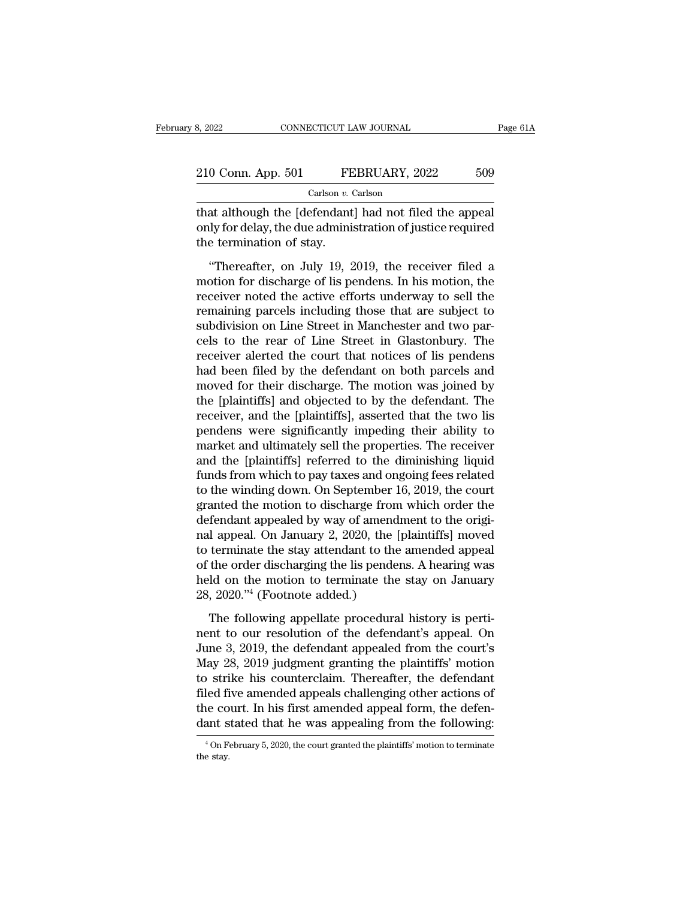| 8, 2022            | CONNECTICUT LAW JOURNAL |     | Page 61A |
|--------------------|-------------------------|-----|----------|
| 210 Conn. App. 501 | FEBRUARY, 2022          | 509 |          |
|                    | Carlson $v$ . Carlson   |     |          |

8, 2022 CONNECTICUT LAW JOURNAL Page 6<br>
210 Conn. App. 501 FEBRUARY, 2022 509<br>
Carlson v. Carlson<br>
that although the [defendant] had not filed the appeal<br>
only for delay, the due administration of justice required<br>
the ter 210 Conn. App. 501 FEBRUARY, 2022 509<br>Carlson v. Carlson<br>that although the [defendant] had not filed the appeal<br>only for delay, the due administration of justice required<br>the termination of stay. 210 Conn. App. 501 FE<br>
Carlson v. (Carlson v. Carlson v. Carlson v. Carlson v. Carlson v. Carlson v. (that although the [defendant<br>
only for delay, the due adminit<br>
the termination of stay.<br>
"Thereafter, on July 19, 2  $\frac{U \text{ Conn. App. 501}}{U \text{ Carlson } v. \text{ Carlson}}$ <br>
at although the [defendant] had not filed the appeal<br>
ly for delay, the due administration of justice required<br>
e termination of stay.<br>
"Thereafter, on July 19, 2019, the receiver fi

Carlson  $v$ . Carlson<br>
that although the [defendant] had not filed the appeal<br>
only for delay, the due administration of justice required<br>
the termination of stay.<br>
"Thereafter, on July 19, 2019, the receiver filed a<br>
moti That although the [defendant] had not filed the appeal<br>only for delay, the due administration of justice required<br>the termination of stay.<br>"Thereafter, on July 19, 2019, the receiver filed a<br>motion for discharge of lis pen remaining the termination of justice required<br>the termination of stay.<br>"Thereafter, on July 19, 2019, the receiver filed a<br>motion for discharge of lis pendens. In his motion, the<br>receiver noted the active efforts underway subdivision of stay.<br>
"Thereafter, on July 19, 2019, the receiver filed a<br>
motion for discharge of lis pendens. In his motion, the<br>
receiver noted the active efforts underway to sell the<br>
remaining parcels including those "Thereafter, on July 19, 2019, the receiver filed a<br>motion for discharge of lis pendens. In his motion, the<br>receiver noted the active efforts underway to sell the<br>remaining parcels including those that are subject to<br>subdi "Thereafter, on July 19, 2019, the receiver filed a<br>motion for discharge of lis pendens. In his motion, the<br>receiver noted the active efforts underway to sell the<br>remaining parcels including those that are subject to<br>subdi motion for discharge of lis pendens. In his motion, the receiver noted the active efforts underway to sell the remaining parcels including those that are subject to subdivision on Line Street in Manchester and two parcels receiver noted the active efforts underway to sell the<br>remaining parcels including those that are subject to<br>subdivision on Line Street in Manchester and two par-<br>cels to the rear of Line Street in Glastonbury. The<br>receive remaining parcels including those that are subject to<br>subdivision on Line Street in Manchester and two par-<br>cels to the rear of Line Street in Glastonbury. The<br>receiver alerted the court that notices of lis pendens<br>had bee subdivision on Line Street in Manchester and two parcels to the rear of Line Street in Glastonbury. The receiver alerted the court that notices of lis pendens had been filed by the defendant on both parcels and moved for t cels to the rear of Line Street in Glastonbury. The<br>receiver alerted the court that notices of lis pendens<br>had been filed by the defendant on both parcels and<br>moved for their discharge. The motion was joined by<br>the [plaint receiver alerted the court that notices of lis pendens<br>had been filed by the defendant on both parcels and<br>moved for their discharge. The motion was joined by<br>the [plaintiffs] and objected to by the defendant. The<br>receiver had been filed by the defendant on both parcels and<br>moved for their discharge. The motion was joined by<br>the [plaintiffs] and objected to by the defendant. The<br>receiver, and the [plaintiffs], asserted that the two lis<br>pende moved for their discharge. The motion was joined by<br>the [plaintiffs] and objected to by the defendant. The<br>receiver, and the [plaintiffs], asserted that the two lis<br>pendens were significantly impeding their ability to<br>mark the [plaintiffs] and objected to by the defendant. The<br>receiver, and the [plaintiffs], asserted that the two lis<br>pendens were significantly impeding their ability to<br>market and ultimately sell the properties. The receiver<br> receiver, and the [plaintiffs], asserted that the two lis<br>pendens were significantly impeding their ability to<br>market and ultimately sell the properties. The receiver<br>and the [plaintiffs] referred to the diminishing liquid pendens were significantly impeding their ability to<br>market and ultimately sell the properties. The receiver<br>and the [plaintiffs] referred to the diminishing liquid<br>funds from which to pay taxes and ongoing fees related<br>to market and ultimately sell the properties. The receiver<br>and the [plaintiffs] referred to the diminishing liquid<br>funds from which to pay taxes and ongoing fees related<br>to the winding down. On September 16, 2019, the court<br>g and the [plaintiffs] referred to the diminishing liquid<br>funds from which to pay taxes and ongoing fees related<br>to the winding down. On September 16, 2019, the court<br>granted the motion to discharge from which order the<br>defe funds from which to pay taxes and ongoing fees related<br>to the winding down. On September 16, 2019, the court<br>granted the motion to discharge from which order the<br>defendant appealed by way of amendment to the origi-<br>nal app to the winding down. On September 16, 2019, the court<br>granted the motion to discharge from which order the<br>defendant appealed by way of amendment to the origi-<br>nal appeal. On January 2, 2020, the [plaintiffs] moved<br>to term granted the motion to discharge from<br>defendant appealed by way of amend<br>nal appeal. On January 2, 2020, the [<br>to terminate the stay attendant to the<br>of the order discharging the lis pender<br>held on the motion to terminate t I appeal. On January 2, 2020, the [plaintiffs] moved<br>d terminate the stay attendant to the amended appeal<br>the order discharging the lis pendens. A hearing was<br>ld on the motion to terminate the stay on January<br>, 2020."<sup>4</sup> nantipolar on standary 1, 1919, the [praincing] instead<br>to terminate the stay attendant to the amended appeal<br>of the order discharging the lis pendens. A hearing was<br>held on the motion to terminate the stay on January<br>28,

of the order discharging the lis pendens. A hearing was<br>held on the motion to terminate the stay on January<br>28, 2020."<sup>4</sup> (Footnote added.)<br>The following appellate procedural history is perti-<br>nent to our resolution of the of the state distinction, the periodical relation is held on the motion to terminate the stay on January 28, 2020."<sup>4</sup> (Footnote added.)<br>The following appellate procedural history is pertinent to our resolution of the defe 28, 2020."<sup>4</sup> (Footnote added.)<br>The following appellate procedural history is perti-<br>nent to our resolution of the defendant's appeal. On<br>June 3, 2019, the defendant appealed from the court's<br>May 28, 2019 judgment grantin The following appellate procedural history is perti-<br>nent to our resolution of the defendant's appeal. On<br>June 3, 2019, the defendant appealed from the court's<br>May 28, 2019 judgment granting the plaintiffs' motion<br>to strik The following appellate procedural history is perti-<br>nent to our resolution of the defendant's appeal. On<br>June 3, 2019, the defendant appealed from the court's<br>May 28, 2019 judgment granting the plaintiffs' motion<br>to strik nent to our resolution of the defendant's appeal. On<br>June 3, 2019, the defendant appealed from the court's<br>May 28, 2019 judgment granting the plaintiffs' motion<br>to strike his counterclaim. Thereafter, the defendant<br>filed f to strike his counterclaim. Thereafter, the defendant filed five amended appeals challenging other actions of the court. In his first amended appeal form, the defendant stated that he was appealing from the following:<br> $\frac$ dant stated that he was appealing from the following: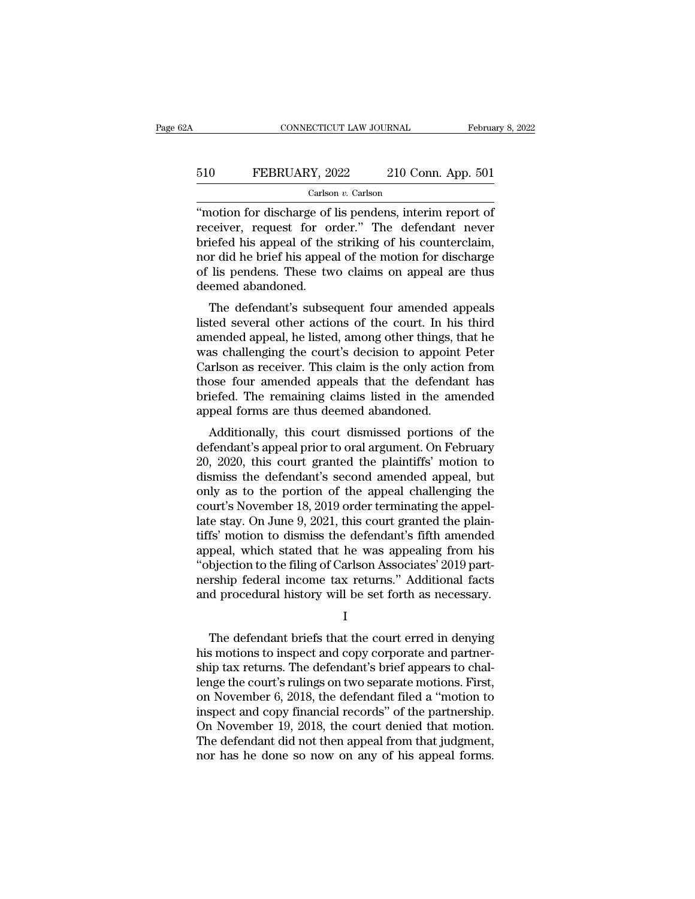# CONNECTICUT LAW JOURNAL February 8, 2022<br>510 FEBRUARY, 2022 210 Conn. App. 501<br>Carlson v. Carlson

### Carlson *v.* Carlson

CONNECTICUT LAW JOURNAL February 8, 202<br>
FEBRUARY, 2022 210 Conn. App. 501<br>
Carlson v. Carlson<br>
"motion for discharge of lis pendens, interim report of<br>
receiver, request for order." The defendant never<br>
hrigfod bis appeal FEBRUARY, 2022 210 Conn. App. 501<br>
Carlson v. Carlson<br>
"motion for discharge of lis pendens, interim report of<br>
receiver, request for order." The defendant never<br>
briefed his appeal of the striking of his counterclaim,<br>
no  $\begin{array}{r} 510 \hspace{1.5mm} \text{FEBRUARY, } 2022 \hspace{1.5mm} \text{210 Conn. App. 501} \ \hline \text{Carson } v. \text{ Carison} \end{array}$ <br>
"motion for discharge of lis pendens, interim report of receiver, request for order." The defendant never briefed his appeal of the stri FEBRUARY, 2022 210 Conn. App. 501<br>  $\frac{1}{\text{Carson } v. \text{ Carison}}$ <br>
"motion for discharge of lis pendens, interim report of<br>
receiver, request for order." The defendant never<br>
briefed his appeal of the striking of his counterclaim, Carlson *v.* Carlson<br>
"motion for discharge of lis pendens, interim report of<br>
receiver, request for order." The defendant never<br>
briefed his appeal of the striking of his counterclaim,<br>
nor did he brief his appeal of the "motion for discharge of lis pendens, interim report of receiver, request for order." The defendant never briefed his appeal of the striking of his counterclaim, nor did he brief his appeal of the motion for discharge of l Franchisch and the defendant in the defendant content of the striking of his counterclaim,<br>or did he brief his appeal of the motion for discharge<br>lis pendens. These two claims on appeal are thus<br>eemed abandoned.<br>The defend receiver, request for order. The defendant never<br>briefed his appeal of the striking of his counterclaim,<br>nor did he brief his appeal of the motion for discharge<br>of lis pendens. These two claims on appeal are thus<br>deemed ab

briefed its appear of the striking of its counterclaint,<br>nor did he brief his appeal of the motion for discharge<br>of lis pendens. These two claims on appeal are thus<br>deemed abandoned.<br>The defendant's subsequent four amended From the brief his appear of the motion for uscharge<br>of lis pendens. These two claims on appeal are thus<br>deemed abandoned.<br>The defendant's subsequent four amended appeals<br>listed several other actions of the court. In his t or is penderis. These two claims on appear are thus<br>deemed abandoned.<br>The defendant's subsequent four amended appeals<br>listed several other actions of the court. In his third<br>amended appeal, he listed, among other things, t The defendant's subsequent four amended appeals<br>listed several other actions of the court. In his third<br>amended appeal, he listed, among other things, that he<br>was challenging the court's decision to appoint Peter<br>Carlson a The defendant's subsequent four amended appeals<br>listed several other actions of the court. In his third<br>amended appeal, he listed, among other things, that he<br>was challenging the court's decision to appoint Peter<br>Carlson a listed several other actions of the court. In his<br>amended appeal, he listed, among other things, t<br>was challenging the court's decision to appoint<br>Carlson as receiver. This claim is the only action<br>those four amended appea rended appear, he insted, among other timigs, that he<br>as challenging the court's decision to appoint Peter<br>urlson as receiver. This claim is the only action from<br>ose four amended appeals that the defendant has<br>iefed. The r was chanenging the court's decision to appoint 1 eter<br>Carlson as receiver. This claim is the only action from<br>those four amended appeals that the defendant has<br>briefed. The remaining claims listed in the amended<br>appeal for

Example 18 and the buy action from<br>those four amended appeals that the defendant has<br>briefed. The remaining claims listed in the amended<br>appeal forms are thus deemed abandoned.<br>Additionally, this court dismissed portions o differed. The remaining claims listed in the amended<br>appeal forms are thus deemed abandoned.<br>Additionally, this court dismissed portions of the<br>defendant's appeal prior to oral argument. On February<br>20, 2020, this court gr onleted. The remaining claims issed in the antended<br>appeal forms are thus deemed abandoned.<br>Additionally, this court dismissed portions of the<br>defendant's appeal prior to oral argument. On February<br>20, 2020, this court gra appear forms are thus deemed abandoned.<br>
Additionally, this court dismissed portions of the<br>
defendant's appeal prior to oral argument. On February<br>
20, 2020, this court granted the plaintiffs' motion to<br>
dismiss the defen Additionally, this court dismissed portions of the<br>defendant's appeal prior to oral argument. On February<br>20, 2020, this court granted the plaintiffs' motion to<br>dismiss the defendant's second amended appeal, but<br>only as to defendant's appeal prior to oral argument. On February<br>20, 2020, this court granted the plaintiffs' motion to<br>dismiss the defendant's second amended appeal, but<br>only as to the portion of the appeal challenging the<br>court's 20, 2020, this court granted the plaintiffs' motion to<br>dismiss the defendant's second amended appeal, but<br>only as to the portion of the appeal challenging the<br>court's November 18, 2019 order terminating the appel-<br>late sta dismiss the defendant's second amended appeal, but<br>
only as to the portion of the appeal challenging the<br>
court's November 18, 2019 order terminating the appel-<br>
late stay. On June 9, 2021, this court granted the plain-<br>
t only as to the portion of the appeal challenging the<br>court's November 18, 2019 order terminating the appel-<br>late stay. On June 9, 2021, this court granted the plain-<br>tiffs' motion to dismiss the defendant's fifth amended<br>a court's November 18, 2019 order terminating the appellate stay. On June 9, 2021, this court granted the plaintiffs' motion to dismiss the defendant's fifth amended appeal, which stated that he was appealing from his "objec peal, which stated that he was appealing from his<br>bjection to the filing of Carlson Associates' 2019 part-<br>rship federal income tax returns." Additional facts<br>d procedural history will be set forth as necessary.<br>I<br>The defe

I

"objection to the filing of Carlson Associates' 2019 part-<br>nership federal income tax returns." Additional facts<br>and procedural history will be set forth as necessary.<br>I<br>The defendant briefs that the court erred in denying nership federal income tax returns." Additional facts<br>and procedural history will be set forth as necessary.<br>I<br>The defendant briefs that the court erred in denying<br>his motions to inspect and copy corporate and partner-<br>shi and procedural history will be set forth as necessary.<br>
I<br>
The defendant briefs that the court erred in denying<br>
his motions to inspect and copy corporate and partner-<br>
ship tax returns. The defendant's brief appears to ch I<br>
The defendant briefs that the court erred in denying<br>
his motions to inspect and copy corporate and partner-<br>
ship tax returns. The defendant's brief appears to chal-<br>
lenge the court's rulings on two separate motions. The defendant briefs that the court erred in denying<br>his motions to inspect and copy corporate and partner-<br>ship tax returns. The defendant's brief appears to chal-<br>lenge the court's rulings on two separate motions. First, The defendant briefs that the court erred in denying<br>his motions to inspect and copy corporate and partner-<br>ship tax returns. The defendant's brief appears to chal-<br>lenge the court's rulings on two separate motions. First, his motions to inspect and copy corporate and partner-<br>ship tax returns. The defendant's brief appears to chal-<br>lenge the court's rulings on two separate motions. First,<br>on November 6, 2018, the defendant filed a "motion t ship tax returns. The defendant's brief appears to challenge the court's rulings on two separate motions. First, on November 6, 2018, the defendant filed a "motion to inspect and copy financial records" of the partnership.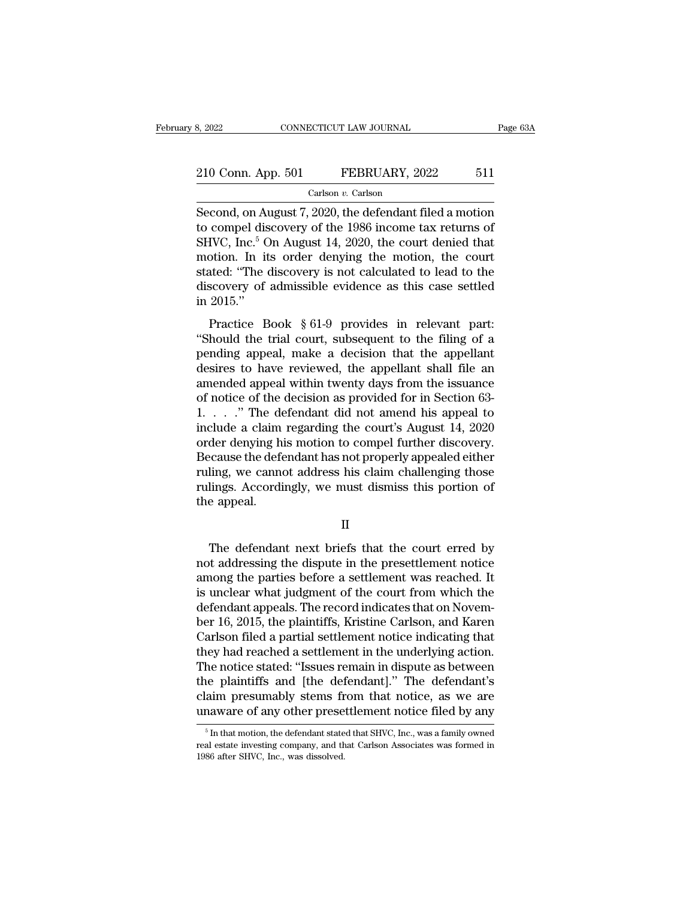# 210 Conn. App. 501 FEBRUARY, 2022 511 Carlson v. Carlson

Carlson *v.* Carlson

S, 2022 CONNECTICUT LAW JOURNAL Page 63A<br>
210 Conn. App. 501 FEBRUARY, 2022 511<br>
Carlson v. Carlson<br>
Second, on August 7, 2020, the defendant filed a motion<br>
to compel discovery of the 1986 income tax returns of<br>
SHVC Jpg 210 Conn. App. 501 FEBRUARY, 2022 511<br>
Carlson v. Carlson<br>
Second, on August 7, 2020, the defendant filed a motion<br>
to compel discovery of the 1986 income tax returns of<br>
SHVC, Inc.<sup>5</sup> On August 14, 2020, the court denied 210 Conn. App. 501 FEBRUARY, 2022 511<br>Carlson v. Carlson<br>Second, on August 7, 2020, the defendant filed a motion<br>to compel discovery of the 1986 income tax returns of<br>SHVC, Inc.<sup>5</sup> On August 14, 2020, the court denied tha 210 Conn. App. 501 FEBRUARY, 2022 511<br>
Carlson v. Carlson<br>
Second, on August 7, 2020, the defendant filed a motion<br>
to compel discovery of the 1986 income tax returns of<br>
SHVC, Inc.<sup>5</sup> On August 14, 2020, the court denied Carlson v. Carlson<br>
Second, on August 7, 2020, the defendant filed a motion<br>
to compel discovery of the 1986 income tax returns of<br>
SHVC, Inc.<sup>5</sup> On August 14, 2020, the court denied that<br>
motion. In its order denying the Carlson *v*. Carlson<br>Second, on August 7, 2020, the defendant filed a motion<br>to compel discovery of the 1986 income tax returns of<br>SHVC, Inc.<sup>5</sup> On August 14, 2020, the court denied that<br>motion. In its order denying the m Second, on At<br>to compel dis<br>SHVC, Inc.<sup>5</sup> C<br>motion. In it<br>stated: "The discovery of<br>in 2015."<br>Practice B FVC, Inc.<sup>5</sup> On August 14, 2020, the court denied that<br>point. In its order denying the motion, the court<br>ated: "The discovery is not calculated to lead to the<br>scovery of admissible evidence as this case settled<br>2015."<br>Pra  $\mu$ ,  $\mu$ . Showever, the trial court denotes the motion. In its order denying the motion, the court<br>stated: "The discovery is not calculated to lead to the<br>discovery of admissible evidence as this case settled<br>in 2015."<br>

motion. In his order denying the motion, the court<br>stated: "The discovery is not calculated to lead to the<br>discovery of admissible evidence as this case settled<br>in 2015."<br>Practice Book § 61-9 provides in relevant part:<br>"Sh discovery of admissible evidence as this case settled<br>in 2015."<br>Practice Book § 61-9 provides in relevant part:<br>"Should the trial court, subsequent to the filing of a<br>pending appeal, make a decision that the appellant<br>des Fractice Book  $§ 61-9$  provides in relevant part:<br>
"Should the trial court, subsequent to the filing of a<br>
pending appeal, make a decision that the appellant<br>
desires to have reviewed, the appellant shall file an<br>
amended Fractice Book § 61-9 provides in relevant part:<br>
"Should the trial court, subsequent to the filing of a<br>
pending appeal, make a decision that the appellant<br>
desires to have reviewed, the appellant shall file an<br>
amended a Practice Book § 61-9 provides in relevant part:<br>
"Should the trial court, subsequent to the filing of a<br>
pending appeal, make a decision that the appellant<br>
desires to have reviewed, the appellant shall file an<br>
amended a "Should the trial court, subsequent to the filing of a<br>pending appeal, make a decision that the appellant<br>desires to have reviewed, the appellant shall file an<br>amended appeal within twenty days from the issuance<br>of notice pending appeal, make a decision that the appellant<br>desires to have reviewed, the appellant shall file an<br>amended appeal within twenty days from the issuance<br>of notice of the decision as provided for in Section 63-<br>1. . . . desires to have reviewed, the appellant shall file an amended appeal within twenty days from the issuance of notice of the decision as provided for in Section 63-1. . . . " The defendant did not amend his appeal to include amended appeal within twenty days from the issuance<br>of notice of the decision as provided for in Section 63-<br>1. . . . " The defendant did not amend his appeal to<br>include a claim regarding the court's August 14, 2020<br>order of notice of the decision as provided for in Section 63-<br>1. . . . " The defendant did not amend his appeal to<br>include a claim regarding the court's August 14, 2020<br>order denying his motion to compel further discovery.<br>Beca 1. . . ." The definctude a claim<br>order denying hi<br>Because the defe<br>ruling, we canno<br>rulings. Accordi<br>the appeal. ecause the defendant has not properly appealed either<br>ling, we cannot address his claim challenging those<br>lings. Accordingly, we must dismiss this portion of<br>e appeal.<br>II<br>The defendant next briefs that the court erred by<br>t

II

ruling, we cannot address his claim challenging those<br>rulings. Accordingly, we must dismiss this portion of<br>the appeal.<br>II<br>The defendant next briefs that the court erred by<br>not addressing the dispute in the presettlement n rulings. Accordingly, we must dismiss this portion of<br>the appeal.<br>II<br>The defendant next briefs that the court erred by<br>not addressing the dispute in the presettlement notice<br>among the parties before a settlement was reache II<br>II<br>In the appeal.<br>In the defendant next briefs that the court erred by<br>not addressing the dispute in the presettlement notice<br>among the parties before a settlement was reached. It<br>is unclear what judgment of the court f II<br>The defendant next briefs that the court erred by<br>not addressing the dispute in the presettlement notice<br>among the parties before a settlement was reached. It<br>is unclear what judgment of the court from which the<br>defenda The defendant next briefs that the court erred by<br>not addressing the dispute in the presettlement notice<br>among the parties before a settlement was reached. It<br>is unclear what judgment of the court from which the<br>defendant The defendant next briefs that the court erred by<br>not addressing the dispute in the presettlement notice<br>among the parties before a settlement was reached. It<br>is unclear what judgment of the court from which the<br>defendant not addressing the dispute in the presettlement notice<br>among the parties before a settlement was reached. It<br>is unclear what judgment of the court from which the<br>defendant appeals. The record indicates that on Novem-<br>ber 1 among the parties before a settlement was reached. It<br>is unclear what judgment of the court from which the<br>defendant appeals. The record indicates that on Novem-<br>ber 16, 2015, the plaintiffs, Kristine Carlson, and Karen<br>Ca is unclear what judgment of the court from which the<br>defendant appeals. The record indicates that on Novem-<br>ber 16, 2015, the plaintiffs, Kristine Carlson, and Karen<br>Carlson filed a partial settlement notice indicating tha defendant appeals. The record indicates that on November 16, 2015, the plaintiffs, Kristine Carlson, and Karen<br>Carlson filed a partial settlement notice indicating that<br>they had reached a settlement in the underlying actio ber 16, 2015, the plaintiffs, Kristine Carlson, and Karen<br>Carlson filed a partial settlement notice indicating that<br>they had reached a settlement in the underlying action.<br>The notice stated: "Issues remain in dispute as be The notice stated: "Issues remain in dispute as between<br>the plaintiffs and [the defendant]." The defendant's<br>claim presumably stems from that notice, as we are<br>unaware of any other presettlement notice filed by any<br> $\frac{1}{$ the plaintiffs and [the defendant]." The defendant's claim presumably stems from that notice, as we are unaware of any other presettlement notice filed by any  $\frac{1}{5}$  In that motion, the defendant stated that SHVC, Inc.,

claim presumably stems frequency of any other prese<br>increase of any other prese<br> $\frac{1}{100}$  in that motion, the defendant state<br>real estate investing company, and the<br>1986 after SHVC, Inc., was dissolved.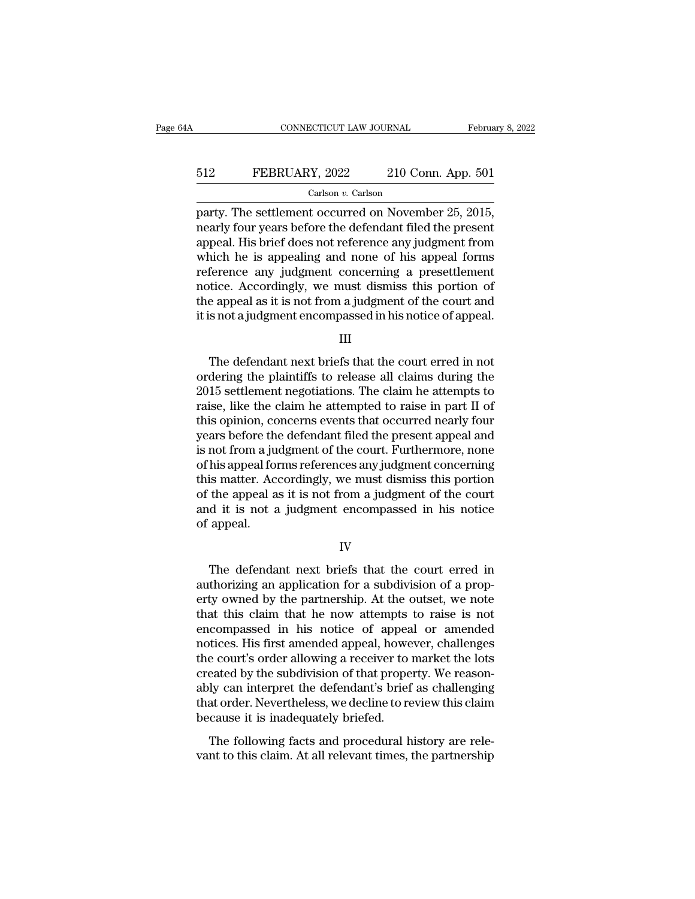# CONNECTICUT LAW JOURNAL February 8, 2022<br>512 FEBRUARY, 2022 210 Conn. App. 501<br>Carlson v. Carlson

### Carlson *v.* Carlson

CONNECTICUT LAW JOURNAL February 8, 2<br>
FEBRUARY, 2022 210 Conn. App. 501<br>
Carlson v. Carlson<br>
party. The settlement occurred on November 25, 2015,<br>
nearly four years before the defendant filed the present<br>
appeal. His brie FEBRUARY, 2022 210 Conn. App. 501<br>
Carlson v. Carlson<br>
party. The settlement occurred on November 25, 2015,<br>
nearly four years before the defendant filed the present<br>
appeal. His brief does not reference any judgment from FEBRUARY, 2022 210 Conn. App. 501<br>
Carlson v. Carlson<br>
party. The settlement occurred on November 25, 2015,<br>
nearly four years before the defendant filed the present<br>
appeal. His brief does not reference any judgment from EBRUARY, 2022 210 Conn. App. 501<br>
Carlson v. Carlson<br>
party. The settlement occurred on November 25, 2015,<br>
nearly four years before the defendant filed the present<br>
appeal. His brief does not reference any judgment from<br> Carlson *v.* Carlson<br>party. The settlement occurred on November 25, 2015,<br>nearly four years before the defendant filed the present<br>appeal. His brief does not reference any judgment from<br>which he is appealing and none of h Carison v. Carison<br>
party. The settlement occurred on November 25, 2015,<br>
nearly four years before the defendant filed the present<br>
appeal. His brief does not reference any judgment from<br>
which he is appealing and none of party. The settlement occurred on November 25, 2015,<br>nearly four years before the defendant filed the present<br>appeal. His brief does not reference any judgment from<br>which he is appealing and none of his appeal forms<br>refere nearly four years before the defendant filed the present<br>appeal. His brief does not reference any judgment from<br>which he is appealing and none of his appeal forms<br>reference any judgment concerning a presettlement<br>notice. A ference any judgment concerning a presettlement<br>tice. Accordingly, we must dismiss this portion of<br>e appeal as it is not from a judgment of the court and<br>s not a judgment encompassed in his notice of appeal.<br>III<br>The defend

III

notice. Accordingly, we must dismiss this portion of<br>the appeal as it is not from a judgment of the court and<br>it is not a judgment encompassed in his notice of appeal.<br>III<br>The defendant next briefs that the court erred in the appeal as it is not from a judgment of the court and<br>it is not a judgment encompassed in his notice of appeal.<br>III<br>The defendant next briefs that the court erred in not<br>ordering the plaintiffs to release all claims dur it is not a judgment encompassed in his notice of appeal.<br>III<br>III<br>The defendant next briefs that the court erred in not<br>ordering the plaintiffs to release all claims during the<br>2015 settlement negotiations. The claim he at III<br>The defendant next briefs that the court erred in not<br>ordering the plaintiffs to release all claims during the<br>2015 settlement negotiations. The claim he attempts to<br>raise, like the claim he attempted to raise in part The defendant next briefs that the court erred in not<br>ordering the plaintiffs to release all claims during the<br>2015 settlement negotiations. The claim he attempts to<br>raise, like the claim he attempted to raise in part II o The defendant next briefs that the court erred in not<br>ordering the plaintiffs to release all claims during the<br>2015 settlement negotiations. The claim he attempts to<br>raise, like the claim he attempted to raise in part II o ordering the plaintiffs to release all claims during the<br>2015 settlement negotiations. The claim he attempts to<br>raise, like the claim he attempted to raise in part II of<br>this opinion, concerns events that occurred nearly f 2015 settlement negotiations. The claim he attempts to<br>raise, like the claim he attempted to raise in part II of<br>this opinion, concerns events that occurred nearly four<br>years before the defendant filed the present appeal a raise, like the claim he attempted to raise in part II of<br>this opinion, concerns events that occurred nearly four<br>years before the defendant filed the present appeal and<br>is not from a judgment of the court. Furthermore, no this opinion, concerns events that occurred nearly four<br>years before the defendant filed the present appeal and<br>is not from a judgment of the court. Furthermore, none<br>of his appeal forms references any judgment concerning<br> years before the<br>is not from a ju<br>of his appeal for<br>this matter. Ac<br>of the appeal a<br>and it is not a<br>of appeal. is matter. Accordingly, we must dismiss this portion<br>the appeal as it is not from a judgment of the court<br>d it is not a judgment encompassed in his notice<br>appeal.<br> $IV$ <br>The defendant next briefs that the court erred in<br>thor

IV

of the appeal as it is not from a judgment of the court<br>and it is not a judgment encompassed in his notice<br>of appeal.<br>IV<br>The defendant next briefs that the court erred in<br>authorizing an application for a subdivision of a p and it is not a judgment encompassed in his notice<br>of appeal.<br>IV<br>The defendant next briefs that the court erred in<br>authorizing an application for a subdivision of a prop-<br>erty owned by the partnership. At the outset, we no IV<br>IV<br>The defendant next briefs that the court erred in<br>authorizing an application for a subdivision of a prop-<br>erty owned by the partnership. At the outset, we note<br>that this claim that he now attempts to raise is not<br>enc IV<br>IV<br>The defendant next briefs that the court erred in<br>authorizing an application for a subdivision of a prop-<br>erty owned by the partnership. At the outset, we note<br>that this claim that he now attempts to raise is not<br>enc The defendant next briefs that the court erred in<br>authorizing an application for a subdivision of a prop-<br>erty owned by the partnership. At the outset, we note<br>that this claim that he now attempts to raise is not<br>encompass The defendant next briefs that the court erred in<br>authorizing an application for a subdivision of a prop-<br>erty owned by the partnership. At the outset, we note<br>that this claim that he now attempts to raise is not<br>encompass authorizing an application for a subdivision of a property owned by the partnership. At the outset, we note that this claim that he now attempts to raise is not encompassed in his notice of appeal or amended notices. His f erty owned by the partnership. At the outset, we note<br>that this claim that he now attempts to raise is not<br>encompassed in his notice of appeal or amended<br>notices. His first amended appeal, however, challenges<br>the court's o that this claim that he now attempts to raise is not<br>encompassed in his notice of appeal or amended<br>notices. His first amended appeal, however, challenges<br>the court's order allowing a receiver to market the lots<br>created by encompassed in his notice of appea<br>notices. His first amended appeal, howe<br>the court's order allowing a receiver to<br>created by the subdivision of that prope<br>ably can interpret the defendant's brief<br>that order. Nevertheless Franceses. The first antended appear, nowever, enancingles<br>
e court's order allowing a receiver to market the lots<br>
easted by the subdivision of that property. We reason-<br>
ly can interpret the defendant's brief as challeng are coards order anothing a receiver to market are road<br>created by the subdivision of that property. We reason-<br>ably can interpret the defendant's brief as challenging<br>that order. Nevertheless, we decline to review this cl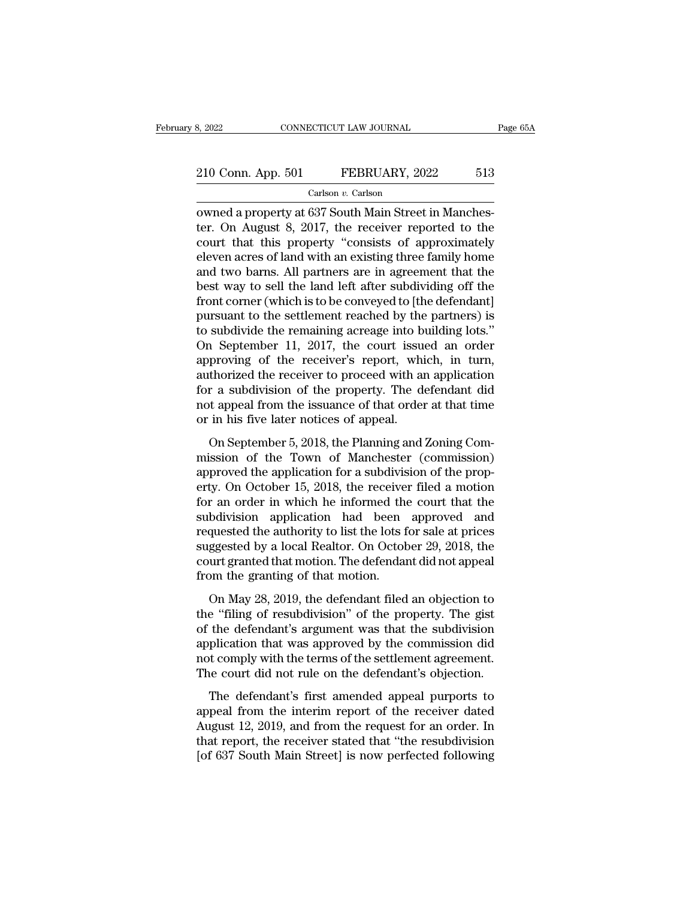# 210 Conn. App. 501 FEBRUARY, 2022 513<br>Carlson v. Carlson

Carlson *v.* Carlson

8, 2022<br> **EXECUTE CONNECTICUT LAW JOURNAL**<br>
Carlson *v*. Carlson<br>
Carlson *v*. Carlson<br> **EXECUTE:** Owned a property at 637 South Main Street in Manches-<br>
ter. On August 8, 2017, the receiver reported to the<br>
court that thi 210 Conn. App. 501 FEBRUARY, 2022 513<br>Carlson v. Carlson<br>
Carlson v. Carlson<br>
Carlson Carlson<br>
The receiver reported to the<br>
court that this property "consists of approximately<br>
cloven acros of land with an ovisting three 210 Conn. App. 501 FEBRUARY, 2022 513<br>
Carlson v. Carlson<br>
owned a property at 637 South Main Street in Manchester. On August 8, 2017, the receiver reported to the<br>
court that this property "consists of approximately<br>
ele 210 Conn. App. 501 FEBRUARY, 2022 513<br>
Carlson v. Carlson<br>
cowned a property at 637 South Main Street in Manches-<br>
ter. On August 8, 2017, the receiver reported to the<br>
court that this property "consists of approximately<br> Carlson v. Carlson<br>
Carlson v. Carlson<br>
Carlson v. Carlson<br>
ter. On August 8, 2017, the receiver reported to the<br>
court that this property "consists of approximately<br>
eleven acres of land with an existing three family hom Carlson v. Carlson<br>
carlson v. Carlson<br>
cowned a property at 637 South Main Street in Manches-<br>
ter. On August 8, 2017, the receiver reported to the<br>
court that this property "consists of approximately<br>
eleven acres of la owned a property at 637 South Main Street in Manchester. On August 8, 2017, the receiver reported to the court that this property "consists of approximately eleven acres of land with an existing three family home and two b ter. On August 8, 2017, the receiver reported to the<br>court that this property "consists of approximately<br>eleven acres of land with an existing three family home<br>and two barns. All partners are in agreement that the<br>best w court that this property "consists of approximately<br>eleven acres of land with an existing three family home<br>and two barns. All partners are in agreement that the<br>best way to sell the land left after subdividing off the<br>fro eleven acres of land with an existing three family home<br>and two barns. All partners are in agreement that the<br>best way to sell the land left after subdividing off the<br>front corner (which is to be conveyed to [the defendant and two barns. All partners are in agreement that the<br>best way to sell the land left after subdividing off the<br>front corner (which is to be conveyed to [the defendant]<br>pursuant to the settlement reached by the partners) is best way to sell the land left after subdividing off the<br>front corner (which is to be conveyed to [the defendant]<br>pursuant to the settlement reached by the partners) is<br>to subdivide the remaining acreage into building lots front corner (which is to be conveyed to [the defendant]<br>pursuant to the settlement reached by the partners) is<br>to subdivide the remaining acreage into building lots."<br>On September 11, 2017, the court issued an order<br>appro pursuant to the settlement reached by the partners) is<br>to subdivide the remaining acreage into building lots."<br>On September 11, 2017, the court issued an order<br>approving of the receiver's report, which, in turn,<br>authorized to subdivide the remaining acreage into b<br>On September 11, 2017, the court issue<br>approving of the receiver's report, whi<br>authorized the receiver to proceed with a<br>for a subdivision of the property. The de<br>not appeal from t Free Exercise 11, 2011, the Coard Essace and State<br>proving of the receiver's report, which, in turn,<br>thorized the receiver to proceed with an application<br>r a subdivision of the property. The defendant did<br>t appeal from the approving of and receiver 5 report, which, in tark,<br>authorized the receiver to proceed with an application<br>for a subdivision of the property. The defendant did<br>not appeal from the issuance of that order at that time<br>or in

and the application of the property. The defendant did<br>not appeal from the issuance of that order at that time<br>or in his five later notices of appeal.<br>On September 5, 2018, the Planning and Zoning Com-<br>mission of the Town For a statution of the property. The detendant did<br>not appeal from the issuance of that order at that time<br>or in his five later notices of appeal.<br>On September 5, 2018, the Planning and Zoning Com-<br>mission of the Town of M for appear nont are issuance of and order at and ante<br>or in his five later notices of appeal.<br>On September 5, 2018, the Planning and Zoning Com-<br>mission of the Town of Manchester (commission)<br>approved the application for a of in this live later holders of appear.<br>
On September 5, 2018, the Planning and Zoning Commission of the Town of Manchester (commission)<br>
approved the application for a subdivision of the property. On October 15, 2018, t On September 5, 2018, the Planning and Zoning Commission of the Town of Manchester (commission)<br>approved the application for a subdivision of the property. On October 15, 2018, the receiver filed a motion<br>for an order in w mission of the Town of Manchester (commission)<br>approved the application for a subdivision of the prop-<br>erty. On October 15, 2018, the receiver filed a motion<br>for an order in which he informed the court that the<br>subdivision approved the application for a subdivision of the property. On October 15, 2018, the receiver filed a motion for an order in which he informed the court that the subdivision application had been approved and requested the erty. On October 15, 2018, the receive<br>for an order in which he informed the<br>subdivision application had been<br>requested the authority to list the lots f<br>suggested by a local Realtor. On Octob<br>court granted that motion. The Full order in which he informed are coard and are bidivision application had been approved and quested the authority to list the lots for sale at prices ggested by a local Realtor. On October 29, 2018, the urt granted that Examples and the experience of the lots for sale at prices<br>suggested by a local Realtor. On October 29, 2018, the<br>court granted that motion. The defendant did not appeal<br>from the granting of that motion.<br>On May 28, 2019, t

requested and databary to first are roles for state at prices<br>suggested by a local Realtor. On October 29, 2018, the<br>court granted that motion. The defendant did not appeal<br>from the granting of that motion.<br>On May 28, 2019 but a provided by a focult relation. On occupied  $E_2$ ,  $E_3E_5$ , and court granted that motion. The defendant did not appeal from the granting of that motion.<br>On May 28, 2019, the defendant filed an objection to the "fil From the granting of that motion. The defendant dialibrotapped<br>from the granting of that motion.<br>the "filing of resubdivision" of the property. The gist<br>of the defendant's argument was that the subdivision<br>application that The court did not reduced.<br>
On May 28, 2019, the defendant filed an objection to<br>
the "filing of resubdivision" of the property. The gist<br>
of the defendant's argument was that the subdivision<br>
application that was approved of thay 20, 2010, are defendant fired an objection to<br>e "filing of resubdivision" of the property. The gist<br>the defendant's argument was that the subdivision<br>plication that was approved by the commission did<br>t comply with are thing of resustance of the property. The gase<br>of the defendant's argument was that the subdivision<br>application that was approved by the commission did<br>not comply with the terms of the settlement agreement.<br>The court di

application that was approved by the commission did<br>not comply with the terms of the settlement agreement.<br>The court did not rule on the defendant's objection.<br>The defendant's first amended appeal purports to<br>appeal from t dependent that was approved by the commission and not comply with the terms of the settlement agreement.<br>The court did not rule on the defendant's objection.<br>The defendant's first amended appeal purports to<br>appeal from the The court did not rule on the defendant's objection.<br>The defendant's first amended appeal purports to<br>appeal from the interim report of the receiver dated<br>August 12, 2019, and from the request for an order. In<br>that report,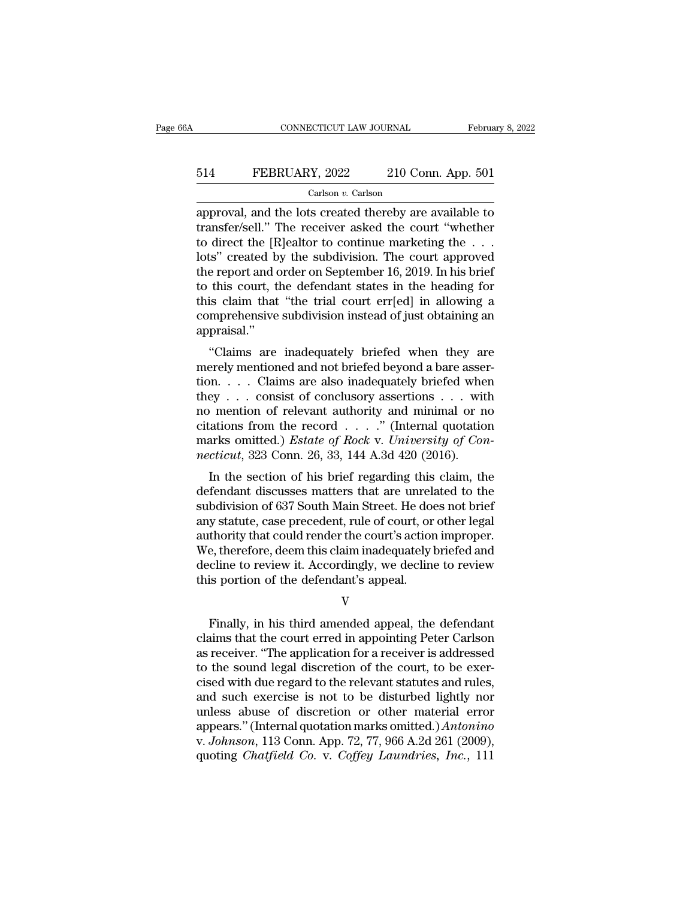# CONNECTICUT LAW JOURNAL February 8, 2022<br>514 FEBRUARY, 2022 210 Conn. App. 501<br>Carlson v. Carlson

### Carlson *v.* Carlson

CONNECTICUT LAW JOURNAL February 8, 2022<br>
FEBRUARY, 2022 210 Conn. App. 501<br>
Carlson v. Carlson<br>
approval, and the lots created thereby are available to<br>
transfer/sell." The receiver asked the court "whether<br>
to direct the FEBRUARY, 2022 210 Conn. App. 501<br>  $\frac{1}{\text{Carson } v. \text{ Carison}}$ <br>
approval, and the lots created thereby are available to<br>
transfer/sell." The receiver asked the court "whether<br>
to direct the [R]ealtor to continue marketing the . 514 FEBRUARY, 2022 210 Conn. App. 501<br>Carlson v. Carlson<br>approval, and the lots created thereby are available to<br>transfer/sell." The receiver asked the court "whether<br>to direct the [R]ealtor to continue marketing the . . EBRUARY, 2022 210 Conn. App. 501<br>
Carlson v. Carlson<br>
approval, and the lots created thereby are available to<br>
transfer/sell." The receiver asked the court "whether<br>
to direct the [R]ealtor to continue marketing the ...<br> Carlson *v*. Carlson<br>
approval, and the lots created thereby are available to<br>
transfer/sell." The receiver asked the court "whether<br>
to direct the [R]ealtor to continue marketing the  $\dots$ <br>
lots" created by the subdivisio Carlson v. Carlson<br>approval, and the lots created thereby are available to<br>transfer/sell." The receiver asked the court "whether<br>to direct the [R]ealtor to continue marketing the  $\dots$ <br>lots" created by the subdivision. The approval, and the lots created thereby are available to<br>transfer/sell." The receiver asked the court "whether<br>to direct the [R]ealtor to continue marketing the . . .<br>lots" created by the subdivision. The court approved<br>the transfer/sell." The receiver asked the court "whether<br>to direct the [R]ealtor to continue marketing the . . .<br>lots" created by the subdivision. The court approved<br>the report and order on September 16, 2019. In his brief<br>to appraisal.'' is Created by the subdivision. The court approved<br>
e report and order on September 16, 2019. In his brief<br>
this court, the defendant states in the heading for<br>
is claim that "the trial court err[ed] in allowing a<br>
mprehens the report and order on september 10, 2019. In his one<br>to this court, the defendant states in the heading for<br>this claim that "the trial court err[ed] in allowing a<br>comprehensive subdivision instead of just obtaining an<br>ap

this claim that "the trial court err[ed] in allowing a<br>comprehensive subdivision instead of just obtaining an<br>appraisal."<br>"Claims are inadequately briefed when they are<br>merely mentioned and not briefed beyond a bare asserthe that the that court enterported in allowing a<br>comprehensive subdivision instead of just obtaining an<br>appraisal."<br>"Claims are inadequately briefed when they are<br>merely mentioned and not briefed beyond a bare asser-<br>tion eomprenensive subdivision instead of Just obtaining an appraisal."<br>
"Claims are inadequately briefed when they are<br>
merely mentioned and not briefed beyond a bare asser-<br>
tion....Claims are also inadequately briefed when<br> "Claims are inadequately briefed when they are<br>
merely mentioned and not briefed beyond a bare asser-<br>
tion....Claims are also inadequately briefed when<br>
they ... consist of conclusory assertions ... with<br>
mo mention of r "Claims are inadequately briefed when they are<br>merely mentioned and not briefed beyond a bare asser-<br>tion....Claims are also inadequately briefed when<br>they ... consist of conclusory assertions ... with<br>no mention of relev merely mentioned and not briefed beyond a bare assetion. . . . . Claims are also inadequately briefed whethey . . . consist of conclusory assertions . . . with no mention of relevant authority and minimal or n citations fr In the section of relevant authority and minimal or no<br>
in mention of relevant authority and minimal or no<br>
ations from the record . . . . " (Internal quotation<br>
arks omitted.) *Estate of Rock v. University of Con-*<br>
ctic definition of relevant authority and minimal or no<br>citations from the record . . . . ." (Internal quotation<br>marks omitted.) *Estate of Rock v. University of Con-*<br>necticut, 323 Conn. 26, 33, 144 A.3d 420 (2016).<br>In the se

subdivision of Ferevalulation of  $\mu$ ...." (Internal quotation<br>marks omitted.) *Estate of Rock v. University of Con-*<br>*necticut*, 323 Conn. 26, 33, 144 A.3d 420 (2016).<br>In the section of his brief regarding this claim, th changes montride record  $\ldots$  . (internal quotation marks omitted.) *Estate of Rock v. University of Connecticut*, 323 Conn. 26, 33, 144 A.3d 420 (2016).<br>In the section of his brief regarding this claim, the defendant dis marks onlined.) Estate by Rock V. Enterstig by Connecticut, 323 Conn. 26, 33, 144 A.3d 420 (2016).<br>
In the section of his brief regarding this claim, the<br>
defendant discusses matters that are unrelated to the<br>
subdivision mettical, 325 Collit. 20, 35, 144 A.5d 420 (2010).<br>
In the section of his brief regarding this claim, the<br>
defendant discusses matters that are unrelated to the<br>
subdivision of 637 South Main Street. He does not brief<br>
any In the section of his brief regarding this claim, the<br>defendant discusses matters that are unrelated to the<br>subdivision of 637 South Main Street. He does not brief<br>any statute, case precedent, rule of court, or other legal defendant discusses matters that are unrelised<br>subdivision of 637 South Main Street. He doe<br>any statute, case precedent, rule of court, or<br>authority that could render the court's actior<br>We, therefore, deem this claim inade thority that could render the court's action improper.<br>
e, therefore, deem this claim inadequately briefed and<br>
cline to review it. Accordingly, we decline to review<br>
is portion of the defendant's appeal.<br>
V<br>
Finally, in h

V

We, therefore, deem this claim inadequately briefed and<br>decline to review it. Accordingly, we decline to review<br>this portion of the defendant's appeal.<br>V<br>Finally, in his third amended appeal, the defendant<br>claims that the decline to review it. Accordingly, we decline to review<br>this portion of the defendant's appeal.<br>V<br>Finally, in his third amended appeal, the defendant<br>claims that the court erred in appointing Peter Carlson<br>as receiver. "Th this portion of the defendant's appeal.<br>V<br>Finally, in his third amended appeal, the defendant<br>claims that the court erred in appointing Peter Carlson<br>as receiver. "The application for a receiver is addressed<br>to the sound l V<br>Finally, in his third amended appeal, the defendant<br>claims that the court erred in appointing Peter Carlson<br>as receiver. "The application for a receiver is addressed<br>to the sound legal discretion of the court, to be exer Finally, in his third amended appeal, the defendant<br>claims that the court erred in appointing Peter Carlson<br>as receiver. "The application for a receiver is addressed<br>to the sound legal discretion of the court, to be exer-<br> Finally, in his third amended appeal, the defendant<br>claims that the court erred in appointing Peter Carlson<br>as receiver. "The application for a receiver is addressed<br>to the sound legal discretion of the court, to be exerclaims that the court erred in appointing Peter Carlson<br>as receiver. "The application for a receiver is addressed<br>to the sound legal discretion of the court, to be exer-<br>cised with due regard to the relevant statutes and r as receiver. "The application for a receiver is addressed<br>to the sound legal discretion of the court, to be exer-<br>cised with due regard to the relevant statutes and rules,<br>and such exercise is not to be disturbed lightly n to the sound legal discretion of the court, to be exercised with due regard to the relevant statutes and rules, and such exercise is not to be disturbed lightly nor unless abuse of discretion or other material error appear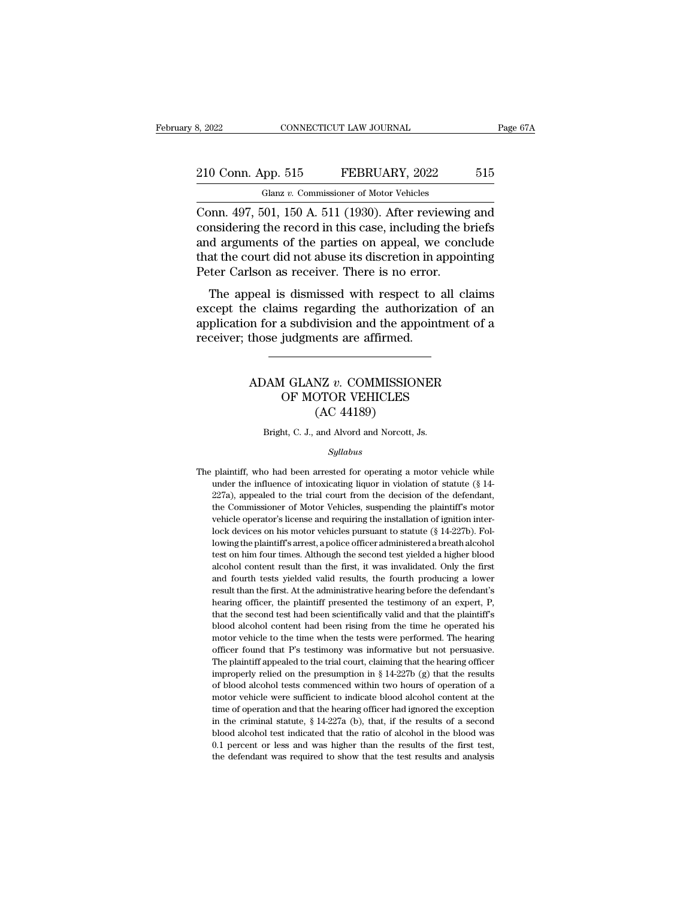## 210 Conn. App. 515 FEBRUARY, 2022 515 Glanz v. Commissioner of Motor Vehicles Glanz *v.* Commissioner of Motor Vehicles

Example 2022 CONNECTICUT LAW JOURNAL Page 67A<br>
210 Conn. App. 515 FEBRUARY, 2022 515<br>
Glanz v. Commissioner of Motor Vehicles<br>
Conn. 497, 501, 150 A. 511 (1930). After reviewing and<br>
considering the record in this case, in 210 Conn. App. 515 FEBRUARY, 2022 515<br>
Glanz v. Commissioner of Motor Vehicles<br>
Conn. 497, 501, 150 A. 511 (1930). After reviewing and<br>
considering the record in this case, including the briefs<br>
and arguments of the partie 210 Conn. App. 515 FEBRUARY, 2022 515<br>
Glanz v. Commissioner of Motor Vehicles<br>
Conn. 497, 501, 150 A. 511 (1930). After reviewing and<br>
considering the record in this case, including the briefs<br>
and arguments of the parti 210 Conn. App. 515 FEBRUARY, 2022 515<br>
Glanz v. Commissioner of Motor Vehicles<br>
Conn. 497, 501, 150 A. 511 (1930). After reviewing and<br>
considering the record in this case, including the briefs<br>
and arguments of the parti Glanz v. Commissioner of Motor Vehicles<br>Conn. 497, 501, 150 A. 511 (1930). After reviewing<br>considering the record in this case, including the b<br>and arguments of the parties on appeal, we conce<br>that the court did not abuse onn. 497, 501, 150 A. 511 (1930). After reviewing and<br>msidering the record in this case, including the briefs<br>d arguments of the parties on appeal, we conclude<br>at the court did not abuse its discretion in appointing<br>ter Ca confi. 497, 501, 150 A. 511 (1950). After reviewing and<br>considering the record in this case, including the briefs<br>and arguments of the parties on appeal, we conclude<br>that the court did not abuse its discretion in appointi

considering the record in this case, incruding the briefs<br>and arguments of the parties on appeal, we conclude<br>that the court did not abuse its discretion in appointing<br>Peter Carlson as receiver. There is no error.<br>The appe and arguments of the parties of appear, we<br>that the court did not abuse its discretion in a<br>Peter Carlson as receiver. There is no error.<br>The appeal is dismissed with respect to<br>except the claims regarding the authorizat<br>a peal is dismissed with respect to all claims<br>
ie claims regarding the authorization of an<br>
in for a subdivision and the appointment of a<br>
those judgments are affirmed.<br>
ADAM GLANZ *v*. COMMISSIONER<br>
OF MOTOR VEHICLES ms regarding the authorization of<br>a subdivision and the appointment<br>judgments are affirmed.<br><br><br><br><br><br><br><br><br><br><br><br>OF MOTOR VEHICLES<br>(AC 44189)

### ilvision and the app<br>ents are affirmed.<br>NZ v. COMMISSIOI<br>OTOR VEHICLES<br>(AC 44189)<br>and Alvord and Norcott, J ADAM GLANZ *v*. COMMISSIONER<br>OF MOTOR VEHICLES<br>(AC 44189)<br>Bright, C. J., and Alvord and Norcott, Js.

### *Syllabus*

(AC 44189)<br>
Bright, C. J., and Alvord and Norcott, Js.<br>  $Syllabus$ <br>
The plaintiff, who had been arrested for operating a motor vehicle while<br>
under the influence of intoxicating liquor in violation of statute (§ 14-Bright, C. J., and Alvord and Norcott, Js.<br>Syllabus<br>plaintiff, who had been arrested for operating a motor vehicle while<br>under the influence of intoxicating liquor in violation of statute (§ 14-<br>227a), appealed to the tria Bright, C. J., and Alvord and Norcott, Js.<br> *Syllabus*<br>
plaintiff, who had been arrested for operating a motor vehicle while<br>
under the influence of intoxicating liquor in violation of statute (§ 14-<br>
227a), appealed to th Syllabus<br>plaintiff, who had been arrested for operating a motor vehicle while<br>under the influence of intoxicating liquor in violation of statute (§ 14-<br>227a), appealed to the trial court from the decision of the defendant, *Syltabus*<br>plaintiff, who had been arrested for operating a motor vehicle while<br>under the influence of intoxicating liquor in violation of statute (§ 14-<br>227a), appealed to the trial court from the decision of the defenda plaintiff, who had been arrested for operating a motor vehicle while<br>under the influence of intoxicating liquor in violation of statute (§ 14-<br>227a), appealed to the trial court from the decision of the defendant,<br>the Com under the influence of intoxicating liquor in violation of statute (§ 14-227a), appealed to the trial court from the decision of the defendant, the Commissioner of Motor Vehicles, suspending the plaintiff's motor vehicle  $227a$ ), appealed to the trial court from the decision of the defendant, the Conmissioner of Motor Vehicles, suspending the plaintiff's motor vehicle operator's license and requiring the installation of ignition interlock the Commissioner of Motor Vehicles, suspending the plaintiff's motor vehicle operator's license and requiring the installation of ignition interlock devices on his motor vehicles pursuant to statute (§ 14-227b). Following webicle operator's license and requiring the installation of ignition inter-<br>lock devices on his motor vehicles pursuant to statute (§ 14-227b). Fol-<br>lowing the plaintiff's arrest, a police officer administered a breath al result than the first. At the administrative hearing of an expert of the devices on his motor vehicles pursuant to statute (§ 14-227b). Following the plaintiff's arrest, a police officer administered a breath alcohol test hearting officer, the plaintiff's arrest, a police officer administered a breath alcohol<br>test on him four times. Although the second test yielded a higher blood<br>alcohol content result than the first, it was invalidated. On that the second is a had been second test yielded a higher blood alcohol content result than the first, it was invalidated. Only the first and fourth tests yielded valid results, the fourth producing a lower result than th alcohol content result than the first, it was invalidated. Only the first and fourth tests yielded valid results, the fourth producing a lower result than the first. At the administrative hearing before the defendant's hea and fourth tests yielded valid results, the fourth producing a lower<br>result than the first. At the administrative hearing before the defendant's<br>hearing officer, the plaintiff presented the testimony of an expert, P,<br>that result than the first. At the administrative hearing before the defendant's hearing officer, the plaintiff presented the testimony of an expert, P, that the second test had been scientifically valid and that the plaintiff' hearing officer, the plaintiff presented the testimony of an expert, P, that the second test had been scientifically valid and that the plaintiff's blood alcohol content had been rising from the time he operated his motor that the second test had been scientifically valid and that the plaintiff's blood alcohol content had been rising from the time he operated his motor vehicle to the time when the tests were performed. The hearing officer blood alcohol content had been rising from the time he operated his motor vehicle to the time when the tests were performed. The hearing officer found that P's testimony was informative but not persuasive. The plaintiff a motor vehicle to the time when the tests were performed. The hearing officer found that P's testimony was informative but not persuasive.<br>The plaintiff appealed to the trial court, claiming that the hearing officer improp for found that P's testimony was informative but not persuasive.<br>The plaintiff appealed to the trial court, claiming that the hearing officer<br>improperly relied on the presumption in § 14-227b (g) that the results<br>of blood The plaintiff appealed to the trial court, claiming that the hearing officer improperly relied on the presumption in § 14-227b (g) that the results of blood alcohol tests commenced within two hours of operation of a motor In properly relied on the presumption in § 14-227b (g) that the results of blood alcohol tests commenced within two hours of operation of a motor vehicle were sufficient to indicate blood alcohol content at the time of op mapped alcohol tests commenced within two hours of operation of a motor vehicle were sufficient to indicate blood alcohol content at the time of operation and that the hearing officer had ignored the exception in the crim of blood alcohol tests commenced within two hours of operation of a motor vehicle were sufficient to indicate blood alcohol content at the time of operation and that the hearing officer had ignored the exception in the cr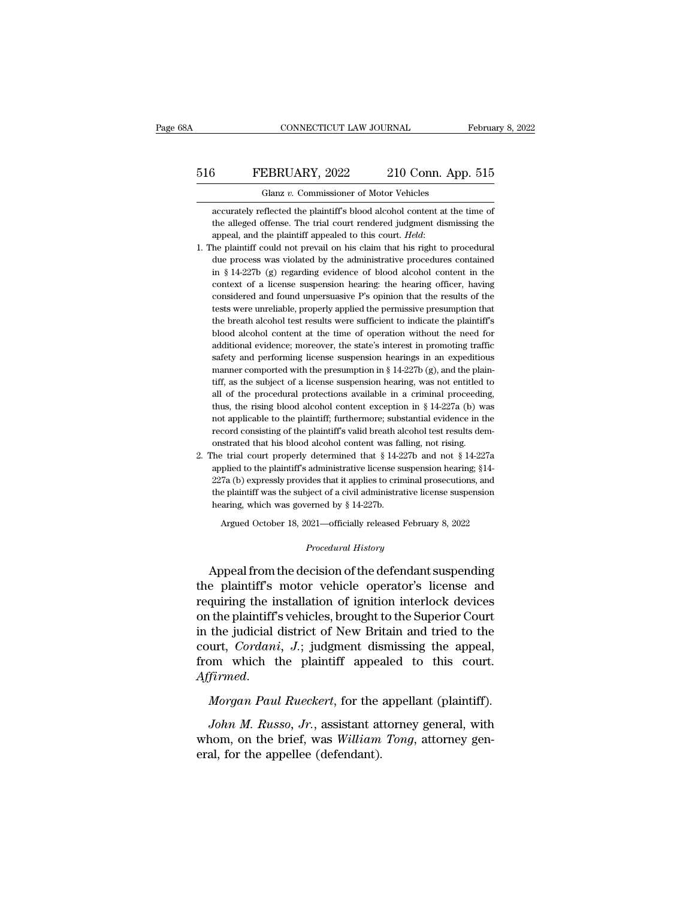## CONNECTICUT LAW JOURNAL February 8, 2022<br>516 FEBRUARY, 2022 210 Conn. App. 515<br>Glanz v. Commissioner of Motor Vehicles CONNECTICUT LAW JOURNAL Februa<br>
Glanz *v.* Commissioner of Motor Vehicles<br>
accurately reflected the plaintiff's blood alcohol content at the time of

FEBRUARY, 2022 210 Conn. App. 515<br>
Glanz v. Commissioner of Motor Vehicles<br>
accurately reflected the plaintiff's blood alcohol content at the time of<br>
the alleged offense. The trial court rendered judgment dismissing the FEBRUARY, 2022 210 Conn. App. 515<br>Glanz v. Commissioner of Motor Vehicles<br>accurately reflected the plaintiff's blood alcohol content at the time of<br>the alleged offense. The trial court rendered judgment dismissing the<br>appe 516 **EEBRUARY**, 2022 210 Conn. App. 515<br>
Glanz v. Commissioner of Motor Vehicles<br>
accurately reflected the plaintiff's blood alcohol content at the time of<br>
the alleged offense. The trial court rendered judgment dismissing

- Glanz v. Commissioner of Motor Vehicles<br>accurately reflected the plaintiff's blood alcohol content at the time of<br>the alleged offense. The trial court rendered judgment dismissing the<br>appeal, and the plaintiff appealed to accurately reflected the plaintiff's blood alcohol content at the time of<br>the alleged offense. The trial court rendered judgment dismissing the<br>appeal, and the plaintiff appealed to this court. *Held*:<br>he plaintiff could n the alleged offense. The trial court rendered judgment dismissing the appeal, and the plaintiff appealed to this court. *Held*:<br>he plaintiff could not prevail on his claim that his right to procedural<br>due process was viola appeal, and the plaintiff appealed to this court. *Held*:<br>he plaintiff could not prevail on his claim that his right to procedural<br>due process was violated by the administrative procedures contained<br>in § 14-227b (g) regard appeal, and the plaintiff appealed to this court. Held:<br>
1. The plaintiff could not prevail on his claim that his right to procedural<br>
due process was violated by the administrative procedures contained<br>
in § 14-227b (g) due process was violated by the administrative procedures contained<br>in § 14-227b (g) regarding evidence of blood alcohol content in the<br>context of a license suspension hearing: the hearing officer, having<br>considered and fo in  $\S$  14-227b (g) regarding evidence of blood alcohol content in the context of a license suspension hearing: the hearing officer, having considered and found unpersuasive P's opinion that the results of the tests were u context of a license suspension hearing: the hearing officer, having considered and found unpersuasive P's opinion that the results of the tests were unreliable, properly applied the permissive presumption that the breath considered and found unpersuasive P's opinion that the results of the tests were unreliable, properly applied the permissive presumption that the breath alcohol test results were sufficient to indicate the plaintiff's blo additional evidence; moreover, the state's interest in promoting traffic safety and performing license suspension hearings in an expeditious manner comported with the presumption in § 14-227b (g), and the plain-<br>tiff, as the breath alcohol test results were sufficient to indicate the plaintiff's blood alcohol content at the time of operation without the need for additional evidence; moreover, the state's interest in promoting traffic safe blood alcohol content at the time of operation without the need for additional evidence; moreover, the state's interest in promoting traffic safety and performing license suspension hearings in an expeditious manner compo additional evidence; moreover, the state's interest in promoting traffic<br>safety and performing license suspension hearings in an expeditious<br>manner comported with the presumption in § 14-227b (g), and the plain-<br>tiff, as safety and performing license suspension hearings in an expeditious<br>manner comported with the presumption in  $\S 14-227b$  (g), and the plain-<br>tiff, as the subject of a license suspension hearing, was not entitled to<br>all of manner comported with the presumption in § 14-227b (g), and the plaintiff, as the subject of a license suspension hearing, was not entitled to all of the procedural protections available in a criminal proceeding, thus, th tiff, as the subject of a license suspension hearing, was not entitled<br>all of the procedural protections available in a criminal proceed<br>in thus, the rising blood alcohol content exception in § 14-227a (b) w.<br>not applicab all of the procedural protections available in a criminal proceeding, thus, the rising blood alcohol content exception in § 14-227a (b) was not applicable to the plaintiff; furthermore; substantial evidence in the record thus, the rising blood alcohol content exception in § 14-227a (b) was not applicable to the plaintiff; furthermore; substantial evidence in the record consisting of the plaintiff's valid breath alcohol test results demons
- not applicable to the plaintiff; furthermore; substantial evidence in the record consisting of the plaintiff's valid breath alcohol test results demonstrated that his blood alcohol content was falling, not rising.<br>The tri record consisting of the plaintiff's valid breath alcohol test results demonstrated that his blood alcohol content was falling, not rising.<br>The trial court properly determined that  $\S 14-227b$  and not  $\S 14-227a$  applied % on<br>strated that his blood alcohol content was falling, not rising. 2. The trial court properly determined that<br> $\S 14-227b$  and not  $\S 14-227a$  applied to the plaint<br>iff's administrative license suspension hearing;  $\S 14$ 227a (b) expressly provides that it applies to criminal prosecutions, and the plaintiff was the subject of a civil administrative license suspension hearing, which was governed by § 14-227b.<br>Argued October 18, 2021—offici the plaintiff was the subject of a civil administrative license suspension<br>hearing, which was governed by § 14-227b.<br>Argued October 18, 2021—officially released February 8, 2022<br>*Procedural History*<br>Appeal from the decisio

227a (b) expressly provides that it applies to criminal prosecutions, and<br>the plaintiff was the subject of a civil administrative license suspension<br>hearing, which was governed by  $\S 14-227b$ .<br>Argued October 18, 2021—offi the plaintiff's which was governed by § 14-227b.<br>Argued October 18, 2021—officially released February 8, 2022<br>*Procedural History*<br>Appeal from the decision of the defendant suspending<br>the plaintiff's motor vehicle operator recalling the installation of the defendant suspending<br>
Appeal from the decision of the defendant suspending<br>
the plaintiff's motor vehicle operator's license and<br>
requiring the installation of ignition interlock devices<br> Argued October 18, 2021—officially released February 8, 2022<br>
Procedural History<br>
Appeal from the decision of the defendant suspending<br>
the plaintiff's motor vehicle operator's license and<br>
requiring the installation of ig *Procedural History*<br>
Appeal from the decision of the defendant suspending<br>
the plaintiff's motor vehicle operator's license and<br>
requiring the installation of ignition interlock devices<br>
on the plaintiff's vehicles, broug Appeal from the decision of the defendant suspending<br>the plaintiff's motor vehicle operator's license and<br>requiring the installation of ignition interlock devices<br>on the plaintiff's vehicles, brought to the Superior Court<br> Appeal from the decision of the defendant suspending<br>the plaintiff's motor vehicle operator's license and<br>requiring the installation of ignition interlock devices<br>on the plaintiff's vehicles, brought to the Superior Court<br> *Affirmed. Morgan Paul Rueckert*, for the appellant (plaintiff). *Morgan Paul Rueckert*, for the appellant (plaintiff). *Affirmed. Morgan Paul Rueckert*, for the appellant (plaintiff). John *M. Russo, Jr.*, assistant a *John M. Russo, Jr.*, assistant attorney general, with a phonon which the plaintiff appealed to this court.<br>*Firmed.*<br>*Morgan Paul Rueckert*, for the appellant (plaintiff).<br>*John M. Russo, Jr.*, assistant attorney general,

court, Coraan, J.; judgment dismissing the appeal,<br>from which the plaintiff appealed to this court.<br>Affirmed.<br>*Morgan Paul Rueckert*, for the appellant (plaintiff).<br>John M. Russo, Jr., assistant attorney general, with<br>whom From which the plaintiff appears<br>Affirmed.<br>Morgan Paul Rueckert, for the<br>John M. Russo, Jr., assistant at<br>whom, on the brief, was William<br>eral, for the appellee (defendant).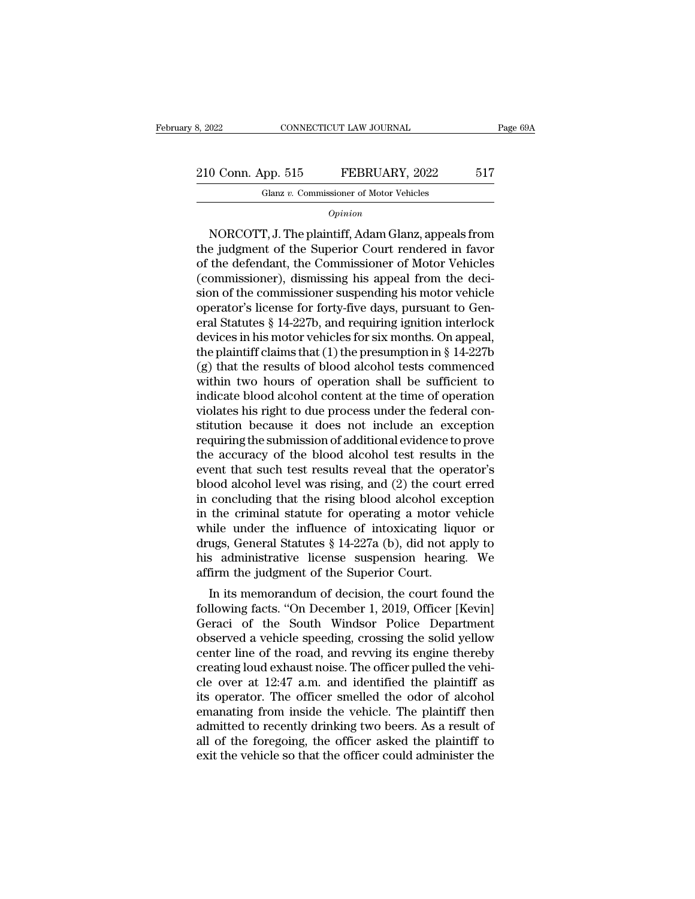210 Conn. App. 515 FEBRUARY, 2022 517<br>
210 Conn. App. 515 FEBRUARY, 2022 517<br>
210 Conn. App. 515 FEBRUARY, 2022 517 CONNECTICUT LAW JOURNAL<br>
pp. 515 FEBRUARY, 2022<br>
Glanz *v.* Commissioner of Motor Vehicles

*Opinion*

0 Conn. App. 515 FEBRUARY, 2022 517<br>
Glanz v. Commissioner of Motor Vehicles<br> *Opinion*<br>
NORCOTT, J. The plaintiff, Adam Glanz, appeals from<br>
e judgment of the Superior Court rendered in favor<br>
the defendant the Commission 210 Conn. App. 515 FEBRUARY, 2022 517<br>
Glanz v. Commissioner of Motor Vehicles<br>
Opinion<br>
NORCOTT, J. The plaintiff, Adam Glanz, appeals from<br>
the judgment of the Superior Court rendered in favor<br>
of the defendant, the Comm 210 Conn. App. 515 FEBRUARY, 2022 517<br>
Glanz v. Commissioner of Motor Vehicles<br>
Opinion<br>
NORCOTT, J. The plaintiff, Adam Glanz, appeals from<br>
the judgment of the Superior Court rendered in favor<br>
of the defendant, the Com Glanz v. Commissioner of Motor Vehicles<br>  $Opinion$ <br>
NORCOTT, J. The plaintiff, Adam Glanz, appeals from<br>
the judgment of the Superior Court rendered in favor<br>
of the defendant, the Commissioner of Motor Vehicles<br>
(commissione  $\frac{Option}{1}$ <br>
NORCOTT, J. The plaintiff, Adam Glanz, appeals from<br>
the judgment of the Superior Court rendered in favor<br>
of the defendant, the Commissioner of Motor Vehicles<br>
(commissioner), dismissing his appeal from the de opmon<br>
NORCOTT, J. The plaintiff, Adam Glanz, appeals from<br>
the judgment of the Superior Court rendered in favor<br>
of the defendant, the Commissioner of Motor Vehicles<br>
(commissioner), dismissing his appeal from the deci-<br> NORCOTT, J. The plaintiff, Adam Glanz, appeals from<br>the judgment of the Superior Court rendered in favor<br>of the defendant, the Commissioner of Motor Vehicles<br>(commissioner), dismissing his appeal from the deci-<br>sion of th the judgment of the Superior Court rendered in favor<br>of the defendant, the Commissioner of Motor Vehicles<br>(commissioner), dismissing his appeal from the deci-<br>sion of the commissioner suspending his motor vehicle<br>operator of the defendant, the Commissioner of Motor Vehicles<br>(commissioner), dismissing his appeal from the deci-<br>sion of the commissioner suspending his motor vehicle<br>operator's license for forty-five days, pursuant to Gen-<br>eral (commissioner), dismissing his appeal from the decision of the commissioner suspending his motor vehicle<br>operator's license for forty-five days, pursuant to General Statutes § 14-227b, and requiring ignition interlock<br>dev sion of the commissioner suspending his motor vehicle<br>operator's license for forty-five days, pursuant to Gen-<br>eral Statutes § 14-227b, and requiring ignition interlock<br>devices in his motor vehicles for six months. On app operator's license for forty-five days, pursuant to General Statutes § 14-227b, and requiring ignition interlock<br>devices in his motor vehicles for six months. On appeal,<br>the plaintiff claims that (1) the presumption in § 1 eral Statutes § 14-227b, and requiring ignition interlock<br>devices in his motor vehicles for six months. On appeal,<br>the plaintiff claims that (1) the presumption in § 14-227b<br>(g) that the results of blood alcohol tests comm devices in his motor vehicles for six months. On appeal,<br>the plaintiff claims that (1) the presumption in § 14-227b<br>(g) that the results of blood alcohol tests commenced<br>within two hours of operation shall be sufficient to the plaintiff claims that (1) the presumption in § 14-227b (g) that the results of blood alcohol tests commenced within two hours of operation shall be sufficient to indicate blood alcohol content at the time of operation (g) that the results of blood alcohol tests commenced<br>within two hours of operation shall be sufficient to<br>indicate blood alcohol content at the time of operation<br>violates his right to due process under the federal con-<br>s within two hours of operation shall be sufficient to<br>indicate blood alcohol content at the time of operation<br>violates his right to due process under the federal con-<br>stitution because it does not include an exception<br>requi indicate blood alcohol content at the time of operation<br>violates his right to due process under the federal con-<br>stitution because it does not include an exception<br>requiring the submission of additional evidence to prove<br>t violates his right to due process under the federal constitution because it does not include an exception<br>requiring the submission of additional evidence to prove<br>the accuracy of the blood alcohol test results in the<br>event stitution because it does not include an exception<br>requiring the submission of additional evidence to prove<br>the accuracy of the blood alcohol test results in the<br>event that such test results reveal that the operator's<br>bloo requiring the submission of additional evidence to prove<br>the accuracy of the blood alcohol test results in the<br>event that such test results reveal that the operator's<br>blood alcohol level was rising, and (2) the court erre the accuracy of the blood alcohol test results in the<br>event that such test results reveal that the operator's<br>blood alcohol level was rising, and (2) the court erred<br>in concluding that the rising blood alcohol exception<br>in event that such test results reveal that the operator's<br>blood alcohol level was rising, and (2) the court erred<br>in concluding that the rising blood alcohol exception<br>in the criminal statute for operating a motor vehicle<br>wh blood alcohol level was rising, and (2) the court<br>in concluding that the rising blood alcohol exc<br>in the criminal statute for operating a motor v<br>while under the influence of intoxicating liq<br>drugs, General Statutes § 14-2 Concluding that the Fising blood alcohol exception<br>the criminal statute for operating a motor vehicle<br>nile under the influence of intoxicating liquor or<br>ugs, General Statutes § 14-227a (b), did not apply to<br>sadministrativ In the criminal statute for operating a motor venture<br>while under the influence of intoxicating liquor or<br>drugs, General Statutes § 14-227a (b), did not apply to<br>his administrative license suspension hearing. We<br>affirm the

while under the inhuence of intoxicating induot of<br>drugs, General Statutes § 14-227a (b), did not apply to<br>his administrative license suspension hearing. We<br>affirm the judgment of the Superior Court.<br>In its memorandum of d or diago, we heat statutes  $\frac{1}{2}$  and  $\frac{1}{2}$  a (b), and not apply to<br>his administrative license suspension hearing. We<br>affirm the judgment of the Superior Court.<br>In its memorandum of decision, the court found the<br>fo affirm the judgment of the Superior Court.<br>
In its memorandum of decision, the court found the<br>
following facts. "On December 1, 2019, Officer [Kevin]<br>
Geraci of the South Windsor Police Department<br>
observed a vehicle spe affirm the judgment of the Superior Court.<br>In its memorandum of decision, the court found the<br>following facts. "On December 1, 2019, Officer [Kevin]<br>Geraci of the South Windsor Police Department<br>observed a vehicle speeding In its memorandum of decision, the court found the<br>following facts. "On December 1, 2019, Officer [Kevin]<br>Geraci of the South Windsor Police Department<br>observed a vehicle speeding, crossing the solid yellow<br>center line of following facts. "On December 1, 2019, Officer [Kevin]<br>Geraci of the South Windsor Police Department<br>observed a vehicle speeding, crossing the solid yellow<br>center line of the road, and revving its engine thereby<br>creating l Geraci of the South Windsor Police Department<br>observed a vehicle speeding, crossing the solid yellow<br>center line of the road, and revving its engine thereby<br>creating loud exhaust noise. The officer pulled the vehi-<br>cle ove observed a vehicle speeding, crossing the solid yellow<br>center line of the road, and revving its engine thereby<br>creating loud exhaust noise. The officer pulled the vehi-<br>cle over at 12:47 a.m. and identified the plaintiff a center line of the road, and revving its engine thereby<br>creating loud exhaust noise. The officer pulled the vehi-<br>cle over at 12:47 a.m. and identified the plaintiff as<br>its operator. The officer smelled the odor of alcohol creating loud exhaust noise. The officer pulled the vehi-<br>cle over at 12:47 a.m. and identified the plaintiff as<br>its operator. The officer smelled the odor of alcohol<br>emanating from inside the vehicle. The plaintiff then<br>a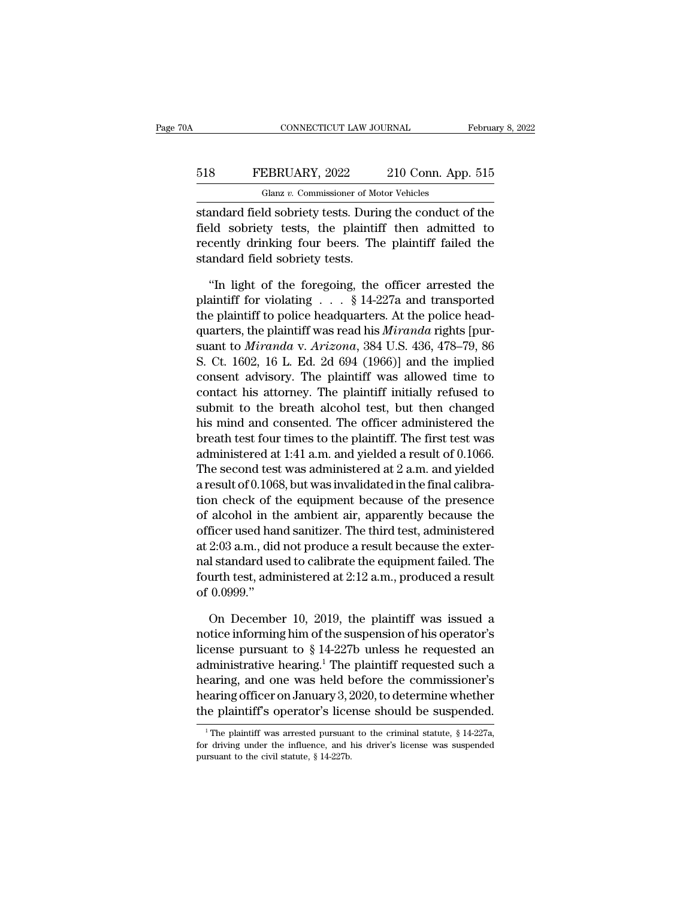## CONNECTICUT LAW JOURNAL February 8, 2022<br>518 FEBRUARY, 2022 210 Conn. App. 515<br>Glanz v. Commissioner of Motor Vehicles CONNECTICUT LAW JOURNAL<br>EBRUARY, 2022 210 Conn. App<br>Glanz v. Commissioner of Motor Vehicles<br>Id sobriety tests. During the conduct o

CONNECTICUT LAW JOURNAL February 8, 2022<br>
FEBRUARY, 2022 210 Conn. App. 515<br>
Glanz v. Commissioner of Motor Vehicles<br>
Standard field sobriety tests. During the conduct of the<br>
field sobriety tests, the plaintiff then admit FEBRUARY, 2022 210 Conn. App. 515<br>
Glanz v. Commissioner of Motor Vehicles<br>
standard field sobriety tests. During the conduct of the<br>
field sobriety tests, the plaintiff then admitted to<br>
recently drinking four beers. The FEBRUARY, 2022 210 Conn. App. 515<br>
Glanz v. Commissioner of Motor Vehicles<br>
standard field sobriety tests. During the conduct of the<br>
field sobriety tests, the plaintiff then admitted to<br>
recently drinking four beers. The 518 FEBRUARY, 2022<br>Glanz v. Commissioner of Mo<br>standard field sobriety tests. Durin<br>field sobriety tests, the plaintif<br>recently drinking four beers. The<br>standard field sobriety tests.<br>"In light of the foregoing, the Glanz v. Commissioner of Motor Vehicles<br>
andard field sobriety tests. During the conduct of the<br>
ld sobriety tests, the plaintiff then admitted to<br>
cently drinking four beers. The plaintiff failed the<br>
andard field sobrie standard field sobriety tests. During the conduct of the<br>field sobriety tests, the plaintiff then admitted to<br>recently drinking four beers. The plaintiff failed the<br>standard field sobriety tests.<br>"In light of the foregoing

field sobriety tests, the plaintiff then admitted to<br>recently drinking four beers. The plaintiff failed the<br>standard field sobriety tests.<br>"In light of the foregoing, the officer arrested the<br>plaintiff for violating . . . recently drinking four beers. The plaintiff failed the<br>standard field sobriety tests.<br>"In light of the foregoing, the officer arrested the<br>plaintiff for violating . . . § 14-227a and transported<br>the plaintiff to police hea standard field sobriety tests.<br>
"In light of the foregoing, the officer arrested the<br>
plaintiff for violating . . . § 14-227a and transported<br>
the plaintiff to police headquarters. At the police head-<br>
quarters, the plaint "In light of the foregoing, the officer arrested the plaintiff for violating . . . § 14-227a and transported the plaintiff to police headquarters. At the police headquarters, the plaintiff was read his *Miranda* rights [p "In light of the foregoing, the officer arrested the<br>plaintiff for violating  $\ldots$  § 14-227a and transported<br>the plaintiff to police headquarters. At the police head-<br>quarters, the plaintiff was read his *Miranda* rights plaintiff for violating  $\ldots$  § 14-227a and transported<br>the plaintiff to police headquarters. At the police head-<br>quarters, the plaintiff was read his *Miranda* rights [pur-<br>suant to *Miranda* v. *Arizona*, 384 U.S. 436, the plaintiff to police headquarters. At the police head-<br>quarters, the plaintiff was read his *Miranda* rights [pur-<br>suant to *Miranda* v. *Arizona*, 384 U.S. 436, 478–79, 86<br>S. Ct. 1602, 16 L. Ed. 2d 694 (1966)] and the quarters, the plaintiff was read his *Miranda* rights [pur-<br>suant to *Miranda* v. *Arizona*, 384 U.S. 436, 478–79, 86<br>S. Ct. 1602, 16 L. Ed. 2d 694 (1966)] and the implied<br>consent advisory. The plaintiff was allowed time suant to *Miranda v. Arizona*, 384 U.S. 436, 478–79, 86<br>S. Ct. 1602, 16 L. Ed. 2d 694 (1966)] and the implied<br>consent advisory. The plaintiff was allowed time to<br>contact his attorney. The plaintiff initially refused to<br>su S. Ct. 1602, 16 L. Ed. 2d 694 (1966)] and the implied<br>consent advisory. The plaintiff was allowed time to<br>contact his attorney. The plaintiff initially refused to<br>submit to the breath alcohol test, but then changed<br>his mi consent advisory. The plaintiff initially refused to<br>contact his attorney. The plaintiff initially refused to<br>submit to the breath alcohol test, but then changed<br>his mind and consented. The officer administered the<br>breath contact his attorney. The plaintiff initially refused to<br>submit to the breath alcohol test, but then changed<br>his mind and consented. The officer administered the<br>breath test four times to the plaintiff. The first test was<br> submit to the breath alcohol test, but then changed<br>his mind and consented. The officer administered the<br>breath test four times to the plaintiff. The first test was<br>administered at 1:41 a.m. and yielded a result of 0.1066 hus mind and consented. The officer administered the<br>breath test four times to the plaintiff. The first test was<br>administered at 1:41 a.m. and yielded a result of 0.1066.<br>The second test was administered at 2 a.m. and yie breath test four times to the plaintiff. The first test was<br>administered at 1:41 a.m. and yielded a result of 0.1066.<br>The second test was administered at 2 a.m. and yielded<br>a result of 0.1068, but was invalidated in the fi administered at 1:41 a.m. and yielded a result of 0.1066.<br>The second test was administered at 2 a.m. and yielded<br>a result of 0.1068, but was invalidated in the final calibra-<br>tion check of the equipment because of the pres The second test was administered at 2 a.m. and yielded<br>a result of 0.1068, but was invalidated in the final calibra-<br>tion check of the equipment because of the presence<br>of alcohol in the ambient air, apparently because th a result of 0.1068, but was invalidated in the final calibration check of the equipment because of the presence of alcohol in the ambient air, apparently because the officer used hand sanitizer. The third test, administere tion check of t<br>of alcohol in tl<br>officer used har<br>at 2:03 a.m., did<br>nal standard us<br>fourth test, adn<br>of 0.0999.''<br>On Decembe ficer used hand sanitizer. The third test, administered<br>
2:03 a.m., did not produce a result because the exter-<br>
1 standard used to calibrate the equipment failed. The<br>
urth test, administered at 2:12 a.m., produced a res at 2:03 a.m., did not produce a result because the exter-<br>nal standard used to calibrate the equipment failed. The<br>fourth test, administered at 2:12 a.m., produced a result<br>of 0.0999."<br>On December 10, 2019, the plaintiff

nal standard used to calibrate the equipment failed. The<br>fourth test, administered at 2:12 a.m., produced a result<br>of 0.0999."<br>On December 10, 2019, the plaintiff was issued a<br>notice informing him of the suspension of his fourth test, administered at 2:12 a.m., produced a result<br>of 0.0999."<br>On December 10, 2019, the plaintiff was issued a<br>notice informing him of the suspension of his operator's<br>license pursuant to  $\S 14-227b$  unless he req of 0.0999."<br>
On December 10, 2019, the plaintiff was issued a<br>
notice informing him of the suspension of his operator's<br>
license pursuant to § 14-227b unless he requested an<br>
administrative hearing.<sup>1</sup> The plaintiff reque On December 10, 2019, the plaintiff was issued a<br>notice informing him of the suspension of his operator's<br>license pursuant to § 14-227b unless he requested an<br>administrative hearing.<sup>1</sup> The plaintiff requested such a<br>heari On December 10, 2019, the plaintiff was issued a<br>notice informing him of the suspension of his operator's<br>license pursuant to  $\S$  14-227b unless he requested an<br>administrative hearing.<sup>1</sup> The plaintiff requested such a<br>he administrative hearing.<sup>1</sup> The plaintiff requested such a hearing, and one was held before the commissioner's hearing officer on January 3, 2020, to determine whether the plaintiff's operator's license should be suspended hearing, and one was held before the commissioner's<br>hearing officer on January 3, 2020, to determine whether<br>the plaintiff's operator's license should be suspended.<br><sup>1</sup>The plaintiff was arrested pursuant to the criminal s

**hearing officer on January** 3, 2<br> **the plaintiff's operator's lice**<br>
<sup>1</sup>The plaintiff was arrested pursuant<br>
for driving under the influence, and l<br>
pursuant to the civil statute, § 14-227b.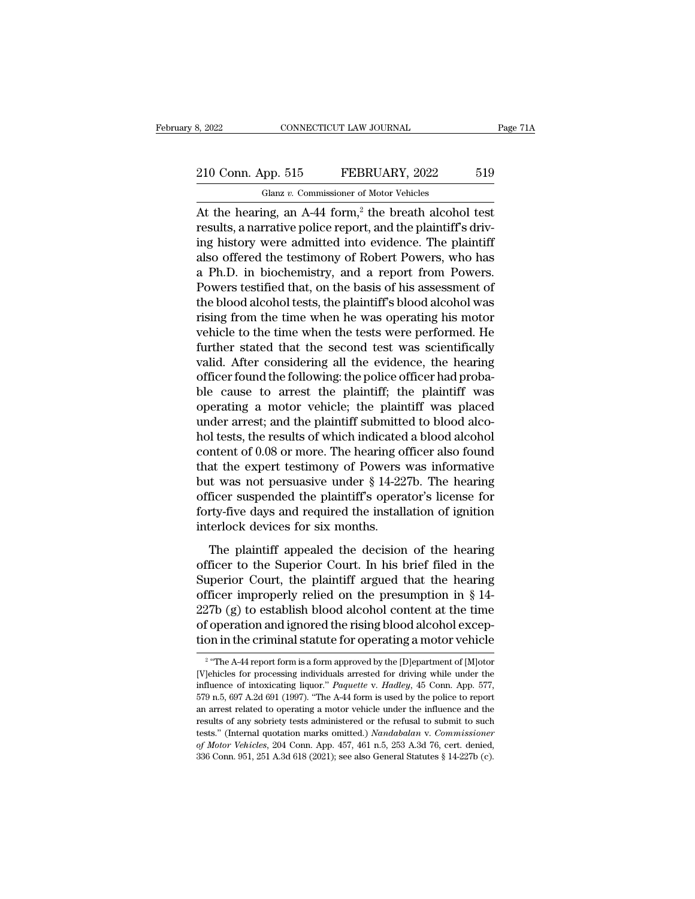# 210 Conn. App. 515 FEBRUARY, 2022 519<br>
210 Conn. App. 515 FEBRUARY, 2022 519

Glanz *v.* Commissioner of Motor Vehicles<br>
At the hearing, an A-44 form,<sup>2</sup> the breath alcohol test<br>
results, a narrative police report, and the plaintiff's driving bistory were admitted into evidence. The plaintiff 210 Conn. App. 515 FEBRUARY, 2022 519<br>
Glanz v. Commissioner of Motor Vehicles<br>
At the hearing, an A-44 form,<sup>2</sup> the breath alcohol test<br>
results, a narrative police report, and the plaintiff's driv-<br>
ing history were admi 210 Conn. App. 515 FEBRUARY, 2022 519<br>
Glanz v. Commissioner of Motor Vehicles<br>
At the hearing, an A-44 form,<sup>2</sup> the breath alcohol test<br>
results, a narrative police report, and the plaintiff's driv-<br>
ing history were adm 210 Conn. App. 515 FEBRUARY, 2022 519<br>
Glanz v. Commissioner of Motor Vehicles<br>
At the hearing, an A-44 form,<sup>2</sup> the breath alcohol test<br>
results, a narrative police report, and the plaintiff's driv-<br>
ing history were adm Glanz v. Commissioner of Motor Vehicles<br>At the hearing, an A-44 form,<sup>2</sup> the breath alcohol test<br>results, a narrative police report, and the plaintiff's driv-<br>ing history were admitted into evidence. The plaintiff<br>also off Glanz *v.* Commissioner of motor venteles<br>At the hearing, an A-44 form,<sup>2</sup> the breath alcohol test<br>results, a narrative police report, and the plaintiff's driv-<br>ing history were admitted into evidence. The plaintiff<br>also o At the hearing, an A-44 form,<sup>2</sup> the breath alcohol test<br>results, a narrative police report, and the plaintiff's driv-<br>ing history were admitted into evidence. The plaintiff<br>also offered the testimony of Robert Powers, who results, a narrative police report, and the plaintiff's driving history were admitted into evidence. The plaintiff<br>also offered the testimony of Robert Powers, who has<br>a Ph.D. in biochemistry, and a report from Powers.<br>Pow ing history were admitted into evidence. The plaintiff<br>also offered the testimony of Robert Powers, who has<br>a Ph.D. in biochemistry, and a report from Powers.<br>Powers testified that, on the basis of his assessment of<br>the bl also offered the testimony of Robert Powers, who has<br>a Ph.D. in biochemistry, and a report from Powers.<br>Powers testified that, on the basis of his assessment of<br>the blood alcohol tests, the plaintiff's blood alcohol was<br>ri a Ph.D. in biochemistry, and a report from Powers.<br>Powers testified that, on the basis of his assessment of<br>the blood alcohol tests, the plaintiff's blood alcohol was<br>rising from the time when he was operating his motor<br>ve Powers testified that, on the basis of his assessment of<br>the blood alcohol tests, the plaintiff's blood alcohol was<br>rising from the time when he was operating his motor<br>vehicle to the time when the tests were performed. He the blood alcohol tests, the plaintiff's blood alcohol was<br>rising from the time when he was operating his motor<br>vehicle to the time when the tests were performed. He<br>further stated that the second test was scientifically<br>v rising from the time when he was operating his motor<br>vehicle to the time when the tests were performed. He<br>further stated that the second test was scientifically<br>valid. After considering all the evidence, the hearing<br>offic vehicle to the time when the tests were performed. He<br>further stated that the second test was scientifically<br>valid. After considering all the evidence, the hearing<br>officer found the following: the police officer had probafurther stated that the second test was scientifically<br>valid. After considering all the evidence, the hearing<br>officer found the following: the police officer had proba-<br>ble cause to arrest the plaintiff; the plaintiff was<br> valid. After considering all the evidence, the hearing<br>officer found the following: the police officer had proba-<br>ble cause to arrest the plaintiff; the plaintiff was<br>operating a motor vehicle; the plaintiff was placed<br>und officer found the following: the police officer had probable cause to arrest the plaintiff; the plaintiff was operating a motor vehicle; the plaintiff was placed under arrest; and the plaintiff submitted to blood alcohol ble cause to arrest the plaintiff; the plaintiff was<br>operating a motor vehicle; the plaintiff was placed<br>under arrest; and the plaintiff submitted to blood alco-<br>hol tests, the results of which indicated a blood alcohol<br>co operating a motor vehicle; the plaintiff was placed<br>under arrest; and the plaintiff submitted to blood alco-<br>hol tests, the results of which indicated a blood alcohol<br>content of 0.08 or more. The hearing officer also found under arrest; and the plaintiff submitted to blood alcohol tests, the results of which indicated a blood alcohol content of  $0.08$  or more. The hearing officer also found that the expert testimony of Powers was informativ hol tests, the results of which indicated<br>content of 0.08 or more. The hearing of<br>that the expert testimony of Powers<br>but was not persuasive under § 14-22<br>officer suspended the plaintiff's opera<br>forty-five days and require The plaintiff appealed the decision of the hearing<br>the expert testimony of Powers was informative<br>the was not persuasive under § 14-227b. The hearing<br>ficer suspended the plaintiff's operator's license for<br>try-five days and but was not persuasive under  $\S$  14-227b. The hearing<br>officer suspended the plaintiff's operator's license for<br>forty-five days and required the installation of ignition<br>interlock devices for six months.<br>The plaintiff appe

Superior Formular Court, the plaintiff's operator's license for<br>forty-five days and required the installation of ignition<br>interlock devices for six months.<br>The plaintiff appealed the decision of the hearing<br>officer to the forty-five days and required the installation of ignition<br>interlock devices for six months.<br>The plaintiff appealed the decision of the hearing<br>officer to the Superior Court. In his brief filed in the<br>Superior Court, the p interlock devices for six months.<br>
The plaintiff appealed the decision of the hearing<br>
officer to the Superior Court. In his brief filed in the<br>
Superior Court, the plaintiff argued that the hearing<br>
officer improperly re The plaintiff appealed the decision of the hearing<br>officer to the Superior Court. In his brief filed in the<br>Superior Court, the plaintiff argued that the hearing<br>officer improperly relied on the presumption in § 14-<br>227b ( The plaintiff appealed the decision of the hearing<br>officer to the Superior Court. In his brief filed in the<br>Superior Court, the plaintiff argued that the hearing<br>officer improperly relied on the presumption in § 14-<br>227b The Transform of the presumption in  $\S$  14-7b (g) to establish blood alcohol content at the time<br>operation and ignored the rising blood alcohol excep-<br>n in the criminal statute for operating a motor vehicle<br>"The A-44 repo 227b (g) to establish blood alcohol content at the time<br>of operation and ignored the rising blood alcohol excep-<br>tion in the criminal statute for operating a motor vehicle<br> $\frac{2}{\pi}$  "The A-44 report form is a form approv

 $2 \omega$ of operation and ignored the rising blood alcohol exception in the criminal statute for operating a motor vehicle<br><sup>2</sup> "The A44 report form is a form approved by the [D]epartment of [M]otor<br>[V]ehicles for processing individ tion in the criminal statute for operating a motor vehicle<br>
<sup>2</sup> "The A-44 report form is a form approved by the [D]epartment of [M]otor<br>
[V]ehicles for processing individuals arrested for driving while under the<br>
influenc and The Californian statute for operating a motor vehicle<br>
<sup>2</sup> "The A-44 report form is a form approved by the [D]epartment of [M]otor<br>
[V]ehicles for processing individuals arrested for driving while under the<br>
influence <sup>2</sup> "The A-44 report form is a form approved by the [D]epartment of [M]otor [V]ehicles for processing individuals arrested for driving while under the influence of intoxicating liquor." *Paquette* v. *Hadley*, 45 Conn. Ap [V]ehicles for processing individuals arrested for driving while under the influence of intoxicating liquor." *Paquette* v. *Hadley*, 45 Conn. App. 577, 579 n.5, 697 A.2d 691 (1997). "The A-44 form is used by the police to *influence of intoxicating liquor." Paquette v. Hadley*, 45 Conn. App. 577, 579 n.5, 697 A.2d 691 (1997). "The A-44 form is used by the police to report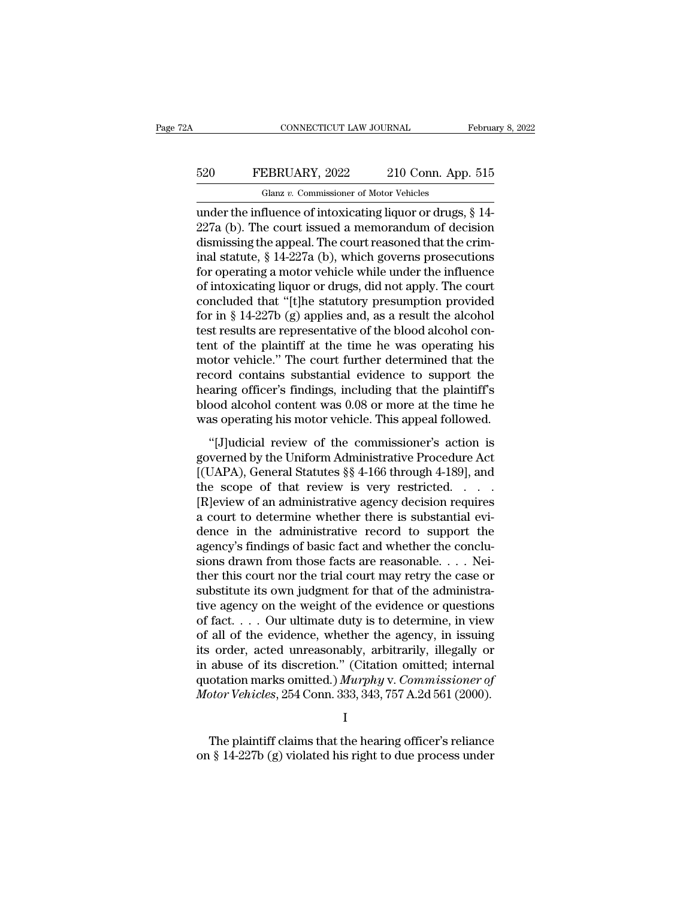## EXECUTE CONNECTICUT LAW JOURNAL February 8, 2022<br>520 FEBRUARY, 2022 210 Conn. App. 515<br>Glanz v. Commissioner of Motor Vehicles CONNECTICUT LAW JOURNAL<br>EBRUARY, 2022 210 Conn. App<br>Glanz v. Commissioner of Motor Vehicles<br>fluence of intoxicating liquor or drugs

CONNECTICUT LAW JOURNAL February 8, 20<br>
FEBRUARY, 2022 210 Conn. App. 515<br>
Glanz v. Commissioner of Motor Vehicles<br>
under the influence of intoxicating liquor or drugs, § 14-<br>
227a (b). The court issued a memorandum of dec EXECT: FEBRUARY, 2022 210 Conn. App. 515<br>
Glanz v. Commissioner of Motor Vehicles<br>
under the influence of intoxicating liquor or drugs,  $\S$  14-<br>
227a (b). The court issued a memorandum of decision<br>
dismissing the appeal. 520 FEBRUARY, 2022 210 Conn. App. 515<br>
Glanz v. Commissioner of Motor Vehicles<br>
under the influence of intoxicating liquor or drugs,  $\S$  14-<br>
227a (b). The court issued a memorandum of decision<br>
dismissing the appeal. The EBRUARY, 2022 210 Conn. App. 515<br>
Glanz v. Commissioner of Motor Vehicles<br>
under the influence of intoxicating liquor or drugs, § 14-<br>
227a (b). The court issued a memorandum of decision<br>
dismissing the appeal. The court Glanz v. Commissioner of Motor Vehicles<br>
under the influence of intoxicating liquor or drugs, § 14-<br>
227a (b). The court issued a memorandum of decision<br>
dismissing the appeal. The court reasoned that the crim-<br>
inal stat Glanz v. Commissioner of Motor Vehicles<br>
under the influence of intoxicating liquor or drugs, § 14-<br>
227a (b). The court issued a memorandum of decision<br>
dismissing the appeal. The court reasoned that the crim-<br>
inal stat under the influence of intoxicating liquor or drugs,  $\S$  14-227a (b). The court issued a memorandum of decision<br>dismissing the appeal. The court reasoned that the criminal statute,  $\S$  14-227a (b), which governs prosecuti 227a (b). The court issued a memorandum of decision<br>dismissing the appeal. The court reasoned that the crim-<br>inal statute, § 14-227a (b), which governs prosecutions<br>for operating a motor vehicle while under the influence<br> dismissing the appeal. The court reasoned that the criminal statute, § 14-227a (b), which governs prosecutions<br>for operating a motor vehicle while under the influence<br>of intoxicating liquor or drugs, did not apply. The cou inal statute,  $\S$  14-227a (b), which governs prosecutions<br>for operating a motor vehicle while under the influence<br>of intoxicating liquor or drugs, did not apply. The court<br>concluded that "[t]he statutory presumption provi for operating a motor vehicle while under the influence<br>of intoxicating liquor or drugs, did not apply. The court<br>concluded that "[t]he statutory presumption provided<br>for in § 14-227b (g) applies and, as a result the alco of intoxicating liquor or drugs, did not apply. The court<br>concluded that "[t]he statutory presumption provided<br>for in § 14-227b (g) applies and, as a result the alcohol<br>test results are representative of the blood alcohol concluded that "[t]he statutory presumption provided<br>for in § 14-227b (g) applies and, as a result the alcohol<br>test results are representative of the blood alcohol con-<br>tent of the plaintiff at the time he was operating hi for in § 14-227b (g) applies and, as a result the alcohol<br>test results are representative of the blood alcohol con-<br>tent of the plaintiff at the time he was operating his<br>motor vehicle." The court further determined that test results are representative of the blood alcohol content of the plaintiff at the time he was operating his motor vehicle." The court further determined that the record contains substantial evidence to support the heari the order planning and the commissioner of the contains substantial evidence to support the aring officer's findings, including that the plaintiff's bood alcohol content was 0.08 or more at the time he as operating his mo motor venter. The coard radiate acternated and are<br>record contains substantial evidence to support the<br>hearing officer's findings, including that the plaintiff's<br>blood alcohol content was 0.08 or more at the time he<br>was op

Freedra Contains Sabstandar Criterice to Support are<br>hearing officer's findings, including that the plaintiff's<br>blood alcohol content was 0.08 or more at the time he<br>was operating his motor vehicle. This appeal followed.<br>" the scope of that review is very restricted.<br>
This appeal followed.<br>
"[J]udicial review of the commissioner's action is<br>
governed by the Uniform Administrative Procedure Act<br>
[(UAPA), General Statutes §§ 4-166 through 4-18 was operating his motor vehicle. This appeal followed.<br>
"[J]udicial review of the commissioner's action is<br>
governed by the Uniform Administrative Procedure Act<br>
[(UAPA), General Statutes  $\S$  4-166 through 4-189], and<br>
th "[J]udicial review of the commissioner's action is<br>governed by the Uniform Administrative Procedure Act<br>[(UAPA), General Statutes  $\S$ § 4-166 through 4-189], and<br>the scope of that review is very restricted....<br>[R]eview of "[J]udicial review of the commissioner's action is<br>governed by the Uniform Administrative Procedure Act<br>[(UAPA), General Statutes  $\S$  4-166 through 4-189], and<br>the scope of that review is very restricted. . . .<br>[R]eview o governed by the Uniform Administrative Procedure Act [(UAPA), General Statutes §§ 4-166 through 4-189], and<br>the scope of that review is very restricted. . . . .<br>[R]eview of an administrative agency decision requires<br>a cour [(UAPA), General Statutes §§ 4-166 through 4-189], and<br>the scope of that review is very restricted. . . . .<br>[R]eview of an administrative agency decision requires<br>a court to determine whether there is substantial evi-<br>den the scope of that review is very restricted. . . . . [R]eview of an administrative agency decision requires<br>a court to determine whether there is substantial evi-<br>dence in the administrative record to support the<br>agency's [R]eview of an administrative agency decision requires<br>a court to determine whether there is substantial evi-<br>dence in the administrative record to support the<br>agency's findings of basic fact and whether the conclu-<br>sions a court to determine whether there is substantial evidence in the administrative record to support the agency's findings of basic fact and whether the conclusions drawn from those facts are reasonable. . . . Neither this c dence in the administrative record to support the<br>agency's findings of basic fact and whether the conclu-<br>sions drawn from those facts are reasonable. . . . Nei-<br>ther this court nor the trial court may retry the case or<br>su agency's findings of basic fact and whether the conclusions drawn from those facts are reasonable. . . . Neither this court nor the trial court may retry the case or substitute its own judgment for that of the administrat sions drawn from those facts are reasonable. . . . Neither this court nor the trial court may retry the case or substitute its own judgment for that of the administrative agency on the weight of the evidence or questions ther this court nor the trial court may retry the case or substitute its own judgment for that of the administrative agency on the weight of the evidence or questions of fact.... Our ultimate duty is to determine, in view substitute its own judgment for that of the administrative agency on the weight of the evidence or questions of fact. . . . Our ultimate duty is to determine, in view of all of the evidence, whether the agency, in issuing tive agency on the weight of the evidence or questions<br>of fact. . . . Our ultimate duty is to determine, in view<br>of all of the evidence, whether the agency, in issuing<br>its order, acted unreasonably, arbitrarily, illegally order, acted unreasonably, arbitrarily, illegally or<br>abuse of its discretion." (Citation omitted; internal<br>otation marks omitted.) Murphy v. Commissioner of<br>otor Vehicles, 254 Conn. 333, 343, 757 A.2d 561 (2000).<br>I<br>The pl in abuse of its discretion." (Citation omitted; internal quotation marks omitted.)  $Murphy$  v. Commissioner of Motor Vehicles, 254 Conn. 333, 343, 757 A.2d 561 (2000).<br>
I<br>
The plaintiff claims that the hearing officer's reli

I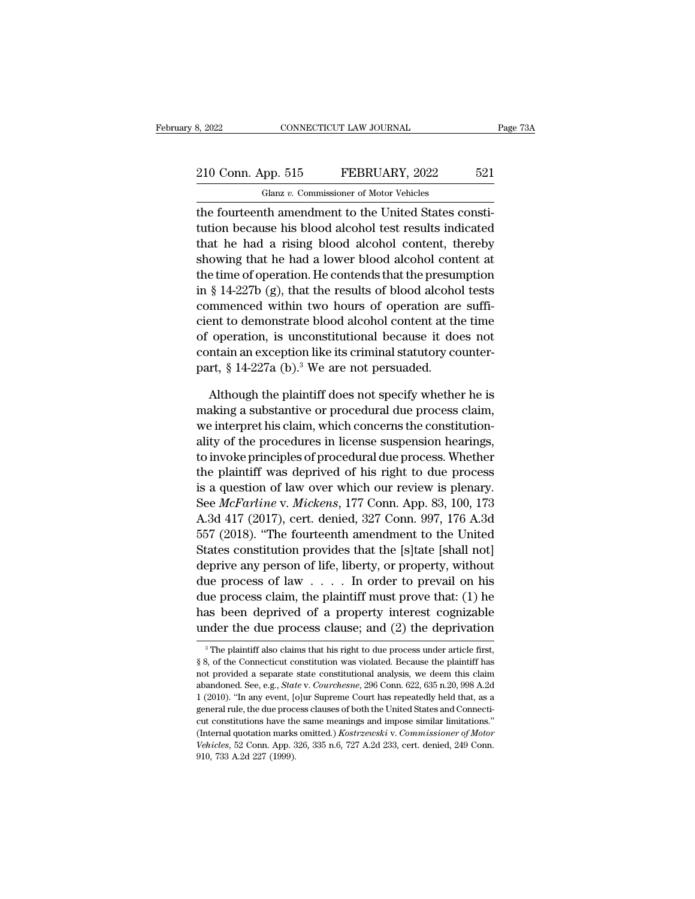## 210 Conn. App. 515 FEBRUARY, 2022 521<br>
210 Conn. App. 515 FEBRUARY, 2022 521<br>
210 Glanz v. Commissioner of Motor Vehicles Glanz *v.* Commissioner of Motor Vehicles

the fourteenth amendment to the United States constitution because his blood alcohol test results indicated<br>that has been a minimized a minimized states constitution because his blood alcohol test results indicated<br>that ha 210 Conn. App. 515 FEBRUARY, 2022 521<br>
Glanz v. Commissioner of Motor Vehicles<br>
the fourteenth amendment to the United States constitution<br>
because his blood alcohol test results indicated<br>
that he had a rising blood alcoh 210 Conn. App. 515 FEBRUARY, 2022 521<br>
Glanz v. Commissioner of Motor Vehicles<br>
the fourteenth amendment to the United States constitution because his blood alcohol test results indicated<br>
that he had a rising blood alcoh 210 Conn. App. 515 FEBRUARY, 2022 521<br>
Glanz v. Commissioner of Motor Vehicles<br>
the fourteenth amendment to the United States constitution<br>
because his blood alcohol test results indicated<br>
that he had a rising blood alco Glanz v. Commissioner of Motor Vehicles<br>the fourteenth amendment to the United States constitution<br>because his blood alcohol test results indicated<br>that he had a rising blood alcohol content, thereby<br>showing that he had a In the fourteenth amendment to the United States constitution because his blood alcohol test results indicated that he had a rising blood alcohol content, thereby showing that he had a lower blood alcohol content at the ti the fourteenth amendment to the United States constitution because his blood alcohol test results indicated<br>that he had a rising blood alcohol content, thereby<br>showing that he had a lower blood alcohol content at<br>the time tution because his blood alcohol test results indicated<br>that he had a rising blood alcohol content, thereby<br>showing that he had a lower blood alcohol content at<br>the time of operation. He contends that the presumption<br>in § that he had a rising blood alcohol content, thereby<br>showing that he had a lower blood alcohol content at<br>the time of operation. He contends that the presumption<br>in § 14-227b (g), that the results of blood alcohol tests<br>co showing that he had a lower blood alcohol content at<br>the time of operation. He contends that the presumption<br>in § 14-227b (g), that the results of blood alcohol tests<br>commenced within two hours of operation are suffi-<br>cie the time of operation. He contends that the presure<br>in  $\S$  14-227b (g), that the results of blood alcoho<br>commenced within two hours of operation are<br>cient to demonstrate blood alcohol content at th<br>of operation, is uncons mmenced within two hours of operation are suffi-<br>ent to demonstrate blood alcohol content at the time<br>operation, is unconstitutional because it does not<br>ntain an exception like its criminal statutory counter-<br>rt, § 14-227 cient to demonstrate blood alcohol content at the time<br>of operation, is unconstitutional because it does not<br>contain an exception like its criminal statutory counter-<br>part,  $\S 14-227a$  (b).<sup>3</sup> We are not persuaded.<br>Althou

% of operation, is unconstitutional because it does not contain an exception like its criminal statutory counterpart,  $\S 14-227a$  (b).<sup>3</sup> We are not persuaded.<br>Although the plaintiff does not specify whether he is making contain an exception like its criminal statutory counter-<br>part, § 14-227a (b).<sup>3</sup> We are not persuaded.<br>Although the plaintiff does not specify whether he is<br>making a substantive or procedural due process claim,<br>we interpr part, § 14-227a (b).<sup>3</sup> We are not persuaded.<br>Although the plaintiff does not specify whether he is<br>making a substantive or procedural due process claim,<br>we interpret his claim, which concerns the constitution-<br>ality of th Although the plaintiff does not specify whether he is<br>making a substantive or procedural due process claim,<br>we interpret his claim, which concerns the constitution-<br>ality of the procedures in license suspension hearings,<br>t Although the plaintiff does not specify whether he is<br>making a substantive or procedural due process claim,<br>we interpret his claim, which concerns the constitution-<br>ality of the procedures in license suspension hearings,<br>t making a substantive or procedural due process claim,<br>we interpret his claim, which concerns the constitution-<br>ality of the procedures in license suspension hearings,<br>to invoke principles of procedural due process. Whether we interpret his claim, which concerns the constitution-<br>ality of the procedures in license suspension hearings,<br>to invoke principles of procedural due process. Whether<br>the plaintiff was deprived of his right to due proces anty of the procedures in license suspension nearings,<br>to invoke principles of procedural due process. Whether<br>the plaintiff was deprived of his right to due process<br>is a question of law over which our review is plenary.<br>S to mvoke principles of procedural due process. Whether<br>the plaintiff was deprived of his right to due process<br>is a question of law over which our review is plenary.<br>See *McFarline* v. *Mickens*, 177 Conn. App. 83, 100, 173 the plaintiff was deprived of his right to due process<br>is a question of law over which our review is plenary.<br>See *McFarline* v. *Mickens*, 177 Conn. App. 83, 100, 173<br>A.3d 417 (2017), cert. denied, 327 Conn. 997, 176 A.3 is a question of law over which our review is plenary.<br>See *McFarline* v. *Mickens*, 177 Conn. App. 83, 100, 173<br>A.3d 417 (2017), cert. denied, 327 Conn. 997, 176 A.3d<br>557 (2018). "The fourteenth amendment to the United<br>S See *Mcrarune* v. *McRens*, 177 Conn. App. 83, 100, 173<br>A.3d 417 (2017), cert. denied, 327 Conn. 997, 176 A.3d<br>557 (2018). "The fourteenth amendment to the United<br>States constitution provides that the [s]tate [shall not]<br> A.3d 417 (2017), cert. denied, 327 Conn. 997, 176 A.3d<br>557 (2018). "The fourteenth amendment to the United<br>States constitution provides that the [s]tate [shall not]<br>deprive any person of life, liberty, or property, withou Sor (2018). The fourteenth amendment to the United<br>States constitution provides that the [s]tate [shall not]<br>deprive any person of life, liberty, or property, without<br>due process of law . . . . In order to prevail on his<br> Let process of law  $\ldots$  in order to prevail on his<br>ue process claim, the plaintiff must prove that: (1) he<br>as been deprived of a property interest cognizable<br>nder the due process clause; and (2) the deprivation<br> $\frac{3}{10}$ due process claim, the plaintiff must prove that: (1) he<br>has been deprived of a property interest cognizable<br>under the due process clause; and (2) the deprivation<br><sup>3</sup>The plaintiff also claims that his right to due process

has been deprived of a property interest cognizable<br>under the due process clause; and (2) the deprivation<br><sup>3</sup>The plaintiff also claims that his right to due process under article first,<br>§8, of the Connecticut constitution under the due process clause; and (2) the deprivation<br><sup>3</sup> The plaintiff also claims that his right to due process under article first,<br>§ 8, of the Connecticut constitution was violated. Because the plaintiff has<br>not provid The plaintiff also claims that his right to due process under article first,<br>  $\$ 8, of the Connecticut constitution was violated. Because the plaintiff has<br>
not provided a separate state constitutional analysis, we deem t <sup>3</sup> The plaintiff also claims that his right to due process under article first, § 8, of the Connecticut constitution was violated. Because the plaintiff has not provided a separate state constitutional analysis, we deem § 8, of the Connecticut constitution was violated. Because the plaintiff has not provided a separate state constitutional analysis, we deem this claim abandoned. See, e.g., *State v. Courchesne*, 296 Conn. 622, 635 n.20, not provided a separate state constitutional analysis, we deem this claim abandoned. See, e.g., *State v. Courchesne*, 296 Conn. 622, 635 n.20, 998 A.2d 1 (2010). "In any event, [o]ur Supreme Court has repeatedly held tha abandoned. See, e.g., *State v. Courchesne*, 296 Conn. 622, 635 n.20, 998 A.2d 1 (2010). "In any event, [o]ur Supreme Court has repeatedly held that, as a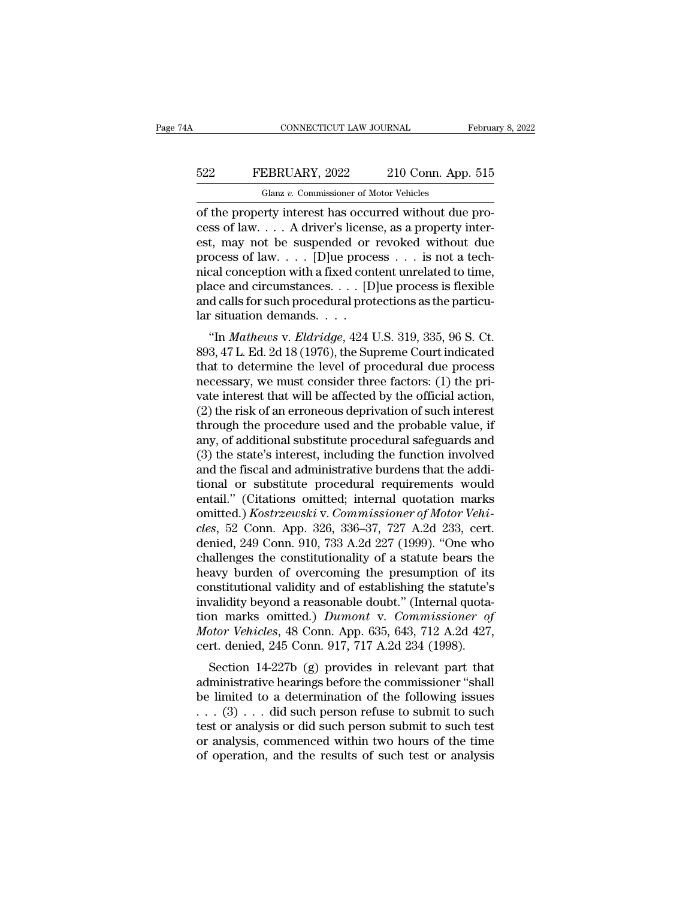# EXECUTE CONNECTICUT LAW JOURNAL February 8, 2022<br>522 FEBRUARY, 2022 210 Conn. App. 515<br>Glanz v. Commissioner of Motor Vehicles CONNECTICUT LAW JOURNAL<br>EBRUARY, 2022 210 Conn. App<br>Glanz v. Commissioner of Motor Vehicles<br>Priv. interest has occurred without due

CONNECTICUT LAW JOURNAL Februa<br>
522 FEBRUARY, 2022 210 Conn. App. 515<br>
Glanz v. Commissioner of Motor Vehicles<br>
of the property interest has occurred without due pro-<br>
cess of law. . . . A driver's license, as a property i EXEMBION 515<br>
Collar U. Commissioner of Motor Vehicles<br>
of the property interest has occurred without due process of law. . . . A driver's license, as a property inter-<br>
est, may not be suspended or revoked without due<br>
pr ESA FEBRUARY, 2022 210 Conn. App. 515<br>
Glanz v. Commissioner of Motor Vehicles<br>
of the property interest has occurred without due process of law.... A driver's license, as a property inter-<br>
est, may not be suspended or r FEBRUARY, 2022 210 Conn. App. 515<br>
Glanz v. Commissioner of Motor Vehicles<br>
of the property interest has occurred without due process of law. . . . A driver's license, as a property inter-<br>
est, may not be suspended or re Glanz v. Commissioner of Motor Vehicles<br>
of the property interest has occurred without due pro-<br>
cess of law.... A driver's license, as a property inter-<br>
est, may not be suspended or revoked without due<br>
process of law.. Glanz v. Commissioner of Motor Vehicles<br>
of the property interest has occurred without due pro-<br>
cess of law.... A driver's license, as a property inter-<br>
est, may not be suspended or revoked without due<br>
process of law.. of the property interest has occurred without due process of law.  $\ldots$  A driver's license, as a property interest, may not be suspended or revoked without due process of law.  $\ldots$  [D]ue process  $\ldots$  is not a technical cess of law. . . . A driver's licens<br>est, may not be suspended or<br>process of law. . . . [D]<br>ue proce<br>nical conception with a fixed con<br>place and circumstances. . . . [D<br>and calls for such procedural prot<br>lar situation dem (*i*, may not be suspended of revoked without due<br>ocess of law.... [D]ue process ... is not a tech-<br>cal conception with a fixed content unrelated to time,<br>ace and circumstances.... [D]ue process is flexible<br>d calls for suc process or law.  $\ldots$  [D]de process  $\ldots$  is not a tech-<br>nical conception with a fixed content unrelated to time,<br>place and circumstances.  $\ldots$  [D]de process is flexible<br>and calls for such procedural protections as the p

filed and circumstances.  $\dots$  [D]<br>ue process is flexible and calls for such procedural protections as the particu-<br>lar situation demands.  $\dots$ <br>"In *Mathews v. Eldridge*, 424 U.S. 319, 335, 96 S. Ct.<br>893, 47 L. Ed. 2d 18 ( place and circumstances. . . . [D]<br>ue process is flexible and calls for such procedural protections as the particular situation demands. . . .<br>"In *Mathews v. Eldridge*, 424 U.S. 319, 335, 96 S. Ct.<br>893, 47 L. Ed. 2d 18 ( and cans for such procedural protections as the particular<br>that situation demands....<br>"In *Mathews v. Eldridge*, 424 U.S. 319, 335, 96 S. Ct.<br>893, 47 L. Ed. 2d 18 (1976), the Supreme Court indicated<br>that to determine the (2) the risk of an erroneous deprivation of such an errors.<br>
(2) the risk of an error indicated that to determine the level of procedural due process<br>
necessary, we must consider three factors: (1) the private interest th "In *Mathews v. Eldridge*, 424 U.S. 319, 335, 96 S. Ct.<br>893, 47 L. Ed. 2d 18 (1976), the Supreme Court indicated<br>that to determine the level of procedural due process<br>necessary, we must consider three factors: (1) the pri 893, 47 L. Ed. 2d 18 (1976), the Supreme Court indicated<br>that to determine the level of procedural due process<br>necessary, we must consider three factors: (1) the pri-<br>vate interest that will be affected by the official act that to determine the level of procedural due process<br>necessary, we must consider three factors: (1) the pri-<br>vate interest that will be affected by the official action,<br>(2) the risk of an erroneous deprivation of such int necessary, we must consider three factors: (1) the private interest that will be affected by the official action, (2) the risk of an erroneous deprivation of such interest through the procedure used and the probable value, vate interest that will be affected by the official action,<br>
(2) the risk of an erroneous deprivation of such interest<br>
through the procedure used and the probable value, if<br>
any, of additional substitute procedural safeg (2) the risk of an erroneous deprivation of such interest<br>through the procedure used and the probable value, if<br>any, of additional substitute procedural safeguards and<br>(3) the state's interest, including the function invo through the procedure used and the probable value, if<br>any, of additional substitute procedural safeguards and<br>(3) the state's interest, including the function involved<br>and the fiscal and administrative burdens that the add any, of additional substitute procedural safeguards and (3) the state's interest, including the function involved<br>and the fiscal and administrative burdens that the addi-<br>tional or substitute procedural requirements would<br> (3) the state's interest, including the function involved<br>and the fiscal and administrative burdens that the addi-<br>tional or substitute procedural requirements would<br>entail." (Citations omitted; internal quotation marks<br>o and the fiscal and administrative burdens that the additional or substitute procedural requirements would<br>entail." (Citations omitted; internal quotation marks<br>omitted.) *Kostrzewski* v. *Commissioner of Motor Vehi-<br>cles*, tional or substitute procedural requirements would<br>entail." (Citations omitted; internal quotation marks<br>omitted.) *Kostrzewski* v. *Commissioner of Motor Vehi-<br>cles*, 52 Conn. App. 326, 336–37, 727 A.2d 233, cert.<br>denied, entail." (Citations omitted; internal quotation marks<br>omitted.) *Kostrzewski* v. *Commissioner of Motor Vehi-<br>cles*, 52 Conn. App. 326, 336–37, 727 A.2d 233, cert.<br>denied, 249 Conn. 910, 733 A.2d 227 (1999). "One who<br>chall omitted.) *Kostrzewski* v. *Commissioner of Motor Vehi-<br>cles*, 52 Conn. App. 326, 336–37, 727 A.2d 233, cert.<br>denied, 249 Conn. 910, 733 A.2d 227 (1999). "One who<br>challenges the constitutionality of a statute bears the<br>hea cles, 52 Conn. App. 326, 336–37, 727 A.2d 233, cert.<br>denied, 249 Conn. 910, 733 A.2d 227 (1999). "One who<br>challenges the constitutionality of a statute bears the<br>heavy burden of overcoming the presumption of its<br>constituti denied, 249 Conn. 910, 733 A.2d 227 (1999). "One who<br>challenges the constitutionality of a statute bears the<br>heavy burden of overcoming the presumption of its<br>constitutional validity and of establishing the statute's<br>inval challenges the constitutionality of a statute bears the<br>heavy burden of overcoming the presumption of its<br>constitutional validity and of establishing the statute's<br>invalidity beyond a reasonable doubt." (Internal quota-<br>ti avy butuen of overcoming the presumption of its<br>nstitutional validity and of establishing the statute's<br>validity beyond a reasonable doubt." (Internal quota-<br>nn marks omitted.) *Dumont* v. Commissioner of<br>ptor Vehicles, 48 constitutional vantity and or establishing the statute's<br>invalidity beyond a reasonable doubt." (Internal quota-<br>tion marks omitted.) *Dumont* v. *Commissioner of*<br>*Motor Vehicles*, 48 Conn. App. 635, 643, 712 A.2d 427,<br>c

mvandity beyond a reasonable doubt. (Internal quotation marks omitted.) *Dumont* v. *Commissioner of Motor Vehicles*, 48 Conn. App. 635, 643, 712 A.2d 427, cert. denied, 245 Conn. 917, 717 A.2d 234 (1998). Section 14-22 Motor Vehicles, 48 Conn. App. 635, 643, 712 A.2d 427,<br>
cert. denied, 245 Conn. 917, 717 A.2d 234 (1998).<br>
Section 14-227b (g) provides in relevant part that<br>
administrative hearings before the commissioner "shall<br>
be limi throw vehicles, 45 Colul. App. 055, 045, 712 A.2d 427,<br>cert. denied, 245 Conn. 917, 717 A.2d 234 (1998).<br>Section 14-227b (g) provides in relevant part that<br>administrative hearings before the commissioner "shall<br>be limited Section 14-227b (g) provides in relevant part that<br>administrative hearings before the commissioner "shall<br>be limited to a determination of the following issues<br> $\ldots$  (3)  $\ldots$  did such person refuse to submit to such<br>test Section 14-227b (g) provides in relevant part that<br>administrative hearings before the commissioner "shall<br>be limited to a determination of the following issues<br> $\ldots$  (3)  $\ldots$  did such person refuse to submit to such<br>test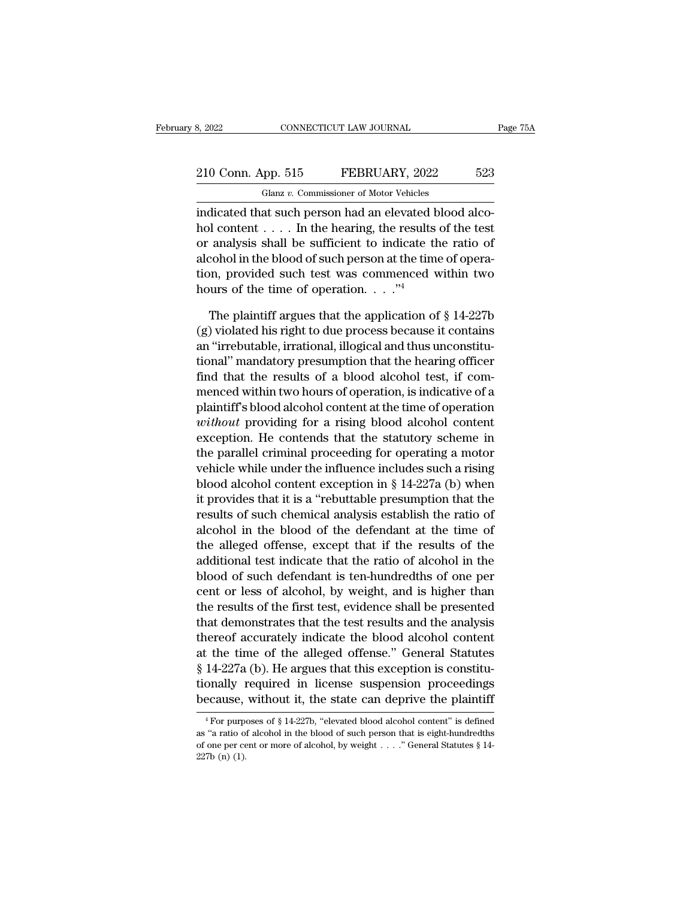# 210 Conn. App. 515 FEBRUARY, 2022 523<br>
210 Conn. App. 515 FEBRUARY, 2022 523 Glanz *v.* Commissioner of Motor Vehicles

S, 2022 CONNECTICUT LAW JOURNAL<br>
210 Conn. App. 515 FEBRUARY, 2022 523<br>
Glanz v. Commissioner of Motor Vehicles<br>
indicated that such person had an elevated blood alco-<br>
hol content . . . . In the hearing, the results of th 210 Conn. App. 515 FEBRUARY, 2022 523<br>
Glanz v. Commissioner of Motor Vehicles<br>
indicated that such person had an elevated blood alco-<br>
hol content . . . . In the hearing, the results of the test<br>
or analysis shall be suf 210 Conn. App. 515 FEBRUARY, 2022 523<br>
Glanz v. Commissioner of Motor Vehicles<br>
indicated that such person had an elevated blood alco-<br>
hol content . . . . In the hearing, the results of the test<br>
or analysis shall be suf 210 Conn. App. 515 FEBRUARY, 2022 523<br>
Glanz v. Commissioner of Motor Vehicles<br>
indicated that such person had an elevated blood alco-<br>
hol content . . . . In the hearing, the results of the test<br>
or analysis shall be suf Glanz v. Commissioner of Motor Vehicles<br>indicated that such person had an elevated blood alco-<br>hol content . . . . In the hearing, the results of the test<br>or analysis shall be sufficient to indicate the ratio of<br>alcohol i indicated that such person had an elevated b<br>hol content  $\dots$ . In the hearing, the results<br>or analysis shall be sufficient to indicate th<br>alcohol in the blood of such person at the tim-<br>tion, provided such test was commen If content . . . . In the hearing, the results of the test<br>analysis shall be sufficient to indicate the ratio of<br>cohol in the blood of such person at the time of opera-<br>ph, provided such test was commenced within two<br>urs % or analysis shall be sufficient to indicate the ratio of<br>alcohol in the blood of such person at the time of opera-<br>tion, provided such test was commenced within two<br>hours of the time of operation. . . ..."<br>The plaintiff

alcohol in the blood of such person at the time of operation, provided such test was commenced within two<br>hours of the time of operation. . . . ."<br>The plaintiff argues that the application of  $\S$  14-227b<br>(g) violated his tion, provided such test was commenced within two<br>
hours of the time of operation. . . ."<sup>4</sup><br>
The plaintiff argues that the application of  $\S 14-227b$ <br>
(g) violated his right to due process because it contains<br>
an "irrebu hours of the time of operation. . . ."<sup>4</sup><br>The plaintiff argues that the application of § 14-227b<br>(g) violated his right to due process because it contains<br>an "irrebutable, irrational, illogical and thus unconstitu-<br>tional The plaintiff argues that the application of  $\S$  14-227b (g) violated his right to due process because it contains<br>an "irrebutable, irrational, illogical and thus unconstitutional" mandatory presumption that the hearing o The plaintiff argues that the application of  $\S$  14-227b (g) violated his right to due process because it contains<br>an "irrebutable, irrational, illogical and thus unconstitutional" mandatory presumption that the hearing o (g) violated his right to due process because it contains<br>an "irrebutable, irrational, illogical and thus unconstitu-<br>tional" mandatory presumption that the hearing officer<br>find that the results of a blood alcohol test, if an "irrebutable, irrational, illogical and thus unconstitutional" mandatory presumption that the hearing officer<br>find that the results of a blood alcohol test, if com-<br>menced within two hours of operation, is indicative of tional" mandatory presumption that the hearing officer<br>find that the results of a blood alcohol test, if com-<br>menced within two hours of operation, is indicative of a<br>plaintiff's blood alcohol content at the time of opera find that the results of a blood alcohol test, if com-<br>menced within two hours of operation, is indicative of a<br>plaintiff's blood alcohol content at the time of operation<br>without providing for a rising blood alcohol conte menced within two hours of operation, is indicative of a<br>plaintiff's blood alcohol content at the time of operation<br>*without* providing for a rising blood alcohol content<br>exception. He contends that the statutory scheme in plaintiff's blood alcohol content at the time of operation<br>without providing for a rising blood alcohol content<br>exception. He contends that the statutory scheme in<br>the parallel criminal proceeding for operating a motor<br>veh *without* providing for a rising blood alcohol content<br>exception. He contends that the statutory scheme in<br>the parallel criminal proceeding for operating a motor<br>vehicle while under the influence includes such a rising<br>blo exception. He contends that the statutory scheme in<br>the parallel criminal proceeding for operating a motor<br>vehicle while under the influence includes such a rising<br>blood alcohol content exception in § 14-227a (b) when<br>it p the parallel criminal proceeding for operating a motor<br>vehicle while under the influence includes such a rising<br>blood alcohol content exception in  $\S 14-227a$  (b) when<br>it provides that it is a "rebuttable presumption that venicle while under the influence includes such a rising<br>blood alcohol content exception in § 14-227a (b) when<br>it provides that it is a "rebuttable presumption that the<br>results of such chemical analysis establish the rati blood alcohol content exception in  $\S$  14-227a (b) when<br>it provides that it is a "rebuttable presumption that the<br>results of such chemical analysis establish the ratio of<br>alcohol in the blood of the defendant at the time It provides that it is a "rebuttable presumption that the<br>results of such chemical analysis establish the ratio of<br>alcohol in the blood of the defendant at the time of<br>the alleged offense, except that if the results of the results of such chemical analysis establish the ratio of<br>alcohol in the blood of the defendant at the time of<br>the alleged offense, except that if the results of the<br>additional test indicate that the ratio of alcohol in the alcohol in the blood of the defendant at the time of<br>the alleged offense, except that if the results of the<br>additional test indicate that the ratio of alcohol in the<br>blood of such defendant is ten-hundredths of one per<br>cen the alleged offense, except that if the results of the additional test indicate that the ratio of alcohol in the blood of such defendant is ten-hundredths of one per cent or less of alcohol, by weight, and is higher than additional test indicate that the ratio of alcohol in the<br>blood of such defendant is ten-hundredths of one per<br>cent or less of alcohol, by weight, and is higher than<br>the results of the first test, evidence shall be present blood of such defendant is ten-hundredths of one per<br>cent or less of alcohol, by weight, and is higher than<br>the results of the first test, evidence shall be presented<br>that demonstrates that the test results and the analysi cent or less of alcohol, by weight, and is higher than<br>the results of the first test, evidence shall be presented<br>that demonstrates that the test results and the analysis<br>thereof accurately indicate the blood alcohol conte the results of the first test, evidence shall be presented<br>that demonstrates that the test results and the analysis<br>thereof accurately indicate the blood alcohol content<br>at the time of the alleged offense." General Statut at the time of the alleged offense." General Statutes  $\S 14-227a$  (b). He argues that this exception is constitu-<br>tionally required in license suspension proceedings<br>because, without it, the state can deprive the plaintif § 14-227a (b). He argues that this exception is constitu-<br>tionally required in license suspension proceedings<br>because, without it, the state can deprive the plaintiff<br> $\frac{4}{10}$  For purposes of § 14-227b, "elevated blood

tionally required in license suspension proceedings<br>because, without it, the state can deprive the plaintiff<br> $\frac{4}{10}$  For purposes of § 14-227b, "elevated blood alcohol content" is defined<br>as "a ratio of alcohol in the because, without it, the state can deprive the plaintiff<br>
<sup>4</sup>For purposes of § 14-227b, "elevated blood alcohol content" is defined<br>
as "a ratio of alcohol in the blood of such person that is eight-hundredths<br>
of one per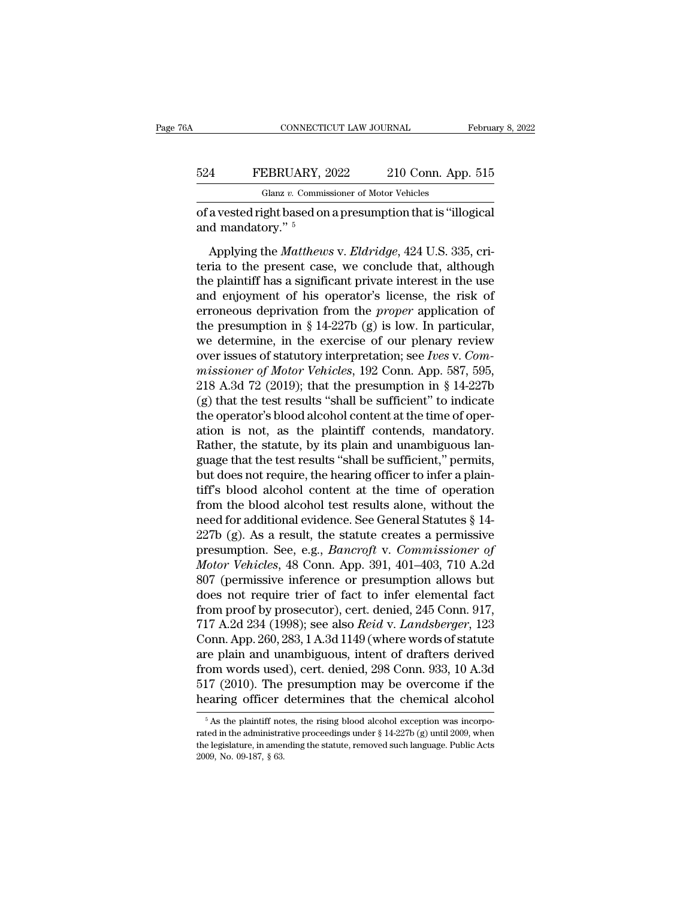#### CONNECTICUT LAW JOURNAL February 8, 2022<br>524 FEBRUARY, 2022 210 Conn. App. 515<br>Glanz v. Commissioner of Motor Vehicles CONNECTICUT LAW JOURNAL<br>EBRUARY, 2022 210 Conn. App<br>Glanz v. Commissioner of Motor Vehicles<br>ight based on a presumption that is "ille CONNECTICUT LAW JOURNAL February 8, 20<br>
524 FEBRUARY, 2022 210 Conn. App. 515<br>
Glanz v. Commissioner of Motor Vehicles<br>
of a vested right based on a presumption that is "illogical<br>
and mandatory." 524 FEBRUARY, 2<br>Glanz v. Commis<br>of a vested right based on<br>and mandatory." 5<br>Applying the *Matthew*.

FEBRUARY, 2022 210 Conn. App. 515<br>
Glanz v. Commissioner of Motor Vehicles<br>
a vested right based on a presumption that is "illogical<br>
d mandatory." <sup>5</sup><br>
Applying the *Matthews* v. *Eldridge*, 424 U.S. 335, cri-<br>
ria to the FEBRUARY, 2022 210 Conn. App. 515<br>
Glanz v. Commissioner of Motor Vehicles<br>
of a vested right based on a presumption that is "illogical<br>
and mandatory." <sup>5</sup><br>
Applying the *Matthews v. Eldridge*, 424 U.S. 335, cri-<br>
teria t Glanz v. Commissioner of Motor Vehicles<br>
of a vested right based on a presumption that is "illogical<br>
and mandatory."  $\frac{5}{5}$ <br>
Applying the *Matthews* v. *Eldridge*, 424 U.S. 335, cri-<br>
teria to the present case, we con of a vested right based on a presumption that is "illogical<br>and mandatory." <sup>5</sup><br>Applying the *Matthews* v. *Eldridge*, 424 U.S. 335, criteria to the present case, we conclude that, although<br>the plaintiff has a significant and mandatory."  $\frac{5}{5}$ <br>Applying the *Matthews v. Eldridge*, 424 U.S. 335, criteria to the present case, we conclude that, although<br>the plaintiff has a significant private interest in the use<br>and enjoyment of his operat Applying the *Matthews* v. *Eldridge*, 424 U.S. 335, criteria to the present case, we conclude that, although the plaintiff has a significant private interest in the use and enjoyment of his operator's license, the risk o Applying the *Matthews* v. *Eldridge*, 424 U.S. 335, criteria to the present case, we conclude that, although<br>the plaintiff has a significant private interest in the use<br>and enjoyment of his operator's license, the risk o teria to the present case, we conclude that, although<br>the plaintiff has a significant private interest in the use<br>and enjoyment of his operator's license, the risk of<br>erroneous deprivation from the *proper* application of<br> the plaintiff has a significant private interest in the use<br>and enjoyment of his operator's license, the risk of<br>erroneous deprivation from the *proper* application of<br>the presumption in § 14-227b (g) is low. In particular and enjoyment of his operator's license, the risk of<br>erroneous deprivation from the *proper* application of<br>the presumption in § 14-227b (g) is low. In particular,<br>we determine, in the exercise of our plenary review<br>over erroneous deprivation from the *proper* application of<br>the presumption in § 14-227b (g) is low. In particular,<br>we determine, in the exercise of our plenary review<br>over issues of statutory interpretation; see *Ives* v. *Co* the presumption in § 14-227b (g) is low. In particular,<br>we determine, in the exercise of our plenary review<br>over issues of statutory interpretation; see *Ives v. Com-*<br>missioner of Motor Vehicles, 192 Conn. App. 587, 595, we determine, in the exercise of our plenary review<br>over issues of statutory interpretation; see *Ives* v. Com-<br>missioner of Motor Vehicles, 192 Conn. App. 587, 595,<br>218 A.3d 72 (2019); that the presumption in § 14-227b<br>( over issues of statutory interpretation; see *Ives v. Commissioner of Motor Vehicles*, 192 Conn. App. 587, 595, 218 A.3d 72 (2019); that the presumption in § 14-227b (g) that the test results "shall be sufficient" to indic missioner of Motor Vehicles, 192 Conn. App. 587, 595, 218 A.3d 72 (2019); that the presumption in § 14-227b (g) that the test results "shall be sufficient" to indicate the operator's blood alcohol content at the time of o 218 A.3d 72 (2019); that the presumption in § 14-227b (g) that the test results "shall be sufficient" to indicate the operator's blood alcohol content at the time of operation is not, as the plaintiff contends, mandatory. (g) that the test results "shall be sufficient" to indicate<br>the operator's blood alcohol content at the time of oper-<br>ation is not, as the plaintiff contends, mandatory.<br>Rather, the statute, by its plain and unambiguous l the operator's blood alcohol content at the time of operation is not, as the plaintiff contends, mandatory.<br>Rather, the statute, by its plain and unambiguous language that the test results "shall be sufficient," permits, ation is not, as the plaintiff contends, mandatory.<br>Rather, the statute, by its plain and unambiguous language that the test results "shall be sufficient," permits,<br>but does not require, the hearing officer to infer a pla Rather, the statute, by its plain and unambiguous language that the test results "shall be sufficient," permits, but does not require, the hearing officer to infer a plaintiff's blood alcohol content at the time of operat guage that the test results "shall be sufficient," permits,<br>but does not require, the hearing officer to infer a plain-<br>tiff's blood alcohol content at the time of operation<br>from the blood alcohol test results alone, witho but does not require, the hearing officer to infer a plaintiff's blood alcohol content at the time of operation<br>from the blood alcohol test results alone, without the<br>need for additional evidence. See General Statutes § 14 tiff's blood alcohol content at the time of operation<br>from the blood alcohol test results alone, without the<br>need for additional evidence. See General Statutes § 14-<br>227b (g). As a result, the statute creates a permissive from the blood alcohol test results alone, without the<br>need for additional evidence. See General Statutes § 14-<br>227b (g). As a result, the statute creates a permissive<br>presumption. See, e.g., *Bancroft* v. *Commissioner o* need for additional evidence. See General Statutes § 14-<br>227b (g). As a result, the statute creates a permissive<br>presumption. See, e.g., *Bancroft* v. *Commissioner of*<br>*Motor Vehicles*, 48 Conn. App. 391, 401–403, 710 A.2 227b (g). As a result, the statute creates a permissive<br>presumption. See, e.g., *Bancroft v. Commissioner of*<br>*Motor Vehicles*, 48 Conn. App. 391, 401–403, 710 A.2d<br>807 (permissive inference or presumption allows but<br>does presumption. See, e.g., *Bancroft v. Commissioner of*<br>Motor Vehicles, 48 Conn. App. 391, 401–403, 710 A.2d<br>807 (permissive inference or presumption allows but<br>does not require trier of fact to infer elemental fact<br>from pro Motor Vehicles, 48 Conn. App. 391, 401–403, 710 A.2d<br>807 (permissive inference or presumption allows but<br>does not require trier of fact to infer elemental fact<br>from proof by prosecutor), cert. denied, 245 Conn. 917,<br>717 A. 807 (permissive inference or presumption allows but<br>does not require trier of fact to infer elemental fact<br>from proof by prosecutor), cert. denied, 245 Conn. 917,<br>717 A.2d 234 (1998); see also *Reid* v. *Landsberger*, 123<br> does not require trier of fact to infer elemental fact<br>from proof by prosecutor), cert. denied, 245 Conn. 917,<br>717 A.2d 234 (1998); see also *Reid* v. *Landsberger*, 123<br>Conn. App. 260, 283, 1 A.3d 1149 (where words of sta from proof by prosecutor), cert. denied, 245 Conn. 917, 717 A.2d 234 (1998); see also *Reid* v. *Landsberger*, 123 Conn. App. 260, 283, 1 A.3d 1149 (where words of statute are plain and unambiguous, intent of drafters der The plaintiff notes, the plaintiff notes, then planned alcohol and the presumption may be overcome if the earing officer determines that the chemical alcohol  $\frac{5}{10}$  As the plaintiff notes, the rising blood alcohol exc from words used), cert. denied, 298 Conn. 933, 10 A.3d 517 (2010). The presumption may be overcome if the hearing officer determines that the chemical alcohol  $\frac{5}{16}$  As the plaintiff notes, the rising blood alcohol ex

<sup>517 (2010).</sup> The presumption may be overcome if the hearing officer determines that the chemical alcohol  $\frac{1}{100}$   $\frac{1}{100}$   $\frac{1}{100}$   $\frac{1}{100}$   $\frac{1}{100}$   $\frac{1}{100}$   $\frac{1}{100}$   $\frac{1}{100}$   $\frac{1}{100}$   $\frac{1}{100$ **EVALUATE:**<br> **EXECUTE:**<br>
F As the plaintiff not<br>
rated in the administra<br>
the legislature, in amer<br>
2009, No. 09-187, § 63.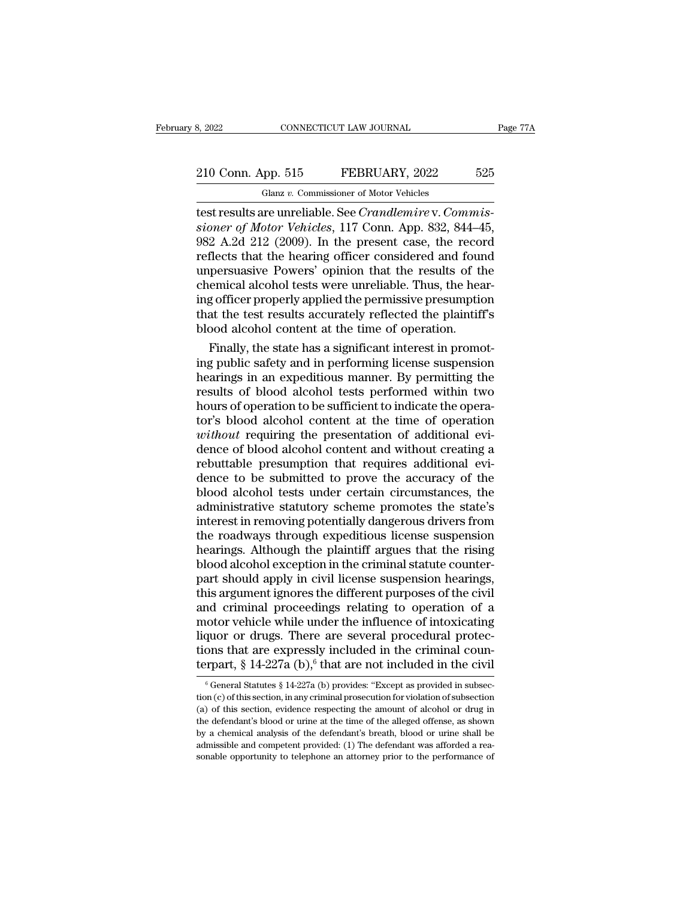# 210 Conn. App. 515 FEBRUARY, 2022 525<br>
210 Conn. App. 515 FEBRUARY, 2022 525<br>
210 Conn. App. 515 FEBRUARY, 2022 525 Glanz *v.* Commissioner of Motor Vehicles

test 2022<br>
10 Conn. App. 515 FEBRUARY, 2022 525<br>
10 Glanz v. Commissioner of Motor Vehicles<br>
10 Glanz v. Commissioner of Motor Vehicles, 117 Conn. App. 832, 844–45,<br>
1082 A 2d 212 (2000). In the present case, the record <sup>2</sup><br>
<sup>Glanz</sup> v. Commissioner of Motor Vehicles<br> **Sincer of Motor Vehicles**<br> **Sincer of Motor Vehicles**, 117 Conn. App. 832, 844–45,<br>
1982 A.2d 212 (2009). In the present case, the record reflects that the hearing officer c 210 Conn. App. 515 FEBRUARY, 2022 525<br>
Glanz v. Commissioner of Motor Vehicles<br>
test results are unreliable. See *Crandlemire* v. Commis-<br>
sioner of Motor Vehicles, 117 Conn. App. 832, 844–45,<br>
982 A.2d 212 (2009). In the 210 Conn. App. 515 FEBRUARY, 2022 525<br>
Glanz v. Commissioner of Motor Vehicles<br>
test results are unreliable. See *Crandlemire* v. *Commissioner of Motor Vehicles*, 117 Conn. App. 832, 844–45,<br>
982 A.2d 212 (2009). In the Gianz v. Commissioner of Motor Vehicles<br>test results are unreliable. See *Crandlemire v. Commissioner of Motor Vehicles*, 117 Conn. App. 832, 844–45,<br>982 A.2d 212 (2009). In the present case, the record<br>reflects that the Glanz v. Commissioner of Motor Vehicles<br>test results are unreliable. See *Crandlemire* v. Commis-<br>sioner of Motor Vehicles, 117 Conn. App. 832, 844–45,<br>982 A.2d 212 (2009). In the present case, the record<br>reflects that th test results are unreliable. See *Crandlemire* v. *Commissioner of Motor Vehicles*, 117 Conn. App. 832, 844–45, 982 A.2d 212 (2009). In the present case, the record reflects that the hearing officer considered and found un sioner of Motor Vehicles, 117 Conn. App. 832, 844–45, 982 A.2d 212 (2009). In the present case, the record reflects that the hearing officer considered and found unpersuasive Powers' opinion that the results of the chemica 982 A.2d 212 (2009). In the present case, the recorreflects that the hearing officer considered and four unpersuasive Powers' opinion that the results of the chemical alcohol tests were unreliable. Thus, the hearing office flects that the hearing officer considered and found<br>persuasive Powers' opinion that the results of the<br>emical alcohol tests were unreliable. Thus, the hear-<br>g officer properly applied the permissive presumption<br>at the tes unpersuasive Powers' opinion that the results of the<br>chemical alcohol tests were unreliable. Thus, the hear-<br>ing officer properly applied the permissive presumption<br>that the test results accurately reflected the plaintiff'

chemical alcohol tests were unreliable. Thus, the hearing officer properly applied the permissive presumption<br>that the test results accurately reflected the plaintiff's<br>blood alcohol content at the time of operation.<br>Final ing officer properly applied the permissive presumption<br>that the test results accurately reflected the plaintiff's<br>blood alcohol content at the time of operation.<br>Finally, the state has a significant interest in promot-<br>in that the test results accurately reflected the plaintiff's<br>blood alcohol content at the time of operation.<br>Finally, the state has a significant interest in promot-<br>ing public safety and in performing license suspension<br>hea blood alcohol content at the time of operation.<br>Finally, the state has a significant interest in promoting public safety and in performing license suspension<br>hearings in an expeditious manner. By permitting the<br>results of Finally, the state has a significant interest in promoting public safety and in performing license suspension<br>hearings in an expeditious manner. By permitting the<br>results of blood alcohol tests performed within two<br>hours o ing public safety and in performing license suspension<br>hearings in an expeditious manner. By permitting the<br>results of blood alcohol tests performed within two<br>hours of operation to be sufficient to indicate the opera-<br>tor hearings in an expeditious manner. By permitting the results of blood alcohol tests performed within two hours of operation to be sufficient to indicate the operator's blood alcohol content at the time of operation without results of blood alcohol tests performed within two<br>hours of operation to be sufficient to indicate the opera-<br>tor's blood alcohol content at the time of operation<br>without requiring the presentation of additional evi-<br>denc hours of operation to be sufficient to indicate the operator's blood alcohol content at the time of operation without requiring the presentation of additional evidence of blood alcohol content and without creating a rebutt tor's blood alcohol content at the time of operation<br>without requiring the presentation of additional evi-<br>dence of blood alcohol content and without creating a<br>rebuttable presumption that requires additional evi-<br>dence to without requiring the presentation of additional evi-<br>dence of blood alcohol content and without creating a<br>rebuttable presumption that requires additional evi-<br>dence to be submitted to prove the accuracy of the<br>blood alco dence of blood alcohol content and without creating a<br>rebuttable presumption that requires additional evi-<br>dence to be submitted to prove the accuracy of the<br>blood alcohol tests under certain circumstances, the<br>administrat rebuttable presumption that requires additional evi-<br>dence to be submitted to prove the accuracy of the<br>blood alcohol tests under certain circumstances, the<br>administrative statutory scheme promotes the state's<br>interest in dence to be submitted to prove the accuracy of the blood alcohol tests under certain circumstances, the administrative statutory scheme promotes the state's interest in removing potentially dangerous drivers from the roadw blood alcohol tests under certain circumstances, the<br>administrative statutory scheme promotes the state's<br>interest in removing potentially dangerous drivers from<br>the roadways through expeditious license suspension<br>hearings administrative statutory scheme promotes the state's<br>interest in removing potentially dangerous drivers from<br>the roadways through expeditious license suspension<br>hearings. Although the plaintiff argues that the rising<br>blood interest in removing potentially dangerous drivers from<br>the roadways through expeditious license suspension<br>hearings. Although the plaintiff argues that the rising<br>blood alcohol exception in the criminal statute counter-<br>p the roadways through expeditious license suspension<br>hearings. Although the plaintiff argues that the rising<br>blood alcohol exception in the criminal statute counter-<br>part should apply in civil license suspension hearings,<br>t hearings. Although the plaintiff argues that the rising<br>blood alcohol exception in the criminal statute counter-<br>part should apply in civil license suspension hearings,<br>this argument ignores the different purposes of the blood alcohol exception in the criminal statute counterpart should apply in civil license suspension hearings, this argument ignores the different purposes of the civil and criminal proceedings relating to operation of a part should apply in civil license suspension hearings,<br>this argument ignores the different purposes of the civil<br>and criminal proceedings relating to operation of a<br>motor vehicle while under the influence of intoxicating for our vehicle while under the influence of intoxicating<br>quor or drugs. There are several procedural protec-<br>ons that are expressly included in the criminal coun-<br>rpart, § 14-227a (b),<sup>6</sup> that are not included in the civ liquor or drugs. There are several procedural protections that are expressly included in the criminal counterpart, § 14-227a (b),<sup>6</sup> that are not included in the civil<br><sup>6</sup> General Statutes § 14-227a (b) provides: "Except

tions that are expressly included in the criminal coun-<br>terpart, § 14-227a (b),<sup>6</sup> that are not included in the civil<br> $\frac{1}{6}$  General Statutes § 14-227a (b) provides: "Except as provided in subsec-<br>tion (c) of this sect terpart, § 14-227a (b),<sup>6</sup> that are not included in the civil<br>  $\frac{1}{6}$  General Statutes § 14-227a (b) provides: "Except as provided in subsection (c) of this section, in any criminal prosecution for violation of subsect berpart,  $S$  14-227a ( $D$ )," that are not included in the CIVII<br>
<sup>6</sup> General Statutes § 14-227a (b) provides: "Except as provided in subsection (c) of this section, in any criminal prosecution for violation of subsection<br>  $^\circ$  General Statutes § 14-227a (b) provides: "Except as provided in subsection (c) of this section, in any criminal prosecution for violation of subsection (a) of this section, evidence respecting the amount of alcohol o solution (c) of this section, in any criminal prosecution for violation of subsection (a) of this section, evidence respecting the amount of alcohol or drug in the defendant's blood or urine at the time of the alleged off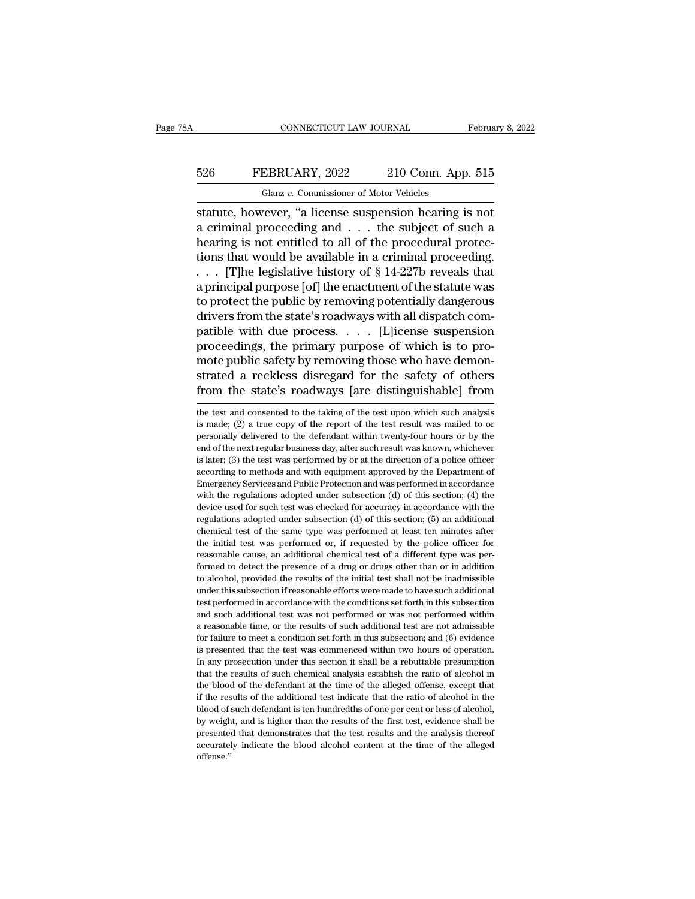# EXECUTE CONNECTICUT LAW JOURNAL February 8, 2022<br>526 FEBRUARY, 2022 210 Conn. App. 515<br>Glanz v. Commissioner of Motor Vehicles CONNECTICUT LAW JOURNAL<br>EBRUARY, 2022 210 Conn. App<br>Glanz *v.* Commissioner of Motor Vehicles<br>vever "a license suspension hearing i

CONNECTICUT LAW JOURNAL February 8, 202<br>
FEBRUARY, 2022 210 Conn. App. 515<br>
Glanz v. Commissioner of Motor Vehicles<br>
Statute, however, "a license suspension hearing is not<br>
a criminal proceeding and . . . the subject of su FEBRUARY, 2022 210 Conn. App. 515<br>
Glanz v. Commissioner of Motor Vehicles<br>
statute, however, "a license suspension hearing is not<br>
a criminal proceeding and . . . the subject of such a<br>
hearing is not entitled to all of t FEBRUARY, 2022 210 Conn. App. 515<br>
Glanz v. Commissioner of Motor Vehicles<br>
statute, however, "a license suspension hearing is not<br>
a criminal proceeding and . . . the subject of such a<br>
hearing is not entitled to all of 526 FEBRUARY, 2022 210 Conn. App. 515<br>
Glanz v. Commissioner of Motor Vehicles<br>
statute, however, "a license suspension hearing is not<br>
a criminal proceeding and . . . the subject of such a<br>
hearing is not entitled to all Glanz v. Commissioner of Motor Vehicles<br>
statute, however, "a license suspension hearing is not<br>
a criminal proceeding and . . . the subject of such a<br>
hearing is not entitled to all of the procedural protec-<br>
tions that Gianz v. Commissioner of Motor Vencies<br>statute, however, "a license suspension hearing is not<br>a criminal proceeding and . . . the subject of such a<br>hearing is not entitled to all of the procedural protec-<br>tions that would statute, however, "a license suspension hearing is not<br>a criminal proceeding and  $\ldots$  the subject of such a<br>hearing is not entitled to all of the procedural protec-<br>tions that would be available in a criminal proceeding. a criminal proceeding and  $\ldots$  the subject of such a<br>hearing is not entitled to all of the procedural protec-<br>tions that would be available in a criminal proceeding.<br> $\ldots$  [T]he legislative history of § 14-227b reveals t hearing is not entitled to all of the procedural protections that would be available in a criminal proceeding.<br>
. . . [T]he legislative history of  $\S$  14-227b reveals that<br>
a principal purpose [of] the enactment of the st tions that would be available in a criminal proceeding.<br>  $\ldots$  [T]he legislative history of § 14-227b reveals that<br>
a principal purpose [of] the enactment of the statute was<br>
to protect the public by removing potentially . . . [T]he legislative history of  $\S$  14-227b reveals that<br>a principal purpose [of] the enactment of the statute was<br>to protect the public by removing potentially dangerous<br>drivers from the state's roadways with all disp a principal purpose [of] the enactment of the statute was<br>to protect the public by removing potentially dangerous<br>drivers from the state's roadways with all dispatch com-<br>patible with due process. . . . [L]icense suspensio to protect the public by removing potentially dangerous<br>drivers from the state's roadways with all dispatch com-<br>patible with due process. . . . . [L]icense suspension<br>proceedings, the primary purpose of which is to pro-<br>m proceedings, the primary purpose of which is to promote public safety by removing those who have demonstrated a reckless disregard for the safety of others from the state's roadways [are distinguishable] from the test and mote public safety by removing those who have demon-<br>strated a reckless disregard for the safety of others<br>from the state's roadways [are distinguishable] from<br>the test and consented to the taking of the test upon which su

strated a reckless disregard for the safety of others<br>from the state's roadways [are distinguishable] from<br>the test and consented to the taking of the test upon which such analysis<br>is made; (2) a true copy of the report of from the state's roadways [are distinguishable] from<br>the test and consented to the taking of the test upon which such analysis<br>is made; (2) a true copy of the report of the test result was mailed to or<br>personally delivered IFOILE THE STACK STOGUWAYS [AFE UISTINGUSTIADTE] HOILE<br>the test and consented to the taking of the test upon which such analysis<br>is made; (2) a true copy of the report of the test result was mailed to or<br>personally deliver the test and consented to the taking of the test upon which such analysis<br>is made; (2) a true copy of the report of the test result was mailed to or<br>personally delivered to the defendant within twenty-four hours or by the<br> is made; (2) a true copy of the report of the test result was mailed to or personally delivered to the defendant within twenty-four hours or by the end of the next regular business day, after such result was known, whiche  $E$  maximum be respected to the defendant within twenty-four hours or by the end of the next regular business day, after such result was known, whichever is later; (3) the test was performed by or at the direction of a po peace of the next regular business day, after such result was known, whichever is later; (3) the test was performed by or at the direction of a police officer according to methods and with equipment approved by the Depart is later; (3) the test was performed by or at the direction of a police officer according to methods and with equipment approved by the Department of Emergency Services and Public Protection and was performed in accordanc according to methods and with equipment approved by the Department of Emergency Services and Public Protection and was performed in accordance with the regulations adopted under subsection (d) of this section; (4) the devi Emergency Services and Public Protection and was performed in accordance<br>with the regulations adopted under subsection (d) of this section; (4) the<br>device used for such test was checked for accuracy in accordance with the<br> with the regulations adopted under subsection (d) of this section; (4) the device used for such test was checked for accuracy in accordance with the regulations adopted under subsection (d) of this section; (5) an additio device used for such test was checked for accuracy in accordance with the regulations adopted under subsection (d) of this section; (5) an additional chemical test of the same type was performed at least ten minutes after regulations adopted under subsection (d) of this section; (5) an additional chemical test of the same type was performed at least ten minutes after the initial test was performed or, if requested by the police officer for Exploration is subsection if reasonable efforts were minutes after the initial test was performed or, if requested by the police officer for reasonable cause, an additional chemical test of a different type was performed t the initial test was performed or, if requested by the police officer for the initial test was performed or, if requested by the police officer for reasonable cause, an additional chemical test of a different type was perf are and such a performed or  $\mu$  is detected by a different type was performed to detect the presence of a drug or drugs other than or in addition to alcohol, provided the results of the initial test shall not be inadmiss Formed to detect the presence of a drug or drugs other than or in addition to alcohol, provided the results of the initial test shall not be inadmissible under this subsection if reasonable efforts were made to have such for alcohol, provided the results of the initial test shall not be inadmissible under this subsection if reasonable efforts were made to have such additional test performed in accordance with the conditions set forth in th is under this subsection if reasonable efforts were made to have such additional test performed in accordance with the conditions set forth in this subsection and such additional test was not performed or was not performed In any prosecution and such a reasonable time conditions set forth in this subsection and such additional test was not performed or was not performed within a reasonable time, or the results of such additional test are not and such additional test was not performed or was not performed within a reasonable time, or the results of such additional test are not admissible for failure to meet a condition set forth in this subsection; and  $(6)$  e a reasonable time, or the results of such additional test are not admissible for failure to meet a condition set forth in this subsection; and  $(6)$  evidence is presented that the test was commenced within two hours of op For failure to meet a condition set forth in this subsection; and (6) evidence is presented that the test was commenced within two hours of operation. In any prosecution under this section it shall be a rebuttable presump is presented that the test was commenced within two hours of operation. In any prosecution under this section it shall be a rebuttable presumption that the results of such chemical analysis establish the ratio of alcohol i by prosecution under this section it shall be a rebuttable presumption<br>that the results of such chemical analysis establish the ratio of alcohol in<br>the blood of the defendant at the time of the alleged offense, except that that the results of such chemical analysis establish the ratio of alcohol in<br>the blood of the defendant at the time of the alleged offense, except that<br>if the results of the additional test indicate that the ratio of alcoh accurately indicate that the time of the alleged offense, except that if the results of the additional test indicate that the ratio of alcohol in the blood of such defendant is ten-hundredths of one per cent or less of alc offense.''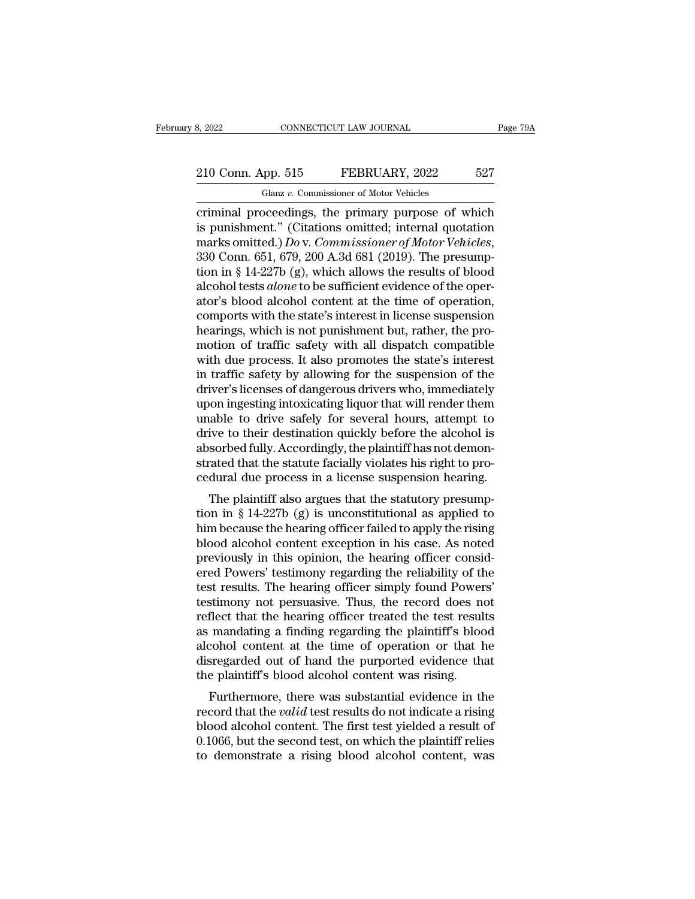# 210 Conn. App. 515 FEBRUARY, 2022 527<br>
210 Conn. App. 515 FEBRUARY, 2022 527<br>
210 Conn. App. 515 FEBRUARY, 2022 527 Glanz *v.* Commissioner of Motor Vehicles

connectricut LAW JOURNAL Page 79A<br>
210 Conn. App. 515 FEBRUARY, 2022 527<br>
Glanz v. Commissioner of Motor Vehicles<br>
criminal proceedings, the primary purpose of which<br>
is punishment." (Citations omitted; internal quotation<br> 210 Conn. App. 515 FEBRUARY, 2022 527<br>
Glanz v. Commissioner of Motor Vehicles<br>
criminal proceedings, the primary purpose of which<br>
is punishment.'' (Citations omitted; internal quotation<br>
marks omitted.) Do v. Commissione 210 Conn. App. 515 FEBRUARY, 2022 527<br>
Glanz v. Commissioner of Motor Vehicles<br>
criminal proceedings, the primary purpose of which<br>
is punishment." (Citations omitted; internal quotation<br>
marks omitted.) *Do* v. Commission Glanz v. Commissioner of Motor Vehicles<br>
criminal proceedings, the primary purpose of which<br>
is punishment." (Citations omitted; internal quotation<br>
marks omitted.) Do v. Commissioner of Motor Vehicles,<br>
330 Conn. 651, 679 Glanz *v*. Commissioner of Motor Vehicles<br>
criminal proceedings, the primary purpose of which<br>
is punishment." (Citations omitted; internal quotation<br>
marks omitted.) *Do* v. Commissioner of Motor Vehicles,<br>
330 Conn. 651, criminal proceedings, the primary purpose of which<br>is punishment." (Citations omitted; internal quotation<br>marks omitted.) *Do* v. *Commissioner of Motor Vehicles*,<br>330 Conn. 651, 679, 200 A.3d 681 (2019). The presump-<br>tio is punishment." (Citations omitted; internal quotation<br>marks omitted.) *Do* v. *Commissioner of Motor Vehicles*,<br>330 Conn. 651, 679, 200 A.3d 681 (2019). The presump-<br>tion in § 14-227b (g), which allows the results of blo marks omitted.) *Do* v. *Commissioner of Motor Vehicles*, 330 Conn. 651, 679, 200 A.3d 681 (2019). The presumption in § 14-227b (g), which allows the results of blood alcohol tests *alone* to be sufficient evidence of the 330 Conn. 651, 679, 200 A.3d 681 (2019). The presumption in § 14-227b (g), which allows the results of blood alcohol tests *alone* to be sufficient evidence of the operator's blood alcohol content at the time of operation tion in § 14-227b (g), which allows the results of blood<br>alcohol tests *alone* to be sufficient evidence of the oper-<br>ator's blood alcohol content at the time of operation,<br>comports with the state's interest in license su alcohol tests *alone* to be sufficient evidence of the operator's blood alcohol content at the time of operation,<br>comports with the state's interest in license suspension<br>hearings, which is not punishment but, rather, the ator's blood alcohol content at the time of operation,<br>comports with the state's interest in license suspension<br>hearings, which is not punishment but, rather, the pro-<br>motion of traffic safety with all dispatch compatible<br> comports with the state's interest in license suspension<br>hearings, which is not punishment but, rather, the pro-<br>motion of traffic safety with all dispatch compatible<br>with due process. It also promotes the state's interest hearings, which is not punishment but, rather, the pro-<br>motion of traffic safety with all dispatch compatible<br>with due process. It also promotes the state's interest<br>in traffic safety by allowing for the suspension of the<br> motion of traffic safety with all dispatch compatible<br>with due process. It also promotes the state's interest<br>in traffic safety by allowing for the suspension of the<br>driver's licenses of dangerous drivers who, immediately<br> with due process. It also promotes the state's interest<br>in traffic safety by allowing for the suspension of the<br>driver's licenses of dangerous drivers who, immediately<br>upon ingesting intoxicating liquor that will render th in traffic safety by allowing for the suspension of the driver's licenses of dangerous drivers who, immediately upon ingesting intoxicating liquor that will render them unable to drive safely for several hours, attempt to driver's licenses of dangerous drivers who, immediately<br>upon ingesting intoxicating liquor that will render them<br>unable to drive safely for several hours, attempt to<br>drive to their destination quickly before the alcohol is Following musics and publicating into that will relider them<br>able to drive safely for several hours, attempt to<br>ive to their destination quickly before the alcohol is<br>sorbed fully. Accordingly, the plaintiff has not demon that the safety for several hours, attempt to<br>drive to their destination quickly before the alcohol is<br>absorbed fully. Accordingly, the plaintiff has not demon-<br>strated that the statute facially violates his right to pro-<br>

absorbed fully. Accordingly, the plaintiff has not demonstrated that the statute facially violates his right to procedural due process in a license suspension hearing.<br>The plaintiff also argues that the statutory presumpti absorbed runy. Accordingly, the plaintif has not definite<br>strated that the statute facially violates his right to pro-<br>cedural due process in a license suspension hearing.<br>The plaintiff also argues that the statutory presu strated that the statute factally violates its right to pro-<br>cedural due process in a license suspension hearing.<br>The plaintiff also argues that the statutory presump-<br>tion in § 14-227b (g) is unconstitutional as applied t The plaintiff also argues that the statutory presumption in § 14-227b (g) is unconstitutional as applied to him because the hearing officer failed to apply the rising blood alcohol content exception in his case. As noted p The plaintiff also argues that the statutory presumption in  $\S$  14-227b (g) is unconstitutional as applied to him because the hearing officer failed to apply the rising blood alcohol content exception in his case. As note tion in § 14-227b (g) is unconstitutional as applied to<br>him because the hearing officer failed to apply the rising<br>blood alcohol content exception in his case. As noted<br>previously in this opinion, the hearing officer cons him because the hearing officer failed to apply the rising<br>blood alcohol content exception in his case. As noted<br>previously in this opinion, the hearing officer consid-<br>ered Powers' testimony regarding the reliability of t blood alcohol content exception in his case. As noted<br>previously in this opinion, the hearing officer consid-<br>ered Powers' testimony regarding the reliability of the<br>test results. The hearing officer simply found Powers'<br>t previously in this opinion, the hearing officer considered Powers' testimony regarding the reliability of the test results. The hearing officer simply found Powers' testimony not persuasive. Thus, the record does not refle ered Powers' testimony regarding the reliability of the<br>test results. The hearing officer simply found Powers'<br>testimony not persuasive. Thus, the record does not<br>reflect that the hearing officer treated the test results<br>a test results. The hearing officer simply found Power<br>testimony not persuasive. Thus, the record does no<br>reflect that the hearing officer treated the test resul<br>as mandating a finding regarding the plaintiff's blood<br>alcohol Furthermore, there was substantial evidence in the cord and also also<br>hold content at the time of operation or that he sregarded out of hand the purported evidence that<br>e plaintiff's blood alcohol content was rising.<br>Furth reflect that the flearing officer treated the test results<br>as mandating a finding regarding the plaintiff's blood<br>alcohol content at the time of operation or that he<br>disregarded out of hand the purported evidence that<br>the

as manuating a miding regarding the plantin is blood<br>alcohol content at the time of operation or that he<br>disregarded out of hand the purported evidence that<br>the plaintiff's blood alcohol content was rising.<br>Furthermore, th alcohol content at the thile of operation of that he<br>disregarded out of hand the purported evidence that<br>the plaintiff's blood alcohol content was rising.<br>Furthermore, there was substantial evidence in the<br>record that the the plaintiff's blood alcohol content was rising.<br>Turthermore, there was substantial evidence in the<br>record that the *valid* test results do not indicate a rising<br>blood alcohol content. The first test yielded a result of<br>0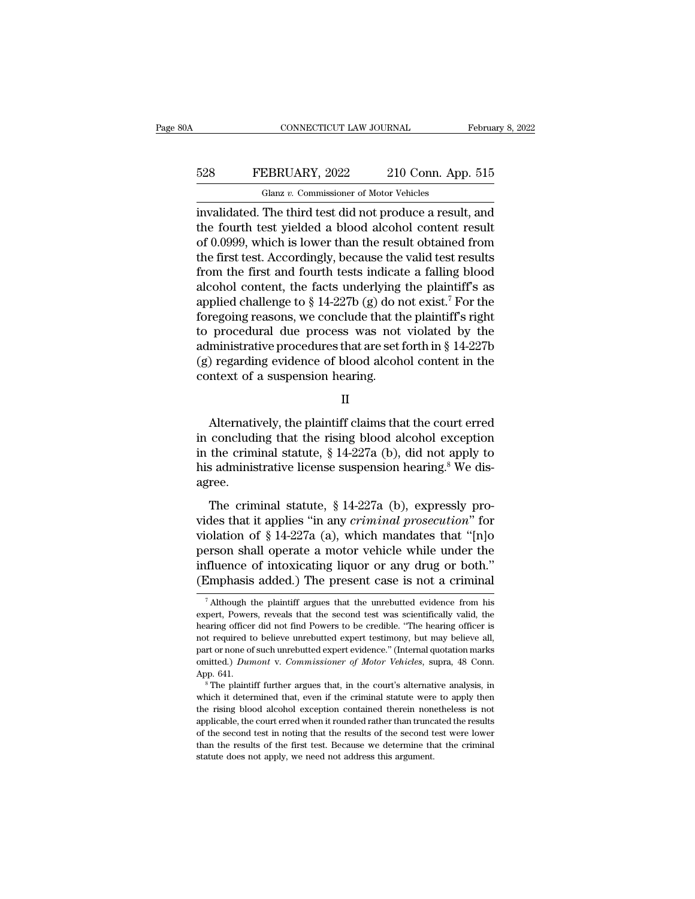# EXECUTE CONNECTICUT LAW JOURNAL February 8, 2022<br>528 FEBRUARY, 2022 210 Conn. App. 515<br>Glanz v. Commissioner of Motor Vehicles CONNECTICUT LAW JOURNAL Februa<br>
FEBRUARY, 2022 210 Conn. App. 515<br>
Glanz *v.* Commissioner of Motor Vehicles<br>
invalidated. The third test did not produce a result, and

CONNECTICUT LAW JOURNAL February 8, 2022<br>
FEBRUARY, 2022 210 Conn. App. 515<br>
Glanz v. Commissioner of Motor Vehicles<br>
invalidated. The third test did not produce a result, and<br>
the fourth test yielded a blood alcohol conte FEBRUARY, 2022 210 Conn. App. 515<br>
Glanz v. Commissioner of Motor Vehicles<br>
invalidated. The third test did not produce a result, and<br>
the fourth test yielded a blood alcohol content result<br>
of 0.0999, which is lower than EXECT FEBRUARY, 2022 210 Conn. App. 515<br>
Glanz v. Commissioner of Motor Vehicles<br>
invalidated. The third test did not produce a result, and<br>
the fourth test yielded a blood alcohol content result<br>
of 0.0999, which is lowe FEBRUARY, 2022 210 Conn. App. 515<br>
Glanz v. Commissioner of Motor Vehicles<br>
invalidated. The third test did not produce a result, and<br>
the fourth test yielded a blood alcohol content result<br>
of 0.0999, which is lower than Glanz v. Commissioner of Motor Vehicles<br>invalidated. The third test did not produce a result, and<br>the fourth test yielded a blood alcohol content result<br>of 0.0999, which is lower than the result obtained from<br>the first te Gianz v. Commissioner of Motor Vencies<br>invalidated. The third test did not produce a result, and<br>the fourth test yielded a blood alcohol content result<br>of 0.0999, which is lower than the result obtained from<br>the first tes invalidated. The third test did not produce a result, and<br>the fourth test yielded a blood alcohol content result<br>of 0.0999, which is lower than the result obtained from<br>the first test. Accordingly, because the valid test r the fourth test yielded a blood alcohol content result<br>of 0.0999, which is lower than the result obtained from<br>the first test. Accordingly, because the valid test results<br>from the first and fourth tests indicate a falling of 0.0999, which is lower than the result obtained from<br>the first test. Accordingly, because the valid test results<br>from the first and fourth tests indicate a falling blood<br>alcohol content, the facts underlying the plaint the first test. Accordingly, because the valid test results<br>from the first and fourth tests indicate a falling blood<br>alcohol content, the facts underlying the plaintiff's as<br>applied challenge to § 14-227b (g) do not exist. from the first and fourth tests indicate a falling blood<br>alcohol content, the facts underlying the plaintiff's as<br>applied challenge to  $\S 14-227b$  (g) do not exist.<sup>7</sup> For the<br>foregoing reasons, we conclude that the plain alcohol content, the facts underlying<br>applied challenge to § 14-227b (g) do n<br>foregoing reasons, we conclude that th<br>to procedural due process was not<br>administrative procedures that are set 1<br>(g) regarding evidence of bloo procedural due process was not violated by the<br>ministrative procedures that are set forth in § 14-227b<br>) regarding evidence of blood alcohol content in the<br>ntext of a suspension hearing.<br> $II$ <br>Alternatively, the plaintiff c

II

administrative procedures that are set forth in § 14-227b<br>
(g) regarding evidence of blood alcohol content in the<br>
context of a suspension hearing.<br>
II<br>
Alternatively, the plaintiff claims that the court erred<br>
in conclud (g) regarding evidence of blood alcohol content in the<br>context of a suspension hearing.<br> $\quad$  II<br>Alternatively, the plaintiff claims that the court erred<br>in concluding that the rising blood alcohol exception<br>in the crimina context of a suspension hearing.<br>
II<br>
Alternatively, the plaintiff claims that the court erred<br>
in concluding that the rising blood alcohol exception<br>
in the criminal statute, § 14-227a (b), did not apply to<br>
his administ agree. Alternatively, the plaintiff claims that the court erred<br>concluding that the rising blood alcohol exception<br>the criminal statute, § 14-227a (b), did not apply to<br>s administrative license suspension hearing.<sup>8</sup> We dis-<br>ree in concluding that the rising blood alcohol exception<br>in the criminal statute,  $§$  14-227a (b), did not apply to<br>his administrative license suspension hearing.<sup>8</sup> We dis-<br>agree.<br>The criminal statute,  $§$  14-227a (b), expr

in the criminal statute, § 14-227a (b), did not apply to<br>his administrative license suspension hearing.<sup>8</sup> We dis-<br>agree.<br>The criminal statute, § 14-227a (b), expressly pro-<br>vides that it applies "in any *criminal prosecu* m are emining static,  $\frac{1}{2}$  in 11.12 ( $\frac{1}{2}$ ), and not apply to<br>his administrative license suspension hearing.<sup>8</sup> We dis-<br>agree.<br>The criminal statute,  $\frac{1}{2}$  14-227a (b), expressly pro-<br>vides that it applies "in influence of intoxical statute,  $\$ 14-227a (b), expressly provides that it applies "in any *criminal prosecution*" for violation of  $\$ 14-227a (a), which mandates that "[n]o person shall operate a motor vehicle while under The criminal statute, § 14-227a (b), expressly provides that it applies "in any *criminal prosecution*" for violation of § 14-227a (a), which mandates that "[n]o person shall operate a motor vehicle while under the influe olation of § 14-227a (a), which mandates that "[n]o<br>erson shall operate a motor vehicle while under the<br>fluence of intoxicating liquor or any drug or both."<br>Emphasis added.) The present case is not a criminal<br> $\frac{1}{7}$  Al person shall operate a motor vehicle while under the<br>influence of intoxicating liquor or any drug or both."<br>(Emphasis added.) The present case is not a criminal<br><sup>7</sup>Although the plaintiff argues that the unrebutted evidence

influence of intoxicating liquor or any drug or both."<br>
(Emphasis added.) The present case is not a criminal<br>
<sup>7</sup> Although the plaintiff argues that the unrebutted evidence from his<br>
expert, Powers, reveals that the secon The present case is not a criminal<br>
The present case is not a criminal<br>
The present, Powers, reveals that the second test was scientifically valid, the<br>
hearing officer did not find Powers to be credible. "The hearing offi The present case is not a criminal<br>Talthough the plaintiff argues that the unrebutted evidence from his<br>expert, Powers, reveals that the second test was scientifically valid, the<br>hearing officer did not find Powers to be <sup>7</sup> Although the plaintiff argues that the unrebutted evidence from his expert, Powers, reveals that the second test was scientifically valid, the hearing officer did not find Powers to be credible. "The hearing officer i expert, Powers, reveals that the second test was scientifically valid, the hearing officer did not find Powers to be credible. "The hearing officer is not required to believe unrebutted expert testimony, but may believe al meaning sinced to believe unrebutted expert testimony, but may believe all, part or none of such unrebutted expert evidence." (Internal quotation marks omitted.) *Dumont v. Commissioner of Motor Vehicles*, supra, 48 Conn.

part or none of such unrebutted expert evidence." (Internal quotation marks omitted.) *Dumont* v. *Commissioner of Motor Vehicles*, supra, 48 Conn. App. 641.<br><sup>8</sup> The plaintiff further argues that, in the court's alternati % omitted.) Dumont v. Commissioner of Motor Vehicles, supra, 48 Conn.<br>App. 641.<br>
<sup>8</sup> The plaintiff further argues that, in the court's alternative analysis, in<br>
which it determined that, even if the criminal statute were App. 641.<br>
<sup>8</sup> The plaintiff further argues that, in the court's alternative analysis, in<br>
<sup>8</sup> The plaintiff further argues that, in the criminal statute were to apply then<br>
the rising blood alcohol exception contained the  $\degree$  The plaintiff further argues that, in the court's alternative analysis, in which it determined that, even if the criminal statute were to apply then the rising blood alcohol exception contained therein nonetheless is which it determined that, even if the criminal statute were to apply then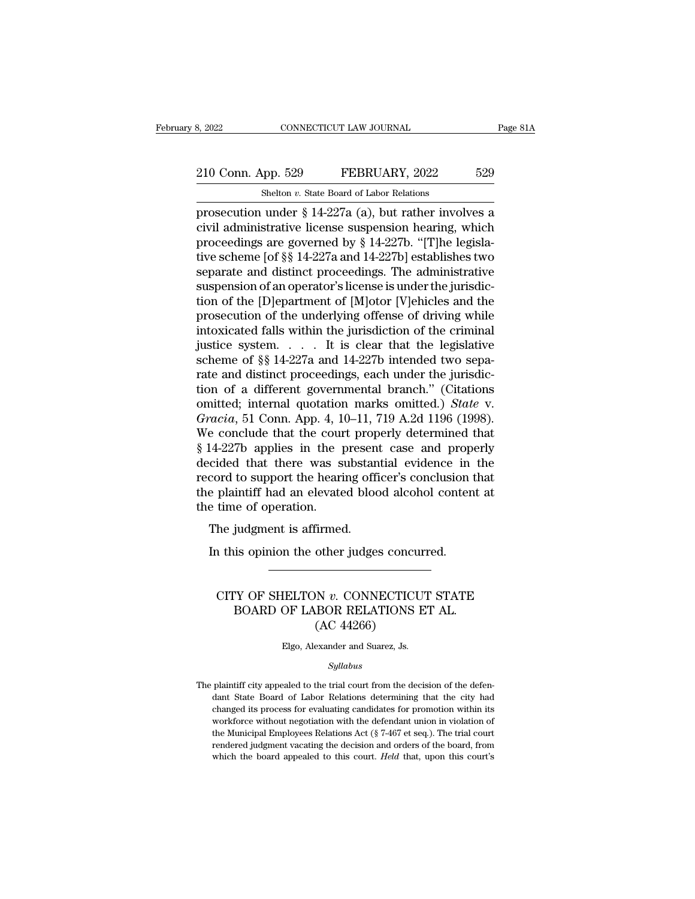# 210 Conn. App. 529 FEBRUARY, 2022 529<br>Shelton v. State Board of Labor Relations CONNECTICUT LAW JOURNAL<br>
shelton *v.* State Board of Labor Relations<br>
under § 14-227a (a) but rather invol

Page 81A<br>
210 Conn. App. 529 FEBRUARY, 2022 529<br>
Shelton v. State Board of Labor Relations<br>
prosecution under § 14-227a (a), but rather involves a<br>
civil administrative license suspension hearing, which<br>
proceedings are go 210 Conn. App. 529 FEBRUARY, 2022 529<br>Shelton v. State Board of Labor Relations<br>prosecution under § 14-227a (a), but rather involves a<br>civil administrative license suspension hearing, which<br>proceedings are governed by § 14 210 Conn. App. 529 FEBRUARY, 2022 529<br>
Shelton v. State Board of Labor Relations<br>
prosecution under § 14-227a (a), but rather involves a<br>
civil administrative license suspension hearing, which<br>
proceedings are governed by 210 Conn. App. 529 FEBRUARY, 2022 529<br>
Shelton v. State Board of Labor Relations<br>
prosecution under § 14-227a (a), but rather involves a<br>
civil administrative license suspension hearing, which<br>
proceedings are governed by Shelton v. State Board of Labor Relations<br>prosecution under § 14-227a (a), but rather involves a<br>civil administrative license suspension hearing, which<br>proceedings are governed by § 14-227b. "[T]he legisla-<br>tive scheme [o Shelton v. State Board of Labor Relations<br>prosecution under § 14-227a (a), but rather involves a<br>civil administrative license suspension hearing, which<br>proceedings are governed by § 14-227b. "[T]he legisla-<br>tive scheme [o prosecution under § 14-227a (a), but rather involves a<br>civil administrative license suspension hearing, which<br>proceedings are governed by § 14-227b. "[T]he legisla-<br>tive scheme [of §§ 14-227a and 14-227b] establishes two<br> civil administrative license suspension hearing, which<br>proceedings are governed by § 14-227b. "[T]he legisla-<br>tive scheme [of §§ 14-227a and 14-227b] establishes two<br>separate and distinct proceedings. The administrative<br>s proceedings are governed by § 14-227b. "[T]he legislative scheme [of §§ 14-227a and 14-227b] establishes two<br>separate and distinct proceedings. The administrative<br>suspension of an operator's license is under the jurisdictive scheme [of §§ 14-227a and 14-227b] establishes two<br>separate and distinct proceedings. The administrative<br>suspension of an operator's license is under the jurisdic-<br>tion of the [D]epartment of [M]otor [V]ehicles and th separate and distinct proceedings. The administrative<br>suspension of an operator's license is under the jurisdic-<br>tion of the [D]epartment of [M]otor [V]ehicles and the<br>prosecution of the underlying offense of driving whil suspension of an operator's license is under the jurisdiction of the [D]epartment of [M]otor [V]ehicles and the prosecution of the underlying offense of driving while intoxicated falls within the jurisdiction of the crimi tion of the [D]epartment of [M]otor [V]ehicles and the<br>prosecution of the underlying offense of driving while<br>intoxicated falls within the jurisdiction of the criminal<br>justice system..... It is clear that the legislative<br> prosecution of the underlying offense of driving while<br>intoxicated falls within the jurisdiction of the criminal<br>justice system. . . . . It is clear that the legislative<br>scheme of §§ 14-227a and 14-227b intended two sepa-<br> intoxicated falls within the jurisdiction of the criminal<br>justice system. . . . . It is clear that the legislative<br>scheme of §§ 14-227a and 14-227b intended two sepa-<br>rate and distinct proceedings, each under the jurisdicjustice system.... It is clear that the legislative<br>scheme of §§ 14-227a and 14-227b intended two sepa-<br>rate and distinct proceedings, each under the jurisdic-<br>tion of a different governmental branch." (Citations<br>omitted; scheme of §§ 14-227a and 14-227b intended two separate and distinct proceedings, each under the jurisdiction of a different governmental branch." (Citations omitted; internal quotation marks omitted.) *State* v. *Gracia*, rate and distinct proceedings, each under the jurisdiction of a different governmental branch." (Citations<br>omitted; internal quotation marks omitted.) *State* v.<br>*Gracia*, 51 Conn. App. 4, 10–11, 719 A.2d 1196 (1998).<br>We c tion of a different governmental branch." (Citations<br>
omitted; internal quotation marks omitted.) *State* v.<br> *Gracia*, 51 Conn. App. 4, 10–11, 719 A.2d 1196 (1998).<br>
We conclude that the court properly determined that<br>
§ omitted; internal quotation marks omitted.) *State* v.<br> *Gracia*, 51 Conn. App. 4, 10–11, 719 A.2d 1196 (1998).<br>
We conclude that the court properly determined that<br>
§ 14-227b applies in the present case and properly<br>
dec Gracia, 51 Conn. App. 4, 1<br>We conclude that the cour<br> $§$  14-227b applies in the p<br>decided that there was s<br>record to support the heari<br>the plaintiff had an elevate<br>the time of operation.<br>The judgment is affirmed France that the court prop<br>I4-227b applies in the presen<br>cided that there was substand<br>cord to support the hearing office<br>plaintiff had an elevated bloce<br>time of operation.<br>The judgment is affirmed.<br>In this opinion the oth In this opport the hearing officer's conclusion to support the hearing officer's conclusion to plaint if had an elevated blood alcohol contenerment of operation.<br>The judgment is affirmed.<br>In this opinion the other judges c

#### time of operation.<br>
he judgment is affirmed.<br>
https://www.concorde.concurred.com<br>
CITY OF SHELTON *v.* CONNECTICUT STATE<br>
BOARD OF LABOR RELATIONS ET AL. % judgment is affirmed.<br>
is opinion the other judges concurred.<br>
TY OF SHELTON  $v$ . CONNECTICUT STATE<br>
BOARD OF LABOR RELATIONS ET AL.<br>
(AC 44266) other judges concu<br>
M v. CONNECTICU<br>
BOR RELATIONS<br>
(AC 44266)<br>
exander and Suarez, Js. CITY OF SHELTON v. CONNECTICUT STATE<br>BOARD OF LABOR RELATIONS ET AL.<br>(AC 44266)<br>Elgo, Alexander and Suarez, Js.

#### *Syllabus*

 $\left( \mathrm{AC} \right)$  Elgo, Alexander and Suarez, Js.<br>  $Syllabus$ <br>
The plaintiff city appealed to the trial court from the decision of the defen-<br>
dant State Board of Labor Relations determining that the city had Elgo, Alexander and Suarez, Js.<br>Syllabus<br>plaintiff city appealed to the trial court from the decision of the defen-<br>dant State Board of Labor Relations determining that the city had<br>changed its process for evaluating candi Elgo, Alexander and Suarez, Js.<br>
Syllabus<br>
plaintiff city appealed to the trial court from the decision of the defendant<br>
State Board of Labor Relations determining that the city had<br>
changed its process for evaluating can  $Syllabus$ <br>plaintiff city appealed to the trial court from the decision of the defendant State Board of Labor Relations determining that the city had<br>changed its process for evaluating candidates for promotion within its<br>work Syllabus<br>plaintiff city appealed to the trial court from the decision of the defen-<br>dant State Board of Labor Relations determining that the city had<br>changed its process for evaluating candidates for promotion within its<br>w plaintiff city appealed to the trial court from the decision of the defendant State Board of Labor Relations determining that the city had changed its process for evaluating candidates for promotion within its workforce w dant State Board of Labor Relations determining that the city had changed its process for evaluating candidates for promotion within its workforce without negotiation with the defendant union in violation of the Municipal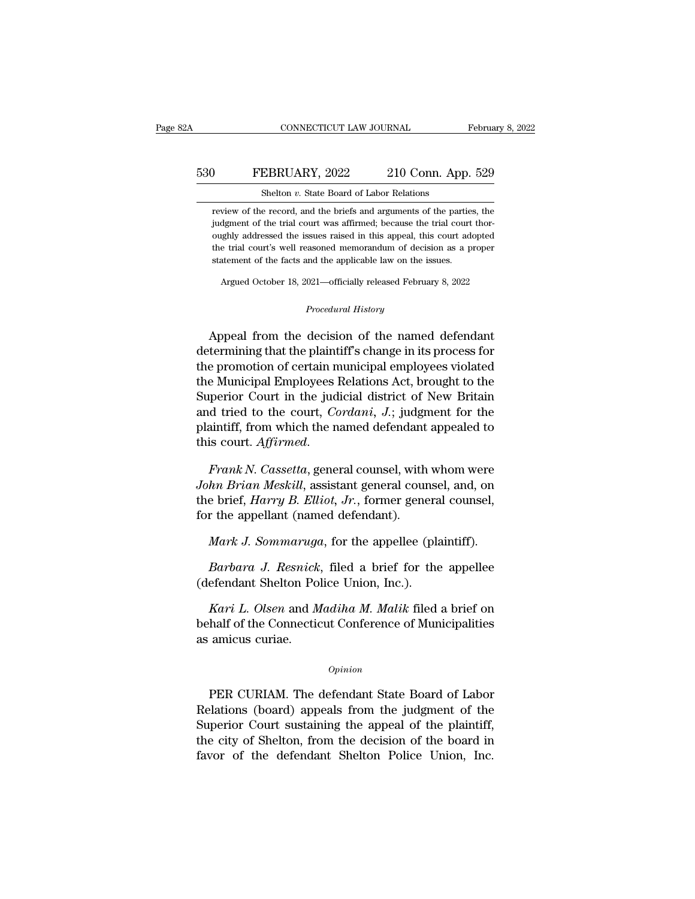# CONNECTICUT LAW JOURNAL February 8, 2022<br>530 FEBRUARY, 2022 210 Conn. App. 529<br>510 Shelton v. State Board of Labor Relations CONNECTICUT LAW JOURNAL<br>EBRUARY, 2022 210 Conn. App<br>Shelton *v.* State Board of Labor Relations<br>e record, and the briefs and arguments of the part

FEBRUARY, 2022 210 Conn. App. 529<br>Shelton v. State Board of Labor Relations<br>review of the record, and the briefs and arguments of the parties, the<br>judgment of the trial court was affirmed; because the trial court thor-FEBRUARY, 2022 210 Conn. App. 529<br>Shelton v. State Board of Labor Relations<br>review of the record, and the briefs and arguments of the parties, the<br>judgment of the trial court was affirmed; because the trial court thor-<br>oug **FEBRUARY, 2022** 210 Conn. App. 529<br>
Shelton  $v$ . State Board of Labor Relations<br>
review of the record, and the briefs and arguments of the parties, the<br>
judgment of the trial court was affirmed; because the trial court t Shelton  $v$ . State Board of Labor Relations<br>review of the record, and the briefs and arguments of the parties, the<br>judgment of the trial court was affirmed; because the trial court thor-<br>oughly addressed the issues raised Shelton *v*. State Board of Labor Relations<br>review of the record, and the briefs and arguments of the partie<br>judgment of the trial court was affirmed; because the trial court<br>oughly addressed the issues raised in this appe Argued October 18, 2021—officially released February 8, 2022<br>Argued October 18, 2021—officially released February 8, 2022<br>Argued October 18, 2021—officially released February 8, 2022 Procedural memorandum of decision<br>**Procedural History**<br>*Procedural History*<br>*Procedural History* 

the trial court's well reasoned memorandum of decision as a proper<br>statement of the facts and the applicable law on the issues.<br>Argued October 18, 2021—officially released February 8, 2022<br>*Procedural History*<br>Appeal from statement of the facts and the applicable law on the issues.<br>
Argued October 18, 2021—officially released February 8, 2022<br>
Procedural History<br>
Appeal from the decision of the named defendant<br>
determining that the plaintif Argued October 18, 2021—officially released February 8, 2022<br>
Procedural History<br>
Appeal from the decision of the named defendant<br>
determining that the plaintiff's change in its process for<br>
the promotion of certain munici Procedural History<br>
Appeal from the decision of the named defendant<br>
determining that the plaintiff's change in its process for<br>
the promotion of certain municipal employees violated<br>
the Municipal Employees Relations Act, *Procedural History*<br>Appeal from the decision of the named defendant<br>determining that the plaintiff's change in its process for<br>the promotion of certain municipal employees violated<br>the Municipal Employees Relations Act, b Appeal from the decision of the named defendant<br>determining that the plaintiff's change in its process for<br>the promotion of certain municipal employees violated<br>the Municipal Employees Relations Act, brought to the<br>Superio Appeal from the decision of the named defendant<br>determining that the plaintiff's change in its process for<br>the promotion of certain municipal employees violated<br>the Municipal Employees Relations Act, brought to the<br>Superio determining that the plaintiff's change in its process for<br>the promotion of certain municipal employees violated<br>the Municipal Employees Relations Act, brought to the<br>Superior Court in the judicial district of New Britain<br> *Superior Court in the judicial district of New Britain*<br>and tried to the court, *Cordani*, *J*.; judgment for the<br>plaintiff, from which the named defendant appealed to<br>this court. *Affirmed.*<br>Frank *N. Cassetta*, general

and tried to the court, *Cordani*, *J.*; judgment for the plaintiff, from which the named defendant appealed to this court. *Affirmed.*<br>Frank N. Cassetta, general counsel, with whom were John Brian Meskill, assistant gener plaintiff, from which the named defendant<br>this court. *Affirmed*.<br>Frank N. Cassetta, general counsel, with<br>John Brian Meskill, assistant general cour<br>the brief, Harry B. Elliot, Jr., former general<br>for the appellant (named *Frank N. Cassetta,* general counsel, with whom were<br>*hn Brian Meskill,* assistant general counsel, and, on<br>e brief, *Harry B. Elliot, Jr.*, former general counsel,<br>r the appellant (named defendant).<br>*Mark J. Sommaruga*, f *Barbara J. Resnick*, general counsel, which were<br>*hn Brian Meskill*, assistant general counsel, and, on<br>e brief, *Harry B. Elliot*, *Jr.*, former general counsel,<br>r the appellant (named defendant).<br>*Mark J. Sommaruga*, fo (defendant Shelton Police Union, Inc.)<br>
Mark J. Sommaruga, for the appellee (plant Connection Police Union, Inc.).<br>
Mark J. Sommaruga, for the appellee (plant Barbara J. Resnick, filed a brief for the (defendant Shelton Po

*Kark J. Sommaruga*, for the appellee (plaintiff).<br> *Karbara J. Resnick*, filed a brief for the appellee<br>
efendant Shelton Police Union, Inc.).<br> *Kari L. Olsen* and *Madiha M. Malik* filed a brief on<br>
half of the Connectic Mark J. Sommaruga, for the appellee (plaintiff).<br>
Barbara J. Resnick, filed a brief for the appellee<br>
(defendant Shelton Police Union, Inc.).<br>
Kari L. Olsen and Madiha M. Malik filed a brief on<br>
behalf of the Connecticut C Barbara J. Resnick<br>(defendant Shelton Po<br>Kari L. Olsen and M<br>behalf of the Connection<br>as amicus curiae. *Kari L. Olsen and Madiha M. Malik filed a brief on*<br>half of the Connecticut Conference of Municipalities<br>amicus curiae.<br>*Opinion*<br>PER CURIAM. The defendant State Board of Labor<br>elations (board) appeals from the judgment o

#### *Opinion*

behalf of the Connecticut Conference of Municipalities<br>
as amicus curiae.<br>  $\frac{Opinion}{PER \text{ CURIAM}}$ . The defendant State Board of Labor<br>
Relations (board) appeals from the judgment of the<br>
Superior Court sustaining the appeal of opinion<br>
Opinion<br>
PER CURIAM. The defendant State Board of Labor<br>
Relations (board) appeals from the judgment of the<br>
Superior Court sustaining the appeal of the plaintiff,<br>
the city of Shelton, from the decision of the bo opinion<br>
Opinion<br>
PER CURIAM. The defendant State Board of Labor<br>
Relations (board) appeals from the judgment of the<br>
Superior Court sustaining the appeal of the plaintiff,<br>
the city of Shelton, from the decision of the bo  $\frac{Option}{PER \text{ CURIAM}}$ . The defendant State Board of Labor Relations (board) appeals from the judgment of the Superior Court sustaining the appeal of the plaintiff, the city of Shelton, from the decision of the board in favor of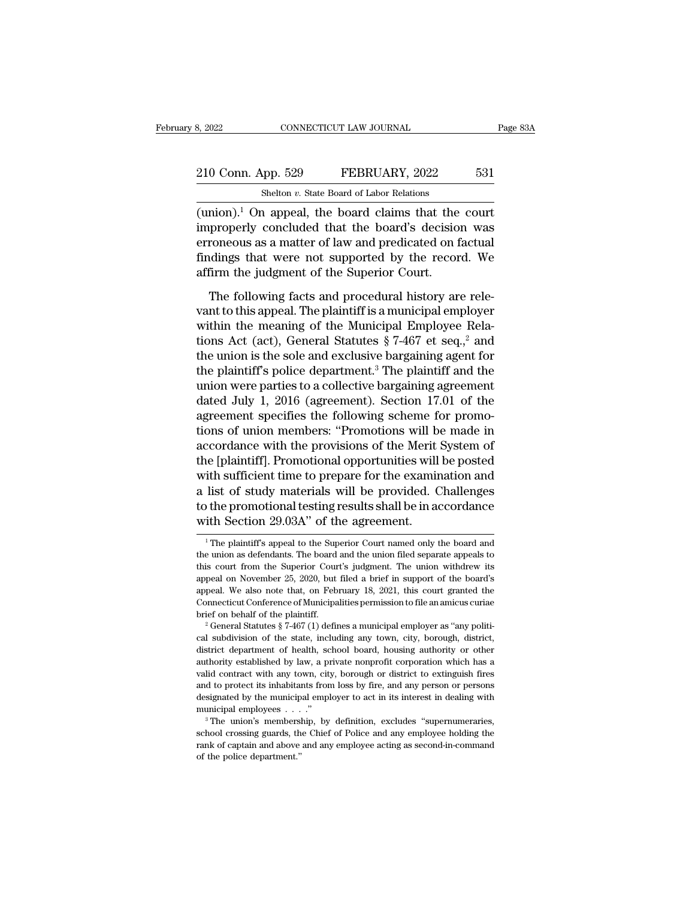# 210 Conn. App. 529 FEBRUARY, 2022 531<br>Shelton v. State Board of Labor Relations CONNECTICUT LAW JOURNAL<br>
shelton *v.* State Board of Labor Relations<br>
a smore all the board claims that the

(union).<sup>1</sup> On appeal, the board claims that the court improperly concluded that the board's decision was approperly concluded that the board's decision was 210 Conn. App. 529 FEBRUARY, 2022 531<br>
Shelton v. State Board of Labor Relations<br>
(union).<sup>1</sup> On appeal, the board claims that the court<br>
improperly concluded that the board's decision was<br>
erroneous as a matter of law an 210 Conn. App. 529 FEBRUARY, 2022 531<br>
Shelton v. State Board of Labor Relations<br>
(union).<sup>1</sup> On appeal, the board claims that the court<br>
improperly concluded that the board's decision was<br>
erroneous as a matter of law an 210 Conn. App. 529 FEBRUARY, 2022 531<br>
Shelton v. State Board of Labor Relations<br>
(union).<sup>1</sup> On appeal, the board claims that the court<br>
improperly concluded that the board's decision was<br>
erroneous as a matter of law an Shelton *v*. State Board of Labor Relations<br>
(union).<sup>1</sup> On appeal, the board claims that the<br>
improperly concluded that the board's decisio<br>
erroneous as a matter of law and predicated on f<br>
findings that were not suppor mion).<sup>1</sup> On appeal, the board claims that the court<br>properly concluded that the board's decision was<br>roneous as a matter of law and predicated on factual<br>indings that were not supported by the record. We<br>firm the judgment (anon). On appear, are solar diams and the board<br>improperly concluded that the board's decision was<br>erroneous as a matter of law and predicated on factual<br>findings that were not supported by the record. We<br>affirm the judg

erroneous as a matter of law and predicated on factual<br>findings that were not supported by the record. We<br>affirm the judgment of the Superior Court.<br>The following facts and procedural history are rele-<br>vant to this appeal findings that were not supported by the record. We<br>affirm the judgment of the Superior Court.<br>The following facts and procedural history are rele-<br>vant to this appeal. The plaintiff is a municipal employer<br>within the mean affirm the judgment of the Superior Court.<br>The following facts and procedural history are relevant to this appeal. The plaintiff is a municipal employer<br>within the meaning of the Municipal Employee Rela-<br>tions Act (act), The following facts and procedural history are relevant to this appeal. The plaintiff is a municipal employer within the meaning of the Municipal Employee Relations Act (act), General Statutes  $\S 7-467$  et seq.,<sup>2</sup> and th The following facts and procedural history are rele-<br>vant to this appeal. The plaintiff is a municipal employer<br>within the meaning of the Municipal Employee Rela-<br>tions Act (act), General Statutes § 7-467 et seq.<sup>2</sup> and<br>t vant to this appeal. The plaintiff is a municipal employer<br>within the meaning of the Municipal Employee Rela-<br>tions Act (act), General Statutes § 7-467 et seq.,<sup>2</sup> and<br>the union is the sole and exclusive bargaining agent f within the meaning of the Municipal Employee Rela-<br>tions Act (act), General Statutes  $\S 7-467$  et seq.,<sup>2</sup> and<br>the union is the sole and exclusive bargaining agent for<br>the plaintiff's police department.<sup>3</sup> The plaintiff a tions Act (act), General Statutes  $\S 7-467$  et seq.,<sup>2</sup> and<br>the union is the sole and exclusive bargaining agent for<br>the plaintiff's police department.<sup>3</sup> The plaintiff and the<br>union were parties to a collective bargainin the union is the sole and exclusive bargaining agent for<br>the plaintiff's police department.<sup>3</sup> The plaintiff and the<br>union were parties to a collective bargaining agreement<br>dated July 1, 2016 (agreement). Section 17.01 of the plaintiff's police department.<sup>3</sup> The plaintiff and the<br>union were parties to a collective bargaining agreement<br>dated July 1, 2016 (agreement). Section 17.01 of the<br>agreement specifies the following scheme for promo-<br>t union were parties to a collective bargaining agreement<br>dated July 1, 2016 (agreement). Section 17.01 of the<br>agreement specifies the following scheme for promo-<br>tions of union members: "Promotions will be made in<br>accordanc dated July 1, 2016 (agreement). Section 17.01 of the<br>agreement specifies the following scheme for promo-<br>tions of union members: "Promotions will be made in<br>accordance with the provisions of the Merit System of<br>the [plaint agreement specifies the following scheme for promotions of union members: "Promotions will be made in accordance with the provisions of the Merit System of the [plaintiff]. Promotional opportunities will be posted with suf tions of union members: "Promotions will b<br>accordance with the provisions of the Merit<br>the [plaintiff]. Promotional opportunities will<br>with sufficient time to prepare for the examin<br>a list of study materials will be provid with sufficient time to prepare for the examination and<br>a list of study materials will be provided. Challenges<br>to the promotional testing results shall be in accordance<br>with Section 29.03A" of the agreement.<br>The plaintiff a list of study materials will be provided. Challenges<br>to the promotional testing results shall be in accordance<br>with Section 29.03A" of the agreement.<br><sup>1</sup>The plaintiff's appeal to the Superior Court named only the board a

to the promotional testing results shall be in accordance<br>with Section 29.03A" of the agreement.<br> $\frac{1}{1}$ The plaintiff's appeal to the Superior Court named only the board and<br>the union as defendants. The board and the un with Section 29.03A" of the agreement.<br>
<sup>1</sup> The plaintiff's appeal to the Superior Court named only the board and<br>
the union as defendants. The board and the union filed separate appeals to<br>
this court from the Superior C WILI SECUOIT 29.00A OF THE agreement.<br>
<sup>1</sup> The plaintiff's appeal to the Superior Court named only the board and<br>
the union as defendants. The board and the union filed separate appeals to<br>
this court from the Superior Co <sup>1</sup> The plaintiff's appeal to the Superior Court named only the board and the union as defendants. The board and the union filed separate appeals to this court from the Superior Court's judgment. The union withdrew its ap the union as defendants. The board and the union filed separate appeals to this court from the Superior Court's judgment. The union withdrew its appeal on November 25, 2020, but filed a brief in support of the board's app appeal on November 25, 2020, but filed a brief in support of the board's appeal on November 25, 2020, but filed a brief in support of the board's appeal. We also note that, on February 18, 2021, this court granted the Conn

appeal. We also note that, on February 18, 2021, this court granted the Connecticut Conference of Municipalities permission to file an amicus curiae brief on behalf of the plaintiff.<br>
<sup>2</sup> General Statutes § 7-467 (1) defi Eppendicut Conference of Municipalities permission to file an amicus curiae<br>brief on behalf of the plaintiff.<br><sup>2</sup> General Statutes § 7-467 (1) defines a municipal employer as "any political subdivision of the state, inclu brief on behalf of the plaintiff.<br>
<sup>2</sup> General Statutes § 7-467 (1) defines a municipal employer as "any political subdivision of the state, including any town, city, borough, district, district department of health, scho <sup>2</sup> General Statutes § 7-467 (1) defines a municipal employer as "any political subdivision of the state, including any town, city, borough, district, district department of health, school board, housing authority or othe cal subdivision of the state, including any town, city, borough, district, district department of health, school board, housing authority or other authority established by law, a private nonprofit corporation which has a district department of health, school board, housing authority or other authority established by law, a private nonprofit corporation which has a valid contract with any town, city, borough or district to extinguish fires walid contract with any town, city, borough or district to extinguish fires<br>and to protect its inhabitants from loss by fire, and any person or persons<br>designated by the municipal employer to act in its interest in dealing

and to protect its inhabitants from loss by fire, and any person or persons designated by the municipal employer to act in its interest in dealing with municipal employees  $\ldots$ ."<br>
<sup>3</sup> The union's membership, by definitio and to protect its inhabitants from loss by fire, and any person or persons designated by the municipal employer to act in its interest in dealing with municipal employees  $\ldots$ .''  $\phantom{a}$  "The union's membership, by def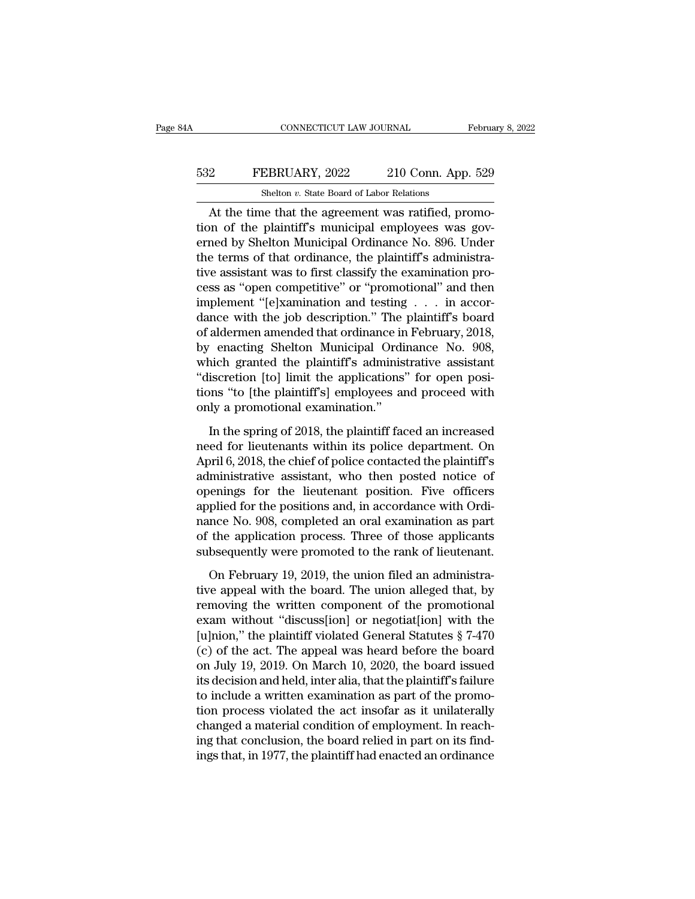# CONNECTICUT LAW JOURNAL February 8, 2022<br>532 FEBRUARY, 2022 210 Conn. App. 529<br>512 Shelton v. State Board of Labor Relations CONNECTICUT LAW JOURNAL<br>EBRUARY, 2022 210 Conn. App<br>Shelton *v.* State Board of Labor Relations<br>ne that the agreement was ratified pr

CONNECTICUT LAW JOURNAL Februa<br>
PEBRUARY, 2022 210 Conn. App. 529<br>
Shelton v. State Board of Labor Relations<br>
At the time that the agreement was ratified, promo-<br>
on of the plaintiff's municipal employees was gov-FEBRUARY, 2022 210 Conn. App. 529<br>Shelton v. State Board of Labor Relations<br>At the time that the agreement was ratified, promo-<br>tion of the plaintiff's municipal employees was gov-<br>erned by Shelton Municipal Ordinance No. ERRUARY, 2022 210 Conn. App. 529<br>
Shelton v. State Board of Labor Relations<br>
At the time that the agreement was ratified, promo-<br>
tion of the plaintiff's municipal employees was governed by Shelton Municipal Ordinance No. 532 FEBRUARY, 2022 210 Conn. App. 529<br>
Shelton v. State Board of Labor Relations<br>
At the time that the agreement was ratified, promo-<br>
tion of the plaintiff's municipal employees was gov-<br>
erned by Shelton Municipal Ordin Shelton  $v$ . State Board of Labor Relations<br>
At the time that the agreement was ratified, promo-<br>
tion of the plaintiff's municipal employees was gov-<br>
erned by Shelton Municipal Ordinance No. 896. Under<br>
the terms of tha Shellon *v*. state board of Labor Relations<br>At the time that the agreement was ratified, promo-<br>tion of the plaintiff's municipal employees was gov-<br>erned by Shelton Municipal Ordinance No. 896. Under<br>the terms of that or At the time that the agreement was ratified, promotion of the plaintiff's municipal employees was governed by Shelton Municipal Ordinance No. 896. Under the terms of that ordinance, the plaintiff's administrative assistan tion of the plaintiff's municipal employees was governed by Shelton Municipal Ordinance No. 896. Under<br>the terms of that ordinance, the plaintiff's administra-<br>tive assistant was to first classify the examination pro-<br>cess erned by Shelton Municipal Ordinance No. 896. Under<br>the terms of that ordinance, the plaintiff's administra-<br>tive assistant was to first classify the examination pro-<br>cess as "open competitive" or "promotional" and then<br>im the terms of that ordinance, the plaintiff's administrative assistant was to first classify the examination process as "open competitive" or "promotional" and then implement "[e]xamination and testing . . . in accordance w tive assistant was to first classify the examination process as "open competitive" or "promotional" and then<br>implement "[e]xamination and testing . . . in accordance with the job description." The plaintiff's board<br>of alde cess as "open competitive" or "promotional" and then<br>implement "[e]xamination and testing . . . in accor-<br>dance with the job description." The plaintiff's board<br>of aldermen amended that ordinance in February, 2018,<br>by enac implement "[e]xamination and testing . . . in accordance with the job description." The plaintiff's board of aldermen amended that ordinance in February, 2018, by enacting Shelton Municipal Ordinance No. 908, which granted dance with the job description." The<br>of aldermen amended that ordinance in<br>by enacting Shelton Municipal Ordi<br>which granted the plaintiff's adminis<br>"discretion [to] limit the applications"<br>tions "to [the plaintiff's] emplo enacting Shelton Municipal Ordinance No. 908,<br>nich granted the plaintiff's administrative assistant<br>iscretion [to] limit the applications" for open posi-<br>nns "to [the plaintiff's] employees and proceed with<br>ly a promotiona which granted the plaintiff's administrative assistant<br>
"discretion [to] limit the applications" for open posi-<br>
tions "to [the plaintiff's] employees and proceed with<br>
only a promotional examination."<br>
In the spring of 20

"discretion [to] limit the applications" for open positions "to [the plaintiff's] employees and proceed with only a promotional examination."<br>In the spring of 2018, the plaintiff faced an increased<br>need for lieutenants wit tions "to [the plaintiff's] employees and proceed with<br>only a promotional examination."<br>In the spring of 2018, the plaintiff faced an increased<br>need for lieutenants within its police department. On<br>April 6, 2018, the chief only a promotional examination."<br>
In the spring of 2018, the plaintiff faced an increased<br>
need for lieutenants within its police department. On<br>
April 6, 2018, the chief of police contacted the plaintiff's<br>
administrative In the spring of 2018, the plaintiff faced an increased<br>need for lieutenants within its police department. On<br>April 6, 2018, the chief of police contacted the plaintiff's<br>administrative assistant, who then posted notice of In the spring of 2018, the plaintiff faced an increased<br>need for lieutenants within its police department. On<br>April 6, 2018, the chief of police contacted the plaintiff's<br>administrative assistant, who then posted notice of need for lieutenants within its police department. On<br>April 6, 2018, the chief of police contacted the plaintiff's<br>administrative assistant, who then posted notice of<br>openings for the lieutenant position. Five officers<br>app April 6, 2018, the chief of police contacted the plaintiff's<br>administrative assistant, who then posted notice of<br>openings for the lieutenant position. Five officers<br>applied for the positions and, in accordance with Ordi-<br>n being the lieutenant position. Five officers<br>plied for the positions and, in accordance with Ordi-<br>nce No. 908, completed an oral examination as part<br>the application process. Three of those applicants<br>bsequently were promo propried for the positions and, in accordance with Ordinance No. 908, completed an oral examination as part of the application process. Three of those applicants subsequently were promoted to the rank of lieutenant.<br>On Feb

reference No. 908, completed an oral examination as part<br>of the application process. Three of those applicants<br>subsequently were promoted to the rank of lieutenant.<br>On February 19, 2019, the union filed an administra-<br>tiv of the application process. Three of those applicants<br>subsequently were promoted to the rank of lieutenant.<br>On February 19, 2019, the union filed an administra-<br>tive appeal with the board. The union alleged that, by<br>remov subsequently were promoted to the rank of lieutenant.<br>
On February 19, 2019, the union filed an administrative appeal with the board. The union alleged that, by<br>
removing the written component of the promotional<br>
exam wit On February 19, 2019, the union filed an administra-<br>tive appeal with the board. The union alleged that, by<br>removing the written component of the promotional<br>exam without "discuss[ion] or negotiat[ion] with the<br>[u]nion," On February 19, 2019, the union filed an administrative appeal with the board. The union alleged that, by removing the written component of the promotional exam without "discuss[ion] or negotiat[ion] with the [u]nion," th tive appeal with the board. The union alleged that, by<br>removing the written component of the promotional<br>exam without "discuss[ion] or negotiat[ion] with the<br>[u]nion," the plaintiff violated General Statutes § 7-470<br>(c) of removing the written component of the promotional<br>exam without "discuss[ion] or negotiat[ion] with the<br>[u]nion," the plaintiff violated General Statutes § 7-470<br>(c) of the act. The appeal was heard before the board<br>on July exam without "discuss [ion] or negotiat [ion] with the<br>[u]nion," the plaintiff violated General Statutes  $\S$  7-470<br>(c) of the act. The appeal was heard before the board<br>on July 19, 2019. On March 10, 2020, the board issue [u]nion," the plaintiff violated General Statutes  $\S$  7-470 (c) of the act. The appeal was heard before the board on July 19, 2019. On March 10, 2020, the board issued its decision and held, inter alia, that the plaintiff (c) of the act. The appeal was heard before the board<br>on July 19, 2019. On March 10, 2020, the board issued<br>its decision and held, inter alia, that the plaintiff's failure<br>to include a written examination as part of the pr on July 19, 2019. On March 10, 2020, the board issued<br>its decision and held, inter alia, that the plaintiff's failure<br>to include a written examination as part of the promo-<br>tion process violated the act insofar as it unila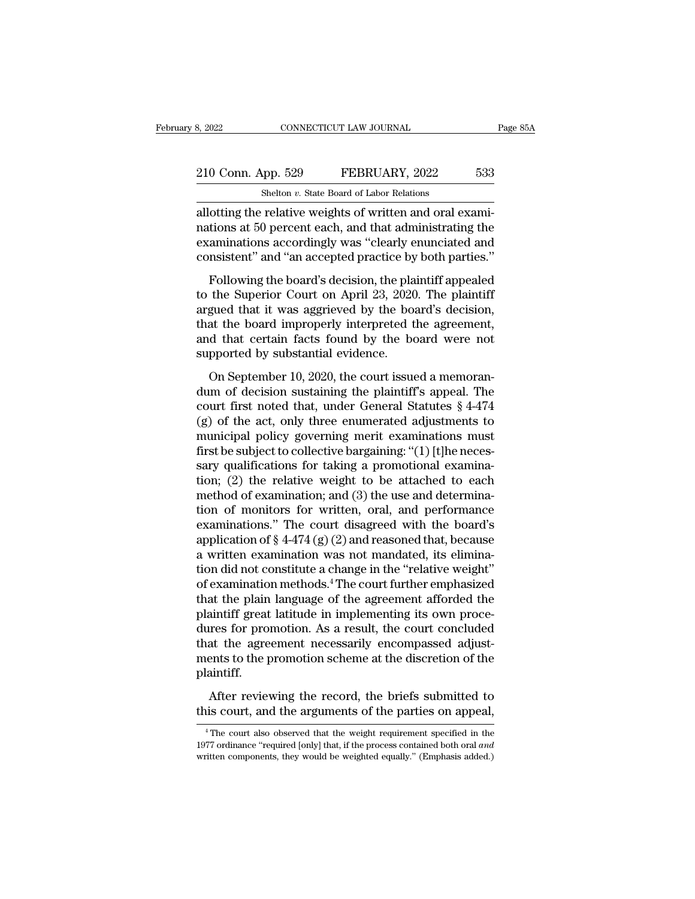# 2022 CONNECTICUT LAW JOURNAL Page 85A<br>
210 Conn. App. 529 FEBRUARY, 2022 533<br>
210 Conn. App. 529 FEBRUARY, 2022 533 CONNECTICUT LAW JOURNAL<br>
shelton *v.* State Board of Labor Relations<br>
relative weights of written and oral ex

allotting the relative weights of written and oral exami-<br>allotting the relative weights of written and oral exami-<br>allotting the relative weights of written and oral exami-<br>nations at 50 percent each, and that administrat 210 Conn. App. 529 FEBRUARY, 2022 533<br>Shelton v. State Board of Labor Relations<br>allotting the relative weights of written and oral exami-<br>nations at 50 percent each, and that administrating the<br>examinations accordingly was 210 Conn. App. 529 FEBRUARY, 2022 533<br>
Shelton v. State Board of Labor Relations<br>
allotting the relative weights of written and oral examinations at 50 percent each, and that administrating the<br>
examinations accordingly w 210 Conn. App. 529 FEBRUARY, 2022 533<br>
Shelton v. State Board of Labor Relations<br>
allotting the relative weights of written and oral exami-<br>
nations at 50 percent each, and that administrating the<br>
examinations accordingly Shelton  $v$ . State Board of Labor Relations<br>
otting the relative weights of written and oral exami-<br>
tions at 50 percent each, and that administrating the<br>
aminations accordingly was "clearly enunciated and<br>
msistent" and allotting the relative weights of written and oral examinations at 50 percent each, and that administrating the examinations accordingly was "clearly enunciated and consistent" and "an accepted practice by both parties."<br>F

anoting the relative weights of whiteh and olarexam-<br>nations at 50 percent each, and that administrating the<br>examinations accordingly was "clearly enunciated and<br>consistent" and "an accepted practice by both parties."<br>Foll rations at so percent eact, and that daministantly the<br>examinations accordingly was "clearly enunciated and<br>consistent" and "an accepted practice by both parties."<br>Following the board's decision, the plaintiff appealed<br>to calid consistent" and "an accepted practice by both parties."<br>Following the board's decision, the plaintiff appealed<br>to the Superior Court on April 23, 2020. The plaintiff<br>argued that it was aggrieved by the board's decisi Following the board's decision, the plato the Superior Court on April 23, 2020<br>argued that it was aggrieved by the boath<br>that the board improperly interpreted t<br>and that certain facts found by the bo<br>supported by substanti The Superior Court on April 23, 2020. The plaintiff<br>the Superior Court on April 23, 2020. The plaintiff<br>gued that it was aggrieved by the board's decision,<br>at the board improperly interpreted the agreement,<br>d that certain argued that it was aggrieved by the board's decision,<br>that the board improperly interpreted the agreement,<br>and that certain facts found by the board were not<br>supported by substantial evidence.<br>On September 10, 2020, the c

court first noted improperly interpreted the agreement,<br>and that certain facts found by the board were not<br>supported by substantial evidence.<br>On September 10, 2020, the court issued a memoran-<br>dum of decision sustaining t and that certain facts found by the board were not<br>supported by substantial evidence.<br>On September 10, 2020, the court issued a memoran-<br>dum of decision sustaining the plaintiff's appeal. The<br>court first noted that, under supported by substantial evidence.<br>
On September 10, 2020, the court issued a memoran-<br>
dum of decision sustaining the plaintiff's appeal. The<br>
court first noted that, under General Statutes  $\S 4-474$ <br>
(g) of the act, onl On September 10, 2020, the court issued a memorandum of decision sustaining the plaintiff's appeal. The court first noted that, under General Statutes  $\S$  4-474 (g) of the act, only three enumerated adjustments to municip On September 10, 2020, the court issued a memorandum of decision sustaining the plaintiff's appeal. The court first noted that, under General Statutes  $\S$  4-474 (g) of the act, only three enumerated adjustments to municip dum of decision sustaining the plaintiff's appeal. The<br>court first noted that, under General Statutes § 4-474<br>(g) of the act, only three enumerated adjustments to<br>municipal policy governing merit examinations must<br>first be court first noted that, under General Statutes  $\S$  4-474 (g) of the act, only three enumerated adjustments to municipal policy governing merit examinations must first be subject to collective bargaining: "(1) [t]he necess (g) of the act, only three enumerated adjustments to<br>municipal policy governing merit examinations must<br>first be subject to collective bargaining: "(1) [t]he neces-<br>sary qualifications for taking a promotional examina-<br>ti municipal policy governing merit examinations must<br>first be subject to collective bargaining: "(1) [t]he necessary qualifications for taking a promotional examina-<br>tion; (2) the relative weight to be attached to each<br>meth first be subject to collective bargaining: "(1) [t]he necessary qualifications for taking a promotional examination; (2) the relative weight to be attached to each method of examination; and (3) the use and determination sary qualifications for taking a promotional examina-<br>tion; (2) the relative weight to be attached to each<br>method of examination; and (3) the use and determina-<br>tion of monitors for written, oral, and performance<br>examinat tion; (2) the relative weight to be attached to each<br>method of examination; and (3) the use and determina-<br>tion of monitors for written, oral, and performance<br>examinations." The court disagreed with the board's<br>applicatio method of examination; and (3) the use and determination of monitors for written, oral, and performance examinations." The court disagreed with the board's application of § 4-474 (g) (2) and reasoned that, because a writte tion of monitors for written, oral, and performance<br>examinations." The court disagreed with the board's<br>application of  $\S 4-474 (g) (2)$  and reasoned that, because<br>a written examination was not mandated, its elimina-<br>tion d examinations." The court disagreed with the board's<br>application of  $\S 4-474(g)(2)$  and reasoned that, because<br>a written examination was not mandated, its elimina-<br>tion did not constitute a change in the "relative weight"<br>of application of  $\S$  4-474 (g) (2) and reasoned that, because<br>a written examination was not mandated, its elimina-<br>tion did not constitute a change in the "relative weight"<br>of examination methods.<sup>4</sup> The court further empha a written examination was not mandated, its elimination did not constitute a change in the "relative weight"<br>of examination methods.<sup>4</sup> The court further emphasized<br>that the plain language of the agreement afforded the<br>pla tion did not constitute a change in the "relative weight"<br>of examination methods.<sup>4</sup> The court further emphasized<br>that the plain language of the agreement afforded the<br>plaintiff great latitude in implementing its own proce plaintiff. After reviewing the record, the briefs submitted and the agreement increase for promotion. As a result, the court concluded at the agreement necessarily encompassed adjustents to the promotion scheme at the discretion of t plantating field individue in imprementing its own procedures for promotion. As a result, the court concluded that the agreement necessarily encompassed adjustments to the promotion scheme at the discretion of the plaintif

Figure 1 After reviewing the record, the briefs submitted to<br>is court, and the arguments of the parties on appeal,<br> $\frac{4 \text{ The court also observed that the weight requirement specified in the}}{77 \text{ ordiance} \text{ 'required [only] that, if the process contained both oral} and$ 

After reviewing the record, the briefs submitted to<br>this court, and the arguments of the parties on appeal,<br><sup>4</sup>The court also observed that the weight requirement specified in the<br>1977 ordinance "required [only] that, if t After reviewing the record, the briefs submitted to this court, and the arguments of the parties on appeal,  $\frac{4}{1}$ The court also observed that the weight requirement specified in the 1977 ordinance "required [only] tha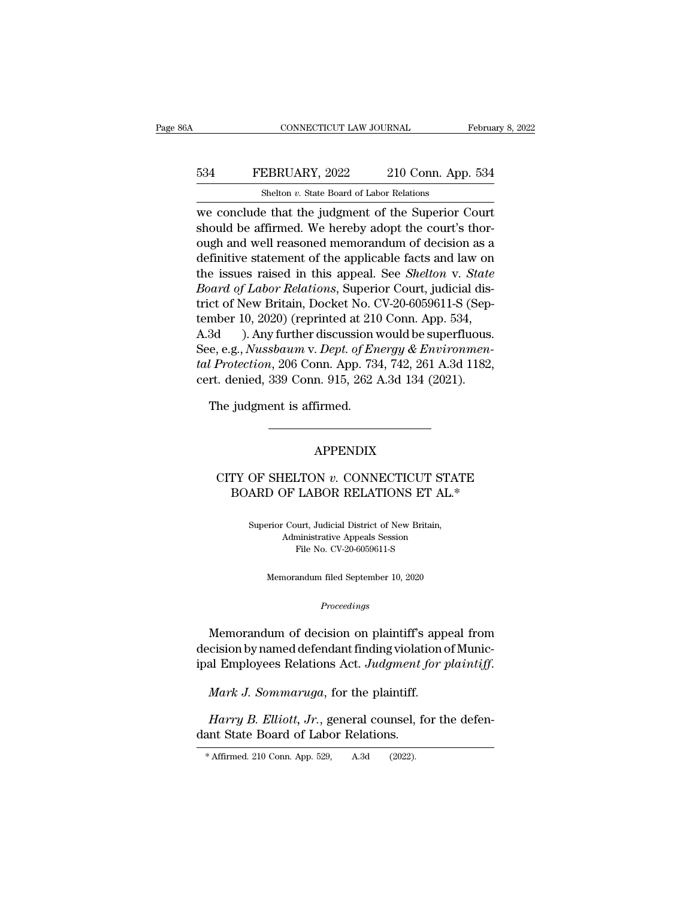# CONNECTICUT LAW JOURNAL February 8, 2022<br>534 FEBRUARY, 2022 210 Conn. App. 534<br>514 Shelton v. State Board of Labor Relations CONNECTICUT LAW JOURNAL<br>EBRUARY, 2022 210 Conn. App<br>Shelton *v.* State Board of Labor Relations<br>e that the judgment of the Superior (

CONNECTICUT LAW JOURNAL February 8, 202<br>
FEBRUARY, 2022 210 Conn. App. 534<br>
Shelton v. State Board of Labor Relations<br>
we conclude that the judgment of the Superior Court<br>
should be affirmed. We hereby adopt the court's th 534 FEBRUARY, 2022 210 Conn. App. 534<br>Shelton v. State Board of Labor Relations<br>we conclude that the judgment of the Superior Court<br>should be affirmed. We hereby adopt the court's thor-<br>ough and well reasoned memorandum of FEBRUARY, 2022 210 Conn. App. 534<br>
Shelton v. State Board of Labor Relations<br>
we conclude that the judgment of the Superior Court<br>
should be affirmed. We hereby adopt the court's thor-<br>
ough and well reasoned memorandum o FEBRUARY, 2022 210 Conn. App. 534<br>
Shelton v. State Board of Labor Relations<br>
we conclude that the judgment of the Superior Court<br>
should be affirmed. We hereby adopt the court's thor-<br>
ough and well reasoned memorandum o Shelton *v.* State Board of Labor Relations<br>we conclude that the judgment of the Superior Court<br>should be affirmed. We hereby adopt the court's thor-<br>ough and well reasoned memorandum of decision as a<br>definitive statement *Bhehof v.* state Board of Labor Relations<br>
we conclude that the judgment of the Superior Court<br>
should be affirmed. We hereby adopt the court's thor-<br>
ough and well reasoned memorandum of decision as a<br>
definitive stateme we conclude that the judgment of the Superior Court<br>should be affirmed. We hereby adopt the court's thor-<br>ough and well reasoned memorandum of decision as a<br>definitive statement of the applicable facts and law on<br>the issu should be affirmed. We hereby adopt the court's thorough and well reasoned memorandum of decision as a definitive statement of the applicable facts and law on the issues raised in this appeal. See *Shelton v. State Board* ough and well reasoned memorandum of decision as a<br>definitive statement of the applicable facts and law on<br>the issues raised in this appeal. See *Shelton v. State*<br>Board of Labor Relations, Superior Court, judicial dis-<br>tr definitive statement of the applicable facts and law on<br>the issues raised in this appeal. See *Shelton v. State*<br>*Board of Labor Relations*, Superior Court, judicial dis-<br>trict of New Britain, Docket No. CV-20-6059611-S (S the issues raised in this appeal. See *Shelton* v. *State*<br>*Board of Labor Relations*, Superior Court, judicial district of New Britain, Docket No. CV-20-6059611-S (September 10, 2020) (reprinted at 210 Conn. App. 534,<br>A.3 *Board of Labor Relations*, Superior Court, judicial district of New Britain, Docket No. CV-20-6059611-S (September 10, 2020) (reprinted at 210 Conn. App. 534, A.3d ). Any further discussion would be superfluous.<br>See, e.g. mber 10, 2020) (reprinted at 210<br>3d (b). Any further discussion v<br>e, e.g., *Nussbaum v. Dept. of En*<br>*l Protection*, 206 Conn. App. 73<br>rt. denied, 339 Conn. 915, 262<br>The judgment is affirmed.

#### APPENDIX

#### Refluxed by the state of the section of the section of the section of the section of the section of the section of the section of the section of the section of the section of the section of the section of the section of th judgment is affirmed.<br>
APPENDIX<br>
TY OF SHELTON  $v$ . CONNECTICUT STATE<br>
BOARD OF LABOR RELATIONS ET AL.\* OF SHELTON *v*. CONNECTICUT STAT<br>ARD OF LABOR RELATIONS ET AL.\*<br>Superior Court, Judicial District of New Britain,<br>Administrative Appeals Session

ELTON *v*. CONNECTICUT STA<br>DF LABOR RELATIONS ET AL.<br>Court, Judicial District of New Britain,<br>Administrative Appeals Session<br>File No. CV-20-6059611-S LABOR RELATIONS ET A<br>
wurt, Judicial District of New Britain,<br>
ministrative Appeals Session<br>
File No. CV-20-6059611-S erior Court, Judicial District of New Britain,<br>Administrative Appeals Session<br>File No. CV-20-6059611-S<br>Memorandum filed September 10, 2020

#### *Proceedings*

Manufacture Appeas Session<br>
File No. CV-20-6059611-S<br>
Memorandum filed September 10, 2020<br>
Proceedings<br>
Memorandum of decision on plaintiff's appeal from<br>
cision by named defendant finding violation of Munic-Memorandum filed September 10, 2020<br> *Proceedings*<br>
Memorandum of decision on plaintiff's appeal from<br>
decision by named defendant finding violation of Munic-<br>
ipal Employees Relations Act. Judgment for plaintiff. ipal Employees Relations Act. *Judgment for plaintiff*<br>*Memorandum of decision on plaintiff's appeal from*<br>decision by named defendant finding violation of Munic-<br>ipal Employees Relations Act. *Judgment for plaintiff.*<br>*Ma Memorandum of decision on plaintiff's appeal from cision by named defendant finding violation of Munical Employees Relations Act. Judgment for plaintiff.<br><i>Mark J. Sommaruga*, for the plaintiff.<br>*Harry B. Elliott, Jr.*, ge decision by named defendant finding violati<br>
ipal Employees Relations Act. Judgment J<br> *Mark J. Sommaruga*, for the plaintiff.<br> *Harry B. Elliott, Jr.*, general counsel, for<br>
dant State Board of Labor Relations.<br>
\*Affirmed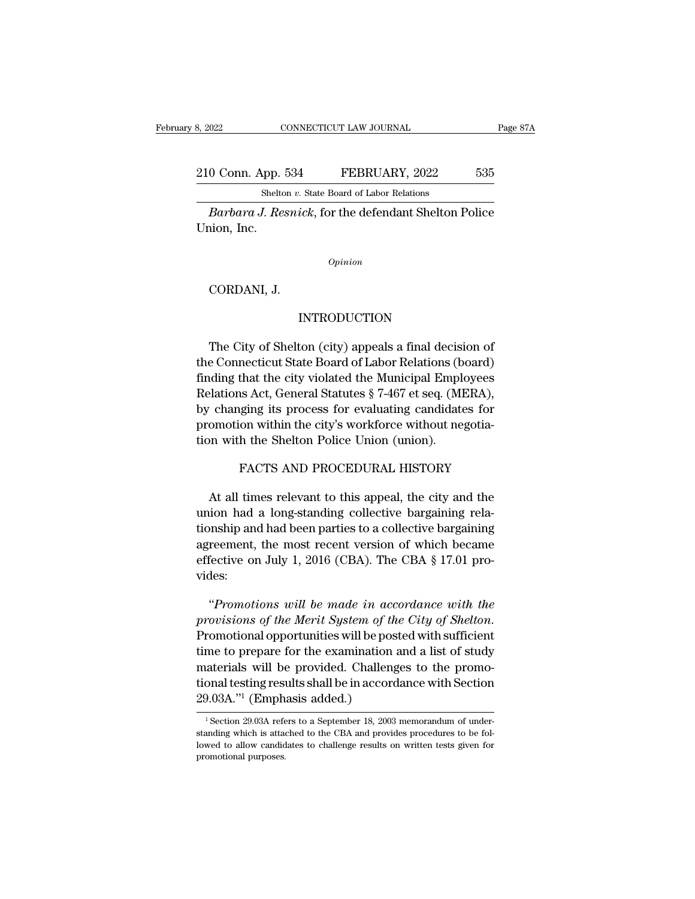210 Conn. App. 534 FEBRUARY, 2022 535<br>Shelton v. State Board of Labor Relations CONNECTICUT LAW JOURNAL<br>
shelton *v.* State Board of Labor Relations<br>
I Resnick: for the defendant Shelton F

*Bage 87A*<br> *Bage 87A*<br> *Barbara J. Resnick*, for the defendant Shelton Police<br> *Barbara J. Resnick*, for the defendant Shelton Police<br>
ion, Inc. 210 Conn. App.<br>Sheltc<br>Barbara J. Re.<br>Union, Inc. Barbara J. Resnici<br>Barbara J. Resnici<br>iion, Inc.<br>CORDANI, J.

*Opinion*

#### INTRODUCTION

Opinion<br>CORDANI, J.<br>INTRODUCTION<br>The City of Shelton (city) appeals a final decision of<br>e Connecticut State Board of Labor Relations (board)<br>reling that the city righted the Municipal Employees CORDANI, J.<br>INTRODUCTION<br>The City of Shelton (city) appeals a final decision of<br>the Connecticut State Board of Labor Relations (board)<br>finding that the city violated the Municipal Employees Finding 1.<br>
Finding that the city of Shelton (city) appeals a final decision of<br>
the Connecticut State Board of Labor Relations (board)<br>
finding that the city violated the Municipal Employees<br>
Relations Act, General Statut INTRODUCTION<br>The City of Shelton (city) appeals a final decision of<br>the Connecticut State Board of Labor Relations (board)<br>finding that the city violated the Municipal Employees<br>Relations Act, General Statutes § 7-467 et s INTRODUCTION<br>The City of Shelton (city) appeals a final decision of<br>the Connecticut State Board of Labor Relations (board)<br>finding that the city violated the Municipal Employees<br>Relations Act, General Statutes § 7-467 et s The City of Shelton (city) appeals a final decision of<br>the Connecticut State Board of Labor Relations (board)<br>finding that the city violated the Municipal Employees<br>Relations Act, General Statutes § 7-467 et seq. (MERA),<br>b The City of Shelton (City) appeals a final decisities<br>the Connecticut State Board of Labor Relations (b<br>finding that the city violated the Municipal Empl<br>Relations Act, General Statutes § 7-467 et seq. (MI<br>by changing its that the city violated the Municipal Employees<br>is Act, General Statutes § 7-467 et seq. (MERA),<br>ging its process for evaluating candidates for<br>on within the city's workforce without negotia-<br>h the Shelton Police Union (uni At all times relevant to this appeal, the city and the chemical times relevant to this appeal, the city and the city and the city and all times relevant to this appeal, the city and the city and the city and all times rele

promotion within the city's workforce without negotiation with the Shelton Police Union (union).<br>FACTS AND PROCEDURAL HISTORY<br>At all times relevant to this appeal, the city and the<br>union had a long-standing collective barg tion with the Shelton Police Union (union).<br>FACTS AND PROCEDURAL HISTORY<br>At all times relevant to this appeal, the city and the<br>union had a long-standing collective bargaining rela-<br>tionship and had been parties to a colle FACTS AND PROCEDURAL HISTORY<br>At all times relevant to this appeal, the city and the<br>union had a long-standing collective bargaining rela-<br>tionship and had been parties to a collective bargaining<br>agreement, the most recent FACTS AND PROCEDURAL HISTORY<br>At all times relevant to this appeal, the city and the<br>union had a long-standing collective bargaining rela-<br>tionship and had been parties to a collective bargaining<br>agreement, the most recent vides: ion had a long-standing collective bargaining rela-<br>
probably and had been parties to a collective bargaining<br>
reement, the most recent version of which became<br>
fective on July 1, 2016 (CBA). The CBA § 17.01 pro-<br>
des:<br>
"P

*provisions of the Merit System of which became*<br> *provides:*<br> *provides:*<br> *promotions will be made in accordance with the*<br> *provisions of the Merit System of the City of Shelton*.<br>
Promotional opportunities will be post effective on July 1, 2016 (CBA). The CBA § 17.01 provides:<br>
"Promotions will be made in accordance with the<br>
provisions of the Merit System of the City of Shelton.<br>
Promotional opportunities will be posted with sufficient<br> vides:<br>
"Promotions will be made in accordance with the<br>
provisions of the Merit System of the City of Shelton.<br>
Promotional opportunities will be posted with sufficient<br>
time to prepare for the examination and a list of s "Promotions will be made in accordance with the<br>provisions of the Merit System of the City of Shelton.<br>Promotional opportunities will be posted with sufficient<br>time to prepare for the examination and a list of study<br>mater Promotions will be mille the acceptorial provisions of the Merit System of the Promotional opportunities will be positime to prepare for the examination materials will be provided. Challeng tional testing results shall be time to prepare for the examination and a list of study<br>materials will be provided. Challenges to the promo-<br>tional testing results shall be in accordance with Section<br> $29.03A.^{"1}$  (Emphasis added.)<br> $^{1}$ Section 29.03A re materials will be provided. Challenges to the promotional testing results shall be in accordance with Section 29.03A."<sup>1</sup> (Emphasis added.)<br> $\frac{1}{1}$  Section 29.03A refers to a September 18, 2003 memorandum of understandi

tional testing results shall be in accordance with Section<br>29.03A."<sup>1</sup> (Emphasis added.)<br><sup>1</sup> Section 29.03A refers to a September 18, 2003 memorandum of under-<br>standing which is attached to the CBA and provides procedures  $\frac{29.03 \text{A.}}{1}$  (Emphasis added.)<br> $\frac{1}{1}$  Section 29.03A refers to a Septemb standing which is attached to the CBA lowed to allow candidates to challeng promotional purposes.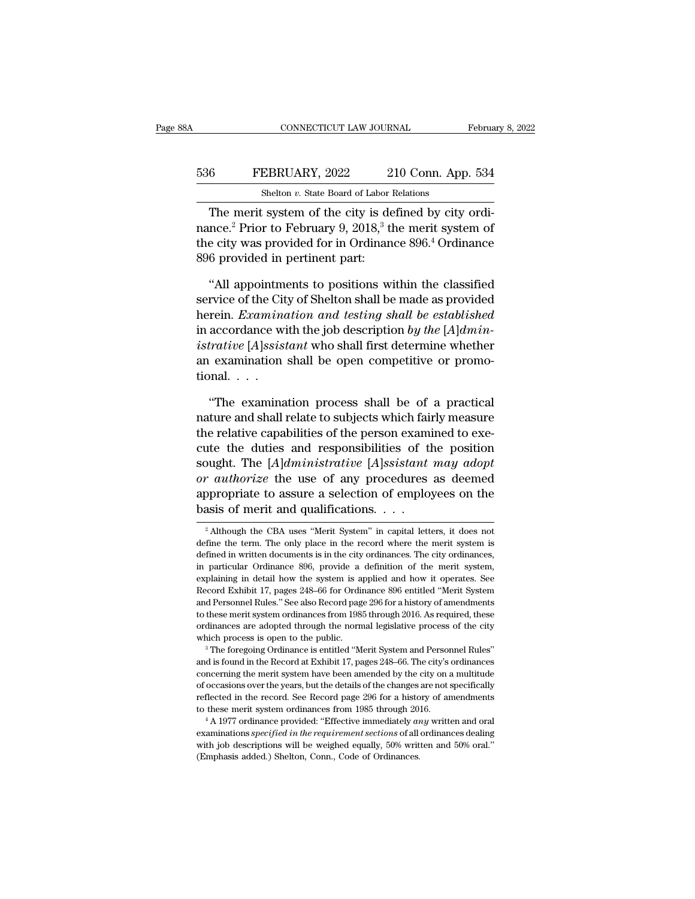# CONNECTICUT LAW JOURNAL February 8, 2022<br>536 FEBRUARY, 2022 210 Conn. App. 534<br>Shelton v. State Board of Labor Relations CONNECTICUT LAW JOURNAL<br>EBRUARY, 2022 210 Conn. App<br>Shelton *v.* State Board of Labor Relations<br>Shelton *v.* State Board of Labor Relations

CONNECTICUT LAW JOURNAL February<br>
February, 2022 210 Conn. App. 534<br>
Shelton v. State Board of Labor Relations<br>
The merit system of the city is defined by city ordi-<br>
The merit system of the city is defined by city ordi-<br> FEBRUARY, 2022 210 Conn. App. 534<br>
Shelton v. State Board of Labor Relations<br>
The merit system of the city is defined by city ordinance.<sup>2</sup> Prior to February 9, 2018,<sup>3</sup> the merit system of<br>
the city was provided for in Or 536 FEBRUARY, 2022 210 Conn. App. 534<br>
Shelton v. State Board of Labor Relations<br>
The merit system of the city is defined by city ordinance.<sup>2</sup> Prior to February 9, 2018,<sup>3</sup> the merit system of<br>
the city was provided for 536 FEBRUARY, 2022 2<br>
Shelton v. State Board of Labor 1<br>
The merit system of the city is denance.<sup>2</sup> Prior to February 9, 2018,<sup>3</sup> the city was provided for in Ordinan<br>
896 provided in pertinent part:<br>
"All appointments to Shelton v. State Board of Labor Relations<br>
The merit system of the city is defined by city ordi-<br>
nce.<sup>2</sup> Prior to February 9, 2018,<sup>3</sup> the merit system of<br>
e city was provided for in Ordinance 896.<sup>4</sup> Ordinance<br>
6 provid The merit system of the city is defined by city ordinance.<sup>2</sup> Prior to February 9, 2018,<sup>3</sup> the merit system of<br>the city was provided for in Ordinance 896.<sup>4</sup> Ordinance<br>896 provided in pertinent part:<br>"All appointments to

mance.<sup>2</sup> Prior to February 9, 2018,<sup>3</sup> the merit system of<br>the city was provided for in Ordinance 896.<sup>4</sup> Ordinance<br>896 provided in pertinent part:<br>"All appointments to positions within the classified<br>service of the City the city was provided for in Ordinance 896.<sup>4</sup> Ordinance<br>896 provided in pertinent part:<br>"All appointments to positions within the classified<br>service of the City of Shelton shall be made as provided<br>herein. *Examination an* 896 provided in pertinent part:<br>
"All appointments to positions within the classified<br>
service of the City of Shelton shall be made as provided<br>
herein. *Examination and testing shall be established*<br>
in accordance with th "All appointments to positions within the classified<br>service of the City of Shelton shall be made as provided<br>herein. *Examination and testing shall be established*<br>in accordance with the job description by the  $[A]$ *dmin-*"All appointm<br>service of the Cit<br>herein.  $Examine$ <br>in accordance wi<br>*istrative* [*A*]*ssis*<br>an examination<br>tional. . . .<br>"The examina Frein. *Examination and testing shall be established*<br>accordance with the job description by the  $[A]$ *dmin*-<br>trative  $[A]$ *ssistant* who shall first determine whether<br>examination shall be open competitive or promo-<br>"The ex in accordance with the job description by the  $[A]$ dmin-<br>istrative  $[A]$ ssistant who shall first determine whether<br>an examination shall be open competitive or promo-<br>tional...<br>"The examination process shall be of a practica

istrative [A]ssistant who shall first determine whether<br>an examination shall be open competitive or promo-<br>tional....<br>"The examination process shall be of a practical<br>nature and shall relate to subjects which fairly measur an examination shall be open competitive or promo-<br>tional. . . .<br>"The examination process shall be of a practical<br>nature and shall relate to subjects which fairly measure<br>the relative capabilities of the person examined t source the examination process shall be of a practical<br>nature and shall relate to subjects which fairly measure<br>the relative capabilities of the person examined to exe-<br>cute the duties and responsibilities of the position<br> "The examination process shall be of a practical<br>nature and shall relate to subjects which fairly measure<br>the relative capabilities of the person examined to exe-<br>cute the duties and responsibilities of the position<br>sought "The examination process shall be of a practical<br>nature and shall relate to subjects which fairly measure<br>the relative capabilities of the person examined to exe-<br>cute the duties and responsibilities of the position<br>sough nature and shall relate to subjects which faint<br>the relative capabilities of the person examicute the duties and responsibilities of the<br>sought. The  $[A]$ *dministrative*  $[A]$ *ssistant*<br>or authorize the use of any procedure sought. The [*A*]*dministrative* [*A*]*ssistant may adopt* or *authorize* the use of any procedures as deemed appropriate to assure a selection of employees on the basis of merit and qualifications.  $\ldots$ <br><sup>2</sup> Although the or *authorize* the use of any procedures as deemed<br>appropriate to assure a selection of employees on the<br>basis of merit and qualifications. . . .<br><sup>2</sup> Although the CBA uses "Merit System" in capital letters, it does not<br>de

to these merit system ordinances from 1985 through 2016. As required, these ordinances are adopted through the normal legislative process of the city which process is open to the public.<br><sup>3</sup> The foregoing Ordinance is enti ordinances are adopted through the normal legislative process of the city which process is open to the public.<br><sup>3</sup> The foregoing Ordinance is entitled "Merit System and Personnel Rules" and is found in the Record at Exhibi which process is open to the public.<br><sup>3</sup> The foregoing Ordinance is entitled "Merit System and Personnel Rules"<br>and is found in the Record at Exhibit 17, pages 248–66. The city's ordinances<br>concerning the merit system have <sup>1</sup> a The foregoing Ordinance is entitled "Merit System and Personnel Rules"<br>
and is found in the Record at Exhibit 17, pages 248–66. The city's ordinances<br>
concerning the merit system have been amended by the city on a m examinations *specified* in the requirement section of all ordinances of occasions over the years, but the details of the changes are not specifically reflected in the record. See Record page 296 for a history of amendment concerning the merit system have been amended by the city on a multitude of occasions over the years, but the details of the changes are not specifically reflected in the record. See Record page 296 for a history of amend reflected in the record. See Record page 296 for a history of amendments

appropriate to assure a selection of employees on the basis of merit and qualifications.  $\ldots$ <br>
<sup>2</sup> Although the CBA uses "Merit System" in capital letters, it does not define the term. The only place in the record where <sup>2</sup> Although the CBA uses "Merit System" in capital letters, it does not define the term. The only place in the record where the merit system is defined in written documents is in the city ordinances. The city ordinances, Passis Of fitefit and quantications.  $\cdot \cdot \cdot$ <br>
<sup>2</sup> Although the CBA uses "Merit System" in capital letters, it does not<br>
define the term. The only place in the record where the merit system is<br>
defined in written document <sup>2</sup> Although the CBA uses "Merit System" in capital letters, it does not define the term. The only place in the record where the merit system is defined in written documents is in the city ordinances. The city ordinances, define the term. The only place in the record where the merit system is<br>define the term. The only place in the record where the merit system is<br>defined in written documents is in the city ordinances. The city ordinances,<br>i defined in written documents is in the city ordinances. The city ordinances,<br>in particular Ordinance 896, provide a definition of the merit system,<br>explaining in detail how the system is applied and how it operates. See<br>Re in particular Ordinance 896, provide a definition of the merit system,<br>in particular Ordinance 896, provide a definition of the merit system,<br>explaining in detail how the system is applied and how it operates. See<br>Record E explaining in detail how the system is applied and how it operates. See Record Exhibit 17, pages 248–66 for Ordinance 896 entitled "Merit System and Personnel Rules." See also Record page 296 for a history of amendments to and Personnel Rules." See also Record page 296 for a history of amendments to these merit system ordinances from 1985 through 2016. As required, these ordinances are adopted through the normal legislative process of the ci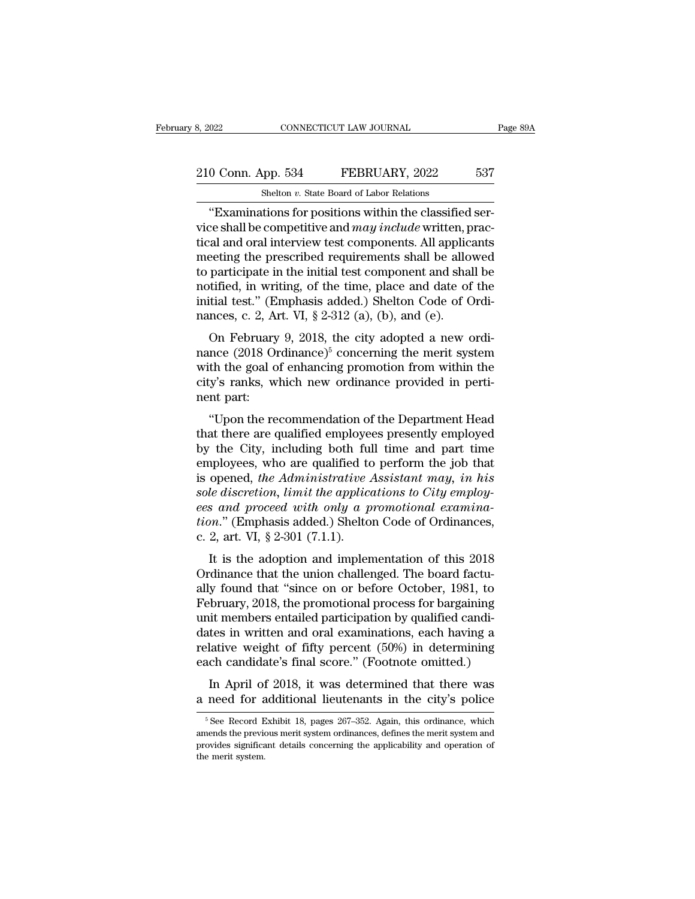# 210 Conn. App. 534 FEBRUARY, 2022 537<br>Shelton v. State Board of Labor Relations CONNECTICUT LAW JOURNAL<br>
shelton *v.* State Board of Labor Relations<br>
shelton *v.* State Board of Labor Relations<br>
tions for positions within the classifie

CONNECTICUT LAW JOURNAL<br>
O Conn. App. 534 FEBRUARY, 2022 537<br>
Shelton v. State Board of Labor Relations<br>
"Examinations for positions within the classified ser-<br>
ce shall be competitive and *may include* written, pracel and 210 Conn. App. 534 FEBRUARY, 2022 537<br>
Shelton v. State Board of Labor Relations<br>
"Examinations for positions within the classified service shall be competitive and *may include* written, prac-<br>
tical and oral interview te 210 Conn. App. 534 FEBRUARY, 2022 537<br>
Shelton v. State Board of Labor Relations<br>
"Examinations for positions within the classified service shall be competitive and  $may$  include written, practical and oral interview test c 210 Conn. App. 534 FEBRUARY, 2022 537<br>
Shelton v. State Board of Labor Relations<br>
"Examinations for positions within the classified service shall be competitive and *may include* written, practical and oral interview test Shelton v. State Board of Labor Relations<br>
"Examinations for positions within the classified service shall be competitive and *may include* written, practical and oral interview test components. All applicants<br>
meeting th Shelton v. State Board of Labor Relations<br>
"Examinations for positions within the classified ser-<br>
vice shall be competitive and *may include* written, prac-<br>
tical and oral interview test components. All applicants<br>
meet "Examinations for positions within the classified service shall be competitive and *may include* written, practical and oral interview test components. All applicants meeting the prescribed requirements shall be allowed t vice shall be competitive and *may include* written, p<br>tical and oral interview test components. All applic<br>meeting the prescribed requirements shall be allo<br>to participate in the initial test component and sha<br>notified, an and oral interview test components. An approants<br>eeting the prescribed requirements shall be allowed<br>participate in the initial test component and shall be<br>tified, in writing, of the time, place and date of the<br>tital t Inceting the presentical requirements shall be aboved<br>to participate in the initial test component and shall be<br>notified, in writing, of the time, place and date of the<br>initial test." (Emphasis added.) Shelton Code of Ord

to participate in the initial test component and shall be<br>notified, in writing, of the time, place and date of the<br>initial test." (Emphasis added.) Shelton Code of Ordi-<br>nances, c. 2, Art. VI, § 2-312 (a), (b), and (e).<br>O mothed, in whing, of the time, place and date of the<br>initial test." (Emphasis added.) Shelton Code of Ordi-<br>nances, c. 2, Art. VI, § 2-312 (a), (b), and (e).<br>On February 9, 2018, the city adopted a new ordi-<br>nance (2018 O initial test." (Emphasis added.) Shelton Code of Ordinances, c. 2, Art. VI, § 2-312 (a), (b), and (e).<br>On February 9, 2018, the city adopted a new ordinance (2018 Ordinance)<sup>5</sup> concerning the merit system with the goal of On February 9, 2018, the city adopted a new ordi-<br>
nce (2018 Ordinance)<sup>5</sup> concerning the merit system<br>
th the goal of enhancing promotion from within the<br>
y's ranks, which new ordinance provided in perti-<br>
it part:<br>
"Upo on February 9, 2018, the city adopted a new ordinance (2018 Ordinance)<sup>5</sup> concerning the merit system<br>with the goal of enhancing promotion from within the<br>city's ranks, which new ordinance provided in perti-<br>nent part:<br>"U

make (2010 ordinance) concerning the merit system<br>with the goal of enhancing promotion from within the<br>city's ranks, which new ordinance provided in perti-<br>nent part:<br>"Upon the recommendation of the Department Head<br>that th with the goal of emancing promotion from within the<br>city's ranks, which new ordinance provided in perti-<br>nent part:<br>"Upon the recommendation of the Department Head<br>that there are qualified employees presently employed<br>by Eny stanks, which hew ordinance provided in peru-<br>nent part:<br>"Upon the recommendation of the Department Head<br>that there are qualified employees presently employed<br>by the City, including both full time and part time<br>employe *solution in the recommendation of the Department Head*<br>that there are qualified employees presently employed<br>by the City, including both full time and part time<br>employees, who are qualified to perform the job that<br>is open "Upon the recommendation of the Department Head<br>that there are qualified employees presently employed<br>by the City, including both full time and part time<br>employees, who are qualified to perform the job that<br>is opened, the that there are qualified employees presently employed<br>by the City, including both full time and part time<br>employees, who are qualified to perform the job that<br>is opened, the Administrative Assistant may, in his<br>sole discre by the City, including both ful<br>employees, who are qualified to<br>is opened, the Administrative  $\mu$ <br>sole discretion, limit the applice<br>ees and proceed with only a p<br>tion." (Emphasis added.) Shelto<br>c. 2, art. VI, § 2-301 (7 iproyecs, who are qualified to perform the job that<br>opened, the Administrative Assistant may, in his<br>le discretion, limit the applications to City employ-<br>s and proceed with only a promotional examina-<br>m." (Emphasis added is opened, the Administrative Assistant may, in his<br>sole discretion, limit the applications to City employ-<br>ees and proceed with only a promotional examina-<br>tion." (Emphasis added.) Shelton Code of Ordinances,<br>c. 2, art.

sole distretion, that the applications to City emptoy-<br>ees and proceed with only a promotional examina-<br>tion." (Emphasis added.) Shelton Code of Ordinances,<br>c. 2, art. VI, § 2-301 (7.1.1).<br>It is the adoption and implementa Ease and proceed with only a promotional examina-<br>tion." (Emphasis added.) Shelton Code of Ordinances,<br>c. 2, art. VI, § 2-301 (7.1.1).<br>It is the adoption and implementation of this 2018<br>Ordinance that the union challenged Latter entails and the members entailed particles.<br>
c. 2, art. VI, § 2-301 (7.1.1).<br>
It is the adoption and implementation of this 2018<br>
Ordinance that the union challenged. The board factually found that "since on or bef decay, the adoption and implementation of this 2018<br>Ordinance that the union challenged. The board factually found that "since on or before October, 1981, to<br>February, 2018, the promotional process for bargaining<br>unit mem It is the adoption and implementation of this 2018<br>Ordinance that the union challenged. The board factually found that "since on or before October, 1981, to<br>February, 2018, the promotional process for bargaining<br>unit membe Ordinance that the union challenged. The board factually found that "since on or before October, 1981, to February, 2018, the promotional process for bargaining unit members entailed participation by qualified candidates i If y found that since on of before october, 1561, to<br>bruary, 2018, the promotional process for bargaining<br>it members entailed participation by qualified candi-<br>tes in written and oral examinations, each having a<br>lative wei rebruary, 2010, the promotional process for barganting<br>unit members entailed participation by qualified candi-<br>dates in written and oral examinations, each having a<br>relative weight of fifty percent (50%) in determining<br>eac

ach candidate's final score." (Footnote omitted.)<br>In April of 2018, it was determined that there was<br>need for additional lieutenants in the city's police<br> $\frac{5}{6}$ See Record Exhibit 18, pages 267–352. Again, this ordinanc

In April of 2018, it was determined that there was<br>a need for additional lieutenants in the city's police<br> $\frac{1}{\sqrt{5}}$  See Record Exhibit 18, pages 267–352. Again, this ordinance, which<br>amends the previous merit system or In April of 2018, it was determined that there was<br>a need for additional lieutenants in the city's police<br> $\frac{1}{18}$  see Record Exhibit 18, pages 267–352. Again, this ordinance, which<br>amends the previous merit system ordi **a** need for a<br> $\frac{1}{6}$  see Record E<br>amends the previous signification.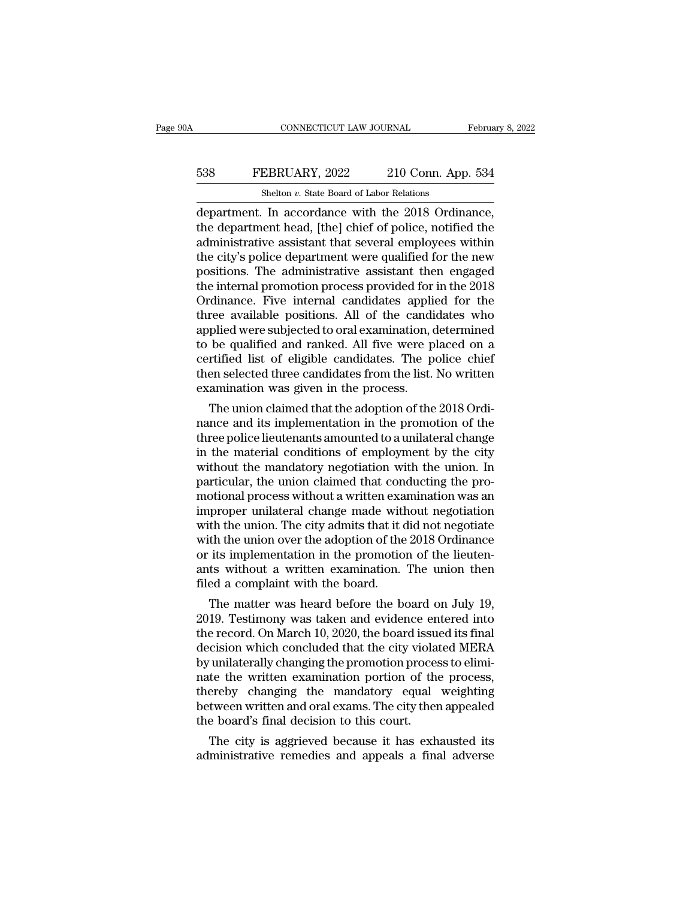# CONNECTICUT LAW JOURNAL February 8, 2022<br>538 FEBRUARY, 2022 210 Conn. App. 534<br>514 Shelton v. State Board of Labor Relations CONNECTICUT LAW JOURNAL<br>EBRUARY, 2022 210 Conn. App<br>Shelton *v.* State Board of Labor Relations<br>In accordance with the 2018 Ordin

CONNECTICUT LAW JOURNAL February 8, 2<br>
FEBRUARY, 2022 210 Conn. App. 534<br>
Shelton v. State Board of Labor Relations<br>
department. In accordance with the 2018 Ordinance,<br>
the department head, [the] chief of police, notified FEBRUARY, 2022 210 Conn. App. 534<br>Shelton v. State Board of Labor Relations<br>department. In accordance with the 2018 Ordinance,<br>the department head, [the] chief of police, notified the<br>administrative assistant that several FEBRUARY, 2022 210 Conn. App. 534<br>
Shelton v. State Board of Labor Relations<br>
department. In accordance with the 2018 Ordinance,<br>
the department head, [the] chief of police, notified the<br>
administrative assistant that sev FEBRUARY, 2022 210 Conn. App. 534<br>
Shelton v. State Board of Labor Relations<br>
department. In accordance with the 2018 Ordinance,<br>
the department head, [the] chief of police, notified the<br>
administrative assistant that sev Shelton v. State Board of Labor Relations<br>department. In accordance with the 2018 Ordinance,<br>the department head, [the] chief of police, notified the<br>administrative assistant that several employees within<br>the city's polic Shelton v. State Board of Labor Relations<br>department. In accordance with the 2018 Ordinance,<br>the department head, [the] chief of police, notified the<br>administrative assistant that several employees within<br>the city's polic department. In accordance with the 2018 Ordinance,<br>the department head, [the] chief of police, notified the<br>administrative assistant that several employees within<br>the city's police department were qualified for the new<br>pos the department head, [the] chief of police, notified the<br>administrative assistant that several employees within<br>the city's police department were qualified for the new<br>positions. The administrative assistant then engaged<br>t administrative assistant that several employees within<br>the city's police department were qualified for the new<br>positions. The administrative assistant then engaged<br>the internal promotion process provided for in the 2018<br>Or the city's police department were qualified for the new<br>positions. The administrative assistant then engaged<br>the internal promotion process provided for in the 2018<br>Ordinance. Five internal candidates applied for the<br>three positions. The administrative assistant then engaged<br>the internal promotion process provided for in the 2018<br>Ordinance. Five internal candidates applied for the<br>three available positions. All of the candidates who<br>applied the internal promotion process provided for in the 2018<br>Ordinance. Five internal candidates applied for the<br>three available positions. All of the candidates who<br>applied were subjected to oral examination, determined<br>to be Ordinance. Five internal candidates applies<br>three available positions. All of the candi<br>applied were subjected to oral examination, or<br>to be qualified and ranked. All five were p<br>certified list of eligible candidates. The ree avaliable positions. All of the candidates who<br>plied were subjected to oral examination, determined<br>be qualified and ranked. All five were placed on a<br>rtified list of eligible candidates. The police chief<br>en selected t applied were subjected to oral examination, determined<br>to be qualified and ranked. All five were placed on a<br>certified list of eligible candidates. The police chief<br>then selected three candidates from the list. No written<br>

to be qualified and ranked. All five were placed on a<br>certified list of eligible candidates. The police chief<br>then selected three candidates from the list. No written<br>examination was given in the process.<br>The union claimed certified list of engible candidates. The police chief<br>then selected three candidates from the list. No written<br>examination was given in the process.<br>The union claimed that the adoption of the 2018 Ordi-<br>nance and its impl then selected three candidates from the list. No written<br>examination was given in the process.<br>The union claimed that the adoption of the 2018 Ordi-<br>nance and its implementation in the promotion of the<br>three police lieuten examination was given in the process.<br>The union claimed that the adoption of the 2018 Ordinance and its implementation in the promotion of the<br>three police lieutenants amounted to a unilateral change<br>in the material condit The union claimed that the adoption of the 2018 Ordinance and its implementation in the promotion of the three police lieutenants amounted to a unilateral change in the material conditions of employment by the city without nance and its implementation in the promotion of the<br>three police lieutenants amounted to a unilateral change<br>in the material conditions of employment by the city<br>without the mandatory negotiation with the union. In<br>partic three police lieutenants amounted to a unilateral change<br>in the material conditions of employment by the city<br>without the mandatory negotiation with the union. In<br>particular, the union claimed that conducting the pro-<br>moti in the material conditions of employment by the city<br>without the mandatory negotiation with the union. In<br>particular, the union claimed that conducting the pro-<br>motional process without a written examination was an<br>imprope without the mandatory negotiation with the union. In<br>particular, the union claimed that conducting the pro-<br>motional process without a written examination was an<br>improper unilateral change made without negotiation<br>with the particular, the union claimed that conducting the pro-<br>motional process without a written examination was an<br>improper unilateral change made without negotiation<br>with the union. The city admits that it did not negotiate<br>wit motional process without a written examproper unilateral change made with<br>with the union. The city admits that it is<br>with the union over the adoption of the<br>or its implementation in the promotion<br>ants without a written exa proper unitateral change made without negotiation<br>th the union. The city admits that it did not negotiate<br>th the union over the adoption of the 2018 Ordinance<br>its implementation in the promotion of the lieuten-<br>ts without with the union. The city admits that it did not hegotiate<br>with the union over the adoption of the 2018 Ordinance<br>or its implementation in the promotion of the lieuten-<br>ants without a written examination. The union then<br>fil

with the thinch over the adoption of the 2018 Ordinance<br>or its implementation in the promotion of the lieuten-<br>ants without a written examination. The union then<br>filed a complaint with the board.<br>The matter was heard befor or its implementation in the promotion of the neuter-<br>ants without a written examination. The union then<br>filed a complaint with the board.<br>The matter was heard before the board on July 19,<br>2019. Testimony was taken and evi ants without a written examination. The union then<br>filed a complaint with the board.<br>The matter was heard before the board on July 19,<br>2019. Testimony was taken and evidence entered into<br>the record. On March 10, 2020, the med a complaint with the board.<br>
The matter was heard before the board on July 19,<br>
2019. Testimony was taken and evidence entered into<br>
the record. On March 10, 2020, the board issued its final<br>
decision which concluded t The matter was heard before the board on July 19,<br>2019. Testimony was taken and evidence entered into<br>the record. On March 10, 2020, the board issued its final<br>decision which concluded that the city violated MERA<br>by unilat 2019. Testimony was taken and evidence entered into<br>the record. On March 10, 2020, the board issued its final<br>decision which concluded that the city violated MERA<br>by unilaterally changing the promotion process to elimi-<br>na the record. On March 10, 2020, the board issue decision which concluded that the city violar<br>by unilaterally changing the promotion proces<br>nate the written examination portion of the<br>thereby changing the mandatory equal<br>be cision which concluded that the city violated MEKA<br>unilaterally changing the promotion process to elimi-<br>te the written examination portion of the process,<br>ereby changing the mandatory equal weighting<br>tween written and ora by unitateratly changing the promotion process to elimi-<br>nate the written examination portion of the process,<br>thereby changing the mandatory equal weighting<br>between written and oral exams. The city then appealed<br>the board'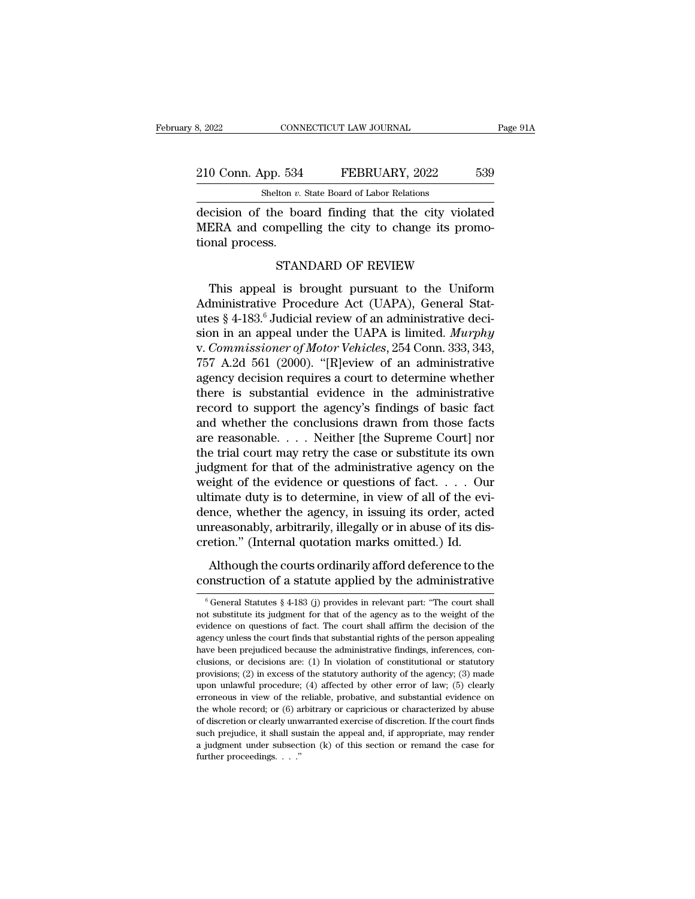# 210 Conn. App. 534 FEBRUARY, 2022 539<br>
210 Conn. App. 534 FEBRUARY, 2022 539<br>
210 Conn. App. 534 FEBRUARY, 2022 539 CONNECTICUT LAW JOURNAL<br>
shelton *v.* State Board of Labor Relations<br>
the board finding that the city vic

8, 2022 CONNECTICUT LAW JOURNAL Page 91A<br>
210 Conn. App. 534 FEBRUARY, 2022 539<br>
Shelton v. State Board of Labor Relations<br>
decision of the board finding that the city violated<br>
MERA and compelling the city to change its p 210 Conn. App. 534 FEBRUARY, 2022 539<br>Shelton v. State Board of Labor Relations<br>decision of the board finding that the city violated<br>MERA and compelling the city to change its promo-<br>tional process.  $\begin{array}{r} \textcolor{blue}{210}\text{ Conn. App. 534}\ \textcolor{blue}{\text{Sheiton }v.}\ \textcolor{blue}{\text{decision of the bo}}\ \textcolor{blue}{\text{MERA and compelling} }\end{array}$  tional process. STAN FEBRUARY, 2022 539<br>
lton *v*. State Board of Labor Relations<br>
ie board finding that the city violated<br>
mpelling the city to change its promo-<br>
STANDARD OF REVIEW<br>
is brought pursuant to the Uniform Shehon *v*. state Board of Labor Relations<br>
Cision of the board finding that the city violated<br>
ERA and compelling the city to change its promo-<br>
nnal process.<br>
STANDARD OF REVIEW<br>
This appeal is brought pursuant to the Un

decision of the board finding that the city violated<br>MERA and compelling the city to change its promo-<br>tional process.<br>STANDARD OF REVIEW<br>This appeal is brought pursuant to the Uniform<br>Administrative Procedure Act (UAPA), MERA and compelling the city to change its promotional process.<br>
STANDARD OF REVIEW<br>
This appeal is brought pursuant to the Uniform<br>
Administrative Procedure Act (UAPA), General Stat-<br>
utes § 4-183.<sup>6</sup> Judicial review of a sional process.<br>
STANDARD OF REVIEW<br>
This appeal is brought pursuant to the Uniform<br>
Administrative Procedure Act (UAPA), General Stat-<br>
utes § 4-183.<sup>6</sup> Judicial review of an administrative deci-<br>
sion in an appeal under STANDARD OF REVIEW<br>This appeal is brought pursuant to the Uniform<br>Administrative Procedure Act (UAPA), General Stat-<br>utes § 4-183.<sup>6</sup> Judicial review of an administrative deci-<br>sion in an appeal under the UAPA is limited. This appeal is brought pursuant to the Uniform<br>Administrative Procedure Act (UAPA), General Stat-<br>utes § 4-183.<sup>6</sup> Judicial review of an administrative deci-<br>sion in an appeal under the UAPA is limited. *Murphy*<br>v. Commiss This appeal is brought pursuant to the Uniform<br>Administrative Procedure Act (UAPA), General Stat-<br>utes § 4-183.<sup>6</sup> Judicial review of an administrative deci-<br>sion in an appeal under the UAPA is limited. *Murphy*<br>v. Commiss Administrative Procedure Act (UAPA), General Stat-<br>utes § 4-183.<sup>6</sup> Judicial review of an administrative deci-<br>sion in an appeal under the UAPA is limited. *Murphy*<br>v. *Commissioner of Motor Vehicles*, 254 Conn. 333, 343, utes § 4-183.<sup>6</sup> Judicial review of an administrative decision in an appeal under the UAPA is limited. *Murphy* v. *Commissioner of Motor Vehicles*, 254 Conn. 333, 343, 757 A.2d 561 (2000). "[R]eview of an administrative sion in an appeal under the UAPA is limited. *Murphy*<br>v. *Commissioner of Motor Vehicles*, 254 Conn. 333, 343,<br>757 A.2d 561 (2000). "[R]eview of an administrative<br>agency decision requires a court to determine whether<br>ther v. Commissioner of Motor Vehicles, 254 Conn. 333, 343, 757 A.2d 561 (2000). "[R]eview of an administrative agency decision requires a court to determine whether there is substantial evidence in the administrative record to 757 A.2d 561 (2000). "[R]eview of an administrative<br>agency decision requires a court to determine whether<br>there is substantial evidence in the administrative<br>record to support the agency's findings of basic fact<br>and wheth agency decision requires a court to determine whether<br>there is substantial evidence in the administrative<br>record to support the agency's findings of basic fact<br>and whether the conclusions drawn from those facts<br>are reasona there is substantial evidence in the administrative<br>record to support the agency's findings of basic fact<br>and whether the conclusions drawn from those facts<br>are reasonable. . . . Neither [the Supreme Court] nor<br>the trial record to support the agency's findings of basic fact<br>and whether the conclusions drawn from those facts<br>are reasonable. . . . Neither [the Supreme Court] nor<br>the trial court may retry the case or substitute its own<br>judgm and whether the conclusions drawn from those facts<br>are reasonable. . . . Neither [the Supreme Court] nor<br>the trial court may retry the case or substitute its own<br>judgment for that of the administrative agency on the<br>weigh are reasonable. . . . Neither [the Supreme Court] nor<br>the trial court may retry the case or substitute its own<br>judgment for that of the administrative agency on the<br>weight of the evidence or questions of fact. . . . Our<br>u the trial court may retry the case or substitute its own<br>judgment for that of the administrative agency on the<br>weight of the evidence or questions of fact. . . . Ou<br>ultimate duty is to determine, in view of all of the evi<br> Eight of the evidence or questions of fact.  $\dots$  Our timate duty is to determine, in view of all of the evi-<br>nce, whether the agency, in issuing its order, acted<br>rreasonably, arbitrarily, illegally or in abuse of its disconstruction of a statute applied by the administrative enterprise of all of the evidence, whether the agency, in issuing its order, acted unreasonably, arbitrarily, illegally or in abuse of its discretion." (Internal quo

retion." (Internal quotation marks omitted.) Id.<br>Although the courts ordinarily afford deference to the<br>positruction of a statute applied by the administrative<br> $\frac{6}{6}$ General Statutes § 4-183 (j) provides in relevant pa Although the courts ordinarily afford deference to the construction of a statute applied by the administrative  $\frac{1}{6}$  General Statutes § 4-183 (j) provides in relevant part: "The court shall not substitute its judgment Although the courts ordinarily afford deference to the construction of a statute applied by the administrative  $\frac{1}{6}$  General Statutes  $\frac{8}{4}$ -183 (j) provides in relevant part: "The court shall not substitute its ju construction of a statute applied by the administrative<br>  $\frac{1}{6}$  General Statutes § 4-183 (j) provides in relevant part: "The court shall<br>
not substitute its judgment for that of the agency as to the weight of the<br>
evid  $^6$  General Statutes  $\S$  4-183 (j) provides in relevant part: "The court shall not substitute its judgment for that of the agency as to the weight of the evidence on questions of fact. The court shall affirm the decision <sup>6</sup> General Statutes § 4-183 (j) provides in relevant part: "The court shall not substitute its judgment for that of the agency as to the weight of the evidence on questions of fact. The court shall affirm the decision of not substitute its judgment for that of the agency as to the weight of the evidence on questions of fact. The court shall affirm the decision of the agency unless the court finds that substantial rights of the person appea evidence on questions of fact. The court shall affirm the decision of the agency unless the court finds that substantial rights of the person appealing have been prejudiced because the administrative findings, inferences, exercy unless the court finds that substantial rights of the person appealing have been prejudiced because the administrative findings, inferences, conclusions, or decisions are: (1) In violation of constitutional or stat the whole periodical because the administrative findings, inferences, conclusions, or decisions are: (1) In violation of constitutional or statutory provisions; (2) in excess of the statutory authority of the agency; (3) m clusions, or decisions are: (1) In violation of constitutional or statutory provisions; (2) in excess of the statutory authority of the agency; (3) made upon unlawful procedure; (4) affected by other error of law; (5) cle provisions; (2) in excess of the statutory authority of the agency; (3) made upon unlawful procedure; (4) affected by other error of law; (5) clearly erroneous in view of the reliable, probative, and substantial evidence upon unlawful procedure; (4) affected by other error of law; (5) clearly erroneous in view of the reliable, probative, and substantial evidence on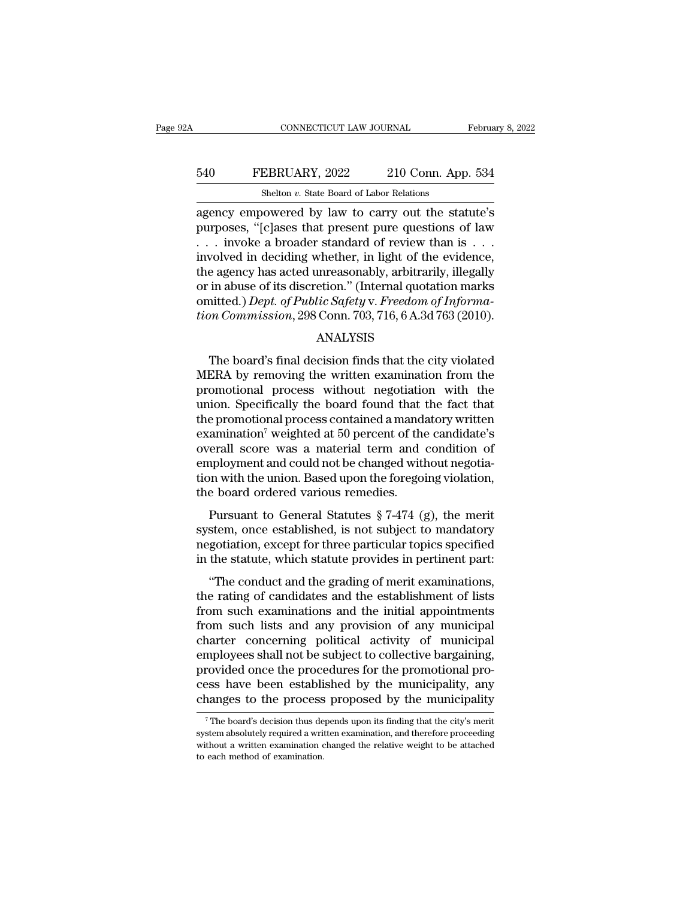# CONNECTICUT LAW JOURNAL February 8, 2022<br>540 FEBRUARY, 2022 210 Conn. App. 534<br>Shelton v. State Board of Labor Relations CONNECTICUT LAW JOURNAL<br>EBRUARY, 2022 210 Conn. App<br>Shelton *v.* State Board of Labor Relations<br>nowered by law to carry out the sta

CONNECTICUT LAW JOURNAL February 8, 2022<br>
FEBRUARY, 2022 210 Conn. App. 534<br>
Shelton v. State Board of Labor Relations<br>
agency empowered by law to carry out the statute's<br>
purposes, "[c]ases that present pure questions of FEBRUARY, 2022 210 Conn. App. 534<br>
Shelton v. State Board of Labor Relations<br>
agency empowered by law to carry out the statute's<br>
purposes, "[c]ases that present pure questions of law<br>
. . . invoke a broader standard of re 540 FEBRUARY, 2022 210 Conn. App. 534<br>
Shelton v. State Board of Labor Relations<br>
agency empowered by law to carry out the statute's<br>
purposes, "[c]ases that present pure questions of law<br>
. . . invoke a broader standard FEBRUARY, 2022 210 Conn. App. 534<br>
Shelton v. State Board of Labor Relations<br>
agency empowered by law to carry out the statute's<br>
purposes, "[c]ases that present pure questions of law<br>
... involved in deciding whether, in Shelton v. State Board of Labor Relations<br>agency empowered by law to carry out the statute's<br>purposes, "[c]ases that present pure questions of law<br>... invoke a broader standard of review than is ...<br>involved in deciding w Shelton *v*. State Board of Labor Relations<br>agency empowered by law to carry out the statute's<br>purposes, "[c]ases that present pure questions of law<br> $\dots$  involved in deciding whether, in light of the evidence,<br>the agency agency empowered by law to carry out the statute's<br>purposes, "[c]ases that present pure questions of law<br>... involved in deciding whether, in light of the evidence,<br>the agency has acted unreasonably, arbitrarily, illegally purposes, "[c]ases that present pure questions of law . . . invoke a broader standard of review than is . . . involved in deciding whether, in light of the evidence, the agency has acted unreasonably, arbitrarily, illegall e agency has acted unreasonably, arbitrarily, illegally<br>in abuse of its discretion." (Internal quotation marks<br>nitted.) *Dept. of Public Safety v. Freedom of Informa-*<br>*m Commission*, 298 Conn. 703, 716, 6 A.3d 763 (2010).

#### ANALYSIS

or in abuse of its discretion." (Internal quotation marks<br>
omitted.) *Dept. of Public Safety v. Freedom of Informa-<br>
tion Commission*, 298 Conn. 703, 716, 6 A.3d 763 (2010).<br>
ANALYSIS<br>
The board's final decision finds that omitted.) Dept. of Public Safety v. Freedom of Informa-<br>tion Commission, 298 Conn. 703, 716, 6 A.3d 763 (2010).<br>ANALYSIS<br>The board's final decision finds that the city violated<br>MERA by removing the written examination from tion Commission, 298 Conn. 703, 716, 6 A.3d 763 (2010).<br>ANALYSIS<br>The board's final decision finds that the city violated<br>MERA by removing the written examination from the<br>promotional process without negotiation with the<br>u ANALYSIS<br>The board's final decision finds that the city violated<br>MERA by removing the written examination from the<br>promotional process without negotiation with the<br>union. Specifically the board found that the fact that<br>the EXAMIDED THE board's final decision finds that the city violated<br>MERA by removing the written examination from the<br>promotional process without negotiation with the<br>union. Specifically the board found that the fact that<br>the The board's final decision finds that the city violated<br>MERA by removing the written examination from the<br>promotional process without negotiation with the<br>union. Specifically the board found that the fact that<br>the promotio MERA by removing the written examination from the<br>promotional process without negotiation with the<br>union. Specifically the board found that the fact that<br>the promotional process contained a mandatory written<br>examination<sup>7</sup> promotional process without negotiation with the<br>union. Specifically the board found that the fact that<br>the promotional process contained a mandatory written<br>examination<sup>7</sup> weighted at 50 percent of the candidate's<br>overall union. Specifically the board found that<br>the promotional process contained a mands<br>examination<sup>7</sup> weighted at 50 percent of the<br>overall score was a material term and<br>employment and could not be changed with<br>tion with the Examination<sup>7</sup> weighted at 50 percent of the candidate's<br>
erall score was a material term and condition of<br>
uployment and could not be changed without negotia-<br>
in with the union. Based upon the foregoing violation,<br>
e bo Examination weighted at 50 percent of the candidate s<br>overall score was a material term and condition of<br>employment and could not be changed without negotia-<br>tion with the union. Based upon the foregoing violation,<br>the bo

overant score was a material term and condition of employment and could not be changed without negotiation, the board ordered various remedies.<br>Pursuant to General Statutes  $\S 7-474$  (g), the merit system, once establishe employment and collid not be enalged whild negotia-<br>tion with the union. Based upon the foregoing violation,<br>the board ordered various remedies.<br>Pursuant to General Statutes  $\S 7-474$  (g), the merit<br>system, once establish Example 18 and ordered various remedies.<br>
Pursuant to General Statutes  $\S 7-474$  (g), the merit<br>
stem, once established, is not subject to mandatory<br>
gotiation, except for three particular topics specified<br>
the statute, w Pursuant to General Statutes  $\S$  7-474 (g), the merit<br>system, once established, is not subject to mandatory<br>negotiation, except for three particular topics specified<br>in the statute, which statute provides in pertinent par

Fursuant to defier a bandles  $\frac{1}{3}$  ( $\frac{1}{2}$ ), the filern<br>system, once established, is not subject to mandatory<br>negotiation, except for three particular topics specified<br>in the statute, which statute provides in pert from such a subject to manuatory<br>megotiation, except for three particular topics specified<br>in the statute, which statute provides in pertinent part:<br>"The conduct and the grading of merit examinations,<br>the rating of candida regolation, except for three particular topics specified<br>in the statute, which statute provides in pertinent part:<br>"The conduct and the grading of merit examinations,<br>the rating of candidates and the establishment of lists if the statute, which statute provides in pertinent part.<br>
"The conduct and the grading of merit examinations,<br>
the rating of candidates and the establishment of lists<br>
from such lists and any provision of any municipal<br>
c "The conduct and the grading of merit examinations,<br>the rating of candidates and the establishment of lists<br>from such examinations and the initial appointments<br>from such lists and any provision of any municipal<br>charter con the rating of candidates and the establishment of lists<br>from such examinations and the initial appointments<br>from such lists and any provision of any municipal<br>charter concerning political activity of municipal<br>employees sh from such examinations and the initial appointments<br>from such lists and any provision of any municipal<br>charter concerning political activity of municipal<br>employees shall not be subject to collective bargaining,<br>provided o mployees shall not be subject to collective bargaining,<br>rovided once the procedures for the promotional pro-<br>ess have been established by the municipality, any<br>anges to the process proposed by the municipality<br><sup>7</sup>The board provided once the procedures for the promotional process have been established by the municipality, any changes to the process proposed by the municipality  $\frac{1}{7}$  The board's decision thus depends upon its finding that

cess have been established by the municipality, any changes to the process proposed by the municipality The board's decision thus depends upon its finding that the city's merity system absolutely required a written examina changes to the process<br>Thanges to the process<br>The board's decision thus de<br>system absolutely required a write<br>without a written examination of to each method of examination.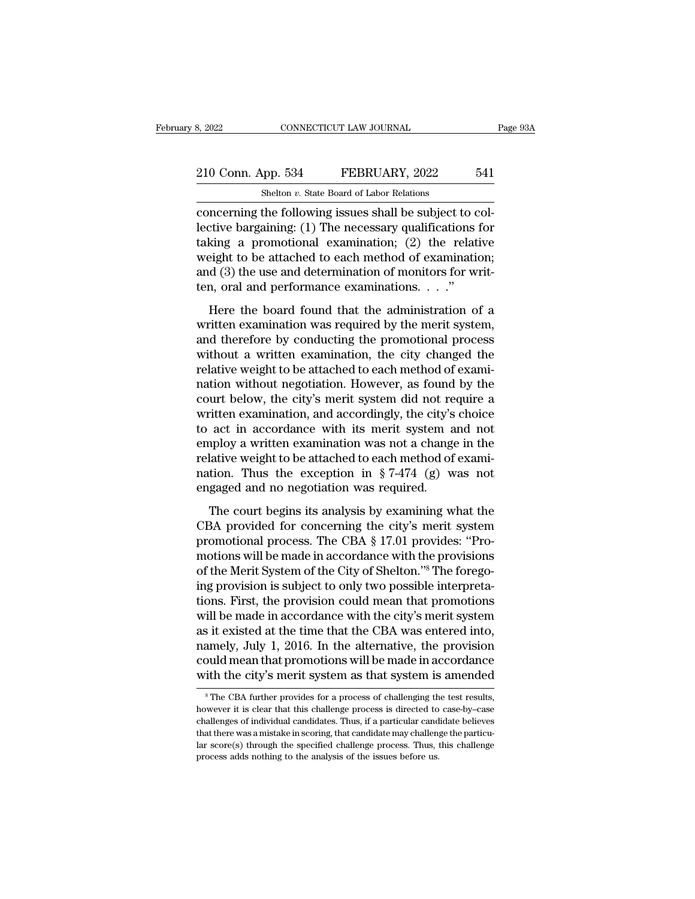# 210 Conn. App. 534 FEBRUARY, 2022 541<br>Shelton v. State Board of Labor Relations CONNECTICUT LAW JOURNAL<br>
shelton *v.* State Board of Labor Relations<br>
the following issues shall be subject to

EXECUTE SAN SECUTE THE SERIE OF SAN SECURE 2022<br>
Shelton v. State Board of Labor Relations<br>
Concerning the following issues shall be subject to col-<br>
lective bargaining: (1) The necessary qualifications for<br>
taking a promo 210 Conn. App. 534 FEBRUARY, 2022 541<br>Shelton v. State Board of Labor Relations<br>Concerning the following issues shall be subject to col-<br>lective bargaining: (1) The necessary qualifications for<br>taking a promotional examina 210 Conn. App. 534 FEBRUARY, 2022 541<br>
Shelton v. State Board of Labor Relations<br>
concerning the following issues shall be subject to col-<br>
lective bargaining: (1) The necessary qualifications for<br>
taking a promotional ex 210 Conn. App. 534 FEBRUARY, 2022 541<br>
Shelton v. State Board of Labor Relations<br>
concerning the following issues shall be subject to col-<br>
lective bargaining: (1) The necessary qualifications for<br>
taking a promotional exa Shelton *v*. State Board of Labor Relations<br>concerning the following issues shall be subject to col-<br>lective bargaining: (1) The necessary qualifications for<br>taking a promotional examination; (2) the relative<br>weight to be Shelton v. State Board of Labor Relations<br>
concerning the following issues shall be subject to c<br>
lective bargaining: (1) The necessary qualifications<br>
taking a promotional examination; (2) the relat<br>
weight to be attache Here the board found that the administration of a<br>differential properties a promotional examination; (2) the relative<br>eight to be attached to each method of examination;<br>d (3) the use and determination of monitors for wri Example 12 The necessary quantizations for<br>taking a promotional examination; (2) the relative<br>weight to be attached to each method of examination;<br>and (3) the use and determination of monitors for writ-<br>ten, oral and perf

and the attached to each method of examination;<br>and (3) the use and determination of monitors for writ-<br>ten, oral and performance examinations.  $\ldots$ ."<br>Here the board found that the administration of a<br>written examination weight to be diddeled to ederl method of examination,<br>and (3) the use and determination of monitors for writ-<br>ten, oral and performance examinations.  $\dots$ ."<br>Here the board found that the administration of a<br>written examin relation of a set and determination of monators for white<br>ten, oral and performance examinations.  $\dots$ ."<br>Here the board found that the administration of a<br>written examination was required by the merit system,<br>and therefor Here the board found that the administration of a<br>written examination was required by the merit system,<br>and therefore by conducting the promotional process<br>without a written examination, the city changed the<br>relative weig Here the board found that the administration of a<br>written examination was required by the merit system,<br>and therefore by conducting the promotional process<br>without a written examination, the city changed the<br>relative weigh written examination was required by the merit system,<br>and therefore by conducting the promotional process<br>without a written examination, the city changed the<br>relative weight to be attached to each method of exami-<br>nation w and therefore by conducting the promotional process<br>without a written examination, the city changed the<br>relative weight to be attached to each method of exami-<br>nation without negotiation. However, as found by the<br>court bel without a written examination, the city changed the<br>relative weight to be attached to each method of exami-<br>nation without negotiation. However, as found by the<br>court below, the city's merit system did not require a<br>writt relative weight to be attached to each method of exami-<br>nation without negotiation. However, as found by the<br>court below, the city's merit system did not require a<br>written examination, and accordingly, the city's choice<br>t nation without negotiation. However, as found by the court below, the city's merit system did not require a written examination, and accordingly, the city's choice to act in accordance with its merit system and not employ court below, the city's merit system did not re<br>written examination, and accordingly, the city's<br>to act in accordance with its merit system a<br>employ a written examination was not a change<br>relative weight to be attached to The court begins its analysis by examining what the same condition. Thus the exception in § 7-474 (g) was not gaged and no negotiation was required.<br>The court begins its analysis by examining what the BA provided for conc Example the association was not a change in the relative weight to be attached to each method of examination. Thus the exception in  $\S 7-474$  (g) was not engaged and no negotiation was required.<br>The court begins its analy

progress. The extended to each method of examination. Thus the exception in  $\S 7-474$  (g) was not engaged and no negotiation was required.<br>The court begins its analysis by examining what the CBA provided for concerning th mation. Thus the exception in § 7-474 (g) was not<br>engaged and no negotiation was required.<br>The court begins its analysis by examining what the<br>CBA provided for concerning the city's merit system<br>promotional process. The C radiation. That are enception in  $\frac{1}{3}$ ,  $\frac{1}{11}$ ,  $\frac{1}{3}$ ,  $\frac{1}{10}$  and  $\frac{1}{3}$  energing engaged and no negotiation was required.<br>
CBA provided for concerning the city's merit system promotional process. The C The court begins its analysis by examining what the<br>CBA provided for concerning the city's merit system<br>promotional process. The CBA § 17.01 provides: "Pro-<br>motions will be made in accordance with the provisions<br>of the Mer The court begins its analysis by examining what the<br>CBA provided for concerning the city's merit system<br>promotional process. The CBA § 17.01 provides: "Pro-<br>motions will be made in accordance with the provisions<br>of the Mer CBA provided for concerning the city's merit system<br>promotional process. The CBA § 17.01 provides: "Pro-<br>motions will be made in accordance with the provisions<br>of the Merit System of the City of Shelton."<sup>8</sup> The forego-<br>i promotional process. The CBA § 17.01 provides: "Pro-<br>motions will be made in accordance with the provisions<br>of the Merit System of the City of Shelton."<sup>8</sup> The forego-<br>ing provision is subject to only two possible interpre motions will be made in accordance with the provisions<br>of the Merit System of the City of Shelton."<sup>8</sup> The forego-<br>ing provision is subject to only two possible interpreta-<br>tions. First, the provision could mean that promo of the Merit System of the City of Shelton."<sup>8</sup> The forego-<br>ing provision is subject to only two possible interpreta-<br>tions. First, the provision could mean that promotions<br>will be made in accordance with the city's merit ing provision is subject to only two possible interpretations. First, the provision could mean that promotions will be made in accordance with the city's merit system as it existed at the time that the CBA was entered into  $8$  it existed at the time that the CBA was entered into, amely, July 1, 2016. In the alternative, the provision build mean that promotions will be made in accordance ith the city's merit system as that system is amended however it is clear that this challenge process is directed to case-by–case with the city's merit system as that system is amended with the city's merit system as that system is amended  $^8$ The CBA further provides for a p

could mean that promotions will be made in accordance<br>with the city's merit system as that system is amended<br><sup>\*</sup>The CBA further provides for a process of challenging the test results,<br>however it is clear that this challeng with the city's merit system as that system is amended<br>
<sup>8</sup> The CBA further provides for a process of challenging the test results,<br>
however it is clear that this challenge process is directed to case-by-case<br>
challenges o <sup>8</sup> The CBA further provides for a process of challenging the test results, however it is clear that this challenge process is directed to case-by-case challenges of individual candidates. Thus, if a particular candidate b  $\degree$  The CBA further provides for a process of challenging th<br>however it is clear that this challenge process is directed to<br>challenges of individual candidates. Thus, if a particular cand<br>that there was a mistake in scor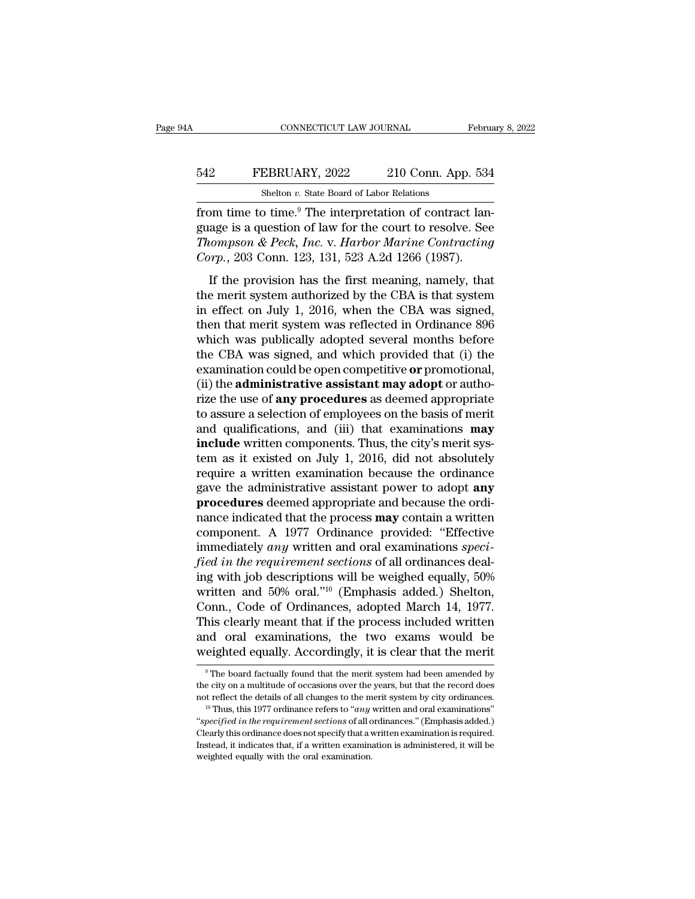# CONNECTICUT LAW JOURNAL February 8, 2022<br>542 FEBRUARY, 2022 210 Conn. App. 534<br>512 Shelton v. State Board of Labor Relations CONNECTICUT LAW JOURNAL<br>EBRUARY, 2022 210 Conn. App<br>Shelton *v.* State Board of Labor Relations<br>2 time <sup>9</sup> The interpretation of contrac

Februa<br>
FEBRUARY, 2022 210 Conn. App. 534<br>
Shelton v. State Board of Labor Relations<br>
from time to time.<sup>9</sup> The interpretation of contract lan-<br>
guage is a question of law for the court to resolve. See<br>
The interpretation FEBRUARY, 2022 210 Conn. App. 534<br>
Shelton v. State Board of Labor Relations<br>
from time to time.<sup>9</sup> The interpretation of contract language is a question of law for the court to resolve. See<br> *Thompson & Peck, Inc.* v. *Ha The FEBRUARY, 2022* 210 Conn. App. 534<br> *The inc. The interpretation of contract language is a question of law for the court to resolve. See Thompson & Peck, Inc. v. Harbor Marine Contracting Corp., 203 Conn. 123, 131,* **EXECUARY, 2022** 210 Conn. App. 534<br> **Corp.** Shelton v. State Board of Labor Relations<br>
from time to time.<sup>9</sup> The interpretation of contract lan<br>
guage is a question of law for the court to resolve. See<br> *Corp.*, 203 Conn. Shelton v. State Board of Labor Relations<br>
Dom time to time.<sup>9</sup> The interpretation of contract lan-<br>
age is a question of law for the court to resolve. See<br> *tompson & Peck, Inc.* v. *Harbor Marine Contracting*<br>  $\eta r p$ , 2 from time to time.<sup>9</sup> The interpretation of contract language is a question of law for the court to resolve. See *Thompson & Peck*, *Inc.* v. *Harbor Marine Contracting Corp.*, 203 Conn. 123, 131, 523 A.2d 1266 (1987). If

From the to the. The merpression of contract tan<br>guage is a question of law for the court to resolve. See<br>*Thompson & Peck, Inc.* v. *Harbor Marine Contracting*<br>*Corp.*, 203 Conn. 123, 131, 523 A.2d 1266 (1987).<br>If the pro Thompson & Peck, Inc. v. Harbor Marine Contracting<br>Corp., 203 Conn. 123, 131, 523 A.2d 1266 (1987).<br>If the provision has the first meaning, namely, that<br>the merit system authorized by the CBA is that system<br>in effect on J Corp., 203 Conn. 123, 131, 523 A.2d 1266 (1987).<br>
If the provision has the first meaning, namely, that<br>
the merit system authorized by the CBA is that system<br>
in effect on July 1, 2016, when the CBA was signed,<br>
then that If the provision has the first meaning, namely, that<br>the merit system authorized by the CBA is that system<br>in effect on July 1, 2016, when the CBA was signed,<br>then that merit system was reflected in Ordinance 896<br>which wa If the provision has the first meaning, namely, that<br>the merit system authorized by the CBA is that system<br>in effect on July 1, 2016, when the CBA was signed,<br>then that merit system was reflected in Ordinance 896<br>which was the merit system authorized by the CBA is that system<br>in effect on July 1, 2016, when the CBA was signed,<br>then that merit system was reflected in Ordinance 896<br>which was publically adopted several months before<br>the CBA was in effect on July 1, 2016, when the CBA was signed,<br>then that merit system was reflected in Ordinance 896<br>which was publically adopted several months before<br>the CBA was signed, and which provided that (i) the<br>examination c then that merit system was reflected in Ordinance 896<br>which was publically adopted several months before<br>the CBA was signed, and which provided that (i) the<br>examination could be open competitive **or** promotional,<br>(ii) the which was publically adopted several months before<br>the CBA was signed, and which provided that (i) the<br>examination could be open competitive **or** promotional,<br>(ii) the **administrative assistant may adopt** or autho-<br>rize the CBA was signed, and which provided that (i) the examination could be open competitive **or** promotional, (ii) the **administrative assistant may adopt** or authorize the use of **any procedures** as deemed appropriate to as examination could be open competitive or promotional,<br>
(ii) the **administrative assistant may adopt** or autho-<br>
rize the use of **any procedures** as deemed appropriate<br>
to assure a selection of employees on the basis of me (ii) the **administrative assistant may adopt** or authorize the use of **any procedures** as deemed appropriate to assure a selection of employees on the basis of merit and qualifications, and (iii) that examinations **may in** rize the use of **any procedures** as deemed appropriate<br>to assure a selection of employees on the basis of merit<br>and qualifications, and (iii) that examinations **may**<br>**include** written components. Thus, the city's merit sys to assure a selection of employees on the basis of merit<br>and qualifications, and (iii) that examinations **may**<br>**include** written components. Thus, the city's merit sys-<br>tem as it existed on July 1, 2016, did not absolutely and qualifications, and (iii) that examinations **may** include written components. Thus, the city's merit system as it existed on July 1, 2016, did not absolutely require a written examination because the ordinance gave the **include** written components. Thus, the city's merit system as it existed on July 1, 2016, did not absolutely require a written examination because the ordinance gave the administrative assistant power to adopt **any** proc tem as it existed on July 1, 2016, did not absolutely<br>require a written examination because the ordinance<br>gave the administrative assistant power to adopt **any**<br>**procedures** deemed appropriate and because the ordi-<br>nance i require a written examination because the ordinance<br>gave the administrative assistant power to adopt **any**<br>**procedures** deemed appropriate and because the ordinance<br>indicated that the process **may** contain a written<br>compon gave the administrative assistant power to adopt **any**<br>**procedures** deemed appropriate and because the ordinance indicated that the process **may** contain a written<br>component. A 1977 Ordinance provided: "Effective<br>immediate **procedures** deemed appropriate and because the ordinance indicated that the process **may** contain a written component. A 1977 Ordinance provided: "Effective immediately *any* written and oral examinations *specified in t* nance indicated that the process **may** contain a written<br>component. A 1977 Ordinance provided: "Effective<br>immediately *any* written and oral examinations *speci-*<br>*fied in the requirement sections* of all ordinances deal-<br> component. A 1977 Ordinance provided: "Effective<br>immediately *any* written and oral examinations *speci-*<br>fied in the requirement sections of all ordinances deal-<br>ing with job descriptions will be weighed equally, 50%<br>wri immediately any written and oral examinations *specified in the requirement sections* of all ordinances dealing with job descriptions will be weighed equally, 50% written and 50% oral."<sup>10</sup> (Emphasis added.) Shelton, Conn fied in the requirement sections of all ordinances dealing with job descriptions will be weighed equally, 50% written and 50% oral."<sup>10</sup> (Emphasis added.) Shelton, Conn., Code of Ordinances, adopted March 14, 1977. This cl This clearly meant that if the process included written<br>and oral examinations, the two exams would be<br>weighted equally. Accordingly, it is clear that the merit<br> $\frac{1}{\pi}$  The board factually found that the merit system ha This clearly meant that if the process included written<br>and oral examinations, the two exams would be<br>weighted equally. Accordingly, it is clear that the merit<br> $^{\circ}$ The board factually found that the merit system had bee

and oral examinations, the two exams would be<br>weighted equally. Accordingly, it is clear that the merit<br><sup>9</sup> The board factually found that the merit system had been amended by<br>the city on a multitude of occasions over the

<sup>&</sup>lt;sup>9</sup> The board factually found that the merit system had been amended by the city on a multitude of occasions over the years, but that the record does not reflect the details of all changes to the merit system by city ordin <sup>9</sup> The board factually found that the merit system had been amended by the city on a multitude of occasions over the years, but that the record does not reflect the details of all changes to the merit system by city ordi The city on a multitude of occasions over the years, but that the record does not reflect the details of all changes to the merit system by city ordinances.<br><sup>10</sup> Thus, this 1977 ordinance refers to "*any* written and oral <sup>10</sup> Thus, this 1977 ordinance refers to "*any* written and oral examinations" "*specified in the requirement sections* of all ordinances." (Emphasis added.) Clearly this ordinance does not specify that a written examinat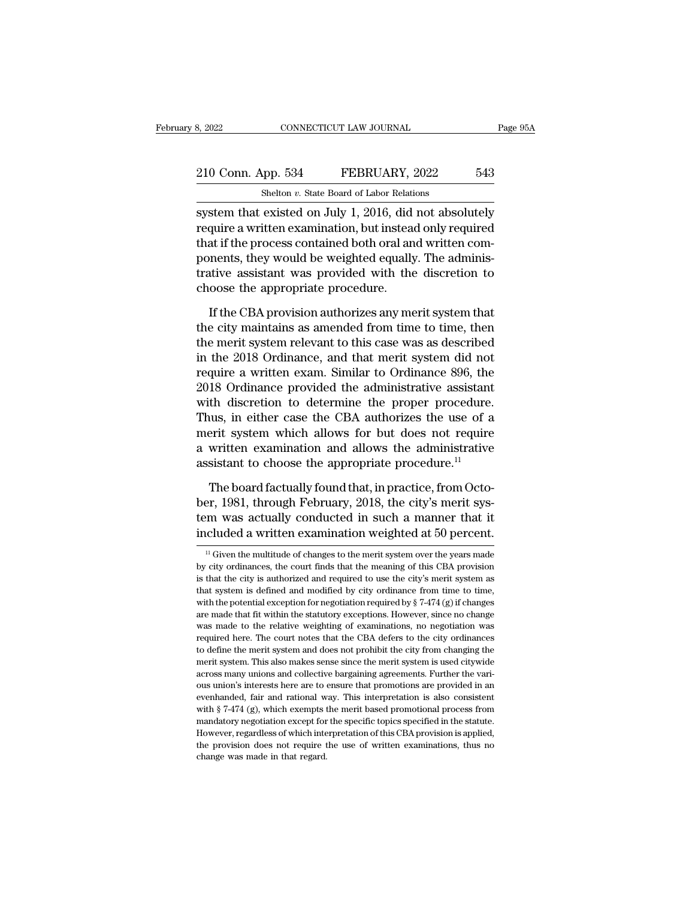# 210 Conn. App. 534 FEBRUARY, 2022 543<br>
210 Conn. App. 534 FEBRUARY, 2022 543 CONNECTICUT LAW JOURNAL<br>
shelton *v.* State Board of Labor Relations<br>
existed on July 1–2016, did not absol

s, 2022 CONNECTICUT LAW JOURNAL Page 95A<br>
210 Conn. App. 534 FEBRUARY, 2022 543<br>
Shelton v. State Board of Labor Relations<br>
System that existed on July 1, 2016, did not absolutely<br>
require a written examination, but instea 210 Conn. App. 534 FEBRUARY, 2022 543<br>Shelton v. State Board of Labor Relations<br>system that existed on July 1, 2016, did not absolutely<br>require a written examination, but instead only required<br>that if the process contained 210 Conn. App. 534 FEBRUARY, 2022 543<br>
Shelton v. State Board of Labor Relations<br>
system that existed on July 1, 2016, did not absolutely<br>
require a written examination, but instead only required<br>
that if the process cont 210 Conn. App. 534 FEBRUARY, 2022 543<br>
Shelton v. State Board of Labor Relations<br>
system that existed on July 1, 2016, did not absolutely<br>
require a written examination, but instead only required<br>
that if the process conta Shelton  $v$ . State Board of Labor Relations<br>system that existed on July 1, 2016, did not absolutely<br>require a written examination, but instead only required<br>that if the process contained both oral and written com-<br>ponents shellon v. state board of Labor Relation system that existed on July 1, 2016, did require a written examination, but instead<br>that if the process contained both oral and ponents, they would be weighted equally<br>trative assi quire a written examination, but instead only required<br>at if the process contained both oral and written com-<br>nents, they would be weighted equally. The adminis-<br>ative assistant was provided with the discretion to<br>oose the that if the process contained both oral and written components, they would be weighted equally. The administrative assistant was provided with the discretion to choose the appropriate procedure.<br>If the CBA provision author

ponents, they would be weighted equally. The administrative assistant was provided with the discretion to choose the appropriate procedure.<br>If the CBA provision authorizes any merit system that the city maintains as amende In the discretion to<br>choose the appropriate procedure.<br>If the CBA provision authorizes any merit system that<br>the city maintains as amended from time to time, then<br>the merit system relevant to this case was as described<br>in choose the appropriate procedure.<br>If the CBA provision authorizes any merit system that<br>the city maintains as amended from time to time, then<br>the merit system relevant to this case was as described<br>in the 2018 Ordinance, a If the CBA provision authorizes any merit system that<br>the city maintains as amended from time to time, then<br>the merit system relevant to this case was as described<br>in the 2018 Ordinance, and that merit system did not<br>requ If the CBA provision authorizes any merit system that<br>the city maintains as amended from time to time, then<br>the merit system relevant to this case was as described<br>in the 2018 Ordinance, and that merit system did not<br>requi the city maintains as amended from time to time, then<br>the merit system relevant to this case was as described<br>in the 2018 Ordinance, and that merit system did not<br>require a written exam. Similar to Ordinance 896, the<br>2018 the merit system relevant to this case was as described<br>in the 2018 Ordinance, and that merit system did not<br>require a written exam. Similar to Ordinance 896, the<br>2018 Ordinance provided the administrative assistant<br>with d in the 2018 Ordinance, and that merit system did not<br>require a written exam. Similar to Ordinance 896, the<br>2018 Ordinance provided the administrative assistant<br>with discretion to determine the proper procedure.<br>Thus, in e require a written exam. Similar to Ordinance 896, the<br>2018 Ordinance provided the administrative assistant<br>with discretion to determine the proper procedure.<br>Thus, in either case the CBA authorizes the use of a<br>merit syste the discretion to determine the proper procedure.<br>
uus, in either case the CBA authorizes the use of a<br>
erit system which allows for but does not require<br>
written examination and allows the administrative<br>
sistant to choos Thus, in either case the CBA authorizes the use of a<br>merit system which allows for but does not require<br>a written examination and allows the administrative<br>assistant to choose the appropriate procedure.<sup>11</sup><br>The board factu

merit system which allows for but does not require<br>a written examination and allows the administrative<br>assistant to choose the appropriate procedure.<sup>11</sup><br>The board factually found that, in practice, from Octo-<br>ber, 1981, t a written examination and allows the administrative<br>assistant to choose the appropriate procedure.<sup>11</sup><br>The board factually found that, in practice, from Octo-<br>ber, 1981, through February, 2018, the city's merit sys-<br>tem w 11 The board ractually round that, in practice, from Octo-<br>er, 1981, through February, 2018, the city's merit sys-<br>m was actually conducted in such a manner that it<br>cluded a written examination weighted at 50 percent.<br><sup>11</sup> ber, 1981, through February, 2018, the city's merit system was actually conducted in such a manner that it included a written examination weighted at 50 percent.<br>  $\frac{1}{11}$  Given the multitude of changes to the merit sys

tem was actually conducted in such a manner that it included a written examination weighted at 50 percent.<br> $\frac{11}{11}$  Given the multitude of changes to the merit system over the years made by city ordinances, the court f included a written examination weighted at 50 percent.<br>  $\frac{1}{16}$  Given the multitude of changes to the merit system over the years made<br>
by city ordinances, the court finds that the meaning of this CBA provision<br>
is tha Incruded a writtent examination weighted at 50 percent.<br>
<sup>11</sup> Given the multitude of changes to the merit system over the years made<br>
by city ordinances, the court finds that the meaning of this CBA provision<br>
is that the <sup>11</sup> Given the multitude of changes to the merit system over the years made by city ordinances, the court finds that the meaning of this CBA provision is that the city is authorized and required to use the city's merit sy by city ordinances, the court finds that the meaning of this CBA provision<br>is that the city is authorized and required to use the city's merit system as<br>that system is defined and modified by city ordinance from time to ti by any tendential exception and required to use the city's merit system as that system is defined and modified by city ordinance from time to time, with the potential exception for negotiation required by  $\S$  7-474 (g) if to define the merit system is defined and modified by city ordinance from time to time, with the potential exception for negotiation required by  $\S 7-474$  (g) if changes are made that fit within the statutory exceptions. with the potential exception for negotiation required by  $\S 7-474$  (g) if changes are made that fit within the statutory exceptions. However, since no change was made to the relative weighting of examinations, no negotiat are made that fit within the statutory exceptions. However, since no change was made to the relative weighting of examinations, no negotiation was required here. The court notes that the CBA defers to the city ordinances t was made to the relative weighting of examinations, no negotiation was required here. The court notes that the CBA defers to the city ordinances to define the merit system and does not prohibit the city from changing the m required here. The court notes that the CBA defers to the city ordinances<br>required here. The court notes that the CBA defers to the city ordinances<br>to define the merit system and does not prohibit the city from changing th to define the merit system and does not prohibit the city from changing the merit system. This also makes sense since the merit system is used citywide across many unions and collective bargaining agreements. Further the v merit system. This also makes sense since the merit system is used citywide across many unions and collective bargaining agreements. Further the various union's interests here are to ensure that promotions are provided in across many unions and collective bargaining agreements. Further the various union's interests here are to ensure that promotions are provided in an evenhanded, fair and rational way. This interpretation is also consistent ous union's interests here are to ensure that promotions are provided in an evenhanded, fair and rational way. This interpretation is also consistent with § 7-474 (g), which exempts the merit based promotional process from ous union's interests here are to ensure that promotions are provided in an even<br>handed, fair and rational way. This interpretation is also consistent<br>with  $\S$  7-474 (g), which exempts the merit based promotional process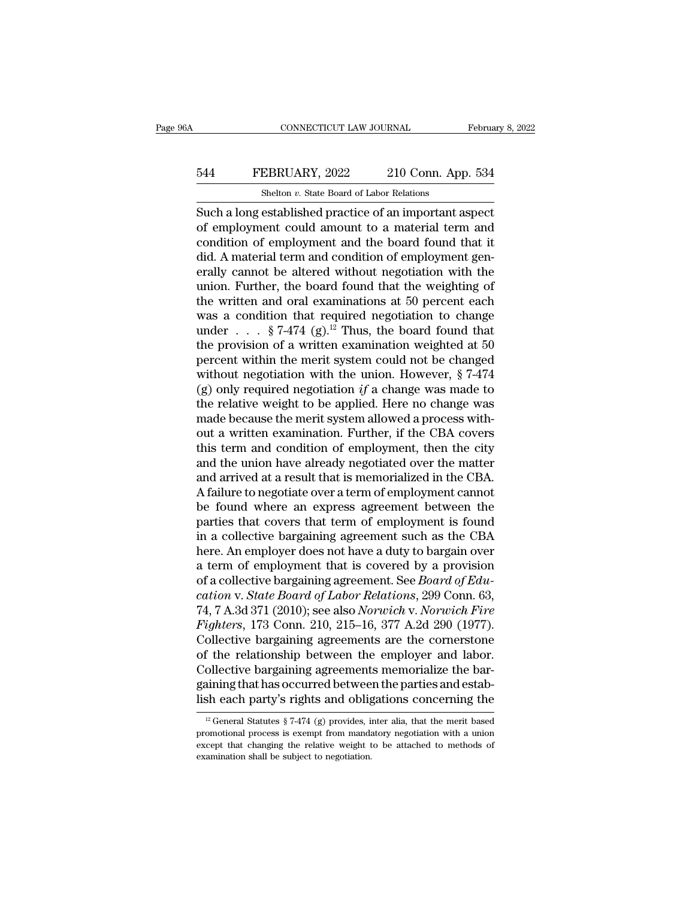# CONNECTICUT LAW JOURNAL February 8, 2022<br>544 FEBRUARY, 2022 210 Conn. App. 534<br>514 Shelton v. State Board of Labor Relations CONNECTICUT LAW JOURNAL<br>EBRUARY, 2022 210 Conn. App<br>Shelton *v.* State Board of Labor Relations<br>established practice of an important a

CONNECTICUT LAW JOURNAL February 8, 202<br>
SHA FEBRUARY, 2022 210 Conn. App. 534<br>
Shelton v. State Board of Labor Relations<br>
Such a long established practice of an important aspect<br>
of employment could amount to a material t FEBRUARY, 2022 210 Conn. App. 534<br>
Shelton v. State Board of Labor Relations<br>
Such a long established practice of an important aspect<br>
of employment could amount to a material term and<br>
condition of employment and the boar EXEMBERUARY, 2022 210 Conn. App. 534<br>
Shelton v. State Board of Labor Relations<br>
Such a long established practice of an important aspect<br>
of employment could amount to a material term and<br>
condition of employment and the  $\frac{544}{\text{Shelton } v. \text{ State Board of Labor Relations}}$ <br>Such a long established practice of an important aspect of employment could amount to a material term and condition of employment and the board found that it did. A material term and condition Shelton v. State Board of Labor Relations<br>Such a long established practice of an important aspect<br>of employment could amount to a material term and<br>condition of employment and the board found that it<br>did. A material term Shelton  $v$ . State Board of Labor Relations<br>
Such a long established practice of an important aspect<br>
of employment could amount to a material term and<br>
condition of employment gen-<br>
erally cannot be altered without negot Such a long established practice of an important aspect<br>of employment could amount to a material term and<br>condition of employment and the board found that it<br>did. A material term and condition of employment gen-<br>erally ca of employment could amount to a material term and<br>condition of employment and the board found that it<br>did. A material term and condition of employment gen-<br>erally cannot be altered without negotiation with the<br>union. Furt condition of employment and the board found that it<br>did. A material term and condition of employment gen-<br>erally cannot be altered without negotiation with the<br>union. Further, the board found that the weighting of<br>the wri did. A material term and condition of employment generally cannot be altered without negotiation with the union. Further, the board found that the weighting of the written and oral examinations at 50 percent each was a co erally cannot be altered without negotiation with the<br>union. Further, the board found that the weighting of<br>the written and oral examinations at 50 percent each<br>was a condition that required negotiation to change<br>under . union. Further, the board found that the weighting of<br>the written and oral examinations at 50 percent each<br>was a condition that required negotiation to change<br>under . . . § 7-474 (g).<sup>12</sup> Thus, the board found that<br>the pr the written and oral examinations at 50 percent each<br>was a condition that required negotiation to change<br>under . . . § 7-474 (g).<sup>12</sup> Thus, the board found that<br>the provision of a written examination weighted at 50<br>percen was a condition that required negotiation to change<br>under . . . § 7-474 (g).<sup>12</sup> Thus, the board found that<br>the provision of a written examination weighted at 50<br>percent within the merit system could not be changed<br>withou under  $\ldots$  § 7-474 (g).<sup>12</sup> Thus, the board found that<br>the provision of a written examination weighted at 50<br>percent within the merit system could not be changed<br>without negotiation with the union. However, § 7-474<br>(g) o the provision of a written examination weighted at 50<br>percent within the merit system could not be changed<br>without negotiation with the union. However,  $\S 7-474$ <br>(g) only required negotiation  $if$  a change was made to<br>the percent within the merit system could not be changed<br>without negotiation with the union. However,  $\S 7-474$ <br>(g) only required negotiation if a change was made to<br>the relative weight to be applied. Here no change was<br>made without negotiation with the union. However,  $\S$  7-474 (g) only required negotiation *if* a change was made to the relative weight to be applied. Here no change was made because the merit system allowed a process without (g) only required negotiation  $if$  a change was made to<br>the relative weight to be applied. Here no change was<br>made because the merit system allowed a process with-<br>out a written examination. Further, if the CBA covers<br>this the relative weight to be applied. Here no change was<br>made because the merit system allowed a process with-<br>out a written examination. Further, if the CBA covers<br>this term and condition of employment, then the city<br>and the made because the merit system allowed a process with-<br>out a written examination. Further, if the CBA covers<br>this term and condition of employment, then the city<br>and the union have already negotiated over the matter<br>and arr out a written examination. Further, if the CBA covers<br>this term and condition of employment, then the city<br>and the union have already negotiated over the matter<br>and arrived at a result that is memorialized in the CBA.<br>A fa this term and condition of employment, then the city<br>and the union have already negotiated over the matter<br>and arrived at a result that is memorialized in the CBA.<br>A failure to negotiate over a term of employment cannot<br>be and the union have already negotiated over the matter<br>and arrived at a result that is memorialized in the CBA.<br>A failure to negotiate over a term of employment cannot<br>be found where an express agreement between the<br>partie and arrived at a result that is memorialized in the CBA.<br>A failure to negotiate over a term of employment cannot<br>be found where an express agreement between the<br>parties that covers that term of employment is found<br>in a co A failure to negotiate over a term of employment cannot<br>be found where an express agreement between the<br>parties that covers that term of employment is found<br>in a collective bargaining agreement such as the CBA<br>here. An emp be found where an express agreement between the<br>parties that covers that term of employment is found<br>in a collective bargaining agreement such as the CBA<br>here. An employer does not have a duty to bargain over<br>a term of emp parties that covers that term of employment is found<br>in a collective bargaining agreement such as the CBA<br>here. An employer does not have a duty to bargain over<br>a term of employment that is covered by a provision<br>of a coll in a collective bargaining agreement such as the CBA<br>here. An employer does not have a duty to bargain over<br>a term of employment that is covered by a provision<br>of a collective bargaining agreement. See *Board of Edu-<br>catio* here. An employer does not have a duty to bargain over<br>a term of employment that is covered by a provision<br>of a collective bargaining agreement. See *Board of Edu-<br>cation v. State Board of Labor Relations*, 299 Conn. 63,<br>7 a term of employment that is covered by a provision<br>of a collective bargaining agreement. See *Board of Edu-<br>cation* v. *State Board of Labor Relations*, 299 Conn. 63,<br>74, 7 A.3d 371 (2010); see also *Norwich* v. *Norwich* of a collective bargaining agreement. See *Board of Education* v. *State Board of Labor Relations*, 299 Conn. 63, 74, 7 A.3d 371 (2010); see also *Norwich* v. *Norwich Fire Fighters*, 173 Conn. 210, 215–16, 377 A.2d 290 (1 cation v. State Board of Labor Relations, 299 Conn. 63,<br>74, 7 A.3d 371 (2010); see also *Norwich v. Norwich Fire*<br>Fighters, 173 Conn. 210, 215–16, 377 A.2d 290 (1977).<br>Collective bargaining agreements are the cornerstone<br>o 74, 7 A.3d 371 (2010); see also *Norwich* v. *Norwich Fire*<br>Fighters, 173 Conn. 210, 215–16, 377 A.2d 290 (1977).<br>Collective bargaining agreements are the cornerstone<br>of the relationship between the employer and labor.<br>Co t the relationship between the employer and labor.<br>
ollective bargaining agreements memorialize the bar-<br>
aining that has occurred between the parties and estab-<br>
sheach party's rights and obligations concerning the<br>  $\frac{$ Collective bargaining agreements memorialize the bargaining that has occurred between the parties and establish each party's rights and obligations concerning the  $\frac{12}{12}$  General Statutes § 7-474 (g) provides, inter a

gaining that has occurred between the parties and establish each party's rights and obligations concerning the  $\frac{12}{12}$  General Statutes § 7-474 (g) provides, inter alia, that the merit based promotional process is exe examination shall be subject to negotiation.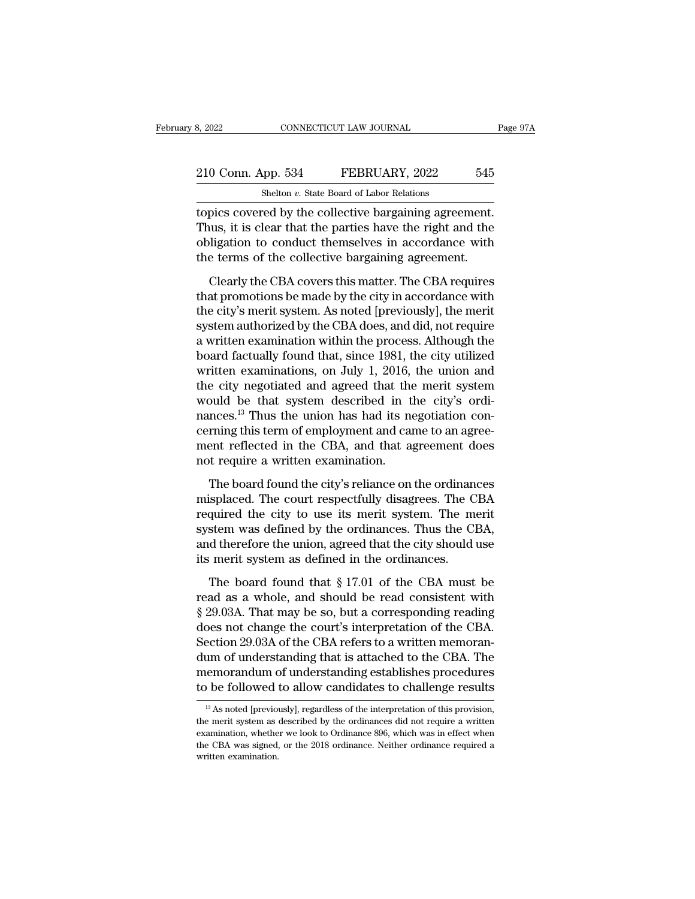# 210 Conn. App. 534 FEBRUARY, 2022 545<br>Shelton v. State Board of Labor Relations CONNECTICUT LAW JOURNAL<br>
shelton *v.* State Board of Labor Relations<br>
red by the collective bargaining agrees

Example 210 Conn. App. 534 FEBRUARY, 2022 545<br>
Shelton v. State Board of Labor Relations<br>
topics covered by the collective bargaining agreement.<br>
Thus, it is clear that the parties have the right and the<br>
collection to con 210 Conn. App. 534 FEBRUARY, 2022 545<br>Shelton v. State Board of Labor Relations<br>topics covered by the collective bargaining agreement.<br>Thus, it is clear that the parties have the right and the<br>obligation to conduct themse 210 Conn. App. 534 FEBRUARY, 2022 545<br>
Shelton v. State Board of Labor Relations<br>
topics covered by the collective bargaining agreement.<br>
Thus, it is clear that the parties have the right and the<br>
obligation to conduct th 210 Conn. App. 534 FEBRUARY, 2022 545<br>
Shelton v. State Board of Labor Relations<br>
topics covered by the collective bargaining agreement.<br>
Thus, it is clear that the parties have the right and the<br>
obligation to conduct the Shelton  $v$ . State Board of Labor Relations<br>pics covered by the collective bargaining agreement.<br>uus, it is clear that the parties have the right and the<br>ligation to conduct themselves in accordance with<br>e terms of the co topics covered by the collective bargaining agreement.<br>Thus, it is clear that the parties have the right and the<br>obligation to conduct themselves in accordance with<br>the terms of the collective bargaining agreement.<br>Clearly

Thus, it is clear that the parties have the right and the obligation to conduct themselves in accordance with the terms of the collective bargaining agreement.<br>Clearly the CBA covers this matter. The CBA requires that prom Frass, a section and the paraditive in accordance with<br>obligation to conduct themselves in accordance with<br>the terms of the collective bargaining agreement.<br>Clearly the CBA covers this matter. The CBA requires<br>that promoti the terms of the collective bargaining agreement.<br>Clearly the CBA covers this matter. The CBA requires<br>that promotions be made by the city in accordance with<br>the city's merit system. As noted [previously], the merit<br>system Clearly the CBA covers this matter. The CBA requires<br>that promotions be made by the city in accordance with<br>the city's merit system. As noted [previously], the merit<br>system authorized by the CBA does, and did, not require<br> Clearly the CBA covers this matter. The CBA requires<br>that promotions be made by the city in accordance with<br>the city's merit system. As noted [previously], the merit<br>system authorized by the CBA does, and did, not require<br> that promotions be made by the city in accordance with<br>the city's merit system. As noted [previously], the merit<br>system authorized by the CBA does, and did, not require<br>a written examination within the process. Although th the city's merit system. As noted [previously], the merit<br>system authorized by the CBA does, and did, not require<br>a written examination within the process. Although the<br>board factually found that, since 1981, the city util system authorized by the CBA does, and did, not require<br>a written examination within the process. Although the<br>board factually found that, since 1981, the city utilized<br>written examinations, on July 1, 2016, the union and<br> a written examination within the process. Although the board factually found that, since 1981, the city utilized written examinations, on July 1, 2016, the union and the city negotiated and agreed that the merit system wou board factually found that, since 1981, the city utilized<br>written examinations, on July 1, 2016, the union and<br>the city negotiated and agreed that the merit system<br>would be that system described in the city's ordi-<br>nances. written examinations, on July 1, 2016,<br>the city negotiated and agreed that the<br>would be that system described in t<br>nances.<sup>13</sup> Thus the union has had its ne<br>cerning this term of employment and can<br>ment reflected in the CBA board found be that system described in the city's ordinnees.<sup>13</sup> Thus the union has had its negotiation con-<br>ming this term of employment and came to an agree-<br>ent reflected in the CBA, and that agreement does<br>to require mances.<sup>13</sup> Thus the union has had its negotiation concerning this term of employment and came to an agreement reflected in the CBA, and that agreement does not require a written examination.<br>The board found the city's re

rearning this term of employment and came to an agreement reflected in the CBA, and that agreement does not require a written examination.<br>The board found the city's reliance on the ordinances misplaced. The court respectf starting and teach in the CBA, and that agreement does<br>not require a written examination.<br>The board found the city's reliance on the ordinances<br>misplaced. The court respectfully disagrees. The CBA<br>required the city to use and the union of require a written examination.<br>The board found the city's reliance on the ordinances<br>misplaced. The court respectfully disagrees. The CBA<br>required the city to use its merit system. The merit<br>system was def The board found the city's reliance on the ordinan misplaced. The court respectfully disagrees. The C required the city to use its merit system. The m system was defined by the ordinances. Thus the Cl and therefore the uni Intersect a reduction the chyperfully disagrees. The CBA<br>splaced. The court respectfully disagrees. The CBA<br>quired the city to use its merit system. The merit<br>stem was defined by the ordinances. Thus the CBA,<br>d therefore required the city to use its merit system. The merit system was defined by the ordinances. Thus the CBA, and therefore the union, agreed that the city should use its merit system as defined in the ordinances.<br>The board fo

system was defined by the ordinances. Thus the CBA,<br>system was defined by the ordinances. Thus the CBA,<br>and therefore the union, agreed that the city should use<br>its merit system as defined in the ordinances.<br>The board fou and therefore the union, agreed that the city should use<br>its merit system as defined in the ordinances.<br>The board found that  $\S 17.01$  of the CBA must be<br>read as a whole, and should be read consistent with<br> $\S 29.03A$ . Tha The board found that  $\S$  17.01 of the CBA must be read as a whole, and should be read consistent with  $\S$  29.03A. That may be so, but a corresponding reading does not change the court's interpretation of the CBA. Section The board found that  $\S$  17.01 of the CBA must be<br>read as a whole, and should be read consistent with<br> $\S$  29.03A. That may be so, but a corresponding reading<br>does not change the court's interpretation of the CBA.<br>Section The board found that  $\S 17.01$  of the CBA must be<br>read as a whole, and should be read consistent with<br> $\S 29.03$ A. That may be so, but a corresponding reading<br>does not change the court's interpretation of the CBA.<br>Section read as a whole, and should be read consistent with<br>§ 29.03A. That may be so, but a corresponding reading<br>does not change the court's interpretation of the CBA.<br>Section 29.03A of the CBA refers to a written memoran-<br>dum of existion 29.03A of the CBA refers to a written memoran-<br>um of understanding that is attached to the CBA. The<br>emorandum of understanding establishes procedures<br>be followed to allow candidates to challenge results<br> $\frac{13}{13}$ dum of understanding that is attached to the CBA. The<br>memorandum of understanding establishes procedures<br>to be followed to allow candidates to challenge results<br> $\frac{13}{13}$  As noted [previously], regardless of the interpre

memorandum of understanding establishes procedures<br>to be followed to allow candidates to challenge results<br><sup>13</sup> As noted [previously], regardless of the interpretation of this provision,<br>the merit system as described by th to be followed to allow candidates to challenge results<br>
<sup>13</sup> As noted [previously], regardless of the interpretation of this provision,<br>
the merit system as described by the ordinances did not require a written<br>
examinati  $^{13}$  As noted [previously], regardless of the interpretation of this provision, the merit system as described by the ordinances did not require a written examination, whether we look to Ordinance 896, which was in effec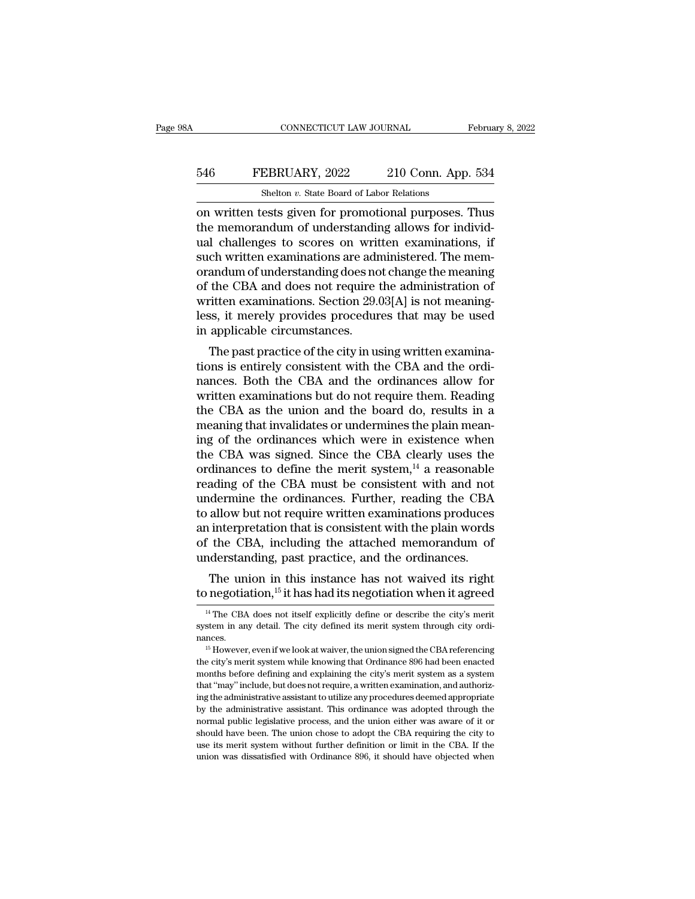# CONNECTICUT LAW JOURNAL February 8, 2022<br>546 FEBRUARY, 2022 210 Conn. App. 534<br>5helton v. State Board of Labor Relations CONNECTICUT LAW JOURNAL<br>EBRUARY, 2022 210 Conn. App<br>Shelton *v.* State Board of Labor Relations<br>ests given for promotional purposes

CONNECTICUT LAW JOURNAL February 8, 2022<br>
FEBRUARY, 2022 210 Conn. App. 534<br>
Shelton v. State Board of Labor Relations<br>
on written tests given for promotional purposes. Thus<br>
the memorandum of understanding allows for indi 546 FEBRUARY, 2022 210 Conn. App. 534<br>
Shelton v. State Board of Labor Relations<br>
on written tests given for promotional purposes. Thus<br>
the memorandum of understanding allows for individ-<br>
ual challenges to scores on writ EXERUARY, 2022 210 Conn. App. 534<br>
Shelton v. State Board of Labor Relations<br>
on written tests given for promotional purposes. Thus<br>
the memorandum of understanding allows for individual<br>
challenges to scores on written e 546 FEBRUARY, 2022 210 Conn. App. 534<br>
Shelton v. State Board of Labor Relations<br>
on written tests given for promotional purposes. Thus<br>
the memorandum of understanding allows for individ-<br>
ual challenges to scores on wri Shelton *v*. State Board of Labor Relations<br>
on written tests given for promotional purposes. Thus<br>
the memorandum of understanding allows for individ-<br>
ual challenges to scores on written examinations, if<br>
such written e Shelton *v*. State Board of Labor Relations<br>
on written tests given for promotional purposes. Thus<br>
the memorandum of understanding allows for individ-<br>
ual challenges to scores on written examinations, if<br>
such written e on written tests given for promotional purposes. Thus<br>the memorandum of understanding allows for individ-<br>ual challenges to scores on written examinations, if<br>such written examinations are administered. The memorandum of u the memorandum of understanding allows for individual challenges to scores on written examinations, if such written examinations are administered. The memorandum of understanding does not change the meaning of the CBA and ual challenges to scores on writ<br>such written examinations are adrorandum of understanding does no<br>of the CBA and does not require t<br>written examinations. Section 29.<br>less, it merely provides procedur<br>in applicable circums En whiteh examinations are administered. The mem-<br>andum of understanding does not change the meaning<br>the CBA and does not require the administration of<br>itten examinations. Section 29.03[A] is not meaning-<br>ss, it merely pro orandum or understanding does not change the meaning<br>of the CBA and does not require the administration of<br>written examinations. Section 29.03[A] is not meaning-<br>less, it merely provides procedures that may be used<br>in appl

or the CBA and does not require the administration or<br>written examinations. Section 29.03[A] is not meaning-<br>less, it merely provides procedures that may be used<br>in applicable circumstances.<br>The past practice of the city i written examinations. Section 29.05[A] is not meaning-<br>less, it merely provides procedures that may be used<br>in applicable circumstances.<br>The past practice of the city in using written examina-<br>tions is entirely consistent ress, it interty provides procedures that may be used<br>in applicable circumstances.<br>The past practice of the city in using written examina-<br>tions is entirely consistent with the CBA and the ordi-<br>nances. Both the CBA and th meaning that invalidates.<br>The past practice of the city in using written examina-<br>tions is entirely consistent with the CBA and the ordi-<br>nances. Both the CBA and the ordinances allow for<br>written examinations but do not re The past practice of the city in using written examinations is entirely consistent with the CBA and the ordinances allow for written examinations but do not require them. Reading the CBA as the union and the board do, resu tions is entirely consistent with the CBA and the ordinances. Both the CBA and the ordinances allow for written examinations but do not require them. Reading the CBA as the union and the board do, results in a meaning tha nances. Both the CBA and the ordinances allow for<br>written examinations but do not require them. Reading<br>the CBA as the union and the board do, results in a<br>meaning that invalidates or undermines the plain mean-<br>ing of the written examinations but do not require them. Reading<br>the CBA as the union and the board do, results in a<br>meaning that invalidates or undermines the plain mean-<br>ing of the ordinances which were in existence when<br>the CBA wa the CBA as the union and the board do, results in a<br>meaning that invalidates or undermines the plain mean-<br>ing of the ordinances which were in existence when<br>the CBA was signed. Since the CBA clearly uses the<br>ordinances to meaning that invalidates or undermines the plain mean-<br>ing of the ordinances which were in existence when<br>the CBA was signed. Since the CBA clearly uses the<br>ordinances to define the merit system,<sup>14</sup> a reasonable<br>reading o ing of the ordinances which were in existence when<br>the CBA was signed. Since the CBA clearly uses the<br>ordinances to define the merit system,<sup>14</sup> a reasonable<br>reading of the CBA must be consistent with and not<br>undermine the the CBA was signed. Since the CBA clearly uses the ordinances to define the merit system,<sup>14</sup> a reasonable reading of the CBA must be consistent with and not undermine the ordinances. Further, reading the CBA to allow but ordinances to define the merit system,<sup>14</sup> a reasonable reading of the CBA must be consistent with and not undermine the ordinances. Further, reading the CBA to allow but not require written examinations produces an inter ading of the CBA must be consistent with and not<br>dermine the ordinances. Further, reading the CBA<br>allow but not require written examinations produces<br>interpretation that is consistent with the plain words<br>the CBA, includin to allow but not require written examinations produces<br>an interpretation that is consistent with the plain words<br>of the CBA, including the attached memorandum of<br>understanding, past practice, and the ordinances.<br>The union

mderstanding, past practice, and the ordinances.<br>The union in this instance has not waived its right<br>negotiation,<sup>15</sup> it has had its negotiation when it agreed<br><sup>14</sup> The CBA does not itself explicitly define or describe the The union in this instance has not waived its right<br>to negotiation,<sup>15</sup> it has had its negotiation when it agreed<br><sup>14</sup> The CBA does not itself explicitly define or describe the city's merit<br>system in any detail. The city

to regoluation, The city and its regoluation which it agreed<br>
<sup>14</sup> The CBA does not itself explicitly define or describe the city's merit<br>
system in any detail. The city defined its merit system through city ordinances.<br>
<sup></sup> <sup>14</sup> The CBA does not itself explicitly define or describe the city's merit system in any detail. The city defined its merit system through city ordinances.<br>
<sup>15</sup> However, even if we look at waiver, the union signed the C system in any detail. The city defined its merit system through city ordinances.<br><sup>15</sup> However, even if we look at waiver, the union signed the CBA referencing the city's merit system while knowing that Ordinance 896 had be is However, even if we look at waiver, the union signed the CBA referencing the city's merit system while knowing that Ordinance 896 had been enacted months before defining and explaining the city's merit system as a syst <sup>15</sup> However, even if we look at waiver, the union signed the CBA referencing<br>the city's merit system while knowing that Ordinance 896 had been enacted<br>months before defining and explaining the city's merit system as a sys the city's merit system while knowing that Ordinance 896 had been enacted months before defining and explaining the city's merit system as a system that "may" include, but does not require, a written examination, and autho should have been. The union chose to adopt the CBA requiring the City and authorizing the administrative assistant to utilize any procedures deemed appropriate by the administrative assistant to utilize any procedures deem that "may" include, but does not require, a written examination, and authorizing the administrative assistant to utilize any procedures deemed appropriate by the administrative assistant. This ordinance was adopted through that "may" include, but does not require, a written examination, and authorizing the administrative assistant to utilize any procedures deemed appropriate by the administrative assistant. This ordinance was adopted through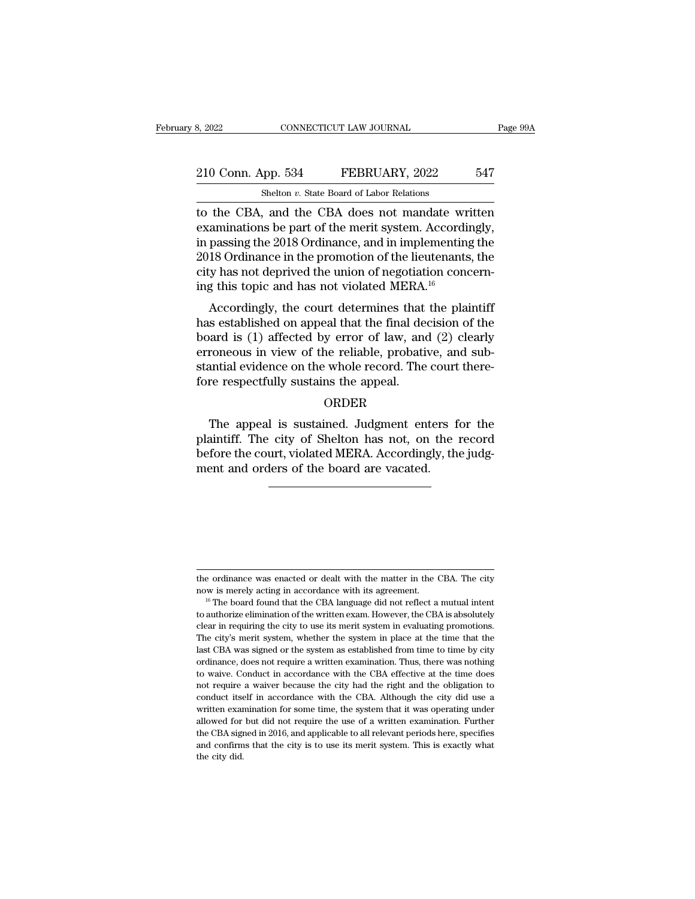# 210 Conn. App. 534 FEBRUARY, 2022 547<br>Shelton v. State Board of Labor Relations CONNECTICUT LAW JOURNAL<br>
shelton *v.* State Board of Labor Relations<br>
and the CBA does not mandate w

EXECTI BROW SOURNAL Page 99A<br>
210 Conn. App. 534 FEBRUARY, 2022 547<br>
Shelton v. State Board of Labor Relations<br>
to the CBA, and the CBA does not mandate written<br>
examinations be part of the merit system. Accordingly,<br>
in p 210 Conn. App. 534 FEBRUARY, 2022 547<br>Shelton v. State Board of Labor Relations<br>to the CBA, and the CBA does not mandate written<br>examinations be part of the merit system. Accordingly,<br>in passing the 2018 Ordinance, and in 210 Conn. App. 534 FEBRUARY, 2022 547<br>
Shelton v. State Board of Labor Relations<br>
to the CBA, and the CBA does not mandate written<br>
examinations be part of the merit system. Accordingly,<br>
in passing the 2018 Ordinance, an 210 Conn. App. 534 FEBRUARY, 2022 547<br>
Shelton v. State Board of Labor Relations<br>
to the CBA, and the CBA does not mandate written<br>
examinations be part of the merit system. Accordingly,<br>
in passing the 2018 Ordinance, an Shelton *v*. State Board of Labor Relations<br>to the CBA, and the CBA does not mandate written<br>examinations be part of the merit system. Accordingly,<br>in passing the 2018 Ordinance, and in implementing the<br>2018 Ordinance in Shelton v. State Board of Labor Relations<br>to the CBA, and the CBA does not mandate wr<br>examinations be part of the merit system. Accordi<br>in passing the 2018 Ordinance, and in implementin<br>2018 Ordinance in the promotion of The CDA, and the CDA does not mandate written<br>aminations be part of the merit system. Accordingly,<br>passing the 2018 Ordinance, and in implementing the<br>18 Ordinance in the promotion of the lieutenants, the<br>18 Ordinance in Examinations be part of the merit system. Accordingly,<br>in passing the 2018 Ordinance, and in implementing the<br>2018 Ordinance in the promotion of the lieutenants, the<br>city has not deprived the union of negotiation concern-<br>

In passing the 2018 Ordinance, and in implementing the<br>2018 Ordinance in the promotion of the lieutenants, the<br>city has not deprived the union of negotiation concern-<br>ing this topic and has not violated MERA.<sup>16</sup><br>Accordin Early has not deprived the union of negotiation concerning this topic and has not violated MERA.<sup>16</sup><br>Accordingly, the court determines that the plaintiff<br>has established on appeal that the final decision of the<br>board is (1 the method in the whole and has not violated MERA.<sup>16</sup><br>Accordingly, the court determines that the plaintiff<br>has established on appeal that the final decision of the<br>board is (1) affected by error of law, and (2) clearly<br>er for the court determines that<br>has established on appeal that the final de-<br>board is (1) affected by error of law, and<br>erroneous in view of the reliable, probati-<br>stantial evidence on the whole record. The<br>fore respectfully and is (1) affected by error of law, and (2) clearly<br>roneous in view of the reliable, probative, and sub-<br>antial evidence on the whole record. The court there-<br>re respectfully sustains the appeal.<br>ORDER<br>The appeal is susta

#### ORDER

erroneous in view of the reliable, probative, and substantial evidence on the whole record. The court therefore respectfully sustains the appeal.<br>
ORDER<br>
The appeal is sustained. Judgment enters for the plaintiff. The city between the whole record. The court therefore respectfully sustains the appeal.<br>ORDER<br>The appeal is sustained. Judgment enters for the plaintiff. The city of Shelton has not, on the record<br>before the court, violated MERA. fore respectfully sustains the appeal.<br>ORDER<br>The appeal is sustained. Judgment enters f<br>plaintiff. The city of Shelton has not, on the<br>before the court, violated MERA. Accordingly, th<br>ment and orders of the board are vacat

the ordinance was enacted or dealt with the matter in the CBA. The city<br>now is merely acting in accordance with its agreement.

The ordinance was enacted or dealt with the matter in the CBA. The city<br>now is merely acting in accordance with its agreement.<br><sup>16</sup> The board found that the CBA language did not reflect a mutual intent<br>to authorize elimina the ordinance was enacted or dealt with the matter in the CBA. The city<br>now is merely acting in accordance with its agreement.<br><sup>16</sup> The board found that the CBA language did not reflect a mutual intent<br>to authorize elimina the ordinance was enacted or dealt with the matter in the CBA. The city now is merely acting in accordance with its agreement.<br><sup>16</sup> The board found that the CBA language did not reflect a mutual intent to authorize elimin the ordinance was enacted or dealt with the matter in the CBA. The city<br>now is merely acting in accordance with its agreement.<br><sup>16</sup> The board found that the CBA language did not reflect a mutual intent<br>to authorize elimina now is merely acting in accordance with its agreement.<br><sup>16</sup> The board found that the CBA language did not reflect a mutual intent<br>to authorize elimination of the written exam. However, the CBA is absolutely<br>clear in requir <sup>16</sup> The board found that the CBA language did not reflect a mutual intent to authorize elimination of the written exam. However, the CBA is absolutely clear in requiring the city to use its merit system in evaluating pro to authorize elimination of the written exam. However, the CBA is absolutely clear in requiring the city to use its merit system in evaluating promotions. The city's merit system, whether the system in place at the time th clear in requiring the city to use its merit system in evaluating promotions.<br>The city's merit system, whether the system in place at the time that the<br>last CBA was signed or the system as established from time to time by The city's merit system, whether the system in place at the time that the last CBA was signed or the system as established from time to time by city ordinance, does not require a written examination. Thus, there was nothin The cost of the system as established from time to time by city<br>ordinance, does not require a written examination. Thus, there was nothing<br>to waive. Conduct in accordance with the CBA effective at the time does<br>not require ordinance, does not require a written examination. Thus, there was nothing to waive. Conduct in accordance with the CBA effective at the time does not require a waiver because the city had the right and the obligation to c to waive. Conduct in accordance with the CBA effective at the time does not require a waiver because the city had the right and the obligation to conduct itself in accordance with the CBA. Although the city did use a writt and confirms that the city is to use its merit system. This is exactly what the conduct itself in accordance with the CBA. Although the city did use a written examination for some time, the system that it was operating und conduct itself in accordance with the CBA. Although the city did use a written examination for some time, the system that it was operating under allowed for but did not require the use of a written examination. Further th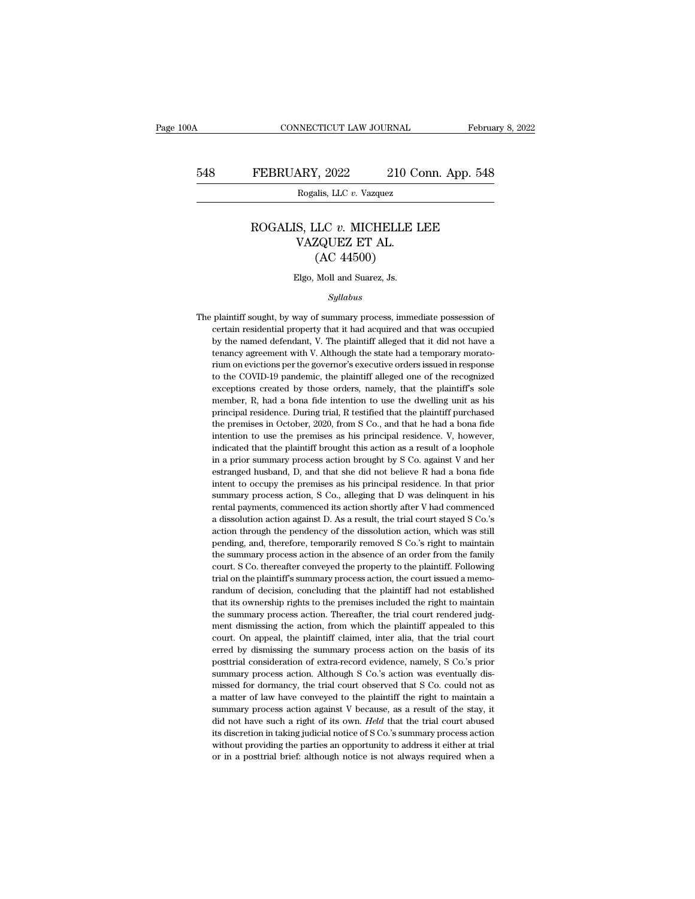#### FEBRUARY, 2022 210 Conn. App. 548<br>Rogalis, LLC *v.* Vazquez<br>ROGALIS, LLC *v.* MICHELLE LEE<br>VAZQUEZ ET AL. ARY, 2022 210 Contrast 2022<br>
Rogalis, LLC v. Vazquez<br>
S, LLC v. MICHELLE L<br>
VAZQUEZ ET AL. (AC 44500)  $(2022)$  210 C<br>
210 C<br>
215, LLC v. Vazquez<br>
22 CUEZ ET AL.<br>
(AC 44500)<br>
22 Moll and Suarez, Js. ROGALIS, LLC v. MICHELLE LEE<br>VAZQUEZ ET AL.<br>(AC 44500)<br>Elgo, Moll and Suarez, Js.

#### *Syllabus*

 $(AC 44500)$ <br>Elgo, Moll and Suarez, Js.<br>Syllabus<br>The plaintiff sought, by way of summary process, immediate possession of<br>certain residential property that it had acquired and that was occupied Elgo, Moll and Suarez, Js.<br>Syllabus<br>plaintiff sought, by way of summary process, immediate possession of<br>certain residential property that it had acquired and that was occupied<br>by the named defendant, V. The plaintiff alle Elgo, Moll and Suarez, Js.<br>
Syllabus<br>
plaintiff sought, by way of summary process, immediate possession of<br>
certain residential property that it had acquired and that was occupied<br>
by the named defendant, V. The plaintiff Syllabus<br>plaintiff sought, by way of summary process, immediate possession of<br>certain residential property that it had acquired and that was occupied<br>by the named defendant, V. The plaintiff alleged that it did not have a<br> *Syllabus*<br>plaintiff sought, by way of summary process, immediate possession of<br>certain residential property that it had acquired and that was occupied<br>by the named defendant, V. The plaintiff alleged that it did not have plaintiff sought, by way of summary process, immediate possession of<br>certain residential property that it had acquired and that was occupied<br>by the named defendant, V. The plaintiff alleged that it did not have a<br>tenancy a extrain residential property that it had acquired and that was occupied<br>by the named defendant, V. The plaintiff alleged that it did not have a<br>tenancy agreement with V. Although the state had a temporary morato-<br>rium on e by the named defendant, V. The plaintiff alleged that it did not have a tenancy agreement with V. Although the state had a temporary moratorium on evictions per the governor's executive orders issued in response to the COV by a marked that the state had a temporary morato-<br>tenancy agreement with V. Although the state had a temporary morato-<br>rium on evictions per the governor's executive orders issued in response<br>to the COVID-19 pandemic, the rium on evictions per the governor's executive orders issued in response to the COVID-19 pandemic, the plaintiff alleged one of the recognized exceptions created by those orders, namely, that the plaintiff's sole member, R to the COVID-19 pandemic, the plaintiff alleged one of the recognized exceptions created by those orders, namely, that the plaintiff's sole member, R, had a bona fide intention to use the dwelling unit as his principal res exceptions created by those orders, namely, that the plaintiff's sole member, R, had a bona fide intention to use the dwelling unit as his principal residence. During trial, R testified that the plaintiff purchased the pre in a prior summary and the distribution browships with the distribution in the distribution brought by principal residence. During trial, R testified that the plaintiff purchased the premises in October, 2020, from S Co., principal residence. During trial, R testified that the plaintiff purchased<br>the premises in October, 2020, from S Co., and that he had a bona fide<br>intention to use the premises as his principal residence. V, however,<br>indic principal residence in October, 2020, from S Co., and that he had a bona fide intention to use the premises as his principal residence. V, however, indicated that the plaintiff brought this action as a result of a loophole intention to use the premises as his principal residence. V, however, indicated that the plaintiff brought this action as a result of a loophole in a prior summary process action brought by S Co. against V and her estrange indicated that the plaintiff brought this action as a result of a loophole in a prior summary process action brought by S Co. against V and her estranged husband, D, and that she did not believe R had a bona fide intent t in a prior summary process action brought by S Co. against V and her estranged husband, D, and that she did not believe R had a bona fide intent to occupy the premises as his principal residence. In that prior summary proc action to estranged husband, D, and that she did not believe R had a bona fide intent to occupy the premises as his principal residence. In that prior summary process action, S Co., alleging that D was delinquent in his re intent to occupy the premises as his principal residence. In that prior summary process action, S Co., alleging that D was delinquent in his rental payments, commenced its action shortly after V had commenced a dissolutio summary process action, S Co., alleging that D was delinquent in his rental payments, commenced its action shortly after V had commenced a dissolution action against D. As a result, the trial court stayed S Co.'s action th rental payments, commenced its action shortly after V had commenced a dissolution action against D. As a result, the trial court stayed S Co.'s action through the pendency of the dissolution action, which was still pending rental payments, commenced its action shortly after V had commenced<br>a dissolution action against D. As a result, the trial court stayed S Co.'s<br>action through the pendency of the dissolution action, which was still<br>pending action through the pendency of the dissolution action, which was still pending, and, therefore, temporarily removed S Co.'s right to maintain the summary process action in the absence of an order from the family court. S C pending, and, therefore, temporarily removed S Co.'s right to maintain<br>the summary process action in the absence of an order from the family<br>court. S Co. thereafter conveyed the property to the plaintiff. Following<br>trial o the summary process action in the absence of an order from the family court. S Co. thereafter conveyed the property to the plaintiff. Following trial on the plaintiff's summary process action, the court issued a memorandum court. S Co. thereafter conveyed the property to the plaintiff. Following trial on the plaintiff's summary process action, the court issued a memorandum of decision, concluding that the plaintiff had not established that i beyonds are the plaintiff's summary process action, the court issued a memo-<br>trial on the plaintiff's summary process action, the court issued a memo-<br>randum of decision, concluding that the plaintiff had not established<br>t randum of decision, concluding that the plaintiff had not established<br>that its ownership rights to the premises included the right to maintain<br>the summary process action. Thereafter, the trial court rendered judg-<br>ment dis that its ownership rights to the premises included the right to maintain the summary process action. Thereafter, the trial court rendered judgment dismissing the action, from which the plaintiff appealed to this court. On the summary process action. Thereafter, the trial court rendered judgement dismissing the action, from which the plaintiff appealed to this court. On appeal, the plaintiff claimed, inter alia, that the trial court erred by ment dismissing the action, from which the plaintiff appealed to this court. On appeal, the plaintiff claimed, inter alia, that the trial court erred by dismissing the summary process action on the basis of its posttrial c court. On appeal, the plaintiff claimed, inter alia, that the trial court<br>erred by dismissing the summary process action on the basis of its<br>posttrial consideration of extra-record evidence, namely, S Co.'s prior<br>summary p erred by dismissing the summary process action on the basis of its posttrial consideration of extra-record evidence, namely, S Co.'s prior summary process action. Although S Co.'s action was eventually dismissed for dorman posttrial consideration of extra-record evidence, namely, S Co.'s prior summary process action. Although S Co.'s action was eventually dismissed for dormancy, the trial court observed that S Co. could not as a matter of la Focular variances action. Although S Co.'s action was eventually dis-<br>missed for dormancy, the trial court observed that S Co. could not as<br>a matter of law have conveyed to the plaintiff the right to maintain a<br>summary pro missed for dormancy, the trial court observed that S Co. could not as<br>a matter of law have conveyed to the plaintiff the right to maintain a<br>summary process action against V because, as a result of the stay, it<br>did not ha a matter of law have conveyed to the plaintiff the right to maintain a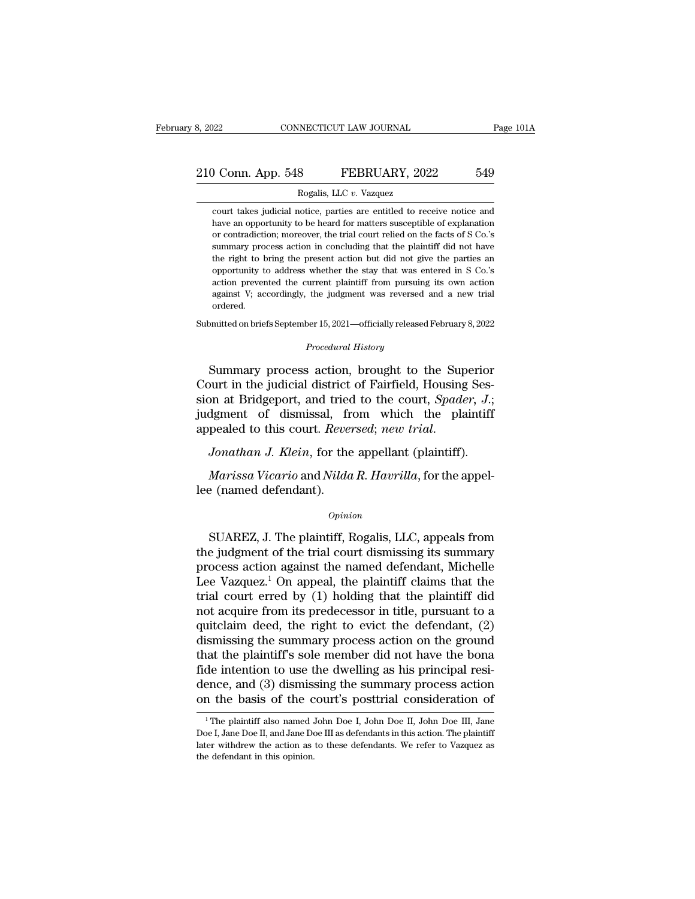# 210 Conn. App. 548 FEBRUARY, 2022 549<br>Rogalis, LLC v. Vazquez 8, 2022 CONNECTICUT LAW JOURNAL<br>
210 Conn. App. 548 FEBRUARY, 2022 549<br>
Rogalis, LLC *v.* Vazquez<br>
court takes judicial notice, parties are entitled to receive notice and

Conn. App. 548 FEBRUARY, 2022 549<br>Rogalis, LLC v. Vazquez<br>court takes judicial notice, parties are entitled to receive notice and<br>have an opportunity to be heard for matters susceptible of explanation **have an opportunity of the heard for matters susceptible of explanation** or contradiction; moreover, the trial court relied on the facts of S Co.'s Conn. App. 548 FEBRUARY, 2022 549<br>Rogalis, LLC v. Vazquez<br>court takes judicial notice, parties are entitled to receive notice and<br>have an opportunity to be heard for matters susceptible of explanation<br>or contradiction; mor Rogalis, LLC v. Vazquez<br>
summary Rogalis, LLC v. Vazquez<br>
court takes judicial notice, parties are entitled to receive notice and<br>
have an opportunity to be heard for matters susceptible of explanation<br>
or contradiction; m Rogalis, LLC v. Vazquez<br>
court takes judicial notice, parties are entitled to receive notice and<br>
have an opportunity to be heard for matters susceptible of explanation<br>
or contradiction; moreover, the trial court relied o court takes judicial notice, parties are entitled to receive notice and<br>have an opportunity to be heard for matters susceptible of explanation<br>or contradiction; moreover, the trial court relied on the facts of S Co.'s<br>summ have an opportunity to be heard for matters susceptible of explanation or contradiction; moreover, the trial court relied on the facts of S Co.'s summary process action in concluding that the plaintiff did not have the rig and contradiction; moreover, the trial court relied on the facts of S Co.'s summary process action in concluding that the plaintiff did not have the right to bring the present action but did not give the parties an opportu ordered. the right to bring the present action but did not give the parties an opportunity to address whether the stay that was entered in S Co.'s action prevented the current plaintiff from pursuing its own action against V; accor action prevented the current plaintiff from pursuing its own action<br>against V; accordingly, the judgment was reversed and a new trial<br>ordered.<br>Submitted on briefs September 15, 2021—officially released February 8, 2022<br>*Pr* action prevented the current plaintiff from pursuing its own action<br>against V; accordingly, the judgment was reversed and a new trial<br>ordered.<br>mitted on briefs September 15, 2021—officially released February 8, 2022<br>*Proce* 

against V; accordingly, the judgment was reversed and a new trial<br>ordered.<br>Submitted on briefs September 15, 2021—officially released February 8, 2022<br>*Procedural History*<br>Summary process action, brought to the Superior<br>Co submitted on briefs September 15, 2021—officially released February 8, 2022<br> *Procedural History*<br>
Summary process action, brought to the Superior<br>
Court in the judicial district of Fairfield, Housing Session at Bridgeport Submitted on briefs September 15, 2021—officially released February 8, 2022<br> *Procedural History*<br>
Summary process action, brought to the Superior<br>
Court in the judicial district of Fairfield, Housing Session<br>
at Bridgepor Frocedural History<br>
Court in the judicial district of Fairfield, Housing Session at Bridgeport, and tried to the court, *Spader*, *J*.;<br> *Judgment* of dismissal, from which the plaintiff<br>
appealed to this court. *Reversed* bourt in the judicial district of Fairfield, Housing Ses-<br>pon at Bridgeport, and tried to the court, *Spader*, *J*.;<br>dgment of dismissal, from which the plaintiff<br>pealed to this court. *Reversed*; *new trial.*<br>Jonathan J. sion at Bridgeport, and tried<br>judgment of dismissal, fr<br>appealed to this court. Revent<br>Jonathan J. Klein, for the<br>Marissa Vicario and Nilda<br>lee (named defendant).<br>Opini

#### *Opinion*

Jonathan J. Klein, for the appellant (plaintiff).<br>
Marissa Vicario and Nilda R. Havrilla, for the appel-<br>
e (named defendant).<br>
Opinion<br>
SUAREZ, J. The plaintiff, Rogalis, LLC, appeals from<br>
e judgment of the trial court d Marissa Vicario and Nilda R. Havrilla, for the appel-<br>lee (named defendant).<br> $opinion$ <br>SUAREZ, J. The plaintiff, Rogalis, LLC, appeals from<br>the judgment of the trial court dismissing its summary<br>process action against the name Marissa Vicario and Nilda R. Havrilla, for the appel-<br>lee (named defendant).<br> $opinion$ <br>SUAREZ, J. The plaintiff, Rogalis, LLC, appeals from<br>the judgment of the trial court dismissing its summary<br>process action against the name Dee (named defendant).<br>  $\omega_{pinion}$ <br>
SUAREZ, J. The plaintiff, Rogalis, LLC, appeals from<br>
the judgment of the trial court dismissing its summary<br>
process action against the named defendant, Michelle<br>
Lee Vazquez.<sup>1</sup> On appe opinion<br>
SUAREZ, J. The plaintiff, Rogalis, LLC, appeals from<br>
the judgment of the trial court dismissing its summary<br>
process action against the named defendant, Michelle<br>
Lee Vazquez.<sup>1</sup> On appeal, the plaintiff claims SUAREZ, J. The plaintiff, Rogalis, LLC, appeals from<br>the judgment of the trial court dismissing its summary<br>process action against the named defendant, Michelle<br>Lee Vazquez.<sup>1</sup> On appeal, the plaintiff claims that the<br>tri SUAREZ, J. The plaintiff, Rogalis, LLC, appeals from<br>the judgment of the trial court dismissing its summary<br>process action against the named defendant, Michelle<br>Lee Vazquez.<sup>1</sup> On appeal, the plaintiff claims that the<br>tri the judgment of the trial court dismissing its summary<br>process action against the named defendant, Michelle<br>Lee Vazquez.<sup>1</sup> On appeal, the plaintiff claims that the<br>trial court erred by (1) holding that the plaintiff did<br>n process action against the named defendant, Michelle<br>Lee Vazquez.<sup>1</sup> On appeal, the plaintiff claims that the<br>trial court erred by (1) holding that the plaintiff did<br>not acquire from its predecessor in title, pursuant to Lee Vazquez.<sup>1</sup> On appeal, the plaintiff claims that the trial court erred by (1) holding that the plaintiff did not acquire from its predecessor in title, pursuant to a quitclaim deed, the right to evict the defendant, ( trial court erred by (1) holding that the plaintiff did<br>not acquire from its predecessor in title, pursuant to a<br>quitclaim deed, the right to evict the defendant, (2)<br>dismissing the summary process action on the ground<br>tha not acquire from its predecessor in title, pursuant to a quitclaim deed, the right to evict the defendant, (2) dismissing the summary process action on the ground that the plaintiff's sole member did not have the bona fid at the plaintiff's sole member did not have the bona<br>de intention to use the dwelling as his principal resi-<br>ence, and (3) dismissing the summary process action<br>in the basis of the court's posttrial consideration of<br><sup>1</sup>The fide intention to use the dwelling as his principal resi-<br>dence, and (3) dismissing the summary process action<br>on the basis of the court's posttrial consideration of<br><sup>1</sup>The plaintiff also named John Doe I, John Doe II, Joh

dence, and (3) dismissing the summary process action<br>on the basis of the court's posttrial consideration of<br> $\frac{1}{1}$ The plaintiff also named John Doe I, John Doe II, John Doe III, Jane<br>Doe I, Jane Doe II, and Jane Doe II on the basis of the c<br>  $\frac{1}{1}$  The plaintiff also named.<br>
Doe I, Jane Doe II, and Jane Do<br>
later withdrew the action as<br>
the defendant in this opinion.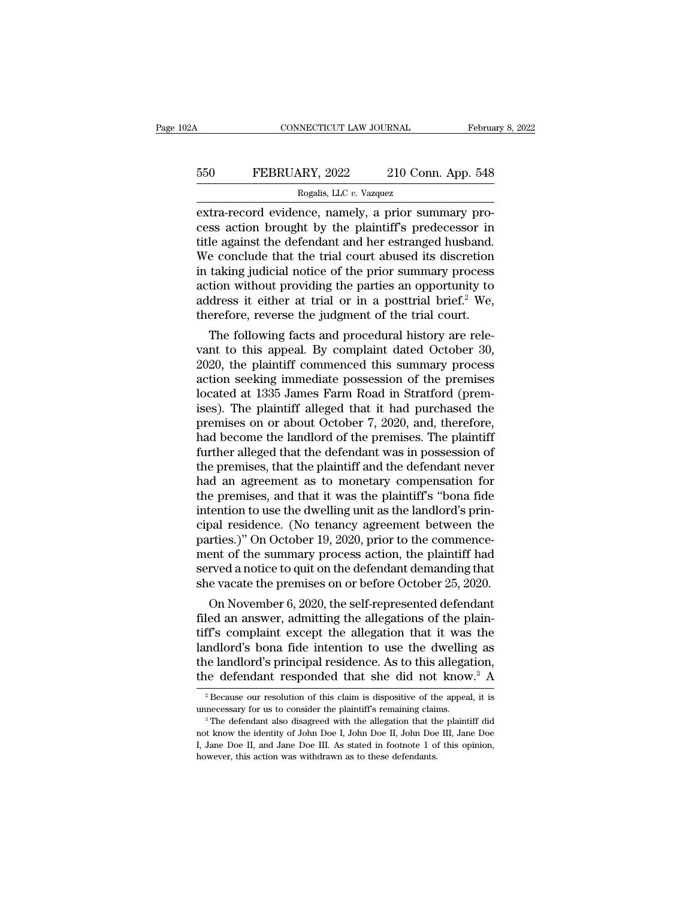# CONNECTICUT LAW JOURNAL February 8, 2022<br>550 FEBRUARY, 2022 210 Conn. App. 548<br>Rogalis, LLC v. Vazquez RECTICUT LAW JOURNAL<br>Rogalis, LLC *v.* Vazquez<br>Rogalis, LLC *v.* Vazquez<br>nce namely a prior su

EXECUTE CONNECTICUT LAW JOURNAL Februa<br>
Februa<br>
FEBRUARY, 2022 210 Conn. App. 548<br>
Rogalis, LLC v. Vazquez<br>
extra-record evidence, namely, a prior summary pro-<br>
cess action brought by the plaintiff's predecessor in<br>
title EXECUARY, 2022 210 Conn. App. 548<br>
Rogalis, LLC v. Vazquez<br>
extra-record evidence, namely, a prior summary process action brought by the plaintiff's predecessor in<br>
title against the defendant and her estranged husband.<br>
W FEBRUARY, 2022 210 Conn. App. 548<br>
Rogalis, LLC v. Vazquez<br>
extra-record evidence, namely, a prior summary process action brought by the plaintiff's predecessor in<br>
title against the defendant and her estranged husband.<br> FEBRUARY, 2022 210 Conn. App. 548<br>
Rogalis, LLC  $v$ . Vazquez<br>
extra-record evidence, namely, a prior summary process action brought by the plaintiff's predecessor in<br>
title against the defendant and her estranged husband. Rogalis, LLC v. Vazquez<br>
extra-record evidence, namely, a prior summary process action brought by the plaintiff's predecessor in<br>
title against the defendant and her estranged husband.<br>
We conclude that the trial court ab Rogalis, LLC  $v$ . Vazquez<br>
extra-record evidence, namely, a prior summary process action brought by the plaintiff's predecessor in<br>
title against the defendant and her estranged husband.<br>
We conclude that the trial court extra-record evidence, namely, a prior summary process action brought by the plaintiff's predecessor in title against the defendant and her estranged husband. We conclude that the trial court abused its discretion in takin cess action brought by the plaintiff's predecessor in<br>title against the defendant and her estranged husband.<br>We conclude that the trial court abused its discretion<br>in taking judicial notice of the prior summary process<br>ac is a gainst the detendant and her estranged husband.<br>
Le conclude that the trial court abused its discretion<br>
taking judicial notice of the prior summary process<br>
tion without providing the parties an opportunity to<br>
dress we conclude that the trial court abused its discretion<br>in taking judicial notice of the prior summary process<br>action without providing the parties an opportunity to<br>address it either at trial or in a posttrial brief.<sup>2</sup> We

In taking judicial notice of the prior summary process<br>action without providing the parties an opportunity to<br>address it either at trial or in a posttrial brief.<sup>2</sup> We,<br>therefore, reverse the judgment of the trial court.<br> action without providing the parties an opportunity to<br>address it either at trial or in a posttrial brief.<sup>2</sup> We,<br>therefore, reverse the judgment of the trial court.<br>The following facts and procedural history are rele-<br>van address it either at trial or in a posttrial brief.<sup>2</sup> we,<br>therefore, reverse the judgment of the trial court.<br>The following facts and procedural history are rele-<br>vant to this appeal. By complaint dated October 30,<br>2020, therefore, reverse the judgment of the trial court.<br>
The following facts and procedural history are rele-<br>
vant to this appeal. By complaint dated October 30,<br>
2020, the plaintiff commenced this summary process<br>
action see The following facts and procedural history are relevant to this appeal. By complaint dated October 30, 2020, the plaintiff commenced this summary process action seeking immediate possession of the premises located at 1335 vant to this appeal. By complaint dated October 30,<br>2020, the plaintiff commenced this summary process<br>action seeking immediate possession of the premises<br>located at 1335 James Farm Road in Stratford (prem-<br>ises). The plai 2020, the plaintiff commenced this summary process<br>action seeking immediate possession of the premises<br>located at 1335 James Farm Road in Stratford (prem-<br>ises). The plaintiff alleged that it had purchased the<br>premises on action seeking immediate possession of the premises<br>located at 1335 James Farm Road in Stratford (premises). The plaintiff alleged that it had purchased the<br>premises on or about October 7, 2020, and, therefore,<br>had become located at 1335 James Farm Road in Stratford (premises). The plaintiff alleged that it had purchased the premises on or about October 7, 2020, and, therefore, had become the landlord of the premises. The plaintiff further ises). The plaintiff alleged that it had purchased the<br>premises on or about October 7, 2020, and, therefore,<br>had become the landlord of the premises. The plaintiff<br>further alleged that the defendant was in possession of<br>th premises on or about October 7, 2020, and, therefore,<br>had become the landlord of the premises. The plaintiff<br>further alleged that the defendant was in possession of<br>the premises, that the plaintiff and the defendant never<br> had become the landlord of the premises. The plaintiff<br>further alleged that the defendant was in possession of<br>the premises, that the plaintiff and the defendant never<br>had an agreement as to monetary compensation for<br>the p further alleged that the defendant was in possession of<br>the premises, that the plaintiff and the defendant never<br>had an agreement as to monetary compensation for<br>the premises, and that it was the plaintiff's "bona fide<br>int the premises, that the plaintiff and the defendant never<br>had an agreement as to monetary compensation for<br>the premises, and that it was the plaintiff's "bona fide<br>intention to use the dwelling unit as the landlord's prin-<br> had an agreement as to monetary compensation for<br>the premises, and that it was the plaintiff's "bona fide<br>intention to use the dwelling unit as the landlord's prin-<br>cipal residence. (No tenancy agreement between the<br>partie the premises, and that it was the plaintiff's "bona fide<br>intention to use the dwelling unit as the landlord's prin-<br>cipal residence. (No tenancy agreement between the<br>parties.)" On October 19, 2020, prior to the commence-<br> From to use the awelling unit as the landlord s prin-<br>pal residence. (No tenancy agreement between the<br>rties.)" On October 19, 2020, prior to the commence-<br>ent of the summary process action, the plaintiff had<br>rved a notice reparties.)" On October 19, 2020, prior to the commence-<br>parties.)" On October 19, 2020, prior to the commence-<br>ment of the summary process action, the plaintiff had<br>served a notice to quit on the defendant demanding that<br>

parties.) On October 19, 2020, prior to the commencement of the summary process action, the plaintiff had<br>served a notice to quit on the defendant demanding that<br>she vacate the premises on or before October 25, 2020.<br>On No ment of the summary process action, the plaintiff had<br>served a notice to quit on the defendant demanding that<br>she vacate the premises on or before October 25, 2020.<br>On November 6, 2020, the self-represented defendant<br>filed served a notice to quit on the defendant demanding that<br>she vacate the premises on or before October 25, 2020.<br>On November 6, 2020, the self-represented defendant<br>filed an answer, admitting the allegations of the plain-<br>ti she vacate the premises on or before October 25, 2020.<br>
On November 6, 2020, the self-represented defendant<br>
filed an answer, admitting the allegations of the plain-<br>
tiff's complaint except the allegation that it was the ff's complaint except the allegation that it was the ndlord's bona fide intention to use the dwelling as alleed and lord's principal residence. As to this allegation, the defendant responded that she did not know.<sup>3</sup> A  $_2$ landlord's bona fide intention to use the dwelling as<br>the landlord's principal residence. As to this allegation,<br>the defendant responded that she did not know.<sup>3</sup> A<br> $\frac{1}{2}$ Because our resolution of this claim is disposi

The defendant responded that she did not know.<sup>3</sup> A<br>
<sup>2</sup> Because our resolution of this claim is dispositive of the appeal, it is<br>
unnecessary for us to consider the plaintiff's remaining claims.<br>
<sup>3</sup> The defendant also d <sup>2</sup> Because our resolution of this claim is dispositive of the appeal, it is unnecessary for us to consider the plaintiff's remaining claims.<br><sup>3</sup> The defendant also disagreed with the allegation that the plaintiff did not <sup>2</sup> Because our resolution of this claim is dispositive of thunnecessary for us to consider the plaintiff's remaining claim <sup>3</sup> The defendant also disagreed with the allegation that the not know the identity of John Doe I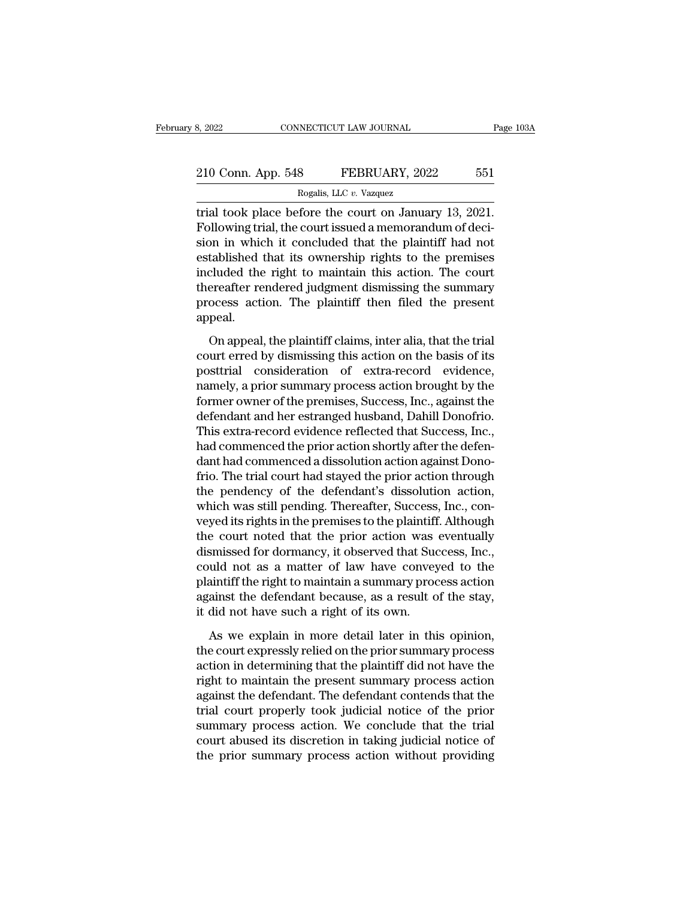# 210 Conn. App. 548 FEBRUARY, 2022 551<br>Rogalis, LLC v. Vazquez RECTICUT LAW JOURNAL<br>8 FEBRUARY, 202<br>Rogalis, LLC *v.* Vazquez<br>fore the court on Janua

8, 2022 CONNECTICUT LAW JOURNAL Page 10<br>
210 Conn. App. 548 FEBRUARY, 2022 551<br>
Rogalis, LLC v. Vazquez<br>
Trial took place before the court on January 13, 2021.<br>
Following trial, the court issued a memorandum of deci-210 Conn. App. 548 FEBRUARY, 2022 551<br>
Rogalis, LLC v. Vazquez<br>
Trial took place before the court on January 13, 2021.<br>
Following trial, the court issued a memorandum of deci-<br>
Sion in which it concluded that the plaintiff 210 Conn. App. 548 FEBRUARY, 2022 551<br>
Rogalis, LLC v. Vazquez<br>
Trial took place before the court on January 13, 2021.<br>
Following trial, the court issued a memorandum of decision in which it concluded that the plaintiff h 210 Conn. App. 548 FEBRUARY, 2022 551<br>
Rogalis, LLC v. Vazquez<br>
trial took place before the court on January 13, 2021.<br>
Following trial, the court issued a memorandum of decision in which it concluded that the plaintiff h Rogalis, LLC  $v$ . Vazquez<br>
trial took place before the court on January 13, 2021.<br>
Following trial, the court issued a memorandum of deci-<br>
sion in which it concluded that the plaintiff had not<br>
established that its owner rial took place before the court on January 13, 2021.<br>Following trial, the court issued a memorandum of decision in which it concluded that the plaintiff had not established that its ownership rights to the premises inclu trial took place before the court on January 13, 2021.<br>Following trial, the court issued a memorandum of decision in which it concluded that the plaintiff had not<br>established that its ownership rights to the premises<br>inclu appeal. Example in the plaintiff claims in the plaintiff claims action. The court<br>ereafter rendered judgment dismissing the summary<br>ocess action. The plaintiff then filed the present<br>peal.<br>On appeal, the plaintiff claims, inter al Examined that its ownering rights to the premises<br>included the right to maintain this action. The court<br>thereafter rendered judgment dismissing the summary<br>process action. The plaintiff then filed the present<br>appeal.<br>On ap

mereafter rendered judgment dismissing the summary<br>process action. The plaintiff then filed the present<br>appeal.<br>On appeal, the plaintiff claims, inter alia, that the trial<br>court erred by dismissing this action on the basis namely, a priority and the present appeal.<br>
On appeal, the plaintiff claims, inter alia, that the trial<br>
court erred by dismissing this action on the basis of its<br>
posttrial consideration of extra-record evidence,<br>
namely, for the plaintiff claims, inter alia, that the trial<br>court erred by dismissing this action on the basis of its<br>posttrial consideration of extra-record evidence,<br>namely, a prior summary process action brought by the<br>former On appeal, the plaintiff claims, inter alia, that the trial<br>court erred by dismissing this action on the basis of its<br>posttrial consideration of extra-record evidence,<br>namely, a prior summary process action brought by the<br> On appeal, the plaintiff claims, inter alia, that the trial<br>court erred by dismissing this action on the basis of its<br>posttrial consideration of extra-record evidence,<br>namely, a prior summary process action brought by the<br> court erred by dismissing this action on the basis of its<br>posttrial consideration of extra-record evidence,<br>namely, a prior summary process action brought by the<br>former owner of the premises, Success, Inc., against the<br>def posttrial consideration of extra-record evidence,<br>namely, a prior summary process action brought by the<br>former owner of the premises, Success, Inc., against the<br>defendant and her estranged husband, Dahill Donofrio.<br>This ex namely, a prior summary process action brought by the<br>former owner of the premises, Success, Inc., against the<br>defendant and her estranged husband, Dahill Donofrio.<br>This extra-record evidence reflected that Success, Inc.,<br> former owner of the premises, Success, Inc., against the<br>defendant and her estranged husband, Dahill Donofrio.<br>This extra-record evidence reflected that Success, Inc.,<br>had commenced the prior action shortly after the defen defendant and her estranged husband, Dahill Donofrio.<br>This extra-record evidence reflected that Success, Inc.,<br>had commenced the prior action shortly after the defen-<br>dant had commenced a dissolution action against Dono-<br>f This extra-record evidence reflected that Success, Inc.,<br>had commenced the prior action shortly after the defen-<br>dant had commenced a dissolution action against Dono-<br>frio. The trial court had stayed the prior action throu had commenced the prior action shortly after the defen-<br>dant had commenced a dissolution action against Dono-<br>frio. The trial court had stayed the prior action through<br>the pendency of the defendant's dissolution action,<br>wh dant had commenced a dissolution action against Dono-<br>frio. The trial court had stayed the prior action through<br>the pendency of the defendant's dissolution action,<br>which was still pending. Thereafter, Success, Inc., con-<br>v frio. The trial court had stayed the prior action through<br>the pendency of the defendant's dissolution action,<br>which was still pending. Thereafter, Success, Inc., con-<br>veyed its rights in the premises to the plaintiff. Alth the pendency of the defendant's dissolution action,<br>which was still pending. Thereafter, Success, Inc., con-<br>veyed its rights in the premises to the plaintiff. Although<br>the court noted that the prior action was eventually<br> which was still pending. Thereafter, Success, Inc., conveyed its rights in the premises to the plaintiff. Although the court noted that the prior action was eventually dismissed for dormancy, it observed that Success, Inc. veyed its rights in the premises to the plaintiff<br>the court noted that the prior action was<br>dismissed for dormancy, it observed that Suc<br>could not as a matter of law have convey<br>plaintiff the right to maintain a summary pr smissed for dormancy, it observed that Success, Inc.,<br>uld not as a matter of law have conveyed to the<br>aintiff the right to maintain a summary process action<br>ainst the defendant because, as a result of the stay,<br>did not hav the could not as a matter of law have conveyed to the plaintiff the right to maintain a summary process action against the defendant because, as a result of the stay, it did not have such a right of its own.<br>As we explain

plaintiff the right to maintain a summary process action<br>against the defendant because, as a result of the stay,<br>it did not have such a right of its own.<br>As we explain in more detail later in this opinion,<br>the court expres right to defendant because, as a result of the stay,<br>it did not have such a right of its own.<br>As we explain in more detail later in this opinion,<br>the court expressly relied on the prior summary process<br>action in determinin it did not have such a right of its own.<br>As we explain in more detail later in this opinion,<br>the court expressly relied on the prior summary process<br>action in determining that the plaintiff did not have the<br>right to mainta As we explain in more detail later in this opinion,<br>the court expressly relied on the prior summary process<br>action in determining that the plaintiff did not have the<br>right to maintain the present summary process action<br>aga As we explain in more detail later in this opinion,<br>the court expressly relied on the prior summary process<br>action in determining that the plaintiff did not have the<br>right to maintain the present summary process action<br>aga the court expressly relied on the prior summary process<br>action in determining that the plaintiff did not have the<br>right to maintain the present summary process action<br>against the defendant. The defendant contends that the<br> action in determining that the plaintiff did not have the right to maintain the present summary process action against the defendant. The defendant contends that the trial court properly took judicial notice of the prior s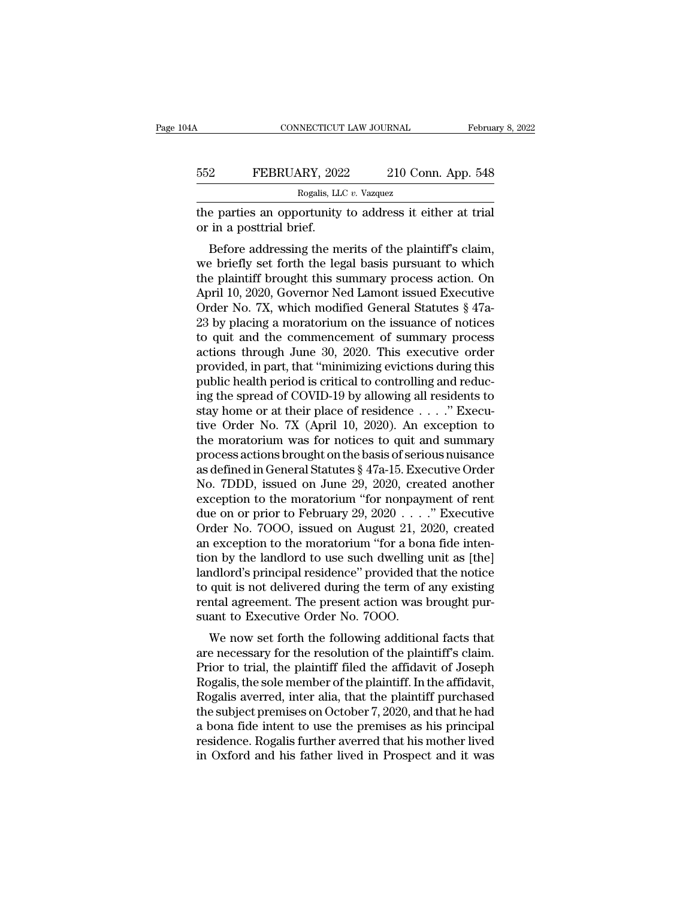| 4Α  | CONNECTICUT LAW JOURNAL                                                              |                    | February 8, 2022 |
|-----|--------------------------------------------------------------------------------------|--------------------|------------------|
| 552 | FEBRUARY, 2022                                                                       | 210 Conn. App. 548 |                  |
|     | Rogalis, LLC v. Vazquez                                                              |                    |                  |
|     | the parties an opportunity to address it either at trial<br>or in a posttrial brief. |                    |                  |
|     | Before addressing the merits of the plaintiff's claim,                               |                    |                  |

BEFORUARY, 2022 210 Conn. App. 548<br>
Rogalis, LLC v. Vazquez<br>
e parties an opportunity to address it either at trial<br>
in a posttrial brief.<br>
Before addressing the merits of the plaintiff's claim,<br>
e briefly set forth the l FEBRUARY, 2022 210 Conn. App. 548<br>
Rogalis, LLC v. Vazquez<br>
The parties an opportunity to address it either at trial<br>
or in a posttrial brief.<br>
Before addressing the merits of the plaintiff's claim,<br>
we briefly set forth Rogalis, LLC v. Vazquez<br>
the parties an opportunity to address it either at trial<br>
or in a posttrial brief.<br>
Before addressing the merits of the plaintiff's claim,<br>
we briefly set forth the legal basis pursuant to which<br> the parties an opportunity to address it either at trial<br>or in a posttrial brief.<br>Before addressing the merits of the plaintiff's claim,<br>we briefly set forth the legal basis pursuant to which<br>the plaintiff brought this su The parties an opportunity to address it either at that<br>or in a posttrial brief.<br>Before addressing the merits of the plaintiff's claim,<br>we briefly set forth the legal basis pursuant to which<br>the plaintiff brought this summ by m a posttrial pher.<br>
Before addressing the merits of the plaintiff's claim,<br>
we briefly set forth the legal basis pursuant to which<br>
the plaintiff brought this summary process action. On<br>
April 10, 2020, Governor Ned La Before addressing the merits of the plaintiff's claim,<br>we briefly set forth the legal basis pursuant to which<br>the plaintiff brought this summary process action. On<br>April 10, 2020, Governor Ned Lamont issued Executive<br>Orde we briefly set forth the legal basis pursuant to which<br>the plaintiff brought this summary process action. On<br>April 10, 2020, Governor Ned Lamont issued Executive<br>Order No. 7X, which modified General Statutes § 47a-<br>23 by p the plaintiff brought this summary process action. On<br>April 10, 2020, Governor Ned Lamont issued Executive<br>Order No. 7X, which modified General Statutes § 47a-<br>23 by placing a moratorium on the issuance of notices<br>to quit April 10, 2020, Governor Ned Lamont issued Executive<br>Order No. 7X, which modified General Statutes § 47a-<br>23 by placing a moratorium on the issuance of notices<br>to quit and the commencement of summary process<br>actions throug Order No. 7X, which modified General Statutes  $\S$  47a-<br>23 by placing a moratorium on the issuance of notices<br>to quit and the commencement of summary process<br>actions through June 30, 2020. This executive order<br>provided, in 23 by placing a moratorium on the issuance of notices<br>to quit and the commencement of summary process<br>actions through June 30, 2020. This executive order<br>provided, in part, that "minimizing evictions during this<br>public he to quit and the commencement of summary process<br>actions through June 30, 2020. This executive order<br>provided, in part, that "minimizing evictions during this<br>public health period is critical to controlling and reduc-<br>ing actions through June 30, 2020. This executive order<br>provided, in part, that "minimizing evictions during this<br>public health period is critical to controlling and reduc-<br>ing the spread of COVID-19 by allowing all residents provided, in part, that "minimizing evictions during this<br>public health period is critical to controlling and reduc-<br>ing the spread of COVID-19 by allowing all residents to<br>stay home or at their place of residence  $\ldots$ ." public health period is critical to controlling and reducing the spread of COVID-19 by allowing all residents to<br>stay home or at their place of residence . . . . " Executive Order No. 7X (April 10, 2020). An exception to<br>t ing the spread of COVID-19 by allowing all residents to<br>stay home or at their place of residence . . . ." Execu-<br>tive Order No. 7X (April 10, 2020). An exception to<br>the moratorium was for notices to quit and summary<br>proce stay home or at their place of residence . . . . ." Executive Order No. 7X (April 10, 2020). An exception to the moratorium was for notices to quit and summary process actions brought on the basis of serious nuisance as d tive Order No. 7X (April 10, 2020). An exception to<br>the moratorium was for notices to quit and summary<br>process actions brought on the basis of serious nuisance<br>as defined in General Statutes § 47a-15. Executive Order<br>No. 7 the moratorium was for notices to quit and summary<br>process actions brought on the basis of serious nuisance<br>as defined in General Statutes § 47a-15. Executive Order<br>No. 7DDD, issued on June 29, 2020, created another<br>excep process actions brought on the basis of serious nuisance<br>as defined in General Statutes § 47a-15. Executive Order<br>No. 7DDD, issued on June 29, 2020, created another<br>exception to the moratorium "for nonpayment of rent<br>due o as defined in General Statutes § 47a-15. Executive Order<br>No. 7DDD, issued on June 29, 2020, created another<br>exception to the moratorium "for nonpayment of rent<br>due on or prior to February 29, 2020  $\ldots$ ." Executive<br>Order No. 7DDD, issued on June 29, 2020, created another<br>exception to the moratorium "for nonpayment of rent<br>due on or prior to February 29, 2020 . . . ." Executive<br>Order No. 7000, issued on August 21, 2020, created<br>an exception exception to the moratorium "for nonpayment of rent<br>due on or prior to February 29, 2020  $\ldots$ ." Executive<br>Order No. 7000, issued on August 21, 2020, created<br>an exception to the moratorium "for a bona fide inten-<br>tion by due on or prior to February 29, 2020 . . . ." Executive<br>Order No. 7000, issued on August 21, 2020, created<br>an exception to the moratorium "for a bona fide inten-<br>tion by the landlord to use such dwelling unit as [the]<br>land Order No. 7OOO, issued on August 21, 2<br>an exception to the moratorium "for a bon<br>tion by the landlord to use such dwelling<br>landlord's principal residence" provided th<br>to quit is not delivered during the term of<br>rental agre Exception to the inoratorium for a bona nue interi-<br>on by the landlord to use such dwelling unit as [the]<br>adlord's principal residence" provided that the notice<br>quit is not delivered during the term of any existing<br>ntal ag Franch Collister and the resolution of the resolution of the resolution of a perfect to quit is not delivered during the term of any existing rental agreement. The present action was brought pursuant to Executive Order No.

randord's principal residence provided that the notice<br>to quit is not delivered during the term of any existing<br>rental agreement. The present action was brought pur-<br>suant to Executive Order No. 7000.<br>We now set forth the to quit is not denvered during the term of any existing<br>rental agreement. The present action was brought pur-<br>suant to Executive Order No. 7000.<br>We now set forth the following additional facts that<br>are necessary for the re rental agreement. The present action was brought pur-<br>suant to Executive Order No. 7000.<br>We now set forth the following additional facts that<br>are necessary for the resolution of the plaintiff's claim.<br>Prior to trial, the p suant to Executive Order 1so. 7000.<br>We now set forth the following additional facts that<br>are necessary for the resolution of the plaintiff's claim.<br>Prior to trial, the plaintiff filed the affidavit of Joseph<br>Rogalis, the s We now set forth the following additional facts that<br>are necessary for the resolution of the plaintiff's claim.<br>Prior to trial, the plaintiff filed the affidavit of Joseph<br>Rogalis, the sole member of the plaintiff. In the are necessary for the resolution of the plaintiff's claim.<br>Prior to trial, the plaintiff filed the affidavit of Joseph<br>Rogalis, the sole member of the plaintiff. In the affidavit,<br>Rogalis averred, inter alia, that the plai Prior to trial, the plaintiff filed the affidavit of Joseph<br>Rogalis, the sole member of the plaintiff. In the affidavit,<br>Rogalis averred, inter alia, that the plaintiff purchased<br>the subject premises on October 7, 2020, an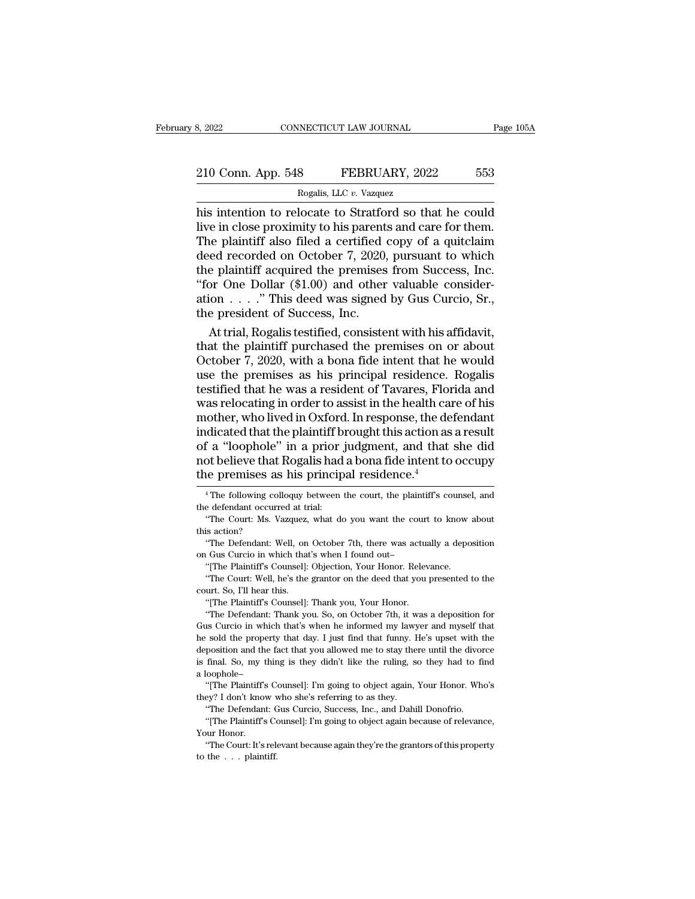# 210 Conn. App. 548 FEBRUARY, 2022 553<br>Rogalis, LLC v. Vazquez RECTICUT LAW JOURNAL<br>8 FEBRUARY, 202<br>Rogalis, LLC *v.* Vazquez<br>locate to Stratford so th

Fage 105A<br>
10 Conn. App. 548 FEBRUARY, 2022 553<br>
10 Rogalis, LLC v. Vazquez<br>
10 Rogalis, LLC v. Vazquez<br>
11 Rose proximity to his parents and care for them.<br>
11 Rose proximity to his parents and care for them.<br>
11 Rose pro 210 Conn. App. 548 FEBRUARY, 2022 553<br>Rogalis, LLC v. Vazquez<br>his intention to relocate to Stratford so that he could<br>live in close proximity to his parents and care for them.<br>The plaintiff also filed a certified copy of a 210 Conn. App. 548 FEBRUARY, 2022 553<br>
Rogalis, LLC v. Vazquez<br>
his intention to relocate to Stratford so that he could<br>
live in close proximity to his parents and care for them.<br>
The plaintiff also filed a certified copy 210 Conn. App. 548 FEBRUARY, 2022 553<br>
Rogalis, LLC v. Vazquez<br>
his intention to relocate to Stratford so that he could<br>
live in close proximity to his parents and care for them.<br>
The plaintiff also filed a certified copy Rogalis, LLC v. Vazquez<br>
his intention to relocate to Stratford so that he could<br>
live in close proximity to his parents and care for them.<br>
The plaintiff also filed a certified copy of a quitclaim<br>
deed recorded on Octob Rogalis, LLC v. Vazquez<br>
his intention to relocate to Stratford so that he could<br>
live in close proximity to his parents and care for them.<br>
The plaintiff also filed a certified copy of a quitclaim<br>
deed recorded on Octob his intention to relocate to Stratford so that he could<br>live in close proximity to his parents and care for them.<br>The plaintiff also filed a certified copy of a quitclaim<br>deed recorded on October 7, 2020, pursuant to which live in close proximity to his parent<br>The plaintiff also filed a certified<br>deed recorded on October 7, 2020,<br>the plaintiff acquired the premises<br>"for One Dollar (\$1.00) and other<br>ation . . . . ." This deed was signed<br>the p ie plaintiff also filed a certified copy of a quitclaim<br>ed recorded on October 7, 2020, pursuant to which<br>e plaintiff acquired the premises from Success, Inc.<br>or One Dollar (\$1.00) and other valuable consider-<br>ion . . . . deed recorded on October 7, 2020, pursuant to which<br>the plaintiff acquired the premises from Success, Inc.<br>"for One Dollar (\$1.00) and other valuable consider-<br>ation . . . ." This deed was signed by Gus Curcio, Sr.,<br>the pr

the plaintiff acquired the premises from Success, Inc.<br>
"for One Dollar (\$1.00) and other valuable consider-<br>
ation . . . ." This deed was signed by Gus Curcio, Sr.,<br>
the president of Success, Inc.<br>
At trial, Rogalis test "for One Dollar  $(\$1.00)$  and other valuable consideration . . . ." This deed was signed by Gus Curcio, Sr.,<br>the president of Success, Inc.<br>At trial, Rogalis testified, consistent with his affidavit,<br>that the plaintiff pur ation . . . . ." This deed was signed by Gus Curcio, Sr.,<br>the president of Success, Inc.<br>At trial, Rogalis testified, consistent with his affidavit,<br>that the plaintiff purchased the premises on or about<br>October 7, 2020, wi the president of Success, Inc.<br>At trial, Rogalis testified, consistent with his affidavit,<br>that the plaintiff purchased the premises on or about<br>October 7, 2020, with a bona fide intent that he would<br>use the premises as hi At trial, Rogalis testified, consistent with his affidavit,<br>that the plaintiff purchased the premises on or about<br>October 7, 2020, with a bona fide intent that he would<br>use the premises as his principal residence. Rogalis<br> that the plaintiff purchased the premises on or about<br>October 7, 2020, with a bona fide intent that he would<br>use the premises as his principal residence. Rogalis<br>testified that he was a resident of Tavares, Florida and<br>was October 7, 2020, with a bona fide intent that he would<br>use the premises as his principal residence. Rogalis<br>testified that he was a resident of Tavares, Florida and<br>was relocating in order to assist in the health care of use the premises as his principal residence. Rogalis<br>testified that he was a resident of Tavares, Florida and<br>was relocating in order to assist in the health care of his<br>mother, who lived in Oxford. In response, the defend testified that he was a resident of Tavares, Florence was relocating in order to assist in the health calm<br>other, who lived in Oxford. In response, the definiciated that the plaintiff brought this action as<br>of a "loophole" indicated that the plaintiff brought this action as a result<br>of a "loophole" in a prior judgment, and that she did<br>not believe that Rogalis had a bona fide intent to occupy<br>the premises as his principal residence.<sup>4</sup><br> $\frac{$ of a "loophole" in a prior<br>not believe that Rogalis had<br>the premises as his princip<br> $\frac{4}{1}$ The following colloquy between<br>the defendant occurred at trial:<br>"The Court: Ms. Vazquez, what do not believe that Rogalis had a bona fide intent to occupy<br>
the premises as his principal residence.<sup>4</sup><br>
<sup>4</sup> The following colloquy between the court, the plaintiff's counsel, and<br>
the defendant occurred at trial:<br>
"The Cou

e defendant occurred at trial:<br>
"The Court: Ms. Vazquez, what do you want the court to know<br>
is action?<br>
"The Defendant: Well, on October 7th, there was actually a depo<br>
Gus Curcio in which that's when I found out-<br>
"[The

"The Defendant: Well, on October 7th, there was actual Gus Curcio in which that's when I found out-<br>"[The Plaintiff's Counsel]: Objection, Your Honor. Relever<br>"The Court: Well, he's the grantor on the deed that you<br>"The Co

"The Court: Ms. Vazquez, what do you want the court to know about<br>
is action?<br>
"The Defendant: Well, on October 7th, there was actually a deposition<br>
Gus Curcio in which that's when I found out-<br>
"[The Plaintiff's Counsel] on Gus Curcio in which that's when I found out—<br>
"[The Plaintiff's Counsel]: Objection, Your Honor. Relevance.<br>
"The Court. Well, he's the grantor on the deed that you presented to the<br>
court. So, I'll hear this.<br>
"[The Pl

<sup>1</sup> Gus Curcio in which that's when I found out-<br>
"[The Plaintiff's Counsel]: Objection, Your Honor. Relevance.<br>
"The Court: Well, he's the grantor on the deed that you presented to the<br>
urt. So, I'll hear this.<br>
"[The Pla "The Plaintiff's Counsel]: Objection, Your Honor. Relevance.<br>"The Court. Well, he's the grantor on the deed that you presented to the<br>court. So, I'll hear this.<br>"[The Plaintiff's Counsel]: Thank you, Your Honor.<br>"The Defen The Court: Well, he's the grantor on the deed that you presented to the court. So, I'll hear this. "[The Plaintiff's Counsel]: Thank you, Your Honor. "The Defendant: Thank you. So, on October 7th, it was a deposition for G court. So, I'll hear this.<br>
"[The Plaintiff's Counsel]: Thank you, Your Honor.<br>
"The Defendant: Thank you. So, on October 7th, it was a deposition for<br>
Gus Curcio in which that's when he informed my lawyer and myself that<br> "The Plaintiff's Counsel]: Thank you, Your Honor.<br>"The Plaintiff's Counsel]: Thank you. So, on October 7th, it was a deposition for<br>Gus Curcio in which that's when he informed my lawyer and myself that<br>he sold the property The Defendant: The Window (The Defendant: The sold the property deposition and the factor is final. So, my thing a loophole–<br>"The Plaintiff's Couplement" (The Plaintiff's Couplement) In Surveyer and my lawyer and myself that sold the property that day. I just find that funny. He's upset with the position and the fact that you allowed me to stay there until the divorce final. So, my thing is they didn't The sold the property that day. I just find that funny. If deposition and the fact that you allowed me to stay the is final. So, my thing is they didn't like the ruling, sa loophole-<br>"[The Plaintiff's Counsel]: I'm going t deposition and the fact that you allowed me to stay there until the divorce is final. So, my thing is they didn't like the ruling, so they had to find a loophole–<br>
"[The Plaintiff's Counsel]: I'm going to object again, You is final. So, my thing is they didn't like the ruling, so they had to find<br>a loophole—<br>"[The Plaintiff's Counsel]: I'm going to object again, Your Honor. Who's<br>they? I don't know who she's referring to as they.<br>"The Defend

a loophole-<br>
"The Plaintiff's<br>
"The Plaintiff"<br>
"The Defendan<br>
"The Plaintiff's<br>
Your Honor.<br>
"The Court: It's

they? I don't know v<br>"The Defendant: C<br>"The Plaintiff's Co<br>"[The Plaintiff's Cour Honor.<br>"The Court: It's relet

"The Plaintiff's Counsel]: I'm going to object again, Your Honor. Who's<br>"Y' I don't know who she's referring to as they.<br>"The Defendant: Gus Curcio, Success, Inc., and Dahill Donofrio.<br>"The Plaintiff's Counsel]: I'm going

the premises as<br>
<sup>4</sup> The following co<br>
<sup>4</sup> The following co<br>
<sup>4</sup> The Court: Ms. V<br>
<sup>4</sup> The Defendant: V<br>
<sup>4</sup> The Defendant: V <sup>4</sup> The following colloquy between the court, the plaintiff's counsel, and<br>
<sup>4</sup> The following colloquy between the court, the plaintiff's counsel, and<br>
<sup>4</sup> The Court: Ms. Vazquez, what do you want the court to know about<br>  $^\circ$  The following colloquy between the court, the plaintiff<br>the defendant occurred at trial: "The Court: Ms. Vazquez, what do you want the court this action?<br>"The Defendant: Well, on October 7th, there was actuall<br>on Gus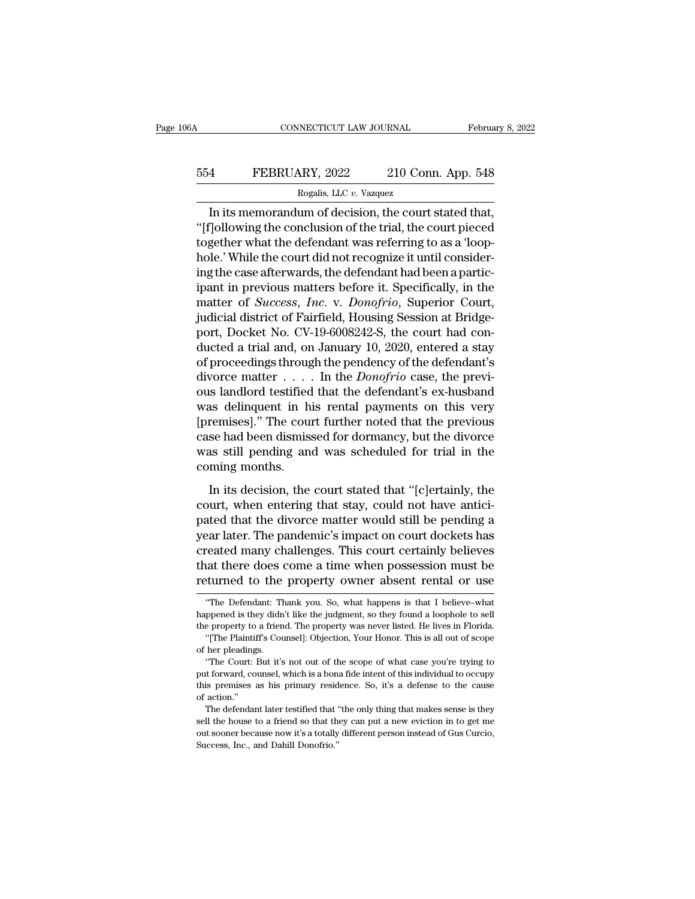# CONNECTICUT LAW JOURNAL February 8, 2022<br>554 FEBRUARY, 2022 210 Conn. App. 548<br>Rogalis, LLC v. Vazquez RECTICUT LAW JOURNAL<br>Rogalis, LLC *v.* Vazquez<br>Rogalis, LLC *v.* Vazquez<br>um of decision, the court

CONNECTICUT LAW JOURNAL February 8, 2<br>
In its memorandum of decision, the court stated that,<br>
Figures In its memorandum of decision, the court stated that,<br>
Tollowing the conclusion of the trial, the court pieced<br>
The stat The FEBRUARY, 2022 210 Conn. App. 548<br>
Rogalis, LLC v. Vazquez<br>
In its memorandum of decision, the court stated that,<br>
"[f]ollowing the conclusion of the trial, the court pieced<br>
together what the defendant was referring t 554 FEBRUARY, 2022 210 Conn. App. 548<br>
Rogalis, LLC v. Vazquez<br>
In its memorandum of decision, the court stated that,<br>
"[f]ollowing the conclusion of the trial, the court pieced<br>
together what the defendant was referring FEBRUARY, 2022 210 Conn. App. 548<br>
Rogalis, LLC  $v$ . Vazquez<br>
In its memorandum of decision, the court stated that,<br>
"[f]ollowing the conclusion of the trial, the court pieced<br>
together what the defendant was referring to Rogalis, LLC v. Vazquez<br>
In its memorandum of decision, the court stated that,<br>
"[f]ollowing the conclusion of the trial, the court pieced<br>
together what the defendant was referring to as a 'loop-<br>
hole.' While the court Frogaus, ELC  $v$ . vazquez<br>
In its memorandum of decision, the court stated that,<br>
"[f]ollowing the conclusion of the trial, the court pieced<br>
together what the defendant was referring to as a 'loop-<br>
hole.' While the cour In its memorandum of decision, the court stated that,<br>"[f]ollowing the conclusion of the trial, the court pieced<br>together what the defendant was referring to as a 'loop-<br>hole.' While the court did not recognize it until co "[f]ollowing the conclusion of the trial, the court pieced<br>together what the defendant was referring to as a 'loop-<br>hole.' While the court did not recognize it until consider-<br>ing the case afterwards, the defendant had be together what the defendant was referring to as a 'loop-<br>hole.' While the court did not recognize it until consider-<br>ing the case afterwards, the defendant had been a partic-<br>ipant in previous matters before it. Specifical hole.' While the court did not recognize it until considering the case afterwards, the defendant had been a participant in previous matters before it. Specifically, in the matter of *Success, Inc.* v. *Donofrio*, Superior ing the case afterwards, the defendant had been a partic-<br>ipant in previous matters before it. Specifically, in the<br>matter of *Success*, *Inc.* v. *Donofrio*, Superior Court,<br>judicial district of Fairfield, Housing Session ipant in previous matters before it. Specifically, in the<br>matter of *Success*, *Inc.* v. *Donofrio*, Superior Court,<br>judicial district of Fairfield, Housing Session at Bridge-<br>port, Docket No. CV-19-6008242-S, the court ha matter of *Success*, *Inc.* v. *Donofrio*, Superior Court,<br>judicial district of Fairfield, Housing Session at Bridge-<br>port, Docket No. CV-19-6008242-S, the court had con-<br>ducted a trial and, on January 10, 2020, entered a judicial district of Fairfield, Housing Session at Bridge-<br>port, Docket No. CV-19-6008242-S, the court had con-<br>ducted a trial and, on January 10, 2020, entered a stay<br>of proceedings through the pendency of the defendant's port, Docket No. CV-19-6008242-S, the court had con-<br>ducted a trial and, on January 10, 2020, entered a stay<br>of proceedings through the pendency of the defendant's<br>divorce matter . . . . . In the *Donofrio* case, the previ ducted a trial and, on January 10, 2020, entered a stay<br>of proceedings through the pendency of the defendant's<br>divorce matter  $\dots$ . In the *Donofrio* case, the previ-<br>ous landlord testified that the defendant's ex-husband of proceedings through the pendency of the defendant's<br>divorce matter  $\dots$  . In the *Donofrio* case, the previ-<br>ous landlord testified that the defendant's ex-husband<br>was delinquent in his rental payments on this very<br>[pr divorce matter . . . . .<br>ous landlord testified<br>was delinquent in h<br>[premises]." The courcase had been dismis:<br>was still pending and<br>coming months.<br>In its decision, the In its decision, the court further noted that the previous<br>se had been dismissed for dormancy, but the divorce<br>as still pending and was scheduled for trial in the<br>ming months.<br>In its decision, the court stated that "[c]ert court for the state payments of this resp.<br>
(premises)." The court further noted that the previous<br>
case had been dismissed for dormancy, but the divorce<br>
was still pending and was scheduled for trial in the<br>
coming months

presumedy. The court rature noted that the presence<br>case had been dismissed for dormancy, but the divorce<br>was still pending and was scheduled for trial in the<br>coming months.<br>In its decision, the court stated that "[c]ertai Figures and was scheduled for trial in the<br>coming months.<br>In its decision, the court stated that "[c]ertainly, the<br>court, when entering that stay, could not have antici-<br>pated that the divorce matter would still be pending coming months.<br>
In its decision, the court stated that "[c]ertainly, the<br>
court, when entering that stay, could not have antici-<br>
pated that the divorce matter would still be pending a<br>
year later. The pandemic's impact on In its decision, the court stated that "[c]ertainly, the<br>court, when entering that stay, could not have antici-<br>pated that the divorce matter would still be pending a<br>year later. The pandemic's impact on court dockets has<br> In its decision, the court stated that "[c]ertainly, the<br>court, when entering that stay, could not have antici-<br>pated that the divorce matter would still be pending a<br>year later. The pandemic's impact on court dockets has year later. The pandemic's impact on court dockets has<br>created many challenges. This court certainly believes<br>that there does come a time when possession must be<br>returned to the property owner absent rental or use<br>"The Def created many challenges. This court certainly believes<br>that there does come a time when possession must be<br>returned to the property owner absent rental or use<br>"The Defendant: Thank you. So, what happens is that I believe-w

that there does come a time when possession must be<br>returned to the property owner absent rental or use<br>"The Defendant: Thank you. So, what happens is that I believe-what<br>happened is they didn't like the judgment, so they The Plantiff's Counsel]: Objection, Your Honor. This is all out of scope the plantiff's Counsel]: Objection, Your Honor. This is all out of scope her pleadings. happened is they didn't like the judgment, so they found a loophole to sell<br>the property to a friend. The property was never listed. He lives in Florida.<br>"[The Plaintiff's Counsel]: Objection, Your Honor. This is all out o "The Defendant: Thank you. So, what happens is that I believe—what<br>ppened is they didn't like the judgment, so they found a loophole to sell<br>e property to a friend. The property was never listed. He lives in Florida.<br>"[The

happened is they didn't like the judgment, so they found a loophole to sell<br>the property to a friend. The property was never listed. He lives in Florida.<br>"[The Plaintiff's Counsel]: Objection, Your Honor. This is all out o the property to a friend. The property was never listed. He lives in Florida.<br>
"[The Plaintiff's Counsel]: Objection, Your Honor. This is all out of scope<br>
of her pleadings.<br>
"The Court: But it's not out of the scope of wh "[The Plainti"]<br>"The Plainti"<br>"The Court:<br>put forward, co<br>this premises<br>of action."<br>The defendan The defendant later testified that "the only thing that makes sense is they are deferended."<br>The Court: But it's not out of the scope of what case you're trying to<br>the deformant, counsel, which is a bona fide intent of thi <sup>1</sup> The Court: But it's not out of the scope of what case you're trying to put forward, counsel, which is a bona fide intent of this individual to occupy this premises as his primary residence. So, it's a defense to the ca

put forward, counsel, which is a bona fide intent of this individual to occupy<br>this premises as his primary residence. So, it's a defense to the cause<br>of action."<br>The defendant later testified that "the only thing that mak this premises as his primary residence. So, it's a defense to the cause<br>of action."<br>The defendant later testified that "the only thing that makes sense is they<br>sell the house to a friend so that they can put a new eviction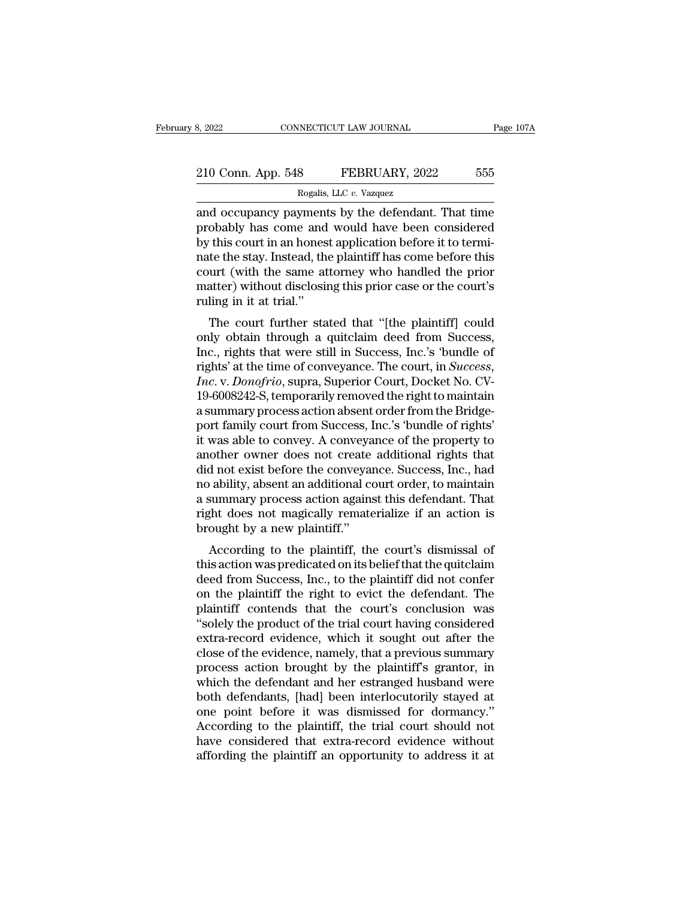# 210 Conn. App. 548 FEBRUARY, 2022 555<br>Rogalis, LLC v. Vazquez RECTICUT LAW JOURNAL<br>8 FEBRUARY, 202<br>Rogalis, LLC *v.* Vazquez<br>wments by the defendan

and occupancy payments by the defendant. That time<br>probably has come and would have been considered<br>by this court in an honort ambigation before it to terminated<br>by this court in an honort ambigation before it to terminate 210 Conn. App. 548 FEBRUARY, 2022 555<br>Rogalis, LLC v. Vazquez<br>and occupancy payments by the defendant. That time<br>probably has come and would have been considered<br>by this court in an honest application before it to termi-<br>n 210 Conn. App. 548 FEBRUARY, 2022 555<br>
Rogalis, LLC v. Vazquez<br>
and occupancy payments by the defendant. That time<br>
probably has come and would have been considered<br>
by this court in an honest application before it to ter 210 Conn. App. 548 FEBRUARY, 2022 555<br>
Rogalis, LLC v. Vazquez<br>
and occupancy payments by the defendant. That time<br>
probably has come and would have been considered<br>
by this court in an honest application before it to ter Rogalis, LLC v. Vazquez<br>
and occupancy payments by the defendant. That time<br>
probably has come and would have been considered<br>
by this court in an honest application before it to termi-<br>
nate the stay. Instead, the plaint Rogalis, LLC  $v$ . Vazquez<br>and occupancy payments by the defendant. That time<br>probably has come and would have been considered<br>by this court in an honest application before it to termi-<br>nate the stay. Instead, the plaintif and occupancy payment<br>probably has come and<br>by this court in an hones<br>nate the stay. Instead, th<br>court (with the same at<br>matter) without disclosin<br>ruling in it at trial."<br>The court further sta bolaby has come and would have been considered<br>this court in an honest application before it to termi-<br>te the stay. Instead, the plaintiff has come before this<br>urt (with the same attorney who handled the prior<br>atter) witho by this court in an nonest application before it to termi-<br>nate the stay. Instead, the plaintiff has come before this<br>court (with the same attorney who handled the prior<br>matter) without disclosing this prior case or the co

rate the stay. Instead, the plaintif has come before this<br>court (with the same attorney who handled the prior<br>matter) without disclosing this prior case or the court's<br>ruling in it at trial."<br>The court further stated that ruling in it at trial."<br>The court further stated that "[the plaintiff] could<br>only obtain through a quitclaim deed from Success,<br>Inc., rights that were still in Success, Inc.'s 'bundle of<br>rights' at the time of conveyance. The court further stated that "[the plaintiff] could<br>only obtain through a quitclaim deed from Success,<br>Inc., rights that were still in Success, Inc.'s 'bundle of<br>rights' at the time of conveyance. The court, in *Success,<br>* The court further stated that "[the plaintiff] could<br>only obtain through a quitclaim deed from Success,<br>Inc., rights that were still in Success, Inc.'s 'bundle of<br>rights' at the time of conveyance. The court, in *Success,<br>* only obtain through a quitclaim deed from Success,<br>Inc., rights that were still in Success, Inc.'s 'bundle of<br>rights' at the time of conveyance. The court, in *Success,<br>Inc.* v. *Donofrio*, supra, Superior Court, Docket No Inc., rights that were still in Success, Inc.'s 'bundle of<br>rights' at the time of conveyance. The court, in *Success,<br>Inc.* v. *Donofrio*, supra, Superior Court, Docket No. CV-<br>19-6008242-S, temporarily removed the right t rights' at the time of conveyance. The court, in *Success, Inc.* v. *Donofrio*, supra, Superior Court, Docket No. CV-19-6008242-S, temporarily removed the right to maintain a summary process action absent order from the Br Inc. v. Donofrio, supra, Superior Court, Docket No. CV-<br>19-6008242-S, temporarily removed the right to maintain<br>a summary process action absent order from the Bridge-<br>port family court from Success, Inc.'s 'bundle of right 19-6008242-S, temporarily removed the right to maintain<br>a summary process action absent order from the Bridge-<br>port family court from Success, Inc.'s 'bundle of rights'<br>it was able to convey. A conveyance of the property t a summary process action absent order from the Bridge-<br>port family court from Success, Inc.'s 'bundle of rights'<br>it was able to convey. A conveyance of the property to<br>another owner does not create additional rights that<br>d port family court from Success, Inc.'s 'bundle of rights'<br>it was able to convey. A conveyance of the property to<br>another owner does not create additional rights that<br>did not exist before the conveyance. Success, Inc., had<br> it was able to convey. A conveya<br>another owner does not create<br>did not exist before the conveyar<br>no ability, absent an additional co<br>a summary process action agains<br>right does not magically remate<br>brought by a new plaintif butter owner does not create additional rights that<br>d not exist before the conveyance. Success, Inc., had<br>ability, absent an additional court order, to maintain<br>summary process action against this defendant. That<br>the does the motion was below the conveyance. Success, Inc., I and<br>no ability, absent an additional court order, to maintain<br>a summary process action against this defendant. That<br>right does not magically rematerialize if an action

deed from Success action against this defendant. That<br>right does not magically rematerialize if an action is<br>brought by a new plaintiff."<br>According to the plaintiff, the court's dismissal of<br>this action was predicated on i a summary process action against this detendant. That<br>right does not magically rematerialize if an action is<br>brought by a new plaintiff."<br>According to the plaintiff, the court's dismissal of<br>this action was predicated on i plant that the plaintiff."<br>
According to the plaintiff, the court's dismissal of<br>
this action was predicated on its belief that the quitclaim<br>
deed from Success, Inc., to the plaintiff did not confer<br>
on the plaintiff the Brought by a new plaintiff, the court's dismissal of<br>this action was predicated on its belief that the quitclaim<br>deed from Success, Inc., to the plaintiff did not confer<br>on the plaintiff the right to evict the defendant. T According to the plaintiff, the court's dismissal of<br>this action was predicated on its belief that the quitclaim<br>deed from Success, Inc., to the plaintiff did not confer<br>on the plaintiff the right to evict the defendant. T this action was predicated on its belief that the quitclaim<br>deed from Success, Inc., to the plaintiff did not confer<br>on the plaintiff the right to evict the defendant. The<br>plaintiff contends that the court's conclusion was deed from Success, Inc., to the plaintiff did not confer<br>on the plaintiff the right to evict the defendant. The<br>plaintiff contends that the court's conclusion was<br>"solely the product of the trial court having considered<br>ex on the plaintiff the right to evict the defendant. The plaintiff contends that the court's conclusion was "solely the product of the trial court having considered extra-record evidence, which it sought out after the close plaintiff contends that the court's conclusion was<br>
"solely the product of the trial court having considered<br>
extra-record evidence, which it sought out after the<br>
close of the evidence, namely, that a previous summary<br>
pr "solely the product of the trial court having considered<br>extra-record evidence, which it sought out after the<br>close of the evidence, namely, that a previous summary<br>process action brought by the plaintiff's grantor, in<br>whi extra-record evidence, which it sought out after the close of the evidence, namely, that a previous summary process action brought by the plaintiff's grantor, in which the defendant and her estranged husband were both defe close of the evidence, namely, that a previous summary<br>process action brought by the plaintiff's grantor, in<br>which the defendant and her estranged husband were<br>both defendants, [had] been interlocutorily stayed at<br>one poin process action brought by the plaintiff's grantor, in which the defendant and her estranged husband were both defendants, [had] been interlocutorily stayed at one point before it was dismissed for dormancy."<br>According to t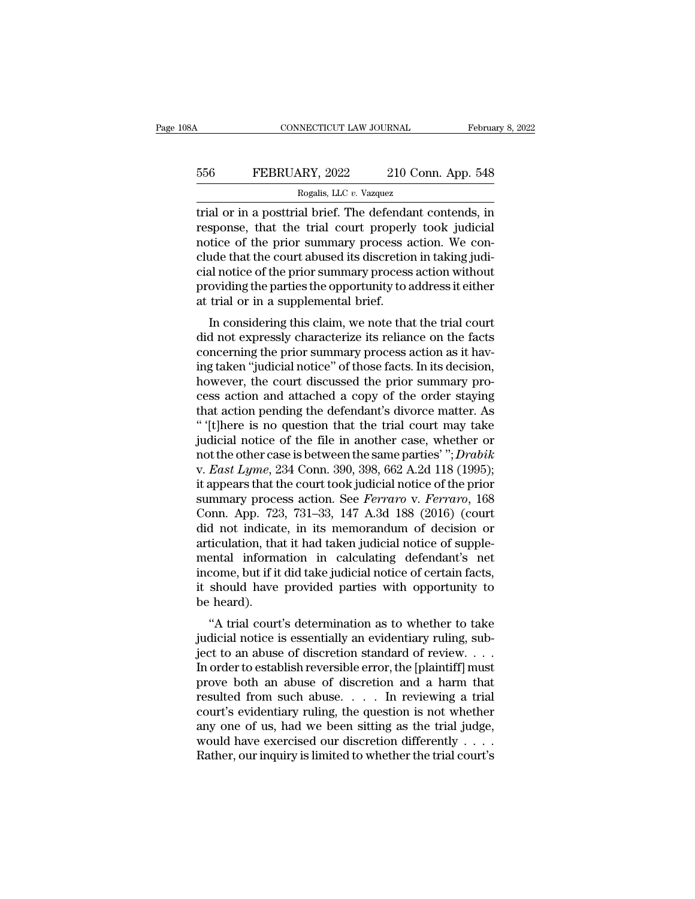# CONNECTICUT LAW JOURNAL February 8, 2022<br>556 FEBRUARY, 2022 210 Conn. App. 548<br>Rogalis, LLC v. Vazquez RECTICUT LAW JOURNAL<br>Rogalis, LLC *v.* Vazquez<br>al brief The defendant o

CONNECTICUT LAW JOURNAL February 8, 2022<br>
FEBRUARY, 2022 210 Conn. App. 548<br>
Rogalis, LLC v. Vazquez<br>
Trial or in a posttrial brief. The defendant contends, in<br>
response, that the trial court properly took judicial<br>
Rogali FEBRUARY, 2022 210 Conn. App. 548<br>Rogalis, LLC v. Vazquez<br>Trial or in a posttrial brief. The defendant contends, in<br>response, that the trial court properly took judicial<br>notice of the prior summary process action. We con-FEBRUARY, 2022 210 Conn. App. 548<br>
Rogalis, LLC v. Vazquez<br>
Trial or in a posttrial brief. The defendant contends, in<br>
response, that the trial court properly took judicial<br>
notice of the prior summary process action. We EXECUARY, 2022 210 Conn. App. 548<br>
Rogalis, LLC v. Vazquez<br>
trial or in a posttrial brief. The defendant contends, in<br>
response, that the trial court properly took judicial<br>
notice of the prior summary process action. We Rogalis, LLC v. Vazquez<br>
Trial or in a posttrial brief. The defendant contends, in<br>
response, that the trial court properly took judicial<br>
notice of the prior summary process action. We con-<br>
clude that the court abused i rial or in a posttrial brief. The defendant contends, in response, that the trial court properly took judicial notice of the prior summary process action. We conclude that the court abused its discretion in taking judicia trial or in a posttrial brief. The defenda<br>response, that the trial court properly<br>notice of the prior summary process a<br>clude that the court abused its discretion<br>cial notice of the prior summary process<br>providing the par sponse, that the trial court properly took judicial<br>tice of the prior summary process action. We con-<br>ide that the court abused its discretion in taking judi-<br>al notice of the prior summary process action without<br>oviding t notice of the prior summary process action. We conclude that the court abused its discretion in taking judicial notice of the prior summary process action without providing the parties the opportunity to address it either

cidue that the court abused its uscretion in taking judicial notice of the prior summary process action without<br>providing the parties the opportunity to address it either<br>at trial or in a supplemental brief.<br>In considering Early from the prior summary process action whilout<br>providing the parties the opportunity to address it either<br>at trial or in a supplemental brief.<br>In considering this claim, we note that the trial court<br>did not expressly providing the parties the opportunity to address it entier<br>at trial or in a supplemental brief.<br>In considering this claim, we note that the trial court<br>did not expressly characterize its reliance on the facts<br>concerning th at that of in a supplemental offer.<br>In considering this claim, we note that the trial court<br>did not expressly characterize its reliance on the facts<br>concerning the prior summary process action as it hav-<br>ing taken "judicia In considering this claim, we note that the trial court<br>did not expressly characterize its reliance on the facts<br>concerning the prior summary process action as it hav-<br>ing taken "judicial notice" of those facts. In its dec did not expressly characterize its reliance on the facts<br>concerning the prior summary process action as it hav-<br>ing taken "judicial notice" of those facts. In its decision,<br>however, the court discussed the prior summary pr concerning the prior summary process action as it having taken "judicial notice" of those facts. In its decision,<br>however, the court discussed the prior summary process action and attached a copy of the order staying<br>that ing taken "judicial notice" of those facts. In its decision,<br>however, the court discussed the prior summary pro-<br>cess action and attached a copy of the order staying<br>that action pending the defendant's divorce matter. As<br>" however, the court discussed the prior summary process action and attached a copy of the order staying<br>that action pending the defendant's divorce matter. As<br>"[t]here is no question that the trial court may take<br>judicial n cess action and attached a copy of the order staying<br>that action pending the defendant's divorce matter. As<br>"(t]here is no question that the trial court may take<br>judicial notice of the file in another case, whether or<br>not that action pending the defendant's divorce matter. As<br>
"'[t]here is no question that the trial court may take<br>
judicial notice of the file in another case, whether or<br>
not the other case is between the same parties' "; *D* " (t) there is no question that the trial court may take<br>judicial notice of the file in another case, whether or<br>not the other case is between the same parties' "; *Drabik*<br>v. *East Lyme*, 234 Conn. 390, 398, 662 A.2d 118 judicial notice of the file in another case, whether or<br>not the other case is between the same parties' "; *Drabik*<br>v. *East Lyme*, 234 Conn. 390, 398, 662 A.2d 118 (1995);<br>it appears that the court took judicial notice of not the other case is between the same parties' "; *Drabik* v. *East Lyme*, 234 Conn. 390, 398, 662 A.2d 118 (1995); it appears that the court took judicial notice of the prior summary process action. See *Ferraro* v. *Fer* v. *East Lyme*, 234 Conn. 390, 398, 662 A.2d 118 (1995);<br>it appears that the court took judicial notice of the prior<br>summary process action. See *Ferraro* v. *Ferraro*, 168<br>Conn. App. 723, 731–33, 147 A.3d 188 (2016) (cou it appears that the court took judicial notice of the prior<br>summary process action. See *Ferraro* v. *Ferraro*, 168<br>Conn. App. 723, 731–33, 147 A.3d 188 (2016) (court<br>did not indicate, in its memorandum of decision or<br>arti summary process action. See *Ferraro* v. *Ferraro*, 168<br>Conn. App. 723, 731–33, 147 A.3d 188 (2016) (court<br>did not indicate, in its memorandum of decision or<br>articulation, that it had taken judicial notice of supple-<br>menta Conn. App. 72:<br>did not indicat<br>articulation, tha<br>mental inform<br>income, but if it<br>it should have<br>be heard).<br>"A trial court The interaction of determination of determination in calculating defendant's net<br>
come, but if it did take judicial notice of certain facts,<br>
should have provided parties with opportunity to<br>
the ard).<br>
"A trial court's de ancellation, that it had taken judicial notice of supplemental information in calculating defendant's net<br>income, but if it did take judicial notice of certain facts,<br>it should have provided parties with opportunity to<br>be

mentar miorination in Catculating defendant strict<br>income, but if it did take judicial notice of certain facts,<br>it should have provided parties with opportunity to<br>be heard).<br>"A trial court's determination as to whether to Income, but in the take judicial notice of certain facts,<br>it should have provided parties with opportunity to<br>be heard).<br>"A trial court's determination as to whether to take<br>judicial notice is essentially an evidentiary ru meta and a harm that resulted from such a have the abuse of discretion as to whether to take judicial notice is essentially an evidentiary ruling, subject to an abuse of discretion standard of review. . . . In order to est <sup>1</sup> "A trial court's determination as to whether to take<br>judicial notice is essentially an evidentiary ruling, sub-<br>ject to an abuse of discretion standard of review. . . .<br>In order to establish reversible error, the [plai "A trial court's determination as to whether to take<br>judicial notice is essentially an evidentiary ruling, sub-<br>ject to an abuse of discretion standard of review. . . . .<br>In order to establish reversible error, the [plain judicial notice is essentially an evidentiary ruling, subject to an abuse of discretion standard of review. . . . In order to establish reversible error, the [plaintiff] must prove both an abuse of discretion and a harm t ject to an abuse of discretion standard of review. . . . . In order to establish reversible error, the [plaintiff] must<br>prove both an abuse of discretion and a harm that<br>resulted from such abuse. . . . In reviewing a tria In order to establish reversible error, the [plaintiff] must<br>prove both an abuse of discretion and a harm that<br>resulted from such abuse. . . . In reviewing a trial<br>court's evidentiary ruling, the question is not whether<br>a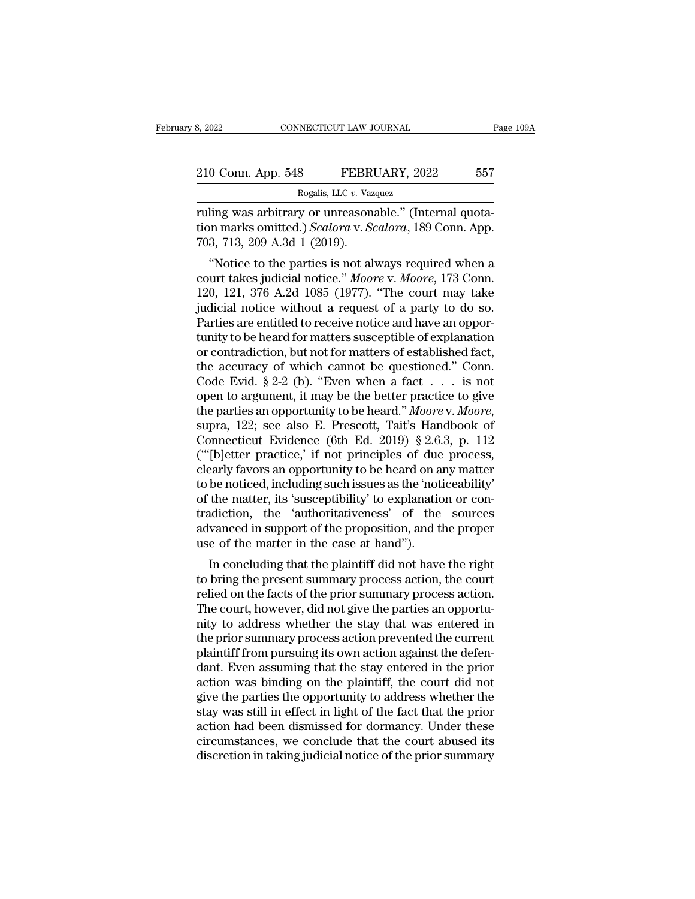| 3, 2022<br>CONNECTICUT LAW JOURNAL |                                                         | Page 109A |
|------------------------------------|---------------------------------------------------------|-----------|
| 210 Conn. App. 548                 | FEBRUARY, 2022                                          | 557       |
|                                    | Rogalis, LLC v. Vazquez                                 |           |
|                                    | ruling was arhitrary or unreasonable " (Internal quota- |           |

ruling was arbitrary or unreasonable.'' (Internal quota-<br>
The Waynes arbitrary or unreasonable.'' (Internal quota-<br>
Tuling was arbitrary or unreasonable.'' (Internal quota-<br>
The Table 200 A 3d 1 (2010) 10 Conn. App. 548 FEBRUARY, 2022 557<br>Rogalis, LLC v. Vazquez<br>Tuling was arbitrary or unreasonable." (Internal quotation marks omitted.) *Scalora* v. *Scalora*, 189 Conn. App.<br>703, 713, 209 A.3d 1 (2019). 210 Conn. App. 548 FEBRI<br>
Rogalis, LLC v. Vaz<br>
ruling was arbitrary or unreasons<br>
tion marks omitted.) *Scalora* v. *Sc*<br>
703, 713, 209 A.3d 1 (2019).<br>
"Notice to the parties is not al-0 Conn. App. 548 FEBRUARY, 2022 557<br>
Rogalis, LLC v. Vazquez<br>
ling was arbitrary or unreasonable." (Internal quota-<br>
nn marks omitted.) *Scalora* v. *Scalora*, 189 Conn. App.<br>
3, 713, 209 A.3d 1 (2019).<br>
"Notice to the pa

Rogalis, LLC v. Vazquez<br>
ruling was arbitrary or unreasonable." (Internal quota-<br>
tion marks omitted.) *Scalora* v. *Scalora*, 189 Conn. App.<br>
703, 713, 209 A.3d 1 (2019).<br>
"Notice to the parties is not always required whe ruling was arbitrary or unreasonable." (Internal quotation marks omitted.) *Scalora* v. *Scalora*, 189 Conn. App.<br>703, 713, 209 A.3d 1 (2019).<br>"Notice to the parties is not always required when a<br>court takes judicial notic rumig was arbitrary or unreasonable. (Internal quotation marks omitted.) Scalora v. Scalora, 189 Conn. App.<br>703, 713, 209 A.3d 1 (2019).<br>"Notice to the parties is not always required when a<br>court takes judicial notice." Mo tion marks omitted.) *Scalora* v. *Scalora*, 189 Conn. App.<br>703, 713, 209 A.3d 1 (2019).<br>"Notice to the parties is not always required when a<br>court takes judicial notice." *Moore* v. *Moore*, 173 Conn.<br>120, 121, 376 A.2d Tunity Tunity and T (2019).<br>
"Notice to the parties is not always required when a<br>
court takes judicial notice." *Moore v. Moore*, 173 Conn.<br>
120, 121, 376 A.2d 1085 (1977). "The court may take<br>
judicial notice without a "Notice to the parties is not always required when a<br>court takes judicial notice." *Moore v. Moore*, 173 Conn.<br>120, 121, 376 A.2d 1085 (1977). "The court may take<br>judicial notice without a request of a party to do so.<br>Par court takes judicial notice." *Moore* v. *Moore*, 173 Conn.<br>120, 121, 376 A.2d 1085 (1977). "The court may take<br>judicial notice without a request of a party to do so.<br>Parties are entitled to receive notice and have an opp 120, 121, 376 A.2d 1085 (1977). "The court may take<br>judicial notice without a request of a party to do so.<br>Parties are entitled to receive notice and have an oppor-<br>tunity to be heard for matters susceptible of explanatio judicial notice without a request of a party to do so.<br>Parties are entitled to receive notice and have an opportunity to be heard for matters susceptible of explanation<br>or contradiction, but not for matters of established Parties are entitled to receive notice and have an opportunity to be heard for matters susceptible of explanation<br>or contradiction, but not for matters of established fact,<br>the accuracy of which cannot be questioned." Conn or contradiction, but not for matters of established fact,<br>the accuracy of which cannot be questioned." Conn.<br>Code Evid. § 2-2 (b). "Even when a fact . . . is not<br>open to argument, it may be the better practice to give<br>th the accuracy of which cannot be questioned." Conn.<br>
Code Evid. § 2-2 (b). "Even when a fact . . . is not<br>
open to argument, it may be the better practice to give<br>
the parties an opportunity to be heard." *Moore* v. *Moore* Code Evid. § 2-2 (b). "Even when a fact  $\ldots$  is not open to argument, it may be the better practice to give the parties an opportunity to be heard." *Moore* v. *Moore*, supra, 122; see also E. Prescott, Tait's Handbook o open to argument, it may be the better practice to give<br>the parties an opportunity to be heard." Moore v. Moore,<br>supra, 122; see also E. Prescott, Tait's Handbook of<br>Connecticut Evidence (6th Ed. 2019) § 2.6.3, p. 112<br>("[b the parties an opportunity to be heard." *Moore* v. *Moore*, supra, 122; see also E. Prescott, Tait's Handbook of Connecticut Evidence (6th Ed. 2019) § 2.6.3, p. 112 ("[b]etter practice,' if not principles of due process, supra, 122; see also E. Prescott, Tait's Handbook of<br>Connecticut Evidence (6th Ed. 2019) § 2.6.3, p. 112<br>("'[b]etter practice,' if not principles of due process,<br>clearly favors an opportunity to be heard on any matter<br>to b Connecticut Evidence (6th Ed. 2019) § 2.6.3, p. 112 ("'[b]etter practice,' if not principles of due process, clearly favors an opportunity to be heard on any matter to be noticed, including such issues as the 'noticeabili ("'[b]etter practice,' if not principles of due<br>clearly favors an opportunity to be heard on a<br>to be noticed, including such issues as the 'notice<br>of the matter, its 'susceptibility' to explanatic<br>tradiction, the 'authorit Early favors an opportunity to be heard on any matter<br>be noticed, including such issues as the 'noticeability'<br>the matter, its 'susceptibility' to explanation or con-<br>adiction, the 'authoritativeness' of the sources<br>vanced to be noticed, including such issues as the noticeability<br>of the matter, its 'susceptibility' to explanation or con-<br>tradiction, the 'authoritativeness' of the sources<br>advanced in support of the proposition, and the proper

or the matter, its susceptibility to explanation or contradiction, the 'authoritativeness' of the sources advanced in support of the proposition, and the proper use of the matter in the case at hand").<br>In concluding that t radiction, the additionary<br>advanced in support of the proposition, and the proper<br>use of the matter in the case at hand").<br>In concluding that the plaintiff did not have the right<br>to bring the present summary process action advanced in support of the proposition, and the proper<br>use of the matter in the case at hand").<br>In concluding that the plaintiff did not have the right<br>to bring the present summary process action, the court<br>relied on the f the prior summary process action, the prior summary process action, the court<br>relied on the facts of the prior summary process action.<br>The court, however, did not give the parties an opportunity to address whether the stay In concluding that the plaintiff did not have the right<br>to bring the present summary process action, the court<br>relied on the facts of the prior summary process action.<br>The court, however, did not give the parties an opport to bring the present summary process action, the court<br>relied on the facts of the prior summary process action.<br>The court, however, did not give the parties an opportu-<br>nity to address whether the stay that was entered in<br> relied on the facts of the prior summary process action.<br>The court, however, did not give the parties an opportunity to address whether the stay that was entered in<br>the prior summary process action prevented the current<br>pl The court, however, did not give the parties an opportunity to address whether the stay that was entered in the prior summary process action prevented the current plaintiff from pursuing its own action against the defendan nity to address whether the stay that was entered in<br>the prior summary process action prevented the current<br>plaintiff from pursuing its own action against the defen-<br>dant. Even assuming that the stay entered in the prior<br>a the prior summary process action prevented the current<br>plaintiff from pursuing its own action against the defen-<br>dant. Even assuming that the stay entered in the prior<br>action was binding on the plaintiff, the court did not plaintiff from pursuing its own action against the defen-<br>dant. Even assuming that the stay entered in the prior<br>action was binding on the plaintiff, the court did not<br>give the parties the opportunity to address whether th dant. Even assuming that the stay entered in the prior action was binding on the plaintiff, the court did not give the parties the opportunity to address whether the stay was still in effect in light of the fact that the p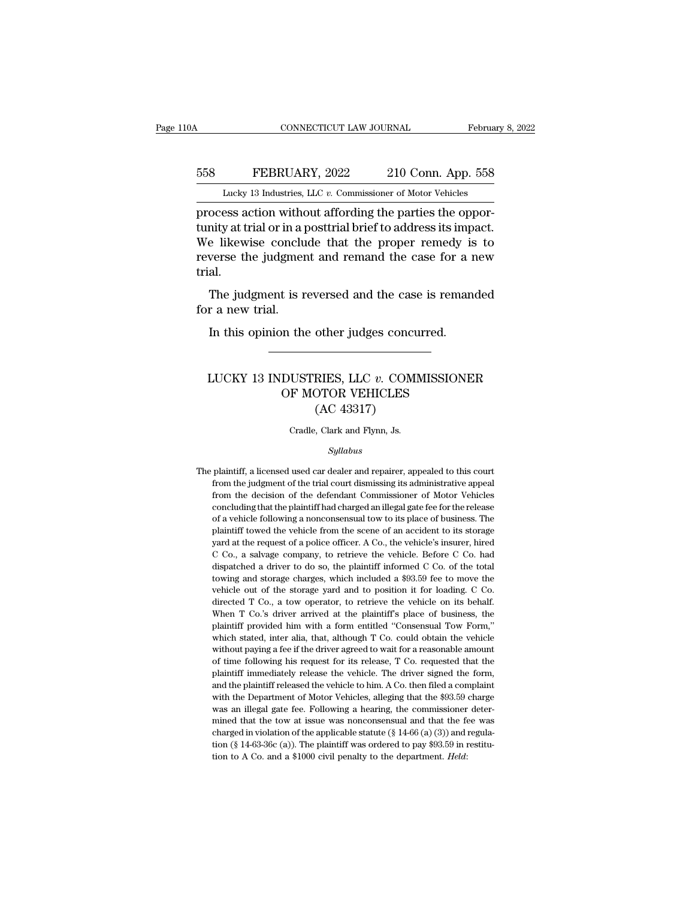## CONNECTICUT LAW JOURNAL February 8, 2022<br>558 FEBRUARY, 2022 210 Conn. App. 558<br>Lucky 13 Industries, LLC v. Commissioner of Motor Vehicles CONNECTICUT LAW JOURNAL February 8, 2022<br>
FEBRUARY, 2022 210 Conn. App. 558<br>
Lucky 13 Industries, LLC *v.* Commissioner of Motor Vehicles<br>
process action without affording the parties the oppor-

CONNECTICUT LAW JOURNAL Februa<br>
Februa<br>
FEBRUARY, 2022 210 Conn. App. 558<br>
Lucky 13 Industries, LLC v. Commissioner of Motor Vehicles<br>
process action without affording the parties the oppor-<br>
tunity at trial or in a posttr FEBRUARY, 2022 210 Conn. App. 558<br>Lucky 13 Industries, LLC v. Commissioner of Motor Vehicles<br>process action without affording the parties the oppor-<br>tunity at trial or in a posttrial brief to address its impact.<br>We likewis EXEMBERUARY, 2022 210 Conn. App. 558<br>
Lucky 13 Industries, LLC v. Commissioner of Motor Vehicles<br>
process action without affording the parties the oppor-<br>
tunity at trial or in a posttrial brief to address its impact.<br>
We FEBRUARY, 2022 210 Conn. App. 558<br>
Lucky 13 Industries, LLC  $v$ . Commissioner of Motor Vehicles<br>
process action without affording the parties the oppor-<br>
tunity at trial or in a posttrial brief to address its impact.<br>
We trial. ocess action without affording the parties the oppor-<br>nity at trial or in a posttrial brief to address its impact.<br>e likewise conclude that the proper remedy is to<br>verse the judgment and remand the case for a new<br>al.<br>The j process action wind<br>tunity at trial or in a p<br>We likewise conclu<br>reverse the judgment<br>trial.<br>The judgment is r<br>for a new trial.<br>In this opinion the Explore is discussed conclude that the proper remedy is<br>verse the judgment and remand the case for a r<br>al.<br>The judgment is reversed and the case is reman<br>r a new trial.<br>In this opinion the other judges concurred.

#### The judgment is reversed and the case is remanded<br>
r a new trial.<br>
In this opinion the other judges concurred.<br>
<br>
LUCKY 13 INDUSTRIES, LLC *v.* COMMISSIONER<br>
OF MOTOR VEHICLES Motor Financial Control Control Control Control OF MOTOR VEHICLES<br>
(AC 43317) other judges concu<br>
HIES, LLC v. COMP<br>
COMP VEHICLES<br>
(AC 43317)<br>
, Clark and Flynn, Js. LUCKY 13 INDUSTRIES, LLC  $v$ . COMMISSIONER<br>OF MOTOR VEHICLES<br>(AC 43317)<br>Cradle, Clark and Flynn, Js.

#### *Syllabus*

 $(AC 43317)$ <br>Cradle, Clark and Flynn, Js.<br>*Syllabus*<br>The plaintiff, a licensed used car dealer and repairer, appealed to this court<br>from the judgment of the trial court dismissing its administrative appeal From the judgment of the trial court dismissing its administrative appeal<br>from the judgment of the trial court dismissing its administrative appeal<br>from the decision of the defendant Commissioner of Motor Vehicles From the decision of the defendant Commissioner of Motor Vehicles<br>from the judgment of the trial court dismissing its administrative appeal<br>from the decision of the defendant Commissioner of Motor Vehicles<br>concluding that Syllabus<br>plaintiff, a licensed used car dealer and repairer, appealed to this court<br>from the judgment of the trial court dismissing its administrative appeal<br>from the decision of the defendant Commissioner of Motor Vehicle syuabus<br>plaintiff, a licensed used car dealer and repairer, appealed to this court<br>from the judgment of the trial court dismissing its administrative appeal<br>from the decision of the defendant Commissioner of Motor Vehicles plaintiff, a licensed used car dealer and repairer, appealed to this court<br>from the judgment of the trial court dismissing its administrative appeal<br>from the decision of the defendant Commissioner of Motor Vehicles<br>conclud Framin, it is dependent of the trial court dismissing its administrative appeal<br>from the judgment of the trial court dismissioner of Motor Vehicles<br>concluding that the plaintiff had charged an illegal gate fee for the rele From the decision of the defendant Commissioner of Motor Vehicles concluding that the plaintiff had charged an illegal gate fee for the release of a vehicle following a nonconsensual tow to its place of business. The plain concluding that the plaintiff had charged an illegal gate fee for the release of a vehicle following a nonconsensual tow to its place of business. The plaintiff towed the vehicle from the scene of an accident to its storag of a vehicle following a nonconsensual tow to its place of business. The plaintiff towed the vehicle from the scene of an accident to its storage yard at the request of a police officer. A Co., the vehicle's insurer, hired plaintiff towed the vehicle from the scene of an accident to its storage yard at the request of a police officer. A Co., the vehicle's insurer, hired C Co., a salvage company, to retrieve the vehicle. Before C Co. had disp paral at the request of a police officer. A Co., the vehicle's insurer, hired C Co., a salvage company, to retrieve the vehicle. Before C Co. had dispatched a driver to do so, the plaintiff informed C Co. of the total towi Co., a salvage company, to retrieve the vehicle. Before C Co. had dispatched a driver to do so, the plaintiff informed C Co. of the total towing and storage charges, which included a \$93.59 fee to move the vehicle out of dispatched a driver to do so, the plaintiff informed C Co. of the total dispatched a driver to do so, the plaintiff informed C Co. of the total towing and storage charges, which included a \$93.59 fee to move the vehicle ou the wing and storage charges, which included a \$93.59 fee to move the vehicle out of the storage yard and to position it for loading. C Co. directed T Co., a tow operator, to retrieve the vehicle on its behalf. When T Co.' whicle out of the storage yard and to position it for loading. C Co.<br>directed T Co., a tow operator, to retrieve the vehicle on its behalf.<br>When T Co.'s driver arrived at the plaintiff's place of business, the<br>plaintiff pr directed T Co., a tow operator, to retrieve the vehicle on its behalf.<br>When T Co.'s driver arrived at the plaintiff's place of business, the<br>plaintiff provided him with a form entitled "Consensual Tow Form,"<br>which stated, When T Co.'s driver arrived at the plaintiff's place of business, the plaintiff provided him with a form entitled "Consensual Tow Form," which stated, inter alia, that, although T Co. could obtain the vehicle without payin plaintiff provided him with a form entitled "Consensual Tow Form," which stated, inter alia, that, although T Co. could obtain the vehicle without paying a fee if the driver agreed to wait for a reasonable amount of time f which stated, inter alia, that, although T Co. could obtain the vehicle without paying a fee if the driver agreed to wait for a reasonable amount of time following his request for its release, T Co. requested that the plai without paying a fee if the driver agreed to wait for a reasonable amount<br>of time following his request for its release, T Co. requested that the<br>plaintiff immediately release the vehicle. The driver signed the form,<br>and of time following his request for its release, T Co. requested that the plaintiff immediately release the vehicle. The driver signed the form, and the plaintiff released the vehicle to him. A Co. then filed a complaint wi plaintiff immediately release the vehicle. The driver signed the form, and the plaintiff released the vehicle to him. A Co. then filed a complaint with the Department of Motor Vehicles, alleging that the \$93.59 charge was and the plaintiff released the vehicle to him. A Co. then filed a complaint with the Department of Motor Vehicles, alleging that the \$93.59 charge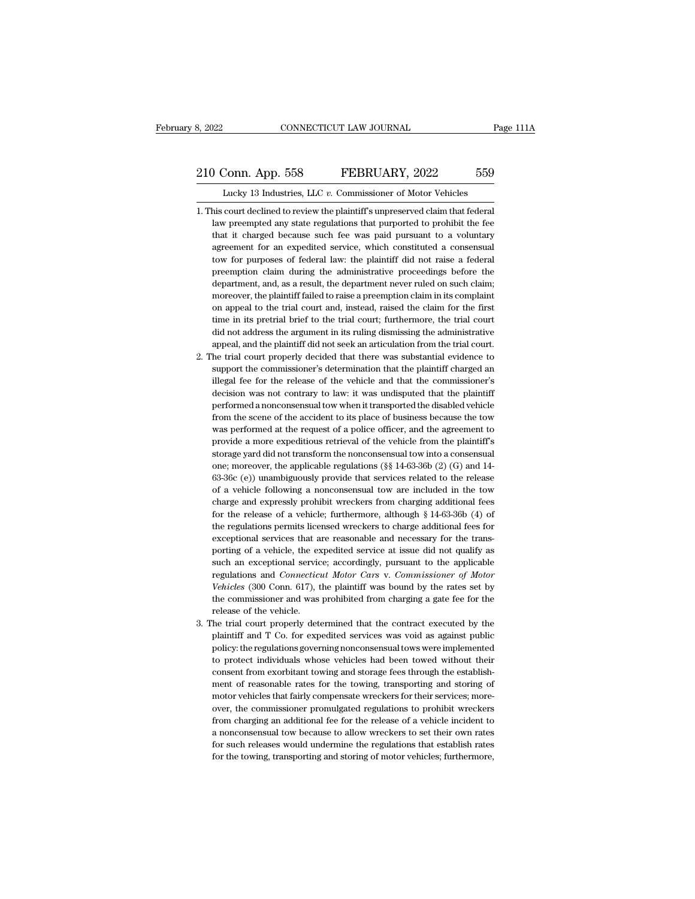#### 210 Conn. App. 558 FEBRUARY, 2022 559<br>210 Conn. App. 558 FEBRUARY, 2022 559<br>210 Conn. App. 558 FEBRUARY, 2022 559 CONNECTICUT LAW JOURNAL Pa<br>
Conn. App. 558 FEBRUARY, 2022 559<br>
Lucky 13 Industries, LLC *v.* Commissioner of Motor Vehicles<br>
court declined to review the plaintiff's unpreserved claim that federal

- 210 Conn. App. 558 FEBRUARY, 2022 559<br>Lucky 13 Industries, LLC v. Commissioner of Motor Vehicles<br>1. This court declined to review the plaintiff's unpreserved claim that federal<br>law preempted any state regulations that purp law preempted any state regulations that purported to prohibit the fee that it charged because such fee was paid pursuant to a voluntary of the fee that it charged because such fee was paid pursuant to a voluntary O Conn. App. 558 FEBRUARY, 2022 559<br>Lucky 13 Industries, LLC v. Commissioner of Motor Vehicles<br>his court declined to review the plaintiff's unpreserved claim that federal<br>law preempted any state regulations that purported Lucky 13 Industries, LLC  $v$ . Commissioner of Motor Vehicles<br>his court declined to review the plaintiff's unpreserved claim that federal<br>law preempted any state regulations that purported to prohibit the fee<br>that it charg Lucky 13 Industries, LLC v. Commissioner of Motor Vehicles<br>his court declined to review the plaintiff's unpreserved claim that federal<br>law preempted any state regulations that purported to prohibit the fee<br>that it charged his court declined to review the plaintiff's unpreserved claim that federal law preempted any state regulations that purported to prohibit the fee that it charged because such fee was paid pursuant to a voluntary agreement law preempted any state regulations that purported to prohibit the fee<br>that it charged because such fee was paid pursuant to a voluntary<br>agreement for an expedited service, which constituted a consensual<br>tow for purposes o that it charged because such fee was paid pursuant to a voluntary agreement for an expedited service, which constituted a consensual tow for purposes of federal law: the plaintiff did not raise a federal preemption claim d agreement for an expedited service, which constituted a consensual<br>tow for purposes of federal law: the plaintiff did not raise a federal<br>preemption claim during the administrative proceedings before the<br>department, and, a tow for purposes of federal law: the plaintiff did not raise a federal preemption claim during the administrative proceedings before the department, and, as a result, the department never ruled on such claim; moreover, the preemption claim during the administrative proceedings before the department, and, as a result, the department never ruled on such claim; moreover, the plaintiff failed to raise a preemption claim in its complaint on appea department, and, as a result, the department never ruled on such claim;<br>moreover, the plaintiff failed to raise a preemption claim in its complaint<br>on appeal to the trial court and, instead, raised the claim for the first<br> moreover, the plaintiff failed to raise a preemption claim in its complaint<br>on appeal to the trial court and, instead, raised the claim for the first<br>time in its pretrial brief to the trial court; furthermore, the trial co on appeal to the trial court and, instead, raised the claim for the first time in its pretrial brief to the trial court; furthermore, the trial court did not address the argument in its ruling dismissing the administrative
- time in its pretrial brief to the trial court; furthermore, the trial court<br>did not address the argument in its ruling dismissing the administrative<br>appeal, and the plaintiff did not seek an articulation from the trial cou did not address the argument in its ruling dismissing the administrative appeal, and the plaintiff did not seek an articulation from the trial court.<br>he trial court properly decided that there was substantial evidence to s appeal, and the plaintiff did not seek an articulation from the trial court.<br>he trial court properly decided that there was substantial evidence to<br>support the commissioner's determination that the plaintiff charged an<br>ill he trial court properly decided that there was substantial evidence to support the commissioner's determination that the plaintiff charged an illegal fee for the release of the vehicle and that the commissioner's decision support the commissioner's determination that the plaintiff charged an illegal fee for the release of the vehicle and that the commissioner's decision was not contrary to law: it was undisputed that the plaintiff performed ilegal fee for the release of the vehicle and that the commissioner's decision was not contrary to law: it was undisputed that the plaintiff performed a nonconsensual tow when it transported the disabled vehicle from the s decision was not contrary to law: it was undisputed that the plaintiff performed a nonconsensual tow when it transported the disabled vehicle from the scene of the accident to its place of business because the tow was per performed a nonconsensual tow when it transported the disabled vehicle<br>from the scene of the accident to its place of business because the tow<br>was performed at the request of a police officer, and the agreement to<br>provide from the scene of the accident to its place of business because the tow<br>was performed at the request of a police officer, and the agreement to<br>provide a more expeditious retrieval of the vehicle from the plaintiff's<br>stora was performed at the request of a police officer, and the agreement to<br>provide a more expeditious retrieval of the vehicle from the plaintiff's<br>storage yard did not transform the nonconsensual tow into a consensual<br>one; m provide a more expeditious retrieval of the vehicle from the plaintiff's storage yard did not transform the nonconsensual tow into a consensual one; moreover, the applicable regulations  $(\S \S 14-63-36b)$  (2) (G) and 14-63 for the release of a vehicle; furthermore, although § 14-63-36b (2) (G) and 14-63-36c (e)) unambiguously provide that services related to the release of a vehicle following a nonconsensual tow are included in the tow char one; moreover, the applicable regulations ( $\S$ § 14-63-36b (2) (G) and 14-63-36c (e)) unambiguously provide that services related to the release of a vehicle following a nonconsensual tow are included in the tow charge and 63-36c (e)) unambiguously provide that services related to the release of a vehicle following a nonconsensual tow are included in the tow charge and expressly prohibit wreckers from charging additional fees for the releas of a vehicle following a nonconsensual tow are included in the tow<br>charge and expressly prohibit wreckers from charging additional fees<br>for the release of a vehicle; furthermore, although  $\S$  14-63-36b (4) of<br>the regulati charge and expressly prohibit wreckers from charging additional fees<br>for the release of a vehicle; furthermore, although  $\S$  14-63-36b (4) of<br>the regulations permits licensed wreckers to charge additional fees for<br>excepti for the release of a vehicle; furthermore, although § 14-63-36b (4) of<br>the regulations permits licensed wreckers to charge additional fees for<br>exceptional services that are reasonable and necessary for the trans-<br>porting o the regulations permits licensed wreckers to charge additional fees for exceptional services that are reasonable and necessary for the transporting of a vehicle, the expedited service at issue did not qualify as such an ex exceptional services that are reasonable and necessary for the trans-<br>porting of a vehicle, the expedited service at issue did not qualify as<br>such an exceptional service; accordingly, pursuant to the applicable<br>regulations regulations and *Connecticut Motor Cars v. Commissioner of Motor Vehicles* (300 Conn. 617), the plaintiff was bound by the rates set by the commissioner and was prohibited from charging a gate fee for the release of the ve such an exceptional service; accordingly, pursuant to the applicable<br>regulations and *Connecticut Motor Cars* v. *Commissioner of Motor*<br>Vehicles (300 Conn. 617), the plaintiff was bound by the rates set by<br>the commissione regulations and *Connecticut Motor Cars* v. *Commissioner of Motor Vehicles* (300 Conn. 617), the plaintiff was bound by the rates set by the commissioner and was prohibited from charging a gate fee for the release of the
- Vehicles (300 Conn. 617), the plaintiff was bound by the rates set by<br>the commissioner and was prohibited from charging a gate fee for the<br>release of the vehicle.<br>he trial court properly determined that the contract execut the commissioner and was prohibited from charging a gate fee for the release of the vehicle.<br>The trial court properly determined that the contract executed by the plaintiff and T Co. for expedited services was void as agai 3. The trial court properly determined that the contract executed by the plaintiff and T Co. for expedited services was void as against public policy: the regulations governing nonconsensual tows were implemented to protec he trial court properly determined that the contract executed by the plaintiff and T Co. for expedited services was void as against public policy: the regulations governing nonconsensual tows were implemented to protect in plaintiff and T Co. for expedited services was void as against public policy: the regulations governing nonconsensual tows were implemented to protect individuals whose vehicles had been towed without their consent from ex policy: the regulations governing nonconsensual tows were implemented to protect individuals whose vehicles had been towed without their consent from exorbitant towing and storage fees through the establishment of reasonab from charging an additional fee for the release of a vehicle inconsent from exorbitant towing and storage fees through the establishment of reasonable rates for the towing, transporting and storing of motor vehicles that f consent from exorbitant towing and storage fees through the establishment of reasonable rates for the towing, transporting and storing of motor vehicles that fairly compensate wreckers for their services; moreover, the com ment of reasonable rates for the towing, transporting and storing of motor vehicles that fairly compensate wreckers for their services; moreover, the commissioner promulgated regulations to prohibit wreckers from charging over, the commissioner promulgated regulations to prohibit wreckers<br>from charging an additional fee for the release of a vehicle incident to<br>a nonconsensual tow because to allow wreckers to set their own rates<br>for such rel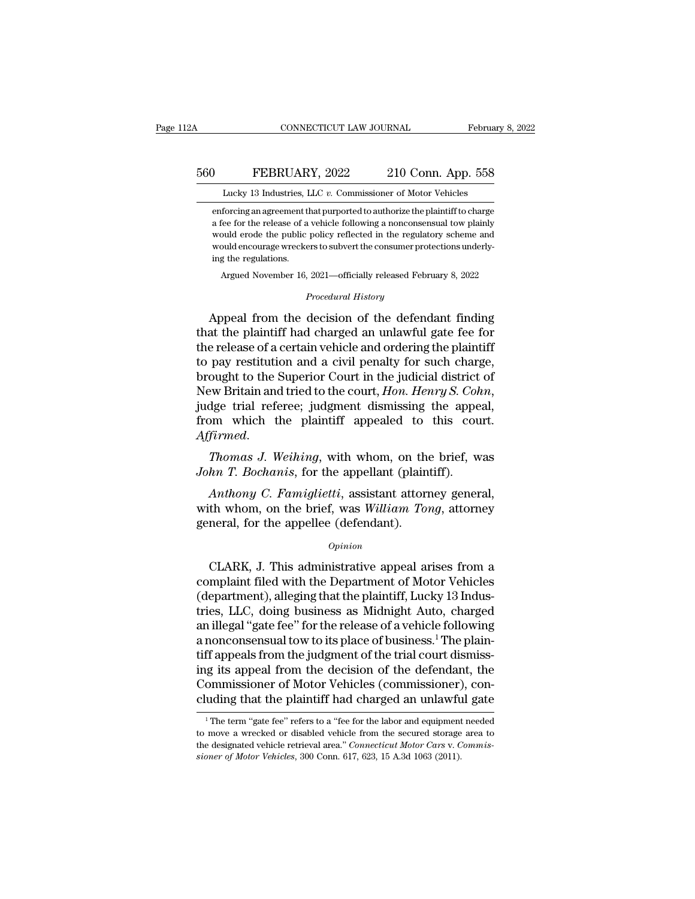enforcing an agreement that purported to authorize the plaintiff to charge a fee for the release of a vehicle following a nonconsensual tow plainty FEBRUARY, 2022 210 Conn. App. 558<br>Lucky 13 Industries, LLC v. Commissioner of Motor Vehicles<br>enforcing an agreement that purported to authorize the plaintiff to charge<br>a fee for the release of a vehicle following a noncons WEBRUARY, 2022 210 Conn. App. 558<br>Lucky 13 Industries, LLC v. Commissioner of Motor Vehicles<br>enforcing an agreement that purported to authorize the plaintiff to charge<br>a fee for the release of a vehicle following a noncons We BRUARY, 2022 210 Conn. App. 558<br>Lucky 13 Industries, LLC  $v$ . Commissioner of Motor Vehicles<br>enforcing an agreement that purported to authorize the plaintiff to charge<br>a fee for the release of a vehicle following a non Lucky 13 Industries, I<br>enforcing an agreement tl<br>a fee for the release of a<br>would erode the public<br>would encourage wrecke<br>ing the regulations.<br>Argued November 16, forcing an agreement that purported to authorize the plaintiff to charge<br>fee for the release of a vehicle following a nonconsensual tow plainly<br>ould erode the public policy reflected in the regulatory scheme and<br>ould encou policy reflected in the regulaters to subvert the consumer prot<br> *Procedural History*<br> *Procedural History*<br> **Consumer of the defence** a lee for the refease of a venice following a honconsensual tow plainty<br>would erode the public policy reflected in the regulatory scheme and<br>would encourage wreckers to subvert the consumer protections underly-<br>ing the reg

would encourage wreckers to subvert the consumer protections underly-<br>ing the regulations.<br>Argued November 16, 2021—officially released February 8, 2022<br>*Procedural History*<br>Appeal from the decision of the defendant findin ing the regulations.<br>
Argued November 16, 2021—officially released February 8, 2022<br>
Procedural History<br>
Appeal from the decision of the defendant finding<br>
that the plaintiff had charged an unlawful gate fee for<br>
the relea Argued November 16, 2021—officially released February 8, 2022<br> *Procedural History*<br>
Appeal from the decision of the defendant finding<br>
that the plaintiff had charged an unlawful gate fee for<br>
the release of a certain vehi *Procedural History*<br>Appeal from the decision of the defendant finding<br>that the plaintiff had charged an unlawful gate fee for<br>the release of a certain vehicle and ordering the plaintiff<br>to pay restitution and a civil pena *Proceaural History*<br>
Appeal from the decision of the defendant finding<br>
that the plaintiff had charged an unlawful gate fee for<br>
the release of a certain vehicle and ordering the plaintiff<br>
to pay restitution and a civil that the plaintiff had charged an unlawful gate fee for<br>the release of a certain vehicle and ordering the plaintiff<br>to pay restitution and a civil penalty for such charge,<br>brought to the Superior Court in the judicial dist *Affirmed. Thomas J. Weihing*, with whom, on the brief, was John T. Bochanis, for the appellant (plaintiff). The *Thomas J. Weihing*, with whom, on the brief, was John T. Bochanis, for the appellant (plaintiff). *John T. Bochanis, for the appellant (plaintiff)*.<br>*John T. Bochanissing the appellant dismissing the appelfrom which the plaintiff appealed to this could formed.*<br>*Thomas J. Weihing,* with whom, on the brief, we *John T.* dge trial referee; judgment dismissing the appeal,<br>*Firmed.*<br>*Thomas J. Weihing*, with whom, on the brief, was<br>*hn T. Bochanis*, for the appellant (plaintiff).<br>*Anthony C. Famiglietti*, assistant attorney general,<br>th whom,

from which the plaintiff appealed to this court.<br>Affirmed.<br>Thomas J. Weihing, with whom, on the brief, was<br>John T. Bochanis, for the appellant (plaintiff).<br>Anthony C. Famiglietti, assistant attorney general,<br>with whom, on Affirmed.<br>Thomas J. Weihing, with whom, on the<br>John T. Bochanis, for the appellant (plain<br>Anthony C. Famiglietti, assistant attorn<br>with whom, on the brief, was William Tor<br>general, for the appellee (defendant).<br>opinion *Anthony C. Famiglietti,* assistant attorney general,<br>th whom, on the brief, was *William Tong*, attorney<br>neral, for the appellee (defendant).<br>*Opinion*<br>CLARK, J. This administrative appeal arises from a<br>mplaint filed with

#### *Opinion*

Anthony C. Famiglietti, assistant attorney general,<br>with whom, on the brief, was William Tong, attorney<br>general, for the appellee (defendant).<br> $o_{pinion}$ <br>CLARK, J. This administrative appeal arises from a<br>complaint filed with with whom, on the brief, was William Tong, attorney<br>general, for the appellee (defendant).<br> $\frac{Opinion}{Opinion}$ <br>CLARK, J. This administrative appeal arises from a<br>complaint filed with the Department of Motor Vehicles<br>(department) general, for the appellee (defendant).<br>
opinion<br>
CLARK, J. This administrative appeal arises from a<br>
complaint filed with the Department of Motor Vehicles<br>
(department), alleging that the plaintiff, Lucky 13 Indus-<br>
tries,  $\alpha$ <br>CLARK, J. This administrative appeal arises from a<br>complaint filed with the Department of Motor Vehicles<br>(department), alleging that the plaintiff, Lucky 13 Indus-<br>tries, LLC, doing business as Midnight Auto, charged CLARK, J. This administrative appeal arises from a<br>complaint filed with the Department of Motor Vehicles<br>(department), alleging that the plaintiff, Lucky 13 Indus-<br>tries, LLC, doing business as Midnight Auto, charged<br>an il CLARK, J. This administrative appeal arises from a<br>complaint filed with the Department of Motor Vehicles<br>(department), alleging that the plaintiff, Lucky 13 Indus-<br>tries, LLC, doing business as Midnight Auto, charged<br>an il complaint filed with the Department of Motor Vehicles<br>(department), alleging that the plaintiff, Lucky 13 Indus-<br>tries, LLC, doing business as Midnight Auto, charged<br>an illegal "gate fee" for the release of a vehicle follo (department), alleging that the plaintiff, Lucky 13 Industries, LLC, doing business as Midnight Auto, charged an illegal "gate fee" for the release of a vehicle following a nonconsensual tow to its place of business.<sup>1</sup> Th tries, LLC, doing business as Midnight Auto, charged<br>an illegal "gate fee" for the release of a vehicle following<br>a nonconsensual tow to its place of business.<sup>1</sup> The plain-<br>tiff appeals from the judgment of the trial cour If appeals from the judgment of the trial court dismissig its appeal from the decision of the defendant, the ommissioner of Motor Vehicles (commissioner), con-<br>uding that the plaintiff had charged an unlawful gate<br><sup>1</sup>The t ing its appeal from the decision of the defendant, the Commissioner of Motor Vehicles (commissioner), concluding that the plaintiff had charged an unlawful gate  $\frac{1}{1}$  The term "gate fee" refers to a "fee for the labor

Commissioner of Motor Vehicles (commissioner), concluding that the plaintiff had charged an unlawful gate<br><sup>1</sup>The term "gate fee" refers to a "fee for the labor and equipment needed<br>to move a wrecked or disabled vehicle fro **cluding that the plaintiff had charged an unlawful and the plaintiff had charged an unlawful in The term** "gate fee" refers to a "fee for the labor and equipment to move a wrecked or disabled vehicle from the secured stor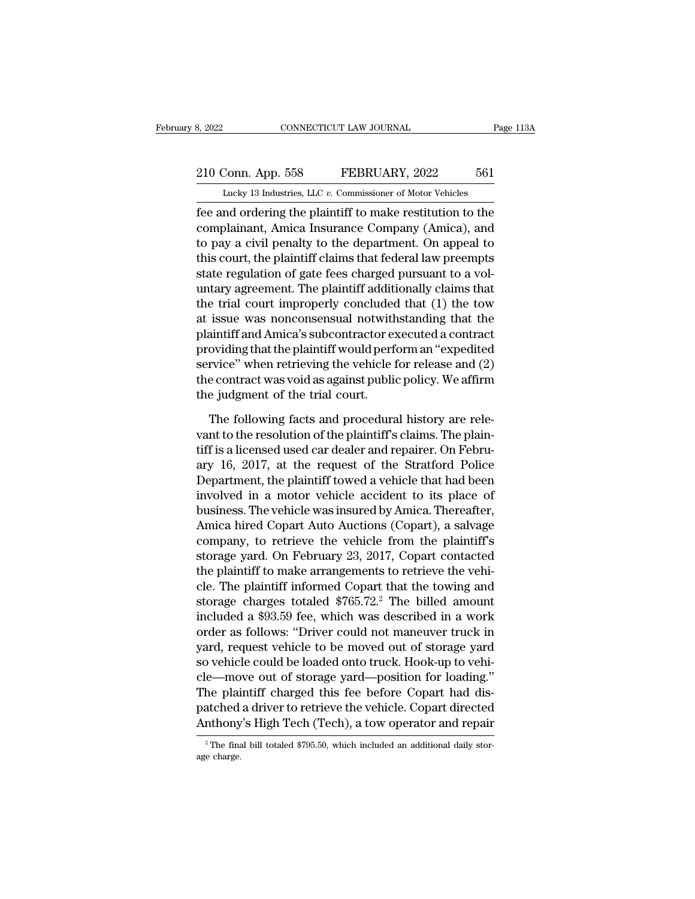# 210 Conn. App. 558 FEBRUARY, 2022 561<br>
210 Conn. App. 558 FEBRUARY, 2022 561<br>
210 Lucky 13 Industries, LLC v. Commissioner of Motor Vehicles

February 8, 2022 CONNECTICUT LAW JOURNAL Page 113A<br>210 Conn. App. 558 FEBRUARY, 2022 561<br>Lucky 13 Industries, LLC *v.* Commissioner of Motor Vehicles<br>fee and ordering the plaintiff to make restitution to the FEBRUARY, 2022<br>
FEBRUARY, 2022 561<br>
Lucky 13 Industries, LLC v. Commissioner of Motor Vehicles<br>
fee and ordering the plaintiff to make restitution to the<br>
complainant, Amica Insurance Company (Amica), and<br>
to nove o sivil 210 Conn. App. 558 FEBRUARY, 2022 561<br>
Lucky 13 Industries, LLC v. Commissioner of Motor Vehicles<br>
fee and ordering the plaintiff to make restitution to the<br>
complainant, Amica Insurance Company (Amica), and<br>
to pay a civi 210 Conn. App. 558 FEBRUARY, 2022 561<br>
Lucky 13 Industries, LLC  $v$ . Commissioner of Motor Vehicles<br>
fee and ordering the plaintiff to make restitution to the<br>
complainant, Amica Insurance Company (Amica), and<br>
to pay a c 210 Conn. App. 558 FEBRUARY, 2022 561<br>
Lucky 13 Industries, LLC  $v$ . Commissioner of Motor Vehicles<br>
fee and ordering the plaintiff to make restitution to the<br>
complainant, Amica Insurance Company (Amica), and<br>
to pay a c Lucky 13 Industries, LLC  $v$ . Commissioner of Motor Vehicles<br>fee and ordering the plaintiff to make restitution to the<br>complainant, Amica Insurance Company (Amica), and<br>to pay a civil penalty to the department. On appeal Lucky is maasines, LLC *v*. Commissioner or modor venters<br>fee and ordering the plaintiff to make restitution to the<br>complainant, Amica Insurance Company (Amica), and<br>to pay a civil penalty to the department. On appeal to<br> fee and ordering the plaintiff to make restitution to the<br>complainant, Amica Insurance Company (Amica), and<br>to pay a civil penalty to the department. On appeal to<br>this court, the plaintiff claims that federal law preempts<br> complainant, Amica Insurance Company (Amica), and<br>to pay a civil penalty to the department. On appeal to<br>this court, the plaintiff claims that federal law preempts<br>state regulation of gate fees charged pursuant to a vol-<br>u to pay a civil penalty to the department. On appeal to<br>this court, the plaintiff claims that federal law preempts<br>state regulation of gate fees charged pursuant to a vol-<br>untary agreement. The plaintiff additionally claims this court, the plaintiff claims that federal law preempts<br>state regulation of gate fees charged pursuant to a vol-<br>untary agreement. The plaintiff additionally claims that<br>the trial court improperly concluded that (1) the state regulation of gate fees charged pursuant to a voluntary agreement. The plaintiff additionally claims that<br>the trial court improperly concluded that (1) the tow<br>at issue was nonconsensual notwithstanding that the<br>plai untary agreement. The plaintiff additionally claims that<br>the trial court improperly concluded that (1) the tow<br>at issue was nonconsensual notwithstanding that the<br>plaintiff and Amica's subcontractor executed a contract<br>pro the trial court improperly concluded<br>at issue was nonconsensual notwith<br>plaintiff and Amica's subcontractor e:<br>providing that the plaintiff would perf<br>service'' when retrieving the vehicle :<br>the contract was void as agains aintiff and Amica's subcontractor executed a contract<br>oviding that the plaintiff would perform an "expedited<br>rvice" when retrieving the vehicle for release and (2)<br>e contract was void as against public policy. We affirm<br>e providing that the plaintiff would perform an "expedited<br>service" when retrieving the vehicle for release and (2)<br>the contract was void as against public policy. We affirm<br>the judgment of the trial court.<br>The following fac

service" when retrieving the vehicle for release and (2)<br>the contract was void as against public policy. We affirm<br>the judgment of the trial court.<br>The following facts and procedural history are rele-<br>vant to the resolutio the contract was void as against public policy. We affirm<br>the judgment of the trial court.<br>The following facts and procedural history are rele-<br>vant to the resolution of the plaintiff's claims. The plain-<br>tiff is a license the judgment of the trial court.<br>The following facts and procedural history are relevant to the resolution of the plaintiff's claims. The plaintiff is a licensed used car dealer and repairer. On February 16, 2017, at the r The following facts and procedural history are relevant to the resolution of the plaintiff's claims. The plaintiff is a licensed used car dealer and repairer. On February 16, 2017, at the request of the Stratford Police De The following facts and procedural history are relevant to the resolution of the plaintiff's claims. The plaintiff is a licensed used car dealer and repairer. On February 16, 2017, at the request of the Stratford Police De vant to the resolution of the plaintiff's claims. The plaintiff is a licensed used car dealer and repairer. On February 16, 2017, at the request of the Stratford Police Department, the plaintiff towed a vehicle that had be tiff is a licensed used car dealer and repairer. On February 16, 2017, at the request of the Stratford Police<br>Department, the plaintiff towed a vehicle that had been<br>involved in a motor vehicle accident to its place of<br>bus ary 16, 2017, at the request of the Stratford Police<br>Department, the plaintiff towed a vehicle that had been<br>involved in a motor vehicle accident to its place of<br>business. The vehicle was insured by Amica. Thereafter,<br>Amic Department, the plaintiff towed a vehicle that had been<br>involved in a motor vehicle accident to its place of<br>business. The vehicle was insured by Amica. Thereafter,<br>Amica hired Copart Auto Auctions (Copart), a salvage<br>com involved in a motor vehicle accident to its place of<br>business. The vehicle was insured by Amica. Thereafter,<br>Amica hired Copart Auto Auctions (Copart), a salvage<br>company, to retrieve the vehicle from the plaintiff's<br>storag business. The vehicle was insured by Amica. Thereafter,<br>Amica hired Copart Auto Auctions (Copart), a salvage<br>company, to retrieve the vehicle from the plaintiff's<br>storage yard. On February 23, 2017, Copart contacted<br>the pl Amica hired Copart Auto Auctions (Copart), a salvage<br>company, to retrieve the vehicle from the plaintiff's<br>storage yard. On February 23, 2017, Copart contacted<br>the plaintiff to make arrangements to retrieve the vehi-<br>cle. company, to retrieve the vehicle from the plaintiff's<br>storage yard. On February 23, 2017, Copart contacted<br>the plaintiff to make arrangements to retrieve the vehi-<br>cle. The plaintiff informed Copart that the towing and<br>sto storage yard. On February 23, 2017, Copart contacted<br>the plaintiff to make arrangements to retrieve the vehi-<br>cle. The plaintiff informed Copart that the towing and<br>storage charges totaled \$765.72.<sup>2</sup> The billed amount<br>inc the plaintiff to make arrangements to retrieve the vehi-<br>cle. The plaintiff informed Copart that the towing and<br>storage charges totaled \$765.72.<sup>2</sup> The billed amount<br>included a \$93.59 fee, which was described in a work<br>ord cle. The plaintiff informed Copart that the towing and<br>storage charges totaled \$765.72.<sup>2</sup> The billed amount<br>included a \$93.59 fee, which was described in a work<br>order as follows: "Driver could not maneuver truck in<br>yard, storage charges totaled \$765.72.<sup>2</sup> The billed amount<br>included a \$93.59 fee, which was described in a work<br>order as follows: "Driver could not maneuver truck in<br>yard, request vehicle to be moved out of storage yard<br>so vehi included a \$93.59 fee, which was described in a work<br>order as follows: "Driver could not maneuver truck in<br>yard, request vehicle to be moved out of storage yard<br>so vehicle could be loaded onto truck. Hook-up to vehi-<br>cle—m order as follows: "Driver could not maneuver truck in<br>yard, request vehicle to be moved out of storage yard<br>so vehicle could be loaded onto truck. Hook-up to vehi-<br>cle—move out of storage yard—position for loading."<br>The pl cle—move out of storage yard—position for loading."<br>The plaintiff charged this fee before Copart had dis-<br>patched a driver to retrieve the vehicle. Copart directed<br>Anthony's High Tech (Tech), a tow operator and repair<br><sup>2</sup>T Anthony's High Tech (Tech), a tow operator and repair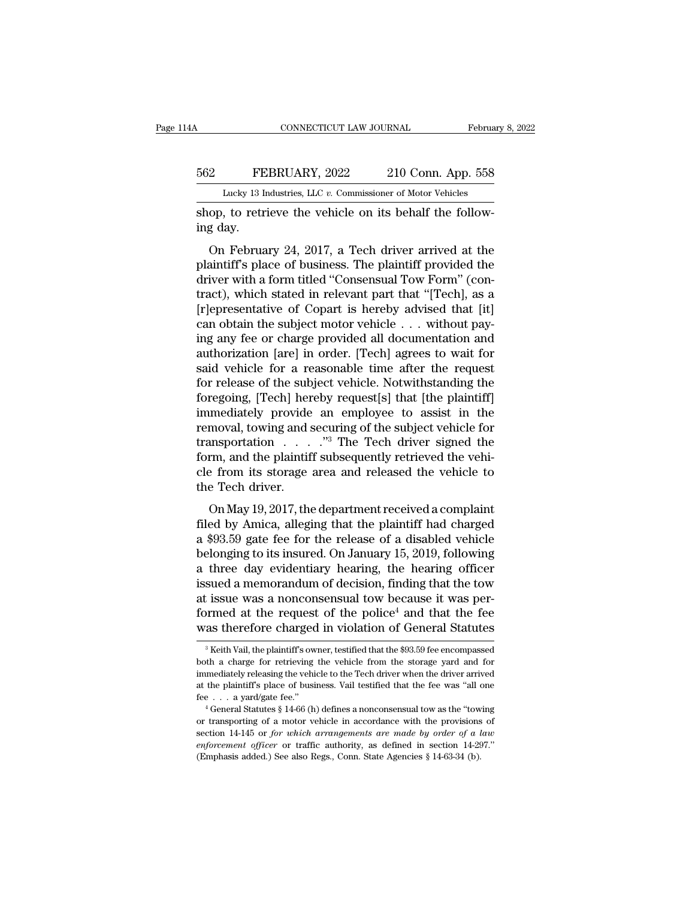## CONNECTICUT LAW JOURNAL February 8, 2022<br>562 FEBRUARY, 2022 210 Conn. App. 558<br>Lucky 13 Industries, LLC v. Commissioner of Motor Vehicles CONNECTICUT LAW JOURNAL February 8, 2022<br>
FEBRUARY, 2022 210 Conn. App. 558<br>
Lucky 13 Industries, LLC *v.* Commissioner of Motor Vehicles<br>
shop, to retrieve the vehicle on its behalf the follow-

Shop, to retrieve the vehicle on its behalf the following day. 562 FE<br>
Lucky 13 In<br>
shop, to retring day.<br>
On Februa

EEBRUARY, 2022 210 Conn. App. 558<br>
Lucky 13 Industries, LLC v. Commissioner of Motor Vehicles<br>
op, to retrieve the vehicle on its behalf the follow-<br>
g day.<br>
On February 24, 2017, a Tech driver arrived at the<br>
aintiff's pl FEBRUARY, 2022 210 Conn. App. 558<br>
Lucky 13 Industries, LLC v. Commissioner of Motor Vehicles<br>
shop, to retrieve the vehicle on its behalf the follow-<br>
ing day.<br>
On February 24, 2017, a Tech driver arrived at the<br>
plainti Lucky 13 Industries, LLC  $v$ . Commissioner of Motor Vehicles<br>
shop, to retrieve the vehicle on its behalf the follow-<br>
ing day.<br>
On February 24, 2017, a Tech driver arrived at the<br>
plaintiff's place of business. The plain shop, to retrieve the vehicle on its behalf the following day.<br>
On February 24, 2017, a Tech driver arrived at the<br>
plaintiff's place of business. The plaintiff provided the<br>
driver with a form titled "Consensual Tow Form" shop, to retrieve the ventere of its behand the following day.<br>
On February 24, 2017, a Tech driver arrived at the<br>
plaintiff's place of business. The plaintiff provided the<br>
driver with a form titled "Consensual Tow Form" on February 24, 2017, a Tech driver arrived at the plaintiff's place of business. The plaintiff provided the driver with a form titled "Consensual Tow Form" (contract), which stated in relevant part that "[Tech], as a [r] On February 24, 2017, a Tech driver arrived at the plaintiff's place of business. The plaintiff provided the driver with a form titled "Consensual Tow Form" (contract), which stated in relevant part that "[Tech], as a [r] plaintiff's place of business. The plaintiff provided the<br>driver with a form titled "Consensual Tow Form" (con-<br>tract), which stated in relevant part that "[Tech], as a<br>[r]epresentative of Copart is hereby advised that [it driver with a form titled "Consensual Tow Form" (contract), which stated in relevant part that "[Tech], as a [r]epresentative of Copart is hereby advised that [it] can obtain the subject motor vehicle . . . without paying tract), which stated in relevant part that "[Tech], as a<br>[r]epresentative of Copart is hereby advised that [it]<br>can obtain the subject motor vehicle  $\ldots$  without pay-<br>ing any fee or charge provided all documentation and<br> [r]epresentative of Copart is hereby advised that [it]<br>can obtain the subject motor vehicle . . . without pay-<br>ing any fee or charge provided all documentation and<br>authorization [are] in order. [Tech] agrees to wait for<br>sa can obtain the subject motor vehicle  $\ldots$  without paying any fee or charge provided all documentation and authorization [are] in order. [Tech] agrees to wait for said vehicle for a reasonable time after the request for r ing any fee or charge provided all documentation and<br>authorization [are] in order. [Tech] agrees to wait for<br>said vehicle for a reasonable time after the request<br>for release of the subject vehicle. Notwithstanding the<br>fore authorization [are] in order. [Tech] agrees to wait for<br>said vehicle for a reasonable time after the request<br>for release of the subject vehicle. Notwithstanding the<br>foregoing, [Tech] hereby request[s] that [the plaintiff]<br> said vehicle for a reasonable time after the request<br>for release of the subject vehicle. Notwithstanding the<br>foregoing, [Tech] hereby request[s] that [the plaintiff]<br>immediately provide an employee to assist in the<br>remova for release of the subject vehicle. Notwithstanding the<br>foregoing, [Tech] hereby request[s] that [the plaintiff]<br>immediately provide an employee to assist in the<br>removal, towing and securing of the subject vehicle for<br>tra transportation  $\ldots$   $\ldots$  "<sup>3</sup> The Tech driver signed the form, and the plaintiff subsequently retrieved the vehicle from its storage area and released the vehicle to the Tech driver.<br>On May 19, 2017, the department rece mediately provide an employee to assist in the<br>moval, towing and securing of the subject vehicle for<br>insportation  $\ldots$ . "<sup>3</sup> The Tech driver signed the<br>rm, and the plaintiff subsequently retrieved the vehi-<br>e from its st framsportation  $\ldots$   $\ldots$  <sup>73</sup>. The Tech driver signed the form, and the plaintiff subsequently retrieved the vehi-<br>cle from its storage area and released the vehicle to<br>the Tech driver.<br>On May 19, 2017, the department r

form, and the plaintiff subsequently retrieved the vehi-<br>cle from its storage area and released the vehicle to<br>the Tech driver.<br>On May 19, 2017, the department received a complaint<br>filed by Amica, alleging that the plaint belonging to its storage area and released the vehicle to<br>the Tech driver.<br>On May 19, 2017, the department received a complaint<br>filed by Amica, alleging that the plaintiff had charged<br>a \$93.59 gate fee for the release of a the Tech driver.<br>
On May 19, 2017, the department received a complaint<br>
filed by Amica, alleging that the plaintiff had charged<br>
a \$93.59 gate fee for the release of a disabled vehicle<br>
belonging to its insured. On January In May 19, 2017, the department received a complaint<br>filed by Amica, alleging that the plaintiff had charged<br>a \$93.59 gate fee for the release of a disabled vehicle<br>belonging to its insured. On January 15, 2019, following<br> filed by Amica, alleging that the plaintiff had charged<br>a \$93.59 gate fee for the release of a disabled vehicle<br>belonging to its insured. On January 15, 2019, following<br>a three day evidentiary hearing, the hearing officer filed by Amica, alleging that the plaintiff had charged<br>a \$93.59 gate fee for the release of a disabled vehicle<br>belonging to its insured. On January 15, 2019, following<br>a three day evidentiary hearing, the hearing officer a \$93.59 gate fee for the release of a disabled vehicle<br>belonging to its insured. On January 15, 2019, following<br>a three day evidentiary hearing, the hearing officer<br>issued a memorandum of decision, finding that the tow<br>a at issue was a nonconsensual tow because it was performed at the request of the police<sup>4</sup> and that the fee was therefore charged in violation of General Statutes  $\frac{3}{8}$  Keith Vail, the plaintiff's owner, testified that at issue was a nonconsensual tow because it was performed at the request of the police<sup>4</sup> and that the fee was therefore charged in violation of General Statutes  $\frac{3}{8}$  Keith Vail, the plaintiff's owner, testified that

formed at the request of the police<sup>4</sup> and that the fee<br>was therefore charged in violation of General Statutes<br> $\frac{1}{100}$ <br> $\frac{1}{100}$ <br> $\frac{1}{100}$ <br> $\frac{1}{100}$ <br> $\frac{1}{100}$  is vehicle to the Tech driver when the driver arri was therefore charged in violation of General Statutes<br>
<sup>3</sup> Keith Vail, the plaintiff's owner, testified that the \$93.59 fee encompassed<br>
both a charge for retrieving the vehicle from the storage yard and for<br>
immediately WAS LITETOTE CHALGED IN VIOLATION OF CHETAL STATURES<br>
<sup>3</sup> Keith Vail, the plaintiff's owner, testified that the \$93.59 fee encompassed<br>
both a charge for retrieving the vehicle from the storage yard and for<br>
immediately r

both a charge for retrieving the vehicle from the storage yard and for immediately releasing the vehicle to the Tech driver when the driver arrived at the plaintiff's place of business. Vail testified that the fee was "al section 14-145 or *for which* arrangements are made by order of a law<br>effect of business. Vail testified that the fee was "all one<br>fee . . . a yard/gate fee."<br><sup>4</sup> General Statutes § 14-66 (h) defines a nonconsensual tow as at the plaintiff's place of business. Vail testified that the fee was "all one<br>fee . . . a yard/gate fee."<br> $\cdot$  General Statutes § 14-66 (h) defines a nonconsensual tow as the "towing<br>or transporting of a motor vehicle in <sup>4</sup> General Statutes § 14-66 (h) defines a nonconsensual tow as the "towing.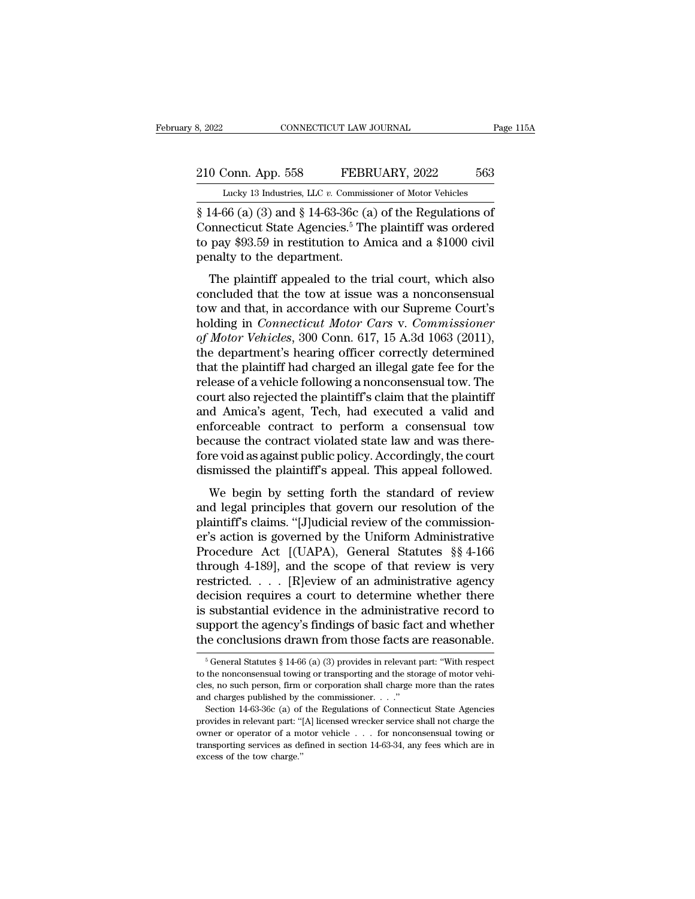# 2022 CONNECTICUT LAW JOURNAL Page 115A<br>210 Conn. App. 558 FEBRUARY, 2022 563<br>Lucky 13 Industries, LLC v. Commissioner of Motor Vehicles

February 8, 2022 CONNECTICUT LAW JOURNAL Page 115A<br>
210 Conn. App. 558 FEBRUARY, 2022 563<br>
Lucky 13 Industries, LLC *v.* Commissioner of Motor Vehicles<br>
8 14-66 (a) (3) and 8 14-63-36c (a) of the Regulations of 8, 2022<br>
CONNECTICUT LAW JOURNAL<br>
Page 115,<br>
210 Conn. App. 558 FEBRUARY, 2022 563<br>
Lucky 13 Industries, LLC v. Commissioner of Motor Vehicles<br>
§ 14-66 (a) (3) and § 14-63-36c (a) of the Regulations of<br>
Connecticut State A 210 Conn. App. 558 FEBRUARY, 2022 563<br>
Lucky 13 Industries, LLC v. Commissioner of Motor Vehicles<br>
§ 14-66 (a) (3) and § 14-63-36c (a) of the Regulations of<br>
Connecticut State Agencies.<sup>5</sup> The plaintiff was ordered<br>
to pay 210 Conn. App. 558 FEBRUARY, 2022 563<br>
Lucky 13 Industries, LLC v. Commissioner of Motor Vehicles<br>
§ 14-66 (a) (3) and § 14-63-36c (a) of the Regulations of<br>
Connecticut State Agencies.<sup>5</sup> The plaintiff was ordered<br>
to pa 210 Conn. App. 558 FEBR<br>
Lucky 13 Industries, LLC v. Commiss<br>
§ 14-66 (a) (3) and § 14-63-36c (a<br>
Connecticut State Agencies.<sup>5</sup> Th<br>
to pay \$93.59 in restitution to A<br>
penalty to the department.<br>
The plaintiff appealed to Lucky 13 Industries, LLC  $v$ . Commissioner of Motor Vehicles<br>14-66 (a) (3) and § 14-63-36c (a) of the Regulations of<br>pnnecticut State Agencies.<sup>5</sup> The plaintiff was ordered<br>pay \$93.59 in restitution to Amica and a \$1000 c  $\frac{1}{8}$  14-66 (a) (3) and  $\frac{1}{8}$  14-63-36c (a) of the Regulations of<br>Connecticut State Agencies.<sup>5</sup> The plaintiff was ordered<br>to pay \$93.59 in restitution to Amica and a \$1000 civil<br>penalty to the department.<br>The pla

s 14-00 (a) (5) and s 14-05-50c (a) of the negulations of<br>Connecticut State Agencies.<sup>5</sup> The plaintiff was ordered<br>to pay \$93.59 in restitution to Amica and a \$1000 civil<br>penalty to the department.<br>The plaintiff appealed connecticut state Exercies. The plaintiff was ordered<br>to pay \$93.59 in restitution to Amica and a \$1000 civil<br>penalty to the department.<br>The plaintiff appealed to the trial court, which also<br>concluded that the tow at issue *of Motor Vehicles, 300 Conn. 617, 15 A.3d 1063 (2011),*<br>the department.<br>*The plaintiff appealed to the trial court, which also* concluded that the tow at issue was a nonconsensual<br>tow and that, in accordance with our Supr The plaintiff appealed to the trial court, which also<br>concluded that the tow at issue was a nonconsensual<br>tow and that, in accordance with our Supreme Court's<br>holding in *Connecticut Motor Cars v. Commissioner*<br>of *Motor V* The plaintiff appealed to the trial court, which also<br>concluded that the tow at issue was a nonconsensual<br>tow and that, in accordance with our Supreme Court's<br>holding in *Connecticut Motor Cars v. Commissioner*<br>of *Motor V* concluded that the tow at issue was a nonconsensual<br>tow and that, in accordance with our Supreme Court's<br>holding in *Connecticut Motor Cars v. Commissioner*<br>of *Motor Vehicles*, 300 Conn. 617, 15 A.3d 1063 (2011),<br>the depa tow and that, in accordance with our Supreme Court's<br>holding in *Connecticut Motor Cars v. Commissioner*<br>of *Motor Vehicles*, 300 Conn. 617, 15 A.3d 1063 (2011),<br>the department's hearing officer correctly determined<br>that t holding in *Connecticut Motor Cars v. Commissioner*<br>of *Motor Vehicles*, 300 Conn. 617, 15 A.3d 1063 (2011),<br>the department's hearing officer correctly determined<br>that the plaintiff had charged an illegal gate fee for the<br> of Motor Vehicles, 300 Conn. 617, 15 A.3d 1063 (2011),<br>the department's hearing officer correctly determined<br>that the plaintiff had charged an illegal gate fee for the<br>release of a vehicle following a nonconsensual tow. Th the department's hearing officer correctly determined<br>that the plaintiff had charged an illegal gate fee for the<br>release of a vehicle following a nonconsensual tow. The<br>court also rejected the plaintiff's claim that the pl that the plaintiff had charged an illegal gate fee for the release of a vehicle following a nonconsensual tow. The court also rejected the plaintiff's claim that the plaintiff and Amica's agent, Tech, had executed a valid release of a vehicle following a nonconsensual tow. The<br>court also rejected the plaintiff's claim that the plaintiff<br>and Amica's agent, Tech, had executed a valid and<br>enforceable contract to perform a consensual tow<br>becaus In t also rejected the plantin is claim that the plantin<br>d Amica's agent, Tech, had executed a valid and<br>forceable contract to perform a consensual tow<br>cause the contract violated state law and was there-<br>revoid as against and Afflica's agent, Tech, had executed a vand and<br>enforceable contract to perform a consensual tow<br>because the contract violated state law and was there-<br>fore void as against public policy. Accordingly, the court<br>dismisse

because the contract to perform a consensual row<br>because the contract violated state law and was there-<br>fore void as against public policy. Accordingly, the court<br>dismissed the plaintiff's appeal. This appeal followed.<br>We because the contract violated state raw and was there-<br>fore void as against public policy. Accordingly, the court<br>dismissed the plaintiff's appeal. This appeal followed.<br>We begin by setting forth the standard of review<br>and Fore voltals against public policy. Accordingly, the court<br>dismissed the plaintiff's appeal. This appeal followed.<br>We begin by setting forth the standard of review<br>and legal principles that govern our resolution of the<br>pla We begin by setting forth the standard of review<br>and legal principles that govern our resolution of the<br>plaintiff's claims. "[J]udicial review of the commission-<br>er's action is governed by the Uniform Administrative<br>Proce We begin by setting forth the standard of review<br>and legal principles that govern our resolution of the<br>plaintiff's claims. "[J]udicial review of the commission-<br>er's action is governed by the Uniform Administrative<br>Proce and legal principles that govern our resolution of the<br>plaintiff's claims. "[J]udicial review of the commission-<br>er's action is governed by the Uniform Administrative<br>Procedure Act [(UAPA), General Statutes §§ 4-166<br>throug plaintiff's claims. "[J]udicial review of the commission-<br>er's action is governed by the Uniform Administrative<br>Procedure Act [(UAPA), General Statutes §§ 4-166<br>through 4-189], and the scope of that review is very<br>restrict er's action is governed by the Uniform Administrative<br>Procedure Act [(UAPA), General Statutes §§ 4-166<br>through 4-189], and the scope of that review is very<br>restricted. . . . [R]eview of an administrative agency<br>decision re Procedure Act [(UAPA), General Statutes §§ 4-166<br>through 4-189], and the scope of that review is very<br>restricted. . . . [R]eview of an administrative agency<br>decision requires a court to determine whether there<br>is substant decision requires a court to determine whether there<br>is substantial evidence in the administrative record to<br>support the agency's findings of basic fact and whether<br>the conclusions drawn from those facts are reasonable.<br>is substantial evidence in the administrative record to support the agency's findings of basic fact and whether the conclusions drawn from those facts are reasonable.<br>  $\frac{1}{5}$  General Statutes § 14-66 (a) (3) provides i

support the agency's findings of basic fact and whether<br>the conclusions drawn from those facts are reasonable.<br> $\frac{1}{6}$  General Statutes § 14-66 (a) (3) provides in relevant part: "With respect<br>to the nonconsensual towin the conclusions drawn from those facts a<br>  $\frac{1}{6}$  General Statutes § 14-66 (a) (3) provides in relevant<br>
to the nonconsensual towing or transporting and the sto<br>
cles, no such person, firm or corporation shall charge r<br> <sup>5</sup> General Statutes § 14-66 (a) (3) provides in relevant part: "With respect the nonconsensual towing or transporting and the storage of motor vehises, no such person, firm or corporation shall charge more than the rates <sup>5</sup> General Statutes § 14-66 (a) (3) provides in relevant part: "With respect to the nonconsensual towing or transporting and the storage of motor vehicles, no such person, firm or corporation shall charge more than the r and charges published by the commissioner.  $\ldots$ ."

to the nonconsensual towing or transporting and the storage of motor vehicles, no such person, firm or corporation shall charge more than the rates and charges published by the commissioner. . . ."<br>Section 14-63-36c (a) o cles, no such person, firm or corporation shall charge more than the rates and charges published by the commissioner. . . ."<br>Section 14-63-36c (a) of the Regulations of Connecticut State Agencies<br>provides in relevant part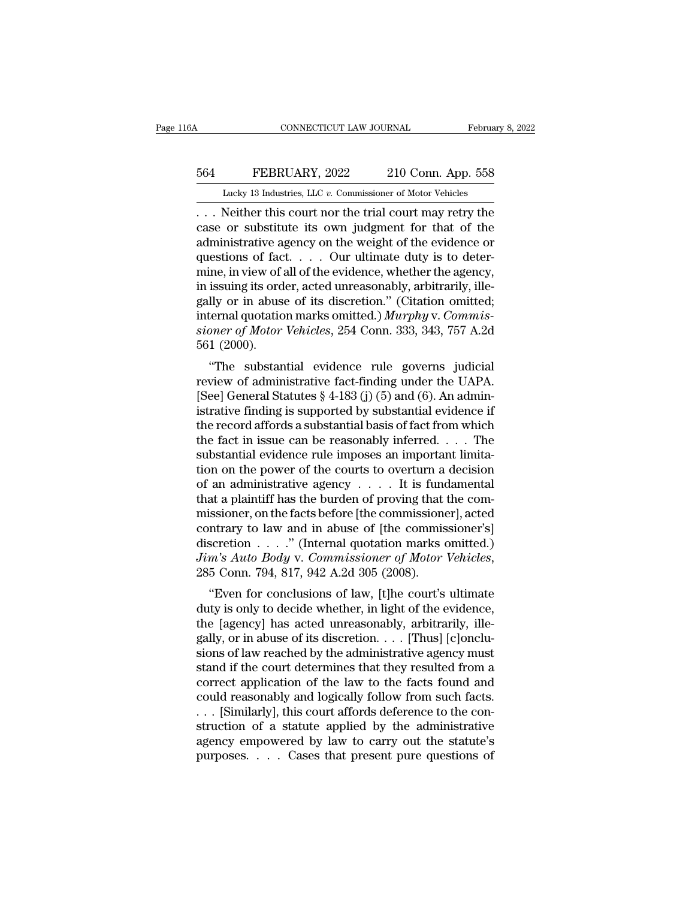## CONNECTICUT LAW JOURNAL February 8, 2022<br>564 FEBRUARY, 2022 210 Conn. App. 558<br>Lucky 13 Industries, LLC v. Commissioner of Motor Vehicles CONNECTICUT LAW JOURNAL February 8, 2022<br>
FEBRUARY, 2022 210 Conn. App. 558<br>
Lucky 13 Industries, LLC *v.* Commissioner of Motor Vehicles<br>
... Neither this court nor the trial court may retry the

CONNECTICUT LAW JOURNAL February 8, 2022<br>
FEBRUARY, 2022 210 Conn. App. 558<br>
Lucky 13 Industries, LLC v. Commissioner of Motor Vehicles<br>
... Neither this court nor the trial court may retry the<br>
case or substitute its own EEBRUARY, 2022 210 Conn. App. 558<br>
Lucky 13 Industries, LLC v. Commissioner of Motor Vehicles<br>
... Neither this court nor the trial court may retry the<br>
case or substitute its own judgment for that of the<br>
administrative a EXECT SERIONARY, 2022 210 Conn. App. 558<br>
Lucky 13 Industries, LLC v. Commissioner of Motor Vehicles<br>
... Neither this court nor the trial court may retry the<br>
case or substitute its own judgment for that of the<br>
administ 564 FEBRUARY, 2022 210 Conn. App. 558<br>
Lucky 13 Industries, LLC v. Commissioner of Motor Vehicles<br>
... Neither this court nor the trial court may retry the<br>
case or substitute its own judgment for that of the<br>
administrat Lucky 13 Industries, LLC v. Commissioner of Motor Vehicles<br>
... Neither this court nor the trial court may retry the<br>
case or substitute its own judgment for that of the<br>
administrative agency on the weight of the evidenc Lucky 13 Industries, LLC v. Commissioner of Motor Venicles<br>
... Neither this court nor the trial court may retry the<br>
case or substitute its own judgment for that of the<br>
administrative agency on the weight of the evidenc ... Neither this court nor the trial court may retry the case or substitute its own judgment for that of the administrative agency on the weight of the evidence or questions of fact... Our ultimate duty is to determine, i case or substitute its own judgment for that of the<br>administrative agency on the weight of the evidence or<br>questions of fact. . . . Our ultimate duty is to deter-<br>mine, in view of all of the evidence, whether the agency,<br>i administrative agency on the weight of the evidence or<br>questions of fact. . . . Our ultimate duty is to deter-<br>mine, in view of all of the evidence, whether the agency,<br>in issuing its order, acted unreasonably, arbitrarily questions of face<br>mine, in view of a<br>in issuing its ord<br>gally or in abus<br>internal quotatio<br>sioner of Motor<br>561 (2000).<br>"The substan the, in view of an of the evidence, whether the agency,<br>
issuing its order, acted unreasonably, arbitrarily, ille-<br>
lly or in abuse of its discretion." (Citation omitted;<br>
ternal quotation marks omitted.) *Murphy* v. *Com* In issuing its order, acted unleasonably, arbitrarily, ine-<br>gally or in abuse of its discretion." (Citation omitted;<br>internal quotation marks omitted.) *Murphy* v. Commis-<br>sioner of Motor Vehicles, 254 Conn. 333, 343, 757

gany of in abuse of its uiscretion. (Citation onlitted,<br>internal quotation marks omitted.) *Murphy v. Commissioner of Motor Vehicles*, 254 Conn. 333, 343, 757 A.2d<br>561 (2000).<br>"The substantial evidence rule governs judicia isteria quotation marks onlited.) *Marphy* v. Commissioner of Motor Vehicles, 254 Conn. 333, 343, 757 A.2d 561 (2000).<br>
"The substantial evidence rule governs judicial<br>
review of administrative fact-finding under the UAPA stoner of motor ventities, 254 Colin. 355, 345, 757 A.2d<br>561 (2000).<br>"The substantial evidence rule governs judicial<br>review of administrative fact-finding under the UAPA.<br>[See] General Statutes § 4-183 (j) (5) and (6). An the substantial evidence rule governs judicial<br>review of administrative fact-finding under the UAPA.<br>[See] General Statutes  $\S$  4-183 (j) (5) and (6). An admin-<br>istrative finding is supported by substantial evidence if<br>th "The substantial evidence rule governs judicial<br>review of administrative fact-finding under the UAPA.<br>[See] General Statutes  $\S$  4-183 (j) (5) and (6). An admin-<br>istrative finding is supported by substantial evidence if<br>t review of administrative fact-finding under the UAPA.<br>[See] General Statutes § 4-183 (j) (5) and (6). An administrative finding is supported by substantial evidence if<br>the record affords a substantial basis of fact from w [See] General Statutes § 4-183 (j) (5) and (6). An administrative finding is supported by substantial evidence if<br>the record affords a substantial basis of fact from which<br>the fact in issue can be reasonably inferred. . . istrative finding is supported by substantial evidence if<br>the record affords a substantial basis of fact from which<br>the fact in issue can be reasonably inferred. . . . The<br>substantial evidence rule imposes an important li the record affords a substantial basis of fact from which<br>the fact in issue can be reasonably inferred. . . . The<br>substantial evidence rule imposes an important limita-<br>tion on the power of the courts to overturn a decisi the fact in issue can be reasonably inferred. . . . The<br>substantial evidence rule imposes an important limita-<br>tion on the power of the courts to overturn a decision<br>of an administrative agency . . . . It is fundamental<br>t substantial evidence rule imposes an important limitation on the power of the courts to overturn a decision of an administrative agency  $\dots$ . It is fundamental that a plaintiff has the burden of proving that the commissio *Jim* and *Automobias Automobias Automobias Automobias Applemianta a plaintiff has the burden of proving that the commissioner, on the facts before [the commissioner], acted contrary to law and in abuse of [the commissione* at a plantifical tas the burdent of proving that the contensioner, on the facts before [the commissioner's]<br>
scretion . . . . . " (Internal quotation marks omitted.)<br>
m's Auto Body v. Commissioner of Motor Vehicles,<br>
5 Con missioner, on the racts before [the commissioner], acted<br>contrary to law and in abuse of [the commissioner's]<br>discretion . . . . " (Internal quotation marks omitted.)<br> $Jim's Auto Body v. Commissioner of Motor Vehicles,$ <br>285 Conn. 794, 817, 942 A.2d 305 (200

contrary to law and in abuse of [the commissioner's]<br>discretion . . . . " (Internal quotation marks omitted.)<br> $Jim's Auto Body v. Commissioner of Motor Vehicles,$ <br>285 Conn. 794, 817, 942 A.2d 305 (2008).<br>"Even for conclusions of law, [t]he court's ultimate<br> discretion  $\ldots$  (internal quotation marks onlitted.)<br>Jim's Auto Body v. Commissioner of Motor Vehicles,<br>285 Conn. 794, 817, 942 A.2d 305 (2008).<br>"Even for conclusions of law, [t]he court's ultimate<br>duty is only to decide sim s Adio Body v. Commissioner by Motor ventures,<br>285 Conn. 794, 817, 942 A.2d 305 (2008).<br>
"Even for conclusions of law, [t]he court's ultimate<br>
duty is only to decide whether, in light of the evidence,<br>
the [agency] ha Even for conclusions of law, [t]he court's ultimate<br>duty is only to decide whether, in light of the evidence,<br>the [agency] has acted unreasonably, arbitrarily, ille-<br>gally, or in abuse of its discretion. . . . [Thus] [c]o "Even for conclusions of law, [t]he court's ultimate<br>duty is only to decide whether, in light of the evidence,<br>the [agency] has acted unreasonably, arbitrarily, ille-<br>gally, or in abuse of its discretion.... [Thus] [c]onc duty is only to decide whether, in light of the evidence,<br>the [agency] has acted unreasonably, arbitrarily, ille-<br>gally, or in abuse of its discretion. . . . [Thus] [c]onclu-<br>sions of law reached by the administrative agen the [agency] has acted unreasonably, arbitrarily, illegally, or in abuse of its discretion. . . . [Thus] [c]onclusions of law reached by the administrative agency must stand if the court determines that they resulted from gally, or in abuse of its discretion. . . . [Thus] [c]onclusions of law reached by the administrative agency must<br>stand if the court determines that they resulted from a<br>correct application of the law to the facts found a sions of law reached by the administrative agency must<br>stand if the court determines that they resulted from a<br>correct application of the law to the facts found and<br>could reasonably and logically follow from such facts.<br>. stand if the court determines that they resulted from a correct application of the law to the facts found and could reasonably and logically follow from such facts.<br>
. . . [Similarly], this court affords deference to the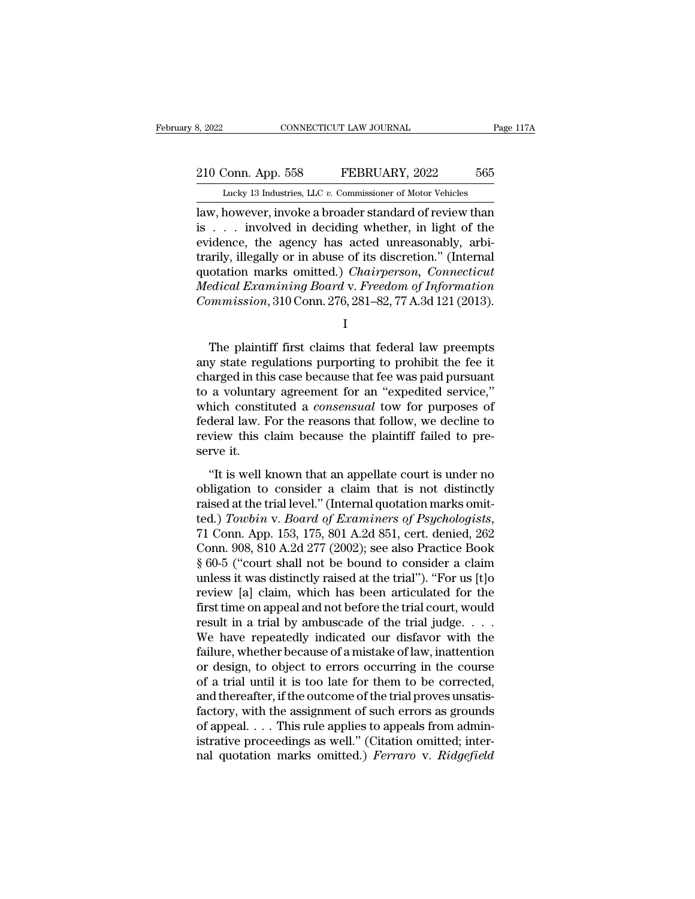# 210 Conn. App. 558 FEBRUARY, 2022 565<br>
210 Conn. App. 558 FEBRUARY, 2022 565<br>
210 Lucky 13 Industries, LLC v. Commissioner of Motor Vehicles

February 8, 2022 CONNECTICUT LAW JOURNAL Page 117A<br>
210 Conn. App. 558 FEBRUARY, 2022 565<br>
Lucky 13 Industries, LLC *v.* Commissioner of Motor Vehicles<br>
law, however, invoke a broader standard of review than 1988, 2022<br>
10 Conn. App. 558 FEBRUARY, 2022<br>
1989 Lucky 13 Industries, LLC v. Commissioner of Motor Vehicles<br>
1999 Lucky 13 Industries, LLC v. Commissioner of Motor Vehicles<br>
1999 Lucky 13 Industries, LLC v. Commissioner 210 Conn. App. 558 FEBRUARY, 2022 565<br>
Lucky 13 Industries, LLC v. Commissioner of Motor Vehicles<br>
law, however, involved a broader standard of review than<br>
is . . . involved in deciding whether, in light of the<br>
evidence, 210 Conn. App. 558 FEBRUARY, 2022 565<br>
Lucky 13 Industries, LLC v. Commissioner of Motor Vehicles<br>
law, however, invoke a broader standard of review than<br>
is . . . involved in deciding whether, in light of the<br>
evidence, 210 Conn. App. 558 FEBRUARY, 2022 565<br>
Lucky 13 Industries, LLC  $v$ . Commissioner of Motor Vehicles<br>
law, however, invoke a broader standard of review than<br>
is . . . involved in deciding whether, in light of the<br>
evidence Lucky 13 Industries, LLC *v.* Commissioner of Motor Vehicles<br>
law, however, invoke a broader standard of review than<br>
is . . . involved in deciding whether, in light of the<br>
evidence, the agency has acted unreasonably, arb Lucky 13 Industries, LLC *v.* Commissioner of Motor Vehicles<br>
law, however, invoke a broader standard of review than<br>
is . . . involved in deciding whether, in light of the<br>
evidence, the agency has acted unreasonably, arb Iaw, however, invoke a broader standard of review than<br>is . . . involved in deciding whether, in light of the<br>evidence, the agency has acted unreasonably, arbi-<br>trarily, illegally or in abuse of its discretion." (Internal<br> Fily, illegally or in abuse of its discretion." (Internal<br>otation marks omitted.) *Chairperson, Connecticut*<br>edical Examining Board v. Freedom of Information<br>mmnission, 310 Conn. 276, 281–82, 77 A.3d 121 (2013).<br>I<br>The plai

I

quotation marks omitted.) *Chairperson, Connecticut*<br> *Medical Examining Board* v. *Freedom of Information*<br> *Commission*, 310 Conn. 276, 281–82, 77 A.3d 121 (2013).<br>
I<br>
The plaintiff first claims that federal law preempts Medical Examining Board v. Freedom of Information<br>Commission, 310 Conn. 276, 281–82, 77 A.3d 121 (2013).<br>I<br>The plaintiff first claims that federal law preempts<br>any state regulations purporting to prohibit the fee it<br>charg  $\begin{aligned} Commission, 310 \text{ Conn. } & 276, 281–82, 77 \text{ A.} & 3d\ 121 \text{ (2013)}. \end{aligned}$ <br>
The plaintiff first claims that federal law preempts<br>
any state regulations purporting to prohibit the fee it<br>
charged in this case because that fee was I<br>
The plaintiff first claims that federal law preempts<br>
any state regulations purporting to prohibit the fee it<br>
charged in this case because that fee was paid pursuant<br>
to a voluntary agreement for an "expedited service, The plaintiff first claims that federal law preempts<br>any state regulations purporting to prohibit the fee it<br>charged in this case because that fee was paid pursuant<br>to a voluntary agreement for an "expedited service,"<br>whic The plaintiff first claims that federal law preempts<br>any state regulations purporting to prohibit the fee it<br>charged in this case because that fee was paid pursuant<br>to a voluntary agreement for an "expedited service,"<br>whic any state reg<br>charged in thi<br>to a voluntar<br>which consti<br>federal law. I<br>review this c<br>serve it.<br>"It is well l a voluntary agreement for an "expedited service,"<br>
a voluntary agreement for an "expedited service,"<br>
inch constituted a *consensual* tow for purposes of<br>
deral law. For the reasons that follow, we decline to<br>
view this cl obligation to consider a consensual tow for purposes of<br>federal law. For the reasons that follow, we decline to<br>review this claim because the plaintiff failed to pre-<br>serve it.<br>"It is well known that an appellate court is

raised at the reasons that follow, we decline to<br>review this claim because the plaintiff failed to pre-<br>serve it.<br>"It is well known that an appellate court is under no<br>obligation to consider a claim that is not distinctly review this claim because the plaintiff failed to preserve it.<br>
"It is well known that an appellate court is under no<br>
obligation to consider a claim that is not distinctly<br>
raised at the trial level." (Internal quotation "It is well known that an appellate court is under no<br>obligation to consider a claim that is not distinctly<br>raised at the trial level." (Internal quotation marks omit-<br>ted.) Towbin v. Board of Examiners of Psychologists,<br> "It is well known that an appellate court is under no<br>obligation to consider a claim that is not distinctly<br>raised at the trial level." (Internal quotation marks omit-<br>ted.) Towbin v. Board of Examiners of Psychologists,<br> obligation to consider a claim that is not distinctly<br>raised at the trial level." (Internal quotation marks omit-<br>ted.) Towbin v. Board of Examiners of Psychologists,<br>71 Conn. App. 153, 175, 801 A.2d 851, cert. denied, 262 raised at the trial level." (Internal quotation marks omit-<br>ted.) Towbin v. Board of Examiners of Psychologists,<br>71 Conn. App. 153, 175, 801 A.2d 851, cert. denied, 262<br>Conn. 908, 810 A.2d 277 (2002); see also Practice Boo ted.) Towbin v. Board of Examiners of Psychologists,<br>
71 Conn. App. 153, 175, 801 A.2d 851, cert. denied, 262<br>
Conn. 908, 810 A.2d 277 (2002); see also Practice Book<br>
§ 60-5 ("court shall not be bound to consider a claim<br> 71 Conn. App. 153, 175, 801 A.2d 851, cert. denied, 262<br>Conn. 908, 810 A.2d 277 (2002); see also Practice Book<br>§ 60-5 ("court shall not be bound to consider a claim<br>unless it was distinctly raised at the trial"). "For us Conn. 908, 810 A.2d 277 (2002); see also Practice Book  $\S 60-5$  ("court shall not be bound to consider a claim unless it was distinctly raised at the trial"). "For us [t]o review [a] claim, which has been articulated for § 60-5 ("court shall not be bound to consider a claim<br>unless it was distinctly raised at the trial"). "For us [t]o<br>review [a] claim, which has been articulated for the<br>first time on appeal and not before the trial court, w unless it was distinctly raised at the trial"). "For us [t]o<br>review [a] claim, which has been articulated for the<br>first time on appeal and not before the trial court, would<br>result in a trial by ambuscade of the trial judge review [a] claim, which has been articulated for the<br>first time on appeal and not before the trial court, would<br>result in a trial by ambuscade of the trial judge.  $\dots$ <br>We have repeatedly indicated our disfavor with the<br>fa first time on appeal and not before the trial court, would<br>result in a trial by ambuscade of the trial judge.  $\dots$ <br>We have repeatedly indicated our disfavor with the<br>failure, whether because of a mistake of law, inattenti result in a trial by ambuscade of the trial judge. . . . We have repeatedly indicated our disfavor with the failure, whether because of a mistake of law, inattention or design, to object to errors occurring in the course We have repeatedly indicated our disfavor with the failure, whether because of a mistake of law, inattention or design, to object to errors occurring in the course of a trial until it is too late for them to be corrected, failure, whether because of a mistake of law, inattention<br>or design, to object to errors occurring in the course<br>of a trial until it is too late for them to be corrected,<br>and thereafter, if the outcome of the trial proves or design, to object to errors occurring in the course<br>of a trial until it is too late for them to be corrected,<br>and thereafter, if the outcome of the trial proves unsatis-<br>factory, with the assignment of such errors as gr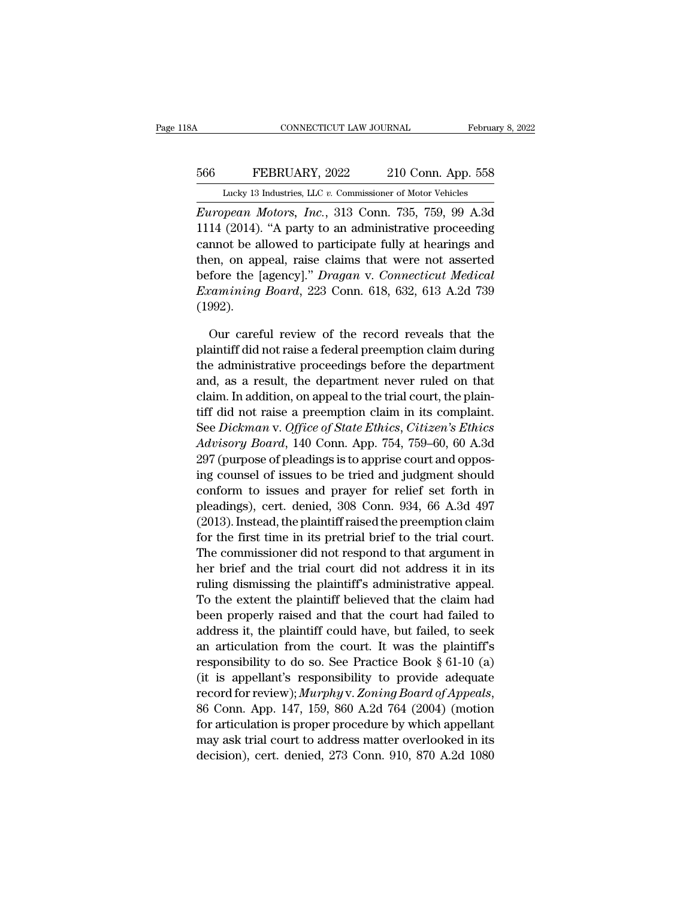## CONNECTICUT LAW JOURNAL February 8, 2022<br>566 FEBRUARY, 2022 210 Conn. App. 558<br>Lucky 13 Industries, LLC v. Commissioner of Motor Vehicles CONNECTICUT LAW JOURNAL February 8, 2022<br>
FEBRUARY, 2022 210 Conn. App. 558<br>
Lucky 13 Industries, LLC *v.* Commissioner of Motor Vehicles<br>
European Motors, Inc., 313 Conn. 735, 759, 99 A.3d

CONNECTICUT LAW JOURNAL February 8, 2022<br>
FEBRUARY, 2022 210 Conn. App. 558<br>
Lucky 13 Industries, LLC v. Commissioner of Motor Vehicles<br> *European Motors, Inc.*, 313 Conn. 735, 759, 99 A.3d<br>
1114 (2014). "A party to an adm 114 (2014). ''A party to an administrative proceeding<br>
1114 (2014). ''A party to an administrative proceeding<br>
1114 (2014). ''A party to an administrative proceeding<br>
1114 (2014). ''A party to an administrative proceeding<br> EG6 FEBRUARY, 2022 210 Conn. App. 558<br>
Lucky 13 Industries, LLC v. Commissioner of Motor Vehicles<br>
European Motors, Inc., 313 Conn. 735, 759, 99 A.3d<br>
1114 (2014). "A party to an administrative proceeding<br>
cannot be allowe 566 FEBRUARY, 2022 210 Conn. App. 558<br>
Lucky 13 Industries, LLC v. Commissioner of Motor Vehicles<br> *European Motors*, *Inc.*, 313 Conn. 735, 759, 99 A.3d<br>
1114 (2014). "A party to an administrative proceeding<br>
cannot be al Lucky 13 Industries, LLC v. Commissioner of Motor Vehicles<br> *European Motors, Inc.*, 313 Conn. 735, 759, 99 A.3d<br>
1114 (2014). "A party to an administrative proceeding<br>
cannot be allowed to participate fully at hearings an *European Motors, Inc.*, 313 Conn. 735, 759, 99 A.3d 1114 (2014). "A party to an administrative proceeding cannot be allowed to participate fully at hearings and then, on appeal, raise claims that were not asserted before (1992). nnot be allowed to participate fully at hearings and<br>en, on appeal, raise claims that were not asserted<br>fore the [agency]." *Dragan v. Connecticut Medical*<br>camining *Board*, 223 Conn. 618, 632, 613 A.2d 739<br>992).<br>Our caref then, on appeal, raise claims that were not asserted<br>before the [agency]." *Dragan v. Connecticut Medical*<br>*Examining Board*, 223 Conn. 618, 632, 613 A.2d 739<br>(1992).<br>Our careful review of the record reveals that the<br>plain

before the [agency]." *Dragan v. Connecticut Medical* Examining Board, 223 Conn. 618, 632, 613 A.2d 739 (1992).<br>
Our careful review of the record reveals that the plaintiff did not raise a federal preemption claim during Examining Board, 223 Conn. 618, 632, 613 A.2d 739<br>
(1992).<br>
Our careful review of the record reveals that the<br>
plaintiff did not raise a federal preemption claim during<br>
the administrative proceedings before the departmen (1992).<br>
Our careful review of the record reveals that the<br>
plaintiff did not raise a federal preemption claim during<br>
the administrative proceedings before the department<br>
and, as a result, the department never ruled on Our careful review of the record reveals that the plaintiff did not raise a federal preemption claim during the administrative proceedings before the department and, as a result, the department never ruled on that claim. I Our careful review of the record reveals that the<br>plaintiff did not raise a federal preemption claim during<br>the administrative proceedings before the department<br>and, as a result, the department never ruled on that<br>claim. I plaintif did not raise a rederal preemption claim during<br>the administrative proceedings before the department<br>and, as a result, the department never ruled on that<br>claim. In addition, on appeal to the trial court, the plain the administrative proceedings before the department<br>and, as a result, the department never ruled on that<br>claim. In addition, on appeal to the trial court, the plain-<br>tiff did not raise a preemption claim in its complaint. and, as a result, the department never ruled on that<br>claim. In addition, on appeal to the trial court, the plain-<br>tiff did not raise a preemption claim in its complaint.<br>See Dickman v. Office of State Ethics, Citizen's Eth ciam. In addition, on appear to the trial court, the plain-<br>tiff did not raise a preemption claim in its complaint.<br>See *Dickman v. Office of State Ethics*, *Citizen's Ethics*<br>Advisory Board, 140 Conn. App. 754, 759–60, 6 un did not raise a preemption claim in its complaint.<br>See *Dickman v. Office of State Ethics*, *Citizen's Ethics*<br>Advisory Board, 140 Conn. App. 754, 759–60, 60 A.3d<br>297 (purpose of pleadings is to apprise court and opposi See Dickman v. Office of State Ethics, Citizen's Ethics<br>Advisory Board, 140 Conn. App. 754, 759–60, 60 A.3d<br>297 (purpose of pleadings is to apprise court and oppos-<br>ing counsel of issues to be tried and judgment should<br>con *Havisory Boara*, 140 Conn. App. 794, 799-00, 60 A.3d<br>297 (purpose of pleadings is to apprise court and opposing counsel of issues to be tried and judgment should<br>conform to issues and prayer for relief set forth in<br>pleadi  $297$  (purpose of pleadings is to apprise court and opposing counsel of issues to be tried and judgment should conform to issues and prayer for relief set forth in pleadings), cert. denied,  $308$  Conn.  $934$ ,  $66$  A.3d  $4$ ing counser or issues to be tried and judgment should<br>conform to issues and prayer for relief set forth in<br>pleadings), cert. denied, 308 Conn. 934, 66 A.3d 497<br>(2013). Instead, the plaintiff raised the preemption claim<br>for rule of the sum of the plaintiff's administrative appeal.<br>The pleadings), cert. denied, 308 Conn. 934, 66 A.3d 497<br>(2013). Instead, the plaintiff raised the preemption claim<br>for the first time in its pretrial brief to the pleadings), cert. defiled, 308 Collift. 954, 66 A.3d 497<br>(2013). Instead, the plaintiff raised the preemption claim<br>for the first time in its pretrial brief to the trial court.<br>The commissioner did not respond to that argu (2013). Instead, the plaintiff raised the preemption claim<br>for the first time in its pretrial brief to the trial court.<br>The commissioner did not respond to that argument in<br>her brief and the trial court did not address it for the first time in its pretrial orier to the trial court.<br>The commissioner did not respond to that argument in<br>her brief and the trial court did not address it in its<br>ruling dismissing the plaintiff's administrative ap The commissioner did not respond to that argument in<br>her brief and the trial court did not address it in its<br>ruling dismissing the plaintiff's administrative appeal.<br>To the extent the plaintiff believed that the claim had realing dismissing the plaintiff's administrative appeal.<br>To the extent the plaintiff believed that the claim had<br>been properly raised and that the court had failed to<br>address it, the plaintiff could have, but failed, to s Truing dismissing the plaintiff believed that the claim had<br>
been properly raised and that the court had failed to<br>
address it, the plaintiff could have, but failed, to seek<br>
an articulation from the court. It was the pla ro the extent the plaintiff believed that the claim had<br>been properly raised and that the court had failed to<br>address it, the plaintiff could have, but failed, to seek<br>an articulation from the court. It was the plaintiff's address it, the plaintiff could nave, but falled, to seek<br>an articulation from the court. It was the plaintiff's<br>responsibility to do so. See Practice Book § 61-10 (a)<br>(it is appellant's responsibility to provide adequate an articulation from the court. It was the plaintiff is<br>responsibility to do so. See Practice Book § 61-10 (a)<br>(it is appellant's responsibility to provide adequate<br>record for review);  $Murphy v. Zoning Board of Appeals$ ,<br>86 Conn. App. 147, 1 responsionity to do so. See Practice Book § 01-10 (a)<br>(it is appellant's responsibility to provide adequate<br>record for review); Murphy v. Zoning Board of Appeals,<br>86 Conn. App. 147, 159, 860 A.2d 764 (2004) (motion<br>for art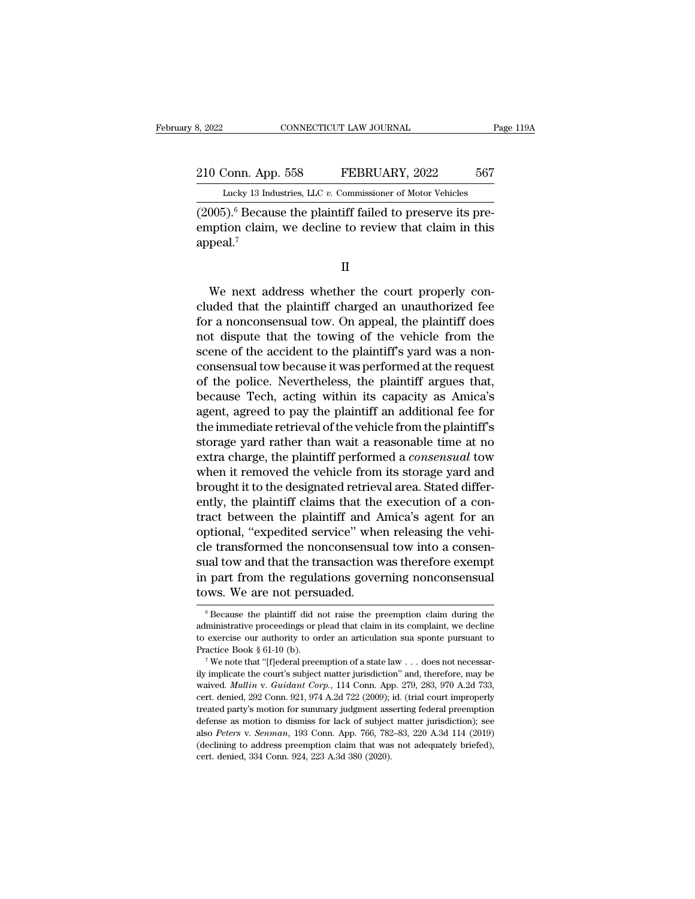210 Conn. App. 558 FEBRUARY, 2022 567<br>210 Conn. App. 558 FEBRUARY, 2022 567<br>210 Conn. App. 558 FEBRUARY, 2022 567 Eebruary 8, 2022 CONNECTICUT LAW JOURNAL Page 119A<br>210 Conn. App. 558 FEBRUARY, 2022 567<br>Lucky 13 Industries, LLC *v*. Commissioner of Motor Vehicles

(2007).<br>
210 Conn. App. 558 FEBRUARY, 2022 567<br>
Lucky 13 Industries, LLC v. Commissioner of Motor Vehicles<br>
2005). <sup>6</sup> Because the plaintiff failed to preserve its pre-<br>
emption claim, we decline to review that claim in th 210 Conn. App. 558 FEBRUARY, 2022 567<br>Lucky 13 Industries, LLC v. Commissioner of Motor Vehicles<br>(2005).<sup>6</sup> Because the plaintiff failed to preserve its pre-<br>emption claim, we decline to review that claim in this<br>appeal.<sup></sup> appeal. $<sup>7</sup>$ </sup>  $(0.05)$ .<sup>6</sup> Because the plaintiff failed to preserve its pre-<br>nption claim, we decline to review that claim in this<br>peal.<sup>7</sup><br>We next address whether the court properly con-<br>nded that the plaintiff charged an unauthorized

II

 $(2005)$ . Because the plaintiff ratio to preserve its pre-<br>emption claim, we decline to review that claim in this<br>appeal.<sup>7</sup><br>II<br>We next address whether the court properly con-<br>cluded that the plaintiff charged an unauthor emption claim, we decline to review that claim in this<br>appeal.<sup>7</sup><br>II<br>We next address whether the court properly con-<br>cluded that the plaintiff charged an unauthorized fee<br>for a nonconsensual tow. On appeal, the plaintiff d II<br>II<br>We next address whether the court properly con-<br>cluded that the plaintiff charged an unauthorized fee<br>for a nonconsensual tow. On appeal, the plaintiff does<br>not dispute that the towing of the vehicle from the<br>scene o II<br>We next address whether the court properly con-<br>cluded that the plaintiff charged an unauthorized fee<br>for a nonconsensual tow. On appeal, the plaintiff does<br>not dispute that the towing of the vehicle from the<br>scene of t We next address whether the court properly concluded that the plaintiff charged an unauthorized fee for a nonconsensual tow. On appeal, the plaintiff does not dispute that the towing of the vehicle from the scene of the ac We next address whether the court properly con-<br>cluded that the plaintiff charged an unauthorized fee<br>for a nonconsensual tow. On appeal, the plaintiff does<br>not dispute that the towing of the vehicle from the<br>scene of the cluded that the plaintiff charged an unauthorized fee<br>for a nonconsensual tow. On appeal, the plaintiff does<br>not dispute that the towing of the vehicle from the<br>scene of the accident to the plaintiff's yard was a non-<br>cons for a nonconsensual tow. On appeal, the plaintiff does<br>not dispute that the towing of the vehicle from the<br>scene of the accident to the plaintiff's yard was a non-<br>consensual tow because it was performed at the request<br>of not dispute that the towing of the vehicle from the<br>scene of the accident to the plaintiff's yard was a non-<br>consensual tow because it was performed at the request<br>of the police. Nevertheless, the plaintiff argues that,<br>be scene of the accident to the plaintiff's yard was a non-<br>consensual tow because it was performed at the request<br>of the police. Nevertheless, the plaintiff argues that,<br>because Tech, acting within its capacity as Amica's<br>ag consensual tow because it was performed at the request<br>of the police. Nevertheless, the plaintiff argues that,<br>because Tech, acting within its capacity as Amica's<br>agent, agreed to pay the plaintiff an additional fee for<br>th of the police. Nevertheless, the plaintiff argues that,<br>because Tech, acting within its capacity as Amica's<br>agent, agreed to pay the plaintiff an additional fee for<br>the immediate retrieval of the vehicle from the plaintiff because Tech, acting within its capacity as Amica's<br>agent, agreed to pay the plaintiff an additional fee for<br>the immediate retrieval of the vehicle from the plaintiff's<br>storage yard rather than wait a reasonable time at no agent, agreed to pay the plaintiff an additional fee for<br>the immediate retrieval of the vehicle from the plaintiff's<br>storage yard rather than wait a reasonable time at no<br>extra charge, the plaintiff performed a *consensual* the immediate retrieval of the vehicle from the plaintiff's<br>storage yard rather than wait a reasonable time at no<br>extra charge, the plaintiff performed a *consensual* tow<br>when it removed the vehicle from its storage yard a storage yard rather than wait a reasonable time at no<br>extra charge, the plaintiff performed a *consensual* tow<br>when it removed the vehicle from its storage yard and<br>brought it to the designated retrieval area. Stated diffe extra charge, the plaintiff performed a *consensual* tow<br>when it removed the vehicle from its storage yard and<br>brought it to the designated retrieval area. Stated differ-<br>ently, the plaintiff claims that the execution of a when it removed the vehicle from its storage yard and<br>brought it to the designated retrieval area. Stated differ-<br>ently, the plaintiff claims that the execution of a con-<br>tract between the plaintiff and Amica's agent for a brought it to the designated retrieval area. Stated differently, the plaintiff claims that the execution of a contract between the plaintiff and Amica's agent for an optional, "expedited service" when releasing the vehicle ently, the plaintiff claims that the<br>tract between the plaintiff and A<br>optional, "expedited service" whe<br>cle transformed the nonconsensua<br>sual tow and that the transaction w<br>in part from the regulations gover<br>tows. We are cle transformed the nonconsensual tow into a consensual tow and that the transaction was therefore exempt<br>in part from the regulations governing nonconsensual<br>tows. We are not persuaded.<br> $\frac{1}{\text{6} \text{ Because the plaintiff did not raise the preemption claim during the}$ <br>admi sual tow and that the transaction was therefore exempt<br>in part from the regulations governing nonconsensual<br>tows. We are not persuaded.<br><sup>6</sup> Because the plaintiff did not raise the preemption claim during the<br>administrative

in part from the regulations governing nonconsensual<br>tows. We are not persuaded.<br> $\frac{1}{100}$ <br> $\frac{1}{100}$ <br> $\frac{1}{100}$ <br>administrative proceedings or plead that claim in its complaint, we decline<br>to exercise our authority to Fraction Section Controllers in the preemption claim during the distinctive proceedings or plead that claim in its complaint, we decline to exercise our authority to order an articulation sua sponte pursuant to Practice Bo <sup>6</sup> Because the plaintiff did not raise the preemption claim during the administrative proceedings or plead that claim in its complaint, we decline to exercise our authority to order an articulation sua sponte pursuant to

to exercise our authority to order an articulation sua sponte pursuant to Practice Book § 61-10 (b).<br><sup>7</sup> We note that "[f]ederal preemption of a state law . . . does not necessarily implicate the court's subject matter jur consider the exercise our authority to order an articulation sua sponte pursuant to Practice Book § 61-10 (b).<br>
<sup>7</sup> We note that "[f]ederal preemption of a state law . . . does not necessarily implicate the court's subjec Practice Book § 61-10 (b).<br>
The value of a state law . . . does not necessarily implicate the court's subject matter jurisdiction" and, therefore, may be waived. *Mullin v. Guidant Corp.*, 114 Conn. App. 279, 283, 970 A.2 The mote that "[f]ederal preemption of a state law . . . does not necessarily implicate the court's subject matter jurisdiction" and, therefore, may be waived. *Mullin v. Guidant Corp.*, 114 Conn. App. 279, 283, 970 A.2d ily implicate the court's subject matter jurisdiction" and, therefore, may be waived. *Mullin v. Guidant Corp.*, 114 Conn. App. 279, 283, 970 A.2d 733, cert. denied, 292 Conn. 921, 974 A.2d 722 (2009); id. (trial court imp waived. Mullin v. Guidant Corp., 114 Conn. App. 279, 283, 970 A.2d 733, cert. denied, 292 Conn. 921, 974 A.2d 722 (2009); id. (trial court improperly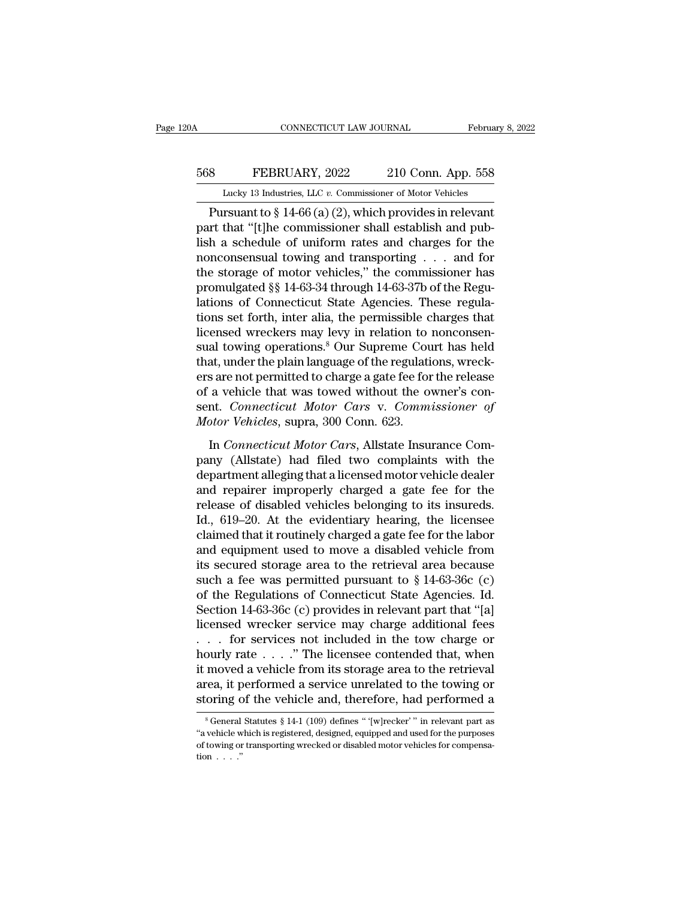## CONNECTICUT LAW JOURNAL February 8, 2022<br>568 FEBRUARY, 2022 210 Conn. App. 558<br>Lucky 13 Industries, LLC v. Commissioner of Motor Vehicles CONNECTICUT LAW JOURNAL February 8, 2022<br>
<u>EURENCARY, 2022</u> 210 Conn. App. 558<br>
Lucky 13 Industries, LLC *v.* Commissioner of Motor Vehicles<br>
Pursuant to § 14-66 (a) (2), which provides in relevant

CONNECTICUT LAW JOURNAL February 8, 202<br>
PEBRUARY, 2022 210 Conn. App. 558<br>
Lucky 13 Industries, LLC v. Commissioner of Motor Vehicles<br>
Pursuant to § 14-66 (a) (2), which provides in relevant<br>
rt that "[t]he commissioner s FEBRUARY, 2022 210 Conn. App. 558<br>
Lucky 13 Industries, LLC v. Commissioner of Motor Vehicles<br>
Pursuant to § 14-66 (a) (2), which provides in relevant<br>
part that "[t]he commissioner shall establish and pub-<br>
lish a schedul EBRUARY, 2022 210 Conn. App. 558<br>
Lucky 13 Industries, LLC v. Commissioner of Motor Vehicles<br>
Pursuant to § 14-66 (a) (2), which provides in relevant<br>
part that "[t]he commissioner shall establish and pub-<br>
lish a schedul 568 EEBRUARY, 2022 210 Conn. App. 558<br>
Lucky 13 Industries, LLC v. Commissioner of Motor Vehicles<br>
Pursuant to § 14-66 (a) (2), which provides in relevant<br>
part that "[t]he commissioner shall establish and pub-<br>
lish a sc Lucky 13 Industries, LLC v. Commissioner of Motor Vehicles<br>
Pursuant to § 14-66 (a) (2), which provides in relevant<br>
part that "[t]he commissioner shall establish and pub-<br>
lish a schedule of uniform rates and charges for Lucky 13 maustries, LLC v. Commissioner of Motor venicies<br>
Pursuant to § 14-66 (a) (2), which provides in relevant<br>
part that "[t]he commissioner shall establish and pub-<br>
lish a schedule of uniform rates and charges for Pursuant to § 14-66 (a) (2), which provides in relevant<br>part that "[t]he commissioner shall establish and pub-<br>lish a schedule of uniform rates and charges for the<br>nonconsensual towing and transporting  $\dots$  and for<br>the st part that "[t]he commissioner shall establish and pub-<br>lish a schedule of uniform rates and charges for the<br>nonconsensual towing and transporting  $\ldots$  and for<br>the storage of motor vehicles," the commissioner has<br>promulga lish a schedule of uniform rates and charges for the<br>nonconsensual towing and transporting  $\dots$  and for<br>the storage of motor vehicles," the commissioner has<br>promulgated §§ 14-63-34 through 14-63-37b of the Regu-<br>lations o nonconsensual towing and transporting . . . and for<br>the storage of motor vehicles," the commissioner has<br>promulgated §§ 14-63-34 through 14-63-37b of the Regu-<br>lations of Connecticut State Agencies. These regula-<br>tions set the storage of motor vehicles," the commissioner has<br>promulgated §§ 14-63-34 through 14-63-37b of the Regulations of Connecticut State Agencies. These regula-<br>tions set forth, inter alia, the permissible charges that<br>licen promulgated §§ 14-63-34 through 14-63-37b of the Regulations of Connecticut State Agencies. These regulations set forth, inter alia, the permissible charges that licensed wreckers may levy in relation to nonconsensual towi lations of Connecticut State Agencies. These regulations set forth, inter alia, the permissible charges that licensed wreckers may levy in relation to nonconsensual towing operations.<sup>8</sup> Our Supreme Court has held that, u tions set forth, inter alia, the permissible charges that<br>licensed wreckers may levy in relation to nonconsen-<br>sual towing operations.<sup>8</sup> Our Supreme Court has held<br>that, under the plain language of the regulations, wrecklicensed wreckers may levy in relation to<br>sual towing operations.<sup>8</sup> Our Supreme Cou<br>that, under the plain language of the regulati<br>ers are not permitted to charge a gate fee for<br>of a vehicle that was towed without the o<br>s In *Connecticut Motor Cars*, Allstate Insurance Com-<br>In *Connecticut Motor Cars* v. *Commissioner of the release*<br>*A* vehicle that was towed without the owner's con-<br>nt. *Connecticut Motor Cars* v. *Commissioner of*<br>*Donne* particular the printed to charge a gate fee for the release<br>of a vehicle that was towed without the owner's con-<br>sent. *Connecticut Motor Cars* v. *Commissioner of*<br>*Motor Vehicles*, supra, 300 Conn. 623.<br>In *Connecticut M* 

For a vehicle that was towed without the owner's consent. Connecticut Motor Cars v. Commissioner of Motor Vehicles, supra, 300 Conn. 623.<br>In Connecticut Motor Cars, Allstate Insurance Company (Allstate) had filed two compl Example 12 Connecticut Motor Cars v. Commissioner of<br>Motor Vehicles, supra, 300 Conn. 623.<br>In Connecticut Motor Cars, Allstate Insurance Com-<br>pany (Allstate) had filed two complaints with the<br>department alleging that a lic Motor Vehicles, supra, 300 Conn. 623.<br>In Connecticut Motor Cars, Allstate Insurance Company (Allstate) had filed two complaints with the<br>department alleging that a licensed motor vehicle dealer<br>and repairer improperly char In *Connecticut Motor Cars*, Allstate Insurance Company (Allstate) had filed two complaints with the department alleging that a licensed motor vehicle dealer and repairer improperly charged a gate fee for the release of di In *Connecticut Motor Cars*, Allstate Insurance Company (Allstate) had filed two complaints with the department alleging that a licensed motor vehicle dealer and repairer improperly charged a gate fee for the release of di pany (Allstate) had filed two complaints with the<br>department alleging that a licensed motor vehicle dealer<br>and repairer improperly charged a gate fee for the<br>release of disabled vehicles belonging to its insureds.<br>Id., 61 department alleging that a licensed motor vehicle dealer<br>and repairer improperly charged a gate fee for the<br>release of disabled vehicles belonging to its insureds.<br>Id., 619–20. At the evidentiary hearing, the licensee<br>cla and repairer improperly charged a gate fee for the<br>release of disabled vehicles belonging to its insureds.<br>Id., 619–20. At the evidentiary hearing, the licensee<br>claimed that it routinely charged a gate fee for the labor<br>a release of disabled vehicles belonging to its insureds.<br>Id., 619–20. At the evidentiary hearing, the licensee<br>claimed that it routinely charged a gate fee for the labor<br>and equipment used to move a disabled vehicle from<br>it Id., 619–20. At the evidentiary hearing, the licensee<br>claimed that it routinely charged a gate fee for the labor<br>and equipment used to move a disabled vehicle from<br>its secured storage area to the retrieval area because<br>su claimed that it routinely charged a gate fee for the labor<br>and equipment used to move a disabled vehicle from<br>its secured storage area to the retrieval area because<br>such a fee was permitted pursuant to § 14-63-36c (c)<br>of t and equipment used to move a disabled vehicle from<br>its secured storage area to the retrieval area because<br>such a fee was permitted pursuant to  $\S 14-63-36c$  (c)<br>of the Regulations of Connecticut State Agencies. Id.<br>Sectio its secured storage area to the retrieval area because<br>such a fee was permitted pursuant to § 14-63-36c (c)<br>of the Regulations of Connecticut State Agencies. Id.<br>Section 14-63-36c (c) provides in relevant part that "[a]<br>li such a fee was permitted pursuant to  $\S$  14-63-36c (c)<br>of the Regulations of Connecticut State Agencies. Id.<br>Section 14-63-36c (c) provides in relevant part that "[a]<br>licensed wrecker service may charge additional fees<br> $\d$ of the Regulations of Connecticut State Agencies. Id.<br>Section 14-63-36c (c) provides in relevant part that "[a]<br>licensed wrecker service may charge additional fees<br>. . . for services not included in the tow charge or<br>hourl Section 14-63-36c (c) provides in relevant part that "[a] licensed wrecker service may charge additional fees . . . . for services not included in the tow charge or hourly rate . . . . " The licensee contended that, when bury rate  $\ldots$  . The licensee contended that, when<br>moved a vehicle from its storage area to the retrieval<br>rea, it performed a service unrelated to the towing or<br>oring of the vehicle and, therefore, had performed a<br> $\frac{1}{$ it moved a vehicle from its storage area to the retrieval<br>area, it performed a service unrelated to the towing or<br>storing of the vehicle and, therefore, had performed a<br><sup>8</sup>General Statutes § 14-1 (109) defines "'[w]recker'

area, it performed a service unrelated to the towing or storing of the vehicle and, therefore, had performed a  $*$ General Statutes  $\$$  14-1 (109) defines "{w}recker'" in relevant part as "a vehicle which is registered, de **storing C**<br>**storing C**<br> $s$  General<br>"a vehicle w<br>of towing or<br>tion  $\ldots$ ."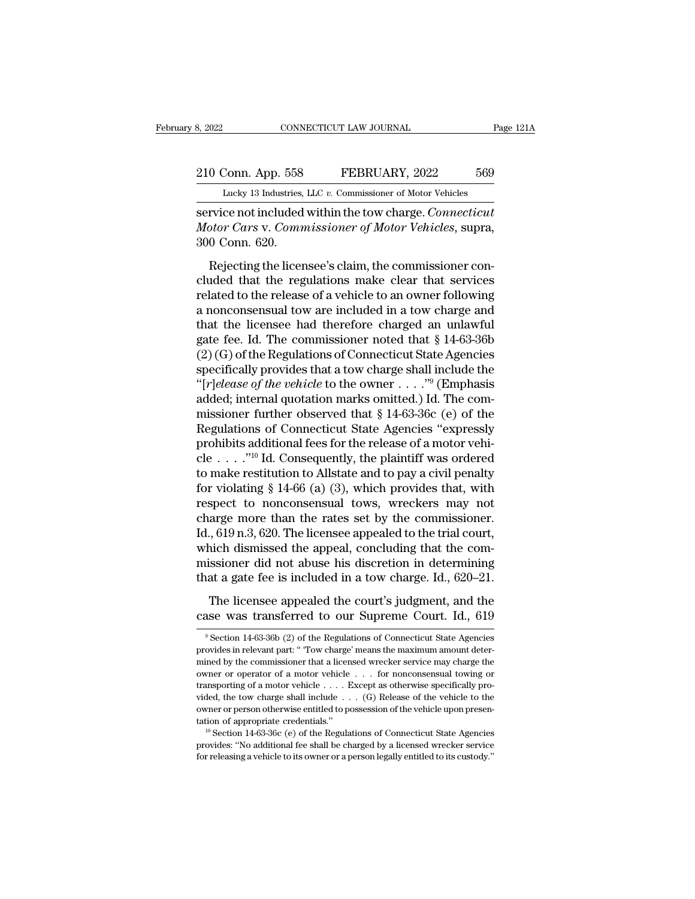# 210 Conn. App. 558 FEBRUARY, 2022 569<br>210 Conn. App. 558 FEBRUARY, 2022 569<br>210 Conn. App. 558 FEBRUARY, 2022 569

February 8, 2022 CONNECTICUT LAW JOURNAL Page 121A<br>
210 Conn. App. 558 FEBRUARY, 2022 569<br>
Lucky 13 Industries, LLC *v.* Commissioner of Motor Vehicles<br>
service not included within the tow charge. *Connecticut* s, 2022<br> **EXECUTE CONNECTICUT LAW JOURNAL**<br> **EXECUTE 10 CONN. App. 558**<br> **EXECUTE FORTAL EXECUTE 10**<br> **EXECUTE 10**<br> **EXECUTE 10**<br> **EXECUTE 10**<br> **EXECUTE 10**<br> **EXECUTE 10**<br> **EXECUTE 10**<br> **EXECUTE 10**<br> **EXECUTE 10**<br> **EXECUTE** 210 Conn. App. 558 FEBRUARY, 2022 569<br>
Lucky 13 Industries, LLC v. Commissioner of Motor Vehicles<br>
service not included within the tow charge. *Connecticut*<br> *Motor Cars* v. *Commissioner of Motor Vehicles*, supra,<br>
300 Co 210 Conn. App. 558<br>
<u>Lucky 13 Industries,</u><br>
service not included<br> *Motor Cars v. Comn.*<br>
300 Conn. 620.<br>
Rejecting the licer  $\frac{1}{2}$  Conn. App. 558 FEBRUARY, 2022 569<br>
Lucky 13 Industries, LLC v. Commissioner of Motor Vehicles<br>
rvice not included within the tow charge. Connecticut<br>
for Cars v. Commissioner of Motor Vehicles, supra,<br>
0 Conn. 6

Lucky 13 Industries, LLC v. Commissioner of Motor Vehicles<br>
service not included within the tow charge. *Connecticut*<br> *Motor Cars* v. *Commissioner of Motor Vehicles*, supra,<br>
300 Conn. 620.<br>
Rejecting the licensee's clai service not included within the tow charge. *Connecticut*<br> *Motor Cars v. Commissioner of Motor Vehicles*, supra,<br>
300 Conn. 620.<br>
Rejecting the licensee's claim, the commissioner con-<br>
cluded that the regulations make cle Motor Cars v. Commissioner of Motor Vehicles, supra,<br>300 Conn. 620.<br>Rejecting the licensee's claim, the commissioner con-<br>cluded that the regulations make clear that services<br>related to the release of a vehicle to an owne Rejecting the licensee's claim, the commissioner concluded that the regulations make clear that services<br>related to the release of a vehicle to an owner following<br>a nonconsensual tow are included in a tow charge and<br>that Rejecting the licensee's claim, the commissioner concluded that the regulations make clear that services<br>related to the release of a vehicle to an owner following<br>a nonconsensual tow are included in a tow charge and<br>that Rejecting the licensee's claim, the commissioner concluded that the regulations make clear that services<br>related to the release of a vehicle to an owner following<br>a nonconsensual tow are included in a tow charge and<br>that cluded that the regulations make clear that services<br>related to the release of a vehicle to an owner following<br>a nonconsensual tow are included in a tow charge and<br>that the licensee had therefore charged an unlawful<br>gate related to the release of a vehicle to an owner following<br>a nonconsensual tow are included in a tow charge and<br>that the licensee had therefore charged an unlawful<br>gate fee. Id. The commissioner noted that  $\S 14-63-36b$ <br>(2 a nonconsensual tow are included in a tow charge and<br>that the licensee had therefore charged an unlawful<br>gate fee. Id. The commissioner noted that § 14-63-36b<br>(2)(G) of the Regulations of Connecticut State Agencies<br>specif that the licensee had therefore charged an unlawful<br>gate fee. Id. The commissioner noted that § 14-63-36b<br>(2) (G) of the Regulations of Connecticut State Agencies<br>specifically provides that a tow charge shall include the<br> gate fee. Id. The commissioner noted that § 14-63-36b (2) (G) of the Regulations of Connecticut State Agencies<br>specifically provides that a tow charge shall include the "[ $r$ ]elease of the vehicle to the owner . . . . "<sup>9</sup> (2) (G) of the Regulations of Connecticut State Agencies<br>specifically provides that a tow charge shall include the<br>"[*r]elease of the vehicle* to the owner . . . . ."<sup>9</sup> (Emphasis<br>added; internal quotation marks omitted.) specifically provides that a tow charge shall include the<br>
"[*r]elease of the vehicle* to the owner . . . ."<sup>9</sup> (Emphasis<br>
added; internal quotation marks omitted.) Id. The com-<br>
missioner further observed that § 14-63-36 "[ $r$ ]elease of the vehicle to the owner . . . . "" (Emphasis added; internal quotation marks omitted.) Id. The commissioner further observed that § 14-63-36c (e) of the Regulations of Connecticut State Agencies "expressl added; internal quotation marks omitted.) Id. The com-<br>missioner further observed that § 14-63-36c (e) of the<br>Regulations of Connecticut State Agencies "expressly<br>prohibits additional fees for the release of a motor vehimissioner further observed that § 14-63-36c (e) of the<br>Regulations of Connecticut State Agencies "expressly<br>prohibits additional fees for the release of a motor vehi-<br>cle . . . . ."<sup>10</sup> Id. Consequently, the plaintiff was charge more than the rates set by the commissioner. prohibits additional fees for the release of a motor vehicle . . . . . "<sup>10</sup> Id. Consequently, the plaintiff was ordered to make restitution to Allstate and to pay a civil penalty for violating § 14-66 (a) (3), which prov which dismissed the appeal, concluding that the comto make restitution to Allstate and to pay a civil penalty<br>for violating  $\S$  14-66 (a) (3), which provides that, with<br>respect to nonconsensual tows, wreckers may not<br>charge more than the rates set by the commissioner.<br>Id. for violating § 14-66 (a) (3), which provides that, with<br>respect to nonconsensual tows, wreckers may not<br>charge more than the rates set by the commissioner.<br>Id., 619 n.3, 620. The licensee appealed to the trial court,<br>whi arge more than the rates set by the commissioner.<br>  $0.619 \text{ n.}3,620$ . The licensee appealed to the trial court,<br>
inch dismissed the appeal, concluding that the com-<br>
issioner did not abuse his discretion in determining<br> Id., 619 n.3, 620. The licensee appealed to the trial court,<br>which dismissed the appeal, concluding that the com-<br>missioner did not abuse his discretion in determining<br>that a gate fee is included in a tow charge. Id., 620

that a gate fee is included in a tow charge. Id., 620–21.<br>The licensee appealed the court's judgment, and the case was transferred to our Supreme Court. Id., 619<br><sup>9</sup> Section 14-63-36b (2) of the Regulations of Connecticut The licensee appealed the court's judgment, and the case was transferred to our Supreme Court. Id., 619<br><sup>9</sup> Section 14-63-36b (2) of the Regulations of Connecticut State Agencies<br>provides in relevant part: "Tow charge' mea The licensee appealed the court's judgment, and the case was transferred to our Supreme Court. Id., 619<br>  $^{\circ}$ Section 14-63-36b (2) of the Regulations of Connecticut State Agencies<br>
provides in relevant part: "Tow charge **Case was transferred to our Supreme Court. Id., 619**<br>
Section 14-63-36b (2) of the Regulations of Connecticut State Agencies<br>
provides in relevant part: "Tow charge' means the maximum amount deter-<br>
mined by the commissi Case Was transferred to Our Supperfie Court. 1d., 019<br>
Section 14-63-36b (2) of the Regulations of Connecticut State Agencies<br>
provides in relevant part: "Tow charge' means the maximum amount deter-<br>
mined by the commissi <sup>9</sup> Section 14-63-36b (2) of the Regulations of Connecticut State Agencies<br>provides in relevant part: "Tow charge' means the maximum amount deter-<br>mined by the commissioner that a licensed wrecker service may charge the<br>o provides in relevant part: "Tow charge" means the maximum amount determined by the commissioner that a licensed wrecker service may charge the owner or operator of a motor vehicle . . . . for nonconsensual towing or trans mined by the commissioner that a licensed wrecker service may charge the owner or operator of a motor vehicle . . . . Except as otherwise specifically provided, the tow charge shall include . . . (G) Release of the vehicl **EXECUTE:**  $\therefore$  Except as otherwise specifically provided, the tow charge shall include  $\dots$  (G) Release of the vehicle to the owner or person otherwise entitled to possession of the vehicle upon presentation of appropri transporting of a motor vehicle  $\ldots$ . Except as otherwise specifically provided, the tow charge shall include  $\ldots$  (G) Release of the vehicle to the owner or person otherwise entitled to possession of the vehicle upon p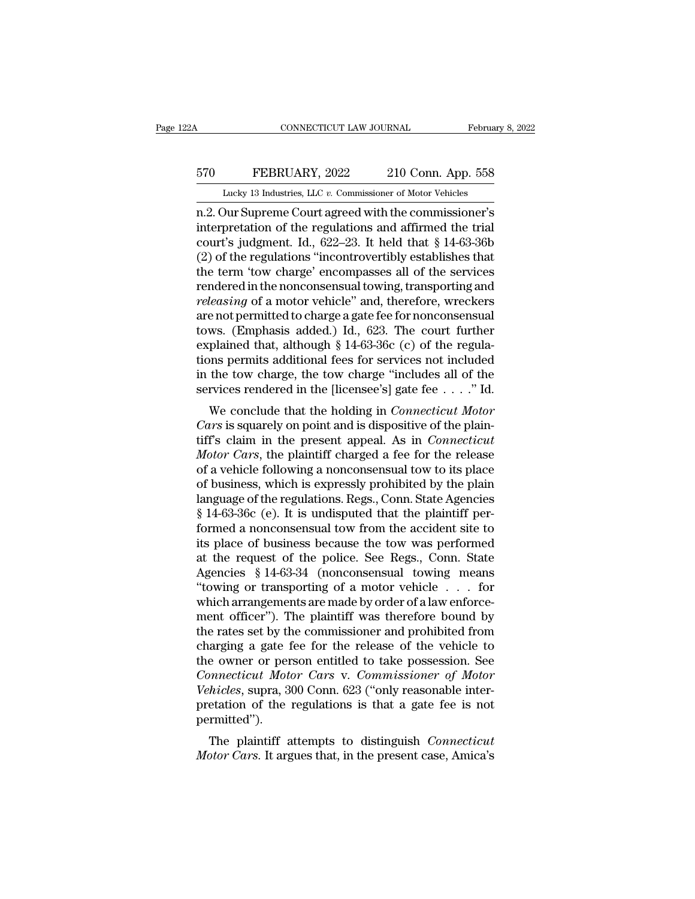## CONNECTICUT LAW JOURNAL February 8, 2022<br>570 FEBRUARY, 2022 210 Conn. App. 558<br>Lucky 13 Industries, LLC v. Commissioner of Motor Vehicles CONNECTICUT LAW JOURNAL February 8, 2022<br>
570 FEBRUARY, 2022 210 Conn. App. 558<br>
Lucky 13 Industries, LLC *v.* Commissioner of Motor Vehicles<br>
n.2. Our Supreme Court agreed with the commissioner's

CONNECTICUT LAW JOURNAL February 8, 2022<br>
FEBRUARY, 2022 210 Conn. App. 558<br>
Lucky 13 Industries, LLC v. Commissioner of Motor Vehicles<br>
n.2. Our Supreme Court agreed with the commissioner's<br>
interpretation of the regulati FEBRUARY, 2022 210 Conn. App. 558<br>
Lucky 13 Industries, LLC v. Commissioner of Motor Vehicles<br>
n.2. Our Supreme Court agreed with the commissioner's<br>
interpretation of the regulations and affirmed the trial<br>
court's judgm EXECUARY, 2022 210 Conn. App. 558<br>
Lucky 13 Industries, LLC v. Commissioner of Motor Vehicles<br>
m.2. Our Supreme Court agreed with the commissioner's<br>
interpretation of the regulations and affirmed the trial<br>
court's judgm  $\frac{570}{\text{Lucky 13}}$  FEBRUARY, 2022 210 Conn. App. 558<br>  $\frac{202}{\text{Lucky 13}}$  Industries, LLC v. Commissioner of Motor Vehicles<br>  $\frac{1}{\text{n.2}}$ . Our Supreme Court agreed with the commissioner's<br>
interpretation of the regulation Lucky 13 Industries, LLC v. Commissioner of Motor Vehicles<br>
1.2. Our Supreme Court agreed with the commissioner's<br>
interpretation of the regulations and affirmed the trial<br>
court's judgment. Id., 622–23. It held that § 14 Lucky 13 Industries, LLC  $v$ . Commissioner of Motor Vehicles<br>
n.2. Our Supreme Court agreed with the commissioner's<br>
interpretation of the regulations and affirmed the trial<br>
court's judgment. Id., 622–23. It held that  $\S$ *releasing* of the regulations and affirmed the trial court's judgment. Id., 622–23. It held that § 14-63-36b (2) of the regulations "incontrovertibly establishes that the term 'tow charge' encompasses all of the services interpretation of the regulations and affirmed the trial<br>court's judgment. Id., 622–23. It held that § 14-63-36b<br>(2) of the regulations "incontrovertibly establishes that<br>the term 'tow charge' encompasses all of the servi court's judgment. Id., 622–23. It held that § 14-63-36b (2) of the regulations "incontrovertibly establishes that<br>the term 'tow charge' encompasses all of the services<br>rendered in the nonconsensual towing, transporting an (2) of the regulations "incontrovertibly establishes that<br>the term 'tow charge' encompasses all of the services<br>rendered in the nonconsensual towing, transporting and<br>*releasing* of a motor vehicle" and, therefore, wrecke the term 'tow charge' encompasses all of the services<br>rendered in the nonconsensual towing, transporting and<br>*releasing* of a motor vehicle" and, therefore, wreckers<br>are not permitted to charge a gate fee for nonconsensual rendered in the nonconsensual towing, transporting and<br>*releasing* of a motor vehicle" and, therefore, wreckers<br>are not permitted to charge a gate fee for nonconsensual<br>tows. (Emphasis added.) Id., 623. The court further<br> releasing of a motor vehicle" and, therefore, wreckers<br>are not permitted to charge a gate fee for nonconsensual<br>tows. (Emphasis added.) Id., 623. The court further<br>explained that, although § 14-63-36c (c) of the regula-<br>t ws. (Emphasis added.) Id., 623. The court further<br>plained that, although § 14-63-36c (c) of the regula-<br>ms permits additional fees for services not included<br>the tow charge, the tow charge "includes all of the<br>rvices render *Cars* is squarely id., 025. The court further explained that, although § 14-63-36c (c) of the regulations permits additional fees for services not included in the tow charge, the tow charge "includes all of the services r

Explained that, although § 14-05-50c (C) of the regula-<br>tions permits additional fees for services not included<br>in the tow charge, the tow charge "includes all of the<br>services rendered in the [licensee's] gate fee  $\ldots$ ." *Motor Cars*, the tow charge "includes all of the services rendered in the [licensee's] gate fee . . . ." Id.<br> *We* conclude that the holding in *Connecticut Motor Cars* is squarely on point and is dispositive of the plain In the tow charge, the tow charge includes an of the<br>services rendered in the [licensee's] gate fee  $\ldots$ ." Id.<br>We conclude that the holding in *Connecticut Motor<br>Cars* is squarely on point and is dispositive of the plain Services rendered in the preemsee space i.e.  $\ldots$  ratio.<br>We conclude that the holding in *Connecticut Motor*<br>*Cars* is squarely on point and is dispositive of the plain-<br>tiff's claim in the present appeal. As in *Connect* We conclude that the holding in *Connecticut Motor*<br>Cars is squarely on point and is dispositive of the plain-<br>tiff's claim in the present appeal. As in *Connecticut*<br>Motor Cars, the plaintiff charged a fee for the release Cars is squarely on point and is dispositive of the plain-<br>tiff's claim in the present appeal. As in *Connecticut*<br>Motor Cars, the plaintiff charged a fee for the release<br>of a vehicle following a nonconsensual tow to its p tiff's claim in the present appeal. As in *Connecticut* Motor Cars, the plaintiff charged a fee for the release of a vehicle following a nonconsensual tow to its place of business, which is expressly prohibited by the pla Motor Cars, the plaintiff charged a fee for the release<br>of a vehicle following a nonconsensual tow to its place<br>of business, which is expressly prohibited by the plain<br>language of the regulations. Regs., Conn. State Agenc of a vehicle following a nonconsensual tow to its place<br>of business, which is expressly prohibited by the plain<br>language of the regulations. Regs., Conn. State Agencies<br>§ 14-63-36c (e). It is undisputed that the plaintiff of business, which is expressly prohibited by the plain<br>language of the regulations. Regs., Conn. State Agencies<br>§ 14-63-36c (e). It is undisputed that the plaintiff per-<br>formed a nonconsensual tow from the accident site t language of the regulations. Regs., Conn. State Agencies  $§$  14-63-36c (e). It is undisputed that the plaintiff performed a nonconsensual tow from the accident site to its place of business because the tow was performed a  $\S$  14-63-36c (e). It is undisputed that the plaintiff performed a nonconsensual tow from the accident site to its place of business because the tow was performed at the request of the police. See Regs., Conn. State Agenc formed a nonconsensual tow from the accident site to<br>its place of business because the tow was performed<br>at the request of the police. See Regs., Conn. State<br>Agencies § 14-63-34 (nonconsensual towing means<br>"towing or tran its place of business because the tow was performed<br>at the request of the police. See Regs., Conn. State<br>Agencies § 14-63-34 (nonconsensual towing means<br>"towing or transporting of a motor vehicle . . . for<br>which arrangemen at the request of the police. See Regs., Conn. State<br>Agencies § 14-63-34 (nonconsensual towing means<br>"towing or transporting of a motor vehicle  $\ldots$  for<br>which arrangements are made by order of a law enforce-<br>ment officer Agencies § 14-63-34 (nonconsensual towing means<br>"towing or transporting of a motor vehicle . . . for<br>which arrangements are made by order of a law enforce-<br>ment officer"). The plaintiff was therefore bound by<br>the rates se "towing or transporting of a motor vehicle . . . . for<br>which arrangements are made by order of a law enforce-<br>ment officer"). The plaintiff was therefore bound by<br>the rates set by the commissioner and prohibited from<br>charg which arrangements are made by order of a law enforcement officer"). The plaintiff was therefore bound by the rates set by the commissioner and prohibited from charging a gate fee for the release of the vehicle to the owne ment officer"). The plaintiff was therefore bound by<br>the rates set by the commissioner and prohibited from<br>charging a gate fee for the release of the vehicle to<br>the owner or person entitled to take possession. See<br>*Connect* permitted''). Equipe a gate fee for the ferease of the venture to<br>e owner or person entitled to take possession. See<br>metricut Motor Cars v. Commissioner of Motor<br>hicles, supra, 300 Conn. 623 ("only reasonable inter-<br>etation of the regul *Connecticut Motor Cars v. Commissioner of Motor Vehicles,* supra, 300 Conn. 623 ("only reasonable interpretation of the regulations is that a gate fee is not permitted").<br>The plaintiff attempts to distinguish *Connecticut*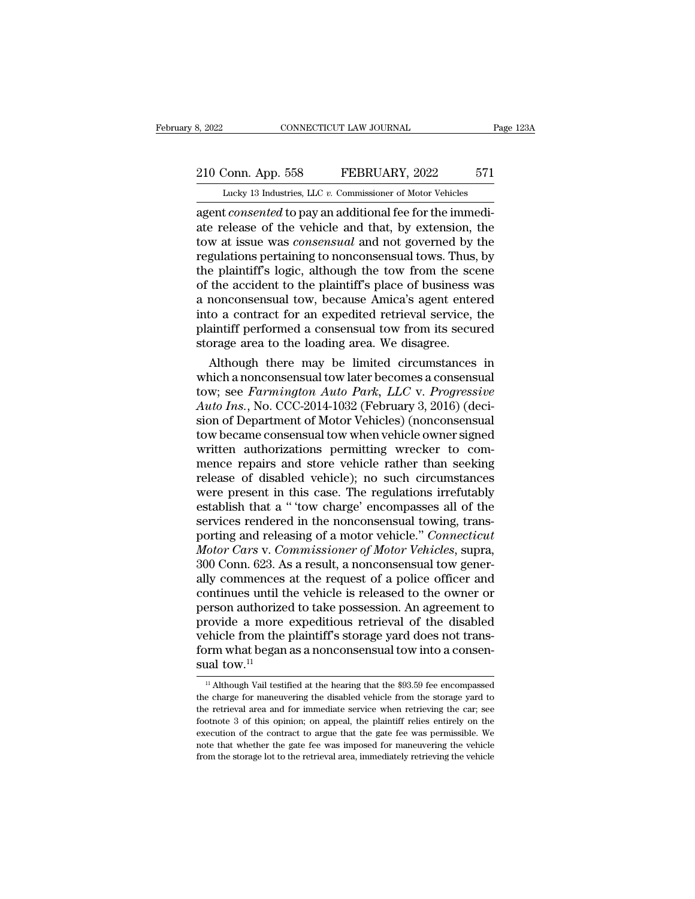# 210 Conn. App. 558 FEBRUARY, 2022 571<br>
210 Conn. App. 558 FEBRUARY, 2022 571<br>
210 Lucky 13 Industries, LLC v. Commissioner of Motor Vehicles

February 8, 2022 CONNECTICUT LAW JOURNAL Page 123A<br>210 Conn. App. 558 FEBRUARY, 2022 571<br>Lucky 13 Industries, LLC *v.* Commissioner of Motor Vehicles<br>agent *consented* to pay an additional fee for the immediagent *consecution Law Journal*<br>
<u>210 Conn. App. 558</u> FEBRUARY, 2022 571<br>
Lucky 13 Industries, LLC v. Commissioner of Motor Vehicles<br>
agent *consented* to pay an additional fee for the immediate release of the vehicle and 210 Conn. App. 558 FEBRUARY, 2022 571<br>
Lucky 13 Industries, LLC v. Commissioner of Motor Vehicles<br>
agent *consented* to pay an additional fee for the immediate release of the vehicle and that, by extension, the<br>
tow at is 210 Conn. App. 558 **FEBRUARY**, 2022 571<br>
Lucky 13 Industries, LLC  $v$ . Commissioner of Motor Vehicles<br>
agent *consented* to pay an additional fee for the immedi-<br>
ate release of the vehicle and that, by extension, the<br>
to 210 Conn. App. 558 FEBRUARY, 2022 571<br>
Lucky 13 Industries, LLC  $v$ . Commissioner of Motor Vehicles<br>
agent *consented* to pay an additional fee for the immedi-<br>
ate release of the vehicle and that, by extension, the<br>
tow Lucky 13 Industries, LLC v. Commissioner of Motor Vehicles<br>agent *consented* to pay an additional fee for the immedi-<br>ate release of the vehicle and that, by extension, the<br>tow at issue was *consensual* and not governed b Lucky 13 Industries, LLC  $v$ . Commissioner of Motor Vehicles<br>agent *consented* to pay an additional fee for the immedi-<br>ate release of the vehicle and that, by extension, the<br>tow at issue was *consensual* and not governed agent *consented* to pay an additional fee for the immediate release of the vehicle and that, by extension, the tow at issue was *consensual* and not governed by the regulations pertaining to nonconsensual tows. Thus, by t ate release of the vehicle and that, by extension, the<br>tow at issue was *consensual* and not governed by the<br>regulations pertaining to nonconsensual tows. Thus, by<br>the plaintiff's logic, although the tow from the scene<br>of tow at issue was *consensual* and not governed by the regulations pertaining to nonconsensual tows. Thus, by the plaintiff's logic, although the tow from the scene of the accident to the plaintiff's place of business was a regulations pertaining to nonconsensual tows. Thus,<br>the plaintiff's logic, although the tow from the sce<br>of the accident to the plaintiff's place of business v<br>a nonconsensual tow, because Amica's agent enter<br>into a contra e plaintiff's logic, although the tow from the scene<br>the accident to the plaintiff's place of business was<br>nonconsensual tow, because Amica's agent entered<br>to a contract for an expedited retrieval service, the<br>aintiff per of the accident to the plaintiff's place of business was<br>a nonconsensual tow, because Amica's agent entered<br>into a contract for an expedited retrieval service, the<br>plaintiff performed a consensual tow from its secured<br>stor

a nonconsensual tow, because Amica's agent entered<br>into a contract for an expedited retrieval service, the<br>plaintiff performed a consensual tow from its secured<br>storage area to the loading area. We disagree.<br>Although there into a contract for an expedited retrieval service, the<br>plaintiff performed a consensual tow from its secured<br>storage area to the loading area. We disagree.<br>Although there may be limited circumstances in<br>which a nonconsens plaintiff performed a consensual tow from its secured<br>storage area to the loading area. We disagree.<br>Although there may be limited circumstances in<br>which a nonconsensual tow later becomes a consensual<br>tow; see *Farmington* storage area to the loading area. We disagree.<br>
Although there may be limited circumstances in<br>
which a nonconsensual tow later becomes a consensual<br>
tow; see *Farmington Auto Park*, *LLC* v. *Progressive*<br>
Auto Ins., No. Although there may be limited circumstances in<br>which a nonconsensual tow later becomes a consensual<br>tow; see *Farmington Auto Park*, *LLC* v. *Progressive*<br>Auto Ins., No. CCC-2014-1032 (February 3, 2016) (deci-<br>sion of Dep which a nonconsensual tow later becomes a consensual<br>tow; see Farmington Auto Park, LLC v. Progressive<br>Auto Ins., No. CCC-2014-1032 (February 3, 2016) (deci-<br>sion of Department of Motor Vehicles) (nonconsensual<br>tow became tow; see *Farmington Auto Park, LLC v. Progressive*<br>Auto Ins., No. CCC-2014-1032 (February 3, 2016) (deci-<br>sion of Department of Motor Vehicles) (nonconsensual<br>tow became consensual tow when vehicle owner signed<br>written au Auto Ins., No. CCC-2014-1032 (February 3, 2016) (decision of Department of Motor Vehicles) (nonconsensual<br>tow became consensual tow when vehicle owner signed<br>written authorizations permitting wrecker to com-<br>mence repairs sion of Department of Motor Vehicles) (nonconsensual<br>tow became consensual tow when vehicle owner signed<br>written authorizations permitting wrecker to com-<br>mence repairs and store vehicle rather than seeking<br>release of disa tow became consensual tow when vehicle owner signed<br>written authorizations permitting wrecker to com-<br>mence repairs and store vehicle rather than seeking<br>release of disabled vehicle); no such circumstances<br>were present in written authorizations permitting wrecker to com-<br>mence repairs and store vehicle rather than seeking<br>release of disabled vehicle); no such circumstances<br>were present in this case. The regulations irrefutably<br>establish tha mence repairs and store vehicle rather than seeking<br>release of disabled vehicle); no such circumstances<br>were present in this case. The regulations irrefutably<br>establish that a "tow charge' encompasses all of the<br>services r release of disabled vehicle); no such circumstances<br>were present in this case. The regulations irrefutably<br>establish that a "tow charge' encompasses all of the<br>services rendered in the nonconsensual towing, trans-<br>porting were present in this case. The regulations irrefutably<br>establish that a " 'tow charge' encompasses all of the<br>services rendered in the nonconsensual towing, trans-<br>porting and releasing of a motor vehicle." *Connecticut*<br> establish that a "tow charge' encompasses all of the<br>services rendered in the nonconsensual towing, trans-<br>porting and releasing of a motor vehicle." *Connecticut*<br>*Motor Cars v. Commissioner of Motor Vehicles*, supra,<br>300 services rendered in the nonconsensual towing, trans-<br>porting and releasing of a motor vehicle." *Connecticut*<br>*Motor Cars v. Commissioner of Motor Vehicles*, supra,<br>300 Conn. 623. As a result, a nonconsensual tow gener-<br>a porting and releasing of a motor vehicle." *Connecticut*<br>Motor Cars v. Commissioner of Motor Vehicles, supra,<br>300 Conn. 623. As a result, a nonconsensual tow gener-<br>ally commences at the request of a police officer and<br>con *Motor Cars v. Commissioner of Motor Vehicles*, supra, 300 Conn. 623. As a result, a nonconsensual tow generally commences at the request of a police officer and continues until the vehicle is released to the owner or per 300 Conn. 623. As a result, a nonconsensual tow generally commences at the request of a police officer and continues until the vehicle is released to the owner or person authorized to take possession. An agreement to prov ally commences<br>continues until t<br>person authorize<br>provide a more<br>vehicle from the<br>form what began<br>sual tow.<sup>11</sup> rovide a more expeditious retrieval of the disabled<br>ehicle from the plaintiff's storage yard does not trans-<br>prm what began as a nonconsensual tow into a consen-<br>ral tow.<sup>11</sup><br><sup>11</sup> Although Vail testified at the hearing tha vehicle from the plaintiff's storage yard does not transform what began as a nonconsensual tow into a consenside tow.<sup>11</sup><br> $\frac{11}{11}$  Although Vail testified at the hearing that the \$93.59 fee encompassed the charge for m

form what began as a nonconsensual tow into a consensual tow.<sup>11</sup><br> $\frac{11}{11}$  Although Vail testified at the hearing that the \$93.59 fee encompassed<br>the charge for maneuvering the disabled vehicle from the storage yard to **SUAL TERNATE SETTER SETTER SETTER SETTER SUAL THE SUAL THEORY OF THE SUAL THEORY OF THE PLAINTIFF RELIEVIOR OF THE PLAINTIFF RELIEVIOR OF THE PLAINTIFF RELIEVIOR OF THE PLAINTIFF RELIEVIOR OF THE PLAINTIFF RELIEVIOR OF T** <sup>11</sup> Although Vail testified at the hearing that the \$93.59 fee encompassed the charge for maneuvering the disabled vehicle from the storage yard to the retrieval area and for immediate service when retrieving the car, se <sup>11</sup> Although Vail testified at the hearing that the \$93.59 fee encompassed the charge for maneuvering the disabled vehicle from the storage yard to the retrieval area and for immediate service when retrieving the car; se the charge for maneuvering the disabled vehicle from the storage yard to the retrieval area and for immediate service when retrieving the car; see footnote 3 of this opinion; on appeal, the plaintiff relies entirely on the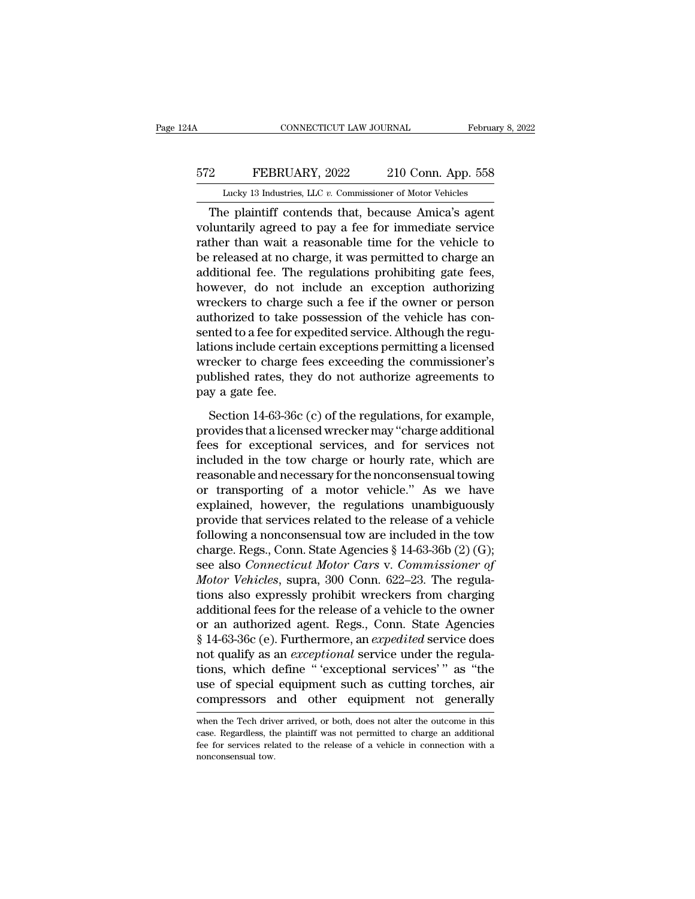## CONNECTICUT LAW JOURNAL February 8, 2022<br>572 FEBRUARY, 2022 210 Conn. App. 558<br>Lucky 13 Industries, LLC v. Commissioner of Motor Vehicles CONNECTICUT LAW JOURNAL February 8, 2022<br>
210 Conn. App. 558<br>
Lucky 13 Industries, LLC *v.* Commissioner of Motor Vehicles<br>
The plaintiff contends that, because Amica's agent

CONNECTICUT LAW JOURNAL February 8, 202<br>
PEBRUARY, 2022 210 Conn. App. 558<br>
Lucky 13 Industries, LLC v. Commissioner of Motor Vehicles<br>
The plaintiff contends that, because Amica's agent<br>
luntarily agreed to pay a fee for FEBRUARY, 2022 210 Conn. App. 558<br>
Lucky 13 Industries, LLC v. Commissioner of Motor Vehicles<br>
The plaintiff contends that, because Amica's agent<br>
voluntarily agreed to pay a fee for immediate service<br>
rather than wait a r FEBRUARY, 2022 210 Conn. App. 558<br>
Lucky 13 Industries, LLC  $v$ . Commissioner of Motor Vehicles<br>
The plaintiff contends that, because Amica's agent<br>
voluntarily agreed to pay a fee for immediate service<br>
rather than wait  $\begin{array}{r} \text{572} & \text{FEBRUARY, 2022} & \text{210 Conn. App. 558} \\ \hline \text{Lucky 13 Industries, LLC } v. \text{ Commissioner of Motor Vehicles} \\ \text{The plaintiff contents that, because Amica's agent } \text{volutarily agreed to pay a fee for immediate service} \\ \text{rather than wait a reasonable time for the vehicle to } \text{be released at no charge, it was permitted to charge an additional fee. The regulations prohibiting gate fees, } \text{howayson, do not include an exception, suboriginal.} \end{array}$ Lucky 13 Industries, LLC  $v$ . Commissioner of Motor Vehicles<br>
The plaintiff contends that, because Amica's agent<br>
voluntarily agreed to pay a fee for immediate service<br>
rather than wait a reasonable time for the vehicle t Lucky 13 maustries, LLC  $v$ . Commissioner of Motor venicies<br>
The plaintiff contends that, because Amica's agent<br>
voluntarily agreed to pay a fee for immediate service<br>
rather than wait a reasonable time for the vehicle to The plaintiff contends that, because Amica's agent<br>voluntarily agreed to pay a fee for immediate service<br>rather than wait a reasonable time for the vehicle to<br>be released at no charge, it was permitted to charge an<br>additio voluntarily agreed to pay a fee for immediate service<br>rather than wait a reasonable time for the vehicle to<br>be released at no charge, it was permitted to charge an<br>additional fee. The regulations prohibiting gate fees,<br>how rather than wait a reasonable time for the vehicle to<br>be released at no charge, it was permitted to charge an<br>additional fee. The regulations prohibiting gate fees,<br>however, do not include an exception authorizing<br>wreckers be released at no charge, it was permitted to charge an additional fee. The regulations prohibiting gate fees, however, do not include an exception authorizing wreckers to charge such a fee if the owner or person authorize additional fee. The regulations prohibiting gate fees,<br>however, do not include an exception authorizing<br>wreckers to charge such a fee if the owner or person<br>authorized to take possession of the vehicle has con-<br>sented to a however, do not include an exception authorizing<br>wreckers to charge such a fee if the owner or person<br>authorized to take possession of the vehicle has con-<br>sented to a fee for expedited service. Although the regu-<br>lations wreckers to charge<br>authorized to take<br>sented to a fee for ex<br>lations include certa<br>wrecker to charge f<br>published rates, the<br>pay a gate fee.<br>Section 14-63-36c Section 14-63-36c (c) of the regulations, for example,<br>Section 14-63-36c (c) of the regulations, for example,<br>Section 14-63-36c (c) of the regulations, for example,<br>ovides that a licensed wrecker may "charge additional<br>Sec provides that a licensed serves internative agreements and altions include certain exceptions permitting a licensed<br>wrecker to charge fees exceeding the commissioner's<br>published rates, they do not authorize agreements to<br>p

mecker to charge fees exceeding the commissioner's<br>published rates, they do not authorize agreements to<br>pay a gate fee.<br>Section 14-63-36c (c) of the regulations, for example,<br>provides that a licensed wrecker may "charge ad published rates, they do not authorize agreements to<br>pay a gate fee.<br>Section 14-63-36c (c) of the regulations, for example,<br>provides that a licensed wrecker may "charge additional<br>fees for exceptional services, and for ser parameter and year's different top continue to<br>pay a gate fee.<br>Section 14-63-36c (c) of the regulations, for example,<br>provides that a licensed wrecker may "charge additional<br>fees for exceptional services, and for services Section 14-63-36c (c) of the regulations, for example,<br>provides that a licensed wrecker may "charge additional<br>fees for exceptional services, and for services not<br>included in the tow charge or hourly rate, which are<br>reaso Section 14-63-36c (c) of the regulations, for example,<br>provides that a licensed wrecker may "charge additional<br>fees for exceptional services, and for services not<br>included in the tow charge or hourly rate, which are<br>reaso provides that a licensed wrecker may "charge additional<br>fees for exceptional services, and for services not<br>included in the tow charge or hourly rate, which are<br>reasonable and necessary for the nonconsensual towing<br>or tra fees for exceptional services, and for services not<br>included in the tow charge or hourly rate, which are<br>reasonable and necessary for the nonconsensual towing<br>or transporting of a motor vehicle." As we have<br>explained, how included in the tow charge or hourly rate, which are<br>reasonable and necessary for the nonconsensual towing<br>or transporting of a motor vehicle." As we have<br>explained, however, the regulations unambiguously<br>provide that ser reasonable and necessary for the nonconsensual towing<br>or transporting of a motor vehicle." As we have<br>explained, however, the regulations unambiguously<br>provide that services related to the release of a vehicle<br>following a or transporting of a motor vehicle." As we have<br>explained, however, the regulations unambiguously<br>provide that services related to the release of a vehicle<br>following a nonconsensual tow are included in the tow<br>charge. Regs explained, however, the regulations unambiguously<br>provide that services related to the release of a vehicle<br>following a nonconsensual tow are included in the tow<br>charge. Regs., Conn. State Agencies § 14-63-36b (2) (G);<br>see provide that services related to the release of a vehicle<br>following a nonconsensual tow are included in the tow<br>charge. Regs., Conn. State Agencies § 14-63-36b (2) (G);<br>see also *Connecticut Motor Cars v. Commissioner of* following a nonconsensual tow are included in the tow<br>charge. Regs., Conn. State Agencies  $\S$  14-63-36b (2) (G);<br>see also *Connecticut Motor Cars v. Commissioner of*<br>*Motor Vehicles*, supra, 300 Conn. 622–23. The regula-<br> charge. Regs., Conn. State Agencies § 14-63-36b (2) (G);<br>see also *Connecticut Motor Cars v. Commissioner of*<br>*Motor Vehicles*, supra, 300 Conn. 622–23. The regula-<br>tions also expressly prohibit wreckers from charging<br>addi see also *Connecticut Motor Cars v. Commissioner of Motor Vehicles*, supra, 300 Conn. 622–23. The regulations also expressly prohibit wreckers from charging additional fees for the release of a vehicle to the owner or an a Motor Vehicles, supra, 300 Conn. 622–23. The regulations also expressly prohibit wreckers from charging<br>additional fees for the release of a vehicle to the owner<br>or an authorized agent. Regs., Conn. State Agencies<br>§ 14-63tions also expressly prohibit wreckers from charging<br>additional fees for the release of a vehicle to the owner<br>or an authorized agent. Regs., Conn. State Agencies<br>§ 14-63-36c (e). Furthermore, an *expedited* service does<br>n additional fees for the release of a vehicle to the owner<br>or an authorized agent. Regs., Conn. State Agencies<br>§ 14-63-36c (e). Furthermore, an *expedited* service does<br>not qualify as an *exceptional* service under the regu not qualify as an *exceptional* service under the regulations, which define " 'exceptional services' " as "the use of special equipment such as cutting torches, air compressors and other equipment not generally when the Te tions, which define "'exceptional services'" as "the<br>use of special equipment such as cutting torches, air<br>compressors and other equipment not generally<br>when the Tech driver arrived, or both, does not alter the outcome in

use of special equipment such as cutting torches, air<br>compressors and other equipment not generally<br>when the Tech driver arrived, or both, does not alter the outcome in this<br>case. Regardless, the plaintiff was not permitte non-<br>
compressors<br>
when the Tech driv<br>
case. Regardless, the<br>
fee for services rela<br>
nonconsensual tow.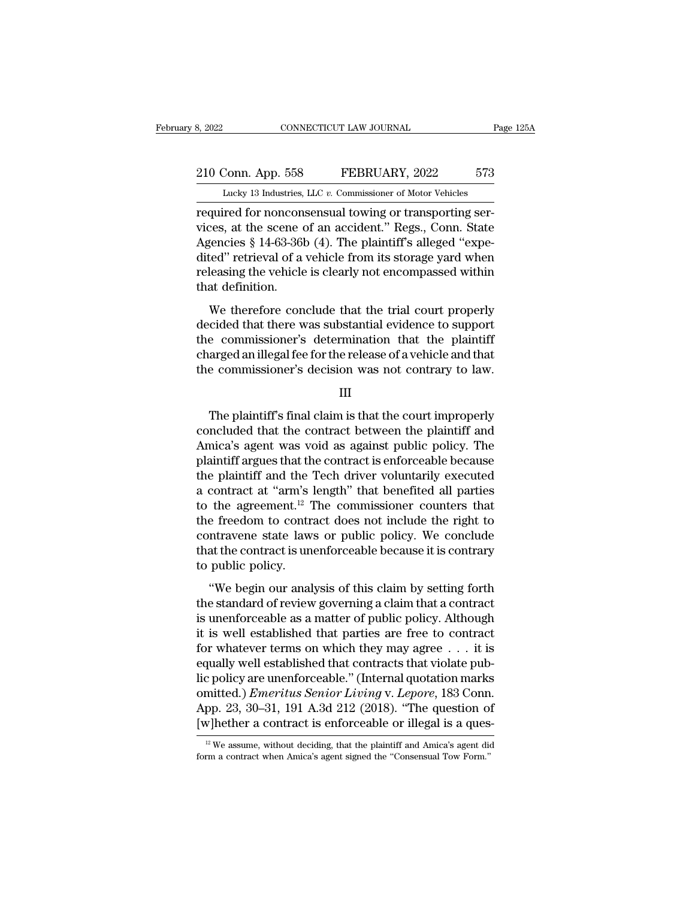## 210 Conn. App. 558 FEBRUARY, 2022 573<br>210 Conn. App. 558 FEBRUARY, 2022 573<br>210 Conn. App. 558 FEBRUARY, 2022 573 February 8, 2022 CONNECTICUT LAW JOURNAL Page 125A<br>210 Conn. App. 558 FEBRUARY, 2022 573<br>Lucky 13 Industries, LLC *v.* Commissioner of Motor Vehicles<br>required for nonconsensual towing or transporting ser-

required for nonconsensual towing or transporting ser-<br>
Tucky 13 Industries, LLC v. Commissioner of Motor Vehicles<br>
required for nonconsensual towing or transporting ser-<br>
vices, at the scene of an accident." Regs., Conn. 210 Conn. App. 558 FEBRUARY, 2022 573<br>
Lucky 13 Industries, LLC v. Commissioner of Motor Vehicles<br>
required for nonconsensual towing or transporting services, at the scene of an accident.'' Regs., Conn. State<br>
Agencies § 1 210 Conn. App. 558 FEBRUARY, 2022 573<br>
Lucky 13 Industries, LLC v. Commissioner of Motor Vehicles<br>
required for nonconsensual towing or transporting services, at the scene of an accident." Regs., Conn. State<br>
Agencies § 1 210 Conn. App. 558 FEBRUARY, 2022 573<br>
Lucky 13 Industries, LLC v. Commissioner of Motor Vehicles<br>
required for nonconsensual towing or transporting services, at the scene of an accident." Regs., Conn. State<br>
Agencies § 14 Lucky 13 Industries, LLC v. Commissioner of Motor Vehicles<br>required for nonconsensual towing or transporting services, at the scene of an accident." Regs., Conn. State<br>Agencies § 14-63-36b (4). The plaintiff's alleged "exp  $\frac{\text{Lucky 13}\text{ mausures}}{\text{required for noncon}}$ <br>
vices, at the scene of<br>
Agencies § 14-63-36<br>
dited" retrieval of a<br>
releasing the vehicle<br>
that definition.<br>
We therefore con refared for honesischstaat coming of atalogorang serves, at the scene of an accident." Regs., Conn. State gencies § 14-63-36b (4). The plaintiff's alleged "experied" retrieval of a vehicle from its storage yard when leasin Agencies § 14-63-36b (4). The plaintiff's alleged "expedited" retrieval of a vehicle from its storage yard when<br>releasing the vehicle is clearly not encompassed within<br>that definition.<br>We therefore conclude that the trial

 $t$  dited" retrieval of a vehicle from its storage yard when<br>releasing the vehicle is clearly not encompassed within<br>that definition.<br>We therefore conclude that the trial court properly<br>decided that there was substantial charged and the releasing the vehicle is clearly not encompassed within<br>that definition.<br>We therefore conclude that the trial court properly<br>decided that there was substantial evidence to support<br>the commissioner's determi that definition.<br>
We therefore conclude that the trial court properly<br>
decided that there was substantial evidence to support<br>
the commissioner's determination that the plaintiff<br>
charged an illegal fee for the release of cided that there was substantial evidence to support<br>
e commissioner's determination that the plaintiff<br>
arged an illegal fee for the release of a vehicle and that<br>
e commissioner's decision was not contrary to law.<br>
III<br>

III

the commissioner's determination that the plaintiff<br>charged an illegal fee for the release of a vehicle and that<br>the commissioner's decision was not contrary to law.<br>III<br>The plaintiff's final claim is that the court improp charged an illegal fee for the release of a vehicle and that<br>the commissioner's decision was not contrary to law.<br>III<br>The plaintiff's final claim is that the court improperly<br>concluded that the contract between the plainti the commissioner's decision was not contrary to law.<br>
III<br>
The plaintiff's final claim is that the court improperly<br>
concluded that the contract between the plaintiff and<br>
Amica's agent was void as against public policy. T III<br>The plaintiff's final claim is that the court improperly<br>concluded that the contract between the plaintiff and<br>Amica's agent was void as against public policy. The<br>plaintiff argues that the contract is enforceable bec The plaintiff's final claim is that the court improperly<br>concluded that the contract between the plaintiff and<br>Amica's agent was void as against public policy. The<br>plaintiff argues that the contract is enforceable because The plaintiff's final claim is that the court improperly<br>concluded that the contract between the plaintiff and<br>Amica's agent was void as against public policy. The<br>plaintiff argues that the contract is enforceable because concluded that the contract between the plaintiff and<br>Amica's agent was void as against public policy. The<br>plaintiff argues that the contract is enforceable because<br>the plaintiff and the Tech driver voluntarily executed<br>a Amica's agent was void as against public policy. The<br>plaintiff argues that the contract is enforceable because<br>the plaintiff and the Tech driver voluntarily executed<br>a contract at "arm's length" that benefited all parties plaintiff argues that the contract is enforceable because<br>the plaintiff and the Tech driver voluntarily executed<br>a contract at "arm's length" that benefited all parties<br>to the agreement.<sup>12</sup> The commissioner counters that<br> the plaintiff and the Tech driver voluntarily executed<br>a contract at "arm's length" that benefited all parties<br>to the agreement.<sup>12</sup> The commissioner counters that<br>the freedom to contract does not include the right to<br>cont the agreement.<sup>12</sup> The commissioner counters that<br>
e freedom to contract does not include the right to<br>
ntravene state laws or public policy. We conclude<br>
at the contract is unenforceable because it is contrary<br>
public po the freedom to contract does not include the right to<br>contravene state laws or public policy. We conclude<br>that the contract is unenforceable because it is contrary<br>to public policy.<br>"We begin our analysis of this claim by

In the contravene state laws or public policy. We conclude<br>that the contract is unenforceable because it is contrary<br>to public policy.<br>"We begin our analysis of this claim by setting forth<br>the standard of review governing that the contract is unenforceable because it is contrary<br>to public policy.<br>"We begin our analysis of this claim by setting forth<br>the standard of review governing a claim that a contract<br>is unenforceable as a matter of pu for public policy.<br>
"We begin our analysis of this claim by setting forth<br>
the standard of review governing a claim that a contract<br>
is unenforceable as a matter of public policy. Although<br>
it is well established that par "We begin our analysis of this claim by setting forth<br>the standard of review governing a claim that a contract<br>is unenforceable as a matter of public policy. Although<br>it is well established that parties are free to contra "We begin our analysis of this claim by setting forth<br>the standard of review governing a claim that a contract<br>is unenforceable as a matter of public policy. Although<br>it is well established that parties are free to contra the standard of review governing a claim that a contract<br>is unenforceable as a matter of public policy. Although<br>it is well established that parties are free to contract<br>for whatever terms on which they may agree . . . it is unenforceable as a matter of public policy. Although<br>it is well established that parties are free to contract<br>for whatever terms on which they may agree  $\dots$  it is<br>equally well established that contracts that violate p it is well established that parties are free to contract<br>for whatever terms on which they may agree . . . it is<br>equally well established that contracts that violate pub-<br>lic policy are unenforceable." (Internal quotation lic policy are unenforceable." (Internal quotation marks<br>omitted.) *Emeritus Senior Living* v. *Lepore*, 183 Conn.<br>App. 23, 30–31, 191 A.3d 212 (2018). "The question of<br>[w]hether a contract is enforceable or illegal is a [w] hether a contract is enforceable or illegal is a ques-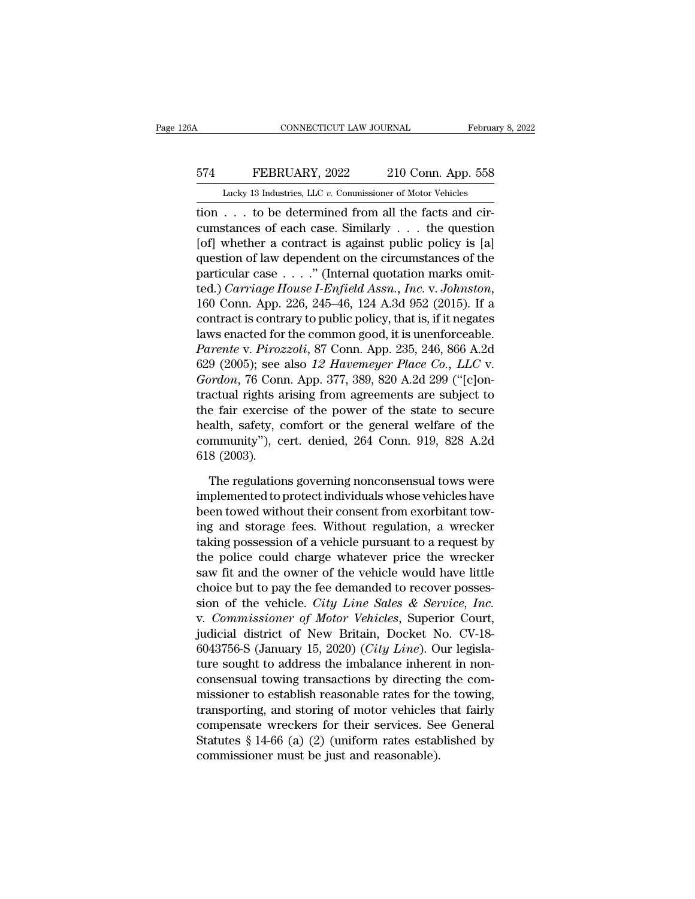## CONNECTICUT LAW JOURNAL February 8, 2022<br>574 FEBRUARY, 2022 210 Conn. App. 558<br>Lucky 13 Industries, LLC v. Commissioner of Motor Vehicles CONNECTICUT LAW JOURNAL February 8, 2022<br>
FEBRUARY, 2022 210 Conn. App. 558<br>
Lucky 13 Industries, LLC *v.* Commissioner of Motor Vehicles<br>
tion . . . to be determined from all the facts and cir-

CONNECTICUT LAW JOURNAL Februa<br>
574 FEBRUARY, 2022 210 Conn. App. 558<br>
Lucky 13 Industries, LLC v. Commissioner of Motor Vehicles<br>
tion . . . to be determined from all the facts and cir-<br>
cumstances of each case. Similarly EXEMBRUARY, 2022 210 Conn. App. 558<br>
Lucky 13 Industries, LLC v. Commissioner of Motor Vehicles<br>
tion . . . to be determined from all the facts and circumstances of each case. Similarly . . . the question<br>
[of] whether a [574 FEBRUARY, 2022 210 Conn. App. 558<br>
Lucky 13 Industries, LLC v. Commissioner of Motor Vehicles<br>
tion . . . to be determined from all the facts and cir-<br>
cumstances of each case. Similarly . . . the question<br>
[of] whet FEBRUARY, 2022 210 Conn. App. 558<br>
Lucky 13 Industries, LLC v. Commissioner of Motor Vehicles<br>
tion . . . to be determined from all the facts and circumstances of each case. Similarly . . . the question<br>
[of] whether a co Lucky 13 Industries, LLC v. Commissioner of Motor Vehicles<br>
tion . . . to be determined from all the facts and cir-<br>
cumstances of each case. Similarly . . . the question<br>
[of] whether a contract is against public policy Lucky 13 matsines, LEC *v.* Commissioner of Motor ventels<br>
tion . . . to be determined from all the facts and cir-<br>
cumstances of each case. Similarly . . . the question<br>
[of] whether a contract is against public policy is cumstances of each case. Similarly  $\ldots$  the question<br>[of] whether a contract is against public policy is [a]<br>question of law dependent on the circumstances of the<br>particular case  $\ldots$ ." (Internal quotation marks omit-<br>t [of] whether a contract is against public policy is [a]<br>question of law dependent on the circumstances of the<br>particular case . . . ." (Internal quotation marks omit-<br>ted.) *Carriage House I-Enfield Assn., Inc. v. Johnsto* question of law dependent on the circumstances of the<br>particular case . . . . " (Internal quotation marks omit-<br>ted.) *Carriage House I-Enfield Assn., Inc.* v. *Johnston*,<br>160 Conn. App. 226, 245–46, 124 A.3d 952 (2015). I particular case . . . ." (Internal quotation marks omit-<br>ted.) *Carriage House I-Enfield Assn., Inc. v. Johnston*,<br>160 Conn. App. 226, 245–46, 124 A.3d 952 (2015). If a<br>contract is contrary to public policy, that is, if it *Gordon. App. 226, 245–46, 124 A.3d 952 (2015).* If a contract is contrary to public policy, that is, if it negates laws enacted for the common good, it is unenforceable. *Parente v. Pirozzoli*, 87 Conn. App. 235, 246, 866 160 Conn. App. 226, 245–46, 124 A.3d 952 (2015). If a<br>contract is contrary to public policy, that is, if it negates<br>laws enacted for the common good, it is unenforceable.<br>*Parente* v. *Pirozzoli*, 87 Conn. App. 235, 246, contract is contrary to public policy, that is, if it negates<br>laws enacted for the common good, it is unenforceable.<br>*Parente v. Pirozzoli*, 87 Conn. App. 235, 246, 866 A.2d<br>629 (2005); see also 12 Havemeyer Place Co., LL laws enacted for the common good, it is unenforceable.<br> *Parente* v. *Pirozzoli*, 87 Conn. App. 235, 246, 866 A.2d<br>
629 (2005); see also 12 Havemeyer Place Co., LLC v.<br> *Gordon*, 76 Conn. App. 377, 389, 820 A.2d 299 ("[c]o Parente v. Pirozzoli, 87 Conn. App. 235, 246, 866 A.2d<br>629 (2005); see also 12 Havemeyer Place Co., LLC v.<br>Gordon, 76 Conn. App. 377, 389, 820 A.2d 299 ("[c]on-<br>tractual rights arising from agreements are subject to<br>the fa 629 (2005); see also 1*2 Havemeyer Place Co., LLC v.*<br>Gordon, 76 Conn. App. 377, 389, 820 A.2d 299 ("[c]on-<br>tractual rights arising from agreements are subject to<br>the fair exercise of the power of the state to secure<br>heal the fair exercise of the power of the state to secure<br>health, safety, comfort or the general welfare of the<br>community"), cert. denied, 264 Conn. 919, 828 A.2d<br>618 (2003).<br>The regulations governing nonconsensual tows were<br>i

health, safety, comfort or the general welfare of the<br>community"), cert. denied, 264 Conn. 919, 828 A.2d<br>618 (2003).<br>The regulations governing nonconsensual tows were<br>implemented to protect individuals whose vehicles have<br> community"), cert. denied, 264 Conn. 919, 828 A.2d<br>618 (2003).<br>The regulations governing nonconsensual tows were<br>implemented to protect individuals whose vehicles have<br>been towed without their consent from exorbitant tow-<br> 618 (2003).<br>The regulations governing nonconsensual tows were<br>implemented to protect individuals whose vehicles have<br>been towed without their consent from exorbitant tow-<br>ing and storage fees. Without regulation, a wrecker The regulations governing nonconsensual tows were<br>implemented to protect individuals whose vehicles have<br>been towed without their consent from exorbitant tow-<br>ing and storage fees. Without regulation, a wrecker<br>taking poss The regulations governing nonconsensual tows were<br>implemented to protect individuals whose vehicles have<br>been towed without their consent from exorbitant tow-<br>ing and storage fees. Without regulation, a wrecker<br>taking poss implemented to protect individuals whose vehicles have<br>been towed without their consent from exorbitant tow-<br>ing and storage fees. Without regulation, a wrecker<br>taking possession of a vehicle pursuant to a request by<br>the p been towed without their consent from exorbitant tow-<br>ing and storage fees. Without regulation, a wrecker<br>taking possession of a vehicle pursuant to a request by<br>the police could charge whatever price the wrecker<br>saw fit a ing and storage fees. Without regulation, a wrecker<br>taking possession of a vehicle pursuant to a request by<br>the police could charge whatever price the wrecker<br>saw fit and the owner of the vehicle would have little<br>choice b taking possession of a vehicle pursuant to a request by<br>the police could charge whatever price the wrecker<br>saw fit and the owner of the vehicle would have little<br>choice but to pay the fee demanded to recover posses-<br>sion o the police could charge whatever price the wrecker<br>saw fit and the owner of the vehicle would have little<br>choice but to pay the fee demanded to recover posses-<br>sion of the vehicle. *City Line Sales & Service*, *Inc.*<br>v. *C* saw fit and the owner of the vehicle would have little<br>choice but to pay the fee demanded to recover posses-<br>sion of the vehicle. *City Line Sales & Service*, *Inc.*<br>v. *Commissioner of Motor Vehicles*, Superior Court,<br>ju choice but to pay the fee demanded to recover posses-<br>sion of the vehicle. *City Line Sales & Service*, *Inc.*<br>v. *Commissioner of Motor Vehicles*, Superior Court,<br>judicial district of New Britain, Docket No. CV-18-<br>604375 sion of the vehicle. City Line Sales & Service, Inc.<br>v. Commissioner of Motor Vehicles, Superior Court,<br>judicial district of New Britain, Docket No. CV-18-<br>6043756-S (January 15, 2020) (City Line). Our legisla-<br>ture sough v. Commissioner of Motor Vehicles, Superior Court,<br>judicial district of New Britain, Docket No. CV-18-<br>6043756-S (January 15, 2020) (*City Line*). Our legisla-<br>ture sought to address the imbalance inherent in non-<br>consens judicial district of New Britain, Docket No. CV-18-6043756-S (January 15, 2020) (*City Line*). Our legislature sought to address the imbalance inherent in nonconsensual towing transactions by directing the commissioner to  $6043756$ -S (January 15, 2020) (*City Line*). Our legislature sought to address the imbalance inherent in non-consensual towing transactions by directing the commissioner to establish reasonable rates for the towing, tran ture sought to address the imbalance inhere<br>consensual towing transactions by directing<br>missioner to establish reasonable rates for th<br>transporting, and storing of motor vehicles<br>compensate wreckers for their services. Se<br>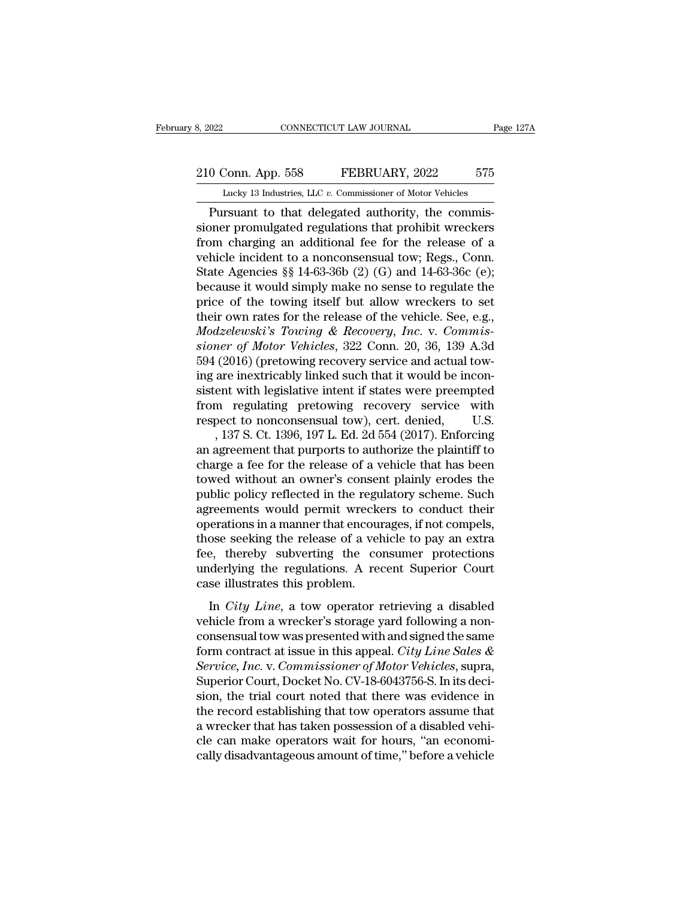# 210 Conn. App. 558 FEBRUARY, 2022 575<br>
210 Conn. App. 558 FEBRUARY, 2022 575<br>
210 Lucky 13 Industries, LLC v. Commissioner of Motor Vehicles

February 8, 2022 CONNECTICUT LAW JOURNAL Page 127A<br>
210 Conn. App. 558 FEBRUARY, 2022 575<br>
Lucky 13 Industries, LLC *v.* Commissioner of Motor Vehicles<br>
Pursuant to that delegated authority, the commis-CONNECTICUT LAW JOURNAL<br>
0 Conn. App. 558 FEBRUARY, 2022 575<br>
Lucky 13 Industries, LLC v. Commissioner of Motor Vehicles<br>
Pursuant to that delegated authority, the commis-<br>
por promulgated regulations that prohibit wrecker 210 Conn. App. 558 FEBRUARY, 2022 575<br>
Lucky 13 Industries, LLC v. Commissioner of Motor Vehicles<br>
Pursuant to that delegated authority, the commissioner promulgated regulations that prohibit wreckers<br>
from charging an add 210 Conn. App. 558 FEBRUARY, 2022 575<br>
Lucky 13 Industries, LLC v. Commissioner of Motor Vehicles<br>
Pursuant to that delegated authority, the commis-<br>
sioner promulgated regulations that prohibit wreckers<br>
from charging an 210 Conn. App. 558 FEBRUARY, 2022 575<br>
Lucky 13 Industries, LLC v. Commissioner of Motor Vehicles<br>
Pursuant to that delegated authority, the commis-<br>
sioner promulgated regulations that prohibit wreckers<br>
from charging an Lucky 13 Industries, LLC v. Commissioner of Motor Vehicles<br>
Pursuant to that delegated authority, the commis-<br>
sioner promulgated regulations that prohibit wreckers<br>
from charging an additional fee for the release of a<br>
v Lucky 13 maustries, LLC v. Commissioner of Motor venicles<br>
Dursuant to that delegated authority, the commis-<br>
sioner promulgated regulations that prohibit wreckers<br>
from charging an additional fee for the release of a<br>
ve Pursuant to that delegated authority, the commis-<br>sioner promulgated regulations that prohibit wreckers<br>from charging an additional fee for the release of a<br>vehicle incident to a nonconsensual tow; Regs., Conn.<br>State Agen sioner promulgated regulations that prohibit wreckers<br>from charging an additional fee for the release of a<br>vehicle incident to a nonconsensual tow; Regs., Conn.<br>State Agencies §§ 14-63-36b (2) (G) and 14-63-36c (e);<br>becau from charging an additional fee for the release of a<br>vehicle incident to a nonconsensual tow; Regs., Conn.<br>State Agencies §§ 14-63-36b (2) (G) and 14-63-36c (e);<br>because it would simply make no sense to regulate the<br>price *s* vehicle incident to a nonconsensual tow; Regs., Conn.<br> *State Agencies* §§ 14-63-36b (2) (G) and 14-63-36c (e);<br> *because it would simply make no sense to regulate the*<br>
price of the towing itself but allow wreckers to State Agencies §§ 14-63-36b (2) (G) and 14-63-36c (e);<br>because it would simply make no sense to regulate the<br>price of the towing itself but allow wreckers to set<br>their own rates for the release of the vehicle. See, e.g.,<br> because it would simply make no sense to regulate the price of the towing itself but allow wreckers to set their own rates for the release of the vehicle. See, e.g., *Modzelewski's Towing & Recovery, Inc.* v. *Commissioner* price of the towing itself but allow wreckers to set<br>their own rates for the release of the vehicle. See, e.g.,<br>*Modzelewski's Towing & Recovery, Inc.* v. *Commissioner of Motor Vehicles*, 322 Conn. 20, 36, 139 A.3d<br>594 (2 their own rates for the release of the vehicle. See, e.g.,<br> *Modzelewski's Towing & Recovery, Inc.* v. *Commissioner of Motor Vehicles*, 322 Conn. 20, 36, 139 A.3d<br>
594 (2016) (pretowing recovery service and actual tow-<br> Modzelewski's Towing & Recovery, Inc. v. Commissioner of Motor Vehicles, 322 Conn. 20, 36, 139 A.3d 594 (2016) (pretowing recovery service and actual towing are inextricably linked such that it would be inconsistent with mer of Motor Vehicles, 322 Conn. 20, 36, 139 A.3d<br>(2016) (pretowing recovery service and actual tow-<br>are inextricably linked such that it would be incon-<br>ent with legislative intent if states were preempted<br>m regulating pr 594 (2016) (pretowing recovery service and actual tow-<br>ing are inextricably linked such that it would be incon-<br>sistent with legislative intent if states were preempted<br>from regulating pretowing recovery service with<br>respe

ing are inextricably linked such that it would be inconsistent with legislative intent if states were preempted<br>from regulating pretowing recovery service with<br>respect to nonconsensual tow), cert. denied, U.S.<br>, 137 S. Ct. sistent with legislative intent if states were preempted<br>from regulating pretowing recovery service with<br>respect to nonconsensual tow), cert. denied, U.S.<br>, 137 S. Ct. 1396, 197 L. Ed. 2d 554 (2017). Enforcing<br>an agreement from regulating pretowing recovery service with<br>respect to nonconsensual tow), cert. denied, U.S.<br>, 137 S. Ct. 1396, 197 L. Ed. 2d 554 (2017). Enforcing<br>an agreement that purports to authorize the plaintiff to<br>charge a fe respect to nonconsensual tow), cert. denied, U.S.<br>, 137 S. Ct. 1396, 197 L. Ed. 2d 554 (2017). Enforcing<br>an agreement that purports to authorize the plaintiff to<br>charge a fee for the release of a vehicle that has been<br>towe , 137 S. Ct. 1396, 197 L. Ed. 2d 554 (2017). Enforcing<br>an agreement that purports to authorize the plaintiff to<br>charge a fee for the release of a vehicle that has been<br>towed without an owner's consent plainly erodes the<br>p an agreement that purports to authorize the plaintiff to<br>charge a fee for the release of a vehicle that has been<br>towed without an owner's consent plainly erodes the<br>public policy reflected in the regulatory scheme. Such<br>ag charge a fee for the release of a vehicle that has been<br>towed without an owner's consent plainly erodes the<br>public policy reflected in the regulatory scheme. Such<br>agreements would permit wreckers to conduct their<br>operation towed without an owner's consent plainly erodes the<br>public policy reflected in the regulatory scheme. Such<br>agreements would permit wreckers to conduct their<br>operations in a manner that encourages, if not compels,<br>those see public policy reflected in the regu<br>agreements would permit wrecke<br>operations in a manner that encour<br>those seeking the release of a vel<br>fee, thereby subverting the courderlying the regulations. A rec<br>case illustrates this Frementals would permit wreckers to conduct then<br>erations in a manner that encourages, if not compels,<br>ose seeking the release of a vehicle to pay an extra<br>e, thereby subverting the consumer protections<br>derlying the regula between the mainter and cheodalges, if not compass,<br>those seeking the release of a vehicle to pay an extra<br>fee, thereby subverting the consumer protections<br>underlying the regulations. A recent Superior Court<br>case illustra

conservative setting the consumer protections<br>the equal to consumer protections<br>underlying the regulations. A recent Superior Court<br>case illustrates this problem.<br>In *City Line*, a tow operator retrieving a disabled<br>vehic Form contract at issue in this appear.<br>
In *City Line*, a tow operator retrieving a disabled<br>
vehicle from a wrecker's storage yard following a non-<br>
consensual tow was presented with and signed the same<br>
form contract at readed in the Highland Court Countries and the Vehicle from a wrecker's storage yard following a non-<br>consensual tow was presented with and signed the same<br>form contract at issue in this appeal. *City Line Sales &*<br>*Servic* In *City Line*, a tow operator retrieving a disabled<br>vehicle from a wrecker's storage yard following a non-<br>consensual tow was presented with and signed the same<br>form contract at issue in this appeal. *City Line Sales &*<br>S In *City Line*, a tow operator retrieving a disabled<br>vehicle from a wrecker's storage yard following a non-<br>consensual tow was presented with and signed the same<br>form contract at issue in this appeal. *City Line Sales &<br>Se* vehicle from a wrecker's storage yard following a non-<br>consensual tow was presented with and signed the same<br>form contract at issue in this appeal. *City Line Sales &<br>Service, Inc.* v. *Commissioner of Motor Vehicles*, sup consensual tow was presented with and signed the same<br>form contract at issue in this appeal. *City Line Sales &*<br>*Service, Inc.* v. *Commissioner of Motor Vehicles*, supra,<br>Superior Court, Docket No. CV-18-6043756-S. In it form contract at issue in this appeal. *City Line Sales & Service, Inc.* v. *Commissioner of Motor Vehicles*, supra, Superior Court, Docket No. CV-18-6043756-S. In its decision, the trial court noted that there was evidenc Service, Inc. v. Commissioner of Motor Vehicles, supra,<br>Superior Court, Docket No. CV-18-6043756-S. In its deci-<br>sion, the trial court noted that there was evidence in<br>the record establishing that tow operators assume that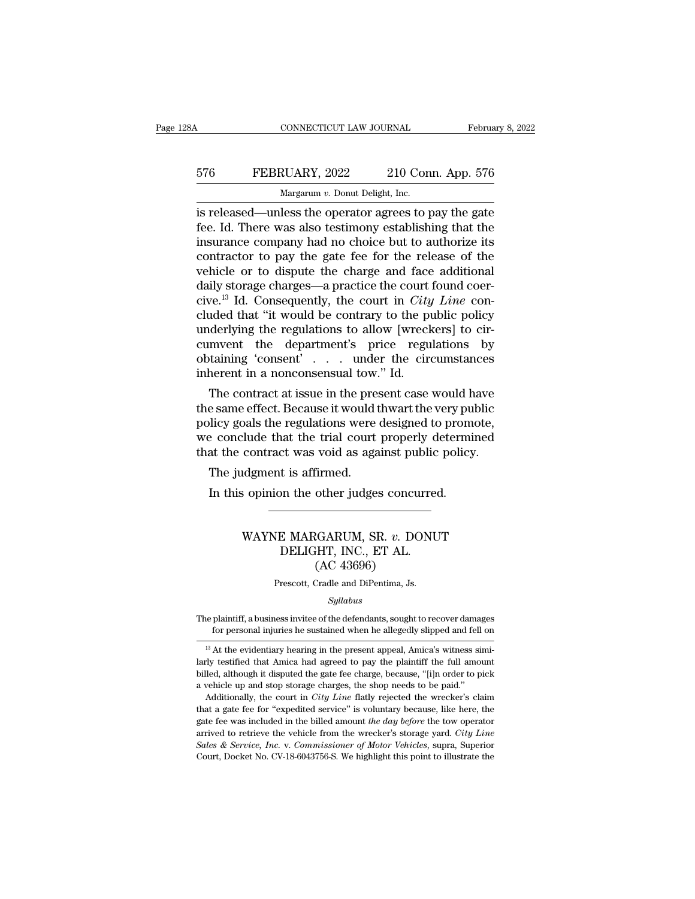## CONNECTICUT LAW JOURNAL February 8, 2022<br>576 FEBRUARY, 2022 210 Conn. App. 576<br>Margarum v. Donut Delight, Inc. CONNECTICUT LAW JOURNAL Februa<br>
576 FEBRUARY, 2022 210 Conn. App. 576<br>
Margarum *v.* Donut Delight, Inc.<br>
is released—unless the operator agrees to pay the gate

CONNECTICUT LAW JOURNAL February 8, 2022<br>
FEBRUARY, 2022 210 Conn. App. 576<br>
Margarum v. Donut Delight, Inc.<br>
is released—unless the operator agrees to pay the gate<br>
fee. Id. There was also testimony establishing that the<br> FEBRUARY, 2022 210 Conn. App. 576<br>Margarum v. Donut Delight, Inc.<br>is released—unless the operator agrees to pay the gate<br>fee. Id. There was also testimony establishing that the<br>insurance company had no choice but to author FEBRUARY, 2022 210 Conn. App. 576<br>
Margarum v. Donut Delight, Inc.<br>
is released—unless the operator agrees to pay the gate<br>
fee. Id. There was also testimony establishing that the<br>
insurance company had no choice but to a EXEMBRUARY, 2022 210 Conn. App. 576<br>
Margarum v. Donut Delight, Inc.<br>
is released—unless the operator agrees to pay the gate<br>
fee. Id. There was also testimony establishing that the<br>
insurance company had no choice but to Margarum v. Donut Delight, Inc.<br>
is released—unless the operator agrees to pay the gate<br>
fee. Id. There was also testimony establishing that the<br>
insurance company had no choice but to authorize its<br>
contractor to pay the Margarum v. Donut Delight, Inc.<br>
is released—unless the operator agrees to pay the gate<br>
fee. Id. There was also testimony establishing that the<br>
insurance company had no choice but to authorize its<br>
contractor to pay the is released—unless the operator agrees to pay the gate<br>fee. Id. There was also testimony establishing that the<br>insurance company had no choice but to authorize its<br>contractor to pay the gate fee for the release of the<br>vehi fee. Id. There was also testimony establishing that the<br>
insurance company had no choice but to authorize its<br>
contractor to pay the gate fee for the release of the<br>
vehicle or to dispute the charge and face additional<br>
da insurance company had no choice but to authorize its<br>contractor to pay the gate fee for the release of the<br>vehicle or to dispute the charge and face additional<br>daily storage charges—a practice the court found coer-<br>cive.<sup></sup> contractor to pay the gate fee for the release of the<br>vehicle or to dispute the charge and face additional<br>daily storage charges—a practice the court found coer-<br>cive.<sup>13</sup> Id. Consequently, the court in *City Line* con-<br>c vehicle or to dispute the charge and face additional<br>daily storage charges—a practice the court found coer-<br>cive.<sup>13</sup> Id. Consequently, the court in *City Line* con-<br>cluded that "it would be contrary to the public policy<br> daily storage charges—a practice the court<br>cive.<sup>13</sup> Id. Consequently, the court in *City*<br>cluded that "it would be contrary to the pu<br>underlying the regulations to allow [wreck<br>cumvent the department's price regu<br>obtaini From the contract at issue in the public policy<br>derlying the regulations to allow [wreckers] to cir-<br>mvent the department's price regulations by<br>taining 'consent' . . . under the circumstances<br>herent in a nonconsensual to cluded that "it would be contrary to the public policy<br>underlying the regulations to allow [wreckers] to cir-<br>cumvent the department's price regulations by<br>obtaining 'consent' . . . under the circumstances<br>inherent in a no

underlying the regulations to allow [wreckers] to circumvent the department's price regulations by obtaining 'consent' . . . under the circumstances inherent in a nonconsensual tow." Id. The contract at issue in the presen cumvent the departments price regulations by<br>obtaining 'consent'  $\dots$  under the circumstances<br>inherent in a nonconsensual tow." Id.<br>The contract at issue in the present case would have<br>the same effect. Because it would th obtaining consent . . . . under the circumstances<br>inherent in a nonconsensual tow." Id.<br>The contract at issue in the present case would have<br>the same effect. Because it would thwart the very public<br>policy goals the regulat The contract at issue in the pree<br>e same effect. Because it would the<br>plicy goals the regulations were<br>e conclude that the trial court<br>at the contract was void as aga<br>The judgment is affirmed.<br>In this opinion the other jud Example 1 and the other judges concurred.<br>In this opinion term of the other in the other in the conclude that the trial court properly determined the contract was void as against public policy.<br>The judgment is affirmed.<br>In

#### contract was void as against public policy.<br>
Independent is affirmed.<br>
Sopinion the other judges concurred.<br>
WAYNE MARGARUM, SR. *v.* DONUT<br>
DELIGHT, INC., ET AL. t is affirmed.<br>
on the other judges concurred<br>
E MARGARUM, SR. v. DONU<br>
DELIGHT, INC., ET AL.<br>
(AC 43696) irmed.<br>
other judges concu<br>
CGARUM, SR. v. DC<br>
HT, INC., ET AL.<br>
(AC 43696)<br>
Cradle and DiPentima, Js. WAYNE MARGARUM, SR. *v*. DONUT<br>DELIGHT, INC., ET AL.<br>(AC 43696)<br>Prescott, Cradle and DiPentima, Js.

#### *Syllabus*

The plaintiff, a business invitee of the defendants, sought to recover damages  $(AC 43696)$ <br>Prescott, Cradle and DiPentima, Js.<br> $Syllabus$ <br>plaintiff, a business invitee of the defendants, sought to recover damages<br>for personal injuries he sustained when he allegedly slipped and fell on<br>At the evidentiary

Prescott, Cradle and DiPentima, Js.<br>
Syllabus<br>
13 At the evidentiary hearing in the present appeal, Amica's witness simi-<br>
<sup>13</sup> At the evidentiary hearing in the present appeal, Amica's witness simi-<br>
<sup>13</sup> At the evidentia *Syllabus*<br>The plaintiff, a business invitee of the defendants, sought to recover damages<br>for personal injuries he sustained when he allegedly slipped and fell on<br> $\frac{13}{13}$  At the evidentiary hearing in the present appe The plaintiff, a business invitee of the defendants, sought to recover damages<br>for personal injuries he sustained when he allegedly slipped and fell on<br> $B$  is At the evidentiary hearing in the present appeal, Amica's witn The plaintiff, a business invitee of the defendants, sought to recover damage for personal injuries he sustained when he allegedly slipped and fell  $^{13}$  At the evidentiary hearing in the present appeal, Amica's witness for personal myures he sustamed when he allegedly slipped and fell on<br><sup>13</sup> At the evidentiary hearing in the present appeal, Amica's witness simi-<br>ty testified that Amica had agreed to pay the plaintiff the full amount<br>led <sup>13</sup> At the evidentiary hearing in the present appeal, Amica's witness similarly testified that Amica had agreed to pay the plaintiff the full amount billed, although it disputed the gate fee charge, because, "[i]n order

larly testified that Amica had agreed to pay the plaintiff the full amount billed, although it disputed the gate fee charge, because, "[i]n order to pick a vehicle up and stop storage charges, the shop needs to be paid." A billed, although it disputed the gate fee charge, because, "[i]n order to pick a vehicle up and stop storage charges, the shop needs to be paid." Additionally, the court in *City Line* flatly rejected the wrecker's claim *Sales a* excellent paid and stop storage charge, secured, performance a vehicle up and stop storage charges, the shop needs to be paid." Additionally, the court in *City Line* flatly rejected the wrecker's claim that a ga Additionally, the court in City Line flatly rejected the wrecker's claim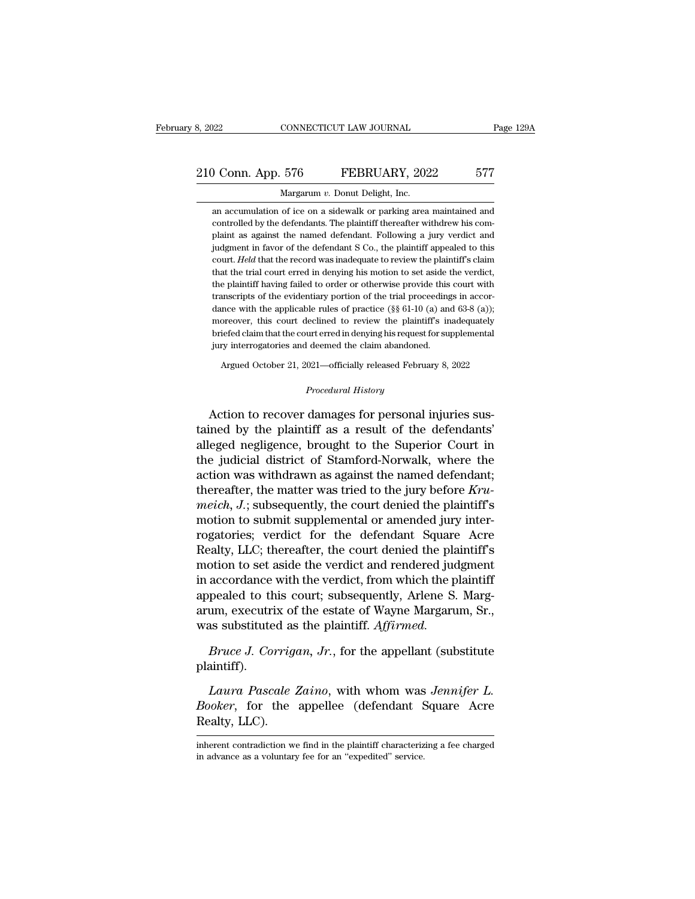#### 210 Conn. App. 576 FEBRUARY, 2022 577 Margarum v. Donut Delight, Inc. CONNECTICUT LAW JOURNAL<br>576 FEBRUARY, 202<br>Margarum *v.* Donut Delight, Inc.<br>of ice on a sidewalk or parking area

3 Conn. App. 576 FEBRUARY, 2022 577<br>Margarum v. Donut Delight, Inc.<br>an accumulation of ice on a sidewalk or parking area maintained and<br>controlled by the defendants. The plaintiff thereafter withdrew his com-Controlled by the defendants. The plaintiff thereafter withdrew his complaint as against the named defendant. Following a jury verdict and plaint as against the named defendant. Following a jury verdict and plaint as against the named defendant. Following a jury verdict and Margarum v. Donut Delight, Inc.<br>an accumulation of ice on a sidewalk or parking area maintained and<br>controlled by the defendants. The plaintiff thereafter withdrew his com-<br>plaint as against the named defendant. Following Margarum v. Donut Delight, Inc.<br>
an accumulation of ice on a sidewalk or parking area maintained and<br>
controlled by the defendants. The plaintiff thereafter withdrew his com-<br>
plaint as against the named defendant. Followi an accumulation of ice on a sidewalk or parking area maintained and controlled by the defendants. The plaintiff thereafter withdrew his complaint as against the named defendant. Following a jury verdict and judgment in fav controlled by the defendants. The plaintiff thereafter withdrew his complaint as against the named defendant. Following a jury verdict and judgment in favor of the defendant S Co., the plaintiff appealed to this court. *He* plaint as against the named defendant. Following a jury verdict and<br>judgment in favor of the defendant S Co., the plaintiff appealed to this<br>court. Held that the record was inadequate to review the plaintiff's claim<br>that t judgment in favor of the defendant S Co., the plaintiff appealed to this court. *Held* that the record was inadequate to review the plaintiff's claim that the trial court erred in denying his motion to set aside the verdic court. Held that the record was inadequate to review the plaintiff's claim<br>that the trial court erred in denying his motion to set aside the verdict,<br>the plaintiff having failed to order or otherwise provide this court wi that the trial court erred in denying his motion to set aside the verdict, the plaintiff having failed to order or otherwise provide this court with transcripts of the evidentiary portion of the trial proceedings in accor that the trial court erred in denying his motion to set aside the verdict, the plaintiff having failed to order or otherwise provide this court with transcripts of the evidentiary portion of the trial proceedings in accor Function of the evidentially portion of the trial proceedings in accor-<br>ince with the applicable rules of practice  $(\S \S 61-10 \text{ (a)} \text{ and } 63-8 \text{ (a)})$ ;<br>oreover, this court declined to review the plaintiff's inadequately<br>ie jury interrogatories and deemed the claim abandoned.<br> *Argued October 21, 2021—officially released February 8, 2022*<br> *Procedural History*<br> **Action to recover damages for personal injuries sus-**

moreover, this court declined to review the plaintiff s madequately<br>briefed claim that the court erred in denying his request for supplemental<br>jury interrogatories and deemed the claim abandoned.<br>Argued October 21, 2021—of Increased cannot are converted in any ingendependent dipyring in the planner of the defendants of the planner of the plaintiff as a result of the defendants' alleged negligence, brought to the Superior Court in the indicip Argued October 21, 2021—officially released February 8, 2022<br>
Procedural History<br>
Action to recover damages for personal injuries sus-<br>
tained by the plaintiff as a result of the defendants'<br>
alleged negligence, brought to Frocedural History<br>
Procedural History<br>
Action to recover damages for personal injuries sus-<br>
tained by the plaintiff as a result of the defendants'<br>
alleged negligence, brought to the Superior Court in<br>
the judicial distr *Procedural History*<br>Action to recover damages for personal injuries sus-<br>tained by the plaintiff as a result of the defendants'<br>alleged negligence, brought to the Superior Court in<br>the judicial district of Stamford-Norwal Action to recover damages for personal injuries sus-<br>tained by the plaintiff as a result of the defendants'<br>alleged negligence, brought to the Superior Court in<br>the judicial district of Stamford-Norwalk, where the<br>action w Action to recover damages for personal injuries sus-<br>tained by the plaintiff as a result of the defendants'<br>alleged negligence, brought to the Superior Court in<br>the judicial district of Stamford-Norwalk, where the<br>action w tained by the plaintiff as a result of the defendants'<br>alleged negligence, brought to the Superior Court in<br>the judicial district of Stamford-Norwalk, where the<br>action was withdrawn as against the named defendant;<br>thereaf alleged negligence, brought to the Superior Court in<br>the judicial district of Stamford-Norwalk, where the<br>action was withdrawn as against the named defendant;<br>thereafter, the matter was tried to the jury before  $Kru$ -<br>*meic* the judicial district of Stamford-Norwalk, where the<br>action was withdrawn as against the named defendant;<br>thereafter, the matter was tried to the jury before *Kru-<br>meich*, *J*.; subsequently, the court denied the plaintiff action was withdrawn as against the named defendant;<br>thereafter, the matter was tried to the jury before *Kru-*<br>meich, J.; subsequently, the court denied the plaintiff's<br>motion to submit supplemental or amended jury interthereafter, the matter was tried to the jury before *Krumeich*, *J*.; subsequently, the court denied the plaintiff's motion to submit supplemental or amended jury interrogatories; verdict for the defendant Square Acre Real meich, J.; subsequently, the court denied the plaintiff's<br>motion to submit supplemental or amended jury inter-<br>rogatories; verdict for the defendant Square Acre<br>Realty, LLC; thereafter, the court denied the plaintiff's<br>mot motion to submit supplemental or amended jury inter-<br>rogatories; verdict for the defendant Square Acre<br>Realty, LLC; thereafter, the court denied the plaintiff's<br>motion to set aside the verdict and rendered judgment<br>in acco rogatories; verdict for the defendant Square<br>Realty, LLC; thereafter, the court denied the pla<br>motion to set aside the verdict and rendered jud<br>in accordance with the verdict, from which the p<br>appealed to this court; subse bruce J. Corrigan, Jr., for the appellant (substitute aintiff).<br>Bruce J. Corrigan, executrix of the estate of Wayne Margarum, Sr.,<br>as substituted as the plaintiff. *Affirmed.*<br>Bruce J. Corrigan, Jr., for the appellant (sub *Laura Pascale Zaino*, with whom was *Jennifer L.*<br>*Laura Pascale Zaino*, with whom was *Jennifer L.*<br>*Laura Pascale Zaino*, with whom was *Jennifer L.*<br>*Laura Pascale Zaino*, with whom was *Jennifer L.*<br>*Joker*, for the a

plaintiff).

*Bruce J. Corrigan, Jr.*, for the appellant (substitute plaintiff).<br>*Bruce J. Corrigan, Jr.*, for the appellant (substitute plaintiff).<br>*Laura Pascale Zaino*, with whom was *Jennifer L.*<br>*Booker*, for the appellee (defenda was substituted as<br>Bruce J. Corrig<br>plaintiff).<br>Laura Pascale<br>Booker, for the<br>Realty, LLC).<br>inherent contradiction wi Laura Pascale Zaino, with whom was Jennifer L.<br>Booker, for the appellee (defendant Square Acre<br>Realty, LLC).<br>inherent contradiction we find in the plaintiff characterizing a fee charged<br>in advance as a voluntary fee for an Laura Pascale Zaino, with whom was<br>Booker, for the appellee (defendant S<br>Realty, LLC).<br>inherent contradiction we find in the plaintiff characterize<br>in advance as a voluntary fee for an "expedited" service.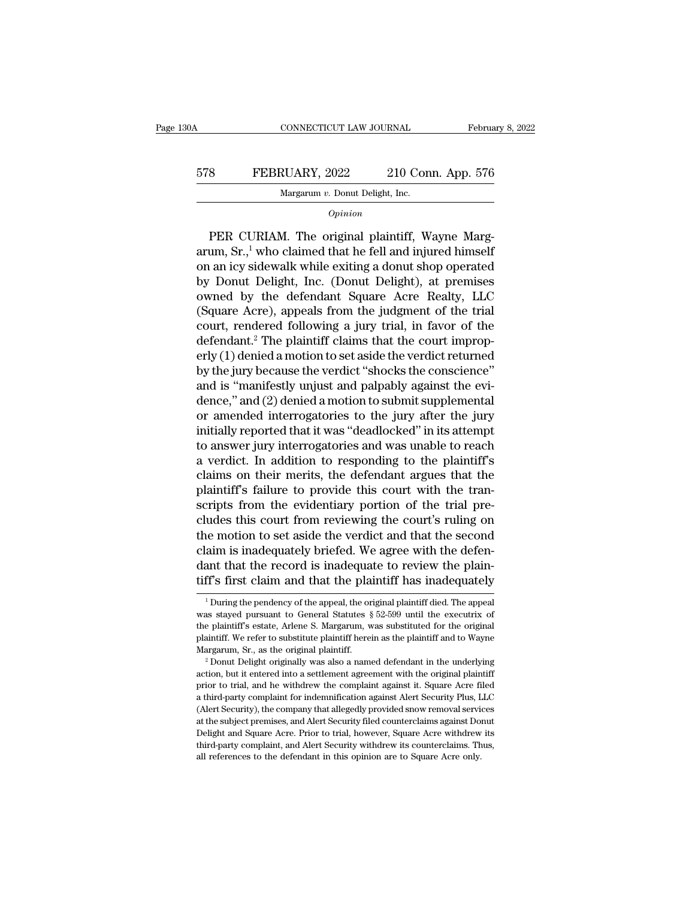#### CONNECTICUT LAW JOURNAL February 8, 2022<br>578 FEBRUARY, 2022 210 Conn. App. 576<br>Margarum v. Donut Delight, Inc.  $\begin{minipage}{0.9\linewidth} \textbf{CONNETICUT LAW JOURNAL} \\\\ \textbf{RUARY, 2022} \qquad \textbf{210 Con} \\\\ \textbf{Margarum } v. \textbf{ Donut Delight, Inc.} \\\\ \textbf{Onivion} \end{minipage}$

*Opinion*

8 FEBRUARY, 2022 210 Conn. App. 576<br>
Margarum v. Donut Delight, Inc.<br> *Opinion*<br>
PER CURIAM. The original plaintiff, Wayne Marg-<br>
um, Sr.,<sup>1</sup> who claimed that he fell and injured himself FEBRUARY, 2022 210 Conn. App. 576<br>
Margarum v. Donut Delight, Inc.<br>
Opinion<br>
PER CURIAM. The original plaintiff, Wayne Margarum, Sr.,<sup>1</sup> who claimed that he fell and injured himself<br>
on an icy sidewalk while exiting a don on a FEBRUARY, 2022 210 Conn. App. 576<br>
Margarum v. Donut Delight, Inc.<br>
Opinion<br>
PER CURIAM. The original plaintiff, Wayne Margarum, Sr.,<sup>1</sup> who claimed that he fell and injured himself<br>
on an icy sidewalk while exiting a Margarum v. Donut Delight, Inc.<br>
Opinion<br>
Dependence of Delight, Inc.<br>
PER CURIAM. The original plaintiff, Wayne Margarum, Sr.,<sup>1</sup> who claimed that he fell and injured himself<br>
on an icy sidewalk while exiting a donut shop  $o_{pinion}$ <br>
PER CURIAM. The original plaintiff, Wayne Margarum, Sr.,<sup>1</sup> who claimed that he fell and injured himself<br>
on an icy sidewalk while exiting a donut shop operated<br>
by Donut Delight, Inc. (Donut Delight), at premise PER CURIAM. The original plaintiff, Wayne Margarum, Sr.,<sup>1</sup> who claimed that he fell and injured himself<br>on an icy sidewalk while exiting a donut shop operated<br>by Donut Delight, Inc. (Donut Delight), at premises<br>owned by PER CURIAM. The original plaintiff, Wayne Margarum, Sr.,<sup>1</sup> who claimed that he fell and injured himself<br>on an icy sidewalk while exiting a donut shop operated<br>by Donut Delight, Inc. (Donut Delight), at premises<br>owned by arum, Sr.,<sup>1</sup> who claimed that he fell and injured himself<br>on an icy sidewalk while exiting a donut shop operated<br>by Donut Delight, Inc. (Donut Delight), at premises<br>owned by the defendant Square Acre Realty, LLC<br>(Square A on an icy sidewalk while exiting a donut shop operated<br>by Donut Delight, Inc. (Donut Delight), at premises<br>owned by the defendant Square Acre Realty, LLC<br>(Square Acre), appeals from the judgment of the trial<br>court, rendere by Donut Delight, Inc. (Donut Delight), at premises<br>owned by the defendant Square Acre Realty, LLC<br>(Square Acre), appeals from the judgment of the trial<br>court, rendered following a jury trial, in favor of the<br>defendant.<sup>2</sup> owned by the defendant Square Acre Realty, LLC<br>(Square Acre), appeals from the judgment of the trial<br>court, rendered following a jury trial, in favor of the<br>defendant.<sup>2</sup> The plaintiff claims that the court improp-<br>erly (1 (Square Acre), appeals from the judgment of the trial<br>court, rendered following a jury trial, in favor of the<br>defendant.<sup>2</sup> The plaintiff claims that the court improp-<br>erly (1) denied a motion to set aside the verdict ret court, rendered following a jury trial, in favor of the<br>defendant.<sup>2</sup> The plaintiff claims that the court improp-<br>erly (1) denied a motion to set aside the verdict returned<br>by the jury because the verdict "shocks the consc defendant.<sup>2</sup> The plaintiff claims that the court improperly (1) denied a motion to set aside the verdict returned<br>by the jury because the verdict "shocks the conscience"<br>and is "manifestly unjust and palpably against the erly (1) denied a motion to set aside the verdict returned<br>by the jury because the verdict "shocks the conscience"<br>and is "manifestly unjust and palpably against the evi-<br>dence," and (2) denied a motion to submit supplemen by the jury because the verdict "shocks the conscience"<br>and is "manifestly unjust and palpably against the evi-<br>dence," and (2) denied a motion to submit supplemental<br>or amended interrogatories to the jury after the jury<br>i and is "manifestly unjust and palpably against the evi-<br>dence," and (2) denied a motion to submit supplemental<br>or amended interrogatories to the jury after the jury<br>initially reported that it was "deadlocked" in its attemp dence," and (2) denied a motion to submit supplemental<br>or amended interrogatories to the jury after the jury<br>initially reported that it was "deadlocked" in its attempt<br>to answer jury interrogatories and was unable to reach or amended interrogatories to the jury after the jury<br>initially reported that it was "deadlocked" in its attempt<br>to answer jury interrogatories and was unable to reach<br>a verdict. In addition to responding to the plaintiff' initially reported that it was "deadlocked" in its attempt<br>to answer jury interrogatories and was unable to reach<br>a verdict. In addition to responding to the plaintiff's<br>claims on their merits, the defendant argues that th to answer jury interrogatories and was unable to reach<br>a verdict. In addition to responding to the plaintiff's<br>claims on their merits, the defendant argues that the<br>plaintiff's failure to provide this court with the tran-<br> a verdict. In addition to responding to the plaintiff's<br>claims on their merits, the defendant argues that the<br>plaintiff's failure to provide this court with the tran-<br>scripts from the evidentiary portion of the trial pre-<br> claims on their merits, the defendant argues that the plaintiff's failure to provide this court with the transcripts from the evidentiary portion of the trial precludes this court from reviewing the court's ruling on the m plaintiff's failure to provide this court with the tran-<br>scripts from the evidentiary portion of the trial pre-<br>cludes this court from reviewing the court's ruling on<br>the motion to set aside the verdict and that the second 1 During the pendency of the appeal, the original plaintiff died. The appearant that the record is inadequate to review the plaintiff's first claim and that the plaintiff has inadequately  $\frac{1}{2}$  During the pendency of claim is inadequately briefed. We agree with the defendant that the record is inadequate to review the plaintiff's first claim and that the plaintiff has inadequately  $\frac{1}{1}$  During the pendency of the appeal, the origi

dant that the record is inadequate to review the plaintiff's first claim and that the plaintiff has inadequately<br> $\frac{1}{1}$ During the pendency of the appeal, the original plaintiff died. The appeal was stayed pursuant to G **EXECUTE:** The perdency of the appeal, the original plaintiff died. The appeal was stayed pursuant to General Statutes  $\S$  52-599 until the executrix of the plaintiff's estate, Arlene S. Margarum, was substituted for the The multimediate the praintiff in the Margarety<br>  $\frac{1}{1}$  During the pendency of the appeal, the original plaintiff died. The appeal<br>
was stayed pursuant to General Statutes § 52-599 until the executrix of<br>
the plaintiff  $^1$  During the pendency of the appeal, the original plaintiff died. The appeal was stayed pursuant to General Statutes  $\S$  52-599 until the executrix of the plaintiff's estate, Arlene S. Margarum, was substituted for the

the plaintiff's estate, Arlene S. Margarum, was substituted for the original plaintiff. We refer to substitute plaintiff herein as the plaintiff and to Wayne Margarum, Sr., as the original plaintiff.<br><sup>2</sup> Donut Delight orig a the party of the substitute plaintiff herein as the plaintiff and to Wayne Margarum, Sr., as the original plaintiff.<br>
<sup>2</sup> Donut Delight originally was also a named defendant in the underlying<br>
<sup>2</sup> Donut Delight originall Margarum, Sr., as the original plaintiff.<br>
<sup>2</sup> Donut Delight originally was also a named defendant in the underlying<br>
<sup>2</sup> Donut Delight originally was also a named defendant in the underlying<br>
action, but it entered into a at the subject of the subject premises also a named defendant in the underlying<br>action, but it entered into a settlement agreement with the original plaintiff<br>prior to trial, and he withdrew the complaint against it. Squar action, but it entered into a settlement agreement with the original plaintiff<br>prior to trial, and he withdrew the complaint against it. Square Acre filed<br>a third-party complaint for indemnification against Alert Security prior to trial, and he withdrew the complaint against it. Square Acre filed a third-party complaint for indemnification against Alert Security Plus, LLC (Alert Security), the company that allegedly provided snow removal se a third-party complaint for indemnification against Alert Security Plus, LLC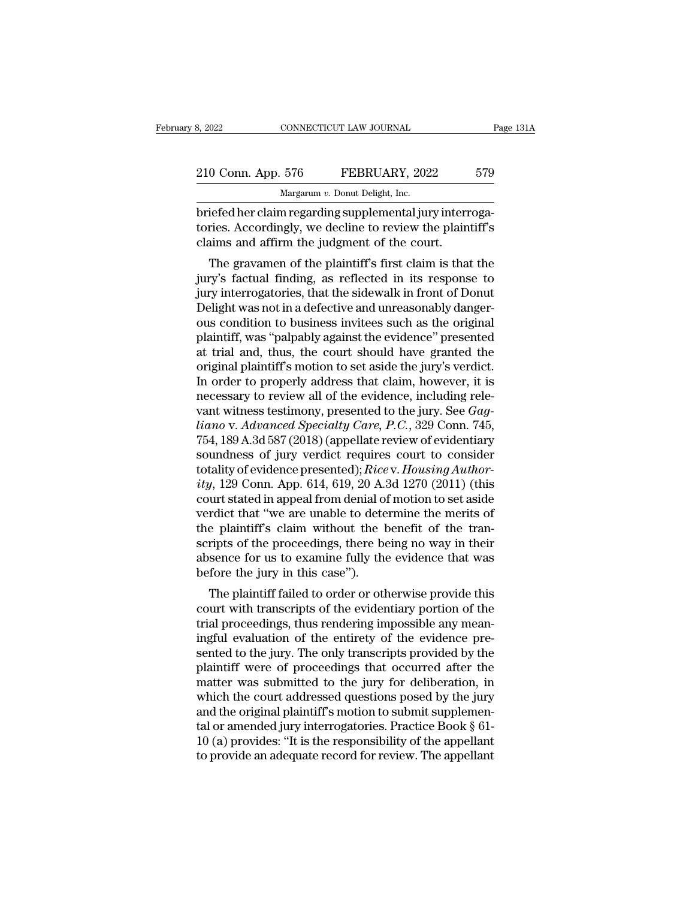| 8, 2022            | CONNECTICUT LAW JOURNAL |                                                          | Page 131A |  |
|--------------------|-------------------------|----------------------------------------------------------|-----------|--|
|                    |                         |                                                          |           |  |
| 210 Conn. App. 576 |                         | FEBRUARY, 2022                                           | 579       |  |
|                    |                         | Margarum v. Donut Delight, Inc.                          |           |  |
|                    |                         | briefed her claim regarding supplemental jury interroga- |           |  |

briefed her claim regarding supplemental jury interroga-<br>Briefed her claim regarding supplemental jury interroga-<br>briefed her claim regarding supplemental jury interroga-<br>tories. Accordingly, we decline to review the plain 210 Conn. App. 576 FEBRUARY, 2022 579<br>Margarum v. Donut Delight, Inc.<br>briefed her claim regarding supplemental jury interrogatories. Accordingly, we decline to review the plaintiff's<br>claims and affirm the judgment of the c 210 Conn. App. 576 FEBRUARY, 2022<br>Margarum v. Donut Delight, Inc.<br>briefed her claim regarding supplemental jury interr<br>tories. Accordingly, we decline to review the plain<br>claims and affirm the judgment of the court.<br>The g  $\frac{0 \text{ Conn. App. } 576 \qquad \text{FEBRUARY, } 2022 \qquad \text{579}}{\text{Margarum } v. \text{ Donut Delight, Inc.}}$ <br>
iefed her claim regarding supplemental jury interrogaries. Accordingly, we decline to review the plaintiff's<br>
aims and affirm the judgment of the court.<br>

Margarum v. Donut Delight, Inc.<br>
briefed her claim regarding supplemental jury interroga-<br>
tories. Accordingly, we decline to review the plaintiff's<br>
claims and affirm the judgment of the court.<br>
The gravamen of the plaint briefed her claim regarding supplemental jury interrogatories. Accordingly, we decline to review the plaintiff's claims and affirm the judgment of the court.<br>The gravamen of the plaintiff's first claim is that the jury's f briefed fer claim regarding supplementar jury interrogatories. Accordingly, we decline to review the plaintiff's claims and affirm the judgment of the court.<br>The gravamen of the plaintiff's first claim is that the jury's f ones. Accordingly, we decline to review the plaintin's<br>claims and affirm the judgment of the court.<br>The gravamen of the plaintiff's first claim is that the<br>jury's factual finding, as reflected in its response to<br>jury inter raints and affinit the judgment of the court.<br>The gravamen of the plaintiff's first claim is that the<br>jury's factual finding, as reflected in its response to<br>jury interrogatories, that the sidewalk in front of Donut<br>Deligh The gravamen of the plaintiff's first claim is that the<br>jury's factual finding, as reflected in its response to<br>jury interrogatories, that the sidewalk in front of Donut<br>Delight was not in a defective and unreasonably dang jury's factual finding, as reflected in its response to<br>jury interrogatories, that the sidewalk in front of Donut<br>Delight was not in a defective and unreasonably danger-<br>ous condition to business invitees such as the origi jury interrogatories, that the sidewalk in front of Donut<br>Delight was not in a defective and unreasonably danger-<br>ous condition to business invitees such as the original<br>plaintiff, was "palpably against the evidence" prese Delight was not in a defective and unreasonably danger-<br>ous condition to business invitees such as the original<br>plaintiff, was "palpably against the evidence" presented<br>at trial and, thus, the court should have granted th ous condition to business invitees such as the original plaintiff, was "palpably against the evidence" presented at trial and, thus, the court should have granted the original plaintiff's motion to set aside the jury's ver plaintiff, was "palpably against the evidence" presented<br>at trial and, thus, the court should have granted the<br>original plaintiff's motion to set aside the jury's verdict.<br>In order to properly address that claim, however, at trial and, thus, the court should have granted the<br>original plaintiff's motion to set aside the jury's verdict.<br>In order to properly address that claim, however, it is<br>necessary to review all of the evidence, including original plaintiff's motion to set aside the jury's verdict.<br>In order to properly address that claim, however, it is<br>necessary to review all of the evidence, including rele-<br>vant witness testimony, presented to the jury. S In order to properly address that claim, however, it is<br>necessary to review all of the evidence, including rele-<br>vant witness testimony, presented to the jury. See *Gag-*<br>*hiano* v. *Advanced Specialty Care, P.C.*, 329 Con recessary to review all of the evidence, including relevant witness testimony, presented to the jury. See *Gagliano* v. *Advanced Specialty Care*, *P.C.*, 329 Conn. 745, 754, 189 A.3d 587 (2018) (appellate review of eviden vant witness testimony, presented to the jury. See *Gagliano* v. *Advanced Specialty Care*, *P.C.*, 329 Conn. 745, 754, 189 A.3d 587 (2018) (appellate review of evidentiary soundness of jury verdict requires court to consi liano v. Advanced Specialty Care, P.C., 329 Conn. 745,<br>754, 189 A.3d 587 (2018) (appellate review of evidentiary<br>soundness of jury verdict requires court to consider<br>totality of evidence presented); Rice v. Housing Author-754, 189 A.3d 587 (2018) (appellate review of evidentiary<br>soundness of jury verdict requires court to consider<br>totality of evidence presented); *Ricev. Housing Author-*<br>ity, 129 Conn. App. 614, 619, 20 A.3d 1270 (2011) (t soundness of jury verdict requires court to consider<br>totality of evidence presented); *Rice* v. *Housing Author-*<br>ity, 129 Conn. App. 614, 619, 20 A.3d 1270 (2011) (this<br>court stated in appeal from denial of motion to set totality of evidence presented);  $Rice$  v.  $Housing Author-  
ity$ , 129 Conn. App. 614, 619, 20 A.3d 1270 (2011) (this<br>court stated in appeal from denial of motion to set aside<br>verdict that "we are unable to determine the merits of<br>the ity, 129 Conn. App. 614, 619, 20 A.:<br>court stated in appeal from denial of<br>verdict that "we are unable to dete<br>the plaintiff's claim without the l<br>scripts of the proceedings, there be<br>absence for us to examine fully the<br>b and that "we are unable to determine the merits of<br>rdict that "we are unable to determine the merits of<br>e plaintiff's claim without the benefit of the tran-<br>ripts of the proceedings, there being no way in their<br>sence for u vertuct that we are unable to determine the mems of<br>the plaintiff's claim without the benefit of the tran-<br>scripts of the proceedings, there being no way in their<br>absence for us to examine fully the evidence that was<br>befor

the plantin's claim whilout the behefit of the trans-<br>scripts of the proceedings, there being no way in their<br>absence for us to examine fully the evidence that was<br>before the jury in this case").<br>The plaintiff failed to or scripts of the proceedings, there being no way in their<br>absence for us to examine fully the evidence that was<br>before the jury in this case").<br>The plaintiff failed to order or otherwise provide this<br>court with transcripts o absence for us to examine runy the evidence that was<br>before the jury in this case").<br>The plaintiff failed to order or otherwise provide this<br>court with transcripts of the evidentiary portion of the<br>trial proceedings, thus plaintiff failed to order or otherwise provide this<br>court with transcripts of the evidentiary portion of the<br>trial proceedings, thus rendering impossible any mean-<br>ingful evaluation of the entirety of the evidence pre-<br>sen The plaintiff failed to order or otherwise provide this<br>court with transcripts of the evidentiary portion of the<br>trial proceedings, thus rendering impossible any mean-<br>ingful evaluation of the entirety of the evidence precourt with transcripts of the evidentiary portion of the<br>trial proceedings, thus rendering impossible any mean-<br>ingful evaluation of the entirety of the evidence pre-<br>sented to the jury. The only transcripts provided by th trial proceedings, thus rendering impossible any meaningful evaluation of the entirety of the evidence presented to the jury. The only transcripts provided by the plaintiff were of proceedings that occurred after the matt ingful evaluation of the entirety of the evidence presented to the jury. The only transcripts provided by the plaintiff were of proceedings that occurred after the matter was submitted to the jury for deliberation, in whic sented to the jury. The only transcripts provided by the plaintiff were of proceedings that occurred after the matter was submitted to the jury for deliberation, in which the court addressed questions posed by the jury and plaintiff were of proceedings that occurred after the<br>matter was submitted to the jury for deliberation, in<br>which the court addressed questions posed by the jury<br>and the original plaintiff's motion to submit supplemen-<br>tal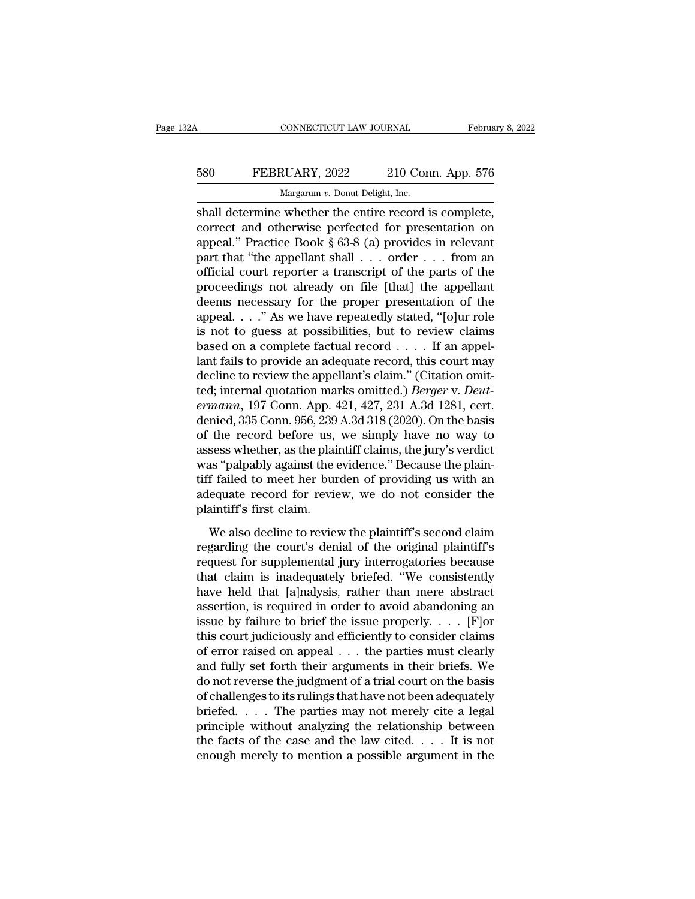## CONNECTICUT LAW JOURNAL February 8, 2022<br>580 FEBRUARY, 2022 210 Conn. App. 576<br>Margarum v. Donut Delight, Inc. CONNECTICUT LAW JOURNAL Februa<br>
580 FEBRUARY, 2022 210 Conn. App. 576<br>
Margarum *v.* Donut Delight, Inc.<br>
shall determine whether the entire record is complete,

CONNECTICUT LAW JOURNAL February 8, 2<br>
SSO FEBRUARY, 2022 210 Conn. App. 576<br>
Margarum v. Donut Delight, Inc.<br>
Shall determine whether the entire record is complete,<br>
correct and otherwise perfected for presentation on<br>
ap FEBRUARY, 2022 210 Conn. App. 576<br>Margarum v. Donut Delight, Inc.<br>Shall determine whether the entire record is complete,<br>correct and otherwise perfected for presentation on<br>appeal." Practice Book § 63-8 (a) provides in rel 580 FEBRUARY, 2022 210 Conn. App. 576<br>
Margarum v. Donut Delight, Inc.<br>
shall determine whether the entire record is complete,<br>
correct and otherwise perfected for presentation on<br>
appeal.'' Practice Book § 63-8 (a) provi FEBRUARY, 2022 210 Conn. App. 576<br>
Margarum v. Donut Delight, Inc.<br>
shall determine whether the entire record is complete,<br>
correct and otherwise perfected for presentation on<br>
appeal." Practice Book § 63-8 (a) provides i Margarum v. Donut Delight, Inc.<br>
Shall determine whether the entire record is complete,<br>
correct and otherwise perfected for presentation on<br>
appeal." Practice Book § 63-8 (a) provides in relevant<br>
part that "the appellan margarum v. Donut Delight, Inc.<br>
shall determine whether the entire record is complete,<br>
correct and otherwise perfected for presentation on<br>
appeal." Practice Book § 63-8 (a) provides in relevant<br>
part that "the appellan shall determine whether the entire record is complete,<br>correct and otherwise perfected for presentation on<br>appeal." Practice Book § 63-8 (a) provides in relevant<br>part that "the appellant shall  $\dots$  order  $\dots$  from an<br>offi correct and otherwise perfected for presentation on<br>appeal." Practice Book § 63-8 (a) provides in relevant<br>part that "the appellant shall  $\ldots$  order  $\ldots$  from an<br>official court reporter a transcript of the parts of the<br> appeal." Practice Book § 63-8 (a) provides in relevant<br>part that "the appellant shall . . . order . . . from an<br>official court reporter a transcript of the parts of the<br>proceedings not already on file [that] the appellant part that "the appellant shall  $\ldots$  order  $\ldots$  from an official court reporter a transcript of the parts of the proceedings not already on file [that] the appellant deems necessary for the proper presentation of the app official court reporter a transcript of the parts of the<br>proceedings not already on file [that] the appellant<br>deems necessary for the proper presentation of the<br>appeal. . . ." As we have repeatedly stated, "[o]ur role<br>is proceedings not already on file [that] the appellant<br>deems necessary for the proper presentation of the<br>appeal...." As we have repeatedly stated, "[o]ur role<br>is not to guess at possibilities, but to review claims<br>based on deems necessary for the proper presentation of the<br>appeal. . . ." As we have repeatedly stated, "[o]ur role<br>is not to guess at possibilities, but to review claims<br>based on a complete factual record . . . . If an appel-<br>lan appeal. . . ." As we have repeatedly stated, "[o]ur role<br>is not to guess at possibilities, but to review claims<br>based on a complete factual record . . . . If an appel-<br>lant fails to provide an adequate record, this court m is not to guess at possibilities, but to review claims<br>based on a complete factual record . . . . If an appel-<br>lant fails to provide an adequate record, this court may<br>decline to review the appellant's claim." (Citation o based on a complete factual record  $\ldots$ . If an appellant fails to provide an adequate record, this court may decline to review the appellant's claim." (Citation omitted; internal quotation marks omitted.) *Berger* v. *De* lant fails to provide an adequate record, this court may<br>decline to review the appellant's claim." (Citation omit-<br>ted; internal quotation marks omitted.) *Berger* v. *Deut-*<br>*ermann*, 197 Conn. App. 421, 427, 231 A.3d 128 decline to review the appellant's claim." (Citation omit-<br>ted; internal quotation marks omitted.) *Berger v. Deut-*<br>*ermann*, 197 Conn. App. 421, 427, 231 A.3d 1281, cert.<br>denied, 335 Conn. 956, 239 A.3d 318 (2020). On the ted; internal quotation marks omitted.) *Berger* v. *Deut-*<br>ermann, 197 Conn. App. 421, 427, 231 A.3d 1281, cert.<br>denied, 335 Conn. 956, 239 A.3d 318 (2020). On the basis<br>of the record before us, we simply have no way to<br>a ermann, 197 Conn. App. 421, 427, 231 A.3d 1281, cert.<br>denied, 335 Conn. 956, 239 A.3d 318 (2020). On the basis<br>of the record before us, we simply have no way to<br>assess whether, as the plaintiff claims, the jury's verdict<br>w denied, 335 Conn. 956, 239<br>of the record before us,<br>assess whether, as the plai<br>was "palpably against the e<br>tiff failed to meet her bur<br>adequate record for revie<br>plaintiff's first claim.<br>We also decline to revie also decline to review the plaintiff's we shaped the way are seen as "palpably against the evidence." Because the plain-<br>f failed to meet her burden of providing us with an equate record for review, we do not consider the regarding the evidence." Because the plain-<br>tiff failed to meet her burden of providing us with an<br>adequate record for review, we do not consider the<br>plaintiff's first claim.<br>We also decline to review the plaintiff's secon

requestly diff failed to meet her burden of providing us with an adequate record for review, we do not consider the plaintiff's first claim.<br>We also decline to review the plaintiff's second claim regarding the court's deni and adequate record for review, we do not consider the<br>adequate record for review, we do not consider the<br>plaintiff's first claim.<br>We also decline to review the plaintiff's second claim<br>regarding the court's denial of the matequate record for review, we as not consider are<br>plaintiff's first claim.<br>We also decline to review the plaintiff's second claim<br>regarding the court's denial of the original plaintiff's<br>request for supplemental jury int We also decline to review the plaintiff's second claim<br>regarding the court's denial of the original plaintiff's<br>request for supplemental jury interrogatories because<br>that claim is inadequately briefed. "We consistently<br>ha We also decline to review the plaintiff's second claim<br>regarding the court's denial of the original plaintiff's<br>request for supplemental jury interrogatories because<br>that claim is inadequately briefed. "We consistently<br>ha regarding the court's denial of the original plaintiff's<br>request for supplemental jury interrogatories because<br>that claim is inadequately briefed. "We consistently<br>have held that [a]nalysis, rather than mere abstract<br>asse request for supplemental jury interrogatories because<br>that claim is inadequately briefed. "We consistently<br>have held that [a]nalysis, rather than mere abstract<br>assertion, is required in order to avoid abandoning an<br>issue b that claim is inadequately briefed. "We consistently<br>have held that [a]nalysis, rather than mere abstract<br>assertion, is required in order to avoid abandoning an<br>issue by failure to brief the issue properly. . . . [F]<br>or<br>t have held that [a]nalysis, rather than mere abstract<br>assertion, is required in order to avoid abandoning an<br>issue by failure to brief the issue properly. . . . [F]or<br>this court judiciously and efficiently to consider clai assertion, is required in order to avoid abandoning an<br>issue by failure to brief the issue properly. . . . [F]or<br>this court judiciously and efficiently to consider claims<br>of error raised on appeal . . . the parties must c issue by failure to brief the issue properly. . . . [F]or<br>this court judiciously and efficiently to consider claims<br>of error raised on appeal . . . the parties must clearly<br>and fully set forth their arguments in their bri this court judiciously and efficiently to consider claims<br>of error raised on appeal  $\dots$  the parties must clearly<br>and fully set forth their arguments in their briefs. We<br>do not reverse the judgment of a trial court on the of error raised on appeal . . . the parties must clearly<br>and fully set forth their arguments in their briefs. We<br>do not reverse the judgment of a trial court on the basis<br>of challenges to its rulings that have not been ad and fully set forth their arguments in their briefs. We<br>do not reverse the judgment of a trial court on the basis<br>of challenges to its rulings that have not been adequately<br>briefed.... The parties may not merely cite a le